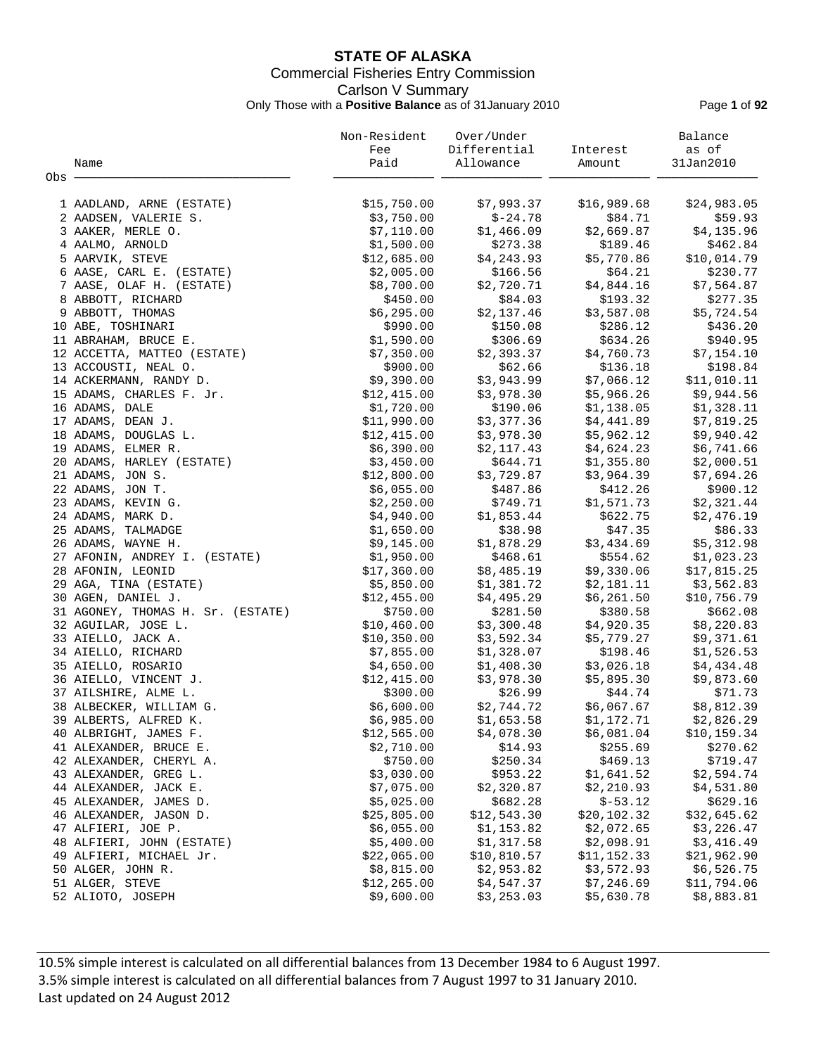# **STATE OF ALASKA** Commercial Fisheries Entry Commission Carlson V Summary Only Those with a **Positive Balance** as of 31January 2010 Page **1** of **92**

|       |                                   | Non-Resident | Over/Under   |             | Balance      |
|-------|-----------------------------------|--------------|--------------|-------------|--------------|
|       |                                   | Fee          | Differential | Interest    | as of        |
|       | Name                              | Paid         | Allowance    | Amount      | 31Jan2010    |
| Obs - |                                   |              |              |             |              |
|       |                                   |              |              |             |              |
|       | 1 AADLAND, ARNE (ESTATE)          | \$15,750.00  | \$7,993.37   | \$16,989.68 | \$24,983.05  |
|       | 2 AADSEN, VALERIE S.              | \$3,750.00   | $$-24.78$    | \$84.71     | \$59.93      |
|       | 3 AAKER, MERLE O.                 | \$7,110.00   | \$1,466.09   | \$2,669.87  | \$4,135.96   |
|       | 4 AALMO, ARNOLD                   | \$1,500.00   | \$273.38     | \$189.46    | \$462.84     |
|       | 5 AARVIK, STEVE                   | \$12,685.00  | \$4,243.93   | \$5,770.86  | \$10,014.79  |
|       | 6 AASE, CARL E. (ESTATE)          | \$2,005.00   | \$166.56     | \$64.21     | \$230.77     |
|       | 7 AASE, OLAF H. (ESTATE)          | \$8,700.00   | \$2,720.71   | \$4,844.16  | \$7,564.87   |
|       | 8 ABBOTT, RICHARD                 | \$450.00     | \$84.03      | \$193.32    | \$277.35     |
|       | 9 ABBOTT, THOMAS                  | \$6,295.00   | \$2,137.46   | \$3,587.08  | \$5,724.54   |
|       | 10 ABE, TOSHINARI                 | \$990.00     | \$150.08     | \$286.12    | \$436.20     |
|       | 11 ABRAHAM, BRUCE E.              | \$1,590.00   | \$306.69     | \$634.26    | \$940.95     |
|       | 12 ACCETTA, MATTEO (ESTATE)       | \$7,350.00   | \$2,393.37   | \$4,760.73  | \$7,154.10   |
|       | 13 ACCOUSTI, NEAL O.              | \$900.00     | \$62.66      | \$136.18    | \$198.84     |
|       | 14 ACKERMANN, RANDY D.            | \$9,390.00   | \$3,943.99   | \$7,066.12  | \$11,010.11  |
|       | 15 ADAMS, CHARLES F. Jr.          | \$12,415.00  | \$3,978.30   | \$5,966.26  | \$9,944.56   |
|       | 16 ADAMS, DALE                    | \$1,720.00   | \$190.06     | \$1,138.05  | \$1,328.11   |
|       | 17 ADAMS, DEAN J.                 | \$11,990.00  | \$3,377.36   | \$4,441.89  | \$7,819.25   |
|       | 18 ADAMS, DOUGLAS L.              | \$12,415.00  | \$3,978.30   | \$5,962.12  | \$9,940.42   |
|       | 19 ADAMS, ELMER R.                | \$6,390.00   | \$2,117.43   | \$4,624.23  | \$6,741.66   |
|       | 20 ADAMS, HARLEY (ESTATE)         | \$3,450.00   | \$644.71     | \$1,355.80  | \$2,000.51   |
|       | 21 ADAMS, JON S.                  | \$12,800.00  | \$3,729.87   | \$3,964.39  |              |
|       |                                   |              | \$487.86     |             | \$7,694.26   |
|       | 22 ADAMS, JON T.                  | \$6,055.00   |              | \$412.26    | \$900.12     |
|       | 23 ADAMS, KEVIN G.                | \$2,250.00   | \$749.71     | \$1,571.73  | \$2,321.44   |
|       | 24 ADAMS, MARK D.                 | \$4,940.00   | \$1,853.44   | \$622.75    | \$2,476.19   |
|       | 25 ADAMS, TALMADGE                | \$1,650.00   | \$38.98      | \$47.35     | \$86.33      |
|       | 26 ADAMS, WAYNE H.                | \$9,145.00   | \$1,878.29   | \$3,434.69  | \$5,312.98   |
|       | 27 AFONIN, ANDREY I. (ESTATE)     | \$1,950.00   | \$468.61     | \$554.62    | \$1,023.23   |
|       | 28 AFONIN, LEONID                 | \$17,360.00  | \$8,485.19   | \$9,330.06  | \$17,815.25  |
|       | 29 AGA, TINA (ESTATE)             | \$5,850.00   | \$1,381.72   | \$2,181.11  | \$3,562.83   |
|       | 30 AGEN, DANIEL J.                | \$12,455.00  | \$4,495.29   | \$6,261.50  | \$10,756.79  |
|       | 31 AGONEY, THOMAS H. Sr. (ESTATE) | \$750.00     | \$281.50     | \$380.58    | \$662.08     |
|       | 32 AGUILAR, JOSE L.               | \$10,460.00  | \$3,300.48   | \$4,920.35  | \$8,220.83   |
|       | 33 AIELLO, JACK A.                | \$10,350.00  | \$3,592.34   | \$5,779.27  | \$9,371.61   |
|       | 34 AIELLO, RICHARD                | \$7,855.00   | \$1,328.07   | \$198.46    | \$1,526.53   |
|       | 35 AIELLO, ROSARIO                | \$4,650.00   | \$1,408.30   | \$3,026.18  | \$4,434.48   |
|       | 36 AIELLO, VINCENT J.             | \$12,415.00  | \$3,978.30   | \$5,895.30  | \$9,873.60   |
|       | 37 AILSHIRE, ALME L.              | \$300.00     | \$26.99      | \$44.74     | \$71.73      |
|       | 38 ALBECKER, WILLIAM G.           | \$6,600.00   | \$2,744.72   | \$6,067.67  | \$8,812.39   |
|       | 39 ALBERTS, ALFRED K.             | \$6,985.00   | \$1,653.58   | \$1,172.71  | \$2,826.29   |
|       | 40 ALBRIGHT, JAMES F.             | \$12,565.00  | \$4,078.30   | \$6,081.04  | \$10, 159.34 |
|       | 41 ALEXANDER, BRUCE E.            | \$2,710.00   | \$14.93      | \$255.69    | \$270.62     |
|       | 42 ALEXANDER, CHERYL A.           | \$750.00     | \$250.34     | \$469.13    | \$719.47     |
|       | 43 ALEXANDER, GREG L.             | \$3,030.00   | \$953.22     | \$1,641.52  | \$2,594.74   |
|       | 44 ALEXANDER, JACK E.             | \$7,075.00   | \$2,320.87   | \$2,210.93  | \$4,531.80   |
|       | 45 ALEXANDER, JAMES D.            | \$5,025.00   | \$682.28     | $$-53.12$   | \$629.16     |
|       | 46 ALEXANDER, JASON D.            | \$25,805.00  | \$12,543.30  | \$20,102.32 | \$32,645.62  |
|       | 47 ALFIERI, JOE P.                | \$6,055.00   | \$1,153.82   | \$2,072.65  | \$3,226.47   |
|       | 48 ALFIERI, JOHN (ESTATE)         | \$5,400.00   | \$1,317.58   | \$2,098.91  | \$3,416.49   |
|       | 49 ALFIERI, MICHAEL Jr.           | \$22,065.00  | \$10,810.57  | \$11,152.33 | \$21,962.90  |
|       | 50 ALGER, JOHN R.                 | \$8,815.00   | \$2,953.82   | \$3,572.93  | \$6,526.75   |
|       | 51 ALGER, STEVE                   | \$12, 265.00 | \$4,547.37   | \$7,246.69  | \$11,794.06  |
|       | 52 ALIOTO, JOSEPH                 | \$9,600.00   | \$3, 253.03  | \$5,630.78  | \$8,883.81   |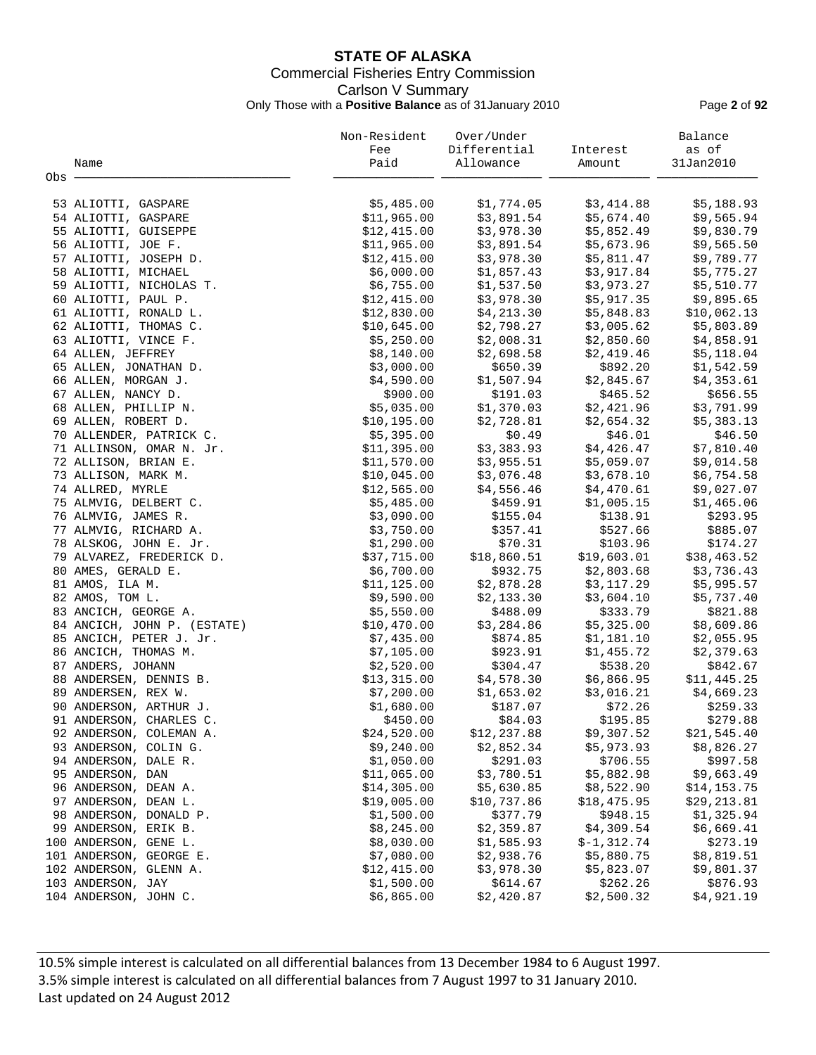# **STATE OF ALASKA** Commercial Fisheries Entry Commission Carlson V Summary Only Those with a **Positive Balance** as of 31January 2010 Page **2** of **92**

|     |                                                  | Non-Resident | Over/Under   |               | Balance     |
|-----|--------------------------------------------------|--------------|--------------|---------------|-------------|
|     |                                                  | Fee          | Differential | Interest      | as of       |
|     | Name                                             | Paid         | Allowance    | Amount        | 31Jan2010   |
| Obs |                                                  |              |              |               |             |
|     |                                                  |              |              |               |             |
|     | 53 ALIOTTI, GASPARE                              | \$5,485.00   | \$1,774.05   | \$3,414.88    | \$5,188.93  |
|     | 54 ALIOTTI, GASPARE                              | \$11,965.00  | \$3,891.54   | \$5,674.40    | \$9,565.94  |
|     | 55 ALIOTTI, GUISEPPE                             | \$12,415.00  | \$3,978.30   | \$5,852.49    | \$9,830.79  |
|     | 56 ALIOTTI, JOE F.                               | \$11,965.00  | \$3,891.54   | \$5,673.96    | \$9,565.50  |
|     | 57 ALIOTTI, JOSEPH D.                            | \$12,415.00  | \$3,978.30   | \$5,811.47    | \$9,789.77  |
|     | 58 ALIOTTI, MICHAEL                              | \$6,000.00   | \$1,857.43   | \$3,917.84    | \$5,775.27  |
|     | 59 ALIOTTI, NICHOLAS T.                          | \$6,755.00   | \$1,537.50   | \$3,973.27    | \$5,510.77  |
|     | 60 ALIOTTI, PAUL P.                              | \$12,415.00  | \$3,978.30   | \$5,917.35    | \$9,895.65  |
|     | 61 ALIOTTI, RONALD L.                            | \$12,830.00  | \$4,213.30   | \$5,848.83    | \$10,062.13 |
|     | 62 ALIOTTI, THOMAS C.                            | \$10,645.00  | \$2,798.27   | \$3,005.62    | \$5,803.89  |
|     | 63 ALIOTTI, VINCE F.                             | \$5,250.00   | \$2,008.31   | \$2,850.60    | \$4,858.91  |
|     | 64 ALLEN, JEFFREY                                | \$8,140.00   | \$2,698.58   | \$2,419.46    | \$5,118.04  |
|     | 65 ALLEN, JONATHAN D.                            | \$3,000.00   | \$650.39     | \$892.20      | \$1,542.59  |
|     | 66 ALLEN, MORGAN J.                              | \$4,590.00   | \$1,507.94   | \$2,845.67    | \$4,353.61  |
|     | 67 ALLEN, NANCY D.                               | \$900.00     | \$191.03     | \$465.52      | \$656.55    |
|     | 68 ALLEN, PHILLIP N.                             | \$5,035.00   | \$1,370.03   | \$2,421.96    | \$3,791.99  |
|     | 69 ALLEN, ROBERT D.                              | \$10, 195.00 | \$2,728.81   | \$2,654.32    | \$5,383.13  |
|     | 70 ALLENDER, PATRICK C.                          | \$5,395.00   | \$0.49       | \$46.01       | \$46.50     |
|     | 71 ALLINSON, OMAR N. Jr.                         | \$11,395.00  | \$3,383.93   | \$4,426.47    | \$7,810.40  |
|     | 72 ALLISON, BRIAN E.                             | \$11,570.00  | \$3,955.51   | \$5,059.07    | \$9,014.58  |
|     | 73 ALLISON, MARK M.                              | \$10,045.00  | \$3,076.48   | \$3,678.10    | \$6,754.58  |
|     | 74 ALLRED, MYRLE                                 | \$12,565.00  | \$4,556.46   | \$4,470.61    | \$9,027.07  |
|     | 75 ALMVIG, DELBERT C.                            | \$5,485.00   | \$459.91     | \$1,005.15    | \$1,465.06  |
|     | 76 ALMVIG, JAMES R.                              | \$3,090.00   | \$155.04     | \$138.91      | \$293.95    |
|     | 77 ALMVIG, RICHARD A.                            | \$3,750.00   | \$357.41     | \$527.66      | \$885.07    |
|     | 78 ALSKOG, JOHN E. Jr.                           | \$1,290.00   | \$70.31      | \$103.96      | \$174.27    |
|     | 79 ALVAREZ, FREDERICK D.                         | \$37,715.00  | \$18,860.51  | \$19,603.01   | \$38,463.52 |
|     | 80 AMES, GERALD E.                               | \$6,700.00   | \$932.75     | \$2,803.68    | \$3,736.43  |
|     | 81 AMOS, ILA M.                                  | \$11, 125.00 | \$2,878.28   | \$3,117.29    | \$5,995.57  |
|     | 82 AMOS, TOM L.                                  | \$9,590.00   | \$2,133.30   | \$3,604.10    | \$5,737.40  |
|     | 83 ANCICH, GEORGE A.                             | \$5,550.00   | \$488.09     | \$333.79      | \$821.88    |
|     | 84 ANCICH, JOHN P. (ESTATE)                      | \$10,470.00  | \$3,284.86   | \$5,325.00    | \$8,609.86  |
|     | 85 ANCICH, PETER J. Jr.                          | \$7,435.00   | \$874.85     | \$1,181.10    | \$2,055.95  |
|     | 86 ANCICH, THOMAS M.                             | \$7,105.00   | \$923.91     | \$1,455.72    | \$2,379.63  |
|     | 87 ANDERS, JOHANN                                | \$2,520.00   | \$304.47     | \$538.20      | \$842.67    |
|     | 88 ANDERSEN, DENNIS B.                           | \$13,315.00  | \$4,578.30   | \$6,866.95    | \$11,445.25 |
|     | 89 ANDERSEN, REX W.                              | \$7,200.00   | \$1,653.02   | \$3,016.21    | \$4,669.23  |
|     | 90 ANDERSON, ARTHUR J.                           | \$1,680.00   | \$187.07     | \$72.26       | \$259.33    |
|     | 91 ANDERSON, CHARLES C.                          | \$450.00     | \$84.03      | \$195.85      | \$279.88    |
|     |                                                  | \$24,520.00  | \$12,237.88  | \$9,307.52    | \$21,545.40 |
|     | 92 ANDERSON, COLEMAN A.<br>93 ANDERSON, COLIN G. | \$9,240.00   | \$2,852.34   | \$5,973.93    | \$8,826.27  |
|     |                                                  |              | \$291.03     | \$706.55      |             |
|     | 94 ANDERSON, DALE R.<br>95 ANDERSON, DAN         | \$1,050.00   |              |               | \$997.58    |
|     |                                                  | \$11,065.00  | \$3,780.51   | \$5,882.98    | \$9,663.49  |
|     | 96 ANDERSON, DEAN A.                             | \$14,305.00  | \$5,630.85   | \$8,522.90    | \$14,153.75 |
|     | 97 ANDERSON, DEAN L.                             | \$19,005.00  | \$10,737.86  | \$18,475.95   | \$29,213.81 |
|     | 98 ANDERSON, DONALD P.                           | \$1,500.00   | \$377.79     | \$948.15      | \$1,325.94  |
|     | 99 ANDERSON, ERIK B.                             | \$8,245.00   | \$2,359.87   | \$4,309.54    | \$6,669.41  |
|     | 100 ANDERSON, GENE L.                            | \$8,030.00   | \$1,585.93   | $$-1, 312.74$ | \$273.19    |
|     | 101 ANDERSON, GEORGE E.                          | \$7,080.00   | \$2,938.76   | \$5,880.75    | \$8,819.51  |
|     | 102 ANDERSON, GLENN A.                           | \$12,415.00  | \$3,978.30   | \$5,823.07    | \$9,801.37  |
|     | 103 ANDERSON, JAY                                | \$1,500.00   | \$614.67     | \$262.26      | \$876.93    |
|     | 104 ANDERSON, JOHN C.                            | \$6,865.00   | \$2,420.87   | \$2,500.32    | \$4,921.19  |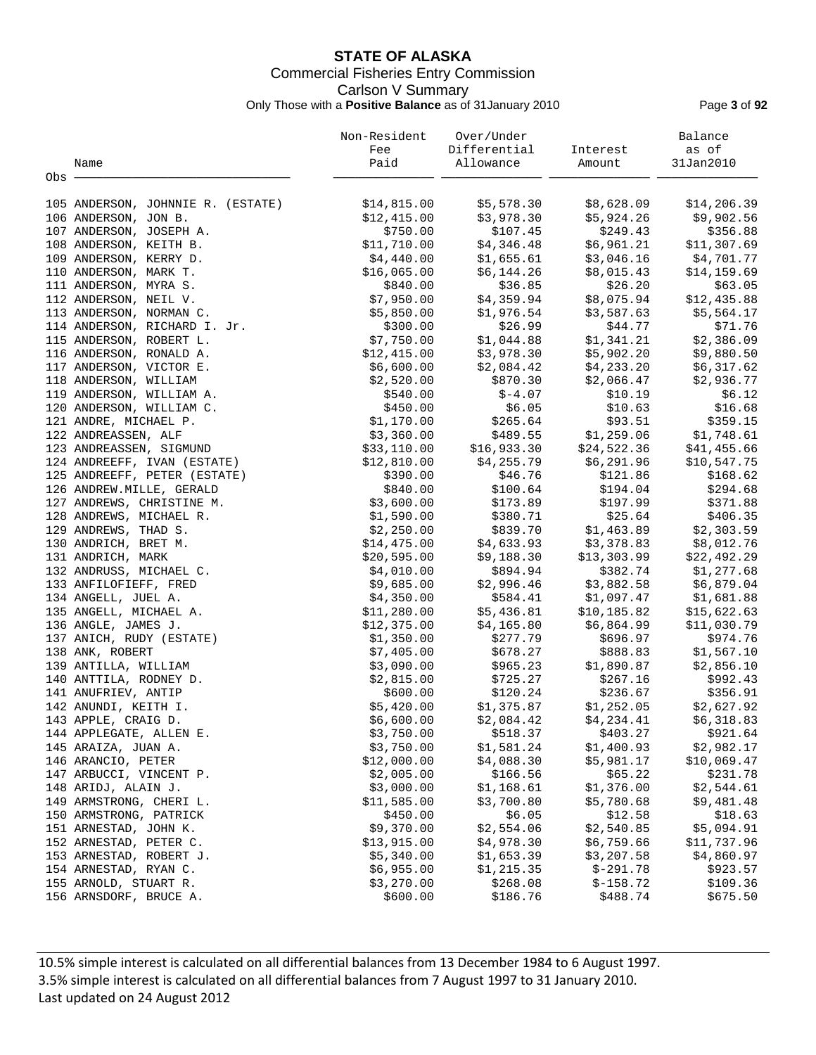# **STATE OF ALASKA** Commercial Fisheries Entry Commission Carlson V Summary Only Those with a **Positive Balance** as of 31January 2010 Page **3** of **92**

|                                   | Non-Resident | Over/Under   |             | Balance      |
|-----------------------------------|--------------|--------------|-------------|--------------|
|                                   | Fee          | Differential | Interest    | as of        |
| Name                              | Paid         | Allowance    | Amount      | 31Jan2010    |
| Obs                               |              |              |             |              |
| 105 ANDERSON, JOHNNIE R. (ESTATE) | \$14,815.00  | \$5,578.30   | \$8,628.09  | \$14, 206.39 |
| 106 ANDERSON, JON B.              | \$12,415.00  | \$3,978.30   | \$5,924.26  | \$9,902.56   |
| 107 ANDERSON, JOSEPH A.           | \$750.00     | \$107.45     | \$249.43    | \$356.88     |
| 108 ANDERSON, KEITH B.            | \$11,710.00  | \$4,346.48   | \$6,961.21  | \$11,307.69  |
| 109 ANDERSON, KERRY D.            | \$4,440.00   | \$1,655.61   | \$3,046.16  | \$4,701.77   |
|                                   |              |              | \$8,015.43  |              |
| 110 ANDERSON, MARK T.             | \$16,065.00  | \$6,144.26   | \$26.20     | \$14,159.69  |
| 111 ANDERSON, MYRA S.             | \$840.00     | \$36.85      |             | \$63.05      |
| 112 ANDERSON, NEIL V.             | \$7,950.00   | \$4,359.94   | \$8,075.94  | \$12,435.88  |
| 113 ANDERSON, NORMAN C.           | \$5,850.00   | \$1,976.54   | \$3,587.63  | \$5,564.17   |
| 114 ANDERSON, RICHARD I. Jr.      | \$300.00     | \$26.99      | \$44.77     | \$71.76      |
| 115 ANDERSON, ROBERT L.           | \$7,750.00   | \$1,044.88   | \$1,341.21  | \$2,386.09   |
| 116 ANDERSON, RONALD A.           | \$12,415.00  | \$3,978.30   | \$5,902.20  | \$9,880.50   |
| 117 ANDERSON, VICTOR E.           | \$6,600.00   | \$2,084.42   | \$4,233.20  | \$6,317.62   |
| 118 ANDERSON, WILLIAM             | \$2,520.00   | \$870.30     | \$2,066.47  | \$2,936.77   |
| 119 ANDERSON, WILLIAM A.          | \$540.00     | $$-4.07$     | \$10.19     | \$6.12       |
| 120 ANDERSON, WILLIAM C.          | \$450.00     | \$6.05       | \$10.63     | \$16.68      |
| 121 ANDRE, MICHAEL P.             | \$1,170.00   | \$265.64     | \$93.51     | \$359.15     |
| 122 ANDREASSEN, ALF               | \$3,360.00   | \$489.55     | \$1,259.06  | \$1,748.61   |
| 123 ANDREASSEN, SIGMUND           | \$33,110.00  | \$16,933.30  | \$24,522.36 | \$41,455.66  |
| 124 ANDREEFF, IVAN (ESTATE)       | \$12,810.00  | \$4,255.79   | \$6,291.96  | \$10,547.75  |
| 125 ANDREEFF, PETER (ESTATE)      | \$390.00     | \$46.76      | \$121.86    | \$168.62     |
| 126 ANDREW. MILLE, GERALD         | \$840.00     | \$100.64     | \$194.04    | \$294.68     |
| 127 ANDREWS, CHRISTINE M.         | \$3,600.00   | \$173.89     | \$197.99    | \$371.88     |
| 128 ANDREWS, MICHAEL R.           | \$1,590.00   | \$380.71     | \$25.64     | \$406.35     |
| 129 ANDREWS, THAD S.              | \$2,250.00   | \$839.70     | \$1,463.89  | \$2,303.59   |
| 130 ANDRICH, BRET M.              | \$14,475.00  | \$4,633.93   | \$3,378.83  | \$8,012.76   |
| 131 ANDRICH, MARK                 | \$20,595.00  | \$9,188.30   | \$13,303.99 | \$22,492.29  |
| 132 ANDRUSS, MICHAEL C.           | \$4,010.00   | \$894.94     | \$382.74    | \$1,277.68   |
| 133 ANFILOFIEFF, FRED             | \$9,685.00   | \$2,996.46   | \$3,882.58  | \$6,879.04   |
| 134 ANGELL, JUEL A.               | \$4,350.00   | \$584.41     | \$1,097.47  | \$1,681.88   |
| 135 ANGELL, MICHAEL A.            | \$11,280.00  | \$5,436.81   | \$10,185.82 | \$15,622.63  |
| 136 ANGLE, JAMES J.               | \$12,375.00  | \$4,165.80   | \$6,864.99  | \$11,030.79  |
| 137 ANICH, RUDY (ESTATE)          | \$1,350.00   | \$277.79     | \$696.97    | \$974.76     |
| 138 ANK, ROBERT                   | \$7,405.00   | \$678.27     | \$888.83    | \$1,567.10   |
| 139 ANTILLA, WILLIAM              | \$3,090.00   | \$965.23     | \$1,890.87  | \$2,856.10   |
| 140 ANTTILA, RODNEY D.            | \$2,815.00   | \$725.27     | \$267.16    | \$992.43     |
| 141 ANUFRIEV, ANTIP               | \$600.00     | \$120.24     | \$236.67    | \$356.91     |
| 142 ANUNDI, KEITH I.              | \$5,420.00   | \$1,375.87   | \$1,252.05  | \$2,627.92   |
| 143 APPLE, CRAIG D.               | \$6,600.00   | \$2,084.42   | \$4,234.41  | \$6,318.83   |
| 144 APPLEGATE, ALLEN E.           | \$3,750.00   | \$518.37     | \$403.27    | \$921.64     |
| 145 ARAIZA, JUAN A.               | \$3,750.00   | \$1,581.24   | \$1,400.93  | \$2,982.17   |
| 146 ARANCIO, PETER                | \$12,000.00  | \$4,088.30   | \$5,981.17  | \$10,069.47  |
| 147 ARBUCCI, VINCENT P.           | \$2,005.00   | \$166.56     | \$65.22     | \$231.78     |
| 148 ARIDJ, ALAIN J.               | \$3,000.00   | \$1,168.61   | \$1,376.00  | \$2,544.61   |
| 149 ARMSTRONG, CHERI L.           | \$11,585.00  | \$3,700.80   | \$5,780.68  | \$9,481.48   |
| 150 ARMSTRONG, PATRICK            | \$450.00     | \$6.05       | \$12.58     | \$18.63      |
| 151 ARNESTAD, JOHN K.             | \$9,370.00   | \$2,554.06   | \$2,540.85  | \$5,094.91   |
| 152 ARNESTAD, PETER C.            | \$13,915.00  | \$4,978.30   | \$6,759.66  | \$11,737.96  |
| 153 ARNESTAD, ROBERT J.           | \$5,340.00   | \$1,653.39   | \$3,207.58  | \$4,860.97   |
| 154 ARNESTAD, RYAN C.             | \$6,955.00   | \$1,215.35   | $$-291.78$  | \$923.57     |
| 155 ARNOLD, STUART R.             | \$3,270.00   | \$268.08     | $$-158.72$  | \$109.36     |
| 156 ARNSDORF, BRUCE A.            | \$600.00     | \$186.76     | \$488.74    | \$675.50     |
|                                   |              |              |             |              |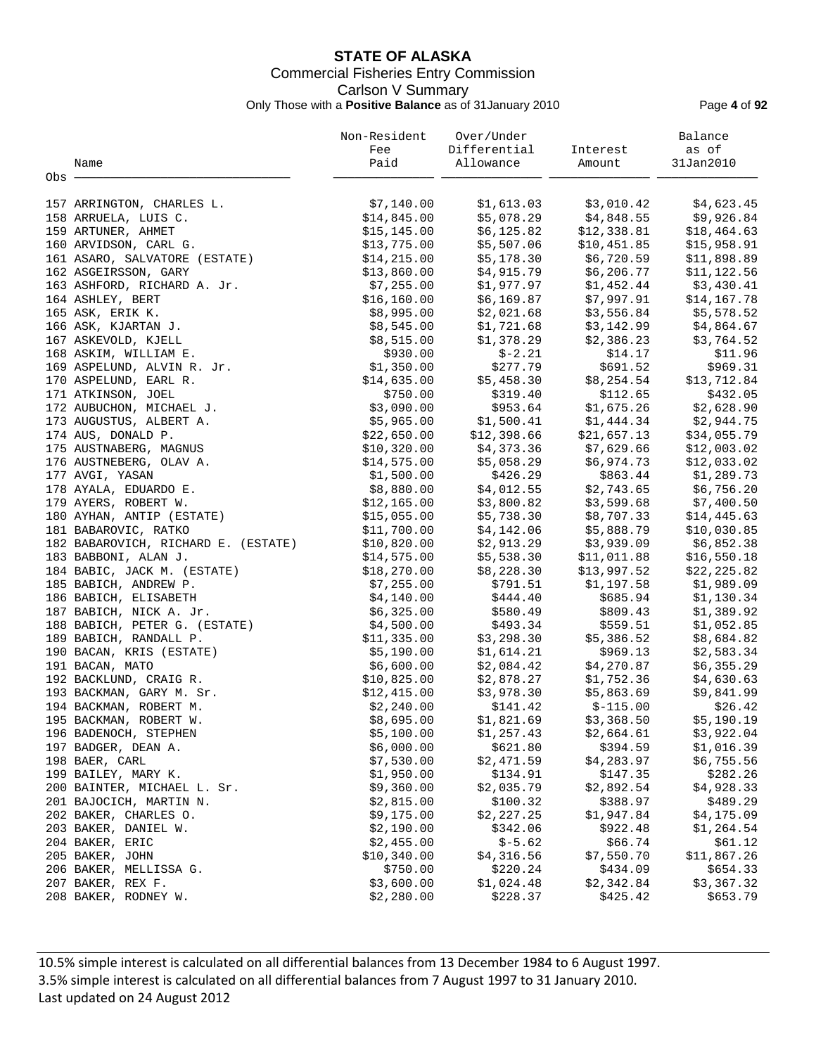# **STATE OF ALASKA** Commercial Fisheries Entry Commission Carlson V Summary Only Those with a **Positive Balance** as of 31January 2010 Page **4** of **92**

|                                       | Non-Resident | Over/Under   |             | Balance      |
|---------------------------------------|--------------|--------------|-------------|--------------|
|                                       | Fee          | Differential | Interest    | as of        |
| Name                                  | Paid         | Allowance    | Amount      | 31Jan2010    |
| Obs -                                 |              |              |             |              |
|                                       |              |              |             |              |
| 157 ARRINGTON, CHARLES L.             | \$7,140.00   | \$1,613.03   | \$3,010.42  | \$4,623.45   |
| 158 ARRUELA, LUIS C.                  | \$14,845.00  | \$5,078.29   | \$4,848.55  | \$9,926.84   |
| 159 ARTUNER, AHMET                    | \$15, 145.00 | \$6,125.82   | \$12,338.81 | \$18,464.63  |
| 160 ARVIDSON, CARL G.                 | \$13,775.00  | \$5,507.06   | \$10,451.85 | \$15,958.91  |
| 161 ASARO, SALVATORE (ESTATE)         | \$14,215.00  | \$5,178.30   | \$6,720.59  | \$11,898.89  |
| 162 ASGEIRSSON, GARY                  | \$13,860.00  | \$4,915.79   | \$6, 206.77 | \$11, 122.56 |
| 163 ASHFORD, RICHARD A. Jr.           | \$7,255.00   | \$1,977.97   | \$1,452.44  | \$3,430.41   |
| 164 ASHLEY, BERT                      | \$16, 160.00 | \$6,169.87   | \$7,997.91  | \$14,167.78  |
| 165 ASK, ERIK K.                      | \$8,995.00   | \$2,021.68   | \$3,556.84  | \$5,578.52   |
| 166 ASK, KJARTAN J.                   | \$8,545.00   | \$1,721.68   | \$3,142.99  | \$4,864.67   |
| 167 ASKEVOLD, KJELL                   | \$8,515.00   | \$1,378.29   | \$2,386.23  | \$3,764.52   |
| 168 ASKIM, WILLIAM E.                 | \$930.00     | $$-2.21$     | \$14.17     | \$11.96      |
| 169 ASPELUND, ALVIN R. Jr.            | \$1,350.00   | \$277.79     | \$691.52    | \$969.31     |
| 170 ASPELUND, EARL R.                 | \$14,635.00  | \$5,458.30   | \$8,254.54  | \$13,712.84  |
| 171 ATKINSON, JOEL                    | \$750.00     | \$319.40     | \$112.65    | \$432.05     |
| 172 AUBUCHON, MICHAEL J.              | \$3,090.00   | \$953.64     | \$1,675.26  | \$2,628.90   |
| 173 AUGUSTUS, ALBERT A.               | \$5,965.00   | \$1,500.41   | \$1,444.34  | \$2,944.75   |
| 174 AUS, DONALD P.                    | \$22,650.00  | \$12,398.66  | \$21,657.13 | \$34,055.79  |
| 175 AUSTNABERG, MAGNUS                | \$10,320.00  | \$4,373.36   | \$7,629.66  | \$12,003.02  |
| 176 AUSTNEBERG, OLAV A.               | \$14,575.00  | \$5,058.29   | \$6,974.73  | \$12,033.02  |
| 177 AVGI, YASAN                       | \$1,500.00   | \$426.29     | \$863.44    | \$1,289.73   |
| 178 AYALA, EDUARDO E.                 | \$8,880.00   | \$4,012.55   | \$2,743.65  | \$6,756.20   |
| 179 AYERS, ROBERT W.                  | \$12,165.00  | \$3,800.82   | \$3,599.68  | \$7,400.50   |
| 180 AYHAN, ANTIP (ESTATE)             | \$15,055.00  | \$5,738.30   | \$8,707.33  | \$14,445.63  |
| 181 BABAROVIC, RATKO                  | \$11,700.00  | \$4,142.06   | \$5,888.79  | \$10,030.85  |
| 182 BABAROVICH, RICHARD E. (ESTATE)   | \$10,820.00  | \$2,913.29   | \$3,939.09  | \$6,852.38   |
| 183 BABBONI, ALAN J.                  | \$14,575.00  | \$5,538.30   | \$11,011.88 | \$16,550.18  |
| 184 BABIC, JACK M. (ESTATE)           | \$18,270.00  | \$8,228.30   | \$13,997.52 | \$22, 225.82 |
| 185 BABICH, ANDREW P.                 | \$7,255.00   | \$791.51     | \$1,197.58  | \$1,989.09   |
| 186 BABICH, ELISABETH                 | \$4,140.00   | \$444.40     | \$685.94    | \$1,130.34   |
| 187 BABICH, NICK A. Jr.               | \$6,325.00   | \$580.49     | \$809.43    | \$1,389.92   |
| 188 BABICH, PETER G. (ESTATE)         | \$4,500.00   | \$493.34     | \$559.51    | \$1,052.85   |
| 189 BABICH, RANDALL P.                | \$11,335.00  | \$3,298.30   | \$5,386.52  | \$8,684.82   |
| 190 BACAN, KRIS (ESTATE)              | \$5,190.00   | \$1,614.21   | \$969.13    | \$2,583.34   |
| 191 BACAN, MATO                       | \$6,600.00   | \$2,084.42   | \$4,270.87  | \$6,355.29   |
| 192 BACKLUND, CRAIG R.                | \$10,825.00  | \$2,878.27   | \$1,752.36  | \$4,630.63   |
| 193 BACKMAN, GARY M. Sr.              | \$12,415.00  | \$3,978.30   | \$5,863.69  | \$9,841.99   |
| 194 BACKMAN, ROBERT M.                | \$2,240.00   | \$141.42     | $$-115.00$  | \$26.42      |
| 195 BACKMAN, ROBERT W.                | \$8,695.00   | \$1,821.69   | \$3,368.50  | \$5,190.19   |
| 196 BADENOCH, STEPHEN                 | \$5,100.00   | \$1, 257.43  | \$2,664.61  | \$3,922.04   |
| 197 BADGER, DEAN A.                   | \$6,000.00   | \$621.80     | \$394.59    | \$1,016.39   |
|                                       |              | \$2,471.59   | \$4,283.97  |              |
| 198 BAER, CARL<br>199 BAILEY, MARY K. | \$7,530.00   | \$134.91     |             | \$6,755.56   |
|                                       | \$1,950.00   |              | \$147.35    | \$282.26     |
| 200 BAINTER, MICHAEL L. Sr.           | \$9,360.00   | \$2,035.79   | \$2,892.54  | \$4,928.33   |
| 201 BAJOCICH, MARTIN N.               | \$2,815.00   | \$100.32     | \$388.97    | \$489.29     |
| 202 BAKER, CHARLES O.                 | \$9,175.00   | \$2,227.25   | \$1,947.84  | \$4,175.09   |
| 203 BAKER, DANIEL W.                  | \$2,190.00   | \$342.06     | \$922.48    | \$1,264.54   |
| 204 BAKER, ERIC                       | \$2,455.00   | $$-5.62$     | \$66.74     | \$61.12      |
| 205 BAKER, JOHN                       | \$10,340.00  | \$4,316.56   | \$7,550.70  | \$11,867.26  |
| 206 BAKER, MELLISSA G.                | \$750.00     | \$220.24     | \$434.09    | \$654.33     |
| 207 BAKER, REX F.                     | \$3,600.00   | \$1,024.48   | \$2,342.84  | \$3,367.32   |
| 208 BAKER, RODNEY W.                  | \$2,280.00   | \$228.37     | \$425.42    | \$653.79     |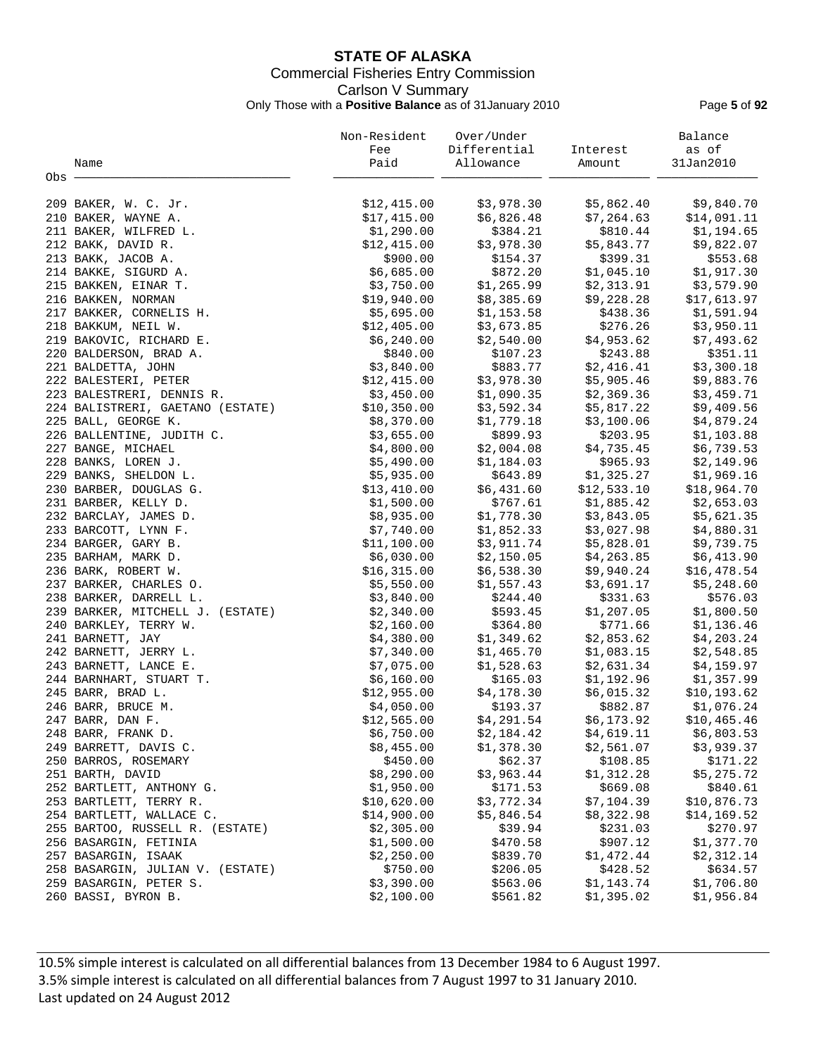# **STATE OF ALASKA** Commercial Fisheries Entry Commission Carlson V Summary Only Those with a **Positive Balance** as of 31January 2010 Page **5** of **92**

|                                  | Non-Resident              | Over/Under   |             | Balance      |
|----------------------------------|---------------------------|--------------|-------------|--------------|
|                                  | Fee                       | Differential | Interest    | as of        |
| Name                             | Paid                      | Allowance    | Amount      | 31Jan2010    |
| Obs -                            |                           |              |             |              |
| 209 BAKER, W. C. Jr.             | \$12,415.00               | \$3,978.30   | \$5,862.40  | \$9,840.70   |
| 210 BAKER, WAYNE A.              | \$17,415.00               | \$6,826.48   | \$7,264.63  | \$14,091.11  |
| 211 BAKER, WILFRED L.            | \$1,290.00                | \$384.21     | \$810.44    | \$1,194.65   |
| 212 BAKK, DAVID R.               | \$12,415.00               | \$3,978.30   | \$5,843.77  | \$9,822.07   |
| 213 BAKK, JACOB A.               | \$900.00                  | \$154.37     | \$399.31    | \$553.68     |
|                                  | \$6,685.00                | \$872.20     | \$1,045.10  | \$1,917.30   |
| 214 BAKKE, SIGURD A.             | \$3,750.00                | \$1,265.99   |             | \$3,579.90   |
| 215 BAKKEN, EINAR T.             |                           |              | \$2,313.91  | \$17,613.97  |
| 216 BAKKEN, NORMAN               | \$19,940.00<br>\$5,695.00 | \$8,385.69   | \$9,228.28  | \$1,591.94   |
| 217 BAKKER, CORNELIS H.          |                           | \$1,153.58   | \$438.36    |              |
| 218 BAKKUM, NEIL W.              | \$12,405.00               | \$3,673.85   | \$276.26    | \$3,950.11   |
| 219 BAKOVIC, RICHARD E.          | \$6,240.00                | \$2,540.00   | \$4,953.62  | \$7,493.62   |
| 220 BALDERSON, BRAD A.           | \$840.00                  | \$107.23     | \$243.88    | \$351.11     |
| 221 BALDETTA, JOHN               | \$3,840.00                | \$883.77     | \$2,416.41  | \$3,300.18   |
| 222 BALESTERI, PETER             | \$12,415.00               | \$3,978.30   | \$5,905.46  | \$9,883.76   |
| 223 BALESTRERI, DENNIS R.        | \$3,450.00                | \$1,090.35   | \$2,369.36  | \$3,459.71   |
| 224 BALISTRERI, GAETANO (ESTATE) | \$10,350.00               | \$3,592.34   | \$5,817.22  | \$9,409.56   |
| 225 BALL, GEORGE K.              | \$8,370.00                | \$1,779.18   | \$3,100.06  | \$4,879.24   |
| 226 BALLENTINE, JUDITH C.        | \$3,655.00                | \$899.93     | \$203.95    | \$1,103.88   |
| 227 BANGE, MICHAEL               | \$4,800.00                | \$2,004.08   | \$4,735.45  | \$6,739.53   |
| 228 BANKS, LOREN J.              | \$5,490.00                | \$1,184.03   | \$965.93    | \$2,149.96   |
| 229 BANKS, SHELDON L.            | \$5,935.00                | \$643.89     | \$1,325.27  | \$1,969.16   |
| 230 BARBER, DOUGLAS G.           | \$13,410.00               | \$6,431.60   | \$12,533.10 | \$18,964.70  |
| 231 BARBER, KELLY D.             | \$1,500.00                | \$767.61     | \$1,885.42  | \$2,653.03   |
| 232 BARCLAY, JAMES D.            | \$8,935.00                | \$1,778.30   | \$3,843.05  | \$5,621.35   |
| 233 BARCOTT, LYNN F.             | \$7,740.00                | \$1,852.33   | \$3,027.98  | \$4,880.31   |
| 234 BARGER, GARY B.              | \$11,100.00               | \$3,911.74   | \$5,828.01  | \$9,739.75   |
| 235 BARHAM, MARK D.              | \$6,030.00                | \$2,150.05   | \$4,263.85  | \$6,413.90   |
| 236 BARK, ROBERT W.              | \$16,315.00               | \$6,538.30   | \$9,940.24  | \$16,478.54  |
| 237 BARKER, CHARLES O.           | \$5,550.00                | \$1,557.43   | \$3,691.17  | \$5,248.60   |
| 238 BARKER, DARRELL L.           | \$3,840.00                | \$244.40     | \$331.63    | \$576.03     |
| 239 BARKER, MITCHELL J. (ESTATE) | \$2,340.00                | \$593.45     | \$1,207.05  | \$1,800.50   |
| 240 BARKLEY, TERRY W.            | \$2,160.00                | \$364.80     | \$771.66    | \$1,136.46   |
| 241 BARNETT, JAY                 | \$4,380.00                | \$1,349.62   | \$2,853.62  | \$4,203.24   |
| 242 BARNETT, JERRY L.            | \$7,340.00                | \$1,465.70   | \$1,083.15  | \$2,548.85   |
| 243 BARNETT, LANCE E.            | \$7,075.00                | \$1,528.63   | \$2,631.34  | \$4,159.97   |
| 244 BARNHART, STUART T.          | \$6,160.00                | \$165.03     | \$1,192.96  | \$1,357.99   |
| 245 BARR, BRAD L.                | \$12,955.00               | \$4,178.30   | \$6,015.32  | \$10, 193.62 |
| 246 BARR, BRUCE M.               | \$4,050.00                | \$193.37     | \$882.87    | \$1,076.24   |
| 247 BARR, DAN F.                 | \$12,565.00               | \$4,291.54   | \$6,173.92  | \$10,465.46  |
| 248 BARR, FRANK D.               | \$6,750.00                | \$2,184.42   | \$4,619.11  | \$6,803.53   |
| 249 BARRETT, DAVIS C.            | \$8,455.00                | \$1,378.30   | \$2,561.07  | \$3,939.37   |
| 250 BARROS, ROSEMARY             | \$450.00                  | \$62.37      | \$108.85    | \$171.22     |
| 251 BARTH, DAVID                 | \$8,290.00                | \$3,963.44   | \$1,312.28  | \$5,275.72   |
| 252 BARTLETT, ANTHONY G.         | \$1,950.00                | \$171.53     | \$669.08    | \$840.61     |
| 253 BARTLETT, TERRY R.           | \$10,620.00               | \$3,772.34   | \$7,104.39  | \$10,876.73  |
| 254 BARTLETT, WALLACE C.         | \$14,900.00               | \$5,846.54   | \$8,322.98  | \$14,169.52  |
| 255 BARTOO, RUSSELL R. (ESTATE)  | \$2,305.00                | \$39.94      | \$231.03    | \$270.97     |
| 256 BASARGIN, FETINIA            | \$1,500.00                | \$470.58     | \$907.12    | \$1,377.70   |
| 257 BASARGIN, ISAAK              | \$2,250.00                | \$839.70     | \$1,472.44  | \$2,312.14   |
| 258 BASARGIN, JULIAN V. (ESTATE) | \$750.00                  | \$206.05     | \$428.52    | \$634.57     |
| 259 BASARGIN, PETER S.           | \$3,390.00                | \$563.06     | \$1,143.74  | \$1,706.80   |
| 260 BASSI, BYRON B.              | \$2,100.00                | \$561.82     | \$1,395.02  | \$1,956.84   |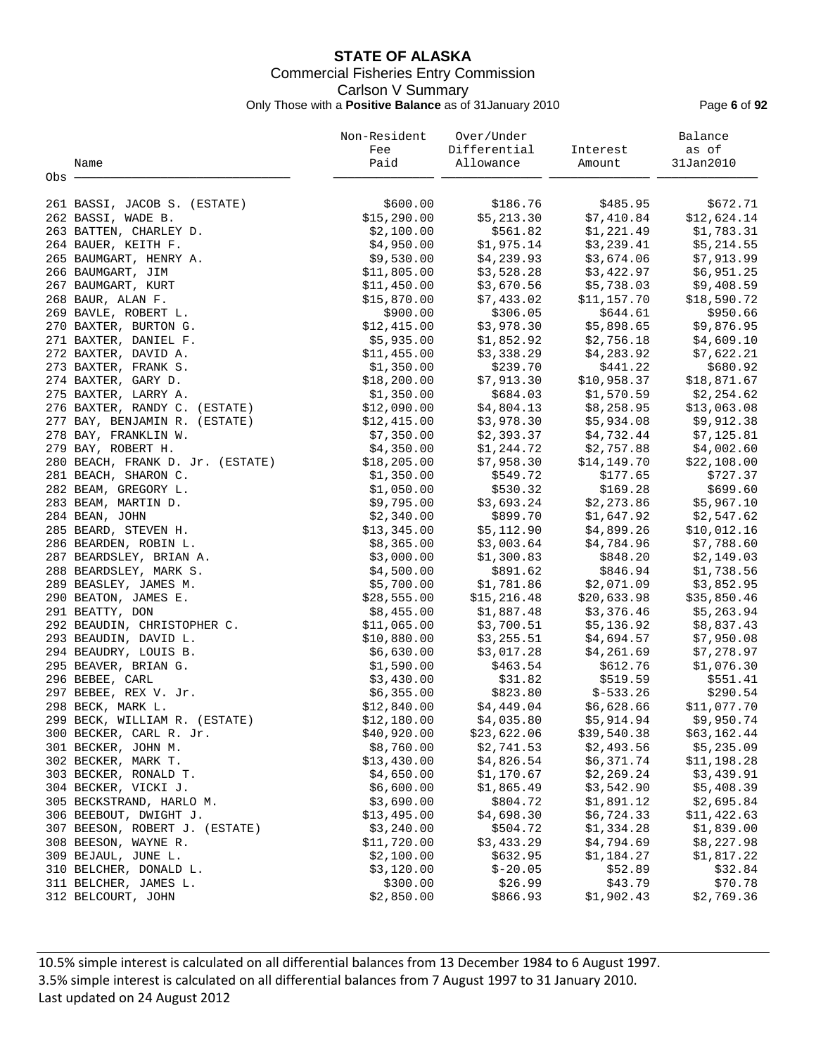# **STATE OF ALASKA** Commercial Fisheries Entry Commission Carlson V Summary Only Those with a **Positive Balance** as of 31January 2010 Page **6** of **92**

|                                  | Non-Resident | Over/Under   |             | Balance     |
|----------------------------------|--------------|--------------|-------------|-------------|
|                                  | Fee          | Differential | Interest    | as of       |
| Name                             | Paid         | Allowance    | Amount      | 31Jan2010   |
| Obs -                            |              |              |             |             |
|                                  |              |              |             |             |
| 261 BASSI, JACOB S. (ESTATE)     | \$600.00     | \$186.76     | \$485.95    | \$672.71    |
| 262 BASSI, WADE B.               | \$15,290.00  | \$5,213.30   | \$7,410.84  | \$12,624.14 |
| 263 BATTEN, CHARLEY D.           | \$2,100.00   | \$561.82     | \$1,221.49  | \$1,783.31  |
| 264 BAUER, KEITH F.              | \$4,950.00   | \$1,975.14   | \$3,239.41  | \$5,214.55  |
| 265 BAUMGART, HENRY A.           | \$9,530.00   | \$4,239.93   | \$3,674.06  | \$7,913.99  |
| 266 BAUMGART, JIM                | \$11,805.00  | \$3,528.28   | \$3,422.97  | \$6,951.25  |
| 267 BAUMGART, KURT               | \$11,450.00  | \$3,670.56   | \$5,738.03  | \$9,408.59  |
| 268 BAUR, ALAN F.                | \$15,870.00  | \$7,433.02   | \$11,157.70 | \$18,590.72 |
| 269 BAVLE, ROBERT L.             | \$900.00     | \$306.05     | \$644.61    | \$950.66    |
| 270 BAXTER, BURTON G.            | \$12,415.00  | \$3,978.30   | \$5,898.65  | \$9,876.95  |
| 271 BAXTER, DANIEL F.            | \$5,935.00   | \$1,852.92   | \$2,756.18  | \$4,609.10  |
| 272 BAXTER, DAVID A.             | \$11,455.00  | \$3,338.29   | \$4,283.92  | \$7,622.21  |
| 273 BAXTER, FRANK S.             | \$1,350.00   | \$239.70     | \$441.22    | \$680.92    |
| 274 BAXTER, GARY D.              | \$18, 200.00 | \$7,913.30   | \$10,958.37 | \$18,871.67 |
| 275 BAXTER, LARRY A.             | \$1,350.00   | \$684.03     | \$1,570.59  | \$2,254.62  |
| 276 BAXTER, RANDY C. (ESTATE)    | \$12,090.00  | \$4,804.13   | \$8,258.95  | \$13,063.08 |
|                                  |              |              |             |             |
| 277 BAY, BENJAMIN R. (ESTATE)    | \$12,415.00  | \$3,978.30   | \$5,934.08  | \$9,912.38  |
| 278 BAY, FRANKLIN W.             | \$7,350.00   | \$2,393.37   | \$4,732.44  | \$7,125.81  |
| 279 BAY, ROBERT H.               | \$4,350.00   | \$1,244.72   | \$2,757.88  | \$4,002.60  |
| 280 BEACH, FRANK D. Jr. (ESTATE) | \$18, 205.00 | \$7,958.30   | \$14,149.70 | \$22,108.00 |
| 281 BEACH, SHARON C.             | \$1,350.00   | \$549.72     | \$177.65    | \$727.37    |
| 282 BEAM, GREGORY L.             | \$1,050.00   | \$530.32     | \$169.28    | \$699.60    |
| 283 BEAM, MARTIN D.              | \$9,795.00   | \$3,693.24   | \$2,273.86  | \$5,967.10  |
| 284 BEAN, JOHN                   | \$2,340.00   | \$899.70     | \$1,647.92  | \$2,547.62  |
| 285 BEARD, STEVEN H.             | \$13,345.00  | \$5,112.90   | \$4,899.26  | \$10,012.16 |
| 286 BEARDEN, ROBIN L.            | \$8,365.00   | \$3,003.64   | \$4,784.96  | \$7,788.60  |
| 287 BEARDSLEY, BRIAN A.          | \$3,000.00   | \$1,300.83   | \$848.20    | \$2,149.03  |
| 288 BEARDSLEY, MARK S.           | \$4,500.00   | \$891.62     | \$846.94    | \$1,738.56  |
| 289 BEASLEY, JAMES M.            | \$5,700.00   | \$1,781.86   | \$2,071.09  | \$3,852.95  |
| 290 BEATON, JAMES E.             | \$28,555.00  | \$15, 216.48 | \$20,633.98 | \$35,850.46 |
| 291 BEATTY, DON                  | \$8,455.00   | \$1,887.48   | \$3,376.46  | \$5,263.94  |
| 292 BEAUDIN, CHRISTOPHER C.      | \$11,065.00  | \$3,700.51   | \$5,136.92  | \$8,837.43  |
| 293 BEAUDIN, DAVID L.            | \$10,880.00  | \$3,255.51   | \$4,694.57  | \$7,950.08  |
| 294 BEAUDRY, LOUIS B.            | \$6,630.00   | \$3,017.28   | \$4,261.69  | \$7,278.97  |
| 295 BEAVER, BRIAN G.             | \$1,590.00   | \$463.54     | \$612.76    | \$1,076.30  |
| 296 BEBEE, CARL                  | \$3,430.00   | \$31.82      | \$519.59    | \$551.41    |
| 297 BEBEE, REX V. Jr.            | \$6,355.00   | \$823.80     | $$-533.26$  | \$290.54    |
| 298 BECK, MARK L.                | \$12,840.00  | \$4,449.04   | \$6,628.66  | \$11,077.70 |
| 299 BECK, WILLIAM R. (ESTATE)    | \$12,180.00  | \$4,035.80   | \$5,914.94  | \$9,950.74  |
| 300 BECKER, CARL R. Jr.          | \$40,920.00  | \$23,622.06  | \$39,540.38 | \$63,162.44 |
| 301 BECKER, JOHN M.              | \$8,760.00   | \$2,741.53   | \$2,493.56  | \$5,235.09  |
| 302 BECKER, MARK T.              | \$13,430.00  | \$4,826.54   | \$6,371.74  | \$11,198.28 |
| 303 BECKER, RONALD T.            | \$4,650.00   | \$1,170.67   | \$2,269.24  | \$3,439.91  |
| 304 BECKER, VICKI J.             | \$6,600.00   | \$1,865.49   | \$3,542.90  | \$5,408.39  |
| 305 BECKSTRAND, HARLO M.         | \$3,690.00   | \$804.72     | \$1,891.12  | \$2,695.84  |
| 306 BEEBOUT, DWIGHT J.           | \$13,495.00  | \$4,698.30   | \$6,724.33  | \$11,422.63 |
| 307 BEESON, ROBERT J. (ESTATE)   | \$3,240.00   | \$504.72     | \$1,334.28  | \$1,839.00  |
| 308 BEESON, WAYNE R.             | \$11,720.00  | \$3,433.29   | \$4,794.69  | \$8,227.98  |
| 309 BEJAUL, JUNE L.              | \$2,100.00   | \$632.95     | \$1,184.27  | \$1,817.22  |
| 310 BELCHER, DONALD L.           | \$3,120.00   | $$-20.05$    | \$52.89     | \$32.84     |
| 311 BELCHER, JAMES L.            | \$300.00     | \$26.99      | \$43.79     | \$70.78     |
|                                  |              |              |             |             |
| 312 BELCOURT, JOHN               | \$2,850.00   | \$866.93     | \$1,902.43  | \$2,769.36  |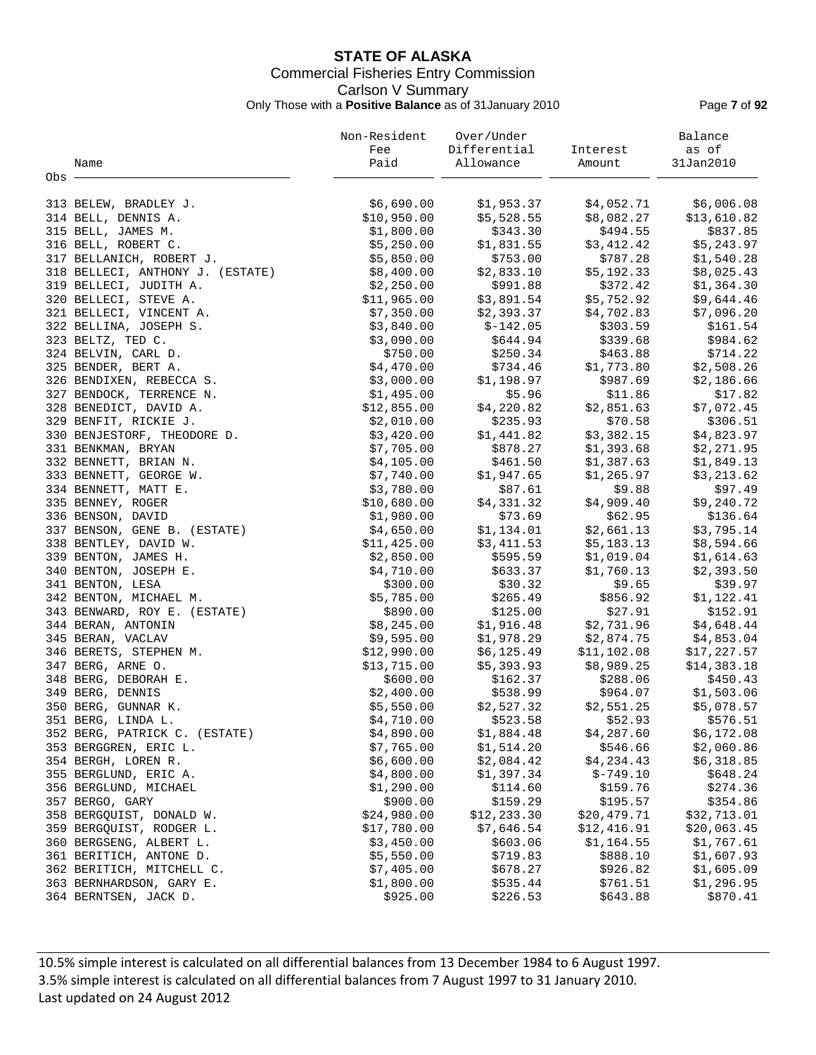# **STATE OF ALASKA** Commercial Fisheries Entry Commission Carlson V Summary Only Those with a **Positive Balance** as of 31January 2010 Page **7** of **92**

|                                  | Non-Resident | Over/Under   |             | Balance     |
|----------------------------------|--------------|--------------|-------------|-------------|
|                                  | Fee          | Differential | Interest    | as of       |
| Name                             | Paid         | Allowance    | Amount      | 31Jan2010   |
| Obs -                            |              |              |             |             |
|                                  |              |              |             |             |
| 313 BELEW, BRADLEY J.            | \$6,690.00   | \$1,953.37   | \$4,052.71  | \$6,006.08  |
| 314 BELL, DENNIS A.              | \$10,950.00  | \$5,528.55   | \$8,082.27  | \$13,610.82 |
| 315 BELL, JAMES M.               | \$1,800.00   | \$343.30     | \$494.55    | \$837.85    |
| 316 BELL, ROBERT C.              | \$5,250.00   | \$1,831.55   | \$3,412.42  | \$5,243.97  |
| 317 BELLANICH, ROBERT J.         | \$5,850.00   | \$753.00     | \$787.28    | \$1,540.28  |
| 318 BELLECI, ANTHONY J. (ESTATE) | \$8,400.00   | \$2,833.10   | \$5,192.33  | \$8,025.43  |
| 319 BELLECI, JUDITH A.           | \$2,250.00   | \$991.88     | \$372.42    | \$1,364.30  |
| 320 BELLECI, STEVE A.            | \$11,965.00  | \$3,891.54   | \$5,752.92  | \$9,644.46  |
| 321 BELLECI, VINCENT A.          | \$7,350.00   | \$2,393.37   | \$4,702.83  | \$7,096.20  |
| 322 BELLINA, JOSEPH S.           | \$3,840.00   | $$-142.05$   | \$303.59    | \$161.54    |
| 323 BELTZ, TED C.                | \$3,090.00   | \$644.94     | \$339.68    | \$984.62    |
| 324 BELVIN, CARL D.              | \$750.00     | \$250.34     | \$463.88    | \$714.22    |
| 325 BENDER, BERT A.              | \$4,470.00   | \$734.46     | \$1,773.80  | \$2,508.26  |
| 326 BENDIXEN, REBECCA S.         | \$3,000.00   | \$1,198.97   | \$987.69    | \$2,186.66  |
| 327 BENDOCK, TERRENCE N.         | \$1,495.00   | \$5.96       | \$11.86     | \$17.82     |
| 328 BENEDICT, DAVID A.           | \$12,855.00  | \$4,220.82   | \$2,851.63  | \$7,072.45  |
|                                  |              |              |             |             |
| 329 BENFIT, RICKIE J.            | \$2,010.00   | \$235.93     | \$70.58     | \$306.51    |
| 330 BENJESTORF, THEODORE D.      | \$3,420.00   | \$1,441.82   | \$3,382.15  | \$4,823.97  |
| 331 BENKMAN, BRYAN               | \$7,705.00   | \$878.27     | \$1,393.68  | \$2,271.95  |
| 332 BENNETT, BRIAN N.            | \$4,105.00   | \$461.50     | \$1,387.63  | \$1,849.13  |
| 333 BENNETT, GEORGE W.           | \$7,740.00   | \$1,947.65   | \$1,265.97  | \$3,213.62  |
| 334 BENNETT, MATT E.             | \$3,780.00   | \$87.61      | \$9.88      | \$97.49     |
| 335 BENNEY, ROGER                | \$10,680.00  | \$4,331.32   | \$4,909.40  | \$9,240.72  |
| 336 BENSON, DAVID                | \$1,980.00   | \$73.69      | \$62.95     | \$136.64    |
| 337 BENSON, GENE B. (ESTATE)     | \$4,650.00   | \$1,134.01   | \$2,661.13  | \$3,795.14  |
| 338 BENTLEY, DAVID W.            | \$11,425.00  | \$3,411.53   | \$5,183.13  | \$8,594.66  |
| 339 BENTON, JAMES H.             | \$2,850.00   | \$595.59     | \$1,019.04  | \$1,614.63  |
| 340 BENTON, JOSEPH E.            | \$4,710.00   | \$633.37     | \$1,760.13  | \$2,393.50  |
| 341 BENTON, LESA                 | \$300.00     | \$30.32      | \$9.65      | \$39.97     |
| 342 BENTON, MICHAEL M.           | \$5,785.00   | \$265.49     | \$856.92    | \$1,122.41  |
| 343 BENWARD, ROY E. (ESTATE)     | \$890.00     | \$125.00     | \$27.91     | \$152.91    |
| 344 BERAN, ANTONIN               | \$8,245.00   | \$1,916.48   | \$2,731.96  | \$4,648.44  |
| 345 BERAN, VACLAV                | \$9,595.00   | \$1,978.29   | \$2,874.75  | \$4,853.04  |
| 346 BERETS, STEPHEN M.           | \$12,990.00  | \$6,125.49   | \$11,102.08 | \$17,227.57 |
| 347 BERG, ARNE O.                | \$13,715.00  | \$5,393.93   | \$8,989.25  | \$14,383.18 |
| 348 BERG, DEBORAH E.             | \$600.00     | \$162.37     | \$288.06    | \$450.43    |
| 349 BERG, DENNIS                 | \$2,400.00   | \$538.99     | \$964.07    | \$1,503.06  |
| 350 BERG, GUNNAR K.              | \$5,550.00   | \$2,527.32   | \$2,551.25  | \$5,078.57  |
| 351 BERG, LINDA L.               | \$4,710.00   | \$523.58     | \$52.93     | \$576.51    |
| 352 BERG, PATRICK C. (ESTATE)    | \$4,890.00   | \$1,884.48   | \$4,287.60  | \$6,172.08  |
| 353 BERGGREN, ERIC L.            | \$7,765.00   | \$1,514.20   | \$546.66    | \$2,060.86  |
| 354 BERGH, LOREN R.              | \$6,600.00   | \$2,084.42   | \$4,234.43  | \$6,318.85  |
| 355 BERGLUND, ERIC A.            | \$4,800.00   | \$1,397.34   | $$-749.10$  | \$648.24    |
| 356 BERGLUND, MICHAEL            | \$1,290.00   | \$114.60     | \$159.76    | \$274.36    |
| 357 BERGO, GARY                  | \$900.00     | \$159.29     | \$195.57    | \$354.86    |
| 358 BERGQUIST, DONALD W.         | \$24,980.00  | \$12,233.30  | \$20,479.71 | \$32,713.01 |
| 359 BERGQUIST, RODGER L.         | \$17,780.00  | \$7,646.54   | \$12,416.91 | \$20,063.45 |
| 360 BERGSENG, ALBERT L.          | \$3,450.00   | \$603.06     | \$1,164.55  | \$1,767.61  |
| 361 BERITICH, ANTONE D.          | \$5,550.00   | \$719.83     | \$888.10    | \$1,607.93  |
| 362 BERITICH, MITCHELL C.        | \$7,405.00   | \$678.27     | \$926.82    | \$1,605.09  |
| 363 BERNHARDSON, GARY E.         | \$1,800.00   | \$535.44     | \$761.51    | \$1,296.95  |
| 364 BERNTSEN, JACK D.            | \$925.00     | \$226.53     | \$643.88    | \$870.41    |
|                                  |              |              |             |             |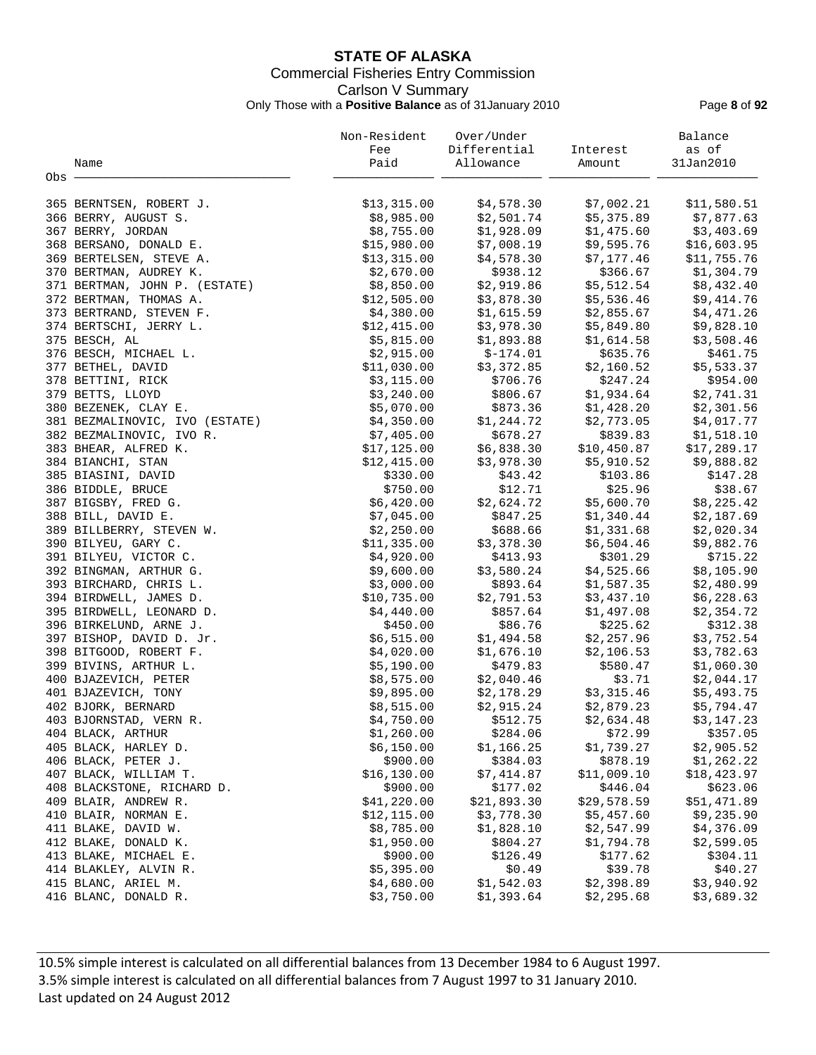# **STATE OF ALASKA** Commercial Fisheries Entry Commission Carlson V Summary Only Those with a **Positive Balance** as of 31January 2010 Page **8** of **92**

|                                | Non-Resident | Over/Under   |             | Balance     |
|--------------------------------|--------------|--------------|-------------|-------------|
|                                | Fee          | Differential | Interest    | as of       |
| Name                           | Paid         | Allowance    | Amount      | 31Jan2010   |
| Obs -                          |              |              |             |             |
| 365 BERNTSEN, ROBERT J.        | \$13,315.00  | \$4,578.30   | \$7,002.21  | \$11,580.51 |
| 366 BERRY, AUGUST S.           | \$8,985.00   | \$2,501.74   | \$5,375.89  | \$7,877.63  |
| 367 BERRY, JORDAN              | \$8,755.00   | \$1,928.09   | \$1,475.60  | \$3,403.69  |
| 368 BERSANO, DONALD E.         | \$15,980.00  | \$7,008.19   | \$9,595.76  | \$16,603.95 |
| 369 BERTELSEN, STEVE A.        | \$13,315.00  | \$4,578.30   | \$7,177.46  | \$11,755.76 |
| 370 BERTMAN, AUDREY K.         | \$2,670.00   | \$938.12     | \$366.67    | \$1,304.79  |
| 371 BERTMAN, JOHN P. (ESTATE)  | \$8,850.00   | \$2,919.86   | \$5,512.54  | \$8,432.40  |
| 372 BERTMAN, THOMAS A.         | \$12,505.00  | \$3,878.30   | \$5,536.46  | \$9,414.76  |
| 373 BERTRAND, STEVEN F.        | \$4,380.00   | \$1,615.59   | \$2,855.67  | \$4,471.26  |
| 374 BERTSCHI, JERRY L.         | \$12,415.00  | \$3,978.30   | \$5,849.80  | \$9,828.10  |
| 375 BESCH, AL                  | \$5,815.00   | \$1,893.88   | \$1,614.58  | \$3,508.46  |
| 376 BESCH, MICHAEL L.          | \$2,915.00   | $$-174.01$   | \$635.76    | \$461.75    |
| 377 BETHEL, DAVID              | \$11,030.00  | \$3,372.85   | \$2,160.52  | \$5,533.37  |
| 378 BETTINI, RICK              | \$3,115.00   | \$706.76     | \$247.24    | \$954.00    |
| 379 BETTS, LLOYD               | \$3,240.00   | \$806.67     | \$1,934.64  | \$2,741.31  |
| 380 BEZENEK, CLAY E.           | \$5,070.00   | \$873.36     | \$1,428.20  | \$2,301.56  |
| 381 BEZMALINOVIC, IVO (ESTATE) | \$4,350.00   | \$1,244.72   | \$2,773.05  | \$4,017.77  |
| 382 BEZMALINOVIC, IVO R.       | \$7,405.00   | \$678.27     | \$839.83    | \$1,518.10  |
| 383 BHEAR, ALFRED K.           | \$17,125.00  | \$6,838.30   | \$10,450.87 | \$17,289.17 |
| 384 BIANCHI, STAN              | \$12,415.00  | \$3,978.30   | \$5,910.52  | \$9,888.82  |
| 385 BIASINI, DAVID             | \$330.00     | \$43.42      | \$103.86    | \$147.28    |
| 386 BIDDLE, BRUCE              | \$750.00     | \$12.71      | \$25.96     | \$38.67     |
| 387 BIGSBY, FRED G.            | \$6,420.00   | \$2,624.72   | \$5,600.70  | \$8,225.42  |
| 388 BILL, DAVID E.             | \$7,045.00   | \$847.25     | \$1,340.44  | \$2,187.69  |
| 389 BILLBERRY, STEVEN W.       | \$2,250.00   | \$688.66     | \$1,331.68  | \$2,020.34  |
| 390 BILYEU, GARY C.            | \$11,335.00  | \$3,378.30   | \$6,504.46  | \$9,882.76  |
| 391 BILYEU, VICTOR C.          | \$4,920.00   | \$413.93     | \$301.29    | \$715.22    |
| 392 BINGMAN, ARTHUR G.         | \$9,600.00   | \$3,580.24   | \$4,525.66  | \$8,105.90  |
| 393 BIRCHARD, CHRIS L.         | \$3,000.00   | \$893.64     | \$1,587.35  | \$2,480.99  |
| 394 BIRDWELL, JAMES D.         | \$10,735.00  | \$2,791.53   | \$3,437.10  | \$6,228.63  |
| 395 BIRDWELL, LEONARD D.       | \$4,440.00   | \$857.64     | \$1,497.08  | \$2,354.72  |
| 396 BIRKELUND, ARNE J.         | \$450.00     | \$86.76      | \$225.62    | \$312.38    |
| 397 BISHOP, DAVID D. Jr.       | \$6,515.00   | \$1,494.58   | \$2,257.96  | \$3,752.54  |
| 398 BITGOOD, ROBERT F.         | \$4,020.00   | \$1,676.10   | \$2,106.53  | \$3,782.63  |
| 399 BIVINS, ARTHUR L.          | \$5,190.00   | \$479.83     | \$580.47    | \$1,060.30  |
| 400 BJAZEVICH, PETER           | \$8,575.00   | \$2,040.46   | \$3.71      | \$2,044.17  |
| 401 BJAZEVICH, TONY            | \$9,895.00   | \$2,178.29   | \$3,315.46  | \$5,493.75  |
| 402 BJORK, BERNARD             | \$8,515.00   | \$2,915.24   | \$2,879.23  | \$5,794.47  |
| 403 BJORNSTAD, VERN R.         | \$4,750.00   | \$512.75     | \$2,634.48  | \$3,147.23  |
| 404 BLACK, ARTHUR              | \$1,260.00   | \$284.06     | \$72.99     | \$357.05    |
| 405 BLACK, HARLEY D.           | \$6,150.00   | \$1,166.25   | \$1,739.27  | \$2,905.52  |
| 406 BLACK, PETER J.            | \$900.00     | \$384.03     | \$878.19    | \$1,262.22  |
| 407 BLACK, WILLIAM T.          | \$16, 130.00 | \$7,414.87   | \$11,009.10 | \$18,423.97 |
| 408 BLACKSTONE, RICHARD D.     | \$900.00     | \$177.02     | \$446.04    | \$623.06    |
| 409 BLAIR, ANDREW R.           | \$41,220.00  | \$21,893.30  | \$29,578.59 | \$51,471.89 |
| 410 BLAIR, NORMAN E.           | \$12, 115.00 | \$3,778.30   | \$5,457.60  | \$9,235.90  |
| 411 BLAKE, DAVID W.            | \$8,785.00   | \$1,828.10   | \$2,547.99  | \$4,376.09  |
| 412 BLAKE, DONALD K.           | \$1,950.00   | \$804.27     | \$1,794.78  | \$2,599.05  |
| 413 BLAKE, MICHAEL E.          | \$900.00     | \$126.49     | \$177.62    | \$304.11    |
| 414 BLAKLEY, ALVIN R.          | \$5,395.00   | \$0.49       | \$39.78     | \$40.27     |
| 415 BLANC, ARIEL M.            | \$4,680.00   | \$1,542.03   | \$2,398.89  | \$3,940.92  |
| 416 BLANC, DONALD R.           | \$3,750.00   | \$1,393.64   | \$2,295.68  | \$3,689.32  |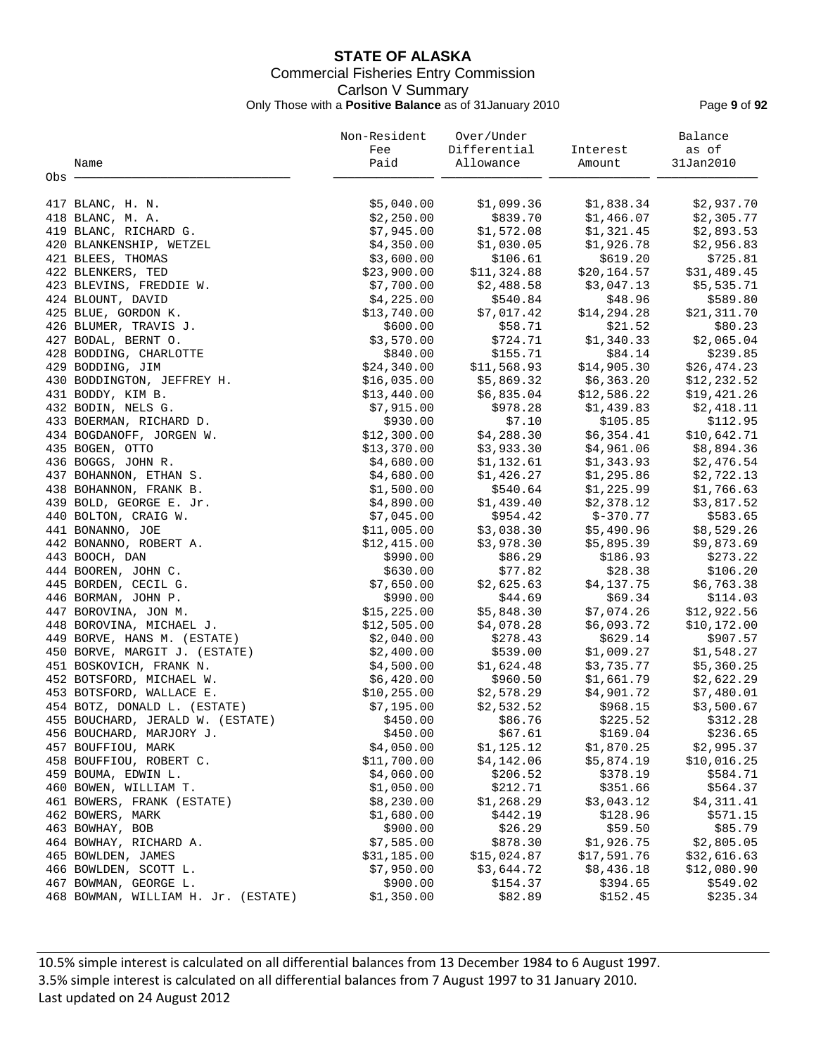# **STATE OF ALASKA** Commercial Fisheries Entry Commission Carlson V Summary Only Those with a **Positive Balance** as of 31January 2010 Page **9** of **92**

|                                     | Non-Resident           | Over/Under            |              | Balance                |
|-------------------------------------|------------------------|-----------------------|--------------|------------------------|
|                                     | Fee                    | Differential          | Interest     | as of                  |
| Name                                | Paid                   | Allowance             | Amount       | 31Jan2010              |
| Obs -                               |                        |                       |              |                        |
|                                     |                        |                       |              |                        |
| 417 BLANC, H. N.                    | \$5,040.00             | \$1,099.36            | \$1,838.34   | \$2,937.70             |
| 418 BLANC, M. A.                    | \$2,250.00             | \$839.70              | \$1,466.07   | \$2,305.77             |
| 419 BLANC, RICHARD G.               | \$7,945.00             | \$1,572.08            | \$1,321.45   | \$2,893.53             |
| 420 BLANKENSHIP, WETZEL             | \$4,350.00             | \$1,030.05            | \$1,926.78   | \$2,956.83             |
| 421 BLEES, THOMAS                   | \$3,600.00             | \$106.61              | \$619.20     | \$725.81               |
| 422 BLENKERS, TED                   | \$23,900.00            | \$11,324.88           | \$20, 164.57 | \$31,489.45            |
| 423 BLEVINS, FREDDIE W.             | \$7,700.00             | \$2,488.58            | \$3,047.13   | \$5,535.71             |
| 424 BLOUNT, DAVID                   | \$4,225.00             | \$540.84              | \$48.96      | \$589.80               |
| 425 BLUE, GORDON K.                 | \$13,740.00            | \$7,017.42            | \$14, 294.28 | \$21,311.70            |
| 426 BLUMER, TRAVIS J.               | \$600.00               | \$58.71               | \$21.52      | \$80.23                |
| 427 BODAL, BERNT O.                 | \$3,570.00             | \$724.71              | \$1,340.33   | \$2,065.04             |
| 428 BODDING, CHARLOTTE              | \$840.00               | \$155.71              | \$84.14      | \$239.85               |
| 429 BODDING, JIM                    | \$24,340.00            | \$11,568.93           | \$14,905.30  | \$26,474.23            |
| 430 BODDINGTON, JEFFREY H.          | \$16,035.00            | \$5,869.32            | \$6,363.20   | \$12, 232.52           |
| 431 BODDY, KIM B.                   | \$13,440.00            | \$6,835.04            | \$12,586.22  | \$19,421.26            |
| 432 BODIN, NELS G.                  | \$7,915.00             | \$978.28              | \$1,439.83   | \$2,418.11             |
| 433 BOERMAN, RICHARD D.             | \$930.00               | \$7.10                | \$105.85     | \$112.95               |
| 434 BOGDANOFF, JORGEN W.            | \$12,300.00            | \$4,288.30            | \$6,354.41   | \$10,642.71            |
| 435 BOGEN, OTTO                     | \$13,370.00            | \$3,933.30            | \$4,961.06   | \$8,894.36             |
| 436 BOGGS, JOHN R.                  | \$4,680.00             | \$1,132.61            | \$1,343.93   | \$2,476.54             |
| 437 BOHANNON, ETHAN S.              | \$4,680.00             | \$1,426.27            | \$1,295.86   | \$2,722.13             |
| 438 BOHANNON, FRANK B.              | \$1,500.00             | \$540.64              | \$1,225.99   | \$1,766.63             |
| 439 BOLD, GEORGE E. Jr.             | \$4,890.00             | \$1,439.40            | \$2,378.12   | \$3,817.52             |
| 440 BOLTON, CRAIG W.                | \$7,045.00             | \$954.42              | $$-370.77$   | \$583.65               |
| 441 BONANNO, JOE                    | \$11,005.00            | \$3,038.30            | \$5,490.96   | \$8,529.26             |
| 442 BONANNO, ROBERT A.              | \$12,415.00            | \$3,978.30            | \$5,895.39   | \$9,873.69             |
| 443 BOOCH, DAN                      | \$990.00               | \$86.29               | \$186.93     | \$273.22               |
| 444 BOOREN, JOHN C.                 | \$630.00               | \$77.82               | \$28.38      | \$106.20               |
|                                     |                        |                       | \$4,137.75   |                        |
| 445 BORDEN, CECIL G.                | \$7,650.00<br>\$990.00 | \$2,625.63<br>\$44.69 | \$69.34      | \$6,763.38<br>\$114.03 |
| 446 BORMAN, JOHN P.                 |                        |                       |              |                        |
| 447 BOROVINA, JON M.                | \$15,225.00            | \$5,848.30            | \$7,074.26   | \$12,922.56            |
| 448 BOROVINA, MICHAEL J.            | \$12,505.00            | \$4,078.28            | \$6,093.72   | \$10,172.00            |
| 449 BORVE, HANS M. (ESTATE)         | \$2,040.00             | \$278.43              | \$629.14     | \$907.57               |
| 450 BORVE, MARGIT J. (ESTATE)       | \$2,400.00             | \$539.00              | \$1,009.27   | \$1,548.27             |
| 451 BOSKOVICH, FRANK N.             | \$4,500.00             | \$1,624.48            | \$3,735.77   | \$5,360.25             |
| 452 BOTSFORD, MICHAEL W.            | \$6,420.00             | \$960.50              | \$1,661.79   | \$2,622.29             |
| 453 BOTSFORD, WALLACE E.            | \$10, 255.00           | \$2,578.29            | \$4,901.72   | \$7,480.01             |
| 454 BOTZ, DONALD L. (ESTATE)        | \$7,195.00             | \$2,532.52            | \$968.15     | \$3,500.67             |
| 455 BOUCHARD, JERALD W. (ESTATE)    | \$450.00               | \$86.76               | \$225.52     | \$312.28               |
| 456 BOUCHARD, MARJORY J.            | \$450.00               | \$67.61               | \$169.04     | \$236.65               |
| 457 BOUFFIOU, MARK                  | \$4,050.00             | \$1,125.12            | \$1,870.25   | \$2,995.37             |
| 458 BOUFFIOU, ROBERT C.             | \$11,700.00            | \$4,142.06            | \$5,874.19   | \$10,016.25            |
| 459 BOUMA, EDWIN L.                 | \$4,060.00             | \$206.52              | \$378.19     | \$584.71               |
| 460 BOWEN, WILLIAM T.               | \$1,050.00             | \$212.71              | \$351.66     | \$564.37               |
| 461 BOWERS, FRANK (ESTATE)          | \$8,230.00             | \$1,268.29            | \$3,043.12   | \$4,311.41             |
| 462 BOWERS, MARK                    | \$1,680.00             | \$442.19              | \$128.96     | \$571.15               |
| 463 BOWHAY, BOB                     | \$900.00               | \$26.29               | \$59.50      | \$85.79                |
| 464 BOWHAY, RICHARD A.              | \$7,585.00             | \$878.30              | \$1,926.75   | \$2,805.05             |
| 465 BOWLDEN, JAMES                  | \$31,185.00            | \$15,024.87           | \$17,591.76  | \$32,616.63            |
| 466 BOWLDEN, SCOTT L.               | \$7,950.00             | \$3,644.72            | \$8,436.18   | \$12,080.90            |
| 467 BOWMAN, GEORGE L.               | \$900.00               | \$154.37              | \$394.65     | \$549.02               |
| 468 BOWMAN, WILLIAM H. Jr. (ESTATE) | \$1,350.00             | \$82.89               | \$152.45     | \$235.34               |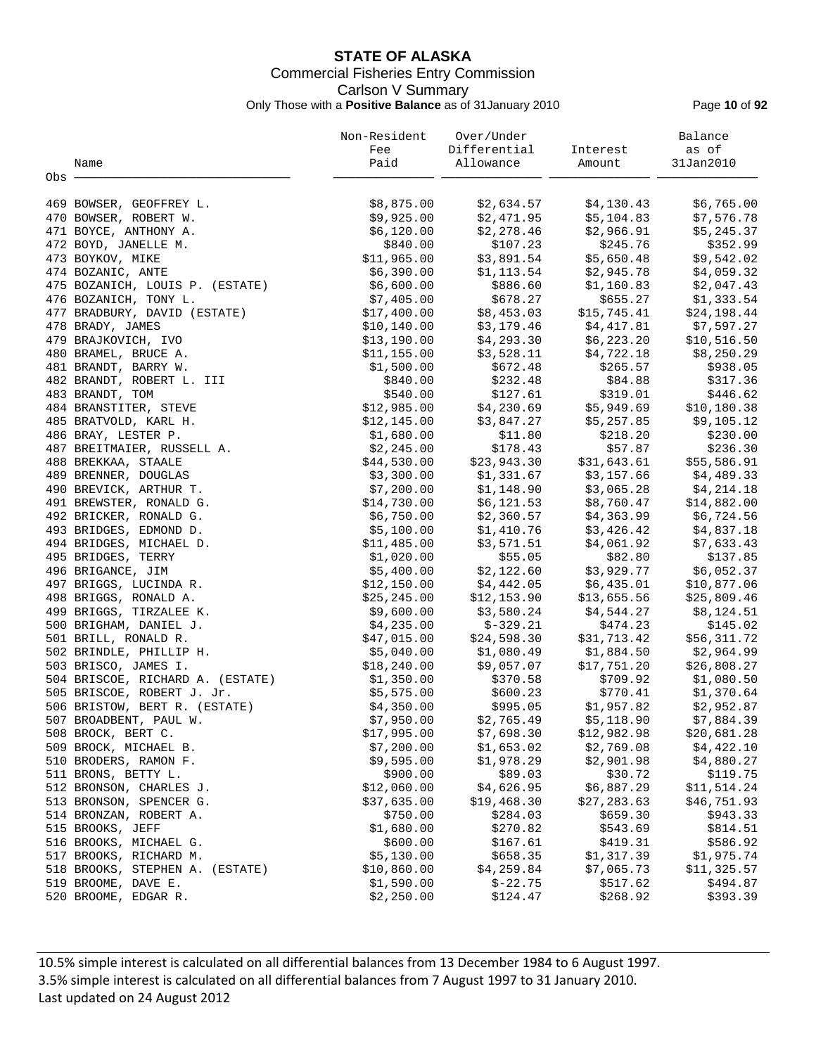# **STATE OF ALASKA** Commercial Fisheries Entry Commission Carlson V Summary Only Those with a **Positive Balance** as of 31January 2010 Page **10** of **92**

|                                                 | Non-Resident | Over/Under   |             | Balance     |
|-------------------------------------------------|--------------|--------------|-------------|-------------|
|                                                 | Fee          | Differential | Interest    | as of       |
| Name                                            | Paid         | Allowance    | Amount      | 31Jan2010   |
| Obs                                             |              |              |             |             |
|                                                 |              |              |             |             |
| 469 BOWSER, GEOFFREY L.                         | \$8,875.00   | \$2,634.57   | \$4,130.43  | \$6,765.00  |
| 470 BOWSER, ROBERT W.                           | \$9,925.00   | \$2,471.95   | \$5,104.83  | \$7,576.78  |
| 471 BOYCE, ANTHONY A.                           | \$6,120.00   | \$2,278.46   | \$2,966.91  | \$5,245.37  |
| 472 BOYD, JANELLE M.                            | \$840.00     | \$107.23     | \$245.76    | \$352.99    |
| 473 BOYKOV, MIKE                                | \$11,965.00  | \$3,891.54   | \$5,650.48  | \$9,542.02  |
| 474 BOZANIC, ANTE                               | \$6,390.00   | \$1,113.54   | \$2,945.78  | \$4,059.32  |
| 475 BOZANICH, LOUIS P. (ESTATE)                 | \$6,600.00   | \$886.60     | \$1,160.83  | \$2,047.43  |
| 476 BOZANICH, TONY L.                           | \$7,405.00   | \$678.27     | \$655.27    | \$1,333.54  |
| 477 BRADBURY, DAVID (ESTATE)                    | \$17,400.00  | \$8,453.03   | \$15,745.41 | \$24,198.44 |
| 478 BRADY, JAMES                                | \$10, 140.00 | \$3,179.46   | \$4,417.81  | \$7,597.27  |
| 479 BRAJKOVICH, IVO                             | \$13,190.00  | \$4,293.30   | \$6,223.20  | \$10,516.50 |
| 480 BRAMEL, BRUCE A.                            | \$11,155.00  | \$3,528.11   | \$4,722.18  | \$8,250.29  |
| 481 BRANDT, BARRY W.                            | \$1,500.00   | \$672.48     | \$265.57    | \$938.05    |
| 482 BRANDT, ROBERT L. III                       | \$840.00     | \$232.48     | \$84.88     | \$317.36    |
| 483 BRANDT, TOM                                 | \$540.00     | \$127.61     | \$319.01    | \$446.62    |
| 484 BRANSTITER, STEVE                           | \$12,985.00  | \$4,230.69   | \$5,949.69  | \$10,180.38 |
| 485 BRATVOLD, KARL H.                           | \$12,145.00  | \$3,847.27   | \$5,257.85  | \$9,105.12  |
| 486 BRAY, LESTER P.                             | \$1,680.00   | \$11.80      | \$218.20    | \$230.00    |
| 487 BREITMAIER, RUSSELL A.                      | \$2,245.00   | \$178.43     | \$57.87     | \$236.30    |
| 488 BREKKAA, STAALE                             | \$44,530.00  | \$23,943.30  | \$31,643.61 | \$55,586.91 |
| 489 BRENNER, DOUGLAS                            | \$3,300.00   | \$1,331.67   | \$3,157.66  | \$4,489.33  |
| 490 BREVICK, ARTHUR T.                          | \$7,200.00   | \$1,148.90   | \$3,065.28  | \$4,214.18  |
| 491 BREWSTER, RONALD G.                         | \$14,730.00  | \$6,121.53   | \$8,760.47  | \$14,882.00 |
| 492 BRICKER, RONALD G.                          | \$6,750.00   | \$2,360.57   | \$4,363.99  | \$6,724.56  |
| 493 BRIDGES, EDMOND D.                          | \$5,100.00   | \$1,410.76   | \$3,426.42  | \$4,837.18  |
| 494 BRIDGES, MICHAEL D.                         | \$11,485.00  | \$3,571.51   | \$4,061.92  | \$7,633.43  |
| 495 BRIDGES, TERRY                              | \$1,020.00   | \$55.05      | \$82.80     | \$137.85    |
| 496 BRIGANCE, JIM                               | \$5,400.00   | \$2,122.60   | \$3,929.77  | \$6,052.37  |
|                                                 |              |              | \$6,435.01  |             |
| 497 BRIGGS, LUCINDA R.<br>498 BRIGGS, RONALD A. | \$12,150.00  | \$4,442.05   |             | \$10,877.06 |
|                                                 | \$25, 245.00 | \$12,153.90  | \$13,655.56 | \$25,809.46 |
| 499 BRIGGS, TIRZALEE K.                         | \$9,600.00   | \$3,580.24   | \$4,544.27  | \$8,124.51  |
| 500 BRIGHAM, DANIEL J.                          | \$4,235.00   | $$-329.21$   | \$474.23    | \$145.02    |
| 501 BRILL, RONALD R.                            | \$47,015.00  | \$24,598.30  | \$31,713.42 | \$56,311.72 |
| 502 BRINDLE, PHILLIP H.                         | \$5,040.00   | \$1,080.49   | \$1,884.50  | \$2,964.99  |
| 503 BRISCO, JAMES I.                            | \$18, 240.00 | \$9,057.07   | \$17,751.20 | \$26,808.27 |
| 504 BRISCOE, RICHARD A. (ESTATE)                | \$1,350.00   | \$370.58     | \$709.92    | \$1,080.50  |
| 505 BRISCOE, ROBERT J. Jr.                      | \$5,575.00   | \$600.23     | \$770.41    | \$1,370.64  |
| 506 BRISTOW, BERT R. (ESTATE)                   | \$4,350.00   | \$995.05     | \$1,957.82  | \$2,952.87  |
| 507 BROADBENT, PAUL W.                          | \$7,950.00   | \$2,765.49   | \$5,118.90  | \$7,884.39  |
| 508 BROCK, BERT C.                              | \$17,995.00  | \$7,698.30   | \$12,982.98 | \$20,681.28 |
| 509 BROCK, MICHAEL B.                           | \$7,200.00   | \$1,653.02   | \$2,769.08  | \$4,422.10  |
| 510 BRODERS, RAMON F.                           | \$9,595.00   | \$1,978.29   | \$2,901.98  | \$4,880.27  |
| 511 BRONS, BETTY L.                             | \$900.00     | \$89.03      | \$30.72     | \$119.75    |
| 512 BRONSON, CHARLES J.                         | \$12,060.00  | \$4,626.95   | \$6,887.29  | \$11,514.24 |
| 513 BRONSON, SPENCER G.                         | \$37,635.00  | \$19,468.30  | \$27,283.63 | \$46,751.93 |
| 514 BRONZAN, ROBERT A.                          | \$750.00     | \$284.03     | \$659.30    | \$943.33    |
| 515 BROOKS, JEFF                                | \$1,680.00   | \$270.82     | \$543.69    | \$814.51    |
| 516 BROOKS, MICHAEL G.                          | \$600.00     | \$167.61     | \$419.31    | \$586.92    |
| 517 BROOKS, RICHARD M.                          | \$5,130.00   | \$658.35     | \$1,317.39  | \$1,975.74  |
| 518 BROOKS, STEPHEN A. (ESTATE)                 | \$10,860.00  | \$4,259.84   | \$7,065.73  | \$11,325.57 |
| 519 BROOME, DAVE E.                             | \$1,590.00   | $$ -22.75$   | \$517.62    | \$494.87    |
| 520 BROOME, EDGAR R.                            | \$2,250.00   | \$124.47     | \$268.92    | \$393.39    |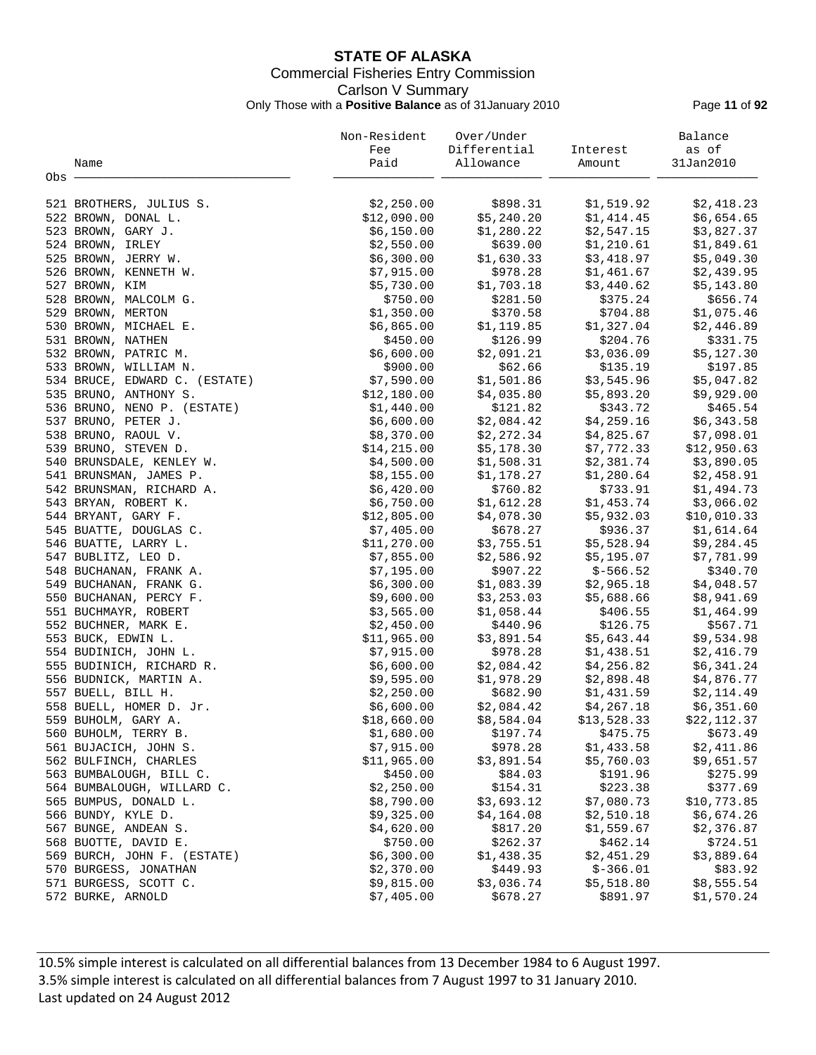# **STATE OF ALASKA** Commercial Fisheries Entry Commission Carlson V Summary Only Those with a **Positive Balance** as of 31January 2010 Page **11** of **92**

|                               | Non-Resident | Over/Under   |             | Balance      |
|-------------------------------|--------------|--------------|-------------|--------------|
|                               | Fee          | Differential | Interest    | as of        |
| Name                          | Paid         | Allowance    | Amount      | 31Jan2010    |
| Obs                           |              |              |             |              |
|                               |              |              |             |              |
| 521 BROTHERS, JULIUS S.       | \$2,250.00   | \$898.31     | \$1,519.92  | \$2,418.23   |
| 522 BROWN, DONAL L.           | \$12,090.00  | \$5,240.20   | \$1,414.45  | \$6,654.65   |
| 523 BROWN, GARY J.            | \$6,150.00   | \$1,280.22   | \$2,547.15  | \$3,827.37   |
| 524 BROWN, IRLEY              | \$2,550.00   | \$639.00     | \$1,210.61  | \$1,849.61   |
| 525 BROWN, JERRY W.           | \$6,300.00   | \$1,630.33   | \$3,418.97  | \$5,049.30   |
| 526 BROWN, KENNETH W.         | \$7,915.00   | \$978.28     | \$1,461.67  | \$2,439.95   |
| 527 BROWN, KIM                | \$5,730.00   | \$1,703.18   | \$3,440.62  | \$5,143.80   |
| 528 BROWN, MALCOLM G.         | \$750.00     | \$281.50     | \$375.24    | \$656.74     |
| 529 BROWN, MERTON             | \$1,350.00   | \$370.58     | \$704.88    | \$1,075.46   |
| 530 BROWN, MICHAEL E.         | \$6,865.00   | \$1,119.85   | \$1,327.04  | \$2,446.89   |
| 531 BROWN, NATHEN             | \$450.00     | \$126.99     | \$204.76    | \$331.75     |
| 532 BROWN, PATRIC M.          | \$6,600.00   | \$2,091.21   | \$3,036.09  | \$5,127.30   |
| 533 BROWN, WILLIAM N.         | \$900.00     | \$62.66      | \$135.19    | \$197.85     |
| 534 BRUCE, EDWARD C. (ESTATE) | \$7,590.00   | \$1,501.86   | \$3,545.96  | \$5,047.82   |
| 535 BRUNO, ANTHONY S.         | \$12,180.00  | \$4,035.80   | \$5,893.20  | \$9,929.00   |
| 536 BRUNO, NENO P. (ESTATE)   | \$1,440.00   | \$121.82     | \$343.72    | \$465.54     |
|                               |              |              |             |              |
| 537 BRUNO, PETER J.           | \$6,600.00   | \$2,084.42   | \$4,259.16  | \$6,343.58   |
| 538 BRUNO, RAOUL V.           | \$8,370.00   | \$2,272.34   | \$4,825.67  | \$7,098.01   |
| 539 BRUNO, STEVEN D.          | \$14, 215.00 | \$5,178.30   | \$7,772.33  | \$12,950.63  |
| 540 BRUNSDALE, KENLEY W.      | \$4,500.00   | \$1,508.31   | \$2,381.74  | \$3,890.05   |
| 541 BRUNSMAN, JAMES P.        | \$8,155.00   | \$1,178.27   | \$1,280.64  | \$2,458.91   |
| 542 BRUNSMAN, RICHARD A.      | \$6,420.00   | \$760.82     | \$733.91    | \$1,494.73   |
| 543 BRYAN, ROBERT K.          | \$6,750.00   | \$1,612.28   | \$1,453.74  | \$3,066.02   |
| 544 BRYANT, GARY F.           | \$12,805.00  | \$4,078.30   | \$5,932.03  | \$10,010.33  |
| 545 BUATTE, DOUGLAS C.        | \$7,405.00   | \$678.27     | \$936.37    | \$1,614.64   |
| 546 BUATTE, LARRY L.          | \$11,270.00  | \$3,755.51   | \$5,528.94  | \$9,284.45   |
| 547 BUBLITZ, LEO D.           | \$7,855.00   | \$2,586.92   | \$5,195.07  | \$7,781.99   |
| 548 BUCHANAN, FRANK A.        | \$7,195.00   | \$907.22     | \$-566.52   | \$340.70     |
| 549 BUCHANAN, FRANK G.        | \$6,300.00   | \$1,083.39   | \$2,965.18  | \$4,048.57   |
| 550 BUCHANAN, PERCY F.        | \$9,600.00   | \$3, 253.03  | \$5,688.66  | \$8,941.69   |
| 551 BUCHMAYR, ROBERT          | \$3,565.00   | \$1,058.44   | \$406.55    | \$1,464.99   |
| 552 BUCHNER, MARK E.          | \$2,450.00   | \$440.96     | \$126.75    | \$567.71     |
| 553 BUCK, EDWIN L.            | \$11,965.00  | \$3,891.54   | \$5,643.44  | \$9,534.98   |
| 554 BUDINICH, JOHN L.         | \$7,915.00   | \$978.28     | \$1,438.51  | \$2,416.79   |
| 555 BUDINICH, RICHARD R.      | \$6,600.00   | \$2,084.42   | \$4,256.82  | \$6,341.24   |
| 556 BUDNICK, MARTIN A.        | \$9,595.00   | \$1,978.29   | \$2,898.48  | \$4,876.77   |
| 557 BUELL, BILL H.            | \$2,250.00   | \$682.90     | \$1,431.59  | \$2,114.49   |
| 558 BUELL, HOMER D. Jr.       | \$6,600.00   | \$2,084.42   | \$4,267.18  | \$6,351.60   |
| 559 BUHOLM, GARY A.           | \$18,660.00  | \$8,584.04   | \$13,528.33 | \$22, 112.37 |
| 560 BUHOLM, TERRY B.          | \$1,680.00   | \$197.74     | \$475.75    | \$673.49     |
| 561 BUJACICH, JOHN S.         | \$7,915.00   | \$978.28     | \$1,433.58  | \$2,411.86   |
| 562 BULFINCH, CHARLES         | \$11,965.00  | \$3,891.54   | \$5,760.03  | \$9,651.57   |
| 563 BUMBALOUGH, BILL C.       | \$450.00     | \$84.03      | \$191.96    | \$275.99     |
| 564 BUMBALOUGH, WILLARD C.    | \$2,250.00   | \$154.31     | \$223.38    | \$377.69     |
| 565 BUMPUS, DONALD L.         | \$8,790.00   | \$3,693.12   | \$7,080.73  | \$10,773.85  |
| 566 BUNDY, KYLE D.            | \$9,325.00   | \$4,164.08   | \$2,510.18  | \$6,674.26   |
| 567 BUNGE, ANDEAN S.          | \$4,620.00   | \$817.20     | \$1,559.67  | \$2,376.87   |
| 568 BUOTTE, DAVID E.          | \$750.00     | \$262.37     | \$462.14    | \$724.51     |
| 569 BURCH, JOHN F. (ESTATE)   | \$6,300.00   | \$1,438.35   | \$2,451.29  | \$3,889.64   |
| 570 BURGESS, JONATHAN         | \$2,370.00   | \$449.93     | $$-366.01$  | \$83.92      |
| 571 BURGESS, SCOTT C.         | \$9,815.00   | \$3,036.74   | \$5,518.80  | \$8,555.54   |
|                               |              |              |             | \$1,570.24   |
| 572 BURKE, ARNOLD             | \$7,405.00   | \$678.27     | \$891.97    |              |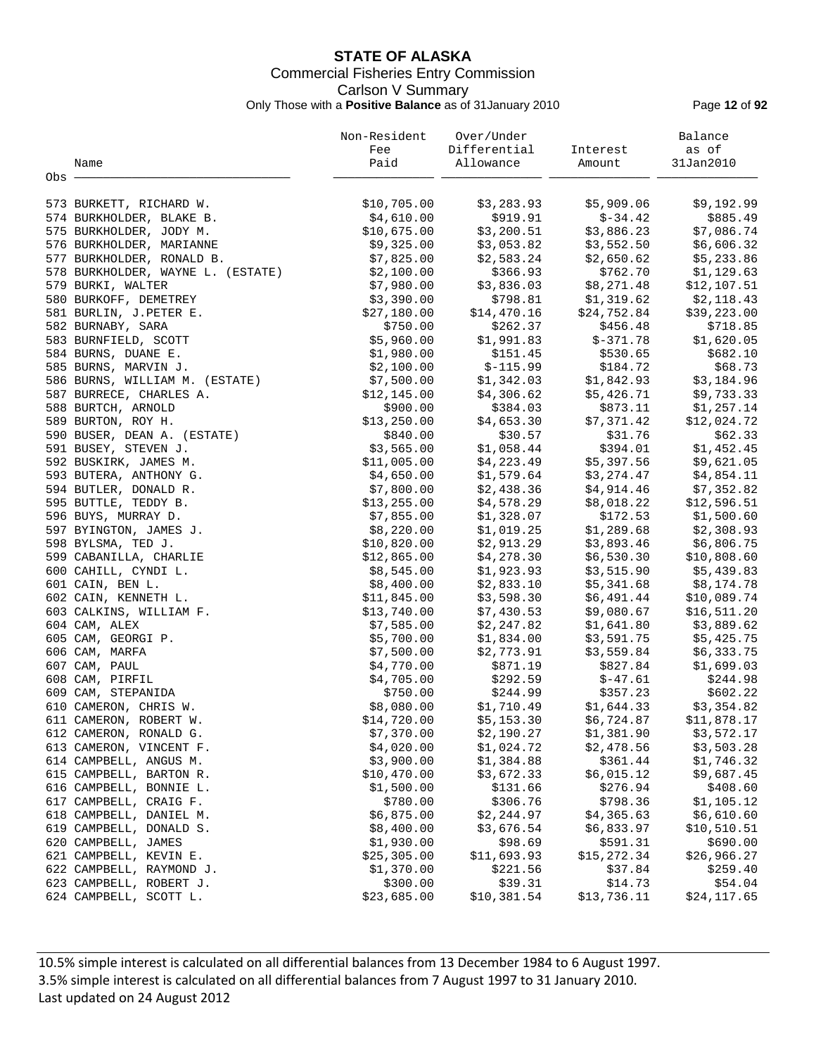# **STATE OF ALASKA** Commercial Fisheries Entry Commission Carlson V Summary Only Those with a **Positive Balance** as of 31January 2010 Page **12** of **92**

|                                   | Non-Resident | Over/Under   |             | Balance     |
|-----------------------------------|--------------|--------------|-------------|-------------|
|                                   | Fee          | Differential | Interest    | as of       |
| Name                              | Paid         | Allowance    | Amount      | 31Jan2010   |
| Obs                               |              |              |             |             |
| 573 BURKETT, RICHARD W.           | \$10,705.00  | \$3,283.93   | \$5,909.06  | \$9,192.99  |
| 574 BURKHOLDER, BLAKE B.          | \$4,610.00   | \$919.91     | $$-34.42$   | \$885.49    |
| 575 BURKHOLDER, JODY M.           | \$10,675.00  | \$3,200.51   | \$3,886.23  | \$7,086.74  |
| 576 BURKHOLDER, MARIANNE          | \$9,325.00   | \$3,053.82   | \$3,552.50  | \$6,606.32  |
| 577 BURKHOLDER, RONALD B.         | \$7,825.00   | \$2,583.24   | \$2,650.62  | \$5,233.86  |
| 578 BURKHOLDER, WAYNE L. (ESTATE) | \$2,100.00   | \$366.93     | \$762.70    | \$1,129.63  |
| 579 BURKI, WALTER                 | \$7,980.00   | \$3,836.03   | \$8,271.48  | \$12,107.51 |
| 580 BURKOFF, DEMETREY             | \$3,390.00   | \$798.81     | \$1,319.62  | \$2,118.43  |
| 581 BURLIN, J.PETER E.            | \$27,180.00  | \$14,470.16  | \$24,752.84 | \$39,223.00 |
| 582 BURNABY, SARA                 | \$750.00     | \$262.37     | \$456.48    | \$718.85    |
| 583 BURNFIELD, SCOTT              | \$5,960.00   | \$1,991.83   | $$-371.78$  | \$1,620.05  |
| 584 BURNS, DUANE E.               | \$1,980.00   | \$151.45     | \$530.65    | \$682.10    |
| 585 BURNS, MARVIN J.              | \$2,100.00   | $$-115.99$   | \$184.72    | \$68.73     |
| 586 BURNS, WILLIAM M. (ESTATE)    | \$7,500.00   | \$1,342.03   | \$1,842.93  | \$3,184.96  |
| 587 BURRECE, CHARLES A.           | \$12,145.00  | \$4,306.62   | \$5,426.71  | \$9,733.33  |
| 588 BURTCH, ARNOLD                | \$900.00     | \$384.03     | \$873.11    | \$1,257.14  |
| 589 BURTON, ROY H.                | \$13,250.00  | \$4,653.30   | \$7,371.42  | \$12,024.72 |
| 590 BUSER, DEAN A. (ESTATE)       | \$840.00     | \$30.57      | \$31.76     | \$62.33     |
| 591 BUSEY, STEVEN J.              | \$3,565.00   | \$1,058.44   | \$394.01    | \$1,452.45  |
| 592 BUSKIRK, JAMES M.             | \$11,005.00  | \$4,223.49   | \$5,397.56  | \$9,621.05  |
| 593 BUTERA, ANTHONY G.            | \$4,650.00   | \$1,579.64   | \$3,274.47  | \$4,854.11  |
| 594 BUTLER, DONALD R.             | \$7,800.00   | \$2,438.36   | \$4,914.46  | \$7,352.82  |
| 595 BUTTLE, TEDDY B.              | \$13,255.00  | \$4,578.29   | \$8,018.22  | \$12,596.51 |
| 596 BUYS, MURRAY D.               | \$7,855.00   | \$1,328.07   | \$172.53    | \$1,500.60  |
| 597 BYINGTON, JAMES J.            | \$8,220.00   | \$1,019.25   | \$1,289.68  | \$2,308.93  |
| 598 BYLSMA, TED J.                | \$10,820.00  | \$2,913.29   | \$3,893.46  | \$6,806.75  |
| 599 CABANILLA, CHARLIE            | \$12,865.00  | \$4,278.30   | \$6,530.30  | \$10,808.60 |
| 600 CAHILL, CYNDI L.              | \$8,545.00   | \$1,923.93   | \$3,515.90  | \$5,439.83  |
| 601 CAIN, BEN L.                  | \$8,400.00   | \$2,833.10   | \$5,341.68  | \$8,174.78  |
| 602 CAIN, KENNETH L.              | \$11,845.00  | \$3,598.30   | \$6,491.44  | \$10,089.74 |
| 603 CALKINS, WILLIAM F.           | \$13,740.00  | \$7,430.53   | \$9,080.67  | \$16,511.20 |
| 604 CAM, ALEX                     | \$7,585.00   | \$2,247.82   | \$1,641.80  | \$3,889.62  |
| 605 CAM, GEORGI P.                | \$5,700.00   | \$1,834.00   | \$3,591.75  | \$5,425.75  |
| 606 CAM, MARFA                    | \$7,500.00   | \$2,773.91   | \$3,559.84  | \$6,333.75  |
| 607 CAM, PAUL                     | \$4,770.00   | \$871.19     | \$827.84    | \$1,699.03  |
| 608 CAM, PIRFIL                   | \$4,705.00   | \$292.59     | $$-47.61$   | \$244.98    |
| 609 CAM, STEPANIDA                | \$750.00     | \$244.99     | \$357.23    | \$602.22    |
| 610 CAMERON, CHRIS W.             | \$8,080.00   | \$1,710.49   | \$1,644.33  | \$3,354.82  |
| 611 CAMERON, ROBERT W.            | \$14,720.00  | \$5,153.30   | \$6,724.87  | \$11,878.17 |
| 612 CAMERON, RONALD G.            | \$7,370.00   | \$2,190.27   | \$1,381.90  | \$3,572.17  |
| 613 CAMERON, VINCENT F.           | \$4,020.00   | \$1,024.72   | \$2,478.56  | \$3,503.28  |
| 614 CAMPBELL, ANGUS M.            | \$3,900.00   | \$1,384.88   | \$361.44    | \$1,746.32  |
| 615 CAMPBELL, BARTON R.           | \$10,470.00  | \$3,672.33   | \$6,015.12  | \$9,687.45  |
| 616 CAMPBELL, BONNIE L.           | \$1,500.00   | \$131.66     | \$276.94    | \$408.60    |
| 617 CAMPBELL, CRAIG F.            | \$780.00     | \$306.76     | \$798.36    | \$1,105.12  |
| 618 CAMPBELL, DANIEL M.           | \$6,875.00   | \$2,244.97   | \$4,365.63  | \$6,610.60  |
| 619 CAMPBELL, DONALD S.           | \$8,400.00   | \$3,676.54   | \$6,833.97  | \$10,510.51 |
| 620 CAMPBELL, JAMES               | \$1,930.00   | \$98.69      | \$591.31    | \$690.00    |
| 621 CAMPBELL, KEVIN E.            | \$25,305.00  | \$11,693.93  | \$15,272.34 | \$26,966.27 |
| 622 CAMPBELL, RAYMOND J.          | \$1,370.00   | \$221.56     | \$37.84     | \$259.40    |
| 623 CAMPBELL, ROBERT J.           | \$300.00     | \$39.31      | \$14.73     | \$54.04     |
| 624 CAMPBELL, SCOTT L.            | \$23,685.00  | \$10,381.54  | \$13,736.11 | \$24,117.65 |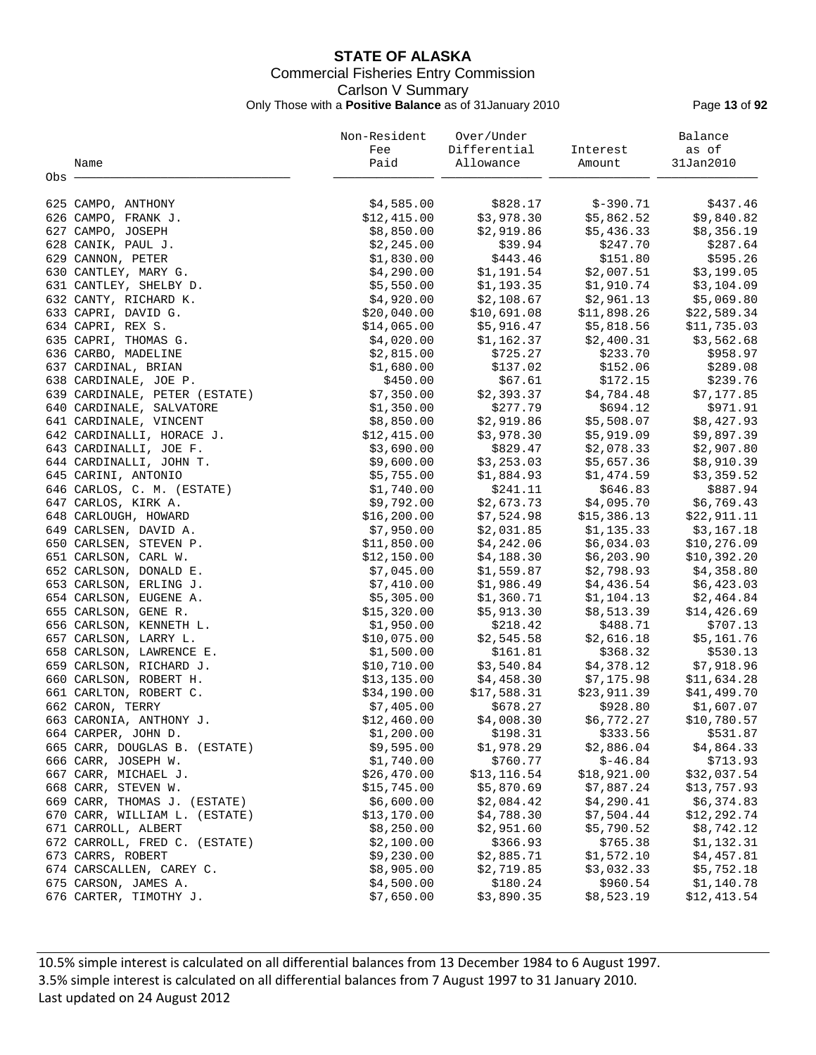# **STATE OF ALASKA** Commercial Fisheries Entry Commission Carlson V Summary Only Those with a **Positive Balance** as of 31January 2010 Page **13** of **92**

|                               | Non-Resident | Over/Under   |             | Balance     |
|-------------------------------|--------------|--------------|-------------|-------------|
|                               | Fee          | Differential | Interest    | as of       |
| Name                          | Paid         | Allowance    | Amount      | 31Jan2010   |
| Obs -                         |              |              |             |             |
| 625 CAMPO, ANTHONY            | \$4,585.00   | \$828.17     | $$-390.71$  | \$437.46    |
| 626 CAMPO, FRANK J.           | \$12,415.00  | \$3,978.30   | \$5,862.52  | \$9,840.82  |
| 627 CAMPO, JOSEPH             | \$8,850.00   | \$2,919.86   | \$5,436.33  | \$8,356.19  |
| 628 CANIK, PAUL J.            | \$2,245.00   | \$39.94      | \$247.70    | \$287.64    |
| 629 CANNON, PETER             | \$1,830.00   | \$443.46     | \$151.80    | \$595.26    |
| 630 CANTLEY, MARY G.          | \$4,290.00   | \$1,191.54   | \$2,007.51  | \$3,199.05  |
|                               |              | \$1,193.35   | \$1,910.74  |             |
| 631 CANTLEY, SHELBY D.        | \$5,550.00   |              | \$2,961.13  | \$3,104.09  |
| 632 CANTY, RICHARD K.         | \$4,920.00   | \$2,108.67   |             | \$5,069.80  |
| 633 CAPRI, DAVID G.           | \$20,040.00  | \$10,691.08  | \$11,898.26 | \$22,589.34 |
| 634 CAPRI, REX S.             | \$14,065.00  | \$5,916.47   | \$5,818.56  | \$11,735.03 |
| 635 CAPRI, THOMAS G.          | \$4,020.00   | \$1,162.37   | \$2,400.31  | \$3,562.68  |
| 636 CARBO, MADELINE           | \$2,815.00   | \$725.27     | \$233.70    | \$958.97    |
| 637 CARDINAL, BRIAN           | \$1,680.00   | \$137.02     | \$152.06    | \$289.08    |
| 638 CARDINALE, JOE P.         | \$450.00     | \$67.61      | \$172.15    | \$239.76    |
| 639 CARDINALE, PETER (ESTATE) | \$7,350.00   | \$2,393.37   | \$4,784.48  | \$7,177.85  |
| 640 CARDINALE, SALVATORE      | \$1,350.00   | \$277.79     | \$694.12    | \$971.91    |
| 641 CARDINALE, VINCENT        | \$8,850.00   | \$2,919.86   | \$5,508.07  | \$8,427.93  |
| 642 CARDINALLI, HORACE J.     | \$12,415.00  | \$3,978.30   | \$5,919.09  | \$9,897.39  |
| 643 CARDINALLI, JOE F.        | \$3,690.00   | \$829.47     | \$2,078.33  | \$2,907.80  |
| 644 CARDINALLI, JOHN T.       | \$9,600.00   | \$3,253.03   | \$5,657.36  | \$8,910.39  |
| 645 CARINI, ANTONIO           | \$5,755.00   | \$1,884.93   | \$1,474.59  | \$3,359.52  |
| 646 CARLOS, C. M. (ESTATE)    | \$1,740.00   | \$241.11     | \$646.83    | \$887.94    |
| 647 CARLOS, KIRK A.           | \$9,792.00   | \$2,673.73   | \$4,095.70  | \$6,769.43  |
| 648 CARLOUGH, HOWARD          | \$16, 200.00 | \$7,524.98   | \$15,386.13 | \$22,911.11 |
| 649 CARLSEN, DAVID A.         | \$7,950.00   | \$2,031.85   | \$1,135.33  | \$3,167.18  |
| 650 CARLSEN, STEVEN P.        | \$11,850.00  | \$4,242.06   | \$6,034.03  | \$10,276.09 |
| 651 CARLSON, CARL W.          | \$12,150.00  | \$4,188.30   | \$6,203.90  | \$10,392.20 |
| 652 CARLSON, DONALD E.        | \$7,045.00   | \$1,559.87   | \$2,798.93  | \$4,358.80  |
| 653 CARLSON, ERLING J.        | \$7,410.00   | \$1,986.49   | \$4,436.54  | \$6,423.03  |
| 654 CARLSON, EUGENE A.        | \$5,305.00   | \$1,360.71   | \$1,104.13  | \$2,464.84  |
| 655 CARLSON, GENE R.          | \$15,320.00  | \$5,913.30   | \$8,513.39  | \$14,426.69 |
| 656 CARLSON, KENNETH L.       | \$1,950.00   | \$218.42     | \$488.71    | \$707.13    |
| 657 CARLSON, LARRY L.         | \$10,075.00  | \$2,545.58   | \$2,616.18  | \$5,161.76  |
| 658 CARLSON, LAWRENCE E.      | \$1,500.00   | \$161.81     | \$368.32    | \$530.13    |
| 659 CARLSON, RICHARD J.       | \$10,710.00  | \$3,540.84   | \$4,378.12  | \$7,918.96  |
| 660 CARLSON, ROBERT H.        | \$13,135.00  | \$4,458.30   | \$7,175.98  | \$11,634.28 |
| 661 CARLTON, ROBERT C.        | \$34,190.00  | \$17,588.31  | \$23,911.39 | \$41,499.70 |
| 662 CARON, TERRY              | \$7,405.00   | \$678.27     | \$928.80    | \$1,607.07  |
| 663 CARONIA, ANTHONY J.       | \$12,460.00  | \$4,008.30   | \$6,772.27  | \$10,780.57 |
| 664 CARPER, JOHN D.           | \$1,200.00   | \$198.31     | \$333.56    | \$531.87    |
| 665 CARR, DOUGLAS B. (ESTATE) | \$9,595.00   | \$1,978.29   | \$2,886.04  | \$4,864.33  |
| 666 CARR, JOSEPH W.           | \$1,740.00   | \$760.77     | $$-46.84$   | \$713.93    |
| 667 CARR, MICHAEL J.          | \$26,470.00  | \$13, 116.54 | \$18,921.00 | \$32,037.54 |
| 668 CARR, STEVEN W.           | \$15,745.00  | \$5,870.69   | \$7,887.24  | \$13,757.93 |
| 669 CARR, THOMAS J. (ESTATE)  | \$6,600.00   | \$2,084.42   | \$4,290.41  | \$6,374.83  |
| 670 CARR, WILLIAM L. (ESTATE) | \$13,170.00  | \$4,788.30   | \$7,504.44  | \$12,292.74 |
| 671 CARROLL, ALBERT           | \$8,250.00   | \$2,951.60   | \$5,790.52  | \$8,742.12  |
| 672 CARROLL, FRED C. (ESTATE) | \$2,100.00   | \$366.93     | \$765.38    | \$1,132.31  |
| 673 CARRS, ROBERT             | \$9,230.00   | \$2,885.71   | \$1,572.10  | \$4,457.81  |
| 674 CARSCALLEN, CAREY C.      | \$8,905.00   | \$2,719.85   | \$3,032.33  | \$5,752.18  |
| 675 CARSON, JAMES A.          | \$4,500.00   | \$180.24     | \$960.54    | \$1,140.78  |
| 676 CARTER, TIMOTHY J.        |              |              |             |             |
|                               | \$7,650.00   | \$3,890.35   | \$8,523.19  | \$12,413.54 |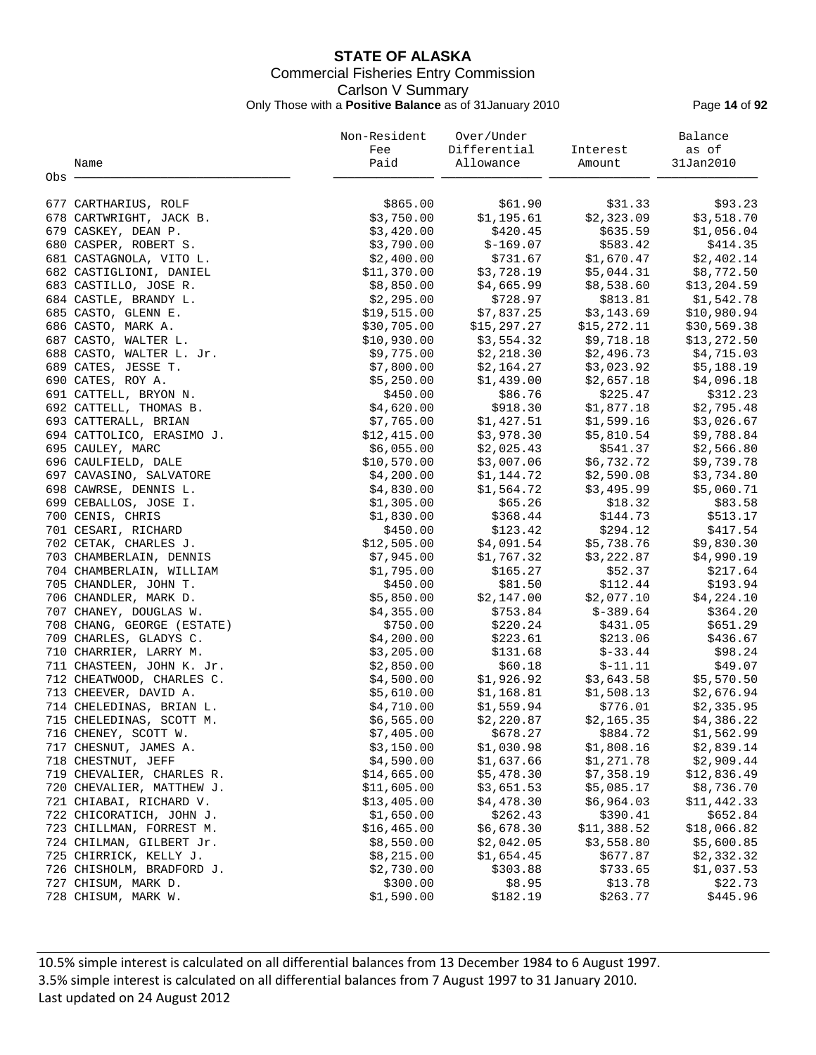# **STATE OF ALASKA** Commercial Fisheries Entry Commission Carlson V Summary Only Those with a **Positive Balance** as of 31January 2010 Page **14** of **92**

|                            | Non-Resident | Over/Under            |             | Balance      |
|----------------------------|--------------|-----------------------|-------------|--------------|
|                            | Fee          | Differential          | Interest    | as of        |
| Name                       | Paid         | Allowance             | Amount      | 31Jan2010    |
| Obs -                      |              |                       |             |              |
|                            |              |                       |             |              |
| 677 CARTHARIUS, ROLF       | \$865.00     | \$61.90               | \$31.33     | \$93.23      |
| 678 CARTWRIGHT, JACK B.    | \$3,750.00   | \$1,195.61            | \$2,323.09  | \$3,518.70   |
| 679 CASKEY, DEAN P.        | \$3,420.00   | \$420.45              | \$635.59    | \$1,056.04   |
| 680 CASPER, ROBERT S.      | \$3,790.00   | $$-169.07$            | \$583.42    | \$414.35     |
| 681 CASTAGNOLA, VITO L.    | \$2,400.00   | \$731.67              | \$1,670.47  | \$2,402.14   |
| 682 CASTIGLIONI, DANIEL    | \$11,370.00  | \$3,728.19            | \$5,044.31  | \$8,772.50   |
| 683 CASTILLO, JOSE R.      | \$8,850.00   | \$4,665.99            | \$8,538.60  | \$13, 204.59 |
| 684 CASTLE, BRANDY L.      | \$2,295.00   | \$728.97              | \$813.81    | \$1,542.78   |
| 685 CASTO, GLENN E.        | \$19,515.00  | \$7,837.25            | \$3,143.69  | \$10,980.94  |
| 686 CASTO, MARK A.         | \$30,705.00  | \$15,297.27           | \$15,272.11 | \$30,569.38  |
| 687 CASTO, WALTER L.       | \$10,930.00  | \$3,554.32            | \$9,718.18  | \$13,272.50  |
| 688 CASTO, WALTER L. Jr.   | \$9,775.00   | \$2,218.30            | \$2,496.73  | \$4,715.03   |
| 689 CATES, JESSE T.        | \$7,800.00   | \$2,164.27            | \$3,023.92  | \$5,188.19   |
| 690 CATES, ROY A.          | \$5,250.00   | \$1,439.00            | \$2,657.18  | \$4,096.18   |
| 691 CATTELL, BRYON N.      | \$450.00     | \$86.76               | \$225.47    | \$312.23     |
| 692 CATTELL, THOMAS B.     | \$4,620.00   | \$918.30              | \$1,877.18  | \$2,795.48   |
| 693 CATTERALL, BRIAN       | \$7,765.00   | \$1,427.51            | \$1,599.16  | \$3,026.67   |
| 694 CATTOLICO, ERASIMO J.  | \$12,415.00  | \$3,978.30            | \$5,810.54  | \$9,788.84   |
| 695 CAULEY, MARC           | \$6,055.00   | \$2,025.43            | \$541.37    | \$2,566.80   |
| 696 CAULFIELD, DALE        | \$10,570.00  | \$3,007.06            | \$6,732.72  | \$9,739.78   |
| 697 CAVASINO, SALVATORE    | \$4,200.00   | \$1,144.72            | \$2,590.08  | \$3,734.80   |
|                            |              |                       |             |              |
| 698 CAWRSE, DENNIS L.      | \$4,830.00   | \$1,564.72<br>\$65.26 | \$3,495.99  | \$5,060.71   |
| 699 CEBALLOS, JOSE I.      | \$1,305.00   |                       | \$18.32     | \$83.58      |
| 700 CENIS, CHRIS           | \$1,830.00   | \$368.44              | \$144.73    | \$513.17     |
| 701 CESARI, RICHARD        | \$450.00     | \$123.42              | \$294.12    | \$417.54     |
| 702 CETAK, CHARLES J.      | \$12,505.00  | \$4,091.54            | \$5,738.76  | \$9,830.30   |
| 703 CHAMBERLAIN, DENNIS    | \$7,945.00   | \$1,767.32            | \$3,222.87  | \$4,990.19   |
| 704 CHAMBERLAIN, WILLIAM   | \$1,795.00   | \$165.27              | \$52.37     | \$217.64     |
| 705 CHANDLER, JOHN T.      | \$450.00     | \$81.50               | \$112.44    | \$193.94     |
| 706 CHANDLER, MARK D.      | \$5,850.00   | \$2,147.00            | \$2,077.10  | \$4,224.10   |
| 707 CHANEY, DOUGLAS W.     | \$4,355.00   | \$753.84              | \$-389.64   | \$364.20     |
| 708 CHANG, GEORGE (ESTATE) | \$750.00     | \$220.24              | \$431.05    | \$651.29     |
| 709 CHARLES, GLADYS C.     | \$4,200.00   | \$223.61              | \$213.06    | \$436.67     |
| 710 CHARRIER, LARRY M.     | \$3,205.00   | \$131.68              | $$-33.44$   | \$98.24      |
| 711 CHASTEEN, JOHN K. Jr.  | \$2,850.00   | \$60.18               | $$-11.11$   | \$49.07      |
| 712 CHEATWOOD, CHARLES C.  | \$4,500.00   | \$1,926.92            | \$3,643.58  | \$5,570.50   |
| 713 CHEEVER, DAVID A.      | \$5,610.00   | \$1,168.81            | \$1,508.13  | \$2,676.94   |
| 714 CHELEDINAS, BRIAN L.   | \$4,710.00   | \$1,559.94            | \$776.01    | \$2,335.95   |
| 715 CHELEDINAS, SCOTT M.   | \$6,565.00   | \$2,220.87            | \$2,165.35  | \$4,386.22   |
| 716 CHENEY, SCOTT W.       | \$7,405.00   | \$678.27              | \$884.72    | \$1,562.99   |
| 717 CHESNUT, JAMES A.      | \$3,150.00   | \$1,030.98            | \$1,808.16  | \$2,839.14   |
| 718 CHESTNUT, JEFF         | \$4,590.00   | \$1,637.66            | \$1,271.78  | \$2,909.44   |
| 719 CHEVALIER, CHARLES R.  | \$14,665.00  | \$5,478.30            | \$7,358.19  | \$12,836.49  |
| 720 CHEVALIER, MATTHEW J.  | \$11,605.00  | \$3,651.53            | \$5,085.17  | \$8,736.70   |
| 721 CHIABAI, RICHARD V.    | \$13,405.00  | \$4,478.30            | \$6,964.03  | \$11,442.33  |
| 722 CHICORATICH, JOHN J.   | \$1,650.00   | \$262.43              | \$390.41    | \$652.84     |
| 723 CHILLMAN, FORREST M.   | \$16,465.00  | \$6,678.30            | \$11,388.52 | \$18,066.82  |
| 724 CHILMAN, GILBERT Jr.   | \$8,550.00   | \$2,042.05            | \$3,558.80  | \$5,600.85   |
| 725 CHIRRICK, KELLY J.     | \$8,215.00   | \$1,654.45            | \$677.87    | \$2,332.32   |
| 726 CHISHOLM, BRADFORD J.  | \$2,730.00   | \$303.88              | \$733.65    | \$1,037.53   |
| 727 CHISUM, MARK D.        | \$300.00     | \$8.95                | \$13.78     | \$22.73      |
| 728 CHISUM, MARK W.        | \$1,590.00   | \$182.19              | \$263.77    | \$445.96     |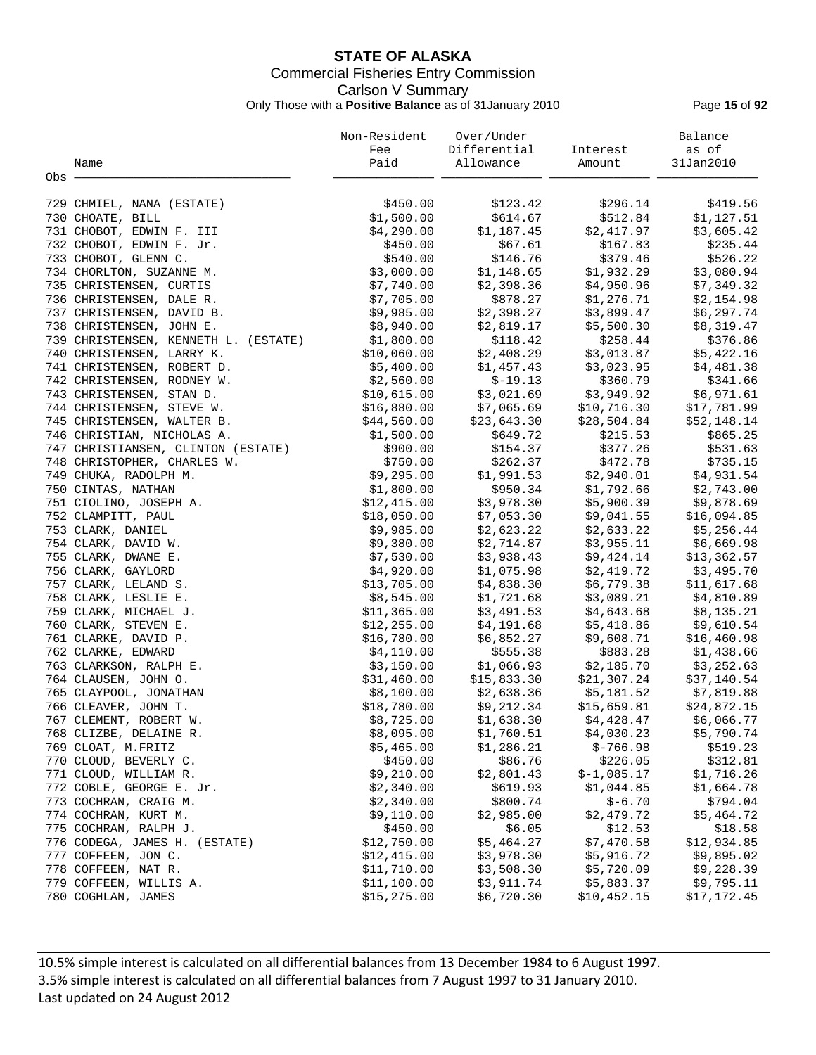# **STATE OF ALASKA** Commercial Fisheries Entry Commission Carlson V Summary Only Those with a **Positive Balance** as of 31January 2010 Page **15** of **92**

|                                      | Non-Resident | Over/Under              |                         | Balance      |
|--------------------------------------|--------------|-------------------------|-------------------------|--------------|
|                                      | Fee          | Differential            | Interest                | as of        |
| Name                                 | Paid         | Allowance               | Amount                  | 31Jan2010    |
| Obs                                  |              |                         |                         |              |
|                                      |              |                         |                         |              |
| 729 CHMIEL, NANA (ESTATE)            | \$450.00     | \$123.42                | \$296.14                | \$419.56     |
| 730 CHOATE, BILL                     | \$1,500.00   | \$614.67                | \$512.84                | \$1,127.51   |
| 731 CHOBOT, EDWIN F. III             | \$4,290.00   | \$1,187.45              | \$2,417.97              | \$3,605.42   |
| 732 CHOBOT, EDWIN F. Jr.             | \$450.00     | \$67.61                 | \$167.83                | \$235.44     |
| 733 CHOBOT, GLENN C.                 | \$540.00     | \$146.76                | \$379.46                | \$526.22     |
| 734 CHORLTON, SUZANNE M.             | \$3,000.00   | \$1,148.65              | \$1,932.29              | \$3,080.94   |
| 735 CHRISTENSEN, CURTIS              | \$7,740.00   | \$2,398.36              | \$4,950.96              | \$7,349.32   |
| 736 CHRISTENSEN, DALE R.             | \$7,705.00   | \$878.27                | \$1,276.71              | \$2,154.98   |
| 737 CHRISTENSEN, DAVID B.            | \$9,985.00   | \$2,398.27              | \$3,899.47              | \$6,297.74   |
| 738 CHRISTENSEN, JOHN E.             | \$8,940.00   | \$2,819.17              | \$5,500.30              | \$8,319.47   |
| 739 CHRISTENSEN, KENNETH L. (ESTATE) | \$1,800.00   | \$118.42                | \$258.44                | \$376.86     |
| 740 CHRISTENSEN, LARRY K.            | \$10,060.00  | \$2,408.29              | \$3,013.87              | \$5,422.16   |
| 741 CHRISTENSEN, ROBERT D.           | \$5,400.00   | \$1,457.43              | \$3,023.95              | \$4,481.38   |
| 742 CHRISTENSEN, RODNEY W.           | \$2,560.00   | $$-19.13$               | \$360.79                | \$341.66     |
| 743 CHRISTENSEN, STAN D.             | \$10,615.00  | \$3,021.69              | \$3,949.92              | \$6,971.61   |
| 744 CHRISTENSEN, STEVE W.            | \$16,880.00  | \$7,065.69              | \$10,716.30             | \$17,781.99  |
| 745 CHRISTENSEN, WALTER B.           | \$44,560.00  | \$23,643.30             | \$28,504.84             | \$52,148.14  |
| 746 CHRISTIAN, NICHOLAS A.           | \$1,500.00   | \$649.72                | \$215.53                | \$865.25     |
| 747 CHRISTIANSEN, CLINTON (ESTATE)   | \$900.00     | \$154.37                | \$377.26                | \$531.63     |
| 748 CHRISTOPHER, CHARLES W.          | \$750.00     | \$262.37                | \$472.78                | \$735.15     |
| 749 CHUKA, RADOLPH M.                | \$9,295.00   | \$1,991.53              | \$2,940.01              | \$4,931.54   |
| 750 CINTAS, NATHAN                   | \$1,800.00   | \$950.34                | \$1,792.66              | \$2,743.00   |
| 751 CIOLINO, JOSEPH A.               | \$12,415.00  | \$3,978.30              | \$5,900.39              | \$9,878.69   |
| 752 CLAMPITT, PAUL                   | \$18,050.00  |                         | $$7,053.30$ $$9,041.55$ | \$16,094.85  |
| 753 CLARK, DANIEL                    | \$9,985.00   | \$2,623.22              | \$2,633.22              | \$5,256.44   |
| 754 CLARK, DAVID W.                  | \$9,380.00   | \$2,714.87              | \$3,955.11              | \$6,669.98   |
| 755 CLARK, DWANE E.                  | \$7,530.00   | \$3,938.43              | \$9,424.14              | \$13,362.57  |
| 756 CLARK, GAYLORD                   | \$4,920.00   | \$1,075.98              | \$2,419.72              | \$3,495.70   |
| 757 CLARK, LELAND S.                 | \$13,705.00  | \$4,838.30              | \$6,779.38              | \$11,617.68  |
| 758 CLARK, LESLIE E.                 | \$8,545.00   | \$1,721.68              | \$3,089.21              | \$4,810.89   |
| 759 CLARK, MICHAEL J.                | \$11,365.00  | \$3,491.53              | \$4,643.68              | \$8,135.21   |
| 760 CLARK, STEVEN E.                 | \$12, 255.00 | \$4,191.68              | \$5,418.86              | \$9,610.54   |
| 761 CLARKE, DAVID P.                 | \$16,780.00  | \$6,852.27              | \$9,608.71              | \$16, 460.98 |
| 762 CLARKE, EDWARD                   | \$4,110.00   | \$555.38                | \$883.28                | \$1,438.66   |
| 763 CLARKSON, RALPH E.               | \$3,150.00   | \$1,066.93              | \$2,185.70              | \$3,252.63   |
| 764 CLAUSEN, JOHN O.                 | \$31,460.00  | \$15,833.30             | \$21,307.24             | \$37,140.54  |
| 765 CLAYPOOL, JONATHAN               | \$8,100.00   | $$2,638.36$ $$5,181.52$ |                         | \$7,819.88   |
| 766 CLEAVER, JOHN T.                 | \$18,780.00  | \$9,212.34              | \$15,659.81             | \$24,872.15  |
| 767 CLEMENT, ROBERT W.               | \$8,725.00   | \$1,638.30              | \$4,428.47              | \$6,066.77   |
| 768 CLIZBE, DELAINE R.               | \$8,095.00   | \$1,760.51              | \$4,030.23              | \$5,790.74   |
| 769 CLOAT, M.FRITZ                   | \$5,465.00   | \$1,286.21              | $$-766.98$              | \$519.23     |
| 770 CLOUD, BEVERLY C.                | \$450.00     | \$86.76                 | \$226.05                | \$312.81     |
| 771 CLOUD, WILLIAM R.                | \$9,210.00   | \$2,801.43              | $$-1,085.17$            | \$1,716.26   |
| 772 COBLE, GEORGE E. Jr.             | \$2,340.00   | \$619.93                | \$1,044.85              | \$1,664.78   |
| 773 COCHRAN, CRAIG M.                | \$2,340.00   | \$800.74                | $$ -6.70$               | \$794.04     |
| 774 COCHRAN, KURT M.                 | \$9,110.00   | \$2,985.00              | \$2,479.72              | \$5,464.72   |
| 775 COCHRAN, RALPH J.                | \$450.00     | \$6.05                  | \$12.53                 | \$18.58      |
| 776 CODEGA, JAMES H. (ESTATE)        | \$12,750.00  | \$5,464.27              | \$7,470.58              | \$12,934.85  |
| 777 COFFEEN, JON C.                  | \$12,415.00  | \$3,978.30              | \$5,916.72              | \$9,895.02   |
| 778 COFFEEN, NAT R.                  | \$11,710.00  | \$3,508.30              | \$5,720.09              | \$9,228.39   |
| 779 COFFEEN, WILLIS A.               | \$11,100.00  | \$3,911.74              | \$5,883.37              | \$9,795.11   |
| 780 COGHLAN, JAMES                   | \$15, 275.00 | \$6,720.30              | \$10,452.15             | \$17,172.45  |
|                                      |              |                         |                         |              |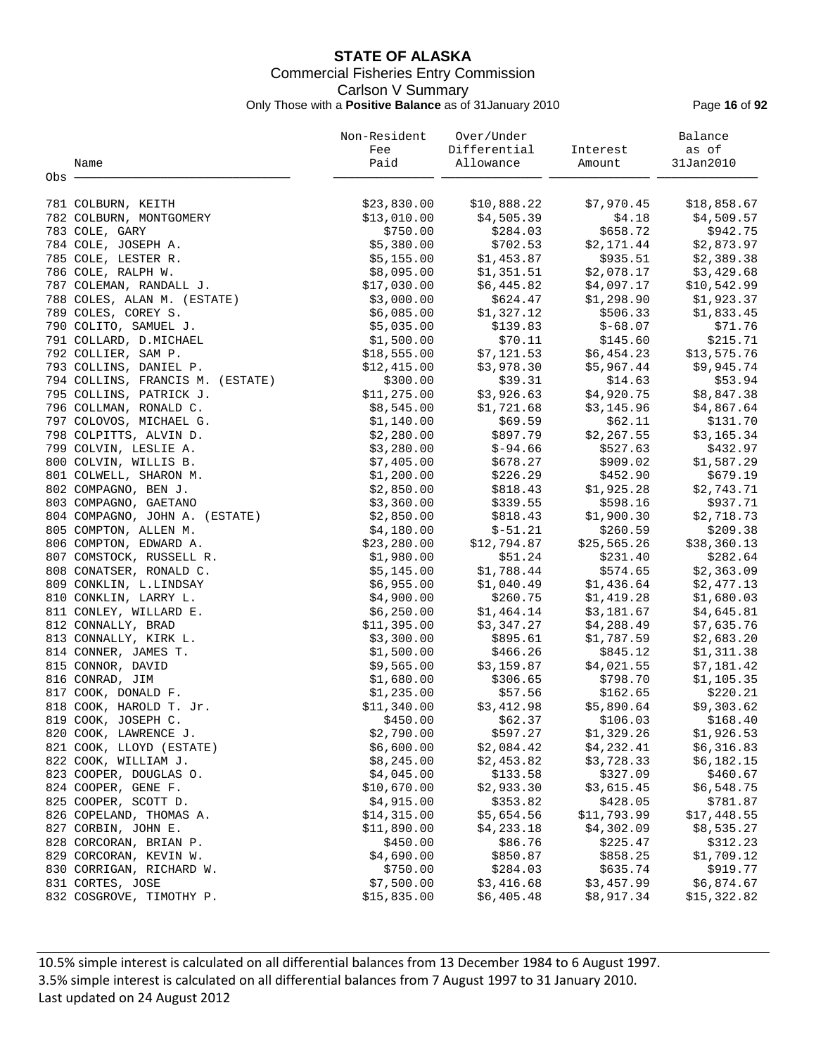# **STATE OF ALASKA** Commercial Fisheries Entry Commission Carlson V Summary Only Those with a **Positive Balance** as of 31January 2010 Page **16** of **92**

|                                  | Non-Resident | Over/Under   |             | Balance     |
|----------------------------------|--------------|--------------|-------------|-------------|
|                                  | Fee          | Differential | Interest    | as of       |
| Name                             | Paid         | Allowance    | Amount      | 31Jan2010   |
| Obs -                            |              |              |             |             |
|                                  |              |              |             |             |
| 781 COLBURN, KEITH               | \$23,830.00  | \$10,888.22  | \$7,970.45  | \$18,858.67 |
| 782 COLBURN, MONTGOMERY          | \$13,010.00  | \$4,505.39   | \$4.18      | \$4,509.57  |
| 783 COLE, GARY                   | \$750.00     | \$284.03     | \$658.72    | \$942.75    |
| 784 COLE, JOSEPH A.              | \$5,380.00   | \$702.53     | \$2,171.44  | \$2,873.97  |
| 785 COLE, LESTER R.              | \$5,155.00   | \$1,453.87   | \$935.51    | \$2,389.38  |
| 786 COLE, RALPH W.               | \$8,095.00   | \$1,351.51   | \$2,078.17  | \$3,429.68  |
| 787 COLEMAN, RANDALL J.          | \$17,030.00  | \$6,445.82   | \$4,097.17  | \$10,542.99 |
| 788 COLES, ALAN M. (ESTATE)      | \$3,000.00   | \$624.47     | \$1,298.90  | \$1,923.37  |
| 789 COLES, COREY S.              | \$6,085.00   | \$1,327.12   | \$506.33    | \$1,833.45  |
| 790 COLITO, SAMUEL J.            | \$5,035.00   | \$139.83     | $$-68.07$   | \$71.76     |
| 791 COLLARD, D.MICHAEL           | \$1,500.00   | \$70.11      | \$145.60    | \$215.71    |
| 792 COLLIER, SAM P.              | \$18,555.00  | \$7,121.53   | \$6,454.23  | \$13,575.76 |
| 793 COLLINS, DANIEL P.           | \$12,415.00  | \$3,978.30   | \$5,967.44  | \$9,945.74  |
| 794 COLLINS, FRANCIS M. (ESTATE) | \$300.00     | \$39.31      | \$14.63     | \$53.94     |
|                                  | \$11,275.00  |              | \$4,920.75  |             |
| 795 COLLINS, PATRICK J.          |              | \$3,926.63   |             | \$8,847.38  |
| 796 COLLMAN, RONALD C.           | \$8,545.00   | \$1,721.68   | \$3,145.96  | \$4,867.64  |
| 797 COLOVOS, MICHAEL G.          | \$1,140.00   | \$69.59      | \$62.11     | \$131.70    |
| 798 COLPITTS, ALVIN D.           | \$2,280.00   | \$897.79     | \$2,267.55  | \$3,165.34  |
| 799 COLVIN, LESLIE A.            | \$3,280.00   | $$-94.66$    | \$527.63    | \$432.97    |
| 800 COLVIN, WILLIS B.            | \$7,405.00   | \$678.27     | \$909.02    | \$1,587.29  |
| 801 COLWELL, SHARON M.           | \$1,200.00   | \$226.29     | \$452.90    | \$679.19    |
| 802 COMPAGNO, BEN J.             | \$2,850.00   | \$818.43     | \$1,925.28  | \$2,743.71  |
| 803 COMPAGNO, GAETANO            | \$3,360.00   | \$339.55     | \$598.16    | \$937.71    |
| 804 COMPAGNO, JOHN A. (ESTATE)   | \$2,850.00   | \$818.43     | \$1,900.30  | \$2,718.73  |
| 805 COMPTON, ALLEN M.            | \$4,180.00   | $$-51.21$    | \$260.59    | \$209.38    |
| 806 COMPTON, EDWARD A.           | \$23, 280.00 | \$12,794.87  | \$25,565.26 | \$38,360.13 |
| 807 COMSTOCK, RUSSELL R.         | \$1,980.00   | \$51.24      | \$231.40    | \$282.64    |
| 808 CONATSER, RONALD C.          | \$5,145.00   | \$1,788.44   | \$574.65    | \$2,363.09  |
| 809 CONKLIN, L.LINDSAY           | \$6,955.00   | \$1,040.49   | \$1,436.64  | \$2,477.13  |
| 810 CONKLIN, LARRY L.            | \$4,900.00   | \$260.75     | \$1,419.28  | \$1,680.03  |
| 811 CONLEY, WILLARD E.           | \$6,250.00   | \$1,464.14   | \$3,181.67  | \$4,645.81  |
| 812 CONNALLY, BRAD               | \$11,395.00  | \$3,347.27   | \$4,288.49  | \$7,635.76  |
| 813 CONNALLY, KIRK L.            | \$3,300.00   | \$895.61     | \$1,787.59  | \$2,683.20  |
| 814 CONNER, JAMES T.             | \$1,500.00   | \$466.26     | \$845.12    | \$1,311.38  |
| 815 CONNOR, DAVID                | \$9,565.00   | \$3,159.87   | \$4,021.55  | \$7,181.42  |
| 816 CONRAD, JIM                  | \$1,680.00   | \$306.65     | \$798.70    | \$1,105.35  |
| 817 COOK, DONALD F.              | \$1,235.00   | \$57.56      | \$162.65    | \$220.21    |
| 818 COOK, HAROLD T. Jr.          | \$11,340.00  | \$3,412.98   | \$5,890.64  | \$9,303.62  |
| 819 COOK, JOSEPH C.              | \$450.00     | \$62.37      | \$106.03    | \$168.40    |
| 820 COOK, LAWRENCE J.            | \$2,790.00   | \$597.27     | \$1,329.26  | \$1,926.53  |
| 821 COOK, LLOYD (ESTATE)         | \$6,600.00   | \$2,084.42   | \$4,232.41  | \$6,316.83  |
| 822 COOK, WILLIAM J.             | \$8,245.00   | \$2,453.82   | \$3,728.33  | \$6,182.15  |
| 823 COOPER, DOUGLAS O.           | \$4,045.00   | \$133.58     | \$327.09    | \$460.67    |
| 824 COOPER, GENE F.              | \$10,670.00  | \$2,933.30   | \$3,615.45  | \$6,548.75  |
| 825 COOPER, SCOTT D.             | \$4,915.00   | \$353.82     | \$428.05    | \$781.87    |
| 826 COPELAND, THOMAS A.          | \$14,315.00  | \$5,654.56   | \$11,793.99 | \$17,448.55 |
| 827 CORBIN, JOHN E.              | \$11,890.00  | \$4,233.18   | \$4,302.09  | \$8,535.27  |
| 828 CORCORAN, BRIAN P.           | \$450.00     | \$86.76      | \$225.47    | \$312.23    |
| 829 CORCORAN, KEVIN W.           | \$4,690.00   | \$850.87     | \$858.25    | \$1,709.12  |
| 830 CORRIGAN, RICHARD W.         | \$750.00     | \$284.03     | \$635.74    | \$919.77    |
|                                  |              | \$3,416.68   | \$3,457.99  | \$6,874.67  |
| 831 CORTES, JOSE                 | \$7,500.00   |              |             |             |
| 832 COSGROVE, TIMOTHY P.         | \$15,835.00  | \$6,405.48   | \$8,917.34  | \$15,322.82 |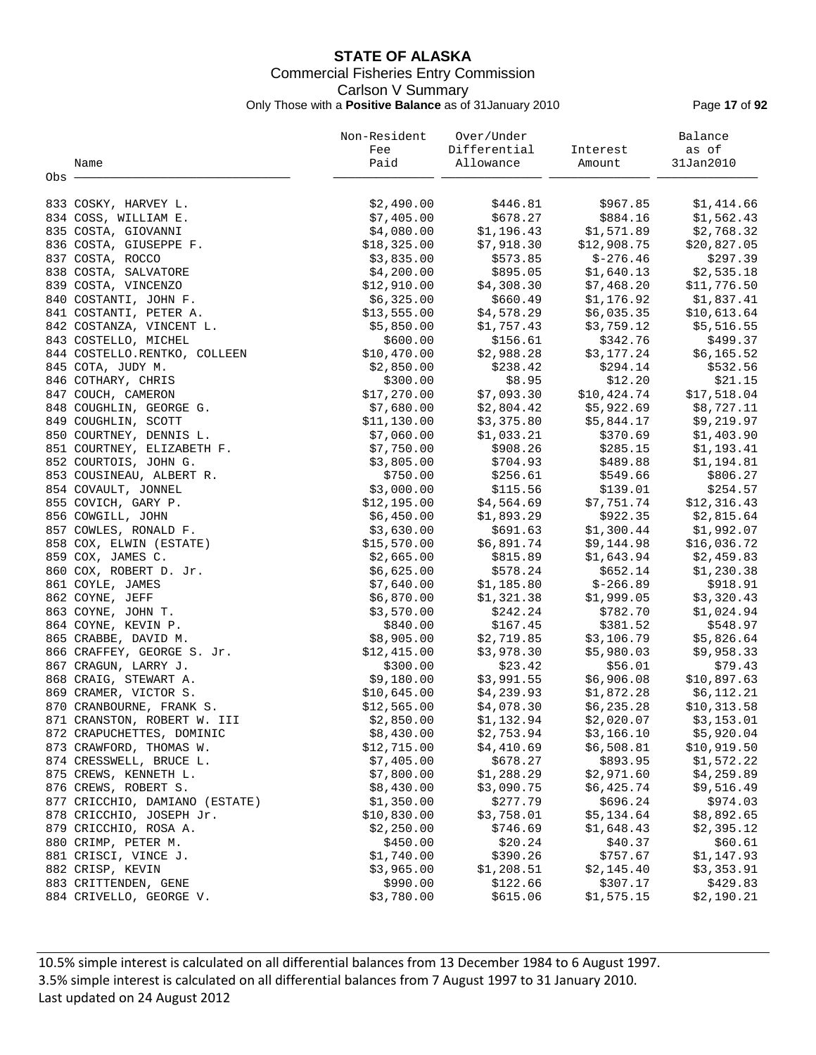# **STATE OF ALASKA** Commercial Fisheries Entry Commission Carlson V Summary Only Those with a **Positive Balance** as of 31January 2010 Page **17** of **92**

|                                | Non-Resident | Over/Under   |             | Balance     |
|--------------------------------|--------------|--------------|-------------|-------------|
|                                | Fee          | Differential | Interest    | as of       |
| Name                           | Paid         | Allowance    | Amount      | 31Jan2010   |
| Obs -                          |              |              |             |             |
|                                |              |              |             |             |
| 833 COSKY, HARVEY L.           | \$2,490.00   | \$446.81     | \$967.85    | \$1,414.66  |
| 834 COSS, WILLIAM E.           | \$7,405.00   | \$678.27     | \$884.16    | \$1,562.43  |
| 835 COSTA, GIOVANNI            | \$4,080.00   | \$1,196.43   | \$1,571.89  | \$2,768.32  |
| 836 COSTA, GIUSEPPE F.         | \$18,325.00  | \$7,918.30   | \$12,908.75 | \$20,827.05 |
| 837 COSTA, ROCCO               | \$3,835.00   | \$573.85     | $$-276.46$  | \$297.39    |
| 838 COSTA, SALVATORE           | \$4,200.00   | \$895.05     | \$1,640.13  | \$2,535.18  |
| 839 COSTA, VINCENZO            | \$12,910.00  | \$4,308.30   | \$7,468.20  | \$11,776.50 |
| 840 COSTANTI, JOHN F.          | \$6,325.00   | \$660.49     | \$1,176.92  | \$1,837.41  |
| 841 COSTANTI, PETER A.         | \$13,555.00  | \$4,578.29   | \$6,035.35  | \$10,613.64 |
| 842 COSTANZA, VINCENT L.       | \$5,850.00   | \$1,757.43   | \$3,759.12  | \$5,516.55  |
| 843 COSTELLO, MICHEL           | \$600.00     | \$156.61     | \$342.76    | \$499.37    |
| 844 COSTELLO.RENTKO, COLLEEN   | \$10,470.00  | \$2,988.28   | \$3,177.24  | \$6,165.52  |
| 845 COTA, JUDY M.              | \$2,850.00   | \$238.42     | \$294.14    | \$532.56    |
| 846 COTHARY, CHRIS             | \$300.00     | \$8.95       | \$12.20     | \$21.15     |
| 847 COUCH, CAMERON             | \$17,270.00  | \$7,093.30   | \$10,424.74 | \$17,518.04 |
| 848 COUGHLIN, GEORGE G.        | \$7,680.00   | \$2,804.42   | \$5,922.69  | \$8,727.11  |
|                                |              |              |             |             |
| 849 COUGHLIN, SCOTT            | \$11,130.00  | \$3,375.80   | \$5,844.17  | \$9,219.97  |
| 850 COURTNEY, DENNIS L.        | \$7,060.00   | \$1,033.21   | \$370.69    | \$1,403.90  |
| 851 COURTNEY, ELIZABETH F.     | \$7,750.00   | \$908.26     | \$285.15    | \$1,193.41  |
| 852 COURTOIS, JOHN G.          | \$3,805.00   | \$704.93     | \$489.88    | \$1,194.81  |
| 853 COUSINEAU, ALBERT R.       | \$750.00     | \$256.61     | \$549.66    | \$806.27    |
| 854 COVAULT, JONNEL            | \$3,000.00   | \$115.56     | \$139.01    | \$254.57    |
| 855 COVICH, GARY P.            | \$12,195.00  | \$4,564.69   | \$7,751.74  | \$12,316.43 |
| 856 COWGILL, JOHN              | \$6,450.00   | \$1,893.29   | \$922.35    | \$2,815.64  |
| 857 COWLES, RONALD F.          | \$3,630.00   | \$691.63     | \$1,300.44  | \$1,992.07  |
| 858 COX, ELWIN (ESTATE)        | \$15,570.00  | \$6,891.74   | \$9,144.98  | \$16,036.72 |
| 859 COX, JAMES C.              | \$2,665.00   | \$815.89     | \$1,643.94  | \$2,459.83  |
| 860 COX, ROBERT D. Jr.         | \$6,625.00   | \$578.24     | \$652.14    | \$1,230.38  |
| 861 COYLE, JAMES               | \$7,640.00   | \$1,185.80   | $$-266.89$  | \$918.91    |
| 862 COYNE, JEFF                | \$6,870.00   | \$1,321.38   | \$1,999.05  | \$3,320.43  |
| 863 COYNE, JOHN T.             | \$3,570.00   | \$242.24     | \$782.70    | \$1,024.94  |
| 864 COYNE, KEVIN P.            | \$840.00     | \$167.45     | \$381.52    | \$548.97    |
| 865 CRABBE, DAVID M.           | \$8,905.00   | \$2,719.85   | \$3,106.79  | \$5,826.64  |
| 866 CRAFFEY, GEORGE S. Jr.     | \$12,415.00  | \$3,978.30   | \$5,980.03  | \$9,958.33  |
| 867 CRAGUN, LARRY J.           | \$300.00     | \$23.42      | \$56.01     | \$79.43     |
| 868 CRAIG, STEWART A.          | \$9,180.00   | \$3,991.55   | \$6,906.08  | \$10,897.63 |
| 869 CRAMER, VICTOR S.          | \$10,645.00  | \$4,239.93   | \$1,872.28  | \$6,112.21  |
| 870 CRANBOURNE, FRANK S.       | \$12,565.00  | \$4,078.30   | \$6,235.28  | \$10,313.58 |
| 871 CRANSTON, ROBERT W. III    | \$2,850.00   | \$1,132.94   | \$2,020.07  | \$3,153.01  |
| 872 CRAPUCHETTES, DOMINIC      | \$8,430.00   | \$2,753.94   | \$3,166.10  | \$5,920.04  |
| 873 CRAWFORD, THOMAS W.        | \$12,715.00  | \$4,410.69   | \$6,508.81  | \$10,919.50 |
| 874 CRESSWELL, BRUCE L.        | \$7,405.00   | \$678.27     | \$893.95    | \$1,572.22  |
| 875 CREWS, KENNETH L.          | \$7,800.00   | \$1,288.29   | \$2,971.60  | \$4,259.89  |
| 876 CREWS, ROBERT S.           | \$8,430.00   | \$3,090.75   | \$6,425.74  | \$9,516.49  |
| 877 CRICCHIO, DAMIANO (ESTATE) | \$1,350.00   | \$277.79     | \$696.24    | \$974.03    |
| 878 CRICCHIO, JOSEPH Jr.       | \$10,830.00  | \$3,758.01   | \$5,134.64  | \$8,892.65  |
| 879 CRICCHIO, ROSA A.          | \$2,250.00   | \$746.69     | \$1,648.43  | \$2,395.12  |
| 880 CRIMP, PETER M.            | \$450.00     | \$20.24      | \$40.37     | \$60.61     |
| 881 CRISCI, VINCE J.           | \$1,740.00   | \$390.26     | \$757.67    | \$1,147.93  |
| 882 CRISP, KEVIN               | \$3,965.00   | \$1,208.51   | \$2,145.40  | \$3,353.91  |
| 883 CRITTENDEN, GENE           | \$990.00     | \$122.66     | \$307.17    | \$429.83    |
| 884 CRIVELLO, GEORGE V.        | \$3,780.00   | \$615.06     | \$1,575.15  | \$2,190.21  |
|                                |              |              |             |             |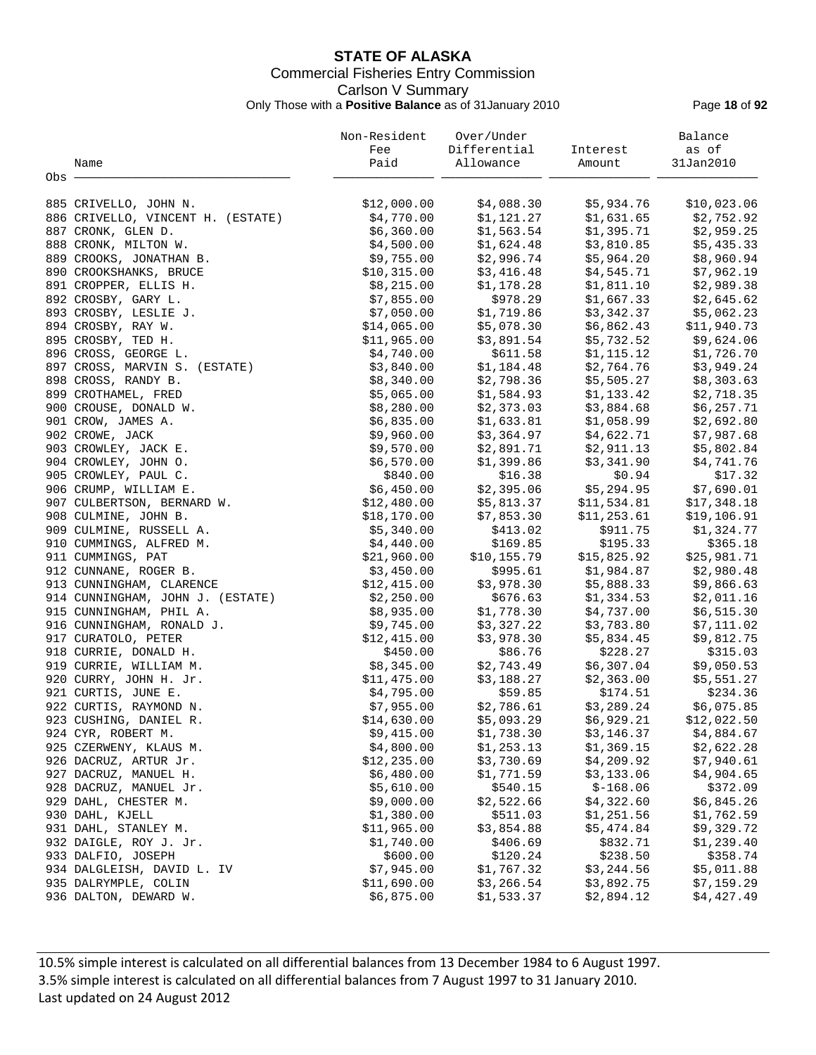# **STATE OF ALASKA** Commercial Fisheries Entry Commission Carlson V Summary Only Those with a **Positive Balance** as of 31January 2010 Page **18** of **92**

|                                   | Non-Resident | Over/Under   |              | Balance      |
|-----------------------------------|--------------|--------------|--------------|--------------|
|                                   | Fee          | Differential | Interest     | as of        |
| Name                              | Paid         | Allowance    | Amount       | 31Jan2010    |
| Obs                               |              |              |              |              |
|                                   |              |              |              |              |
| 885 CRIVELLO, JOHN N.             | \$12,000.00  | \$4,088.30   | \$5,934.76   | \$10,023.06  |
| 886 CRIVELLO, VINCENT H. (ESTATE) | \$4,770.00   | \$1,121.27   | \$1,631.65   | \$2,752.92   |
| 887 CRONK, GLEN D.                | \$6,360.00   | \$1,563.54   | \$1,395.71   | \$2,959.25   |
| 888 CRONK, MILTON W.              | \$4,500.00   | \$1,624.48   | \$3,810.85   | \$5,435.33   |
| 889 CROOKS, JONATHAN B.           | \$9,755.00   | \$2,996.74   | \$5,964.20   | \$8,960.94   |
| 890 CROOKSHANKS, BRUCE            | \$10,315.00  | \$3,416.48   | \$4,545.71   | \$7,962.19   |
| 891 CROPPER, ELLIS H.             | \$8,215.00   | \$1,178.28   | \$1,811.10   | \$2,989.38   |
| 892 CROSBY, GARY L.               | \$7,855.00   | \$978.29     | \$1,667.33   | \$2,645.62   |
| 893 CROSBY, LESLIE J.             | \$7,050.00   | \$1,719.86   | \$3,342.37   | \$5,062.23   |
| 894 CROSBY, RAY W.                | \$14,065.00  | \$5,078.30   | \$6,862.43   | \$11,940.73  |
| 895 CROSBY, TED H.                | \$11,965.00  | \$3,891.54   | \$5,732.52   | \$9,624.06   |
| 896 CROSS, GEORGE L.              | \$4,740.00   | \$611.58     | \$1,115.12   | \$1,726.70   |
| 897 CROSS, MARVIN S. (ESTATE)     | \$3,840.00   | \$1,184.48   | \$2,764.76   | \$3,949.24   |
| 898 CROSS, RANDY B.               | \$8,340.00   | \$2,798.36   | \$5,505.27   | \$8,303.63   |
| 899 CROTHAMEL, FRED               | \$5,065.00   | \$1,584.93   | \$1,133.42   | \$2,718.35   |
| 900 CROUSE, DONALD W.             | \$8,280.00   | \$2,373.03   | \$3,884.68   | \$6,257.71   |
| 901 CROW, JAMES A.                | \$6,835.00   | \$1,633.81   | \$1,058.99   | \$2,692.80   |
| 902 CROWE, JACK                   | \$9,960.00   | \$3,364.97   | \$4,622.71   | \$7,987.68   |
| 903 CROWLEY, JACK E.              | \$9,570.00   | \$2,891.71   | \$2,911.13   | \$5,802.84   |
| 904 CROWLEY, JOHN O.              | \$6,570.00   | \$1,399.86   | \$3,341.90   | \$4,741.76   |
| 905 CROWLEY, PAUL C.              | \$840.00     | \$16.38      | \$0.94       | \$17.32      |
| 906 CRUMP, WILLIAM E.             | \$6,450.00   | \$2,395.06   | \$5,294.95   | \$7,690.01   |
| 907 CULBERTSON, BERNARD W.        | \$12,480.00  | \$5,813.37   | \$11,534.81  | \$17,348.18  |
| 908 CULMINE, JOHN B.              | \$18,170.00  | \$7,853.30   | \$11, 253.61 | \$19, 106.91 |
| 909 CULMINE, RUSSELL A.           | \$5,340.00   | \$413.02     | \$911.75     | \$1,324.77   |
| 910 CUMMINGS, ALFRED M.           | \$4,440.00   | \$169.85     | \$195.33     | \$365.18     |
| 911 CUMMINGS, PAT                 | \$21,960.00  | \$10,155.79  | \$15,825.92  | \$25,981.71  |
| 912 CUNNANE, ROGER B.             | \$3,450.00   | \$995.61     | \$1,984.87   | \$2,980.48   |
| 913 CUNNINGHAM, CLARENCE          | \$12,415.00  | \$3,978.30   | \$5,888.33   | \$9,866.63   |
| 914 CUNNINGHAM, JOHN J. (ESTATE)  | \$2,250.00   | \$676.63     | \$1,334.53   | \$2,011.16   |
| 915 CUNNINGHAM, PHIL A.           | \$8,935.00   | \$1,778.30   | \$4,737.00   | \$6,515.30   |
| 916 CUNNINGHAM, RONALD J.         | \$9,745.00   | \$3,327.22   | \$3,783.80   | \$7,111.02   |
| 917 CURATOLO, PETER               | \$12,415.00  | \$3,978.30   | \$5,834.45   | \$9,812.75   |
| 918 CURRIE, DONALD H.             | \$450.00     | \$86.76      | \$228.27     | \$315.03     |
| 919 CURRIE, WILLIAM M.            | \$8,345.00   | \$2,743.49   | \$6,307.04   | \$9,050.53   |
| 920 CURRY, JOHN H. Jr.            | \$11,475.00  | \$3,188.27   | \$2,363.00   | \$5,551.27   |
| 921 CURTIS, JUNE E.               | \$4,795.00   | \$59.85      | \$174.51     | \$234.36     |
| 922 CURTIS, RAYMOND N.            | \$7,955.00   | \$2,786.61   | \$3,289.24   | \$6,075.85   |
| 923 CUSHING, DANIEL R.            | \$14,630.00  | \$5,093.29   | \$6,929.21   | \$12,022.50  |
| 924 CYR, ROBERT M.                | \$9,415.00   | \$1,738.30   | \$3,146.37   | \$4,884.67   |
| 925 CZERWENY, KLAUS M.            | \$4,800.00   | \$1,253.13   | \$1,369.15   | \$2,622.28   |
| 926 DACRUZ, ARTUR Jr.             | \$12, 235.00 | \$3,730.69   | \$4,209.92   | \$7,940.61   |
| 927 DACRUZ, MANUEL H.             | \$6,480.00   | \$1,771.59   | \$3,133.06   | \$4,904.65   |
| 928 DACRUZ, MANUEL Jr.            | \$5,610.00   | \$540.15     | $$-168.06$   | \$372.09     |
| 929 DAHL, CHESTER M.              | \$9,000.00   | \$2,522.66   | \$4,322.60   | \$6,845.26   |
| 930 DAHL, KJELL                   | \$1,380.00   | \$511.03     | \$1,251.56   | \$1,762.59   |
| 931 DAHL, STANLEY M.              | \$11,965.00  | \$3,854.88   | \$5,474.84   | \$9,329.72   |
| 932 DAIGLE, ROY J. Jr.            | \$1,740.00   | \$406.69     | \$832.71     | \$1,239.40   |
| 933 DALFIO, JOSEPH                | \$600.00     | \$120.24     | \$238.50     | \$358.74     |
| 934 DALGLEISH, DAVID L. IV        | \$7,945.00   | \$1,767.32   | \$3,244.56   | \$5,011.88   |
| 935 DALRYMPLE, COLIN              | \$11,690.00  | \$3,266.54   | \$3,892.75   | \$7,159.29   |
| 936 DALTON, DEWARD W.             | \$6,875.00   | \$1,533.37   | \$2,894.12   | \$4,427.49   |
|                                   |              |              |              |              |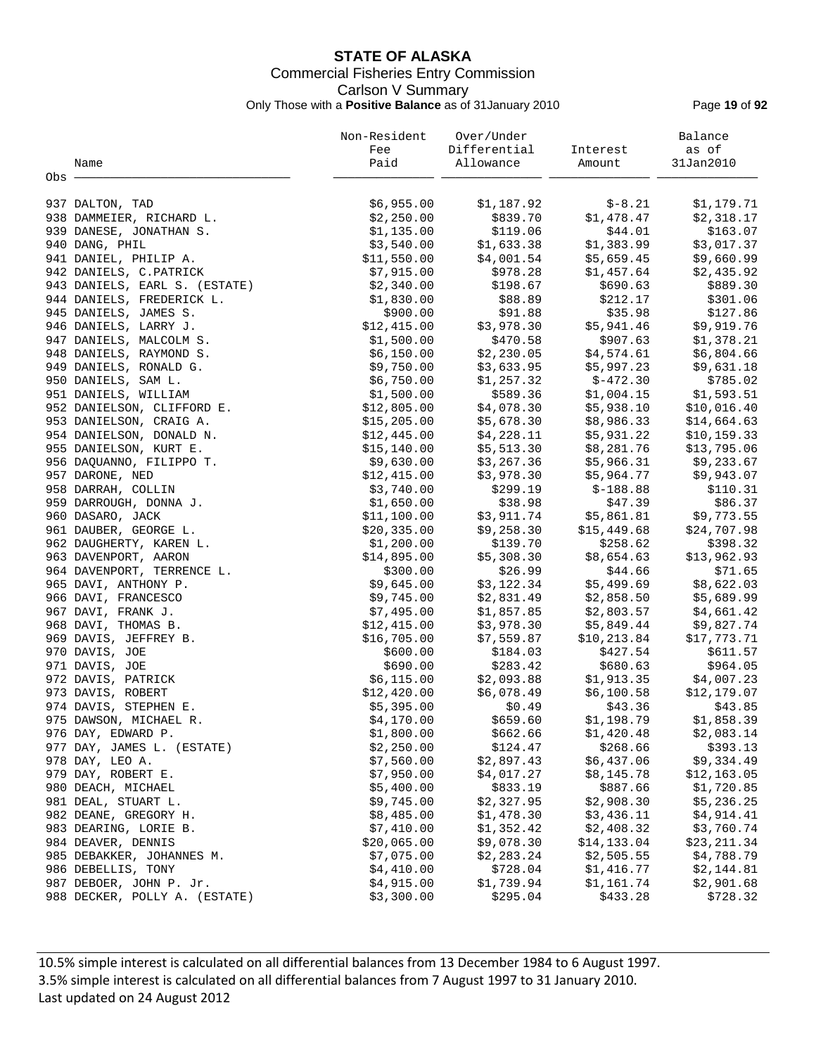# **STATE OF ALASKA** Commercial Fisheries Entry Commission Carlson V Summary Only Those with a **Positive Balance** as of 31January 2010 Page **19** of **92**

|                                      | Non-Resident           | Over/Under   |              | Balance                |
|--------------------------------------|------------------------|--------------|--------------|------------------------|
|                                      | Fee                    | Differential | Interest     | as of                  |
| Name                                 | Paid                   | Allowance    | Amount       | 31Jan2010              |
| Obs                                  |                        |              |              |                        |
|                                      |                        |              |              |                        |
| 937 DALTON, TAD                      | \$6,955.00             | \$1,187.92   | $$-8.21$     | \$1,179.71             |
| 938 DAMMEIER, RICHARD L.             | \$2,250.00             | \$839.70     | \$1,478.47   | \$2,318.17             |
| 939 DANESE, JONATHAN S.              | \$1,135.00             | \$119.06     | \$44.01      | \$163.07               |
| 940 DANG, PHIL                       | \$3,540.00             | \$1,633.38   | \$1,383.99   | \$3,017.37             |
| 941 DANIEL, PHILIP A.                | \$11,550.00            | \$4,001.54   | \$5,659.45   | \$9,660.99             |
| 942 DANIELS, C.PATRICK               | \$7,915.00             | \$978.28     | \$1,457.64   | \$2,435.92             |
| 943 DANIELS, EARL S. (ESTATE)        | \$2,340.00             | \$198.67     | \$690.63     | \$889.30               |
| 944 DANIELS, FREDERICK L.            | \$1,830.00             | \$88.89      | \$212.17     | \$301.06               |
| 945 DANIELS, JAMES S.                | \$900.00               | \$91.88      | \$35.98      | \$127.86               |
| 946 DANIELS, LARRY J.                | \$12,415.00            | \$3,978.30   | \$5,941.46   | \$9,919.76             |
| 947 DANIELS, MALCOLM S.              | \$1,500.00             | \$470.58     | \$907.63     | \$1,378.21             |
| 948 DANIELS, RAYMOND S.              | \$6,150.00             | \$2,230.05   | \$4,574.61   | \$6,804.66             |
| 949 DANIELS, RONALD G.               | \$9,750.00             | \$3,633.95   | \$5,997.23   | \$9,631.18             |
| 950 DANIELS, SAM L.                  | \$6,750.00             | \$1,257.32   | $$-472.30$   | \$785.02               |
| 951 DANIELS, WILLIAM                 | \$1,500.00             | \$589.36     | \$1,004.15   | \$1,593.51             |
| 952 DANIELSON, CLIFFORD E.           | \$12,805.00            | \$4,078.30   | \$5,938.10   | \$10,016.40            |
| 953 DANIELSON, CRAIG A.              | \$15,205.00            | \$5,678.30   | \$8,986.33   | \$14,664.63            |
| 954 DANIELSON, DONALD N.             | \$12,445.00            | \$4,228.11   | \$5,931.22   | \$10, 159.33           |
| 955 DANIELSON, KURT E.               | \$15, 140.00           | \$5,513.30   | \$8,281.76   | \$13,795.06            |
| 956 DAQUANNO, FILIPPO T.             | \$9,630.00             | \$3,267.36   | \$5,966.31   | \$9,233.67             |
| 957 DARONE, NED                      | \$12,415.00            | \$3,978.30   | \$5,964.77   | \$9,943.07             |
| 958 DARRAH, COLLIN                   | \$3,740.00             | \$299.19     | $$-188.88$   | \$110.31               |
| 959 DARROUGH, DONNA J.               | \$1,650.00             | \$38.98      | \$47.39      | \$86.37                |
| 960 DASARO, JACK                     | \$11,100.00            | \$3,911.74   | \$5,861.81   | \$9,773.55             |
| 961 DAUBER, GEORGE L.                | \$20,335.00            | \$9,258.30   | \$15,449.68  | \$24,707.98            |
| 962 DAUGHERTY, KAREN L.              | \$1,200.00             | \$139.70     | \$258.62     | \$398.32               |
| 963 DAVENPORT, AARON                 | \$14,895.00            | \$5,308.30   | \$8,654.63   | \$13,962.93            |
| 964 DAVENPORT, TERRENCE L.           | \$300.00               | \$26.99      | \$44.66      | \$71.65                |
| 965 DAVI, ANTHONY P.                 | \$9,645.00             | \$3,122.34   | \$5,499.69   | \$8,622.03             |
| 966 DAVI, FRANCESCO                  | \$9,745.00             | \$2,831.49   | \$2,858.50   | \$5,689.99             |
| 967 DAVI, FRANK J.                   | \$7,495.00             | \$1,857.85   | \$2,803.57   | \$4,661.42             |
| 968 DAVI, THOMAS B.                  | \$12,415.00            | \$3,978.30   | \$5,849.44   | \$9,827.74             |
|                                      | \$16,705.00            | \$7,559.87   | \$10, 213.84 | \$17,773.71            |
| 969 DAVIS, JEFFREY B.                |                        | \$184.03     | \$427.54     | \$611.57               |
| 970 DAVIS, JOE                       | \$600.00               | \$283.42     | \$680.63     |                        |
| 971 DAVIS, JOE<br>972 DAVIS, PATRICK | \$690.00<br>\$6,115.00 | \$2,093.88   | \$1,913.35   | \$964.05<br>\$4,007.23 |
| 973 DAVIS, ROBERT                    | \$12,420.00            | \$6,078.49   | \$6,100.58   | \$12,179.07            |
| 974 DAVIS, STEPHEN E.                | \$5,395.00             | \$0.49       | \$43.36      | \$43.85                |
| 975 DAWSON, MICHAEL R.               | \$4,170.00             | \$659.60     |              | \$1,858.39             |
|                                      |                        |              | \$1,198.79   |                        |
| 976 DAY, EDWARD P.                   | \$1,800.00             | \$662.66     | \$1,420.48   | \$2,083.14             |
| 977 DAY, JAMES L. (ESTATE)           | \$2,250.00             | \$124.47     | \$268.66     | \$393.13               |
| 978 DAY, LEO A.                      | \$7,560.00             | \$2,897.43   | \$6,437.06   | \$9,334.49             |
| 979 DAY, ROBERT E.                   | \$7,950.00             | \$4,017.27   | \$8,145.78   | \$12,163.05            |
| 980 DEACH, MICHAEL                   | \$5,400.00             | \$833.19     | \$887.66     | \$1,720.85             |
| 981 DEAL, STUART L.                  | \$9,745.00             | \$2,327.95   | \$2,908.30   | \$5,236.25             |
| 982 DEANE, GREGORY H.                | \$8,485.00             | \$1,478.30   | \$3,436.11   | \$4,914.41             |
| 983 DEARING, LORIE B.                | \$7,410.00             | \$1,352.42   | \$2,408.32   | \$3,760.74             |
| 984 DEAVER, DENNIS                   | \$20,065.00            | \$9,078.30   | \$14,133.04  | \$23,211.34            |
| 985 DEBAKKER, JOHANNES M.            | \$7,075.00             | \$2,283.24   | \$2,505.55   | \$4,788.79             |
| 986 DEBELLIS, TONY                   | \$4,410.00             | \$728.04     | \$1,416.77   | \$2,144.81             |
| 987 DEBOER, JOHN P. Jr.              | \$4,915.00             | \$1,739.94   | \$1,161.74   | \$2,901.68             |
| 988 DECKER, POLLY A. (ESTATE)        | \$3,300.00             | \$295.04     | \$433.28     | \$728.32               |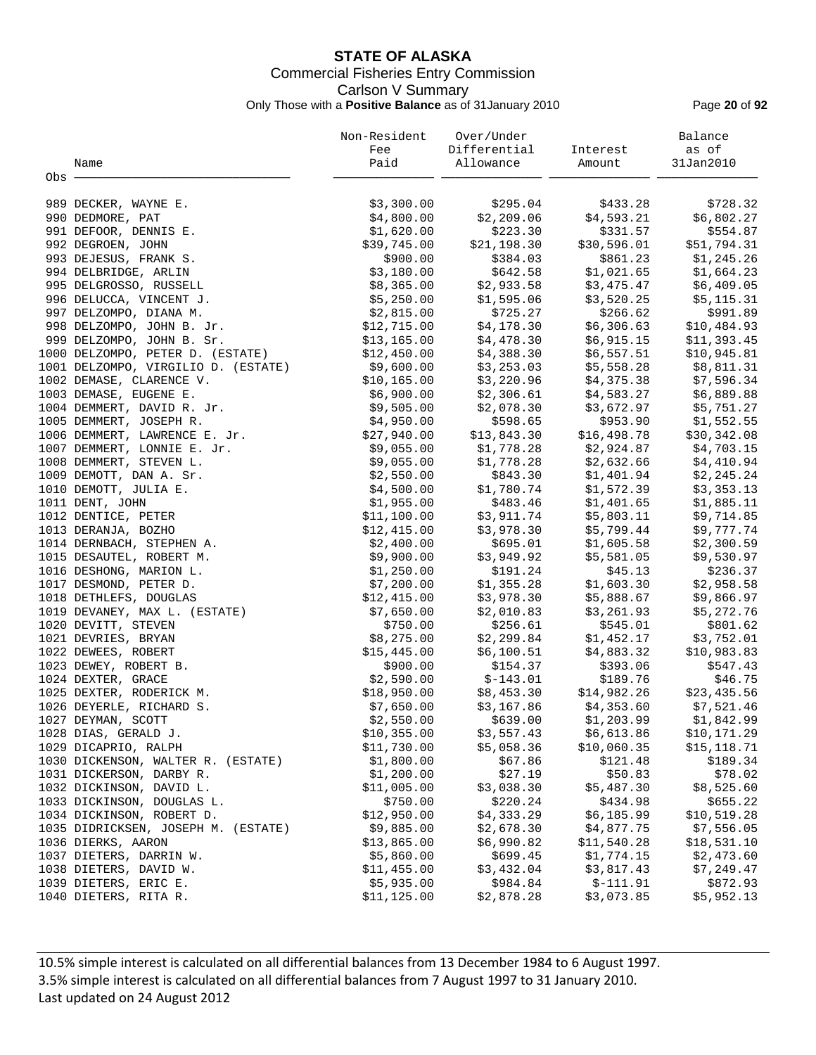# **STATE OF ALASKA** Commercial Fisheries Entry Commission Carlson V Summary Only Those with a **Positive Balance** as of 31January 2010 Page **20** of **92**

|       |                                                           | Non-Resident              | Over/Under               |                        | Balance                   |
|-------|-----------------------------------------------------------|---------------------------|--------------------------|------------------------|---------------------------|
|       |                                                           | Fee                       | Differential             | Interest               | as of                     |
|       | Name                                                      | Paid                      | Allowance                | Amount                 | 31Jan2010                 |
| Obs - |                                                           |                           |                          |                        |                           |
|       |                                                           |                           | \$295.04                 |                        |                           |
|       | 989 DECKER, WAYNE E.<br>990 DEDMORE, PAT                  | \$3,300.00                |                          | \$433.28<br>\$4,593.21 | \$728.32                  |
|       |                                                           | \$4,800.00                | \$2,209.06<br>\$223.30   | \$331.57               | \$6,802.27                |
|       | 991 DEFOOR, DENNIS E.                                     | \$1,620.00                | \$21,198.30              | \$30,596.01            | \$554.87<br>\$51,794.31   |
|       | 992 DEGROEN, JOHN                                         | \$39,745.00               |                          |                        |                           |
|       | 993 DEJESUS, FRANK S.                                     | \$900.00                  | \$384.03                 | \$861.23               | \$1,245.26                |
|       | 994 DELBRIDGE, ARLIN                                      | \$3,180.00                | \$642.58                 | \$1,021.65             | \$1,664.23                |
|       | 995 DELGROSSO, RUSSELL                                    | \$8,365.00                | \$2,933.58               | \$3,475.47             | \$6,409.05                |
|       | 996 DELUCCA, VINCENT J.                                   | \$5,250.00                | \$1,595.06               | \$3,520.25             | \$5,115.31                |
|       | 997 DELZOMPO, DIANA M.                                    | \$2,815.00                | \$725.27                 | \$266.62               | \$991.89                  |
|       | 998 DELZOMPO, JOHN B. Jr.                                 | \$12,715.00               | \$4,178.30               | \$6,306.63             | \$10,484.93               |
|       | 999 DELZOMPO, JOHN B. Sr.                                 | \$13,165.00               | \$4,478.30               | \$6,915.15             | \$11,393.45               |
|       | 1000 DELZOMPO, PETER D. (ESTATE)                          | \$12,450.00               | \$4,388.30               | \$6,557.51             | \$10,945.81               |
|       | 1001 DELZOMPO, VIRGILIO D. (ESTATE)                       | \$9,600.00                | \$3,253.03               | \$5,558.28             | \$8,811.31                |
|       | 1002 DEMASE, CLARENCE V.                                  | \$10, 165.00              | \$3,220.96               | \$4,375.38             | \$7,596.34                |
|       | 1003 DEMASE, EUGENE E.                                    | \$6,900.00                | \$2,306.61               | \$4,583.27             | \$6,889.88                |
|       | 1004 DEMMERT, DAVID R. Jr.                                | \$9,505.00                | \$2,078.30               | \$3,672.97             | \$5,751.27                |
|       | 1005 DEMMERT, JOSEPH R.                                   | \$4,950.00                | \$598.65                 | \$953.90               | \$1,552.55                |
|       | 1006 DEMMERT, LAWRENCE E. Jr.                             | \$27,940.00               | \$13,843.30              | \$16,498.78            | \$30,342.08               |
|       | 1007 DEMMERT, LONNIE E. Jr.                               | \$9,055.00                | \$1,778.28               | \$2,924.87             | \$4,703.15                |
|       | 1008 DEMMERT, STEVEN L.                                   | \$9,055.00                | \$1,778.28               | \$2,632.66             | \$4,410.94                |
|       | 1009 DEMOTT, DAN A. Sr.                                   | \$2,550.00                | \$843.30                 | \$1,401.94             | \$2,245.24                |
|       | 1010 DEMOTT, JULIA E.                                     | \$4,500.00                | \$1,780.74               | \$1,572.39             | \$3,353.13                |
|       | 1011 DENT, JOHN                                           | \$1,955.00                | \$483.46                 | \$1,401.65             | \$1,885.11                |
|       | 1012 DENTICE, PETER                                       | \$11,100.00               | \$3,911.74               | \$5,803.11             | \$9,714.85                |
|       | 1013 DERANJA, BOZHO                                       | \$12,415.00               | \$3,978.30               | \$5,799.44             | \$9,777.74                |
|       | 1014 DERNBACH, STEPHEN A.                                 | \$2,400.00                | \$695.01                 | \$1,605.58             | \$2,300.59                |
|       | 1015 DESAUTEL, ROBERT M.                                  | \$9,900.00                | \$3,949.92               | \$5,581.05             | \$9,530.97                |
|       | 1016 DESHONG, MARION L.                                   | \$1,250.00                | \$191.24                 | \$45.13                | \$236.37                  |
|       | 1017 DESMOND, PETER D.                                    | \$7,200.00                | \$1,355.28               | \$1,603.30             | \$2,958.58                |
|       | 1018 DETHLEFS, DOUGLAS                                    | \$12,415.00               | \$3,978.30               | \$5,888.67             | \$9,866.97                |
|       | 1019 DEVANEY, MAX L. (ESTATE)                             | \$7,650.00                | \$2,010.83               | \$3,261.93             | \$5,272.76                |
|       | 1020 DEVITT, STEVEN                                       | \$750.00                  | \$256.61                 | \$545.01               | \$801.62                  |
|       | 1021 DEVRIES, BRYAN                                       | \$8,275.00                | \$2,299.84               | \$1,452.17             | \$3,752.01                |
|       | 1022 DEWEES, ROBERT                                       | \$15,445.00               | \$6,100.51               | \$4,883.32             | \$10,983.83               |
|       | 1023 DEWEY, ROBERT B.                                     | \$900.00                  | \$154.37                 | \$393.06               | \$547.43                  |
|       | 1024 DEXTER, GRACE                                        | \$2,590.00                | $$-143.01$               | \$189.76               | \$46.75                   |
|       | 1025 DEXTER, RODERICK M.                                  | \$18,950.00               | \$8,453.30               | \$14,982.26            | \$23,435.56               |
|       | 1026 DEYERLE, RICHARD S.                                  | \$7,650.00                | \$3,167.86               | \$4,353.60             | \$7,521.46                |
|       | 1027 DEYMAN, SCOTT                                        | \$2,550.00                | \$639.00                 | \$1,203.99             | \$1,842.99                |
|       | 1028 DIAS, GERALD J.                                      | \$10,355.00               | \$3,557.43               | \$6,613.86             | \$10,171.29               |
|       | 1029 DICAPRIO, RALPH                                      | \$11,730.00               | \$5,058.36               | \$10,060.35            | \$15,118.71               |
|       | 1030 DICKENSON, WALTER R. (ESTATE)                        | \$1,800.00                | \$67.86                  | \$121.48               | \$189.34                  |
|       | 1031 DICKERSON, DARBY R.                                  | \$1,200.00                | \$27.19                  | \$50.83                | \$78.02                   |
|       | 1032 DICKINSON, DAVID L.                                  | \$11,005.00               | \$3,038.30               | \$5,487.30             | \$8,525.60                |
|       | 1033 DICKINSON, DOUGLAS L.                                | \$750.00                  | \$220.24                 | \$434.98               | \$655.22                  |
|       | 1034 DICKINSON, ROBERT D.                                 | \$12,950.00               | \$4,333.29               | \$6,185.99             | \$10,519.28               |
|       |                                                           |                           |                          | \$4,877.75             |                           |
|       | 1035 DIDRICKSEN, JOSEPH M. (ESTATE)<br>1036 DIERKS, AARON | \$9,885.00<br>\$13,865.00 | \$2,678.30<br>\$6,990.82 | \$11,540.28            | \$7,556.05<br>\$18,531.10 |
|       | 1037 DIETERS, DARRIN W.                                   | \$5,860.00                | \$699.45                 | \$1,774.15             | \$2,473.60                |
|       | 1038 DIETERS, DAVID W.                                    | \$11,455.00               | \$3,432.04               | \$3,817.43             | \$7,249.47                |
|       |                                                           |                           |                          |                        |                           |
|       | 1039 DIETERS, ERIC E.                                     | \$5,935.00                | \$984.84                 | $$-111.91$             | \$872.93                  |
|       | 1040 DIETERS, RITA R.                                     | \$11,125.00               | \$2,878.28               | \$3,073.85             | \$5,952.13                |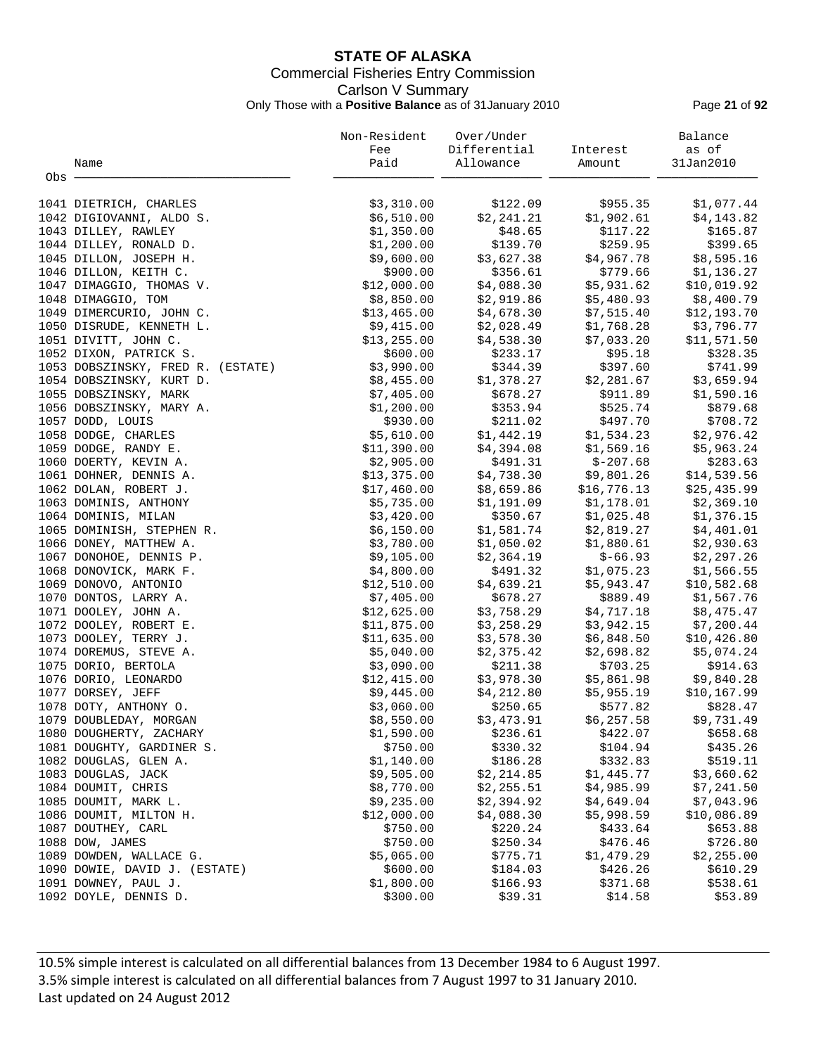# **STATE OF ALASKA** Commercial Fisheries Entry Commission Carlson V Summary Only Those with a **Positive Balance** as of 31January 2010 Page **21** of **92**

|       |                                   | Non-Resident | Over/Under   |             | Balance      |
|-------|-----------------------------------|--------------|--------------|-------------|--------------|
|       |                                   | Fee          | Differential | Interest    | as of        |
|       | Name                              | Paid         | Allowance    | Amount      | 31Jan2010    |
| Obs · |                                   |              |              |             |              |
|       |                                   |              |              |             |              |
|       | 1041 DIETRICH, CHARLES            | \$3,310.00   | \$122.09     | \$955.35    | \$1,077.44   |
|       | 1042 DIGIOVANNI, ALDO S.          | \$6,510.00   | \$2,241.21   | \$1,902.61  | \$4,143.82   |
|       | 1043 DILLEY, RAWLEY               | \$1,350.00   | \$48.65      | \$117.22    | \$165.87     |
|       | 1044 DILLEY, RONALD D.            | \$1,200.00   | \$139.70     | \$259.95    | \$399.65     |
|       |                                   |              |              |             |              |
|       | 1045 DILLON, JOSEPH H.            | \$9,600.00   | \$3,627.38   | \$4,967.78  | \$8,595.16   |
|       | 1046 DILLON, KEITH C.             | \$900.00     | \$356.61     | \$779.66    | \$1,136.27   |
|       | 1047 DIMAGGIO, THOMAS V.          | \$12,000.00  | \$4,088.30   | \$5,931.62  | \$10,019.92  |
|       | 1048 DIMAGGIO, TOM                | \$8,850.00   | \$2,919.86   | \$5,480.93  | \$8,400.79   |
|       | 1049 DIMERCURIO, JOHN C.          | \$13,465.00  | \$4,678.30   | \$7,515.40  | \$12,193.70  |
|       | 1050 DISRUDE, KENNETH L.          | \$9,415.00   | \$2,028.49   | \$1,768.28  | \$3,796.77   |
|       | 1051 DIVITT, JOHN C.              | \$13, 255.00 | \$4,538.30   | \$7,033.20  | \$11,571.50  |
|       | 1052 DIXON, PATRICK S.            | \$600.00     | \$233.17     | \$95.18     | \$328.35     |
|       | 1053 DOBSZINSKY, FRED R. (ESTATE) | \$3,990.00   | \$344.39     | \$397.60    | \$741.99     |
|       | 1054 DOBSZINSKY, KURT D.          | \$8,455.00   | \$1,378.27   | \$2,281.67  | \$3,659.94   |
|       | 1055 DOBSZINSKY, MARK             | \$7,405.00   | \$678.27     | \$911.89    | \$1,590.16   |
|       | 1056 DOBSZINSKY, MARY A.          | \$1,200.00   | \$353.94     | \$525.74    | \$879.68     |
|       | 1057 DODD, LOUIS                  | \$930.00     | \$211.02     | \$497.70    | \$708.72     |
|       | 1058 DODGE, CHARLES               | \$5,610.00   | \$1,442.19   | \$1,534.23  | \$2,976.42   |
|       | 1059 DODGE, RANDY E.              | \$11,390.00  | \$4,394.08   | \$1,569.16  | \$5,963.24   |
|       | 1060 DOERTY, KEVIN A.             | \$2,905.00   | \$491.31     | $$-207.68$  | \$283.63     |
|       | 1061 DOHNER, DENNIS A.            | \$13,375.00  | \$4,738.30   | \$9,801.26  | \$14,539.56  |
|       | 1062 DOLAN, ROBERT J.             | \$17,460.00  | \$8,659.86   | \$16,776.13 | \$25,435.99  |
|       |                                   |              |              |             |              |
|       | 1063 DOMINIS, ANTHONY             | \$5,735.00   | \$1,191.09   | \$1,178.01  | \$2,369.10   |
|       | 1064 DOMINIS, MILAN               | \$3,420.00   | \$350.67     | \$1,025.48  | \$1,376.15   |
|       | 1065 DOMINISH, STEPHEN R.         | \$6,150.00   | \$1,581.74   | \$2,819.27  | \$4,401.01   |
|       | 1066 DONEY, MATTHEW A.            | \$3,780.00   | \$1,050.02   | \$1,880.61  | \$2,930.63   |
|       | 1067 DONOHOE, DENNIS P.           | \$9,105.00   | \$2,364.19   | $$ -66.93$  | \$2,297.26   |
|       | 1068 DONOVICK, MARK F.            | \$4,800.00   | \$491.32     | \$1,075.23  | \$1,566.55   |
|       | 1069 DONOVO, ANTONIO              | \$12,510.00  | \$4,639.21   | \$5,943.47  | \$10,582.68  |
|       | 1070 DONTOS, LARRY A.             | \$7,405.00   | \$678.27     | \$889.49    | \$1,567.76   |
|       | 1071 DOOLEY, JOHN A.              | \$12,625.00  | \$3,758.29   | \$4,717.18  | \$8,475.47   |
|       | 1072 DOOLEY, ROBERT E.            | \$11,875.00  | \$3,258.29   | \$3,942.15  | \$7,200.44   |
|       | 1073 DOOLEY, TERRY J.             | \$11,635.00  | \$3,578.30   | \$6,848.50  | \$10,426.80  |
|       | 1074 DOREMUS, STEVE A.            | \$5,040.00   | \$2,375.42   | \$2,698.82  | \$5,074.24   |
|       | 1075 DORIO, BERTOLA               | \$3,090.00   | \$211.38     | \$703.25    | \$914.63     |
|       | 1076 DORIO, LEONARDO              | \$12,415.00  | \$3,978.30   | \$5,861.98  | \$9,840.28   |
|       | 1077 DORSEY, JEFF                 | \$9,445.00   | \$4,212.80   | \$5,955.19  | \$10, 167.99 |
|       | 1078 DOTY, ANTHONY O.             | \$3,060.00   | \$250.65     | \$577.82    | \$828.47     |
|       | 1079 DOUBLEDAY, MORGAN            | \$8,550.00   | \$3,473.91   | \$6, 257.58 | \$9,731.49   |
|       | 1080 DOUGHERTY, ZACHARY           | \$1,590.00   | \$236.61     | \$422.07    | \$658.68     |
|       | 1081 DOUGHTY, GARDINER S.         | \$750.00     | \$330.32     | \$104.94    | \$435.26     |
|       | 1082 DOUGLAS, GLEN A.             | \$1,140.00   | \$186.28     | \$332.83    | \$519.11     |
|       | 1083 DOUGLAS, JACK                | \$9,505.00   | \$2,214.85   | \$1,445.77  | \$3,660.62   |
|       | 1084 DOUMIT, CHRIS                | \$8,770.00   | \$2,255.51   | \$4,985.99  | \$7,241.50   |
|       | 1085 DOUMIT, MARK L.              | \$9,235.00   | \$2,394.92   | \$4,649.04  | \$7,043.96   |
|       | 1086 DOUMIT, MILTON H.            | \$12,000.00  | \$4,088.30   | \$5,998.59  | \$10,086.89  |
|       | 1087 DOUTHEY, CARL                | \$750.00     | \$220.24     | \$433.64    | \$653.88     |
|       | 1088 DOW, JAMES                   | \$750.00     | \$250.34     | \$476.46    | \$726.80     |
|       | 1089 DOWDEN, WALLACE G.           | \$5,065.00   | \$775.71     | \$1,479.29  | \$2,255.00   |
|       | 1090 DOWIE, DAVID J. (ESTATE)     | \$600.00     | \$184.03     | \$426.26    | \$610.29     |
|       | 1091 DOWNEY, PAUL J.              | \$1,800.00   | \$166.93     | \$371.68    | \$538.61     |
|       | 1092 DOYLE, DENNIS D.             | \$300.00     | \$39.31      | \$14.58     | \$53.89      |
|       |                                   |              |              |             |              |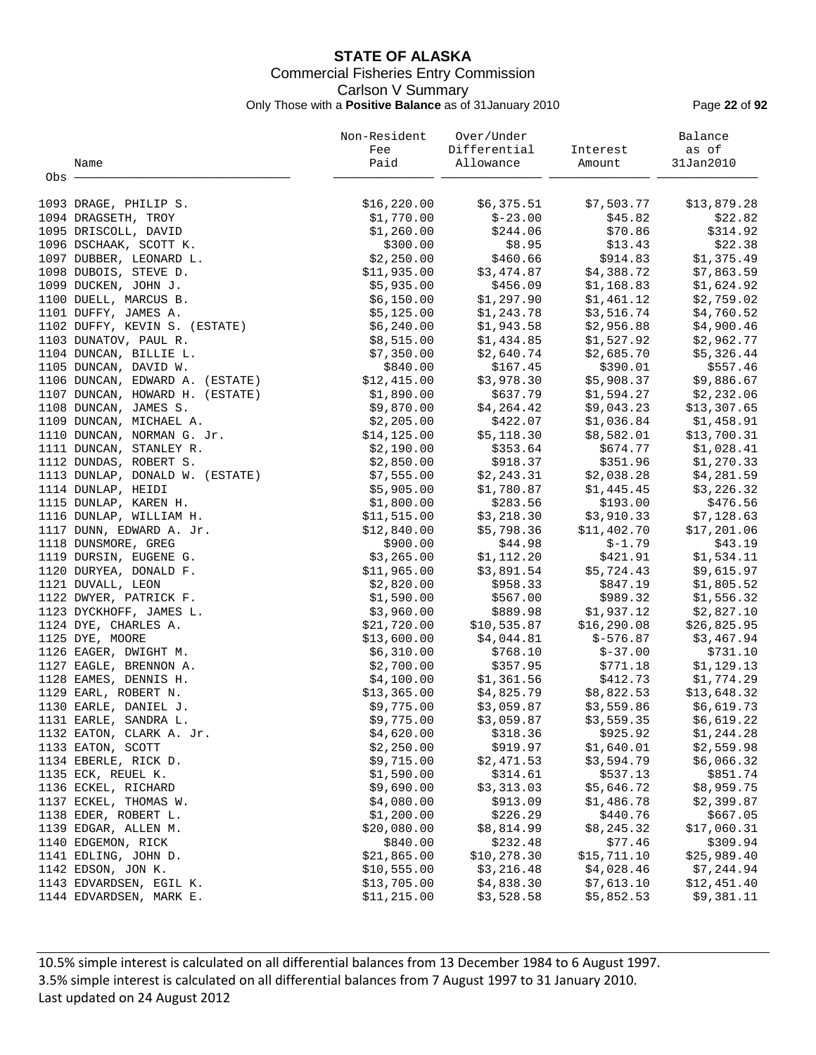# **STATE OF ALASKA** Commercial Fisheries Entry Commission Carlson V Summary Only Those with a **Positive Balance** as of 31January 2010 Page **22** of **92**

|       |                                 | Non-Resident | Over/Under               |                         | Balance     |
|-------|---------------------------------|--------------|--------------------------|-------------------------|-------------|
|       |                                 | Fee          | Differential             | Interest                | as of       |
|       | Name                            | Paid         | Allowance                | Amount                  | 31Jan2010   |
| Obs - |                                 |              |                          |                         |             |
|       |                                 |              |                          |                         |             |
|       | 1093 DRAGE, PHILIP S.           | \$16, 220.00 | \$6,375.51               | \$7,503.77              | \$13,879.28 |
|       | 1094 DRAGSETH, TROY             | \$1,770.00   | $$-23.00$                | \$45.82                 | \$22.82     |
|       | 1095 DRISCOLL, DAVID            | \$1,260.00   | \$244.06                 | \$70.86                 | \$314.92    |
|       | 1096 DSCHAAK, SCOTT K.          | \$300.00     | \$8.95                   | \$13.43                 | \$22.38     |
|       | 1097 DUBBER, LEONARD L.         | \$2,250.00   | \$460.66                 | \$914.83                | \$1,375.49  |
|       | 1098 DUBOIS, STEVE D.           | \$11,935.00  | \$3,474.87               | \$4,388.72              | \$7,863.59  |
|       | 1099 DUCKEN, JOHN J.            | \$5,935.00   | \$456.09                 | \$1,168.83              | \$1,624.92  |
|       | 1100 DUELL, MARCUS B.           | \$6,150.00   | \$1,297.90               | \$1,461.12              | \$2,759.02  |
|       | 1101 DUFFY, JAMES A.            | \$5,125.00   |                          | \$3,516.74              | \$4,760.52  |
|       | 1102 DUFFY, KEVIN S. (ESTATE)   | \$6,240.00   | \$1,243.78<br>\$1,943.58 | \$2,956.88              | \$4,900.46  |
|       |                                 |              |                          | \$1,527.92              |             |
|       | 1103 DUNATOV, PAUL R.           | \$8,515.00   | \$1,434.85               |                         | \$2,962.77  |
|       | 1104 DUNCAN, BILLIE L.          | \$7,350.00   | \$2,640.74               | \$2,685.70              | \$5,326.44  |
|       | 1105 DUNCAN, DAVID W.           | \$840.00     | \$167.45                 | \$390.01                | \$557.46    |
|       | 1106 DUNCAN, EDWARD A. (ESTATE) | \$12,415.00  | \$3,978.30               | \$5,908.37              | \$9,886.67  |
|       | 1107 DUNCAN, HOWARD H. (ESTATE) | \$1,890.00   | \$637.79                 | \$1,594.27              | \$2,232.06  |
|       | 1108 DUNCAN, JAMES S.           | \$9,870.00   | \$4,264.42               | \$9,043.23              | \$13,307.65 |
|       | 1109 DUNCAN, MICHAEL A.         | \$2,205.00   | \$422.07                 | \$1,036.84              | \$1,458.91  |
|       | 1110 DUNCAN, NORMAN G. Jr.      | \$14,125.00  | \$5,118.30               | \$8,582.01              | \$13,700.31 |
|       | 1111 DUNCAN, STANLEY R.         | \$2,190.00   | \$353.64                 | \$674.77                | \$1,028.41  |
|       | 1112 DUNDAS, ROBERT S.          | \$2,850.00   | \$918.37                 | \$351.96                | \$1,270.33  |
|       | 1113 DUNLAP, DONALD W. (ESTATE) | \$7,555.00   |                          | $$2,243.31$ $$2,038.28$ | \$4,281.59  |
|       | 1114 DUNLAP, HEIDI              | \$5,905.00   | \$1,780.87               | \$1,445.45              | \$3,226.32  |
|       | 1115 DUNLAP, KAREN H.           | \$1,800.00   | \$283.56                 | \$193.00                | \$476.56    |
|       | 1116 DUNLAP, WILLIAM H.         | \$11,515.00  |                          | $$3,218.30$ $$3,910.33$ | \$7,128.63  |
|       | 1117 DUNN, EDWARD A. Jr.        | \$12,840.00  | \$5,798.36               | \$11,402.70             | \$17,201.06 |
|       | 1118 DUNSMORE, GREG             | \$900.00     | \$44.98                  | \$-1.79                 | \$43.19     |
|       | 1119 DURSIN, EUGENE G.          | \$3,265.00   | \$1,112.20               | \$421.91                | \$1,534.11  |
|       | 1120 DURYEA, DONALD F.          | \$11,965.00  | \$3,891.54               | \$5,724.43              | \$9,615.97  |
|       | 1121 DUVALL, LEON               | \$2,820.00   | \$958.33                 | \$847.19                | \$1,805.52  |
|       | 1122 DWYER, PATRICK F.          | \$1,590.00   | \$567.00                 | \$989.32                | \$1,556.32  |
|       | 1123 DYCKHOFF, JAMES L.         | \$3,960.00   |                          | \$889.98 \$1,937.12     | \$2,827.10  |
|       | 1124 DYE, CHARLES A.            | \$21,720.00  | \$10,535.87              | \$16,290.08             | \$26,825.95 |
|       | 1125 DYE, MOORE                 | \$13,600.00  | \$4,044.81               | \$-576.87               | \$3,467.94  |
|       | 1126 EAGER, DWIGHT M.           | \$6,310.00   | \$768.10                 | $$-37.00$               | \$731.10    |
|       | 1127 EAGLE, BRENNON A.          | \$2,700.00   | \$357.95                 | \$771.18                | \$1,129.13  |
|       | 1128 EAMES, DENNIS H.           | \$4,100.00   | \$1,361.56               | \$412.73                | \$1,774.29  |
|       | 1129 EARL, ROBERT N.            | \$13,365.00  |                          | $$4,825.79$ $$8,822.53$ | \$13,648.32 |
|       | 1130 EARLE, DANIEL J.           | \$9,775.00   | \$3,059.87               | \$3,559.86              | \$6,619.73  |
|       | 1131 EARLE, SANDRA L.           | \$9,775.00   | \$3,059.87               | \$3,559.35              | \$6,619.22  |
|       | 1132 EATON, CLARK A. Jr.        | \$4,620.00   | \$318.36                 | \$925.92                | \$1,244.28  |
|       | 1133 EATON, SCOTT               | \$2,250.00   | \$919.97                 | \$1,640.01              | \$2,559.98  |
|       | 1134 EBERLE, RICK D.            | \$9,715.00   | \$2,471.53               | \$3,594.79              | \$6,066.32  |
|       | 1135 ECK, REUEL K.              | \$1,590.00   | \$314.61                 | \$537.13                | \$851.74    |
|       | 1136 ECKEL, RICHARD             | \$9,690.00   | \$3,313.03               | \$5,646.72              | \$8,959.75  |
|       | 1137 ECKEL, THOMAS W.           | \$4,080.00   | \$913.09                 | \$1,486.78              | \$2,399.87  |
|       | 1138 EDER, ROBERT L.            | \$1,200.00   | \$226.29                 | \$440.76                | \$667.05    |
|       | 1139 EDGAR, ALLEN M.            | \$20,080.00  | \$8,814.99               | \$8,245.32              | \$17,060.31 |
|       | 1140 EDGEMON, RICK              | \$840.00     | \$232.48                 | \$77.46                 | \$309.94    |
|       | 1141 EDLING, JOHN D.            | \$21,865.00  | \$10,278.30              | \$15,711.10             | \$25,989.40 |
|       | 1142 EDSON, JON K.              | \$10,555.00  | \$3,216.48               | \$4,028.46              | \$7,244.94  |
|       | 1143 EDVARDSEN, EGIL K.         | \$13,705.00  | \$4,838.30               | \$7,613.10              | \$12,451.40 |
|       | 1144 EDVARDSEN, MARK E.         | \$11, 215.00 | \$3,528.58               | \$5,852.53              | \$9,381.11  |
|       |                                 |              |                          |                         |             |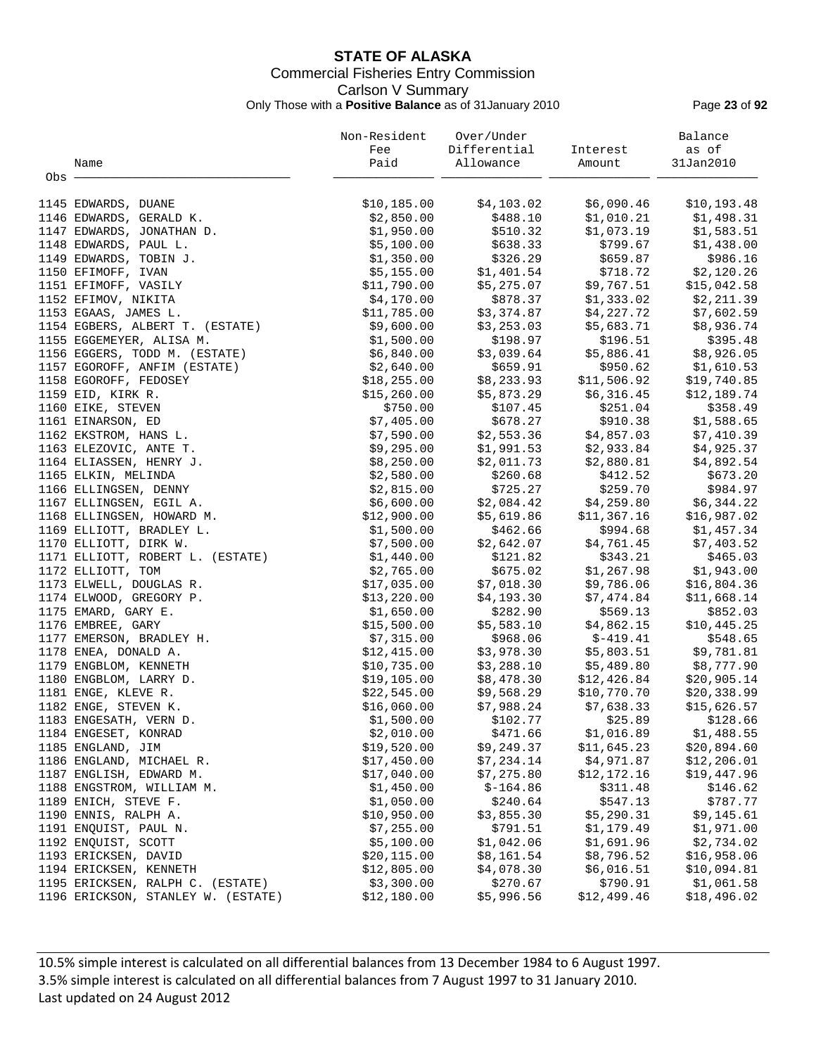# **STATE OF ALASKA** Commercial Fisheries Entry Commission Carlson V Summary Only Those with a **Positive Balance** as of 31January 2010 Page **23** of **92**

|       |                                    | Non-Resident | Over/Under               |                                                      | Balance      |
|-------|------------------------------------|--------------|--------------------------|------------------------------------------------------|--------------|
|       |                                    | Fee          | Differential             | Interest                                             | as of        |
|       | Name                               | Paid         | Allowance                | Amount                                               | 31Jan2010    |
| Obs · |                                    |              |                          |                                                      |              |
|       |                                    |              |                          |                                                      |              |
|       | 1145 EDWARDS, DUANE                | \$10, 185.00 | \$4,103.02               | \$6,090.46                                           | \$10, 193.48 |
|       | 1146 EDWARDS, GERALD K.            | \$2,850.00   | \$488.10                 | \$1,010.21                                           | \$1,498.31   |
|       | 1147 EDWARDS, JONATHAN D.          | \$1,950.00   | \$510.32                 | \$1,073.19                                           | \$1,583.51   |
|       | 1148 EDWARDS, PAUL L.              | \$5,100.00   | \$638.33                 | \$799.67                                             | \$1,438.00   |
|       | 1149 EDWARDS, TOBIN J.             | \$1,350.00   | \$326.29                 | \$659.87                                             | \$986.16     |
|       | 1150 EFIMOFF, IVAN                 | \$5,155.00   | \$1,401.54               | \$718.72                                             | \$2,120.26   |
|       | 1151 EFIMOFF, VASILY               | \$11,790.00  | \$5,275.07               | \$9,767.51                                           | \$15,042.58  |
|       | 1152 EFIMOV, NIKITA                | \$4,170.00   | \$878.37                 | \$1,333.02                                           | \$2,211.39   |
|       | 1153 EGAAS, JAMES L.               | \$11,785.00  | \$3,374.87               | \$4,227.72                                           | \$7,602.59   |
|       | 1154 EGBERS, ALBERT T. (ESTATE)    | \$9,600.00   | \$3,253.03               | \$5,683.71                                           | \$8,936.74   |
|       | 1155 EGGEMEYER, ALISA M.           | \$1,500.00   | \$198.97                 | \$196.51                                             | \$395.48     |
|       | 1156 EGGERS, TODD M. (ESTATE)      | \$6,840.00   | \$3,039.64               | \$5,886.41                                           | \$8,926.05   |
|       | 1157 EGOROFF, ANFIM (ESTATE)       | \$2,640.00   | \$659.91                 | \$950.62                                             | \$1,610.53   |
|       | 1158 EGOROFF, FEDOSEY              | \$18,255.00  | \$8,233.93               | \$11,506.92                                          | \$19,740.85  |
|       | 1159 EID, KIRK R.                  | \$15, 260.00 | \$5,873.29               | \$6,316.45                                           | \$12,189.74  |
|       | 1160 EIKE, STEVEN                  | \$750.00     | \$107.45                 | \$251.04                                             | \$358.49     |
|       | 1161 EINARSON, ED                  | \$7,405.00   | \$678.27                 | \$910.38                                             | \$1,588.65   |
|       | 1162 EKSTROM, HANS L.              | \$7,590.00   | \$2,553.36               | \$4,857.03                                           | \$7,410.39   |
|       | 1163 ELEZOVIC, ANTE T.             | \$9,295.00   |                          |                                                      | \$4,925.37   |
|       | 1164 ELIASSEN, HENRY J.            | \$8,250.00   | \$2,011.73               | $$1,991.53$ $$2,933.84$<br>$$2,990.91$<br>\$2,880.81 | \$4,892.54   |
|       | 1165 ELKIN, MELINDA                | \$2,580.00   | \$260.68                 | \$412.52                                             | \$673.20     |
|       |                                    |              | \$725.27                 |                                                      | \$984.97     |
|       | 1166 ELLINGSEN, DENNY              | \$2,815.00   |                          | \$259.70                                             |              |
|       | 1167 ELLINGSEN, EGIL A.            | \$6,600.00   | \$2,084.42<br>\$5,619.86 | \$4,259.80                                           | \$6,344.22   |
|       | 1168 ELLINGSEN, HOWARD M.          | \$12,900.00  |                          | \$11,367.16                                          | \$16,987.02  |
|       | 1169 ELLIOTT, BRADLEY L.           | \$1,500.00   | \$462.66                 | \$994.68                                             | \$1,457.34   |
|       | 1170 ELLIOTT, DIRK W.              | \$7,500.00   | \$2,642.07               | \$4,761.45                                           | \$7,403.52   |
|       | 1171 ELLIOTT, ROBERT L. (ESTATE)   | \$1,440.00   | \$121.82                 | \$343.21                                             | \$465.03     |
|       | 1172 ELLIOTT, TOM                  | \$2,765.00   | \$675.02                 | \$1,267.98                                           | \$1,943.00   |
|       | 1173 ELWELL, DOUGLAS R.            | \$17,035.00  | \$7,018.30               | \$9,786.06                                           | \$16,804.36  |
|       | 1174 ELWOOD, GREGORY P.            | \$13,220.00  | \$4,193.30               | \$7,474.84                                           | \$11,668.14  |
|       | 1175 EMARD, GARY E.                | \$1,650.00   | \$282.90                 | \$569.13                                             | \$852.03     |
|       | 1176 EMBREE, GARY                  | \$15,500.00  | \$5,583.10               | \$4,862.15                                           | \$10,445.25  |
|       | 1177 EMERSON, BRADLEY H.           | \$7,315.00   | \$968.06                 | $$-419.41$                                           | \$548.65     |
|       | 1178 ENEA, DONALD A.               | \$12,415.00  | \$3,978.30               | \$5,803.51                                           | \$9,781.81   |
|       | 1179 ENGBLOM, KENNETH              | \$10,735.00  | \$3,288.10               | \$5,489.80                                           | \$8,777.90   |
|       | 1180 ENGBLOM, LARRY D.             | \$19,105.00  | \$8,478.30               | \$12,426.84                                          | \$20,905.14  |
|       | 1181 ENGE, KLEVE R.                | \$22,545.00  | \$9,568.29               | \$10,770.70                                          | \$20,338.99  |
|       | 1182 ENGE, STEVEN K.               | \$16,060.00  | \$7,988.24               | \$7,638.33                                           | \$15,626.57  |
|       | 1183 ENGESATH, VERN D.             | \$1,500.00   | \$102.77                 | \$25.89                                              | \$128.66     |
|       | 1184 ENGESET, KONRAD               | \$2,010.00   | \$471.66                 | \$1,016.89                                           | \$1,488.55   |
|       | 1185 ENGLAND, JIM                  | \$19,520.00  | \$9,249.37               | \$11,645.23                                          | \$20,894.60  |
|       | 1186 ENGLAND, MICHAEL R.           | \$17,450.00  | \$7,234.14               | \$4,971.87                                           | \$12, 206.01 |
|       | 1187 ENGLISH, EDWARD M.            | \$17,040.00  | \$7,275.80               | \$12,172.16                                          | \$19,447.96  |
|       | 1188 ENGSTROM, WILLIAM M.          | \$1,450.00   | $$-164.86$               | \$311.48                                             | \$146.62     |
|       | 1189 ENICH, STEVE F.               | \$1,050.00   | \$240.64                 | \$547.13                                             | \$787.77     |
|       | 1190 ENNIS, RALPH A.               | \$10,950.00  | \$3,855.30               | \$5,290.31                                           | \$9,145.61   |
|       | 1191 ENQUIST, PAUL N.              | \$7,255.00   | \$791.51                 | \$1,179.49                                           | \$1,971.00   |
|       | 1192 ENQUIST, SCOTT                | \$5,100.00   | \$1,042.06               | \$1,691.96                                           | \$2,734.02   |
|       | 1193 ERICKSEN, DAVID               | \$20, 115.00 | \$8,161.54               | \$8,796.52                                           | \$16,958.06  |
|       | 1194 ERICKSEN, KENNETH             | \$12,805.00  | \$4,078.30               | \$6,016.51                                           | \$10,094.81  |
|       | 1195 ERICKSEN, RALPH C. (ESTATE)   | \$3,300.00   | \$270.67                 | \$790.91                                             | \$1,061.58   |
|       | 1196 ERICKSON, STANLEY W. (ESTATE) | \$12,180.00  | \$5,996.56               | \$12,499.46                                          | \$18,496.02  |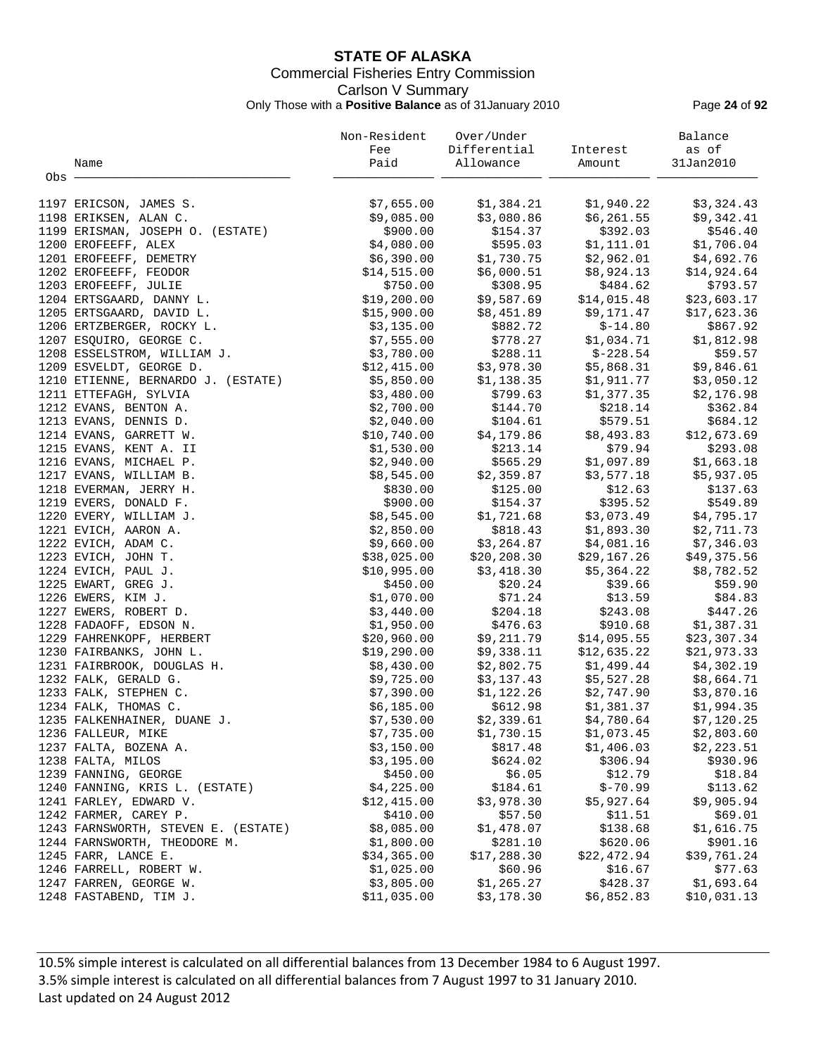# **STATE OF ALASKA** Commercial Fisheries Entry Commission Carlson V Summary Only Those with a **Positive Balance** as of 31January 2010 Page **24** of **92**

|       |                                     | Non-Resident | Over/Under   |                         | Balance     |
|-------|-------------------------------------|--------------|--------------|-------------------------|-------------|
|       |                                     | Fee          | Differential | Interest                | as of       |
|       | Name                                | Paid         | Allowance    | Amount                  | 31Jan2010   |
| Obs - |                                     |              |              |                         |             |
|       | 1197 ERICSON, JAMES S.              | \$7,655.00   | \$1,384.21   | \$1,940.22              | \$3,324.43  |
|       | 1198 ERIKSEN, ALAN C.               | \$9,085.00   | \$3,080.86   | \$6,261.55              | \$9,342.41  |
|       | 1199 ERISMAN, JOSEPH O. (ESTATE)    | \$900.00     | \$154.37     | \$392.03                | \$546.40    |
|       | 1200 EROFEEFF, ALEX                 | \$4,080.00   | \$595.03     | \$1,111.01              | \$1,706.04  |
|       | 1201 EROFEEFF, DEMETRY              | \$6,390.00   | \$1,730.75   | \$2,962.01              | \$4,692.76  |
|       | 1202 EROFEEFF, FEODOR               | \$14,515.00  | \$6,000.51   | \$8,924.13              | \$14,924.64 |
|       | 1203 EROFEEFF, JULIE                | \$750.00     | \$308.95     | \$484.62                | \$793.57    |
|       | 1204 ERTSGAARD, DANNY L.            | \$19,200.00  | \$9,587.69   | \$14,015.48             | \$23,603.17 |
|       | 1205 ERTSGAARD, DAVID L.            | \$15,900.00  | \$8,451.89   | \$9,171.47              | \$17,623.36 |
|       | 1206 ERTZBERGER, ROCKY L.           | \$3,135.00   | \$882.72     | $$-14.80$               | \$867.92    |
|       | 1207 ESQUIRO, GEORGE C.             | \$7,555.00   | \$778.27     | \$1,034.71              | \$1,812.98  |
|       | 1208 ESSELSTROM, WILLIAM J.         | \$3,780.00   | \$288.11     | $$-228.54$              | \$59.57     |
|       | 1209 ESVELDT, GEORGE D.             | \$12,415.00  | \$3,978.30   | \$5,868.31              | \$9,846.61  |
|       | 1210 ETIENNE, BERNARDO J. (ESTATE)  | \$5,850.00   | \$1,138.35   | \$1,911.77              | \$3,050.12  |
|       | 1211 ETTEFAGH, SYLVIA               | \$3,480.00   | \$799.63     | \$1,377.35              | \$2,176.98  |
|       | 1212 EVANS, BENTON A.               | \$2,700.00   | \$144.70     | \$218.14                | \$362.84    |
|       | 1213 EVANS, DENNIS D.               | \$2,040.00   | \$104.61     | \$579.51                | \$684.12    |
|       | 1214 EVANS, GARRETT W.              | \$10,740.00  | \$4,179.86   | \$8,493.83              | \$12,673.69 |
|       | 1215 EVANS, KENT A. II              | \$1,530.00   | \$213.14     | \$79.94                 | \$293.08    |
|       | 1216 EVANS, MICHAEL P.              | \$2,940.00   | \$565.29     | \$1,097.89              | \$1,663.18  |
|       | 1217 EVANS, WILLIAM B.              | \$8,545.00   | \$2,359.87   | \$3,577.18              | \$5,937.05  |
|       | 1218 EVERMAN, JERRY H.              | \$830.00     | \$125.00     | \$12.63                 | \$137.63    |
|       | 1219 EVERS, DONALD F.               | \$900.00     | \$154.37     | \$395.52                | \$549.89    |
|       | 1220 EVERY, WILLIAM J.              | \$8,545.00   | \$1,721.68   | \$3,073.49              | \$4,795.17  |
|       | 1221 EVICH, AARON A.                | \$2,850.00   | \$818.43     | \$1,893.30              | \$2,711.73  |
|       | 1222 EVICH, ADAM C.                 | \$9,660.00   | \$3,264.87   | \$4,081.16              | \$7,346.03  |
|       | 1223 EVICH, JOHN T.                 | \$38,025.00  | \$20,208.30  | \$29,167.26             | \$49,375.56 |
|       | 1224 EVICH, PAUL J.                 | \$10,995.00  | \$3,418.30   | \$5,364.22              | \$8,782.52  |
|       | 1225 EWART, GREG J.                 | \$450.00     | \$20.24      | \$39.66                 | \$59.90     |
|       | 1226 EWERS, KIM J.                  | \$1,070.00   | \$71.24      | \$13.59                 | \$84.83     |
|       | 1227 EWERS, ROBERT D.               | \$3,440.00   | \$204.18     | \$243.08                | \$447.26    |
|       | 1228 FADAOFF, EDSON N.              | \$1,950.00   | \$476.63     | \$910.68                | \$1,387.31  |
|       | 1229 FAHRENKOPF, HERBERT            | \$20,960.00  | \$9,211.79   | \$14,095.55             | \$23,307.34 |
|       | 1230 FAIRBANKS, JOHN L.             | \$19,290.00  | \$9,338.11   | \$12,635.22             | \$21,973.33 |
|       | 1231 FAIRBROOK, DOUGLAS H.          | \$8,430.00   | \$2,802.75   | \$1,499.44              | \$4,302.19  |
|       | 1232 FALK, GERALD G.                | \$9,725.00   | \$3,137.43   | \$5,527.28              | \$8,664.71  |
|       | 1233 FALK, STEPHEN C.               | \$7,390.00   |              | $$1,122.26$ $$2,747.90$ | \$3,870.16  |
|       | 1234 FALK, THOMAS C.                | \$6,185.00   | \$612.98     | \$1,381.37              | \$1,994.35  |
|       | 1235 FALKENHAINER, DUANE J.         | \$7,530.00   | \$2,339.61   | \$4,780.64              | \$7,120.25  |
|       | 1236 FALLEUR, MIKE                  | \$7,735.00   | \$1,730.15   | \$1,073.45              | \$2,803.60  |
|       | 1237 FALTA, BOZENA A.               | \$3,150.00   | \$817.48     | \$1,406.03              | \$2,223.51  |
|       | 1238 FALTA, MILOS                   | \$3,195.00   | \$624.02     | \$306.94                | \$930.96    |
|       | 1239 FANNING, GEORGE                | \$450.00     | \$6.05       | \$12.79                 | \$18.84     |
|       | 1240 FANNING, KRIS L. (ESTATE)      | \$4,225.00   | \$184.61     | $$ -70.99$              | \$113.62    |
|       | 1241 FARLEY, EDWARD V.              | \$12,415.00  | \$3,978.30   | \$5,927.64              | \$9,905.94  |
|       | 1242 FARMER, CAREY P.               | \$410.00     | \$57.50      | \$11.51                 | \$69.01     |
|       | 1243 FARNSWORTH, STEVEN E. (ESTATE) | \$8,085.00   | \$1,478.07   | \$138.68                | \$1,616.75  |
|       | 1244 FARNSWORTH, THEODORE M.        | \$1,800.00   | \$281.10     | \$620.06                | \$901.16    |
|       | 1245 FARR, LANCE E.                 | \$34,365.00  | \$17,288.30  | \$22,472.94             | \$39,761.24 |
|       | 1246 FARRELL, ROBERT W.             | \$1,025.00   | \$60.96      | \$16.67                 | \$77.63     |
|       | 1247 FARREN, GEORGE W.              | \$3,805.00   | \$1,265.27   | \$428.37                | \$1,693.64  |
|       | 1248 FASTABEND, TIM J.              | \$11,035.00  | \$3,178.30   | \$6,852.83              | \$10,031.13 |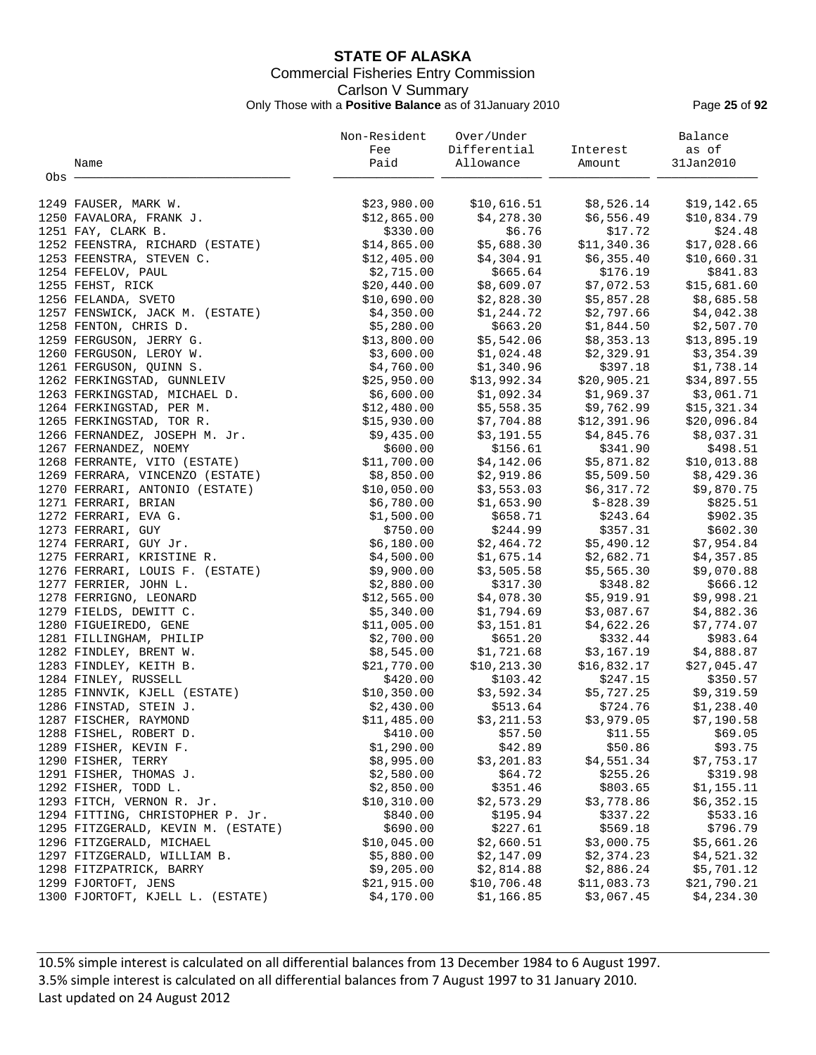# **STATE OF ALASKA** Commercial Fisheries Entry Commission Carlson V Summary Only Those with a **Positive Balance** as of 31January 2010 Page **25** of **92**

|       |                                    | Non-Resident | Over/Under   |                         | Balance     |
|-------|------------------------------------|--------------|--------------|-------------------------|-------------|
|       |                                    | Fee          | Differential | Interest                | as of       |
|       | Name                               | Paid         | Allowance    | Amount                  | 31Jan2010   |
| Obs - |                                    |              |              |                         |             |
|       |                                    |              |              |                         |             |
|       | 1249 FAUSER, MARK W.               | \$23,980.00  | \$10,616.51  | \$8,526.14              | \$19,142.65 |
|       | 1250 FAVALORA, FRANK J.            | \$12,865.00  | \$4,278.30   | \$6,556.49              | \$10,834.79 |
|       | 1251 FAY, CLARK B.                 | \$330.00     | \$6.76       | \$17.72                 | \$24.48     |
|       | 1252 FEENSTRA, RICHARD (ESTATE)    | \$14,865.00  | \$5,688.30   | \$11,340.36             | \$17,028.66 |
|       | 1253 FEENSTRA, STEVEN C.           | \$12,405.00  | \$4,304.91   | \$6,355.40              | \$10,660.31 |
|       | 1254 FEFELOV, PAUL                 | \$2,715.00   | \$665.64     | \$176.19                | \$841.83    |
|       | 1255 FEHST, RICK                   | \$20,440.00  | \$8,609.07   | \$7,072.53              | \$15,681.60 |
|       | 1256 FELANDA, SVETO                | \$10,690.00  | \$2,828.30   | \$5,857.28              | \$8,685.58  |
|       | 1257 FENSWICK, JACK M. (ESTATE)    | \$4,350.00   | \$1,244.72   | \$2,797.66              | \$4,042.38  |
|       | 1258 FENTON, CHRIS D.              | \$5,280.00   | \$663.20     | \$1,844.50              | \$2,507.70  |
|       | 1259 FERGUSON, JERRY G.            | \$13,800.00  | \$5,542.06   | \$8,353.13              | \$13,895.19 |
|       | 1260 FERGUSON, LEROY W.            | \$3,600.00   | \$1,024.48   | \$2,329.91              | \$3,354.39  |
|       | 1261 FERGUSON, QUINN S.            | \$4,760.00   | \$1,340.96   | \$397.18                | \$1,738.14  |
|       | 1262 FERKINGSTAD, GUNNLEIV         | \$25,950.00  | \$13,992.34  | \$20,905.21             | \$34,897.55 |
|       | 1263 FERKINGSTAD, MICHAEL D.       | \$6,600.00   | \$1,092.34   | \$1,969.37              | \$3,061.71  |
|       | 1264 FERKINGSTAD, PER M.           | \$12,480.00  | \$5,558.35   | \$9,762.99              | \$15,321.34 |
|       | 1265 FERKINGSTAD, TOR R.           | \$15,930.00  | \$7,704.88   | \$12,391.96             | \$20,096.84 |
|       | 1266 FERNANDEZ, JOSEPH M. Jr.      | \$9,435.00   | \$3,191.55   | \$4,845.76              | \$8,037.31  |
|       | 1267 FERNANDEZ, NOEMY              | \$600.00     | \$156.61     | \$341.90                | \$498.51    |
|       | 1268 FERRANTE, VITO (ESTATE)       | \$11,700.00  | \$4,142.06   | \$5,871.82              | \$10,013.88 |
|       | 1269 FERRARA, VINCENZO (ESTATE)    | \$8,850.00   |              | $$2,919.86$ $$5,509.50$ | \$8,429.36  |
|       | 1270 FERRARI, ANTONIO (ESTATE)     | \$10,050.00  | \$3,553.03   | \$6,317.72              | \$9,870.75  |
|       | 1271 FERRARI, BRIAN                | \$6,780.00   | \$1,653.90   | $$-828.39$              | \$825.51    |
|       | 1272 FERRARI, EVA G.               | \$1,500.00   | \$658.71     | \$243.64                | \$902.35    |
|       | 1273 FERRARI, GUY                  | \$750.00     | \$244.99     | \$357.31                | \$602.30    |
|       | 1274 FERRARI, GUY Jr.              | \$6,180.00   | \$2,464.72   | \$5,490.12              | \$7,954.84  |
|       | 1275 FERRARI, KRISTINE R.          | \$4,500.00   | \$1,675.14   | \$2,682.71              | \$4,357.85  |
|       |                                    |              |              |                         |             |
|       | 1276 FERRARI, LOUIS F. (ESTATE)    | \$9,900.00   | \$3,505.58   | \$5,565.30              | \$9,070.88  |
|       | 1277 FERRIER, JOHN L.              | \$2,880.00   | \$317.30     | \$348.82                | \$666.12    |
|       | 1278 FERRIGNO, LEONARD             | \$12,565.00  | \$4,078.30   | \$5,919.91              | \$9,998.21  |
|       | 1279 FIELDS, DEWITT C.             | \$5,340.00   | \$1,794.69   | \$3,087.67              | \$4,882.36  |
|       | 1280 FIGUEIREDO, GENE              | \$11,005.00  | \$3,151.81   | \$4,622.26              | \$7,774.07  |
|       | 1281 FILLINGHAM, PHILIP            | \$2,700.00   | \$651.20     | \$332.44                | \$983.64    |
|       | 1282 FINDLEY, BRENT W.             | \$8,545.00   | \$1,721.68   | \$3,167.19              | \$4,888.87  |
|       | 1283 FINDLEY, KEITH B.             | \$21,770.00  | \$10, 213.30 | \$16,832.17             | \$27,045.47 |
|       | 1284 FINLEY, RUSSELL               | \$420.00     | \$103.42     | \$247.15                | \$350.57    |
|       | 1285 FINNVIK, KJELL (ESTATE)       | \$10,350.00  | \$3,592.34   | \$5,727.25              | \$9,319.59  |
|       | 1286 FINSTAD, STEIN J.             | \$2,430.00   | \$513.64     | \$724.76                | \$1,238.40  |
|       | 1287 FISCHER, RAYMOND              | \$11,485.00  | \$3,211.53   | \$3,979.05              | \$7,190.58  |
|       | 1288 FISHEL, ROBERT D.             | \$410.00     | \$57.50      | \$11.55                 | \$69.05     |
|       | 1289 FISHER, KEVIN F.              | \$1,290.00   | \$42.89      | \$50.86                 | \$93.75     |
|       | 1290 FISHER, TERRY                 | \$8,995.00   | \$3,201.83   | \$4,551.34              | \$7,753.17  |
|       | 1291 FISHER, THOMAS J.             | \$2,580.00   | \$64.72      | \$255.26                | \$319.98    |
|       | 1292 FISHER, TODD L.               | \$2,850.00   | \$351.46     | \$803.65                | \$1,155.11  |
|       | 1293 FITCH, VERNON R. Jr.          | \$10,310.00  | \$2,573.29   | \$3,778.86              | \$6,352.15  |
|       | 1294 FITTING, CHRISTOPHER P. Jr.   | \$840.00     | \$195.94     | \$337.22                | \$533.16    |
|       | 1295 FITZGERALD, KEVIN M. (ESTATE) | \$690.00     | \$227.61     | \$569.18                | \$796.79    |
|       | 1296 FITZGERALD, MICHAEL           | \$10,045.00  | \$2,660.51   | \$3,000.75              | \$5,661.26  |
|       | 1297 FITZGERALD, WILLIAM B.        | \$5,880.00   | \$2,147.09   | \$2,374.23              | \$4,521.32  |
|       | 1298 FITZPATRICK, BARRY            | \$9,205.00   | \$2,814.88   | \$2,886.24              | \$5,701.12  |
|       | 1299 FJORTOFT, JENS                | \$21,915.00  | \$10,706.48  | \$11,083.73             | \$21,790.21 |
|       | 1300 FJORTOFT, KJELL L. (ESTATE)   | \$4,170.00   | \$1,166.85   | \$3,067.45              | \$4,234.30  |
|       |                                    |              |              |                         |             |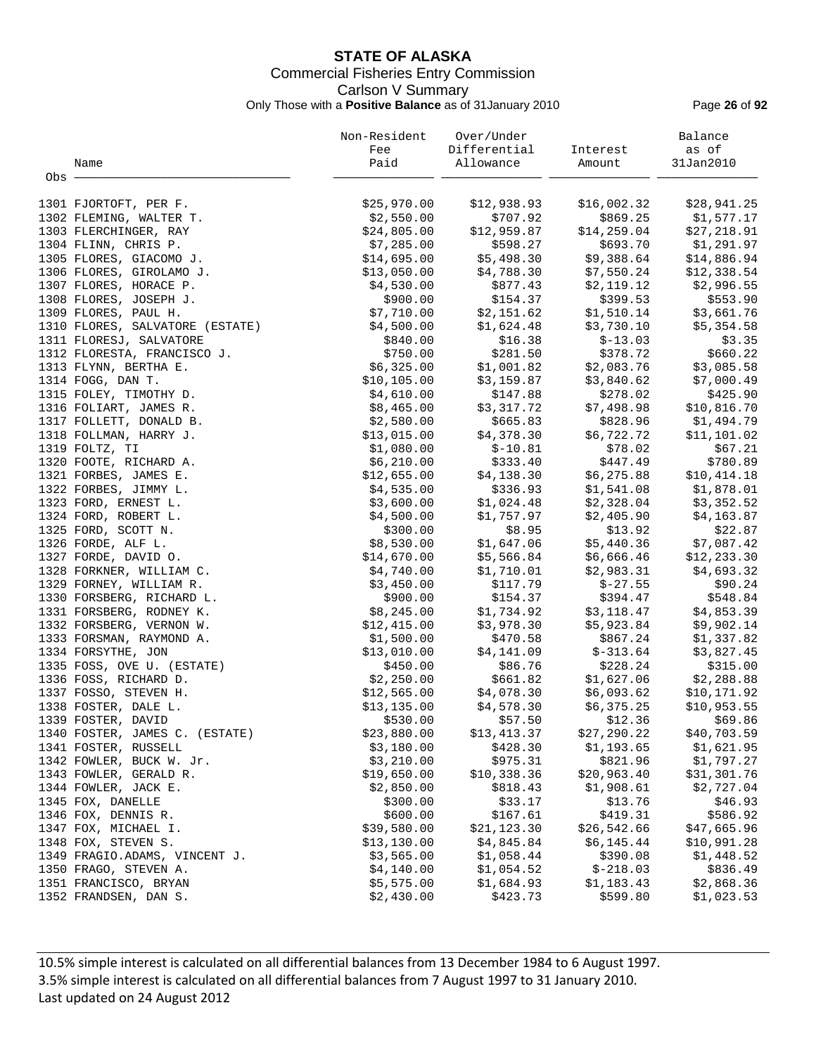# **STATE OF ALASKA** Commercial Fisheries Entry Commission Carlson V Summary Only Those with a **Positive Balance** as of 31January 2010 Page **26** of **92**

| Paid<br>31Jan2010<br>Allowance<br>Name<br>Amount<br>Obs -<br>1301 FJORTOFT, PER F.<br>\$25,970.00<br>\$12,938.93<br>\$16,002.32<br>\$28,941.25<br>\$707.92<br>\$869.25<br>1302 FLEMING, WALTER T.<br>\$2,550.00<br>\$1,577.17<br>\$24,805.00<br>\$12,959.87<br>\$14,259.04<br>\$27,218.91<br>1303 FLERCHINGER, RAY<br>\$598.27<br>\$693.70<br>\$1,291.97<br>1304 FLINN, CHRIS P.<br>\$7,285.00<br>\$5,498.30<br>\$9,388.64<br>\$14,695.00<br>\$14,886.94<br>1305 FLORES, GIACOMO J.<br>1306 FLORES, GIROLAMO J.<br>\$13,050.00<br>\$4,788.30<br>\$7,550.24<br>\$12,338.54<br>1307 FLORES, HORACE P.<br>\$4,530.00<br>\$877.43<br>\$2,119.12<br>\$2,996.55<br>\$154.37<br>\$399.53<br>\$553.90<br>1308 FLORES, JOSEPH J.<br>\$900.00<br>\$3,661.76<br>1309 FLORES, PAUL H.<br>\$7,710.00<br>\$2,151.62<br>\$1,510.14<br>\$1,624.48<br>\$3,730.10<br>\$5,354.58<br>1310 FLORES, SALVATORE (ESTATE)<br>\$4,500.00<br>\$16.38<br>$$-13.03$<br>1311 FLORESJ, SALVATORE<br>\$840.00<br>\$3.35<br>\$750.00<br>\$281.50<br>\$378.72<br>\$660.22<br>1312 FLORESTA, FRANCISCO J.<br>\$6,325.00<br>\$1,001.82<br>\$2,083.76<br>\$3,085.58<br>1313 FLYNN, BERTHA E.<br>\$3,159.87<br>\$7,000.49<br>1314 FOGG, DAN T.<br>\$10, 105.00<br>\$3,840.62<br>\$4,610.00<br>\$147.88<br>\$278.02<br>\$425.90<br>1315 FOLEY, TIMOTHY D.<br>\$3,317.72<br>\$7,498.98<br>\$10,816.70<br>1316 FOLIART, JAMES R.<br>\$8,465.00<br>1317 FOLLETT, DONALD B.<br>\$2,580.00<br>\$665.83<br>\$828.96<br>\$1,494.79<br>1318 FOLLMAN, HARRY J.<br>\$4,378.30<br>\$6,722.72<br>\$11,101.02<br>\$13,015.00<br>\$78.02<br>\$67.21<br>1319 FOLTZ, TI<br>\$1,080.00<br>$$-10.81$<br>\$333.40<br>\$447.49<br>\$780.89<br>1320 FOOTE, RICHARD A.<br>\$6,210.00<br>\$4,138.30<br>\$6, 275.88<br>1321 FORBES, JAMES E.<br>\$12,655.00<br>\$10,414.18<br>\$336.93<br>1322 FORBES, JIMMY L.<br>\$4,535.00<br>\$1,541.08<br>\$1,878.01<br>1323 FORD, ERNEST L.<br>\$3,600.00<br>\$1,024.48<br>\$2,328.04<br>\$3,352.52<br>1324 FORD, ROBERT L.<br>\$1,757.97<br>\$2,405.90<br>\$4,163.87<br>\$4,500.00<br>\$8.95<br>1325 FORD, SCOTT N.<br>\$300.00<br>\$13.92<br>\$22.87<br>\$8,530.00<br>\$1,647.06<br>\$5,440.36<br>\$7,087.42<br>1326 FORDE, ALF L.<br>1327 FORDE, DAVID O.<br>\$14,670.00<br>\$5,566.84<br>\$6,666.46<br>\$12, 233.30<br>1328 FORKNER, WILLIAM C.<br>\$4,740.00<br>\$1,710.01<br>\$2,983.31<br>\$4,693.32<br>\$117.79<br>$$ -27.55$<br>\$90.24<br>1329 FORNEY, WILLIAM R.<br>\$3,450.00<br>1330 FORSBERG, RICHARD L.<br>\$900.00<br>\$154.37<br>\$394.47<br>\$548.84<br>\$1,734.92<br>\$3,118.47<br>\$4,853.39<br>1331 FORSBERG, RODNEY K.<br>\$8,245.00<br>\$3,978.30<br>1332 FORSBERG, VERNON W.<br>\$12,415.00<br>\$5,923.84<br>\$9,902.14<br>1333 FORSMAN, RAYMOND A.<br>\$1,500.00<br>\$470.58<br>\$867.24<br>\$1,337.82<br>\$4,141.09<br>$$-313.64$<br>\$3,827.45<br>1334 FORSYTHE, JON<br>\$13,010.00<br>\$86.76<br>\$228.24<br>1335 FOSS, OVE U. (ESTATE)<br>\$450.00<br>\$315.00<br>1336 FOSS, RICHARD D.<br>\$2,250.00<br>\$661.82<br>\$1,627.06<br>\$2,288.88<br>\$4,078.30<br>\$6,093.62<br>\$10,171.92<br>1337 FOSSO, STEVEN H.<br>\$12,565.00<br>1338 FOSTER, DALE L.<br>\$13,135.00<br>\$4,578.30<br>\$6,375.25<br>\$10,953.55<br>1339 FOSTER, DAVID<br>\$57.50<br>\$530.00<br>\$12.36<br>\$69.86<br>\$23,880.00<br>\$13,413.37<br>\$27,290.22<br>\$40,703.59<br>1340 FOSTER, JAMES C. (ESTATE)<br>\$428.30<br>\$1,193.65<br>\$1,621.95<br>1341 FOSTER, RUSSELL<br>\$3,180.00<br>\$3,210.00<br>\$975.31<br>\$821.96<br>1342 FOWLER, BUCK W. Jr.<br>\$1,797.27<br>1343 FOWLER, GERALD R.<br>\$19,650.00<br>\$10,338.36<br>\$20,963.40<br>\$31,301.76<br>1344 FOWLER, JACK E.<br>\$2,850.00<br>\$1,908.61<br>\$2,727.04<br>\$818.43<br>\$300.00<br>\$33.17<br>\$13.76<br>\$46.93<br>1345 FOX, DANELLE<br>1346 FOX, DENNIS R.<br>\$600.00<br>\$167.61<br>\$419.31<br>\$586.92<br>1347 FOX, MICHAEL I.<br>\$39,580.00<br>\$21, 123.30<br>\$26,542.66<br>\$47,665.96<br>1348 FOX, STEVEN S.<br>\$13,130.00<br>\$4,845.84<br>\$6,145.44<br>\$10,991.28<br>1349 FRAGIO.ADAMS, VINCENT J.<br>\$3,565.00<br>\$1,058.44<br>\$390.08<br>\$1,448.52<br>$$-218.03$<br>1350 FRAGO, STEVEN A.<br>\$4,140.00<br>\$1,054.52<br>\$836.49<br>\$2,868.36<br>1351 FRANCISCO, BRYAN<br>\$5,575.00<br>\$1,684.93<br>\$1,183.43<br>1352 FRANDSEN, DAN S.<br>\$2,430.00<br>\$599.80<br>\$423.73<br>\$1,023.53 |  | Non-Resident | Over/Under   |          | Balance |
|------------------------------------------------------------------------------------------------------------------------------------------------------------------------------------------------------------------------------------------------------------------------------------------------------------------------------------------------------------------------------------------------------------------------------------------------------------------------------------------------------------------------------------------------------------------------------------------------------------------------------------------------------------------------------------------------------------------------------------------------------------------------------------------------------------------------------------------------------------------------------------------------------------------------------------------------------------------------------------------------------------------------------------------------------------------------------------------------------------------------------------------------------------------------------------------------------------------------------------------------------------------------------------------------------------------------------------------------------------------------------------------------------------------------------------------------------------------------------------------------------------------------------------------------------------------------------------------------------------------------------------------------------------------------------------------------------------------------------------------------------------------------------------------------------------------------------------------------------------------------------------------------------------------------------------------------------------------------------------------------------------------------------------------------------------------------------------------------------------------------------------------------------------------------------------------------------------------------------------------------------------------------------------------------------------------------------------------------------------------------------------------------------------------------------------------------------------------------------------------------------------------------------------------------------------------------------------------------------------------------------------------------------------------------------------------------------------------------------------------------------------------------------------------------------------------------------------------------------------------------------------------------------------------------------------------------------------------------------------------------------------------------------------------------------------------------------------------------------------------------------------------------------------------------------------------------------------------------------------------------------------------------------------------------------------------------------------------------------------------------------------------------------------------------------------------------------------------------------------------------------------------------------------------------------------------------------------------------------------------------------------------------------------------------------------------------------------------------------------------------------------------------------------------------------------------------------------------------------------------------------------------------------------------------------------------------------------------------------------------------------------------------------------------------------------------------------------------------------------------------------------------------------------------------------------------------------------------------------------------------------------------------------------------------------------------------------------------------------------------------------|--|--------------|--------------|----------|---------|
|                                                                                                                                                                                                                                                                                                                                                                                                                                                                                                                                                                                                                                                                                                                                                                                                                                                                                                                                                                                                                                                                                                                                                                                                                                                                                                                                                                                                                                                                                                                                                                                                                                                                                                                                                                                                                                                                                                                                                                                                                                                                                                                                                                                                                                                                                                                                                                                                                                                                                                                                                                                                                                                                                                                                                                                                                                                                                                                                                                                                                                                                                                                                                                                                                                                                                                                                                                                                                                                                                                                                                                                                                                                                                                                                                                                                                                                                                                                                                                                                                                                                                                                                                                                                                                                                                                                                                                              |  | Fee          | Differential | Interest | as of   |
|                                                                                                                                                                                                                                                                                                                                                                                                                                                                                                                                                                                                                                                                                                                                                                                                                                                                                                                                                                                                                                                                                                                                                                                                                                                                                                                                                                                                                                                                                                                                                                                                                                                                                                                                                                                                                                                                                                                                                                                                                                                                                                                                                                                                                                                                                                                                                                                                                                                                                                                                                                                                                                                                                                                                                                                                                                                                                                                                                                                                                                                                                                                                                                                                                                                                                                                                                                                                                                                                                                                                                                                                                                                                                                                                                                                                                                                                                                                                                                                                                                                                                                                                                                                                                                                                                                                                                                              |  |              |              |          |         |
|                                                                                                                                                                                                                                                                                                                                                                                                                                                                                                                                                                                                                                                                                                                                                                                                                                                                                                                                                                                                                                                                                                                                                                                                                                                                                                                                                                                                                                                                                                                                                                                                                                                                                                                                                                                                                                                                                                                                                                                                                                                                                                                                                                                                                                                                                                                                                                                                                                                                                                                                                                                                                                                                                                                                                                                                                                                                                                                                                                                                                                                                                                                                                                                                                                                                                                                                                                                                                                                                                                                                                                                                                                                                                                                                                                                                                                                                                                                                                                                                                                                                                                                                                                                                                                                                                                                                                                              |  |              |              |          |         |
|                                                                                                                                                                                                                                                                                                                                                                                                                                                                                                                                                                                                                                                                                                                                                                                                                                                                                                                                                                                                                                                                                                                                                                                                                                                                                                                                                                                                                                                                                                                                                                                                                                                                                                                                                                                                                                                                                                                                                                                                                                                                                                                                                                                                                                                                                                                                                                                                                                                                                                                                                                                                                                                                                                                                                                                                                                                                                                                                                                                                                                                                                                                                                                                                                                                                                                                                                                                                                                                                                                                                                                                                                                                                                                                                                                                                                                                                                                                                                                                                                                                                                                                                                                                                                                                                                                                                                                              |  |              |              |          |         |
|                                                                                                                                                                                                                                                                                                                                                                                                                                                                                                                                                                                                                                                                                                                                                                                                                                                                                                                                                                                                                                                                                                                                                                                                                                                                                                                                                                                                                                                                                                                                                                                                                                                                                                                                                                                                                                                                                                                                                                                                                                                                                                                                                                                                                                                                                                                                                                                                                                                                                                                                                                                                                                                                                                                                                                                                                                                                                                                                                                                                                                                                                                                                                                                                                                                                                                                                                                                                                                                                                                                                                                                                                                                                                                                                                                                                                                                                                                                                                                                                                                                                                                                                                                                                                                                                                                                                                                              |  |              |              |          |         |
|                                                                                                                                                                                                                                                                                                                                                                                                                                                                                                                                                                                                                                                                                                                                                                                                                                                                                                                                                                                                                                                                                                                                                                                                                                                                                                                                                                                                                                                                                                                                                                                                                                                                                                                                                                                                                                                                                                                                                                                                                                                                                                                                                                                                                                                                                                                                                                                                                                                                                                                                                                                                                                                                                                                                                                                                                                                                                                                                                                                                                                                                                                                                                                                                                                                                                                                                                                                                                                                                                                                                                                                                                                                                                                                                                                                                                                                                                                                                                                                                                                                                                                                                                                                                                                                                                                                                                                              |  |              |              |          |         |
|                                                                                                                                                                                                                                                                                                                                                                                                                                                                                                                                                                                                                                                                                                                                                                                                                                                                                                                                                                                                                                                                                                                                                                                                                                                                                                                                                                                                                                                                                                                                                                                                                                                                                                                                                                                                                                                                                                                                                                                                                                                                                                                                                                                                                                                                                                                                                                                                                                                                                                                                                                                                                                                                                                                                                                                                                                                                                                                                                                                                                                                                                                                                                                                                                                                                                                                                                                                                                                                                                                                                                                                                                                                                                                                                                                                                                                                                                                                                                                                                                                                                                                                                                                                                                                                                                                                                                                              |  |              |              |          |         |
|                                                                                                                                                                                                                                                                                                                                                                                                                                                                                                                                                                                                                                                                                                                                                                                                                                                                                                                                                                                                                                                                                                                                                                                                                                                                                                                                                                                                                                                                                                                                                                                                                                                                                                                                                                                                                                                                                                                                                                                                                                                                                                                                                                                                                                                                                                                                                                                                                                                                                                                                                                                                                                                                                                                                                                                                                                                                                                                                                                                                                                                                                                                                                                                                                                                                                                                                                                                                                                                                                                                                                                                                                                                                                                                                                                                                                                                                                                                                                                                                                                                                                                                                                                                                                                                                                                                                                                              |  |              |              |          |         |
|                                                                                                                                                                                                                                                                                                                                                                                                                                                                                                                                                                                                                                                                                                                                                                                                                                                                                                                                                                                                                                                                                                                                                                                                                                                                                                                                                                                                                                                                                                                                                                                                                                                                                                                                                                                                                                                                                                                                                                                                                                                                                                                                                                                                                                                                                                                                                                                                                                                                                                                                                                                                                                                                                                                                                                                                                                                                                                                                                                                                                                                                                                                                                                                                                                                                                                                                                                                                                                                                                                                                                                                                                                                                                                                                                                                                                                                                                                                                                                                                                                                                                                                                                                                                                                                                                                                                                                              |  |              |              |          |         |
|                                                                                                                                                                                                                                                                                                                                                                                                                                                                                                                                                                                                                                                                                                                                                                                                                                                                                                                                                                                                                                                                                                                                                                                                                                                                                                                                                                                                                                                                                                                                                                                                                                                                                                                                                                                                                                                                                                                                                                                                                                                                                                                                                                                                                                                                                                                                                                                                                                                                                                                                                                                                                                                                                                                                                                                                                                                                                                                                                                                                                                                                                                                                                                                                                                                                                                                                                                                                                                                                                                                                                                                                                                                                                                                                                                                                                                                                                                                                                                                                                                                                                                                                                                                                                                                                                                                                                                              |  |              |              |          |         |
|                                                                                                                                                                                                                                                                                                                                                                                                                                                                                                                                                                                                                                                                                                                                                                                                                                                                                                                                                                                                                                                                                                                                                                                                                                                                                                                                                                                                                                                                                                                                                                                                                                                                                                                                                                                                                                                                                                                                                                                                                                                                                                                                                                                                                                                                                                                                                                                                                                                                                                                                                                                                                                                                                                                                                                                                                                                                                                                                                                                                                                                                                                                                                                                                                                                                                                                                                                                                                                                                                                                                                                                                                                                                                                                                                                                                                                                                                                                                                                                                                                                                                                                                                                                                                                                                                                                                                                              |  |              |              |          |         |
|                                                                                                                                                                                                                                                                                                                                                                                                                                                                                                                                                                                                                                                                                                                                                                                                                                                                                                                                                                                                                                                                                                                                                                                                                                                                                                                                                                                                                                                                                                                                                                                                                                                                                                                                                                                                                                                                                                                                                                                                                                                                                                                                                                                                                                                                                                                                                                                                                                                                                                                                                                                                                                                                                                                                                                                                                                                                                                                                                                                                                                                                                                                                                                                                                                                                                                                                                                                                                                                                                                                                                                                                                                                                                                                                                                                                                                                                                                                                                                                                                                                                                                                                                                                                                                                                                                                                                                              |  |              |              |          |         |
|                                                                                                                                                                                                                                                                                                                                                                                                                                                                                                                                                                                                                                                                                                                                                                                                                                                                                                                                                                                                                                                                                                                                                                                                                                                                                                                                                                                                                                                                                                                                                                                                                                                                                                                                                                                                                                                                                                                                                                                                                                                                                                                                                                                                                                                                                                                                                                                                                                                                                                                                                                                                                                                                                                                                                                                                                                                                                                                                                                                                                                                                                                                                                                                                                                                                                                                                                                                                                                                                                                                                                                                                                                                                                                                                                                                                                                                                                                                                                                                                                                                                                                                                                                                                                                                                                                                                                                              |  |              |              |          |         |
|                                                                                                                                                                                                                                                                                                                                                                                                                                                                                                                                                                                                                                                                                                                                                                                                                                                                                                                                                                                                                                                                                                                                                                                                                                                                                                                                                                                                                                                                                                                                                                                                                                                                                                                                                                                                                                                                                                                                                                                                                                                                                                                                                                                                                                                                                                                                                                                                                                                                                                                                                                                                                                                                                                                                                                                                                                                                                                                                                                                                                                                                                                                                                                                                                                                                                                                                                                                                                                                                                                                                                                                                                                                                                                                                                                                                                                                                                                                                                                                                                                                                                                                                                                                                                                                                                                                                                                              |  |              |              |          |         |
|                                                                                                                                                                                                                                                                                                                                                                                                                                                                                                                                                                                                                                                                                                                                                                                                                                                                                                                                                                                                                                                                                                                                                                                                                                                                                                                                                                                                                                                                                                                                                                                                                                                                                                                                                                                                                                                                                                                                                                                                                                                                                                                                                                                                                                                                                                                                                                                                                                                                                                                                                                                                                                                                                                                                                                                                                                                                                                                                                                                                                                                                                                                                                                                                                                                                                                                                                                                                                                                                                                                                                                                                                                                                                                                                                                                                                                                                                                                                                                                                                                                                                                                                                                                                                                                                                                                                                                              |  |              |              |          |         |
|                                                                                                                                                                                                                                                                                                                                                                                                                                                                                                                                                                                                                                                                                                                                                                                                                                                                                                                                                                                                                                                                                                                                                                                                                                                                                                                                                                                                                                                                                                                                                                                                                                                                                                                                                                                                                                                                                                                                                                                                                                                                                                                                                                                                                                                                                                                                                                                                                                                                                                                                                                                                                                                                                                                                                                                                                                                                                                                                                                                                                                                                                                                                                                                                                                                                                                                                                                                                                                                                                                                                                                                                                                                                                                                                                                                                                                                                                                                                                                                                                                                                                                                                                                                                                                                                                                                                                                              |  |              |              |          |         |
|                                                                                                                                                                                                                                                                                                                                                                                                                                                                                                                                                                                                                                                                                                                                                                                                                                                                                                                                                                                                                                                                                                                                                                                                                                                                                                                                                                                                                                                                                                                                                                                                                                                                                                                                                                                                                                                                                                                                                                                                                                                                                                                                                                                                                                                                                                                                                                                                                                                                                                                                                                                                                                                                                                                                                                                                                                                                                                                                                                                                                                                                                                                                                                                                                                                                                                                                                                                                                                                                                                                                                                                                                                                                                                                                                                                                                                                                                                                                                                                                                                                                                                                                                                                                                                                                                                                                                                              |  |              |              |          |         |
|                                                                                                                                                                                                                                                                                                                                                                                                                                                                                                                                                                                                                                                                                                                                                                                                                                                                                                                                                                                                                                                                                                                                                                                                                                                                                                                                                                                                                                                                                                                                                                                                                                                                                                                                                                                                                                                                                                                                                                                                                                                                                                                                                                                                                                                                                                                                                                                                                                                                                                                                                                                                                                                                                                                                                                                                                                                                                                                                                                                                                                                                                                                                                                                                                                                                                                                                                                                                                                                                                                                                                                                                                                                                                                                                                                                                                                                                                                                                                                                                                                                                                                                                                                                                                                                                                                                                                                              |  |              |              |          |         |
|                                                                                                                                                                                                                                                                                                                                                                                                                                                                                                                                                                                                                                                                                                                                                                                                                                                                                                                                                                                                                                                                                                                                                                                                                                                                                                                                                                                                                                                                                                                                                                                                                                                                                                                                                                                                                                                                                                                                                                                                                                                                                                                                                                                                                                                                                                                                                                                                                                                                                                                                                                                                                                                                                                                                                                                                                                                                                                                                                                                                                                                                                                                                                                                                                                                                                                                                                                                                                                                                                                                                                                                                                                                                                                                                                                                                                                                                                                                                                                                                                                                                                                                                                                                                                                                                                                                                                                              |  |              |              |          |         |
|                                                                                                                                                                                                                                                                                                                                                                                                                                                                                                                                                                                                                                                                                                                                                                                                                                                                                                                                                                                                                                                                                                                                                                                                                                                                                                                                                                                                                                                                                                                                                                                                                                                                                                                                                                                                                                                                                                                                                                                                                                                                                                                                                                                                                                                                                                                                                                                                                                                                                                                                                                                                                                                                                                                                                                                                                                                                                                                                                                                                                                                                                                                                                                                                                                                                                                                                                                                                                                                                                                                                                                                                                                                                                                                                                                                                                                                                                                                                                                                                                                                                                                                                                                                                                                                                                                                                                                              |  |              |              |          |         |
|                                                                                                                                                                                                                                                                                                                                                                                                                                                                                                                                                                                                                                                                                                                                                                                                                                                                                                                                                                                                                                                                                                                                                                                                                                                                                                                                                                                                                                                                                                                                                                                                                                                                                                                                                                                                                                                                                                                                                                                                                                                                                                                                                                                                                                                                                                                                                                                                                                                                                                                                                                                                                                                                                                                                                                                                                                                                                                                                                                                                                                                                                                                                                                                                                                                                                                                                                                                                                                                                                                                                                                                                                                                                                                                                                                                                                                                                                                                                                                                                                                                                                                                                                                                                                                                                                                                                                                              |  |              |              |          |         |
|                                                                                                                                                                                                                                                                                                                                                                                                                                                                                                                                                                                                                                                                                                                                                                                                                                                                                                                                                                                                                                                                                                                                                                                                                                                                                                                                                                                                                                                                                                                                                                                                                                                                                                                                                                                                                                                                                                                                                                                                                                                                                                                                                                                                                                                                                                                                                                                                                                                                                                                                                                                                                                                                                                                                                                                                                                                                                                                                                                                                                                                                                                                                                                                                                                                                                                                                                                                                                                                                                                                                                                                                                                                                                                                                                                                                                                                                                                                                                                                                                                                                                                                                                                                                                                                                                                                                                                              |  |              |              |          |         |
|                                                                                                                                                                                                                                                                                                                                                                                                                                                                                                                                                                                                                                                                                                                                                                                                                                                                                                                                                                                                                                                                                                                                                                                                                                                                                                                                                                                                                                                                                                                                                                                                                                                                                                                                                                                                                                                                                                                                                                                                                                                                                                                                                                                                                                                                                                                                                                                                                                                                                                                                                                                                                                                                                                                                                                                                                                                                                                                                                                                                                                                                                                                                                                                                                                                                                                                                                                                                                                                                                                                                                                                                                                                                                                                                                                                                                                                                                                                                                                                                                                                                                                                                                                                                                                                                                                                                                                              |  |              |              |          |         |
|                                                                                                                                                                                                                                                                                                                                                                                                                                                                                                                                                                                                                                                                                                                                                                                                                                                                                                                                                                                                                                                                                                                                                                                                                                                                                                                                                                                                                                                                                                                                                                                                                                                                                                                                                                                                                                                                                                                                                                                                                                                                                                                                                                                                                                                                                                                                                                                                                                                                                                                                                                                                                                                                                                                                                                                                                                                                                                                                                                                                                                                                                                                                                                                                                                                                                                                                                                                                                                                                                                                                                                                                                                                                                                                                                                                                                                                                                                                                                                                                                                                                                                                                                                                                                                                                                                                                                                              |  |              |              |          |         |
|                                                                                                                                                                                                                                                                                                                                                                                                                                                                                                                                                                                                                                                                                                                                                                                                                                                                                                                                                                                                                                                                                                                                                                                                                                                                                                                                                                                                                                                                                                                                                                                                                                                                                                                                                                                                                                                                                                                                                                                                                                                                                                                                                                                                                                                                                                                                                                                                                                                                                                                                                                                                                                                                                                                                                                                                                                                                                                                                                                                                                                                                                                                                                                                                                                                                                                                                                                                                                                                                                                                                                                                                                                                                                                                                                                                                                                                                                                                                                                                                                                                                                                                                                                                                                                                                                                                                                                              |  |              |              |          |         |
|                                                                                                                                                                                                                                                                                                                                                                                                                                                                                                                                                                                                                                                                                                                                                                                                                                                                                                                                                                                                                                                                                                                                                                                                                                                                                                                                                                                                                                                                                                                                                                                                                                                                                                                                                                                                                                                                                                                                                                                                                                                                                                                                                                                                                                                                                                                                                                                                                                                                                                                                                                                                                                                                                                                                                                                                                                                                                                                                                                                                                                                                                                                                                                                                                                                                                                                                                                                                                                                                                                                                                                                                                                                                                                                                                                                                                                                                                                                                                                                                                                                                                                                                                                                                                                                                                                                                                                              |  |              |              |          |         |
|                                                                                                                                                                                                                                                                                                                                                                                                                                                                                                                                                                                                                                                                                                                                                                                                                                                                                                                                                                                                                                                                                                                                                                                                                                                                                                                                                                                                                                                                                                                                                                                                                                                                                                                                                                                                                                                                                                                                                                                                                                                                                                                                                                                                                                                                                                                                                                                                                                                                                                                                                                                                                                                                                                                                                                                                                                                                                                                                                                                                                                                                                                                                                                                                                                                                                                                                                                                                                                                                                                                                                                                                                                                                                                                                                                                                                                                                                                                                                                                                                                                                                                                                                                                                                                                                                                                                                                              |  |              |              |          |         |
|                                                                                                                                                                                                                                                                                                                                                                                                                                                                                                                                                                                                                                                                                                                                                                                                                                                                                                                                                                                                                                                                                                                                                                                                                                                                                                                                                                                                                                                                                                                                                                                                                                                                                                                                                                                                                                                                                                                                                                                                                                                                                                                                                                                                                                                                                                                                                                                                                                                                                                                                                                                                                                                                                                                                                                                                                                                                                                                                                                                                                                                                                                                                                                                                                                                                                                                                                                                                                                                                                                                                                                                                                                                                                                                                                                                                                                                                                                                                                                                                                                                                                                                                                                                                                                                                                                                                                                              |  |              |              |          |         |
|                                                                                                                                                                                                                                                                                                                                                                                                                                                                                                                                                                                                                                                                                                                                                                                                                                                                                                                                                                                                                                                                                                                                                                                                                                                                                                                                                                                                                                                                                                                                                                                                                                                                                                                                                                                                                                                                                                                                                                                                                                                                                                                                                                                                                                                                                                                                                                                                                                                                                                                                                                                                                                                                                                                                                                                                                                                                                                                                                                                                                                                                                                                                                                                                                                                                                                                                                                                                                                                                                                                                                                                                                                                                                                                                                                                                                                                                                                                                                                                                                                                                                                                                                                                                                                                                                                                                                                              |  |              |              |          |         |
|                                                                                                                                                                                                                                                                                                                                                                                                                                                                                                                                                                                                                                                                                                                                                                                                                                                                                                                                                                                                                                                                                                                                                                                                                                                                                                                                                                                                                                                                                                                                                                                                                                                                                                                                                                                                                                                                                                                                                                                                                                                                                                                                                                                                                                                                                                                                                                                                                                                                                                                                                                                                                                                                                                                                                                                                                                                                                                                                                                                                                                                                                                                                                                                                                                                                                                                                                                                                                                                                                                                                                                                                                                                                                                                                                                                                                                                                                                                                                                                                                                                                                                                                                                                                                                                                                                                                                                              |  |              |              |          |         |
|                                                                                                                                                                                                                                                                                                                                                                                                                                                                                                                                                                                                                                                                                                                                                                                                                                                                                                                                                                                                                                                                                                                                                                                                                                                                                                                                                                                                                                                                                                                                                                                                                                                                                                                                                                                                                                                                                                                                                                                                                                                                                                                                                                                                                                                                                                                                                                                                                                                                                                                                                                                                                                                                                                                                                                                                                                                                                                                                                                                                                                                                                                                                                                                                                                                                                                                                                                                                                                                                                                                                                                                                                                                                                                                                                                                                                                                                                                                                                                                                                                                                                                                                                                                                                                                                                                                                                                              |  |              |              |          |         |
|                                                                                                                                                                                                                                                                                                                                                                                                                                                                                                                                                                                                                                                                                                                                                                                                                                                                                                                                                                                                                                                                                                                                                                                                                                                                                                                                                                                                                                                                                                                                                                                                                                                                                                                                                                                                                                                                                                                                                                                                                                                                                                                                                                                                                                                                                                                                                                                                                                                                                                                                                                                                                                                                                                                                                                                                                                                                                                                                                                                                                                                                                                                                                                                                                                                                                                                                                                                                                                                                                                                                                                                                                                                                                                                                                                                                                                                                                                                                                                                                                                                                                                                                                                                                                                                                                                                                                                              |  |              |              |          |         |
|                                                                                                                                                                                                                                                                                                                                                                                                                                                                                                                                                                                                                                                                                                                                                                                                                                                                                                                                                                                                                                                                                                                                                                                                                                                                                                                                                                                                                                                                                                                                                                                                                                                                                                                                                                                                                                                                                                                                                                                                                                                                                                                                                                                                                                                                                                                                                                                                                                                                                                                                                                                                                                                                                                                                                                                                                                                                                                                                                                                                                                                                                                                                                                                                                                                                                                                                                                                                                                                                                                                                                                                                                                                                                                                                                                                                                                                                                                                                                                                                                                                                                                                                                                                                                                                                                                                                                                              |  |              |              |          |         |
|                                                                                                                                                                                                                                                                                                                                                                                                                                                                                                                                                                                                                                                                                                                                                                                                                                                                                                                                                                                                                                                                                                                                                                                                                                                                                                                                                                                                                                                                                                                                                                                                                                                                                                                                                                                                                                                                                                                                                                                                                                                                                                                                                                                                                                                                                                                                                                                                                                                                                                                                                                                                                                                                                                                                                                                                                                                                                                                                                                                                                                                                                                                                                                                                                                                                                                                                                                                                                                                                                                                                                                                                                                                                                                                                                                                                                                                                                                                                                                                                                                                                                                                                                                                                                                                                                                                                                                              |  |              |              |          |         |
|                                                                                                                                                                                                                                                                                                                                                                                                                                                                                                                                                                                                                                                                                                                                                                                                                                                                                                                                                                                                                                                                                                                                                                                                                                                                                                                                                                                                                                                                                                                                                                                                                                                                                                                                                                                                                                                                                                                                                                                                                                                                                                                                                                                                                                                                                                                                                                                                                                                                                                                                                                                                                                                                                                                                                                                                                                                                                                                                                                                                                                                                                                                                                                                                                                                                                                                                                                                                                                                                                                                                                                                                                                                                                                                                                                                                                                                                                                                                                                                                                                                                                                                                                                                                                                                                                                                                                                              |  |              |              |          |         |
|                                                                                                                                                                                                                                                                                                                                                                                                                                                                                                                                                                                                                                                                                                                                                                                                                                                                                                                                                                                                                                                                                                                                                                                                                                                                                                                                                                                                                                                                                                                                                                                                                                                                                                                                                                                                                                                                                                                                                                                                                                                                                                                                                                                                                                                                                                                                                                                                                                                                                                                                                                                                                                                                                                                                                                                                                                                                                                                                                                                                                                                                                                                                                                                                                                                                                                                                                                                                                                                                                                                                                                                                                                                                                                                                                                                                                                                                                                                                                                                                                                                                                                                                                                                                                                                                                                                                                                              |  |              |              |          |         |
|                                                                                                                                                                                                                                                                                                                                                                                                                                                                                                                                                                                                                                                                                                                                                                                                                                                                                                                                                                                                                                                                                                                                                                                                                                                                                                                                                                                                                                                                                                                                                                                                                                                                                                                                                                                                                                                                                                                                                                                                                                                                                                                                                                                                                                                                                                                                                                                                                                                                                                                                                                                                                                                                                                                                                                                                                                                                                                                                                                                                                                                                                                                                                                                                                                                                                                                                                                                                                                                                                                                                                                                                                                                                                                                                                                                                                                                                                                                                                                                                                                                                                                                                                                                                                                                                                                                                                                              |  |              |              |          |         |
|                                                                                                                                                                                                                                                                                                                                                                                                                                                                                                                                                                                                                                                                                                                                                                                                                                                                                                                                                                                                                                                                                                                                                                                                                                                                                                                                                                                                                                                                                                                                                                                                                                                                                                                                                                                                                                                                                                                                                                                                                                                                                                                                                                                                                                                                                                                                                                                                                                                                                                                                                                                                                                                                                                                                                                                                                                                                                                                                                                                                                                                                                                                                                                                                                                                                                                                                                                                                                                                                                                                                                                                                                                                                                                                                                                                                                                                                                                                                                                                                                                                                                                                                                                                                                                                                                                                                                                              |  |              |              |          |         |
|                                                                                                                                                                                                                                                                                                                                                                                                                                                                                                                                                                                                                                                                                                                                                                                                                                                                                                                                                                                                                                                                                                                                                                                                                                                                                                                                                                                                                                                                                                                                                                                                                                                                                                                                                                                                                                                                                                                                                                                                                                                                                                                                                                                                                                                                                                                                                                                                                                                                                                                                                                                                                                                                                                                                                                                                                                                                                                                                                                                                                                                                                                                                                                                                                                                                                                                                                                                                                                                                                                                                                                                                                                                                                                                                                                                                                                                                                                                                                                                                                                                                                                                                                                                                                                                                                                                                                                              |  |              |              |          |         |
|                                                                                                                                                                                                                                                                                                                                                                                                                                                                                                                                                                                                                                                                                                                                                                                                                                                                                                                                                                                                                                                                                                                                                                                                                                                                                                                                                                                                                                                                                                                                                                                                                                                                                                                                                                                                                                                                                                                                                                                                                                                                                                                                                                                                                                                                                                                                                                                                                                                                                                                                                                                                                                                                                                                                                                                                                                                                                                                                                                                                                                                                                                                                                                                                                                                                                                                                                                                                                                                                                                                                                                                                                                                                                                                                                                                                                                                                                                                                                                                                                                                                                                                                                                                                                                                                                                                                                                              |  |              |              |          |         |
|                                                                                                                                                                                                                                                                                                                                                                                                                                                                                                                                                                                                                                                                                                                                                                                                                                                                                                                                                                                                                                                                                                                                                                                                                                                                                                                                                                                                                                                                                                                                                                                                                                                                                                                                                                                                                                                                                                                                                                                                                                                                                                                                                                                                                                                                                                                                                                                                                                                                                                                                                                                                                                                                                                                                                                                                                                                                                                                                                                                                                                                                                                                                                                                                                                                                                                                                                                                                                                                                                                                                                                                                                                                                                                                                                                                                                                                                                                                                                                                                                                                                                                                                                                                                                                                                                                                                                                              |  |              |              |          |         |
|                                                                                                                                                                                                                                                                                                                                                                                                                                                                                                                                                                                                                                                                                                                                                                                                                                                                                                                                                                                                                                                                                                                                                                                                                                                                                                                                                                                                                                                                                                                                                                                                                                                                                                                                                                                                                                                                                                                                                                                                                                                                                                                                                                                                                                                                                                                                                                                                                                                                                                                                                                                                                                                                                                                                                                                                                                                                                                                                                                                                                                                                                                                                                                                                                                                                                                                                                                                                                                                                                                                                                                                                                                                                                                                                                                                                                                                                                                                                                                                                                                                                                                                                                                                                                                                                                                                                                                              |  |              |              |          |         |
|                                                                                                                                                                                                                                                                                                                                                                                                                                                                                                                                                                                                                                                                                                                                                                                                                                                                                                                                                                                                                                                                                                                                                                                                                                                                                                                                                                                                                                                                                                                                                                                                                                                                                                                                                                                                                                                                                                                                                                                                                                                                                                                                                                                                                                                                                                                                                                                                                                                                                                                                                                                                                                                                                                                                                                                                                                                                                                                                                                                                                                                                                                                                                                                                                                                                                                                                                                                                                                                                                                                                                                                                                                                                                                                                                                                                                                                                                                                                                                                                                                                                                                                                                                                                                                                                                                                                                                              |  |              |              |          |         |
|                                                                                                                                                                                                                                                                                                                                                                                                                                                                                                                                                                                                                                                                                                                                                                                                                                                                                                                                                                                                                                                                                                                                                                                                                                                                                                                                                                                                                                                                                                                                                                                                                                                                                                                                                                                                                                                                                                                                                                                                                                                                                                                                                                                                                                                                                                                                                                                                                                                                                                                                                                                                                                                                                                                                                                                                                                                                                                                                                                                                                                                                                                                                                                                                                                                                                                                                                                                                                                                                                                                                                                                                                                                                                                                                                                                                                                                                                                                                                                                                                                                                                                                                                                                                                                                                                                                                                                              |  |              |              |          |         |
|                                                                                                                                                                                                                                                                                                                                                                                                                                                                                                                                                                                                                                                                                                                                                                                                                                                                                                                                                                                                                                                                                                                                                                                                                                                                                                                                                                                                                                                                                                                                                                                                                                                                                                                                                                                                                                                                                                                                                                                                                                                                                                                                                                                                                                                                                                                                                                                                                                                                                                                                                                                                                                                                                                                                                                                                                                                                                                                                                                                                                                                                                                                                                                                                                                                                                                                                                                                                                                                                                                                                                                                                                                                                                                                                                                                                                                                                                                                                                                                                                                                                                                                                                                                                                                                                                                                                                                              |  |              |              |          |         |
|                                                                                                                                                                                                                                                                                                                                                                                                                                                                                                                                                                                                                                                                                                                                                                                                                                                                                                                                                                                                                                                                                                                                                                                                                                                                                                                                                                                                                                                                                                                                                                                                                                                                                                                                                                                                                                                                                                                                                                                                                                                                                                                                                                                                                                                                                                                                                                                                                                                                                                                                                                                                                                                                                                                                                                                                                                                                                                                                                                                                                                                                                                                                                                                                                                                                                                                                                                                                                                                                                                                                                                                                                                                                                                                                                                                                                                                                                                                                                                                                                                                                                                                                                                                                                                                                                                                                                                              |  |              |              |          |         |
|                                                                                                                                                                                                                                                                                                                                                                                                                                                                                                                                                                                                                                                                                                                                                                                                                                                                                                                                                                                                                                                                                                                                                                                                                                                                                                                                                                                                                                                                                                                                                                                                                                                                                                                                                                                                                                                                                                                                                                                                                                                                                                                                                                                                                                                                                                                                                                                                                                                                                                                                                                                                                                                                                                                                                                                                                                                                                                                                                                                                                                                                                                                                                                                                                                                                                                                                                                                                                                                                                                                                                                                                                                                                                                                                                                                                                                                                                                                                                                                                                                                                                                                                                                                                                                                                                                                                                                              |  |              |              |          |         |
|                                                                                                                                                                                                                                                                                                                                                                                                                                                                                                                                                                                                                                                                                                                                                                                                                                                                                                                                                                                                                                                                                                                                                                                                                                                                                                                                                                                                                                                                                                                                                                                                                                                                                                                                                                                                                                                                                                                                                                                                                                                                                                                                                                                                                                                                                                                                                                                                                                                                                                                                                                                                                                                                                                                                                                                                                                                                                                                                                                                                                                                                                                                                                                                                                                                                                                                                                                                                                                                                                                                                                                                                                                                                                                                                                                                                                                                                                                                                                                                                                                                                                                                                                                                                                                                                                                                                                                              |  |              |              |          |         |
|                                                                                                                                                                                                                                                                                                                                                                                                                                                                                                                                                                                                                                                                                                                                                                                                                                                                                                                                                                                                                                                                                                                                                                                                                                                                                                                                                                                                                                                                                                                                                                                                                                                                                                                                                                                                                                                                                                                                                                                                                                                                                                                                                                                                                                                                                                                                                                                                                                                                                                                                                                                                                                                                                                                                                                                                                                                                                                                                                                                                                                                                                                                                                                                                                                                                                                                                                                                                                                                                                                                                                                                                                                                                                                                                                                                                                                                                                                                                                                                                                                                                                                                                                                                                                                                                                                                                                                              |  |              |              |          |         |
|                                                                                                                                                                                                                                                                                                                                                                                                                                                                                                                                                                                                                                                                                                                                                                                                                                                                                                                                                                                                                                                                                                                                                                                                                                                                                                                                                                                                                                                                                                                                                                                                                                                                                                                                                                                                                                                                                                                                                                                                                                                                                                                                                                                                                                                                                                                                                                                                                                                                                                                                                                                                                                                                                                                                                                                                                                                                                                                                                                                                                                                                                                                                                                                                                                                                                                                                                                                                                                                                                                                                                                                                                                                                                                                                                                                                                                                                                                                                                                                                                                                                                                                                                                                                                                                                                                                                                                              |  |              |              |          |         |
|                                                                                                                                                                                                                                                                                                                                                                                                                                                                                                                                                                                                                                                                                                                                                                                                                                                                                                                                                                                                                                                                                                                                                                                                                                                                                                                                                                                                                                                                                                                                                                                                                                                                                                                                                                                                                                                                                                                                                                                                                                                                                                                                                                                                                                                                                                                                                                                                                                                                                                                                                                                                                                                                                                                                                                                                                                                                                                                                                                                                                                                                                                                                                                                                                                                                                                                                                                                                                                                                                                                                                                                                                                                                                                                                                                                                                                                                                                                                                                                                                                                                                                                                                                                                                                                                                                                                                                              |  |              |              |          |         |
|                                                                                                                                                                                                                                                                                                                                                                                                                                                                                                                                                                                                                                                                                                                                                                                                                                                                                                                                                                                                                                                                                                                                                                                                                                                                                                                                                                                                                                                                                                                                                                                                                                                                                                                                                                                                                                                                                                                                                                                                                                                                                                                                                                                                                                                                                                                                                                                                                                                                                                                                                                                                                                                                                                                                                                                                                                                                                                                                                                                                                                                                                                                                                                                                                                                                                                                                                                                                                                                                                                                                                                                                                                                                                                                                                                                                                                                                                                                                                                                                                                                                                                                                                                                                                                                                                                                                                                              |  |              |              |          |         |
|                                                                                                                                                                                                                                                                                                                                                                                                                                                                                                                                                                                                                                                                                                                                                                                                                                                                                                                                                                                                                                                                                                                                                                                                                                                                                                                                                                                                                                                                                                                                                                                                                                                                                                                                                                                                                                                                                                                                                                                                                                                                                                                                                                                                                                                                                                                                                                                                                                                                                                                                                                                                                                                                                                                                                                                                                                                                                                                                                                                                                                                                                                                                                                                                                                                                                                                                                                                                                                                                                                                                                                                                                                                                                                                                                                                                                                                                                                                                                                                                                                                                                                                                                                                                                                                                                                                                                                              |  |              |              |          |         |
|                                                                                                                                                                                                                                                                                                                                                                                                                                                                                                                                                                                                                                                                                                                                                                                                                                                                                                                                                                                                                                                                                                                                                                                                                                                                                                                                                                                                                                                                                                                                                                                                                                                                                                                                                                                                                                                                                                                                                                                                                                                                                                                                                                                                                                                                                                                                                                                                                                                                                                                                                                                                                                                                                                                                                                                                                                                                                                                                                                                                                                                                                                                                                                                                                                                                                                                                                                                                                                                                                                                                                                                                                                                                                                                                                                                                                                                                                                                                                                                                                                                                                                                                                                                                                                                                                                                                                                              |  |              |              |          |         |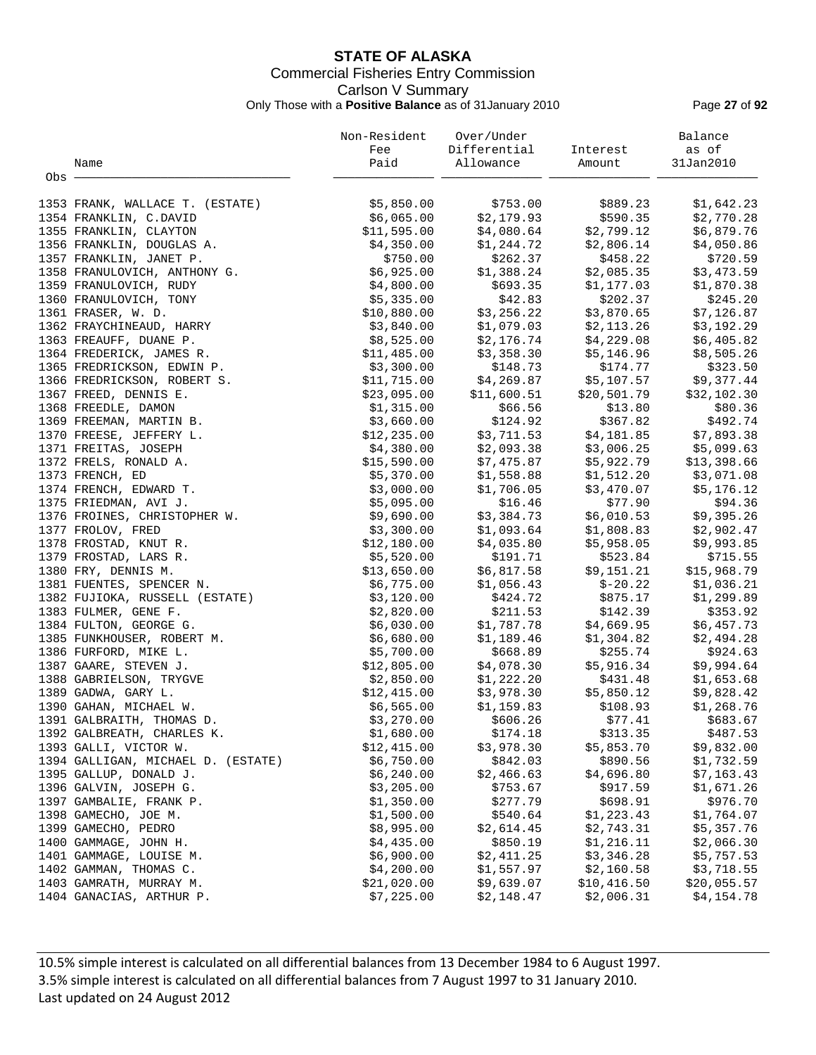# **STATE OF ALASKA** Commercial Fisheries Entry Commission Carlson V Summary Only Those with a **Positive Balance** as of 31January 2010 Page **27** of **92**

|       |                                             | Non-Resident             | Over/Under             |                          | Balance                  |
|-------|---------------------------------------------|--------------------------|------------------------|--------------------------|--------------------------|
|       |                                             | Fee                      | Differential           | Interest                 | as of                    |
|       | Name                                        | Paid                     | Allowance              | Amount                   | 31Jan2010                |
| Obs - |                                             |                          |                        |                          |                          |
|       | 1353 FRANK, WALLACE T. (ESTATE)             | \$5,850.00               | \$753.00               | \$889.23                 | \$1,642.23               |
|       | 1354 FRANKLIN, C.DAVID                      | \$6,065.00               | \$2,179.93             | \$590.35                 | \$2,770.28               |
|       | 1355 FRANKLIN, CLAYTON                      | \$11,595.00              | \$4,080.64             | \$2,799.12               | \$6,879.76               |
|       | 1356 FRANKLIN, DOUGLAS A.                   | \$4,350.00               | \$1,244.72             | \$2,806.14               | \$4,050.86               |
|       | 1357 FRANKLIN, JANET P.                     | \$750.00                 | \$262.37               | \$458.22                 | \$720.59                 |
|       | 1358 FRANULOVICH, ANTHONY G.                | \$6,925.00               | \$1,388.24             | \$2,085.35               | \$3,473.59               |
|       | 1359 FRANULOVICH, RUDY                      | \$4,800.00               | \$693.35               | \$1,177.03               | \$1,870.38               |
|       | 1360 FRANULOVICH, TONY                      | \$5,335.00               | \$42.83                | \$202.37                 | \$245.20                 |
|       | 1361 FRASER, W. D.                          | \$10,880.00              | \$3,256.22             | \$3,870.65               | \$7,126.87               |
|       | 1362 FRAYCHINEAUD, HARRY                    | \$3,840.00               | \$1,079.03             | \$2,113.26               | \$3,192.29               |
|       | 1363 FREAUFF, DUANE P.                      | \$8,525.00               | \$2,176.74             | \$4,229.08               | \$6,405.82               |
|       | 1364 FREDERICK, JAMES R.                    | \$11,485.00              | \$3,358.30             | \$5,146.96               | \$8,505.26               |
|       | 1365 FREDRICKSON, EDWIN P.                  | \$3,300.00               | \$148.73               | \$174.77                 | \$323.50                 |
|       | 1366 FREDRICKSON, ROBERT S.                 | \$11,715.00              | \$4,269.87             | \$5,107.57               | \$9,377.44               |
|       | 1367 FREED, DENNIS E.                       | \$23,095.00              | \$11,600.51            | \$20,501.79              | \$32,102.30              |
|       | 1368 FREEDLE, DAMON                         | \$1,315.00               | \$66.56                | \$13.80                  | \$80.36                  |
|       | 1369 FREEMAN, MARTIN B.                     | \$3,660.00               | \$124.92               | \$367.82                 | \$492.74                 |
|       | 1370 FREESE, JEFFERY L.                     | \$12, 235.00             | \$3,711.53             | \$4,181.85               | \$7,893.38               |
|       | 1371 FREITAS, JOSEPH                        | \$4,380.00               | \$2,093.38             | \$3,006.25               | \$5,099.63               |
|       | 1372 FRELS, RONALD A.                       | \$15,590.00              | \$7,475.87             | \$5,922.79               | \$13,398.66              |
|       | 1373 FRENCH, ED                             | \$5,370.00               | \$1,558.88             | \$1,512.20               | \$3,071.08               |
|       | 1374 FRENCH, EDWARD T.                      | \$3,000.00               | \$1,706.05             | \$3,470.07               | \$5,176.12               |
|       | 1375 FRIEDMAN, AVI J.                       | \$5,095.00               | \$16.46                | \$77.90                  | \$94.36                  |
|       | 1376 FROINES, CHRISTOPHER W.                | \$9,690.00               | \$3,384.73             | \$6,010.53               | \$9,395.26               |
|       | 1377 FROLOV, FRED                           | \$3,300.00               | \$1,093.64             | \$1,808.83               | \$2,902.47               |
|       | 1378 FROSTAD, KNUT R.                       | \$12,180.00              | \$4,035.80             | \$5,958.05               | \$9,993.85               |
|       | 1379 FROSTAD, LARS R.                       | \$5,520.00               | \$191.71               | \$523.84                 | \$715.55                 |
|       | 1380 FRY, DENNIS M.                         | \$13,650.00              | \$6,817.58             | \$9,151.21               | \$15,968.79              |
|       | 1381 FUENTES, SPENCER N.                    | \$6,775.00               | \$1,056.43             | $$-20.22$                | \$1,036.21               |
|       | 1382 FUJIOKA, RUSSELL (ESTATE)              | \$3,120.00               | \$424.72               | \$875.17                 | \$1,299.89               |
|       | 1383 FULMER, GENE F.                        | \$2,820.00               | \$211.53               | \$142.39                 | \$353.92                 |
|       | 1384 FULTON, GEORGE G.                      | \$6,030.00               | \$1,787.78             | \$4,669.95               | \$6,457.73               |
|       | 1385 FUNKHOUSER, ROBERT M.                  | \$6,680.00               | \$1,189.46             | \$1,304.82               | \$2,494.28               |
|       | 1386 FURFORD, MIKE L.                       | \$5,700.00               | \$668.89               | \$255.74                 | \$924.63                 |
|       | 1387 GAARE, STEVEN J.                       | \$12,805.00              | \$4,078.30             | \$5,916.34               | \$9,994.64               |
|       | 1388 GABRIELSON, TRYGVE                     | \$2,850.00               | \$1,222.20             | \$431.48                 | \$1,653.68               |
|       | 1389 GADWA, GARY L.                         | \$12,415.00              | \$3,978.30             | \$5,850.12               | \$9,828.42               |
|       | 1390 GAHAN, MICHAEL W.                      | \$6,565.00               | \$1,159.83             | \$108.93                 | \$1,268.76               |
|       | 1391 GALBRAITH, THOMAS D.                   | \$3,270.00               | \$606.26               | \$77.41                  | \$683.67                 |
|       | 1392 GALBREATH, CHARLES K.                  | \$1,680.00               | \$174.18               | \$313.35                 | \$487.53                 |
|       | 1393 GALLI, VICTOR W.                       | \$12,415.00              | \$3,978.30             | \$5,853.70               | \$9,832.00               |
|       | 1394 GALLIGAN, MICHAEL D. (ESTATE)          | \$6,750.00               | \$842.03               | \$890.56                 | \$1,732.59               |
|       | 1395 GALLUP, DONALD J.                      | \$6,240.00               | \$2,466.63             | \$4,696.80               | \$7,163.43               |
|       | 1396 GALVIN, JOSEPH G.                      | \$3,205.00               | \$753.67               | \$917.59<br>\$698.91     | \$1,671.26               |
|       | 1397 GAMBALIE, FRANK P.                     | \$1,350.00               | \$277.79               |                          | \$976.70                 |
|       | 1398 GAMECHO, JOE M.<br>1399 GAMECHO, PEDRO | \$1,500.00               | \$540.64               | \$1,223.43               | \$1,764.07               |
|       | 1400 GAMMAGE, JOHN H.                       | \$8,995.00<br>\$4,435.00 | \$2,614.45<br>\$850.19 | \$2,743.31<br>\$1,216.11 | \$5,357.76<br>\$2,066.30 |
|       | 1401 GAMMAGE, LOUISE M.                     | \$6,900.00               | \$2,411.25             | \$3,346.28               | \$5,757.53               |
|       | 1402 GAMMAN, THOMAS C.                      | \$4,200.00               | \$1,557.97             | \$2,160.58               | \$3,718.55               |
|       | 1403 GAMRATH, MURRAY M.                     | \$21,020.00              | \$9,639.07             | \$10,416.50              | \$20,055.57              |
|       | 1404 GANACIAS, ARTHUR P.                    | \$7,225.00               | \$2,148.47             | \$2,006.31               | \$4,154.78               |
|       |                                             |                          |                        |                          |                          |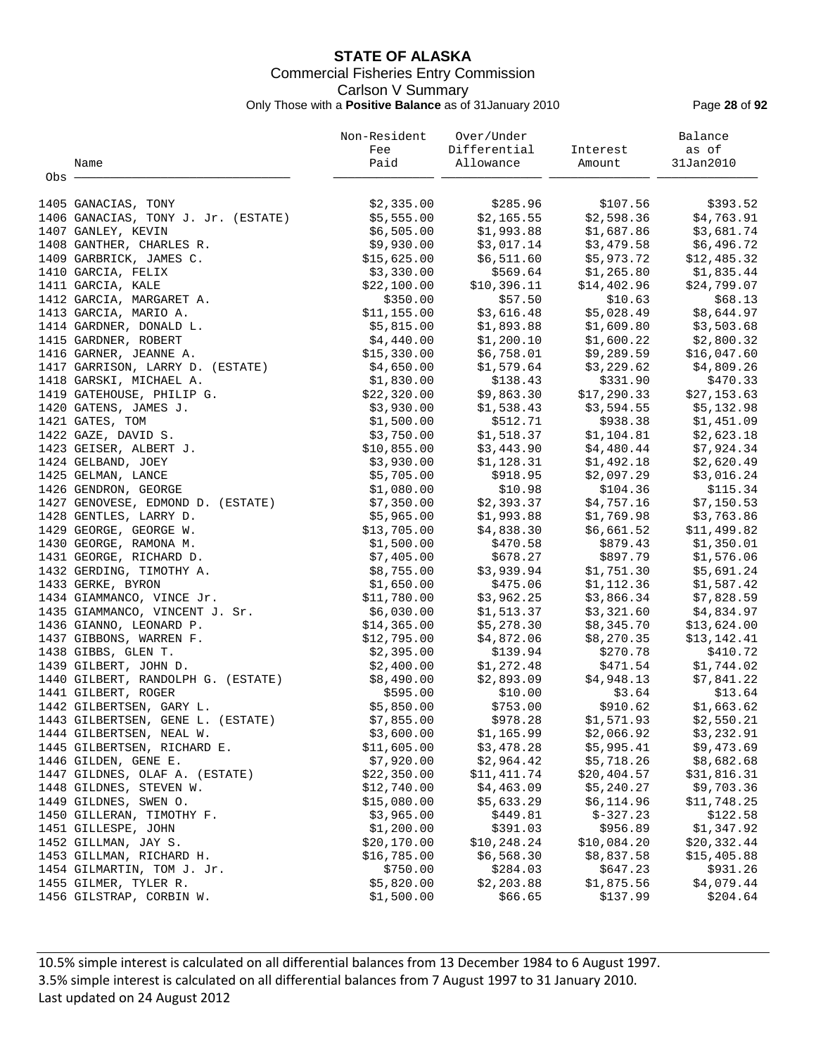# **STATE OF ALASKA** Commercial Fisheries Entry Commission Carlson V Summary Only Those with a **Positive Balance** as of 31January 2010 Page **28** of **92**

|       |                                                  | Non-Resident               | Over/Under               |                                                    | Balance                                                      |
|-------|--------------------------------------------------|----------------------------|--------------------------|----------------------------------------------------|--------------------------------------------------------------|
|       |                                                  | Fee                        | Differential Interest    |                                                    | as of                                                        |
|       | Name                                             | Paid                       | Allowance                | Amount                                             | 31Jan2010                                                    |
| Obs - |                                                  |                            |                          |                                                    |                                                              |
|       |                                                  |                            |                          |                                                    |                                                              |
|       | 1405 GANACIAS, TONY                              | \$2,335.00                 | \$285.96                 | \$107.56                                           | \$393.52                                                     |
|       | 1406 GANACIAS, TONY J. Jr. (ESTATE)              | \$5,555.00                 | \$2,165.55               | \$2,598.36                                         | \$4,763.91                                                   |
|       | 1407 GANLEY, KEVIN                               | \$6,505.00                 | \$1,993.88               | \$1,687.86                                         | \$3,681.74                                                   |
|       | 1408 GANTHER, CHARLES R.                         | \$9,930.00                 | \$3,017.14               | \$3,479.58                                         | \$6,496.72                                                   |
|       | 1409 GARBRICK, JAMES C.                          | \$15,625.00                | \$6,511.60               | \$5,973.72                                         | \$12,485.32                                                  |
|       | 1410 GARCIA, FELIX                               | \$3,330.00                 | \$569.64                 | \$1,265.80                                         | \$1,835.44                                                   |
|       | 1411 GARCIA, KALE                                | \$22,100.00                | \$10, 396.11             | \$14,402.96                                        | \$24,799.07                                                  |
|       | 1412 GARCIA, MARGARET A.                         | \$350.00                   | \$57.50                  | \$10.63                                            | \$68.13                                                      |
|       | 1413 GARCIA, MARIO A.                            | \$11,155.00                |                          |                                                    | \$8,644.97                                                   |
|       | 1414 GARDNER, DONALD L.                          | \$5,815.00                 |                          | $$3,616.48$ $$5,028.49$<br>$$1,893.88$ $$1,609.80$ | \$3,503.68                                                   |
|       | 1415 GARDNER, ROBERT                             | \$4,440.00                 | \$1,200.10               | \$1,600.22                                         | \$2,800.32                                                   |
|       | 1416 GARNER, JEANNE A.                           | \$15,330.00                | \$6,758.01               | \$9,289.59                                         | \$16,047.60                                                  |
|       | 1417 GARRISON, LARRY D. (ESTATE)                 | \$4,650.00                 | \$1,579.64               | \$3,229.62                                         | \$4,809.26                                                   |
|       | 1418 GARSKI, MICHAEL A.                          | \$1,830.00                 | \$138.43                 | \$331.90                                           | \$470.33                                                     |
|       | 1419 GATEHOUSE, PHILIP G.                        | \$22,320.00                | \$9,863.30<br>\$1,538.43 | \$17,290.33                                        | \$27,153.63                                                  |
|       | 1420 GATENS, JAMES J.                            | \$3,930.00                 |                          |                                                    | \$17,290.33       \$27,153.63<br>\$3,594.55       \$5,132.98 |
|       | 1421 GATES, TOM                                  | \$1,500.00                 | \$512.71                 | \$938.38                                           | \$1,451.09                                                   |
|       | 1422 GAZE, DAVID S.                              | \$3,750.00                 | \$1,518.37               | \$1,104.81                                         | \$2,623.18                                                   |
|       | 1423 GEISER, ALBERT J.                           | \$10,855.00                | \$3,443.90               | \$4,480.44                                         | \$7,924.34                                                   |
|       | 1424 GELBAND, JOEY                               | \$3,930.00                 | \$1,128.31               | \$1,492.18                                         | \$2,620.49                                                   |
|       | 1425 GELMAN, LANCE                               | \$5,705.00                 | \$918.95                 | \$2,097.29                                         | \$3,016.24                                                   |
|       | 1426 GENDRON, GEORGE                             | \$1,080.00                 | \$10.98                  | \$104.36                                           | \$115.34                                                     |
|       | 1427 GENOVESE, EDMOND D. (ESTATE)                | \$7,350.00                 | \$2,393.37               | \$4,757.16                                         | \$7,150.53                                                   |
|       | 1428 GENTLES, LARRY D.                           | \$5,965.00                 | \$1,993.88               | \$1,769.98                                         | \$3,763.86                                                   |
|       | 1429 GEORGE, GEORGE W.                           | \$13,705.00                | \$4,838.30               | \$6,661.52                                         | \$11,499.82                                                  |
|       | 1430 GEORGE, RAMONA M.                           | \$1,500.00                 | \$470.58                 | \$879.43                                           | \$1,350.01                                                   |
|       | 1431 GEORGE, RICHARD D.                          | \$7,405.00                 | \$678.27                 | \$897.79                                           | \$1,576.06                                                   |
|       | 1432 GERDING, TIMOTHY A.                         | \$8,755.00                 | \$3,939.94               | \$1,751.30                                         | \$5,691.24                                                   |
|       | 1433 GERKE, BYRON                                | \$1,650.00                 | \$475.06                 | \$1,112.36                                         | \$1,587.42                                                   |
|       | 1434 GIAMMANCO, VINCE Jr.                        | \$11,780.00                | \$3,962.25               | \$3,866.34                                         | \$7,828.59                                                   |
|       | 1435 GIAMMANCO, VINCENT J. Sr.                   | \$6,030.00                 | \$1,513.37               | \$3,321.60                                         | \$4,834.97                                                   |
|       | 1436 GIANNO, LEONARD P.                          | \$14,365.00                | \$5,278.30               | \$8,345.70                                         | \$13,624.00                                                  |
|       | 1437 GIBBONS, WARREN F.                          | \$12,795.00                | \$4,872.06               | \$8,270.35                                         | \$13,142.41                                                  |
|       | 1438 GIBBS, GLEN T.                              | \$2,395.00                 | \$139.94                 | \$270.78                                           | \$410.72                                                     |
|       | 1439 GILBERT, JOHN D.                            | \$2,400.00                 | \$1,272.48<br>\$2,893.09 | \$471.54                                           | \$1,744.02                                                   |
|       | 1440 GILBERT, RANDOLPH G. (ESTATE)               | \$8,490.00                 |                          | \$4,948.13                                         | \$7,841.22                                                   |
|       | 1441 GILBERT, ROGER                              | \$595.00                   | \$10.00                  | \$3.64                                             | \$13.64                                                      |
|       | 1442 GILBERTSEN, GARY L.                         | \$5,850.00                 |                          | \$753.00 \$910.62                                  | \$1,663.62                                                   |
|       | 1443 GILBERTSEN, GENE L. (ESTATE)                | \$7,855.00                 | \$978.28                 | \$1,571.93                                         | \$2,550.21                                                   |
|       | 1444 GILBERTSEN, NEAL W.                         | \$3,600.00                 | \$1,165.99               | \$2,066.92                                         | \$3,232.91                                                   |
|       | 1445 GILBERTSEN, RICHARD E.                      | \$11,605.00                | \$3,478.28               | \$5,995.41                                         | \$9,473.69                                                   |
|       | 1446 GILDEN, GENE E.                             | \$7,920.00                 | \$2,964.42               | \$5,718.26                                         | \$8,682.68                                                   |
|       | 1447 GILDNES, OLAF A. (ESTATE)                   | \$22,350.00                | \$11,411.74              | \$20, 404.57                                       | \$31,816.31                                                  |
|       | 1448 GILDNES, STEVEN W.                          | \$12,740.00                | \$4,463.09               | \$5,240.27                                         | \$9,703.36                                                   |
|       | 1449 GILDNES, SWEN O.                            | \$15,080.00                | \$5,633.29               | \$6,114.96                                         | \$11,748.25                                                  |
|       | 1450 GILLERAN, TIMOTHY F.                        | \$3,965.00                 | \$449.81                 | $$-327.23$                                         | \$122.58                                                     |
|       | 1451 GILLESPE, JOHN                              | \$1,200.00                 | \$391.03<br>\$10,248.24  | \$956.89<br>\$10,084.20                            | \$1,347.92                                                   |
|       | 1452 GILLMAN, JAY S.<br>1453 GILLMAN, RICHARD H. | \$20,170.00<br>\$16,785.00 | \$6,568.30               | \$8,837.58                                         | \$20,332.44<br>\$15,405.88                                   |
|       | 1454 GILMARTIN, TOM J. Jr.                       | \$750.00                   | \$284.03                 | \$647.23                                           | \$931.26                                                     |
|       | 1455 GILMER, TYLER R.                            | \$5,820.00                 | \$2,203.88               | \$1,875.56                                         | \$4,079.44                                                   |
|       | 1456 GILSTRAP, CORBIN W.                         | \$1,500.00                 | \$66.65                  | \$137.99                                           | \$204.64                                                     |
|       |                                                  |                            |                          |                                                    |                                                              |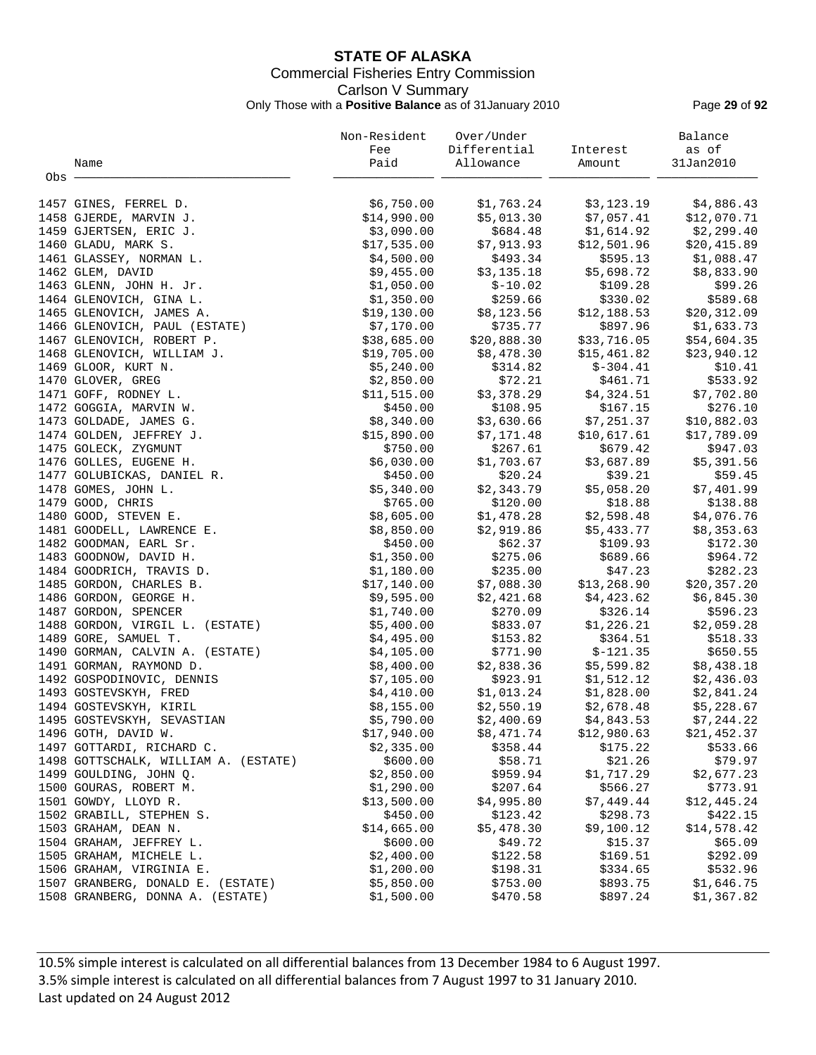# **STATE OF ALASKA** Commercial Fisheries Entry Commission Carlson V Summary Only Those with a **Positive Balance** as of 31January 2010 Page **29** of **92**

|       |                                      | Non-Resident | Over/Under   |             | Balance                    |
|-------|--------------------------------------|--------------|--------------|-------------|----------------------------|
|       |                                      | Fee          | Differential | Interest    | as of                      |
|       | Name                                 | Paid         | Allowance    | Amount      | 31Jan2010                  |
| Obs - |                                      |              |              |             |                            |
|       | 1457 GINES, FERREL D.                | \$6,750.00   | \$1,763.24   | \$3,123.19  | \$4,886.43                 |
|       | 1458 GJERDE, MARVIN J.               | \$14,990.00  | \$5,013.30   | \$7,057.41  | \$12,070.71                |
|       | 1459 GJERTSEN, ERIC J.               | \$3,090.00   | \$684.48     | \$1,614.92  | \$2,299.40                 |
|       | 1460 GLADU, MARK S.                  | \$17,535.00  | \$7,913.93   | \$12,501.96 | \$20,415.89                |
|       | 1461 GLASSEY, NORMAN L.              | \$4,500.00   | \$493.34     | \$595.13    | \$1,088.47                 |
|       | 1462 GLEM, DAVID                     | \$9,455.00   | \$3,135.18   | \$5,698.72  | \$8,833.90                 |
|       | 1463 GLENN, JOHN H. Jr.              | \$1,050.00   | $$-10.02$    | \$109.28    | \$99.26                    |
|       | 1464 GLENOVICH, GINA L.              | \$1,350.00   | \$259.66     | \$330.02    | \$589.68                   |
|       | 1465 GLENOVICH, JAMES A.             | \$19,130.00  | \$8,123.56   | \$12,188.53 | \$20,312.09                |
|       | 1466 GLENOVICH, PAUL (ESTATE)        | \$7,170.00   | \$735.77     | \$897.96    | $$20, 31.$<br>$$1, 633.73$ |
|       | 1467 GLENOVICH, ROBERT P.            | \$38,685.00  | \$20,888.30  | \$33,716.05 | \$54,604.35                |
|       | 1468 GLENOVICH, WILLIAM J.           | \$19,705.00  | \$8,478.30   | \$15,461.82 | \$23,940.12                |
|       | 1469 GLOOR, KURT N.                  | \$5,240.00   | \$314.82     | $$-304.41$  | \$10.41                    |
|       | 1470 GLOVER, GREG                    | \$2,850.00   | \$72.21      | \$461.71    | \$533.92                   |
|       | 1471 GOFF, RODNEY L.                 | \$11,515.00  | \$3,378.29   | \$4,324.51  | \$7,702.80                 |
|       | 1472 GOGGIA, MARVIN W.               | \$450.00     | \$108.95     | \$167.15    | \$276.10                   |
|       | 1473 GOLDADE, JAMES G.               | \$8,340.00   | \$3,630.66   | \$7,251.37  | \$10,882.03                |
|       | 1474 GOLDEN, JEFFREY J.              | \$15,890.00  | \$7,171.48   | \$10,617.61 | \$17,789.09                |
|       | 1475 GOLECK, ZYGMUNT                 | \$750.00     | \$267.61     | \$679.42    | \$947.03                   |
|       | 1476 GOLLES, EUGENE H.               | \$6,030.00   | \$1,703.67   | \$3,687.89  | \$5,391.56                 |
|       | 1477 GOLUBICKAS, DANIEL R.           | \$450.00     | \$20.24      | \$39.21     | \$59.45                    |
|       | 1478 GOMES, JOHN L.                  | \$5,340.00   | \$2,343.79   | \$5,058.20  | \$7,401.99                 |
|       | 1479 GOOD, CHRIS                     | \$765.00     | \$120.00     | \$18.88     | \$138.88                   |
|       | 1480 GOOD, STEVEN E.                 | \$8,605.00   | \$1,478.28   | \$2,598.48  | \$4,076.76                 |
|       | 1481 GOODELL, LAWRENCE E.            | \$8,850.00   | \$2,919.86   | \$5,433.77  | \$8,353.63                 |
|       | 1482 GOODMAN, EARL Sr.               | \$450.00     | \$62.37      | \$109.93    | \$172.30                   |
|       | 1483 GOODNOW, DAVID H.               | \$1,350.00   | \$275.06     | \$689.66    | \$964.72                   |
|       | 1484 GOODRICH, TRAVIS D.             | \$1,180.00   | \$235.00     | \$47.23     | \$282.23                   |
|       | 1485 GORDON, CHARLES B.              | \$17,140.00  | \$7,088.30   | \$13,268.90 | \$20, 357.20               |
|       | 1486 GORDON, GEORGE H.               | \$9,595.00   | \$2,421.68   | \$4,423.62  | \$6,845.30                 |
|       | 1487 GORDON, SPENCER                 | \$1,740.00   | \$270.09     | \$326.14    | \$596.23                   |
|       | 1488 GORDON, VIRGIL L. (ESTATE)      | \$5,400.00   | \$833.07     | \$1,226.21  | \$2,059.28                 |
|       | 1489 GORE, SAMUEL T.                 | \$4,495.00   | \$153.82     | \$364.51    | \$518.33                   |
|       | 1490 GORMAN, CALVIN A. (ESTATE)      | \$4,105.00   | \$771.90     | $$-121.35$  | \$650.55                   |
|       | 1491 GORMAN, RAYMOND D.              | \$8,400.00   | \$2,838.36   | \$5,599.82  | \$8,438.18                 |
|       | 1492 GOSPODINOVIC, DENNIS            | \$7,105.00   | \$923.91     | \$1,512.12  | \$2,436.03                 |
|       | 1493 GOSTEVSKYH, FRED                | \$4,410.00   | \$1,013.24   | \$1,828.00  | \$2,841.24                 |
|       | 1494 GOSTEVSKYH, KIRIL               | \$8,155.00   | \$2,550.19   | \$2,678.48  | \$5,228.67                 |
|       | 1495 GOSTEVSKYH, SEVASTIAN           | \$5,790.00   | \$2,400.69   | \$4,843.53  | \$7,244.22                 |
|       | 1496 GOTH, DAVID W.                  | \$17,940.00  | \$8,471.74   | \$12,980.63 | \$21,452.37                |
|       | 1497 GOTTARDI, RICHARD C.            | \$2,335.00   | \$358.44     | \$175.22    | \$533.66                   |
|       | 1498 GOTTSCHALK, WILLIAM A. (ESTATE) | \$600.00     | \$58.71      | \$21.26     | \$79.97                    |
|       | 1499 GOULDING, JOHN Q.               | \$2,850.00   | \$959.94     | \$1,717.29  | \$2,677.23                 |
|       | 1500 GOURAS, ROBERT M.               | \$1,290.00   | \$207.64     | \$566.27    | \$773.91                   |
|       | 1501 GOWDY, LLOYD R.                 | \$13,500.00  | \$4,995.80   | \$7,449.44  | \$12,445.24                |
|       | 1502 GRABILL, STEPHEN S.             | \$450.00     | \$123.42     | \$298.73    | \$422.15                   |
|       | 1503 GRAHAM, DEAN N.                 | \$14,665.00  | \$5,478.30   | \$9,100.12  | \$14,578.42                |
|       | 1504 GRAHAM, JEFFREY L.              | \$600.00     | \$49.72      | \$15.37     | \$65.09                    |
|       | 1505 GRAHAM, MICHELE L.              | \$2,400.00   | \$122.58     | \$169.51    | \$292.09                   |
|       | 1506 GRAHAM, VIRGINIA E.             | \$1,200.00   | \$198.31     | \$334.65    | \$532.96                   |
|       | 1507 GRANBERG, DONALD E. (ESTATE)    | \$5,850.00   | \$753.00     | \$893.75    | \$1,646.75                 |
|       | 1508 GRANBERG, DONNA A. (ESTATE)     | \$1,500.00   | \$470.58     | \$897.24    | \$1,367.82                 |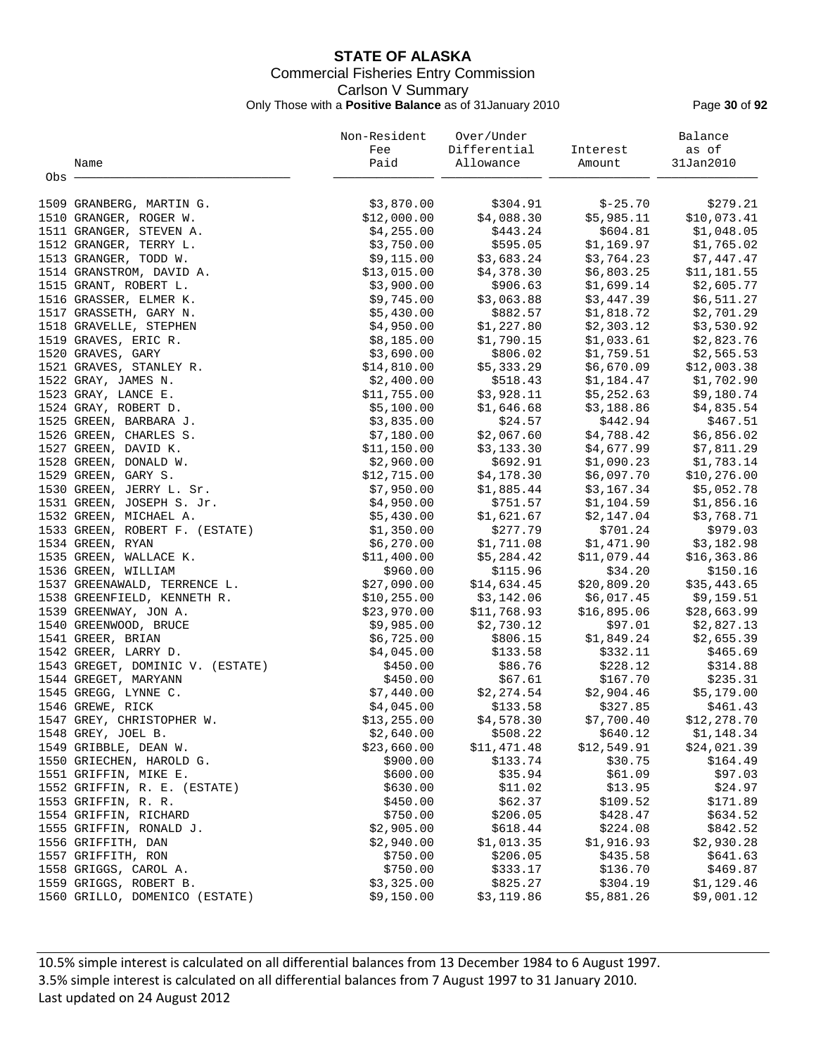# **STATE OF ALASKA** Commercial Fisheries Entry Commission Carlson V Summary Only Those with a **Positive Balance** as of 31January 2010 Page **30** of **92**

|       |                                  | Non-Resident | Over/Under               |                         | Balance      |
|-------|----------------------------------|--------------|--------------------------|-------------------------|--------------|
|       |                                  | Fee          | Differential             | Interest                | as of        |
|       | Name                             | Paid         | Allowance                | Amount                  | 31Jan2010    |
| Obs · |                                  |              |                          |                         |              |
|       |                                  |              |                          |                         |              |
|       | 1509 GRANBERG, MARTIN G.         | \$3,870.00   | \$304.91                 | $$ -25.70$              | \$279.21     |
|       | 1510 GRANGER, ROGER W.           | \$12,000.00  | \$4,088.30               | \$5,985.11              | \$10,073.41  |
|       | 1511 GRANGER, STEVEN A.          | \$4,255.00   | \$443.24                 | \$604.81                | \$1,048.05   |
|       | 1512 GRANGER, TERRY L.           | \$3,750.00   | \$595.05                 | \$1,169.97              | \$1,765.02   |
|       | 1513 GRANGER, TODD W.            | \$9,115.00   | \$3,683.24               | \$3,764.23              | \$7,447.47   |
|       | 1514 GRANSTROM, DAVID A.         | \$13,015.00  | \$4,378.30               | \$6,803.25              | \$11,181.55  |
|       | 1515 GRANT, ROBERT L.            | \$3,900.00   | \$906.63                 | \$1,699.14              | \$2,605.77   |
|       | 1516 GRASSER, ELMER K.           | \$9,745.00   | \$3,063.88               | \$3,447.39              | \$6,511.27   |
|       | 1517 GRASSETH, GARY N.           | \$5,430.00   | \$882.57                 | \$1,818.72              | \$2,701.29   |
|       | 1518 GRAVELLE, STEPHEN           | \$4,950.00   | \$1,227.80               | \$2,303.12              | \$3,530.92   |
|       | 1519 GRAVES, ERIC R.             | \$8,185.00   |                          | $$1,790.15$ $$1,033.61$ | \$2,823.76   |
|       | 1520 GRAVES, GARY                | \$3,690.00   | \$806.02                 | \$1,759.51              | \$2,565.53   |
|       | 1521 GRAVES, STANLEY R.          | \$14,810.00  | \$5,333.29               | \$6,670.09              | \$12,003.38  |
|       | 1522 GRAY, JAMES N.              | \$2,400.00   |                          | \$518.43 \$1,184.47     | \$1,702.90   |
|       | 1523 GRAY, LANCE E.              | \$11,755.00  | \$3,928.11               | \$5,252.63              | \$9,180.74   |
|       | 1524 GRAY, ROBERT D.             | \$5,100.00   | \$3,928.11<br>\$1,646.68 | \$3,188.86              | \$4,835.54   |
|       | 1525 GREEN, BARBARA J.           | \$3,835.00   | \$24.57                  | \$442.94                | \$467.51     |
|       | 1526 GREEN, CHARLES S.           | \$7,180.00   | \$2,067.60               | \$4,788.42              | \$6,856.02   |
|       |                                  | \$11,150.00  | \$3,133.30               | \$4,677.99              |              |
|       | 1527 GREEN, DAVID K.             |              | \$692.91                 | \$1,090.23              | \$7,811.29   |
|       | 1528 GREEN, DONALD W.            | \$2,960.00   |                          | \$6,097.70              | \$1,783.14   |
|       | 1529 GREEN, GARY S.              | \$12,715.00  | \$4,178.30               |                         | \$10, 276.00 |
|       | 1530 GREEN, JERRY L. Sr.         | \$7,950.00   | \$1,885.44               | \$3,167.34              | \$5,052.78   |
|       | 1531 GREEN, JOSEPH S. Jr.        | \$4,950.00   | \$751.57                 | \$1,104.59              | \$1,856.16   |
|       | 1532 GREEN, MICHAEL A.           | \$5,430.00   | \$1,621.67               | \$2,147.04              | \$3,768.71   |
|       | 1533 GREEN, ROBERT F. (ESTATE)   | \$1,350.00   | \$277.79                 | \$701.24                | \$979.03     |
|       | 1534 GREEN, RYAN                 | \$6,270.00   | \$1,711.08               | \$1,471.90              | \$3,182.98   |
|       | 1535 GREEN, WALLACE K.           | \$11,400.00  | \$5,284.42               | \$11,079.44             | \$16, 363.86 |
|       | 1536 GREEN, WILLIAM              | \$960.00     | \$115.96                 | \$34.20                 | \$150.16     |
|       | 1537 GREENAWALD, TERRENCE L.     | \$27,090.00  | \$14,634.45              | \$20,809.20             | \$35,443.65  |
|       | 1538 GREENFIELD, KENNETH R.      | \$10, 255.00 | \$3,142.06               | \$6,017.45              | \$9,159.51   |
|       | 1539 GREENWAY, JON A.            | \$23,970.00  | \$11,768.93              | \$16,895.06             | \$28,663.99  |
|       | 1540 GREENWOOD, BRUCE            | \$9,985.00   | \$2,730.12               | \$97.01                 | \$2,827.13   |
|       | 1541 GREER, BRIAN                | \$6,725.00   | \$806.15                 | \$1,849.24              | \$2,655.39   |
|       | 1542 GREER, LARRY D.             | \$4,045.00   | \$133.58                 | \$332.11                | \$465.69     |
|       | 1543 GREGET, DOMINIC V. (ESTATE) | \$450.00     | \$86.76                  | \$228.12                | \$314.88     |
|       | 1544 GREGET, MARYANN             | \$450.00     | \$67.61                  | \$167.70                | \$235.31     |
|       | 1545 GREGG, LYNNE C.             | \$7,440.00   | \$2,274.54               | \$2,904.46              | \$5,179.00   |
|       | 1546 GREWE, RICK                 | \$4,045.00   | \$133.58                 | \$327.85                | \$461.43     |
|       | 1547 GREY, CHRISTOPHER W.        | \$13, 255.00 | \$4,578.30               | \$7,700.40              | \$12, 278.70 |
|       | 1548 GREY, JOEL B.               | \$2,640.00   | \$508.22                 | \$640.12                | \$1,148.34   |
|       | 1549 GRIBBLE, DEAN W.            | \$23,660.00  | \$11,471.48              | \$12,549.91             | \$24,021.39  |
|       | 1550 GRIECHEN, HAROLD G.         | \$900.00     | \$133.74                 | \$30.75                 | \$164.49     |
|       | 1551 GRIFFIN, MIKE E.            | \$600.00     | \$35.94                  | \$61.09                 | \$97.03      |
|       | 1552 GRIFFIN, R. E. (ESTATE)     | \$630.00     | \$11.02                  | \$13.95                 | \$24.97      |
|       | 1553 GRIFFIN, R. R.              | \$450.00     | \$62.37                  | \$109.52                | \$171.89     |
|       | 1554 GRIFFIN, RICHARD            | \$750.00     | \$206.05                 | \$428.47                | \$634.52     |
|       | 1555 GRIFFIN, RONALD J.          | \$2,905.00   | \$618.44                 | \$224.08                | \$842.52     |
|       | 1556 GRIFFITH, DAN               | \$2,940.00   | \$1,013.35               | \$1,916.93              | \$2,930.28   |
|       | 1557 GRIFFITH, RON               | \$750.00     | \$206.05                 | \$435.58                | \$641.63     |
|       | 1558 GRIGGS, CAROL A.            | \$750.00     | \$333.17                 | \$136.70                | \$469.87     |
|       | 1559 GRIGGS, ROBERT B.           | \$3,325.00   | \$825.27                 | \$304.19                | \$1,129.46   |
|       | 1560 GRILLO, DOMENICO (ESTATE)   | \$9,150.00   | \$3,119.86               | \$5,881.26              | \$9,001.12   |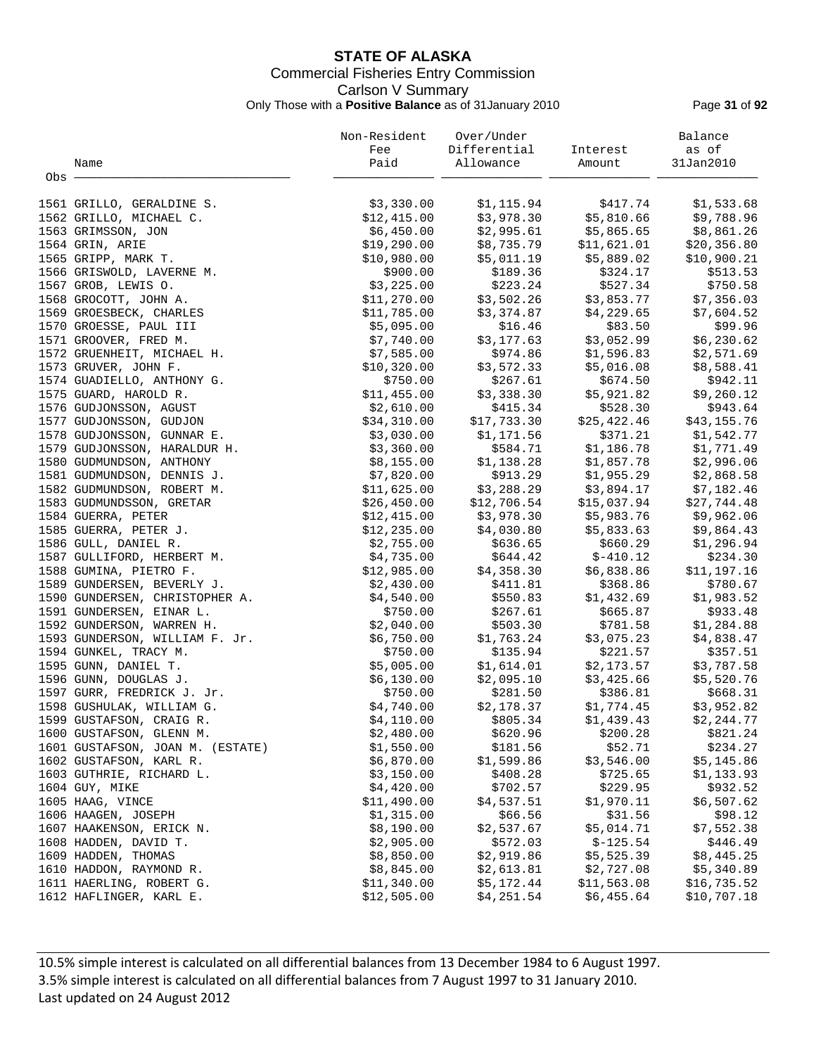# **STATE OF ALASKA** Commercial Fisheries Entry Commission Carlson V Summary Only Those with a **Positive Balance** as of 31January 2010 Page **31** of **92**

|       |                                  | Non-Resident | Over/Under                |                         | Balance     |
|-------|----------------------------------|--------------|---------------------------|-------------------------|-------------|
|       |                                  | Fee          | Differential              | Interest                | as of       |
|       | Name                             | Paid         | Allowance                 | Amount                  | 31Jan2010   |
| Obs · |                                  |              |                           |                         |             |
|       |                                  |              |                           |                         |             |
|       | 1561 GRILLO, GERALDINE S.        | \$3,330.00   | \$1,115.94                | \$417.74                | \$1,533.68  |
|       | 1562 GRILLO, MICHAEL C.          | \$12,415.00  | \$3,978.30                | \$5,810.66              | \$9,788.96  |
|       | 1563 GRIMSSON, JON               | \$6,450.00   | \$2,995.61                | \$5,865.65              | \$8,861.26  |
|       | 1564 GRIN, ARIE                  | \$19,290.00  | \$8,735.79                | \$11,621.01             | \$20,356.80 |
|       | 1565 GRIPP, MARK T.              | \$10,980.00  | \$5,011.19                | \$5,889.02              | \$10,900.21 |
|       | 1566 GRISWOLD, LAVERNE M.        | \$900.00     | \$189.36                  | \$324.17                | \$513.53    |
|       | 1567 GROB, LEWIS O.              | \$3,225.00   | \$223.24                  | \$527.34                | \$750.58    |
|       | 1568 GROCOTT, JOHN A.            | \$11,270.00  | \$3,502.26                | \$3,853.77              | \$7,356.03  |
|       | 1569 GROESBECK, CHARLES          | \$11,785.00  | \$3,374.87                | \$4,229.65              | \$7,604.52  |
|       | 1570 GROESSE, PAUL III           | \$5,095.00   | \$16.46                   | \$83.50                 | \$99.96     |
|       | 1571 GROOVER, FRED M.            | \$7,740.00   | \$3,177.63                | \$3,052.99              | \$6,230.62  |
|       | 1572 GRUENHEIT, MICHAEL H.       | \$7,585.00   | \$974.86                  | \$1,596.83              | \$2,571.69  |
|       | 1573 GRUVER, JOHN F.             | \$10,320.00  | \$3,572.33                | \$5,016.08              | \$8,588.41  |
|       | 1574 GUADIELLO, ANTHONY G.       | \$750.00     | \$267.61                  | \$674.50                | \$942.11    |
|       | 1575 GUARD, HAROLD R.            | \$11,455.00  | \$3,338.30                | \$5,921.82              | \$9,260.12  |
|       | 1576 GUDJONSSON, AGUST           | \$2,610.00   | \$415.34                  | \$528.30                | \$943.64    |
|       |                                  | \$34,310.00  | \$17,733.30               | \$25,422.46             |             |
|       | 1577 GUDJONSSON, GUDJON          |              |                           |                         | \$43,155.76 |
|       | 1578 GUDJONSSON, GUNNAR E.       | \$3,030.00   | \$1,171.56                | \$371.21                | \$1,542.77  |
|       | 1579 GUDJONSSON, HARALDUR H.     | \$3,360.00   | \$584.71                  | \$1,186.78              | \$1,771.49  |
|       | 1580 GUDMUNDSON, ANTHONY         | \$8,155.00   | \$1,138.28                | \$1,857.78              | \$2,996.06  |
|       | 1581 GUDMUNDSON, DENNIS J.       | \$7,820.00   |                           | \$913.29 \$1,955.29     | \$2,868.58  |
|       | 1582 GUDMUNDSON, ROBERT M.       | \$11,625.00  | \$3,288.29<br>\$12,706.54 | \$3,894.17              | \$7,182.46  |
|       | 1583 GUDMUNDSSON, GRETAR         | \$26,450.00  |                           | \$15,037.94             | \$27,744.48 |
|       | 1584 GUERRA, PETER               | \$12,415.00  | \$3,978.30                | \$5,983.76              | \$9,962.06  |
|       | 1585 GUERRA, PETER J.            | \$12, 235.00 | \$4,030.80                | \$5,833.63              | \$9,864.43  |
|       | 1586 GULL, DANIEL R.             | \$2,755.00   | \$636.65                  | \$660.29                | \$1,296.94  |
|       | 1587 GULLIFORD, HERBERT M.       | \$4,735.00   | \$644.42                  | $$-410.12$              | \$234.30    |
|       | 1588 GUMINA, PIETRO F.           | \$12,985.00  | \$4,358.30                | \$6,838.86              | \$11,197.16 |
|       | 1589 GUNDERSEN, BEVERLY J.       | \$2,430.00   | \$411.81                  | \$368.86                | \$780.67    |
|       | 1590 GUNDERSEN, CHRISTOPHER A.   | \$4,540.00   | \$550.83                  | \$1,432.69              | \$1,983.52  |
|       | 1591 GUNDERSEN, EINAR L.         | \$750.00     | \$267.61                  | \$665.87                | \$933.48    |
|       | 1592 GUNDERSON, WARREN H.        | \$2,040.00   | \$503.30                  | \$781.58                | \$1,284.88  |
|       | 1593 GUNDERSON, WILLIAM F. Jr.   | \$6,750.00   | \$1,763.24                | \$3,075.23              | \$4,838.47  |
|       | 1594 GUNKEL, TRACY M.            | \$750.00     | \$135.94                  | \$221.57                | \$357.51    |
|       | 1595 GUNN, DANIEL T.             | \$5,005.00   | \$1,614.01                | \$2,173.57              | \$3,787.58  |
|       | 1596 GUNN, DOUGLAS J.            | \$6,130.00   | \$2,095.10                | \$3,425.66              | \$5,520.76  |
|       | 1597 GURR, FREDRICK J. Jr.       | \$750.00     | \$281.50                  | \$386.81                | \$668.31    |
|       | 1598 GUSHULAK, WILLIAM G.        | \$4,740.00   |                           | $$2,178.37$ $$1,774.45$ | \$3,952.82  |
|       | 1599 GUSTAFSON, CRAIG R.         | \$4,110.00   | \$805.34                  | \$1,439.43              | \$2, 244.77 |
|       | 1600 GUSTAFSON, GLENN M.         | \$2,480.00   | \$620.96                  | \$200.28                | \$821.24    |
|       | 1601 GUSTAFSON, JOAN M. (ESTATE) | \$1,550.00   | \$181.56                  | \$52.71                 | \$234.27    |
|       | 1602 GUSTAFSON, KARL R.          | \$6,870.00   | \$1,599.86                | \$3,546.00              | \$5,145.86  |
|       | 1603 GUTHRIE, RICHARD L.         | \$3,150.00   | \$408.28                  | \$725.65                | \$1,133.93  |
|       | 1604 GUY, MIKE                   | \$4,420.00   | \$702.57                  | \$229.95                | \$932.52    |
|       | 1605 HAAG, VINCE                 | \$11,490.00  | \$4,537.51                | \$1,970.11              | \$6,507.62  |
|       | 1606 HAAGEN, JOSEPH              | \$1,315.00   | \$66.56                   | \$31.56                 | \$98.12     |
|       | 1607 HAAKENSON, ERICK N.         | \$8,190.00   | \$2,537.67                | \$5,014.71              | \$7,552.38  |
|       | 1608 HADDEN, DAVID T.            | \$2,905.00   | \$572.03                  | $$-125.54$              | \$446.49    |
|       | 1609 HADDEN, THOMAS              | \$8,850.00   | \$2,919.86                | \$5,525.39              | \$8,445.25  |
|       | 1610 HADDON, RAYMOND R.          | \$8,845.00   | \$2,613.81                | \$2,727.08              | \$5,340.89  |
|       | 1611 HAERLING, ROBERT G.         | \$11,340.00  | \$5,172.44                | \$11,563.08             | \$16,735.52 |
|       | 1612 HAFLINGER, KARL E.          | \$12,505.00  | \$4,251.54                | \$6,455.64              | \$10,707.18 |
|       |                                  |              |                           |                         |             |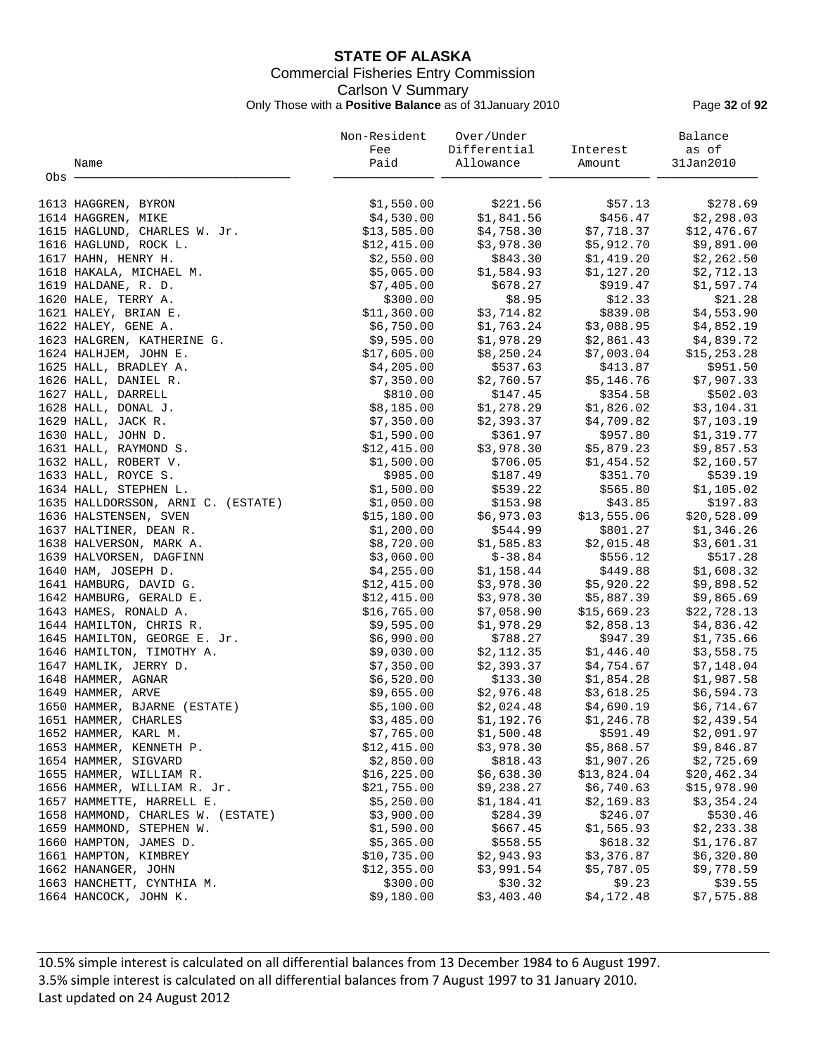# **STATE OF ALASKA** Commercial Fisheries Entry Commission Carlson V Summary Only Those with a **Positive Balance** as of 31January 2010 Page **32** of **92**

|       |                                                  | Non-Resident               | Over/Under               |                           | Balance                   |
|-------|--------------------------------------------------|----------------------------|--------------------------|---------------------------|---------------------------|
|       |                                                  | Fee                        | Differential             | Interest                  | as of                     |
|       | Name                                             | Paid                       | Allowance                | Amount                    | 31Jan2010                 |
| Obs - |                                                  |                            |                          |                           |                           |
|       | 1613 HAGGREN, BYRON                              | \$1,550.00                 | \$221.56                 | \$57.13                   | \$278.69                  |
|       | 1614 HAGGREN, MIKE                               | \$4,530.00                 | \$1,841.56               | \$456.47                  | \$2,298.03                |
|       | 1615 HAGLUND, CHARLES W. Jr.                     | \$13,585.00                | \$4,758.30               | \$7,718.37                | \$12,476.67               |
|       | 1616 HAGLUND, ROCK L.                            | \$12,415.00                | \$3,978.30               | \$5,912.70                | \$9,891.00                |
|       | 1617 HAHN, HENRY H.                              | \$2,550.00                 | \$843.30                 | \$1,419.20                | \$2,262.50                |
|       | 1618 HAKALA, MICHAEL M.                          | \$5,065.00                 | \$1,584.93               | \$1,127.20                | \$2,712.13                |
|       | 1619 HALDANE, R. D.                              | \$7,405.00                 | \$678.27                 | \$919.47                  | \$1,597.74                |
|       | 1620 HALE, TERRY A.                              | \$300.00                   | \$8.95                   | \$12.33                   | \$21.28                   |
|       | 1621 HALEY, BRIAN E.                             | \$11,360.00                | \$3,714.82               | \$839.08                  | \$4,553.90                |
|       | 1622 HALEY, GENE A.                              | \$6,750.00                 | \$1,763.24               | \$3,088.95                | \$4,852.19                |
|       | 1623 HALGREN, KATHERINE G.                       | \$9,595.00                 | \$1,978.29               | \$2,861.43                | \$4,839.72                |
|       | 1624 HALHJEM, JOHN E.                            | \$17,605.00                | \$8,250.24               | \$7,003.04                | \$15,253.28               |
|       | 1625 HALL, BRADLEY A.                            | \$4,205.00                 | \$537.63                 | \$413.87                  | \$951.50                  |
|       | 1626 HALL, DANIEL R.                             | \$7,350.00                 | \$2,760.57               | \$5,146.76                | \$7,907.33                |
|       | 1627 HALL, DARRELL                               | \$810.00                   | \$147.45                 | \$354.58                  | \$502.03                  |
|       | 1628 HALL, DONAL J.                              | \$8,185.00                 | \$1,278.29               | \$1,826.02                | \$3,104.31                |
|       | 1629 HALL, JACK R.                               | \$7,350.00                 | \$2,393.37               | \$4,709.82                | \$7,103.19                |
|       | 1630 HALL, JOHN D.                               | \$1,590.00                 | \$361.97                 | \$957.80                  | \$1,319.77                |
|       | 1631 HALL, RAYMOND S.                            | \$12,415.00                | \$3,978.30               | \$5,879.23                | \$9,857.53                |
|       | 1632 HALL, ROBERT V.                             | \$1,500.00                 | \$706.05                 | \$1,454.52                | \$2,160.57                |
|       | 1633 HALL, ROYCE S.                              | \$985.00                   | \$187.49                 | \$351.70                  | \$539.19                  |
|       | 1634 HALL, STEPHEN L.                            | \$1,500.00                 | \$539.22                 | \$565.80                  | \$1,105.02                |
|       | 1635 HALLDORSSON, ARNI C. (ESTATE)               | \$1,050.00                 | \$153.98                 | \$43.85                   | \$197.83                  |
|       | 1636 HALSTENSEN, SVEN                            | \$15,180.00                | \$6,973.03               | \$13,555.06               | \$20,528.09               |
|       | 1637 HALTINER, DEAN R.                           | \$1,200.00                 | \$544.99                 | \$801.27                  | \$1,346.26                |
|       | 1638 HALVERSON, MARK A.                          | \$8,720.00                 | \$1,585.83               | \$2,015.48                | \$3,601.31                |
|       | 1639 HALVORSEN, DAGFINN                          | \$3,060.00                 | $$-38.84$                | \$556.12                  | \$517.28                  |
|       | 1640 HAM, JOSEPH D.                              | \$4,255.00                 | \$1,158.44               | \$449.88                  | \$1,608.32                |
|       | 1641 HAMBURG, DAVID G.                           | \$12,415.00                | \$3,978.30               | \$5,920.22                | \$9,898.52                |
|       | 1642 HAMBURG, GERALD E.<br>1643 HAMES, RONALD A. | \$12,415.00<br>\$16,765.00 | \$3,978.30<br>\$7,058.90 | \$5,887.39<br>\$15,669.23 | \$9,865.69<br>\$22,728.13 |
|       | 1644 HAMILTON, CHRIS R.                          | \$9,595.00                 | \$1,978.29               | \$2,858.13                | \$4,836.42                |
|       | 1645 HAMILTON, GEORGE E. Jr.                     | \$6,990.00                 | \$788.27                 | \$947.39                  | \$1,735.66                |
|       | 1646 HAMILTON, TIMOTHY A.                        | \$9,030.00                 | \$2,112.35               | \$1,446.40                | \$3,558.75                |
|       | 1647 HAMLIK, JERRY D.                            | \$7,350.00                 | \$2,393.37               | \$4,754.67                | \$7,148.04                |
|       | 1648 HAMMER, AGNAR                               | \$6,520.00                 | \$133.30                 | \$1,854.28                | \$1,987.58                |
|       | 1649 HAMMER, ARVE                                | \$9,655.00                 | \$2,976.48               | \$3,618.25                | \$6,594.73                |
|       | 1650 HAMMER, BJARNE (ESTATE)                     | \$5,100.00                 | \$2,024.48               | \$4,690.19                | \$6,714.67                |
|       | 1651 HAMMER, CHARLES                             | \$3,485.00                 | \$1,192.76               | \$1,246.78                | \$2,439.54                |
|       | 1652 HAMMER, KARL M.                             | \$7,765.00                 | \$1,500.48               | \$591.49                  | \$2,091.97                |
|       | 1653 HAMMER, KENNETH P.                          | \$12,415.00                | \$3,978.30               | \$5,868.57                | \$9,846.87                |
|       | 1654 HAMMER, SIGVARD                             | \$2,850.00                 | \$818.43                 | \$1,907.26                | \$2,725.69                |
|       | 1655 HAMMER, WILLIAM R.                          | \$16,225.00                | \$6,638.30               | \$13,824.04               | \$20, 462.34              |
|       | 1656 HAMMER, WILLIAM R. Jr.                      | \$21,755.00                | \$9,238.27               | \$6,740.63                | \$15,978.90               |
|       | 1657 HAMMETTE, HARRELL E.                        | \$5,250.00                 | \$1,184.41               | \$2,169.83                | \$3,354.24                |
|       | 1658 HAMMOND, CHARLES W. (ESTATE)                | \$3,900.00                 | \$284.39                 | \$246.07                  | \$530.46                  |
|       | 1659 HAMMOND, STEPHEN W.                         | \$1,590.00                 | \$667.45                 | \$1,565.93                | \$2,233.38                |
|       | 1660 HAMPTON, JAMES D.                           | \$5,365.00                 | \$558.55                 | \$618.32                  | \$1,176.87                |
|       | 1661 HAMPTON, KIMBREY                            | \$10,735.00                | \$2,943.93               | \$3,376.87                | \$6,320.80                |
|       | 1662 HANANGER, JOHN                              | \$12,355.00                | \$3,991.54               | \$5,787.05                | \$9,778.59                |
|       | 1663 HANCHETT, CYNTHIA M.                        | \$300.00                   | \$30.32                  | \$9.23                    | \$39.55                   |
|       | 1664 HANCOCK, JOHN K.                            | \$9,180.00                 | \$3,403.40               | \$4,172.48                | \$7,575.88                |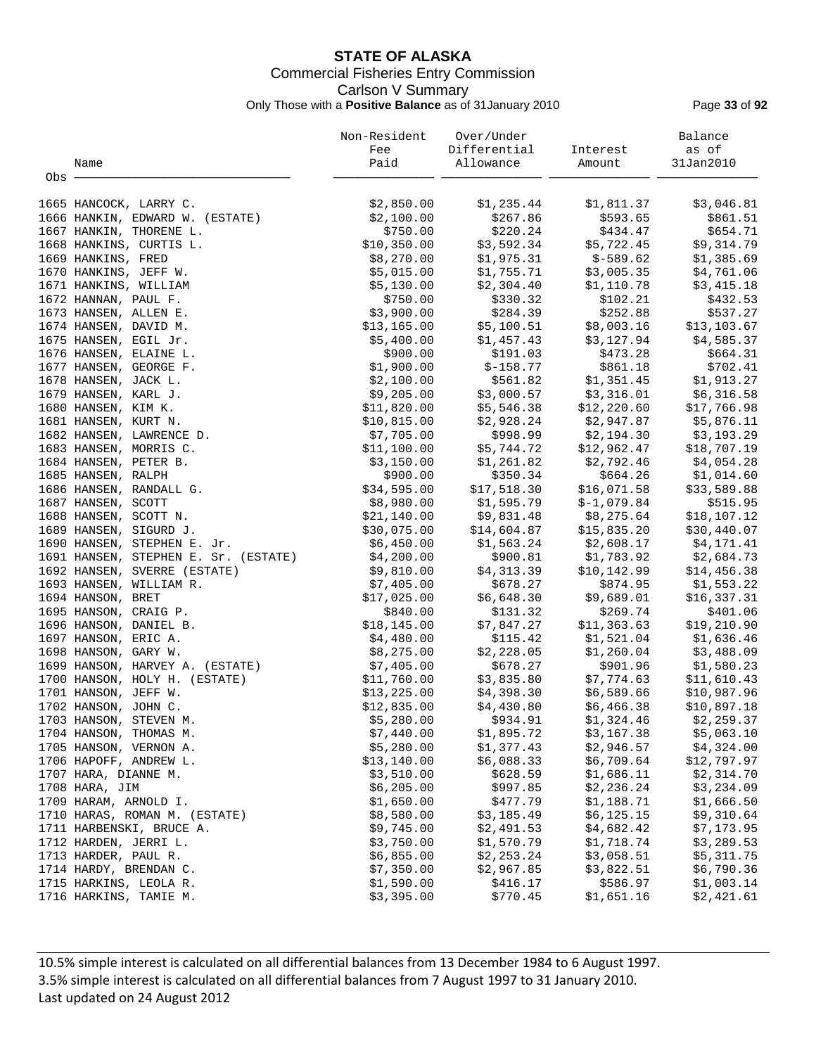# **STATE OF ALASKA** Commercial Fisheries Entry Commission Carlson V Summary Only Those with a **Positive Balance** as of 31January 2010 Page **33** of **92**

|       |                                                       | Non-Resident               | Over/Under                               |                        | Balance                    |
|-------|-------------------------------------------------------|----------------------------|------------------------------------------|------------------------|----------------------------|
|       |                                                       | Fee                        | Differential                             | Interest               | as of                      |
|       | Name                                                  | Paid                       | Allowance                                | Amount                 | 31Jan2010                  |
| Obs - |                                                       |                            |                                          |                        |                            |
|       | 1665 HANCOCK, LARRY C.                                | \$2,850.00                 | \$1,235.44                               | \$1,811.37             | \$3,046.81                 |
|       | 1666 HANKIN, EDWARD W. (ESTATE)                       | \$2,100.00                 | \$267.86                                 | \$593.65               | \$861.51                   |
|       | 1667 HANKIN, THORENE L.                               | \$750.00                   | \$220.24                                 | \$434.47               | \$654.71                   |
|       | 1668 HANKINS, CURTIS L.                               | \$10,350.00                | \$3,592.34                               | \$5,722.45             | \$9,314.79                 |
|       | 1669 HANKINS, FRED                                    | \$8,270.00                 | \$1,975.31                               | \$-589.62              | \$1,385.69                 |
|       | 1670 HANKINS, JEFF W.                                 | \$5,015.00                 | \$1,755.71                               | \$3,005.35             | \$4,761.06                 |
|       | 1671 HANKINS, WILLIAM                                 | \$5,130.00                 | \$2,304.40                               | \$1,110.78             | \$3,415.18                 |
|       | 1672 HANNAN, PAUL F.                                  | \$750.00                   | \$330.32                                 | \$102.21               | \$432.53                   |
|       | 1673 HANSEN, ALLEN E.                                 | \$3,900.00                 | \$284.39                                 | \$252.88               | \$537.27                   |
|       | 1674 HANSEN, DAVID M.                                 | \$13,165.00                | \$5,100.51                               | \$8,003.16             | \$13,103.67                |
|       | 1675 HANSEN, EGIL Jr.                                 | \$5,400.00                 | \$1,457.43                               | \$3,127.94             | \$4,585.37                 |
|       | 1676 HANSEN, ELAINE L.                                | \$900.00                   | \$191.03                                 | \$473.28               | \$664.31                   |
|       | 1677 HANSEN, GEORGE F.                                | \$1,900.00                 | $$-158.77$                               | \$861.18               | \$702.41                   |
|       | 1678 HANSEN, JACK L.                                  | \$2,100.00                 | \$561.82                                 | \$1,351.45             | \$1,913.27                 |
|       | 1679 HANSEN, KARL J.                                  | \$9,205.00                 | \$3,000.57                               | \$3,316.01             | \$6,316.58                 |
|       | 1680 HANSEN, KIM K.                                   | \$11,820.00                | \$5,546.38                               | \$12,220.60            | \$17,766.98                |
|       | 1681 HANSEN, KURT N.                                  | \$10,815.00                | \$2,928.24                               | \$2,947.87             | \$5,876.11                 |
|       | 1682 HANSEN, LAWRENCE D.                              | \$7,705.00                 | \$998.99                                 | \$2,194.30             | \$3,193.29                 |
|       | 1683 HANSEN, MORRIS C.                                | \$11,100.00                | \$5,744.72                               | \$12,962.47            | \$18,707.19                |
|       | 1684 HANSEN, PETER B.                                 | \$3,150.00                 | \$1,261.82                               | \$2,792.46             | \$4,054.28                 |
|       | 1685 HANSEN, RALPH                                    | \$900.00                   | \$350.34                                 | \$664.26               | \$1,014.60                 |
|       | 1686 HANSEN, RANDALL G.                               | \$34,595.00                | \$17,518.30<br>16.30 15.30<br>\$1,595.79 | \$16,071.58            | \$33,589.88                |
|       | 1687 HANSEN, SCOTT                                    | \$8,980.00                 |                                          | $$-1,079.84$           | \$515.95                   |
|       | 1688 HANSEN, SCOTT N.                                 | \$21,140.00                | \$9,831.48                               | \$8,275.64             | \$18,107.12                |
|       | 1689 HANSEN, SIGURD J.                                | \$30,075.00                | \$14,604.87                              | \$15,835.20            | \$30,440.07                |
|       | 1690 HANSEN, STEPHEN E. Jr.                           | \$6,450.00                 | \$1,563.24                               | \$2,608.17             | \$4,171.41                 |
|       | 1691 HANSEN, STEPHEN E. Sr. (ESTATE)                  | \$4,200.00                 | \$900.81                                 | \$1,783.92             | \$2,684.73                 |
|       | 1692 HANSEN, SVERRE (ESTATE)                          | \$9,810.00                 | \$4,313.39                               | \$10,142.99            | \$14,456.38                |
|       | 1693 HANSEN, WILLIAM R.                               | \$7,405.00                 | \$678.27                                 | \$874.95               | \$1,553.22                 |
|       | 1694 HANSON, BRET                                     | \$17,025.00                | \$6,648.30                               | \$9,689.01             | \$16,337.31                |
|       | 1695 HANSON, CRAIG P.                                 | \$840.00                   | \$131.32                                 | \$269.74               | \$401.06                   |
|       | 1696 HANSON, DANIEL B.                                | \$18, 145.00               | \$7,847.27                               | \$11,363.63            | \$19,210.90                |
|       | 1697 HANSON, ERIC A.                                  | \$4,480.00                 | \$115.42                                 | \$1,521.04             | \$1,636.46                 |
|       | 1698 HANSON, GARY W.                                  | \$8,275.00                 | \$2,228.05                               | \$1,260.04             | \$3,488.09                 |
|       | 1699 HANSON, HARVEY A. (ESTATE)                       | \$7,405.00                 | \$678.27                                 | \$901.96<br>\$7,774.63 | \$1,580.23                 |
|       | 1700 HANSON, HOLY H. (ESTATE)<br>1701 HANSON, JEFF W. | \$11,760.00<br>\$13,225.00 | \$3,835.80<br>\$4,398.30                 | \$6,589.66             | \$11,610.43<br>\$10,987.96 |
|       | 1702 HANSON, JOHN C.                                  | \$12,835.00                | \$4,430.80                               | \$6,466.38             | \$10,897.18                |
|       | 1703 HANSON, STEVEN M.                                | \$5,280.00                 | \$934.91                                 | \$1,324.46             | \$2,259.37                 |
|       | 1704 HANSON, THOMAS M.                                | \$7,440.00                 | \$1,895.72                               | \$3,167.38             | \$5,063.10                 |
|       | 1705 HANSON, VERNON A.                                | \$5,280.00                 | \$1,377.43                               | \$2,946.57             | \$4,324.00                 |
|       | 1706 HAPOFF, ANDREW L.                                | \$13,140.00                | \$6,088.33                               | \$6,709.64             | \$12,797.97                |
|       | 1707 HARA, DIANNE M.                                  | \$3,510.00                 | \$628.59                                 | \$1,686.11             | \$2,314.70                 |
|       | 1708 HARA, JIM                                        | \$6,205.00                 | \$997.85                                 | \$2,236.24             | \$3,234.09                 |
|       | 1709 HARAM, ARNOLD I.                                 | \$1,650.00                 | \$477.79                                 | \$1,188.71             | \$1,666.50                 |
|       | 1710 HARAS, ROMAN M. (ESTATE)                         | \$8,580.00                 | \$3,185.49                               | \$6,125.15             | \$9,310.64                 |
|       | 1711 HARBENSKI, BRUCE A.                              | \$9,745.00                 | \$2,491.53                               | \$4,682.42             | \$7,173.95                 |
|       | 1712 HARDEN, JERRI L.                                 | \$3,750.00                 | \$1,570.79                               | \$1,718.74             | \$3,289.53                 |
|       | 1713 HARDER, PAUL R.                                  | \$6,855.00                 | \$2,253.24                               | \$3,058.51             | \$5,311.75                 |
|       | 1714 HARDY, BRENDAN C.                                | \$7,350.00                 | \$2,967.85                               | \$3,822.51             | \$6,790.36                 |
|       | 1715 HARKINS, LEOLA R.                                | \$1,590.00                 | \$416.17                                 | \$586.97               | \$1,003.14                 |
|       | 1716 HARKINS, TAMIE M.                                | \$3,395.00                 | \$770.45                                 | \$1,651.16             | \$2,421.61                 |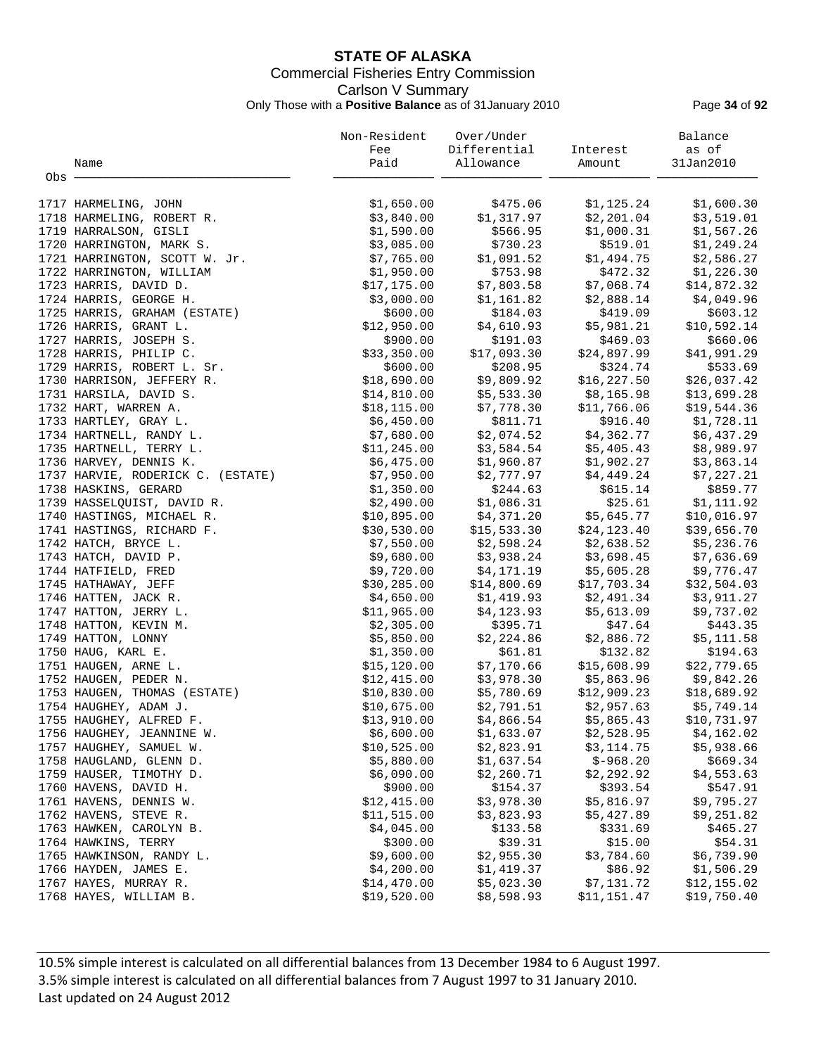# **STATE OF ALASKA** Commercial Fisheries Entry Commission Carlson V Summary Only Those with a **Positive Balance** as of 31January 2010 Page **34** of **92**

|       |                                   | Non-Resident | Over/Under<br>Differential |              | Balance     |
|-------|-----------------------------------|--------------|----------------------------|--------------|-------------|
|       |                                   | Fee          |                            | Interest     | as of       |
|       | Name                              | Paid         | Allowance                  | Amount       | 31Jan2010   |
| Obs - |                                   |              |                            |              |             |
|       | 1717 HARMELING, JOHN              | \$1,650.00   | \$475.06                   | \$1,125.24   | \$1,600.30  |
|       | 1718 HARMELING, ROBERT R.         | \$3,840.00   | \$1,317.97                 | \$2,201.04   | \$3,519.01  |
|       | 1719 HARRALSON, GISLI             | \$1,590.00   | \$566.95                   | \$1,000.31   | \$1,567.26  |
|       | 1720 HARRINGTON, MARK S.          | \$3,085.00   | \$730.23                   | \$519.01     | \$1,249.24  |
|       | 1721 HARRINGTON, SCOTT W. Jr.     | \$7,765.00   | \$1,091.52                 | \$1,494.75   | \$2,586.27  |
|       | 1722 HARRINGTON, WILLIAM          | \$1,950.00   | \$753.98                   | \$472.32     | \$1,226.30  |
|       | 1723 HARRIS, DAVID D.             | \$17,175.00  | \$7,803.58                 | \$7,068.74   | \$14,872.32 |
|       | 1724 HARRIS, GEORGE H.            | \$3,000.00   | \$1,161.82                 | \$2,888.14   | \$4,049.96  |
|       | 1725 HARRIS, GRAHAM (ESTATE)      | \$600.00     | \$184.03                   | \$419.09     | \$603.12    |
|       | 1726 HARRIS, GRANT L.             | \$12,950.00  | \$4,610.93                 | \$5,981.21   | \$10,592.14 |
|       | 1727 HARRIS, JOSEPH S.            | \$900.00     | \$191.03                   | \$469.03     | \$660.06    |
|       | 1728 HARRIS, PHILIP C.            | \$33,350.00  | \$17,093.30                | \$24,897.99  | \$41,991.29 |
|       | 1729 HARRIS, ROBERT L. Sr.        | \$600.00     | \$208.95                   | \$324.74     | \$533.69    |
|       | 1730 HARRISON, JEFFERY R.         | \$18,690.00  | \$9,809.92                 | \$16, 227.50 | \$26,037.42 |
|       | 1731 HARSILA, DAVID S.            | \$14,810.00  | \$5,533.30                 | \$8,165.98   | \$13,699.28 |
|       | 1732 HART, WARREN A.              | \$18, 115.00 | \$7,778.30                 | \$11,766.06  | \$19,544.36 |
|       | 1733 HARTLEY, GRAY L.             | \$6,450.00   | \$811.71                   | \$916.40     | \$1,728.11  |
|       | 1734 HARTNELL, RANDY L.           | \$7,680.00   | \$2,074.52                 | \$4,362.77   | \$6,437.29  |
|       | 1735 HARTNELL, TERRY L.           | \$11,245.00  | \$3,584.54                 | \$5,405.43   | \$8,989.97  |
|       | 1736 HARVEY, DENNIS K.            | \$6,475.00   | \$1,960.87                 | \$1,902.27   | \$3,863.14  |
|       | 1737 HARVIE, RODERICK C. (ESTATE) | \$7,950.00   | \$2,777.97                 | \$4,449.24   | \$7,227.21  |
|       | 1738 HASKINS, GERARD              | \$1,350.00   | \$244.63                   | \$615.14     | \$859.77    |
|       | 1739 HASSELQUIST, DAVID R.        | \$2,490.00   | \$1,086.31                 | \$25.61      | \$1,111.92  |
|       | 1740 HASTINGS, MICHAEL R.         | \$10,895.00  | \$4,371.20                 | \$5,645.77   | \$10,016.97 |
|       | 1741 HASTINGS, RICHARD F.         | \$30,530.00  | \$15,533.30                | \$24,123.40  | \$39,656.70 |
|       | 1742 HATCH, BRYCE L.              | \$7,550.00   | \$2,598.24                 | \$2,638.52   | \$5,236.76  |
|       | 1743 HATCH, DAVID P.              | \$9,680.00   | \$3,938.24                 | \$3,698.45   | \$7,636.69  |
|       | 1744 HATFIELD, FRED               | \$9,720.00   | \$4,171.19                 | \$5,605.28   | \$9,776.47  |
|       | 1745 HATHAWAY, JEFF               | \$30,285.00  | \$14,800.69                | \$17,703.34  | \$32,504.03 |
|       | 1746 HATTEN, JACK R.              | \$4,650.00   | \$1,419.93                 | \$2,491.34   | \$3,911.27  |
|       | 1747 HATTON, JERRY L.             | \$11,965.00  | \$4,123.93                 | \$5,613.09   | \$9,737.02  |
|       | 1748 HATTON, KEVIN M.             | \$2,305.00   | \$395.71                   | \$47.64      | \$443.35    |
|       | 1749 HATTON, LONNY                | \$5,850.00   | \$2,224.86                 | \$2,886.72   | \$5,111.58  |
|       | 1750 HAUG, KARL E.                | \$1,350.00   | \$61.81                    | \$132.82     | \$194.63    |
|       | 1751 HAUGEN, ARNE L.              | \$15, 120.00 | \$7,170.66                 | \$15,608.99  | \$22,779.65 |
|       | 1752 HAUGEN, PEDER N.             | \$12,415.00  | \$3,978.30                 | \$5,863.96   | \$9,842.26  |
|       | 1753 HAUGEN, THOMAS (ESTATE)      | \$10,830.00  | \$5,780.69                 | \$12,909.23  | \$18,689.92 |
|       | 1754 HAUGHEY, ADAM J.             | \$10,675.00  | \$2,791.51                 | \$2,957.63   | \$5,749.14  |
|       | 1755 HAUGHEY, ALFRED F.           | \$13,910.00  | \$4,866.54                 | \$5,865.43   | \$10,731.97 |
|       | 1756 HAUGHEY, JEANNINE W.         | \$6,600.00   | \$1,633.07                 | \$2,528.95   | \$4,162.02  |
|       | 1757 HAUGHEY, SAMUEL W.           | \$10,525.00  | \$2,823.91                 | \$3,114.75   | \$5,938.66  |
|       | 1758 HAUGLAND, GLENN D.           | \$5,880.00   | \$1,637.54                 | $$ -968.20$  | \$669.34    |
|       | 1759 HAUSER, TIMOTHY D.           | \$6,090.00   | \$2,260.71                 | \$2,292.92   | \$4,553.63  |
|       | 1760 HAVENS, DAVID H.             | \$900.00     | \$154.37                   | \$393.54     | \$547.91    |
|       | 1761 HAVENS, DENNIS W.            | \$12,415.00  | \$3,978.30                 | \$5,816.97   | \$9,795.27  |
|       | 1762 HAVENS, STEVE R.             | \$11,515.00  | \$3,823.93                 | \$5,427.89   | \$9,251.82  |
|       | 1763 HAWKEN, CAROLYN B.           | \$4,045.00   | \$133.58                   | \$331.69     | \$465.27    |
|       | 1764 HAWKINS, TERRY               | \$300.00     | \$39.31                    | \$15.00      | \$54.31     |
|       | 1765 HAWKINSON, RANDY L.          | \$9,600.00   | \$2,955.30                 | \$3,784.60   | \$6,739.90  |
|       | 1766 HAYDEN, JAMES E.             | \$4,200.00   | \$1,419.37                 | \$86.92      | \$1,506.29  |
|       | 1767 HAYES, MURRAY R.             | \$14,470.00  | \$5,023.30                 | \$7,131.72   | \$12,155.02 |
|       | 1768 HAYES, WILLIAM B.            | \$19,520.00  | \$8,598.93                 | \$11,151.47  | \$19,750.40 |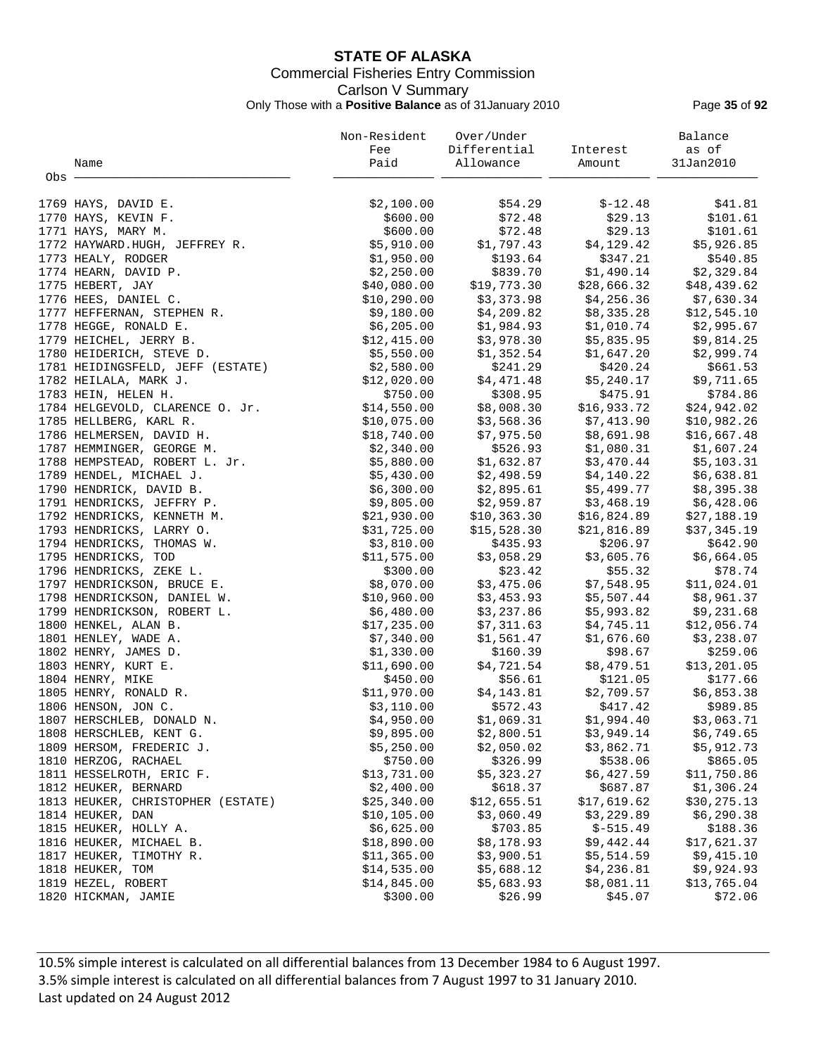# **STATE OF ALASKA** Commercial Fisheries Entry Commission Carlson V Summary Only Those with a **Positive Balance** as of 31January 2010 Page **35** of **92**

|       |                                                                                               | Non-Resident | Over/Under   |             | Balance      |
|-------|-----------------------------------------------------------------------------------------------|--------------|--------------|-------------|--------------|
|       |                                                                                               | Fee          | Differential | Interest    | as of        |
|       | Name                                                                                          | Paid         | Allowance    | Amount      | 31Jan2010    |
| Obs - |                                                                                               |              |              |             |              |
|       |                                                                                               |              |              |             |              |
|       | 1769 HAYS, DAVID E.                                                                           | \$2,100.00   | \$54.29      | $$-12.48$   | \$41.81      |
|       | 1770 HAYS, KEVIN F.                                                                           | \$600.00     | \$72.48      | \$29.13     | \$101.61     |
|       | 1771 HAYS, MARY M.                                                                            | \$600.00     | \$72.48      | \$29.13     | \$101.61     |
|       | 1772 HAYWARD.HUGH, JEFFREY R.                                                                 | \$5,910.00   | \$1,797.43   | \$4,129.42  | \$5,926.85   |
|       | 1773 HEALY, RODGER                                                                            | \$1,950.00   | \$193.64     | \$347.21    | \$540.85     |
|       | 1774 HEARN, DAVID P.                                                                          | \$2,250.00   | \$839.70     | \$1,490.14  | \$2,329.84   |
|       |                                                                                               | \$40,080.00  | \$19,773.30  | \$28,666.32 | \$48,439.62  |
|       | ILES, DANIEL C.<br>1777 HEFFERNAN, STEPHEN R.<br>1778 HEGGE, RONALD E.<br>1779 HEICHEL, JERPY | \$10, 290.00 | \$3,373.98   | \$4,256.36  | \$7,630.34   |
|       |                                                                                               | \$9,180.00   | \$4,209.82   | \$8,335.28  | \$12,545.10  |
|       |                                                                                               | \$6,205.00   | \$1,984.93   | \$1,010.74  | \$2,995.67   |
|       |                                                                                               | \$12,415.00  | \$3,978.30   | \$5,835.95  | \$9,814.25   |
|       | 1780 HEIDERICH, STEVE D.                                                                      | \$5,550.00   | \$1,352.54   | \$1,647.20  | \$2,999.74   |
|       | 1781 HEIDINGSFELD, JEFF (ESTATE)                                                              | \$2,580.00   | \$241.29     | \$420.24    | \$661.53     |
|       | 1782 HEILALA, MARK J.                                                                         | \$12,020.00  | \$4,471.48   | \$5,240.17  | \$9,711.65   |
|       | 1783 HEIN, HELEN H.                                                                           | \$750.00     | \$308.95     | \$475.91    | \$784.86     |
|       | 1784 HELGEVOLD, CLARENCE O. Jr.                                                               | \$14,550.00  | \$8,008.30   | \$16,933.72 | \$24,942.02  |
|       | 1785 HELLBERG, KARL R.                                                                        | \$10,075.00  | \$3,568.36   | \$7,413.90  | \$10,982.26  |
|       |                                                                                               |              |              |             |              |
|       | 1786 HELMERSEN, DAVID H.                                                                      | \$18,740.00  | \$7,975.50   | \$8,691.98  | \$16,667.48  |
|       | 1787 HEMMINGER, GEORGE M.                                                                     | \$2,340.00   | \$526.93     | \$1,080.31  | \$1,607.24   |
|       | 1788 HEMPSTEAD, ROBERT L. Jr.                                                                 | \$5,880.00   | \$1,632.87   | \$3,470.44  | \$5,103.31   |
|       | 1789 HENDEL, MICHAEL J.                                                                       | \$5,430.00   | \$2,498.59   | \$4,140.22  | \$6,638.81   |
|       | 1790 HENDRICK, DAVID B.                                                                       | \$6,300.00   | \$2,895.61   | \$5,499.77  | \$8,395.38   |
|       | 1791 HENDRICKS, JEFFRY P.                                                                     | \$9,805.00   | \$2,959.87   | \$3,468.19  | \$6,428.06   |
|       | 1792 HENDRICKS, KENNETH M.                                                                    | \$21,930.00  | \$10,363.30  | \$16,824.89 | \$27,188.19  |
|       | 1793 HENDRICKS, LARRY O.                                                                      | \$31,725.00  | \$15,528.30  | \$21,816.89 | \$37,345.19  |
|       | 1794 HENDRICKS, THOMAS W.                                                                     | \$3,810.00   | \$435.93     | \$206.97    | \$642.90     |
|       | 1795 HENDRICKS, TOD                                                                           | \$11,575.00  | \$3,058.29   | \$3,605.76  | \$6,664.05   |
|       | 1796 HENDRICKS, ZEKE L.                                                                       | \$300.00     | \$23.42      | \$55.32     | \$78.74      |
|       | 1797 HENDRICKSON, BRUCE E.                                                                    | \$8,070.00   | \$3,475.06   | \$7,548.95  | \$11,024.01  |
|       | 1798 HENDRICKSON, DANIEL W.                                                                   | \$10,960.00  | \$3,453.93   | \$5,507.44  | \$8,961.37   |
|       | 1799 HENDRICKSON, ROBERT L.                                                                   | \$6,480.00   | \$3,237.86   | \$5,993.82  | \$9,231.68   |
|       | 1800 HENKEL, ALAN B.                                                                          | \$17,235.00  | \$7,311.63   | \$4,745.11  | \$12,056.74  |
|       | 1801 HENLEY, WADE A.                                                                          | \$7,340.00   | \$1,561.47   | \$1,676.60  | \$3,238.07   |
|       | 1802 HENRY, JAMES D.                                                                          | \$1,330.00   | \$160.39     | \$98.67     | \$259.06     |
|       | 1803 HENRY, KURT E.                                                                           | \$11,690.00  | \$4,721.54   | \$8,479.51  | \$13,201.05  |
|       | 1804 HENRY, MIKE                                                                              | \$450.00     | \$56.61      | \$121.05    | \$177.66     |
|       | 1805 HENRY, RONALD R.                                                                         | \$11,970.00  | \$4,143.81   | \$2,709.57  | \$6,853.38   |
|       | 1806 HENSON, JON C.                                                                           | \$3,110.00   | \$572.43     | \$417.42    | \$989.85     |
|       | 1807 HERSCHLEB, DONALD N.                                                                     | \$4,950.00   | \$1,069.31   | \$1,994.40  | \$3,063.71   |
|       | 1808 HERSCHLEB, KENT G.                                                                       | \$9,895.00   | \$2,800.51   | \$3,949.14  | \$6,749.65   |
|       | 1809 HERSOM, FREDERIC J.                                                                      | \$5,250.00   | \$2,050.02   | \$3,862.71  | \$5,912.73   |
|       | 1810 HERZOG, RACHAEL                                                                          | \$750.00     | \$326.99     | \$538.06    | \$865.05     |
|       | 1811 HESSELROTH, ERIC F.                                                                      | \$13,731.00  | \$5,323.27   | \$6,427.59  | \$11,750.86  |
|       | 1812 HEUKER, BERNARD                                                                          | \$2,400.00   | \$618.37     | \$687.87    | \$1,306.24   |
|       | 1813 HEUKER, CHRISTOPHER (ESTATE)                                                             | \$25,340.00  | \$12,655.51  | \$17,619.62 | \$30, 275.13 |
|       | 1814 HEUKER, DAN                                                                              | \$10, 105.00 | \$3,060.49   | \$3,229.89  | \$6,290.38   |
|       | 1815 HEUKER, HOLLY A.                                                                         | \$6,625.00   | \$703.85     | $$-515.49$  | \$188.36     |
|       | 1816 HEUKER, MICHAEL B.                                                                       | \$18,890.00  | \$8,178.93   | \$9,442.44  | \$17,621.37  |
|       | 1817 HEUKER, TIMOTHY R.                                                                       | \$11,365.00  | \$3,900.51   | \$5,514.59  | \$9,415.10   |
|       | 1818 HEUKER, TOM                                                                              | \$14,535.00  | \$5,688.12   | \$4,236.81  | \$9,924.93   |
|       | 1819 HEZEL, ROBERT                                                                            | \$14,845.00  | \$5,683.93   | \$8,081.11  | \$13,765.04  |
|       | 1820 HICKMAN, JAMIE                                                                           | \$300.00     | \$26.99      | \$45.07     | \$72.06      |
|       |                                                                                               |              |              |             |              |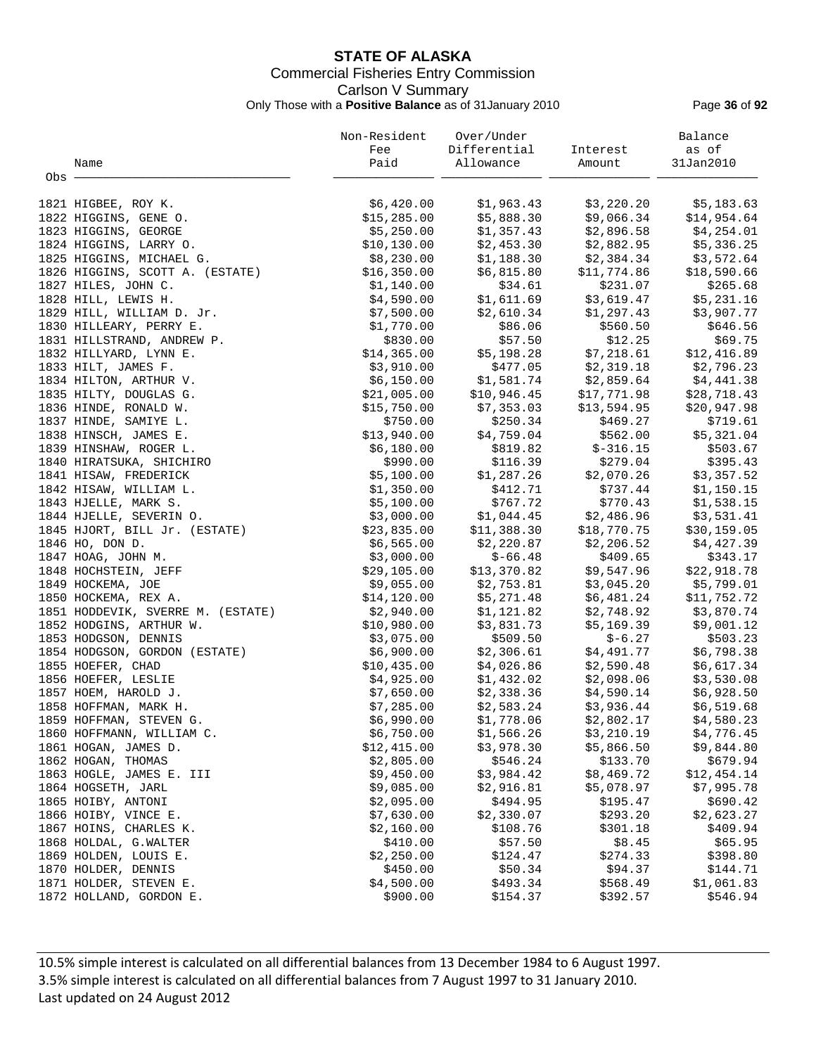# **STATE OF ALASKA** Commercial Fisheries Entry Commission Carlson V Summary Only Those with a **Positive Balance** as of 31January 2010 Page **36** of **92**

|       |                                   | Non-Resident | Over/Under   |             | Balance     |
|-------|-----------------------------------|--------------|--------------|-------------|-------------|
|       |                                   | Fee          | Differential | Interest    | as of       |
|       | Name                              | Paid         | Allowance    | Amount      | 31Jan2010   |
| Obs - |                                   |              |              |             |             |
|       | 1821 HIGBEE, ROY K.               | \$6,420.00   | \$1,963.43   | \$3,220.20  | \$5,183.63  |
|       | 1822 HIGGINS, GENE O.             | \$15,285.00  | \$5,888.30   | \$9,066.34  | \$14,954.64 |
|       | 1823 HIGGINS, GEORGE              | \$5,250.00   | \$1,357.43   | \$2,896.58  | \$4,254.01  |
|       | 1824 HIGGINS, LARRY O.            | \$10,130.00  | \$2,453.30   | \$2,882.95  | \$5,336.25  |
|       | 1825 HIGGINS, MICHAEL G.          | \$8,230.00   | \$1,188.30   | \$2,384.34  | \$3,572.64  |
|       | 1826 HIGGINS, SCOTT A. (ESTATE)   | \$16,350.00  | \$6,815.80   | \$11,774.86 | \$18,590.66 |
|       | 1827 HILES, JOHN C.               | \$1,140.00   | \$34.61      | \$231.07    | \$265.68    |
|       | 1828 HILL, LEWIS H.               | \$4,590.00   | \$1,611.69   | \$3,619.47  | \$5,231.16  |
|       | 1829 HILL, WILLIAM D. Jr.         | \$7,500.00   | \$2,610.34   | \$1,297.43  | \$3,907.77  |
|       | 1830 HILLEARY, PERRY E.           | \$1,770.00   | \$86.06      | \$560.50    | \$646.56    |
|       | 1831 HILLSTRAND, ANDREW P.        | \$830.00     | \$57.50      | \$12.25     | \$69.75     |
|       | 1832 HILLYARD, LYNN E.            | \$14,365.00  | \$5,198.28   | \$7,218.61  | \$12,416.89 |
|       | 1833 HILT, JAMES F.               | \$3,910.00   | \$477.05     | \$2,319.18  | \$2,796.23  |
|       | 1834 HILTON, ARTHUR V.            | \$6,150.00   | \$1,581.74   | \$2,859.64  | \$4,441.38  |
|       | 1835 HILTY, DOUGLAS G.            | \$21,005.00  | \$10,946.45  | \$17,771.98 | \$28,718.43 |
|       | 1836 HINDE, RONALD W.             | \$15,750.00  | \$7,353.03   | \$13,594.95 | \$20,947.98 |
|       | 1837 HINDE, SAMIYE L.             | \$750.00     | \$250.34     | \$469.27    | \$719.61    |
|       | 1838 HINSCH, JAMES E.             | \$13,940.00  | \$4,759.04   | \$562.00    | \$5,321.04  |
|       | 1839 HINSHAW, ROGER L.            | \$6,180.00   | \$819.82     | $$-316.15$  | \$503.67    |
|       | 1840 HIRATSUKA, SHICHIRO          | \$990.00     | \$116.39     | \$279.04    | \$395.43    |
|       | 1841 HISAW, FREDERICK             | \$5,100.00   | \$1,287.26   | \$2,070.26  | \$3,357.52  |
|       | 1842 HISAW, WILLIAM L.            | \$1,350.00   | \$412.71     | \$737.44    | \$1,150.15  |
|       | 1843 HJELLE, MARK S.              | \$5,100.00   | \$767.72     | \$770.43    | \$1,538.15  |
|       | 1844 HJELLE, SEVERIN O.           | \$3,000.00   | \$1,044.45   | \$2,486.96  | \$3,531.41  |
|       | 1845 HJORT, BILL Jr. (ESTATE)     | \$23,835.00  | \$11,388.30  | \$18,770.75 | \$30,159.05 |
|       | 1846 HO, DON D.                   | \$6,565.00   | \$2,220.87   | \$2,206.52  | \$4,427.39  |
|       | 1847 HOAG, JOHN M.                | \$3,000.00   | $$-66.48$    | \$409.65    | \$343.17    |
|       | 1848 HOCHSTEIN, JEFF              | \$29,105.00  | \$13,370.82  | \$9,547.96  | \$22,918.78 |
|       | 1849 HOCKEMA, JOE                 | \$9,055.00   | \$2,753.81   | \$3,045.20  | \$5,799.01  |
|       | 1850 HOCKEMA, REX A.              | \$14,120.00  | \$5,271.48   | \$6,481.24  | \$11,752.72 |
|       | 1851 HODDEVIK, SVERRE M. (ESTATE) | \$2,940.00   | \$1,121.82   | \$2,748.92  | \$3,870.74  |
|       | 1852 HODGINS, ARTHUR W.           | \$10,980.00  | \$3,831.73   | \$5,169.39  | \$9,001.12  |
|       | 1853 HODGSON, DENNIS              | \$3,075.00   | \$509.50     | \$-6.27     | \$503.23    |
|       | 1854 HODGSON, GORDON (ESTATE)     | \$6,900.00   | \$2,306.61   | \$4,491.77  | \$6,798.38  |
|       | 1855 HOEFER, CHAD                 | \$10,435.00  | \$4,026.86   | \$2,590.48  | \$6,617.34  |
|       | 1856 HOEFER, LESLIE               | \$4,925.00   | \$1,432.02   | \$2,098.06  | \$3,530.08  |
|       | 1857 HOEM, HAROLD J.              | \$7,650.00   | \$2,338.36   | \$4,590.14  | \$6,928.50  |
|       | 1858 HOFFMAN, MARK H.             | \$7,285.00   | \$2,583.24   | \$3,936.44  | \$6,519.68  |
|       | 1859 HOFFMAN, STEVEN G.           | \$6,990.00   | \$1,778.06   | \$2,802.17  | \$4,580.23  |
|       | 1860 HOFFMANN, WILLIAM C.         | \$6,750.00   | \$1,566.26   | \$3,210.19  | \$4,776.45  |
|       | 1861 HOGAN, JAMES D.              | \$12,415.00  | \$3,978.30   | \$5,866.50  | \$9,844.80  |
|       | 1862 HOGAN, THOMAS                | \$2,805.00   | \$546.24     | \$133.70    | \$679.94    |
|       | 1863 HOGLE, JAMES E. III          | \$9,450.00   | \$3,984.42   | \$8,469.72  | \$12,454.14 |
|       | 1864 HOGSETH, JARL                | \$9,085.00   | \$2,916.81   | \$5,078.97  | \$7,995.78  |
|       | 1865 HOIBY, ANTONI                | \$2,095.00   | \$494.95     | \$195.47    | \$690.42    |
|       | 1866 HOIBY, VINCE E.              | \$7,630.00   | \$2,330.07   | \$293.20    | \$2,623.27  |
|       | 1867 HOINS, CHARLES K.            | \$2,160.00   | \$108.76     | \$301.18    | \$409.94    |
|       | 1868 HOLDAL, G.WALTER             | \$410.00     | \$57.50      | \$8.45      | \$65.95     |
|       | 1869 HOLDEN, LOUIS E.             | \$2,250.00   | \$124.47     | \$274.33    | \$398.80    |
|       | 1870 HOLDER, DENNIS               | \$450.00     | \$50.34      | \$94.37     | \$144.71    |
|       | 1871 HOLDER, STEVEN E.            | \$4,500.00   | \$493.34     | \$568.49    | \$1,061.83  |
|       | 1872 HOLLAND, GORDON E.           | \$900.00     | \$154.37     | \$392.57    | \$546.94    |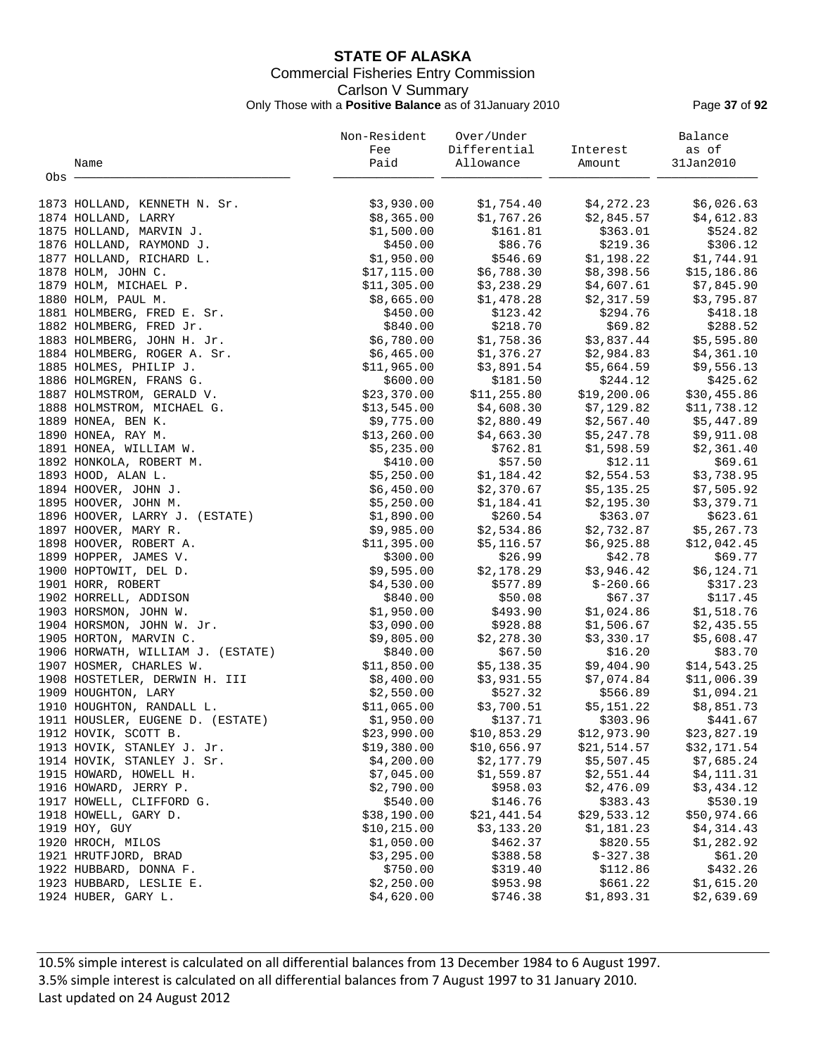## **STATE OF ALASKA** Commercial Fisheries Entry Commission Carlson V Summary Only Those with a **Positive Balance** as of 31January 2010 Page **37** of **92**

|       |                                   | Non-Resident | Over/Under               |                                                           | Balance     |
|-------|-----------------------------------|--------------|--------------------------|-----------------------------------------------------------|-------------|
|       |                                   | Fee          | Differential             | Interest                                                  | as of       |
|       | Name                              | Paid         | Allowance                | Amount                                                    | 31Jan2010   |
| Obs - |                                   |              |                          |                                                           |             |
|       |                                   |              |                          |                                                           |             |
|       | 1873 HOLLAND, KENNETH N. Sr.      | \$3,930.00   |                          | $$1,754.40$ $$4,272.23$                                   | \$6,026.63  |
|       | 1874 HOLLAND, LARRY               | \$8,365.00   | \$1,767.26               | \$2,845.57                                                | \$4,612.83  |
|       | 1875 HOLLAND, MARVIN J.           | \$1,500.00   | \$161.81                 | \$363.01                                                  | \$524.82    |
|       | 1876 HOLLAND, RAYMOND J.          | \$450.00     | \$86.76                  | \$219.36                                                  | \$306.12    |
|       | 1877 HOLLAND, RICHARD L.          | \$1,950.00   |                          |                                                           | \$1,744.91  |
|       | 1878 HOLM, JOHN C.                | \$17,115.00  | \$6,788.30               | $$546.69$ $$1,198.22$<br>\$8,398.56                       | \$15,186.86 |
|       | 1879 HOLM, MICHAEL P.             | \$11,305.00  | \$3,238.29               | \$4,607.61                                                | \$7,845.90  |
|       | 1880 HOLM, PAUL M.                | \$8,665.00   | \$1,478.28               | \$2,317.59                                                | \$3,795.87  |
|       | 1881 HOLMBERG, FRED E. Sr.        | \$450.00     | \$123.42                 | \$294.76                                                  | \$418.18    |
|       | 1882 HOLMBERG, FRED Jr.           | \$840.00     | \$218.70                 | \$69.82                                                   | \$288.52    |
|       |                                   |              |                          |                                                           |             |
|       | 1883 HOLMBERG, JOHN H. Jr.        | \$6,780.00   |                          | $$1,758.36$ $$3,837.44$                                   | \$5,595.80  |
|       | 1884 HOLMBERG, ROGER A. Sr.       | \$6,465.00   | \$1,376.27               | \$2,984.83                                                | \$4,361.10  |
|       | 1885 HOLMES, PHILIP J.            | \$11,965.00  | \$3,891.54               | \$5,664.59                                                | \$9,556.13  |
|       | 1886 HOLMGREN, FRANS G.           | \$600.00     | \$181.50                 | \$244.12                                                  | \$425.62    |
|       | 1887 HOLMSTROM, GERALD V.         | \$23,370.00  |                          | \$11,255.80      \$19,200.06<br>\$4,608.30     \$7,129.82 | \$30,455.86 |
|       | 1888 HOLMSTROM, MICHAEL G.        | \$13,545.00  |                          |                                                           | \$11,738.12 |
|       | 1889 HONEA, BEN K.                | \$9,775.00   | \$2,880.49               | \$2,567.40                                                | \$5,447.89  |
|       | 1890 HONEA, RAY M.                | \$13,260.00  | \$4,663.30               | \$5,247.78                                                | \$9,911.08  |
|       | 1891 HONEA, WILLIAM W.            | \$5,235.00   | \$762.81                 | \$1,598.59                                                | \$2,361.40  |
|       | 1892 HONKOLA, ROBERT M.           | \$410.00     | \$57.50                  | \$12.11                                                   | \$69.61     |
|       | 1893 HOOD, ALAN L.                | \$5,250.00   |                          | $$1,184.42$ $$2,554.53$                                   | \$3,738.95  |
|       | 1894 HOOVER, JOHN J.              | \$6,450.00   | \$2,370.67               | \$5,135.25                                                | \$7,505.92  |
|       | 1895 HOOVER, JOHN M.              | \$5,250.00   | \$1,184.41               | \$2,195.30                                                | \$3,379.71  |
|       | 1896 HOOVER, LARRY J. (ESTATE)    | \$1,890.00   | \$260.54                 | \$363.07                                                  | \$623.61    |
|       | 1897 HOOVER, MARY R.              | \$9,985.00   | \$2,534.86               | \$2,732.87                                                | \$5,267.73  |
|       | 1898 HOOVER, ROBERT A.            | \$11,395.00  | \$5,116.57               | \$6,925.88                                                | \$12,042.45 |
|       | 1899 HOPPER, JAMES V.             | \$300.00     | \$26.99                  | \$42.78                                                   | \$69.77     |
|       | 1900 HOPTOWIT, DEL D.             | \$9,595.00   | \$2,178.29               | \$3,946.42                                                | \$6,124.71  |
|       | 1901 HORR, ROBERT                 | \$4,530.00   | \$577.89                 | $$-260.66$                                                | \$317.23    |
|       | 1902 HORRELL, ADDISON             | \$840.00     | \$50.08                  | \$67.37                                                   | \$117.45    |
|       | 1903 HORSMON, JOHN W.             | \$1,950.00   | \$493.90                 | \$1,024.86                                                | \$1,518.76  |
|       | 1904 HORSMON, JOHN W. Jr.         | \$3,090.00   | \$928.88                 | \$1,506.67                                                | \$2,435.55  |
|       | 1905 HORTON, MARVIN C.            | \$9,805.00   | \$2,278.30               | \$3,330.17                                                | \$5,608.47  |
|       | 1906 HORWATH, WILLIAM J. (ESTATE) | \$840.00     | \$67.50                  | \$16.20                                                   | \$83.70     |
|       | 1907 HOSMER, CHARLES W.           | \$11,850.00  |                          | \$9,404.90                                                | \$14,543.25 |
|       | 1908 HOSTETLER, DERWIN H. III     | \$8,400.00   | \$5,138.35<br>\$3,931.55 | \$7,074.84                                                | \$11,006.39 |
|       | 1909 HOUGHTON, LARY               | \$2,550.00   |                          | \$527.32 \$566.89 \$1,094.21                              |             |
|       | 1910 HOUGHTON, RANDALL L.         | \$11,065.00  | \$3,700.51               | \$5,151.22                                                | \$8,851.73  |
|       | 1911 HOUSLER, EUGENE D. (ESTATE)  | \$1,950.00   | \$137.71                 | \$303.96                                                  | \$441.67    |
|       | 1912 HOVIK, SCOTT B.              | \$23,990.00  | \$10,853.29              | \$12,973.90                                               | \$23,827.19 |
|       | 1913 HOVIK, STANLEY J. Jr.        | \$19,380.00  | \$10,656.97              | \$21,514.57                                               | \$32,171.54 |
|       | 1914 HOVIK, STANLEY J. Sr.        | \$4,200.00   | \$2,177.79               | \$5,507.45                                                | \$7,685.24  |
|       | 1915 HOWARD, HOWELL H.            | \$7,045.00   | \$1,559.87               | \$2,551.44                                                | \$4,111.31  |
|       | 1916 HOWARD, JERRY P.             | \$2,790.00   | \$958.03                 | \$2,476.09                                                | \$3,434.12  |
|       | 1917 HOWELL, CLIFFORD G.          | \$540.00     | \$146.76                 | \$383.43                                                  | \$530.19    |
|       | 1918 HOWELL, GARY D.              | \$38,190.00  | \$21,441.54              | \$29,533.12                                               | \$50,974.66 |
|       | 1919 HOY, GUY                     | \$10, 215.00 | \$3,133.20               | \$1,181.23                                                | \$4,314.43  |
|       | 1920 HROCH, MILOS                 | \$1,050.00   | \$462.37                 | \$820.55                                                  | \$1,282.92  |
|       |                                   | \$3,295.00   |                          |                                                           |             |
|       | 1921 HRUTFJORD, BRAD              |              | \$388.58                 | $$-327.38$                                                | \$61.20     |
|       | 1922 HUBBARD, DONNA F.            | \$750.00     | \$319.40                 | \$112.86                                                  | \$432.26    |
|       | 1923 HUBBARD, LESLIE E.           | \$2,250.00   | \$953.98                 | \$661.22                                                  | \$1,615.20  |
|       | 1924 HUBER, GARY L.               | \$4,620.00   | \$746.38                 | \$1,893.31                                                | \$2,639.69  |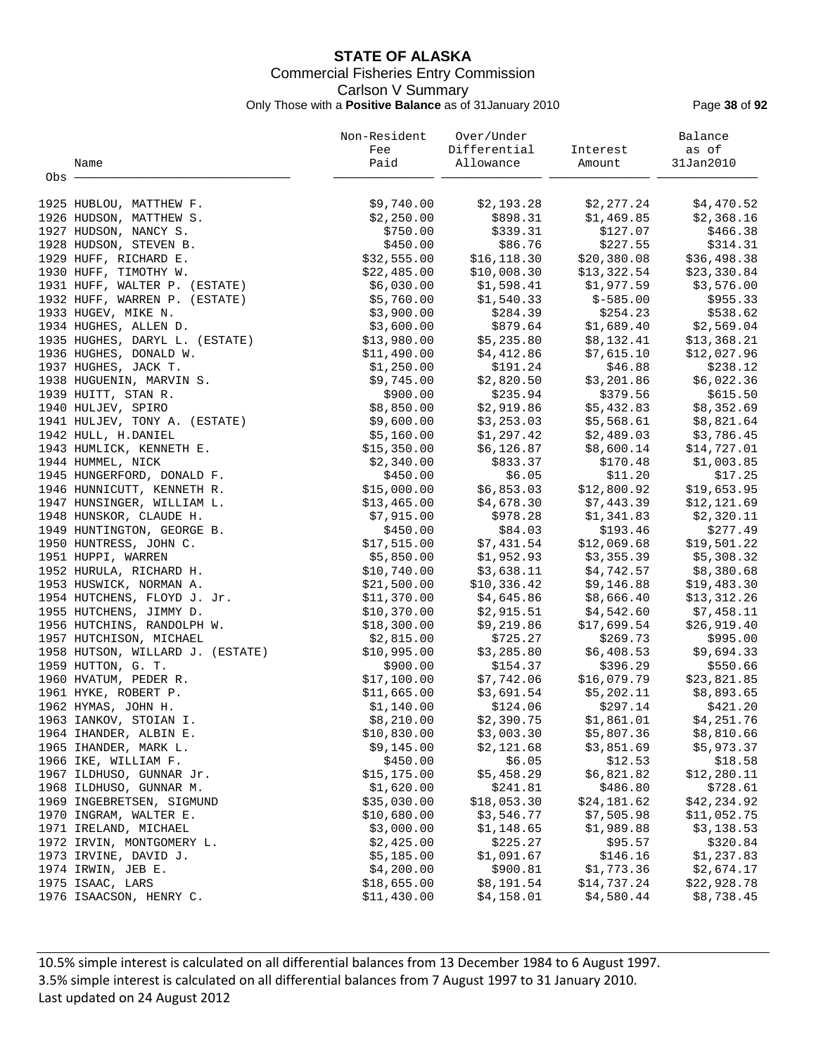## **STATE OF ALASKA** Commercial Fisheries Entry Commission Carlson V Summary Only Those with a **Positive Balance** as of 31January 2010 Page **38** of **92**

|       |                                  | Non-Resident | Over/Under<br>Differential |                                                                          | Balance     |
|-------|----------------------------------|--------------|----------------------------|--------------------------------------------------------------------------|-------------|
|       |                                  | Fee          |                            | Interest                                                                 | as of       |
|       | Name                             | Paid         | Allowance                  | Amount                                                                   | 31Jan2010   |
| Obs - |                                  |              |                            |                                                                          |             |
|       | 1925 HUBLOU, MATTHEW F.          | \$9,740.00   | \$2,193.28                 | \$2,277.24                                                               | \$4,470.52  |
|       | 1926 HUDSON, MATTHEW S.          | \$2,250.00   | \$898.31                   | \$1,469.85                                                               | \$2,368.16  |
|       | 1927 HUDSON, NANCY S.            | \$750.00     | \$339.31                   | \$127.07                                                                 | \$466.38    |
|       | 1928 HUDSON, STEVEN B.           | \$450.00     | \$86.76                    | \$227.55                                                                 | \$314.31    |
|       | 1929 HUFF, RICHARD E.            | \$32,555.00  | \$16, 118.30               | \$20,380.08                                                              | \$36,498.38 |
|       | 1930 HUFF, TIMOTHY W.            | \$22,485.00  | \$10,008.30                | \$13,322.54                                                              | \$23,330.84 |
|       | 1931 HUFF, WALTER P. (ESTATE)    | \$6,030.00   | \$1,598.41                 | \$1,977.59                                                               | \$3,576.00  |
|       | 1932 HUFF, WARREN P. (ESTATE)    | \$5,760.00   | \$1,540.33                 | $$-585.00$                                                               | \$955.33    |
|       | 1933 HUGEV, MIKE N.              | \$3,900.00   | \$284.39                   | \$254.23                                                                 | \$538.62    |
|       | 1934 HUGHES, ALLEN D.            | \$3,600.00   | \$879.64                   | \$1,689.40                                                               | \$2,569.04  |
|       | 1935 HUGHES, DARYL L. (ESTATE)   | \$13,980.00  | \$5,235.80                 | \$8,132.41                                                               | \$13,368.21 |
|       | 1936 HUGHES, DONALD W.           | \$11,490.00  | \$4,412.86                 | \$7,615.10                                                               | \$12,027.96 |
|       | 1937 HUGHES, JACK T.             | \$1,250.00   | \$191.24                   | \$46.88                                                                  | \$238.12    |
|       | 1938 HUGUENIN, MARVIN S.         | \$9,745.00   | \$2,820.50                 | \$3,201.86                                                               | \$6,022.36  |
|       | 1939 HUITT, STAN R.              | \$900.00     | \$235.94                   | \$379.56                                                                 | \$615.50    |
|       | 1940 HULJEV, SPIRO               | \$8,850.00   | \$2,919.86                 | \$5,432.83                                                               | \$8,352.69  |
|       | 1941 HULJEV, TONY A. (ESTATE)    | \$9,600.00   | \$3,253.03                 | \$5,568.61                                                               | \$8,821.64  |
|       | 1942 HULL, H.DANIEL              | \$5,160.00   | \$1,297.42                 | \$2,489.03                                                               | \$3,786.45  |
|       | 1943 HUMLICK, KENNETH E.         | \$15,350.00  | \$6,126.87                 | \$8,600.14                                                               | \$14,727.01 |
|       | 1944 HUMMEL, NICK                | \$2,340.00   | \$833.37                   | \$170.48                                                                 | \$1,003.85  |
|       | 1945 HUNGERFORD, DONALD F.       | \$450.00     | \$6.05                     | \$11.20                                                                  | \$17.25     |
|       | 1946 HUNNICUTT, KENNETH R.       | \$15,000.00  | \$6,853.03                 | \$12,800.92                                                              | \$19,653.95 |
|       | 1947 HUNSINGER, WILLIAM L.       | \$13,465.00  | \$4,678.30                 | \$7,443.39                                                               | \$12,121.69 |
|       | 1948 HUNSKOR, CLAUDE H.          | \$7,915.00   | \$978.28                   | \$1,341.83                                                               | \$2,320.11  |
|       | 1949 HUNTINGTON, GEORGE B.       | \$450.00     | \$84.03                    | \$193.46                                                                 | \$277.49    |
|       | 1950 HUNTRESS, JOHN C.           | \$17,515.00  |                            | $$7,431.54$<br>$$12,069.00$<br>$$3,355.39$<br>$$3,355.39$<br>\$12,069.68 | \$19,501.22 |
|       | 1951 HUPPI, WARREN               | \$5,850.00   |                            |                                                                          | \$5,308.32  |
|       | 1952 HURULA, RICHARD H.          | \$10,740.00  | \$3,638.11                 | \$4,742.57                                                               | \$8,380.68  |
|       | 1953 HUSWICK, NORMAN A.          | \$21,500.00  | \$10,336.42                | \$9,146.88                                                               | \$19,483.30 |
|       | 1954 HUTCHENS, FLOYD J. Jr.      | \$11,370.00  | \$4,645.86                 | \$8,666.40                                                               | \$13,312.26 |
|       | 1955 HUTCHENS, JIMMY D.          | \$10,370.00  | \$2,915.51                 | \$4,542.60                                                               | \$7,458.11  |
|       | 1956 HUTCHINS, RANDOLPH W.       | \$18,300.00  | \$9,219.86                 | \$17,699.54                                                              | \$26,919.40 |
|       | 1957 HUTCHISON, MICHAEL          | \$2,815.00   | \$725.27                   | \$269.73                                                                 | \$995.00    |
|       | 1958 HUTSON, WILLARD J. (ESTATE) | \$10,995.00  | \$3,285.80                 | \$6,408.53                                                               | \$9,694.33  |
|       | 1959 HUTTON, G. T.               | \$900.00     | \$154.37                   | \$396.29                                                                 | \$550.66    |
|       | 1960 HVATUM, PEDER R.            | \$17,100.00  |                            | \$16,079.79                                                              | \$23,821.85 |
|       | 1961 HYKE, ROBERT P.             | \$11,665.00  |                            | $$7,742.06$ $$16,079.79$<br>$$3,691.54$ $$5,202.11$                      | \$8,893.65  |
|       | 1962 HYMAS, JOHN H.              | \$1,140.00   | \$124.06                   | \$297.14                                                                 | \$421.20    |
|       | 1963 IANKOV, STOIAN I.           | \$8,210.00   | \$2,390.75                 | \$1,861.01                                                               | \$4,251.76  |
|       | 1964 IHANDER, ALBIN E.           | \$10,830.00  | \$3,003.30                 | \$5,807.36                                                               | \$8,810.66  |
|       | 1965 IHANDER, MARK L.            | \$9,145.00   | \$2,121.68                 | \$3,851.69                                                               | \$5,973.37  |
|       | 1966 IKE, WILLIAM F.             | \$450.00     | \$6.05                     | \$12.53                                                                  | \$18.58     |
|       | 1967 ILDHUSO, GUNNAR Jr.         | \$15, 175.00 | \$5,458.29                 | \$6,821.82                                                               | \$12,280.11 |
|       | 1968 ILDHUSO, GUNNAR M.          | \$1,620.00   | \$241.81                   | \$486.80                                                                 | \$728.61    |
|       | 1969 INGEBRETSEN, SIGMUND        | \$35,030.00  | \$18,053.30                | \$24,181.62                                                              | \$42,234.92 |
|       | 1970 INGRAM, WALTER E.           | \$10,680.00  | \$3,546.77                 | \$7,505.98                                                               | \$11,052.75 |
|       | 1971 IRELAND, MICHAEL            | \$3,000.00   | \$1,148.65                 | \$1,989.88                                                               | \$3,138.53  |
|       | 1972 IRVIN, MONTGOMERY L.        | \$2,425.00   | \$225.27                   | \$95.57                                                                  | \$320.84    |
|       | 1973 IRVINE, DAVID J.            | \$5,185.00   | \$1,091.67                 | \$146.16                                                                 | \$1,237.83  |
|       | 1974 IRWIN, JEB E.               | \$4,200.00   | \$900.81                   | \$1,773.36                                                               | \$2,674.17  |
|       | 1975 ISAAC, LARS                 | \$18,655.00  | \$8,191.54                 | \$14,737.24                                                              | \$22,928.78 |
|       | 1976 ISAACSON, HENRY C.          | \$11,430.00  | \$4,158.01                 | \$4,580.44                                                               | \$8,738.45  |
|       |                                  |              |                            |                                                                          |             |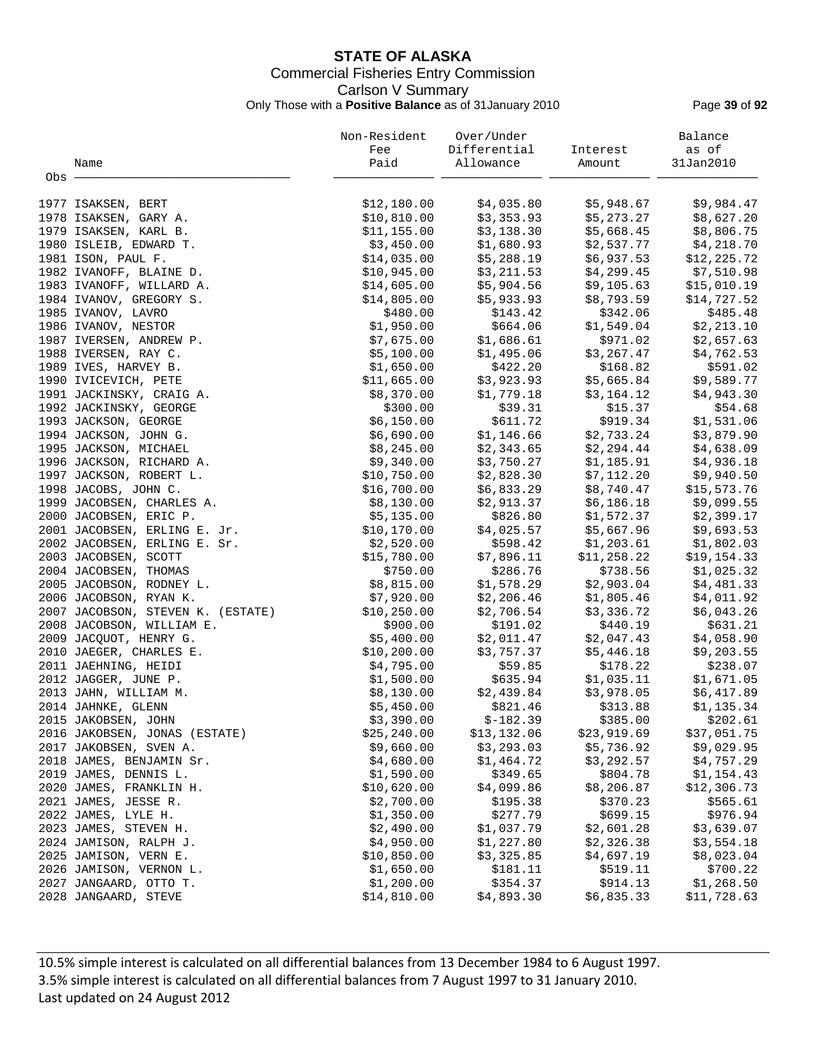## **STATE OF ALASKA** Commercial Fisheries Entry Commission Carlson V Summary Only Those with a **Positive Balance** as of 31January 2010 Page **39** of **92**

|       |                                                  | Non-Resident              | Over/Under             |                        | Balance                |
|-------|--------------------------------------------------|---------------------------|------------------------|------------------------|------------------------|
|       |                                                  | Fee                       | Differential           | Interest               | as of                  |
|       | Name                                             | Paid                      | Allowance              | Amount                 | 31Jan2010              |
| Obs - |                                                  |                           |                        |                        |                        |
|       | 1977 ISAKSEN, BERT                               | \$12,180.00               | \$4,035.80             | \$5,948.67             | \$9,984.47             |
|       | 1978 ISAKSEN, GARY A.                            | \$10,810.00               | \$3,353.93             | \$5,273.27             | \$8,627.20             |
|       | 1979 ISAKSEN, KARL B.                            | \$11,155.00               | \$3,138.30             | \$5,668.45             | \$8,806.75             |
|       | 1980 ISLEIB, EDWARD T.                           | \$3,450.00                | \$1,680.93             | \$2,537.77             | \$4,218.70             |
|       | 1981 ISON, PAUL F.                               | \$14,035.00               | \$5,288.19             | \$6,937.53             | \$12, 225.72           |
|       | 1982 IVANOFF, BLAINE D.                          | \$10,945.00               | \$3,211.53             | \$4,299.45             | \$7,510.98             |
|       | 1983 IVANOFF, WILLARD A.                         | \$14,605.00               | \$5,904.56             | \$9,105.63             | \$15,010.19            |
|       | 1984 IVANOV, GREGORY S.                          | \$14,805.00               | \$5,933.93             | \$8,793.59             | \$14,727.52            |
|       | 1985 IVANOV, LAVRO                               | \$480.00                  | \$143.42               | \$342.06               | \$485.48               |
|       | 1986 IVANOV, NESTOR                              | \$1,950.00                | \$664.06               | \$1,549.04             | \$2,213.10             |
|       | 1987 IVERSEN, ANDREW P.                          | \$7,675.00                | \$1,686.61             | \$971.02               | \$2,657.63             |
|       | 1988 IVERSEN, RAY C.                             | \$5,100.00                | \$1,495.06             | \$3,267.47             | \$4,762.53             |
|       | 1989 IVES, HARVEY B.                             | \$1,650.00                | \$422.20               | \$168.82               | \$591.02               |
|       | 1990 IVICEVICH, PETE                             | \$11,665.00               | \$3,923.93             | \$5,665.84             | \$9,589.77             |
|       | 1991 JACKINSKY, CRAIG A.                         | \$8,370.00                | \$1,779.18             | \$3,164.12             | \$4,943.30             |
|       | 1992 JACKINSKY, GEORGE                           | \$300.00                  | \$39.31                | \$15.37                | \$54.68                |
|       | 1993 JACKSON, GEORGE                             | \$6,150.00                | \$611.72               | \$919.34               | \$1,531.06             |
|       | 1994 JACKSON, JOHN G.                            | \$6,690.00                | \$1,146.66             | \$2,733.24             | \$3,879.90             |
|       | 1995 JACKSON, MICHAEL                            | \$8,245.00                | \$2,343.65             | \$2,294.44             | \$4,638.09             |
|       | 1996 JACKSON, RICHARD A.                         | \$9,340.00                | \$3,750.27             | \$1,185.91             | \$4,936.18             |
|       | 1997 JACKSON, ROBERT L.                          | \$10,750.00               | \$2,828.30             | \$7,112.20             | \$9,940.50             |
|       | 1998 JACOBS, JOHN C.                             | \$16,700.00               | \$6,833.29             | \$8,740.47             | \$15,573.76            |
|       | 1999 JACOBSEN, CHARLES A.                        | \$8,130.00                | \$2,913.37             | \$6,186.18             | \$9,099.55             |
|       | 2000 JACOBSEN, ERIC P.                           | \$5,135.00                | \$826.80               | \$1,572.37             | \$2,399.17             |
|       | 2001 JACOBSEN, ERLING E. Jr.                     | \$10,170.00               | \$4,025.57             | \$5,667.96             | \$9,693.53             |
|       | 2002 JACOBSEN, ERLING E. Sr.                     | \$2,520.00                | \$598.42               | \$1,203.61             | \$1,802.03             |
|       | 2003 JACOBSEN, SCOTT                             | \$15,780.00               | \$7,896.11             | \$11,258.22            | \$19,154.33            |
|       | 2004 JACOBSEN, THOMAS                            | \$750.00                  | \$286.76               | \$738.56               | \$1,025.32             |
|       | 2005 JACOBSON, RODNEY L.                         | \$8,815.00                | \$1,578.29             | \$2,903.04             | \$4,481.33             |
|       | 2006 JACOBSON, RYAN K.                           | \$7,920.00                | \$2,206.46             | \$1,805.46             | \$4,011.92             |
|       | 2007 JACOBSON, STEVEN K. (ESTATE)                | \$10, 250.00              | \$2,706.54             | \$3,336.72             | \$6,043.26             |
|       | 2008 JACOBSON, WILLIAM E.                        | \$900.00                  | \$191.02               | \$440.19               | \$631.21               |
|       | 2009 JACQUOT, HENRY G.                           | \$5,400.00                | \$2,011.47             | \$2,047.43             | \$4,058.90             |
|       | 2010 JAEGER, CHARLES E.                          | \$10, 200.00              | \$3,757.37             | \$5,446.18             | \$9,203.55             |
|       | 2011 JAEHNING, HEIDI                             | \$4,795.00                | \$59.85                | \$178.22               | \$238.07               |
|       | 2012 JAGGER, JUNE P.                             | \$1,500.00                | \$635.94               | \$1,035.11             | \$1,671.05             |
|       | 2013 JAHN, WILLIAM M.                            | \$8,130.00                | \$2,439.84             | \$3,978.05             | \$6,417.89             |
|       | 2014 JAHNKE, GLENN                               | \$5,450.00                | \$821.46               | \$313.88               | \$1,135.34             |
|       | 2015 JAKOBSEN, JOHN                              | \$3,390.00                | $$-182.39$             | \$385.00               | \$202.61               |
|       | 2016 JAKOBSEN, JONAS (ESTATE)                    | \$25, 240.00              | \$13,132.06            | \$23,919.69            | \$37,051.75            |
|       | 2017 JAKOBSEN, SVEN A.                           | \$9,660.00                | \$3,293.03             | \$5,736.92             | \$9,029.95             |
|       | 2018 JAMES, BENJAMIN Sr.                         | \$4,680.00                | \$1,464.72             | \$3,292.57             | \$4,757.29             |
|       | 2019 JAMES, DENNIS L.                            | \$1,590.00                | \$349.65               | \$804.78               | \$1,154.43             |
|       | 2020 JAMES, FRANKLIN H.                          | \$10,620.00               | \$4,099.86             | \$8,206.87             | \$12,306.73            |
|       | 2021 JAMES, JESSE R.                             | \$2,700.00                | \$195.38               | \$370.23               | \$565.61               |
|       | 2022 JAMES, LYLE H.                              | \$1,350.00                | \$277.79               | \$699.15               | \$976.94               |
|       | 2023 JAMES, STEVEN H.                            | \$2,490.00                | \$1,037.79             | \$2,601.28             | \$3,639.07             |
|       | 2024 JAMISON, RALPH J.                           | \$4,950.00                | \$1,227.80             | \$2,326.38             | \$3,554.18             |
|       | 2025 JAMISON, VERN E.<br>2026 JAMISON, VERNON L. | \$10,850.00<br>\$1,650.00 | \$3,325.85<br>\$181.11 | \$4,697.19<br>\$519.11 | \$8,023.04<br>\$700.22 |
|       | 2027 JANGAARD, OTTO T.                           | \$1,200.00                | \$354.37               | \$914.13               | \$1,268.50             |
|       | 2028 JANGAARD, STEVE                             | \$14,810.00               | \$4,893.30             | \$6,835.33             | \$11,728.63            |
|       |                                                  |                           |                        |                        |                        |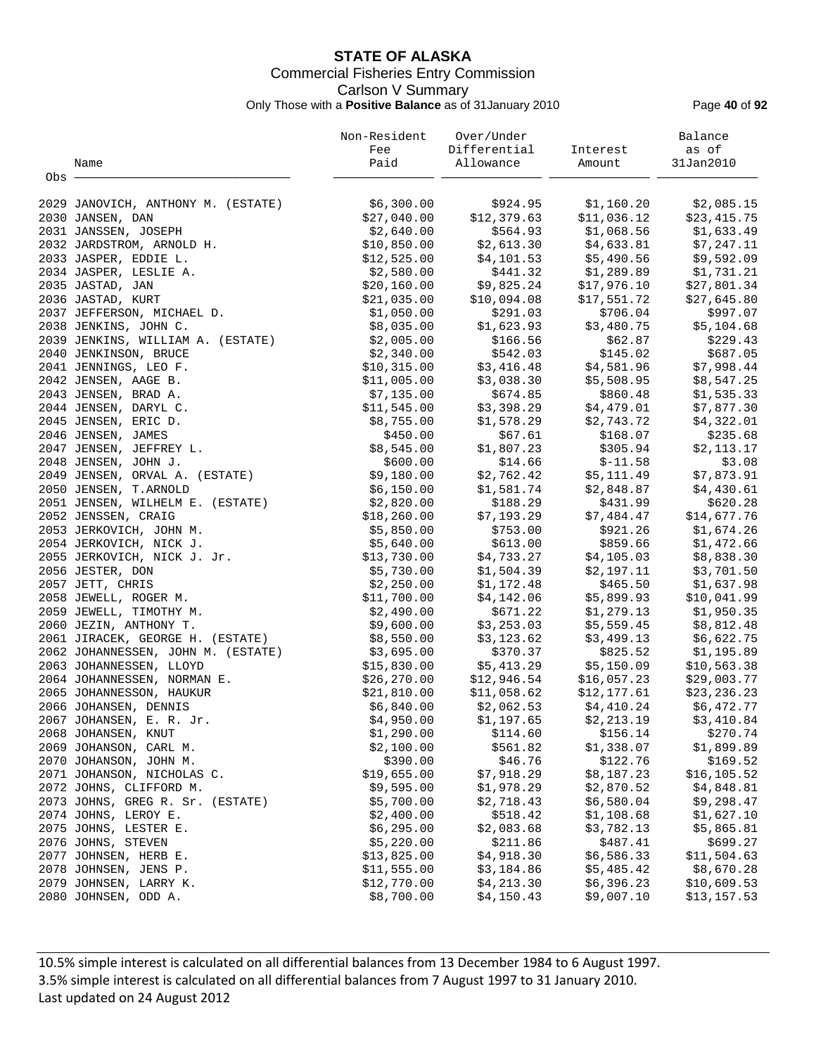# **STATE OF ALASKA** Commercial Fisheries Entry Commission Carlson V Summary

Only Those with a **Positive Balance** as of 31January 2010 Page **40** of **92**

|       |                                    | Non-Resident              | Over/Under                               |                                                           | Balance                     |
|-------|------------------------------------|---------------------------|------------------------------------------|-----------------------------------------------------------|-----------------------------|
|       |                                    | Fee                       | Differential                             | Interest                                                  | as of                       |
|       | Name                               | Paid                      | Allowance                                | Amount                                                    | 31Jan2010                   |
| Obs - |                                    |                           |                                          |                                                           |                             |
|       | 2029 JANOVICH, ANTHONY M. (ESTATE) | \$6,300.00                |                                          | \$924.95 \$1,160.20                                       | \$2,085.15                  |
|       | 2030 JANSEN, DAN                   | \$27,040.00               | \$12,379.63                              | \$11,036.12                                               | \$23,415.75                 |
|       | 2031 JANSSEN, JOSEPH               | \$2,640.00                | \$564.93                                 | \$1,068.56                                                | \$1,633.49                  |
|       | 2032 JARDSTROM, ARNOLD H.          | \$10,850.00               | \$2,613.30                               | \$4,633.81                                                | \$7,247.11                  |
|       | 2033 JASPER, EDDIE L.              | \$12,525.00               | \$4,101.53                               | \$5,490.56                                                | \$9,592.09                  |
|       | 2034 JASPER, LESLIE A.             | \$2,580.00                | \$441.32                                 | \$1,289.89                                                | \$1,731.21                  |
|       | 2035 JASTAD, JAN                   | \$20,160.00               | \$9,825.24                               | \$17,976.10                                               | \$27,801.34                 |
|       | 2036 JASTAD, KURT                  | \$21,035.00               | \$9,825.24<br>\$10,094.08                | \$17,551.72                                               | \$27,645.80                 |
|       | 2037 JEFFERSON, MICHAEL D.         | \$1,050.00                | \$291.03                                 | \$706.04                                                  | \$997.07                    |
|       | 2038 JENKINS, JOHN C.              | \$8,035.00                | \$1,623.93                               | \$3,480.75                                                | \$5,104.68                  |
|       | 2039 JENKINS, WILLIAM A. (ESTATE)  | \$2,005.00                | \$166.56                                 | \$62.87                                                   | \$229.43                    |
|       | 2040 JENKINSON, BRUCE              | \$2,340.00                | \$542.03                                 | \$145.02                                                  | \$687.05                    |
|       | 2041 JENNINGS, LEO F.              | \$10,315.00               | \$3,416.48                               | \$4,581.96                                                | \$7,998.44                  |
|       | 2042 JENSEN, AAGE B.               | \$11,005.00               |                                          | \$5,508.95                                                | \$8,547.25                  |
|       | 2043 JENSEN, BRAD A.               | \$7,135.00                | $$3,038.30$ $$5$<br>\$674.85<br>\$674.85 | \$860.48                                                  | \$1,535.33                  |
|       | 2044 JENSEN, DARYL C.              | \$11,545.00               | \$3,398.29                               | \$4,479.01                                                | \$7,877.30                  |
|       | 2045 JENSEN, ERIC D.               | \$8,755.00                | \$1,578.29                               | \$2,743.72                                                | \$4,322.01                  |
|       | 2046 JENSEN, JAMES                 | \$450.00                  | \$67.61                                  | \$168.07                                                  | \$235.68                    |
|       | 2047 JENSEN, JEFFREY L.            | \$8,545.00                | \$1,807.23                               | \$305.94                                                  | \$2,113.17                  |
|       | 2048 JENSEN, JOHN J.               | \$600.00                  | \$14.66                                  | $$-11.58$                                                 | \$3.08                      |
|       | 2049 JENSEN, ORVAL A. (ESTATE)     | \$9,180.00                | \$2,762.42                               | \$5,111.49                                                | \$7,873.91                  |
|       | 2050 JENSEN, T. ARNOLD             | \$6,150.00                | \$1,581.74                               | \$2,848.87                                                | \$4,430.61                  |
|       | 2051 JENSEN, WILHELM E. (ESTATE)   | \$2,820.00                | \$188.29                                 | \$431.99                                                  | \$620.28                    |
|       | 2052 JENSSEN, CRAIG                | \$18, 260.00              | \$7,193.29                               | \$7,484.47                                                | \$14,677.76                 |
|       |                                    | \$5,850.00                | \$753.00                                 | \$921.26                                                  | \$1,674.26                  |
|       | 2053 JERKOVICH, JOHN M.            |                           |                                          |                                                           |                             |
|       | 2054 JERKOVICH, NICK J.            | \$5,640.00                | \$613.00                                 | \$859.66                                                  | \$1,472.66                  |
|       | 2055 JERKOVICH, NICK J. Jr.        | \$13,730.00<br>\$5,730.00 | \$4,733.27                               | \$4,105.03                                                | \$8,838.30                  |
|       | 2056 JESTER, DON                   |                           | \$1,504.39                               | \$2,197.11                                                | \$3,701.50                  |
|       | 2057 JETT, CHRIS                   | \$2,250.00                | \$1,172.48                               | \$465.50                                                  | \$1,637.98                  |
|       | 2058 JEWELL, ROGER M.              | \$11,700.00               | \$4,142.06                               | \$5,899.93                                                | \$10,041.99                 |
|       | 2059 JEWELL, TIMOTHY M.            | \$2,490.00                | \$671.22                                 | \$1,279.13                                                | \$1,950.35                  |
|       | 2060 JEZIN, ANTHONY T.             | \$9,600.00                | \$3,253.03                               | \$5,559.45                                                | \$8,812.48                  |
|       | 2061 JIRACEK, GEORGE H. (ESTATE)   | \$8,550.00                | \$3,123.62                               | \$3,499.13                                                | \$6,622.75                  |
|       | 2062 JOHANNESSEN, JOHN M. (ESTATE) | \$3,695.00                | \$370.37                                 | \$825.52                                                  | \$1,195.89                  |
|       | 2063 JOHANNESSEN, LLOYD            | \$15,830.00               | \$5,413.29                               | \$5,150.09                                                | \$10,563.38                 |
|       | 2064 JOHANNESSEN, NORMAN E.        | \$26,270.00               | \$12,946.54                              | \$16,057.23                                               | \$29,003.77                 |
|       | 2065 JOHANNESSON, HAUKUR           | \$21,810.00               |                                          | \$11,058.62      \$12,177.61<br>\$2,062.53     \$4,410.24 | $$23,232.77$<br>$$6,472.77$ |
|       | 2066 JOHANSEN, DENNIS              | \$6,840.00                |                                          |                                                           |                             |
|       | 2067 JOHANSEN, E. R. Jr.           | \$4,950.00                | \$1,197.65                               | \$2,213.19                                                | \$3,410.84                  |
|       | 2068 JOHANSEN, KNUT                | \$1,290.00                | \$114.60                                 | \$156.14                                                  | \$270.74                    |
|       | 2069 JOHANSON, CARL M.             | \$2,100.00                | \$561.82                                 | \$1,338.07                                                | \$1,899.89                  |
|       | 2070 JOHANSON, JOHN M.             | \$390.00                  | \$46.76                                  | \$122.76                                                  | \$169.52                    |
|       | 2071 JOHANSON, NICHOLAS C.         | \$19,655.00               | \$7,918.29                               | \$8,187.23                                                | \$16, 105.52                |
|       | 2072 JOHNS, CLIFFORD M.            | \$9,595.00                | \$1,978.29                               | \$2,870.52                                                | \$4,848.81                  |
|       | 2073 JOHNS, GREG R. Sr. (ESTATE)   | \$5,700.00                | \$2,718.43                               | \$6,580.04                                                | \$9,298.47                  |
|       | 2074 JOHNS, LEROY E.               | \$2,400.00                | \$518.42                                 | \$1,108.68                                                | \$1,627.10                  |
|       | 2075 JOHNS, LESTER E.              | \$6,295.00                | \$2,083.68                               | \$3,782.13                                                | \$5,865.81                  |
|       | 2076 JOHNS, STEVEN                 | \$5,220.00                | \$211.86                                 | \$487.41                                                  | \$699.27                    |
|       | 2077 JOHNSEN, HERB E.              | \$13,825.00               | \$4,918.30                               | \$6,586.33                                                | \$11,504.63                 |
|       | 2078 JOHNSEN, JENS P.              | \$11,555.00               | \$3,184.86                               | \$5,485.42                                                | \$8,670.28                  |
|       | 2079 JOHNSEN, LARRY K.             | \$12,770.00               | \$4,213.30                               | \$6,396.23                                                | \$10,609.53                 |
|       | 2080 JOHNSEN, ODD A.               | \$8,700.00                | \$4,150.43                               | \$9,007.10                                                | \$13,157.53                 |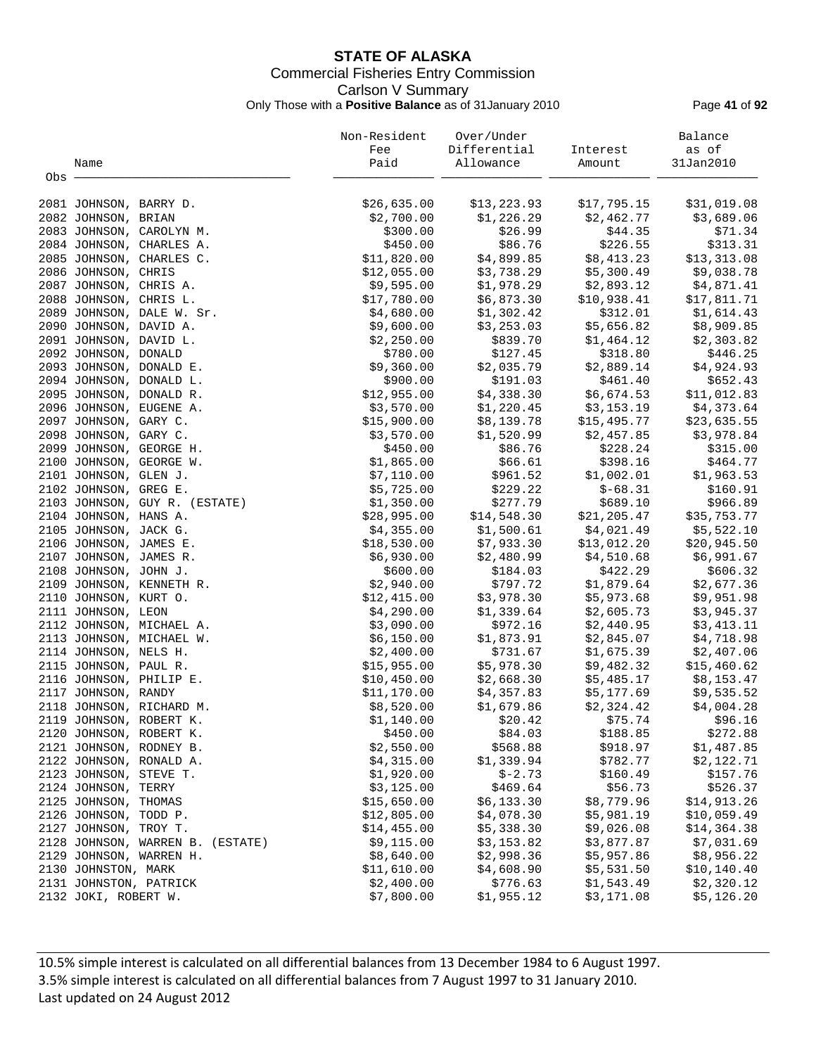## **STATE OF ALASKA** Commercial Fisheries Entry Commission Carlson V Summary Only Those with a **Positive Balance** as of 31January 2010 Page **41** of **92**

|     |                        |                                  | Non-Resident | Over/Under   |              | Balance      |
|-----|------------------------|----------------------------------|--------------|--------------|--------------|--------------|
|     |                        |                                  | Fee          | Differential | Interest     | as of        |
|     | Name                   |                                  | Paid         | Allowance    | Amount       | 31Jan2010    |
| Obs |                        |                                  |              |              |              |              |
|     |                        |                                  |              |              |              |              |
|     | 2081 JOHNSON, BARRY D. |                                  | \$26,635.00  | \$13,223.93  | \$17,795.15  | \$31,019.08  |
|     | 2082 JOHNSON, BRIAN    |                                  | \$2,700.00   | \$1,226.29   | \$2,462.77   | \$3,689.06   |
|     |                        | 2083 JOHNSON, CAROLYN M.         | \$300.00     | \$26.99      | \$44.35      | \$71.34      |
|     |                        | 2084 JOHNSON, CHARLES A.         | \$450.00     | \$86.76      | \$226.55     | \$313.31     |
|     |                        | 2085 JOHNSON, CHARLES C.         | \$11,820.00  | \$4,899.85   | \$8,413.23   | \$13,313.08  |
|     | 2086 JOHNSON, CHRIS    |                                  | \$12,055.00  | \$3,738.29   | \$5,300.49   | \$9,038.78   |
|     | 2087 JOHNSON, CHRIS A. |                                  | \$9,595.00   | \$1,978.29   | \$2,893.12   | \$4,871.41   |
|     | 2088 JOHNSON, CHRIS L. |                                  | \$17,780.00  | \$6,873.30   | \$10,938.41  | \$17,811.71  |
|     |                        | 2089 JOHNSON, DALE W. Sr.        | \$4,680.00   | \$1,302.42   | \$312.01     | \$1,614.43   |
|     | 2090 JOHNSON, DAVID A. |                                  | \$9,600.00   | \$3,253.03   | \$5,656.82   | \$8,909.85   |
|     | 2091 JOHNSON, DAVID L. |                                  | \$2,250.00   | \$839.70     | \$1,464.12   | \$2,303.82   |
|     | 2092 JOHNSON, DONALD   |                                  | \$780.00     | \$127.45     | \$318.80     | \$446.25     |
|     |                        | 2093 JOHNSON, DONALD E.          | \$9,360.00   | \$2,035.79   | \$2,889.14   | \$4,924.93   |
|     |                        | 2094 JOHNSON, DONALD L.          | \$900.00     | \$191.03     | \$461.40     | \$652.43     |
|     |                        | 2095 JOHNSON, DONALD R.          | \$12,955.00  | \$4,338.30   | \$6,674.53   | \$11,012.83  |
|     |                        | 2096 JOHNSON, EUGENE A.          | \$3,570.00   | \$1,220.45   | \$3,153.19   | \$4,373.64   |
|     | 2097 JOHNSON, GARY C.  |                                  | \$15,900.00  | \$8,139.78   | \$15,495.77  | \$23,635.55  |
|     | 2098 JOHNSON, GARY C.  |                                  | \$3,570.00   | \$1,520.99   | \$2,457.85   | \$3,978.84   |
|     |                        | 2099 JOHNSON, GEORGE H.          | \$450.00     | \$86.76      | \$228.24     | \$315.00     |
|     |                        | 2100 JOHNSON, GEORGE W.          | \$1,865.00   | \$66.61      | \$398.16     | \$464.77     |
|     | 2101 JOHNSON, GLEN J.  |                                  | \$7,110.00   | \$961.52     | \$1,002.01   | \$1,963.53   |
|     | 2102 JOHNSON, GREG E.  |                                  | \$5,725.00   | \$229.22     | $$-68.31$    | \$160.91     |
|     |                        | 2103 JOHNSON, GUY R. (ESTATE)    | \$1,350.00   | \$277.79     | \$689.10     | \$966.89     |
|     | 2104 JOHNSON, HANS A.  |                                  | \$28,995.00  | \$14,548.30  | \$21, 205.47 | \$35,753.77  |
|     | 2105 JOHNSON, JACK G.  |                                  | \$4,355.00   | \$1,500.61   | \$4,021.49   | \$5,522.10   |
|     | 2106 JOHNSON, JAMES E. |                                  | \$18,530.00  | \$7,933.30   | \$13,012.20  | \$20,945.50  |
|     | 2107 JOHNSON, JAMES R. |                                  | \$6,930.00   | \$2,480.99   | \$4,510.68   | \$6,991.67   |
|     | 2108 JOHNSON, JOHN J.  |                                  | \$600.00     | \$184.03     | \$422.29     | \$606.32     |
|     |                        | 2109 JOHNSON, KENNETH R.         | \$2,940.00   | \$797.72     | \$1,879.64   | \$2,677.36   |
|     | 2110 JOHNSON, KURT O.  |                                  | \$12,415.00  | \$3,978.30   | \$5,973.68   | \$9,951.98   |
|     | 2111 JOHNSON, LEON     |                                  | \$4,290.00   | \$1,339.64   | \$2,605.73   | \$3,945.37   |
|     |                        |                                  | \$3,090.00   | \$972.16     | \$2,440.95   | \$3,413.11   |
|     |                        | 2112 JOHNSON, MICHAEL A.         |              |              |              |              |
|     |                        | 2113 JOHNSON, MICHAEL W.         | \$6,150.00   | \$1,873.91   | \$2,845.07   | \$4,718.98   |
|     | 2114 JOHNSON, NELS H.  |                                  | \$2,400.00   | \$731.67     | \$1,675.39   | \$2,407.06   |
|     | 2115 JOHNSON, PAUL R.  |                                  | \$15,955.00  | \$5,978.30   | \$9,482.32   | \$15,460.62  |
|     |                        | 2116 JOHNSON, PHILIP E.          | \$10,450.00  | \$2,668.30   | \$5,485.17   | \$8,153.47   |
|     | 2117 JOHNSON, RANDY    |                                  | \$11,170.00  | \$4,357.83   | \$5,177.69   | \$9,535.52   |
|     |                        | 2118 JOHNSON, RICHARD M.         | \$8,520.00   | \$1,679.86   | \$2,324.42   | \$4,004.28   |
|     |                        | 2119 JOHNSON, ROBERT K.          | \$1,140.00   | \$20.42      | \$75.74      | \$96.16      |
|     |                        | 2120 JOHNSON, ROBERT K.          | \$450.00     | \$84.03      | \$188.85     | \$272.88     |
|     |                        | 2121 JOHNSON, RODNEY B.          | \$2,550.00   | \$568.88     | \$918.97     | \$1,487.85   |
|     |                        | 2122 JOHNSON, RONALD A.          | \$4,315.00   | \$1,339.94   | \$782.77     | \$2,122.71   |
|     | 2123 JOHNSON, STEVE T. |                                  | \$1,920.00   | $$ -2.73$    | \$160.49     | \$157.76     |
|     | 2124 JOHNSON, TERRY    |                                  | \$3,125.00   | \$469.64     | \$56.73      | \$526.37     |
|     | 2125 JOHNSON, THOMAS   |                                  | \$15,650.00  | \$6,133.30   | \$8,779.96   | \$14,913.26  |
|     | 2126 JOHNSON, TODD P.  |                                  | \$12,805.00  | \$4,078.30   | \$5,981.19   | \$10,059.49  |
|     | 2127 JOHNSON, TROY T.  |                                  | \$14,455.00  | \$5,338.30   | \$9,026.08   | \$14,364.38  |
|     |                        | 2128 JOHNSON, WARREN B. (ESTATE) | \$9,115.00   | \$3,153.82   | \$3,877.87   | \$7,031.69   |
|     |                        | 2129 JOHNSON, WARREN H.          | \$8,640.00   | \$2,998.36   | \$5,957.86   | \$8,956.22   |
|     | 2130 JOHNSTON, MARK    |                                  | \$11,610.00  | \$4,608.90   | \$5,531.50   | \$10, 140.40 |
|     | 2131 JOHNSTON, PATRICK |                                  | \$2,400.00   | \$776.63     | \$1,543.49   | \$2,320.12   |
|     | 2132 JOKI, ROBERT W.   |                                  | \$7,800.00   | \$1,955.12   | \$3,171.08   | \$5,126.20   |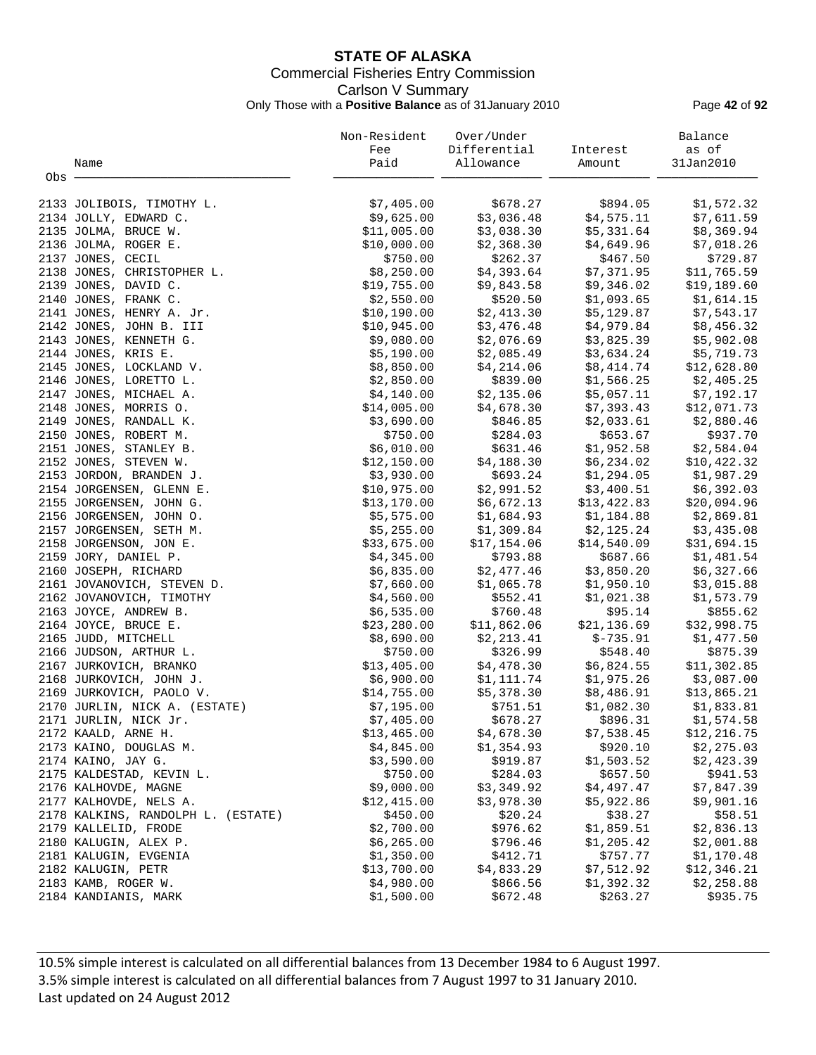## **STATE OF ALASKA** Commercial Fisheries Entry Commission Carlson V Summary Only Those with a **Positive Balance** as of 31January 2010 Page **42** of **92**

|       |                                               | Non-Resident           | Over/Under               |                          | Balance                  |
|-------|-----------------------------------------------|------------------------|--------------------------|--------------------------|--------------------------|
|       |                                               | Fee                    | Differential             | Interest                 | as of                    |
|       | Name                                          | Paid                   | Allowance                | Amount                   | 31Jan2010                |
| Obs - |                                               |                        |                          |                          |                          |
|       | 2133 JOLIBOIS, TIMOTHY L.                     | \$7,405.00             | \$678.27                 | \$894.05                 | \$1,572.32               |
|       | 2134 JOLLY, EDWARD C.                         | \$9,625.00             | \$3,036.48               | \$4,575.11               | \$7,611.59               |
|       | 2135 JOLMA, BRUCE W.                          | \$11,005.00            | \$3,038.30               | \$5,331.64               | \$8,369.94               |
|       | 2136 JOLMA, ROGER E.                          | \$10,000.00            | \$2,368.30               | \$4,649.96               | \$7,018.26               |
|       | 2137 JONES, CECIL                             | \$750.00               | \$262.37                 | \$467.50                 | \$729.87                 |
|       | 2138 JONES, CHRISTOPHER L.                    | \$8,250.00             | \$4,393.64               | \$7,371.95               | \$11,765.59              |
|       | 2139 JONES, DAVID C.                          | \$19,755.00            | \$9,843.58               | \$9,346.02               | \$19,189.60              |
|       | 2140 JONES, FRANK C.                          | \$2,550.00             | \$520.50                 | \$1,093.65               | \$1,614.15               |
|       | 2141 JONES, HENRY A. Jr.                      | \$10,190.00            | \$2,413.30               | \$5,129.87               | \$7,543.17               |
|       | 2142 JONES, JOHN B. III                       | \$10,945.00            | \$3,476.48               | \$4,979.84               | \$8,456.32               |
|       | 2143 JONES, KENNETH G.                        | \$9,080.00             | \$2,076.69               | \$3,825.39               | \$5,902.08               |
|       | 2144 JONES, KRIS E.                           | \$5,190.00             | \$2,085.49               | \$3,634.24               | \$5,719.73               |
|       | 2145 JONES, LOCKLAND V.                       | \$8,850.00             | \$4,214.06               | \$8,414.74               | \$12,628.80              |
|       | 2146 JONES, LORETTO L.                        | \$2,850.00             | \$839.00                 | \$1,566.25               | \$2,405.25               |
|       | 2147 JONES, MICHAEL A.                        | \$4,140.00             | \$2,135.06               | \$5,057.11               | \$7,192.17               |
|       | 2148 JONES, MORRIS O.                         | \$14,005.00            | \$4,678.30               | \$7,393.43               | \$12,071.73              |
|       | 2149 JONES, RANDALL K.                        | \$3,690.00             | \$846.85                 | \$2,033.61               | \$2,880.46               |
|       | 2150 JONES, ROBERT M.                         | \$750.00               | \$284.03                 | \$653.67                 | \$937.70                 |
|       | 2151 JONES, STANLEY B.                        | \$6,010.00             | \$631.46                 | \$1,952.58               | \$2,584.04               |
|       | 2152 JONES, STEVEN W.                         | \$12,150.00            | \$4,188.30               | \$6,234.02               | \$10,422.32              |
|       | 2153 JORDON, BRANDEN J.                       | \$3,930.00             | \$693.24                 | \$1,294.05               | \$1,987.29               |
|       | 2154 JORGENSEN, GLENN E.                      | \$10,975.00            | \$2,991.52               | \$3,400.51               | \$6,392.03               |
|       | 2155 JORGENSEN, JOHN G.                       | \$13,170.00            | \$6,672.13               | \$13,422.83              | \$20,094.96              |
|       | 2156 JORGENSEN, JOHN O.                       | \$5,575.00             | \$1,684.93               | \$1,184.88               | \$2,869.81               |
|       | 2157 JORGENSEN, SETH M.                       | \$5,255.00             | \$1,309.84               | \$2,125.24               | \$3,435.08               |
|       | 2158 JORGENSON, JON E.                        | \$33,675.00            | \$17,154.06              | \$14,540.09              | \$31,694.15              |
|       | 2159 JORY, DANIEL P.                          | \$4,345.00             | \$793.88                 | \$687.66                 | \$1,481.54               |
|       | 2160 JOSEPH, RICHARD                          | \$6,835.00             | \$2,477.46               | \$3,850.20               | \$6,327.66               |
|       | 2161 JOVANOVICH, STEVEN D.                    | \$7,660.00             | \$1,065.78               | \$1,950.10               | \$3,015.88               |
|       | 2162 JOVANOVICH, TIMOTHY                      | \$4,560.00             | \$552.41                 | \$1,021.38               | \$1,573.79               |
|       | 2163 JOYCE, ANDREW B.                         | \$6,535.00             | \$760.48                 | \$95.14                  | \$855.62                 |
|       | 2164 JOYCE, BRUCE E.                          | \$23, 280.00           | \$11,862.06              | \$21,136.69              | \$32,998.75              |
|       | 2165 JUDD, MITCHELL                           | \$8,690.00             | \$2,213.41               | $$-735.91$               | \$1,477.50               |
|       | 2166 JUDSON, ARTHUR L.                        | \$750.00               | \$326.99                 | \$548.40                 | \$875.39                 |
|       | 2167 JURKOVICH, BRANKO                        | \$13,405.00            | \$4,478.30               | \$6,824.55               | \$11,302.85              |
|       | 2168 JURKOVICH, JOHN J.                       | \$6,900.00             | \$1,111.74               | \$1,975.26               | \$3,087.00               |
|       | 2169 JURKOVICH, PAOLO V.                      | \$14,755.00            | \$5,378.30               | \$8,486.91               | \$13,865.21              |
|       | 2170 JURLIN, NICK A. (ESTATE)                 | \$7,195.00             | \$751.51                 | \$1,082.30               | \$1,833.81               |
|       | 2171 JURLIN, NICK Jr.                         | \$7,405.00             | \$678.27                 | \$896.31                 | \$1,574.58               |
|       | 2172 KAALD, ARNE H.                           | \$13,465.00            | \$4,678.30               | \$7,538.45               | \$12, 216.75             |
|       | 2173 KAINO, DOUGLAS M.                        | \$4,845.00             | \$1,354.93               | \$920.10                 | \$2,275.03               |
|       | 2174 KAINO, JAY G.                            | \$3,590.00             | \$919.87                 | \$1,503.52               | \$2,423.39               |
|       | 2175 KALDESTAD, KEVIN L.                      | \$750.00               | \$284.03                 | \$657.50                 | \$941.53                 |
|       | 2176 KALHOVDE, MAGNE                          | \$9,000.00             | \$3,349.92<br>\$3,978.30 | \$4,497.47               | \$7,847.39               |
|       | 2177 KALHOVDE, NELS A.                        | \$12,415.00            |                          | \$5,922.86               | \$9,901.16               |
|       | 2178 KALKINS, RANDOLPH L. (ESTATE)            | \$450.00<br>\$2,700.00 | \$20.24                  | \$38.27                  | \$58.51                  |
|       | 2179 KALLELID, FRODE<br>2180 KALUGIN, ALEX P. | \$6,265.00             | \$976.62<br>\$796.46     | \$1,859.51<br>\$1,205.42 | \$2,836.13<br>\$2,001.88 |
|       | 2181 KALUGIN, EVGENIA                         | \$1,350.00             | \$412.71                 | \$757.77                 | \$1,170.48               |
|       | 2182 KALUGIN, PETR                            | \$13,700.00            | \$4,833.29               | \$7,512.92               | \$12,346.21              |
|       | 2183 KAMB, ROGER W.                           | \$4,980.00             | \$866.56                 | \$1,392.32               | \$2,258.88               |
|       | 2184 KANDIANIS, MARK                          | \$1,500.00             | \$672.48                 | \$263.27                 | \$935.75                 |
|       |                                               |                        |                          |                          |                          |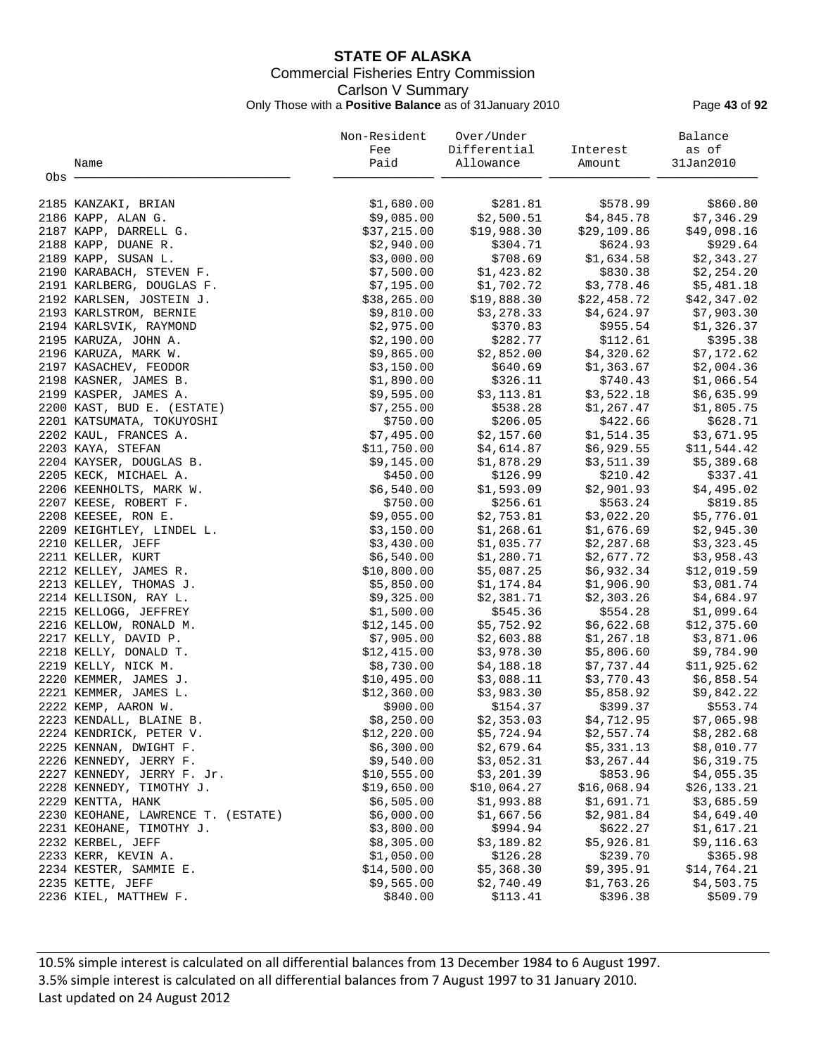## **STATE OF ALASKA** Commercial Fisheries Entry Commission Carlson V Summary Only Those with a **Positive Balance** as of 31January 2010 Page **43** of **92**

|       |                                    | Non-Resident | Over/Under   |             | Balance      |
|-------|------------------------------------|--------------|--------------|-------------|--------------|
|       |                                    | Fee          | Differential | Interest    | as of        |
|       | Name                               | Paid         | Allowance    | Amount      | 31Jan2010    |
| Obs - |                                    |              |              |             |              |
|       |                                    |              |              |             |              |
|       | 2185 KANZAKI, BRIAN                | \$1,680.00   | \$281.81     | \$578.99    | \$860.80     |
|       | 2186 KAPP, ALAN G.                 | \$9,085.00   | \$2,500.51   | \$4,845.78  | \$7,346.29   |
|       | 2187 KAPP, DARRELL G.              | \$37,215.00  | \$19,988.30  | \$29,109.86 | \$49,098.16  |
|       | 2188 KAPP, DUANE R.                | \$2,940.00   | \$304.71     | \$624.93    | \$929.64     |
|       | 2189 KAPP, SUSAN L.                | \$3,000.00   | \$708.69     | \$1,634.58  | \$2,343.27   |
|       | 2190 KARABACH, STEVEN F.           | \$7,500.00   | \$1,423.82   | \$830.38    | \$2,254.20   |
|       | 2191 KARLBERG, DOUGLAS F.          | \$7,195.00   | \$1,702.72   | \$3,778.46  | \$5,481.18   |
|       | 2192 KARLSEN, JOSTEIN J.           | \$38, 265.00 | \$19,888.30  | \$22,458.72 | \$42,347.02  |
|       | 2193 KARLSTROM, BERNIE             | \$9,810.00   | \$3,278.33   | \$4,624.97  | \$7,903.30   |
|       | 2194 KARLSVIK, RAYMOND             | \$2,975.00   | \$370.83     | \$955.54    | \$1,326.37   |
|       | 2195 KARUZA, JOHN A.               | \$2,190.00   | \$282.77     | \$112.61    | \$395.38     |
|       | 2196 KARUZA, MARK W.               | \$9,865.00   | \$2,852.00   | \$4,320.62  | \$7,172.62   |
|       | 2197 KASACHEV, FEODOR              | \$3,150.00   | \$640.69     | \$1,363.67  | \$2,004.36   |
|       | 2198 KASNER, JAMES B.              | \$1,890.00   | \$326.11     | \$740.43    | \$1,066.54   |
|       | 2199 KASPER, JAMES A.              | \$9,595.00   | \$3,113.81   | \$3,522.18  | \$6,635.99   |
|       | 2200 KAST, BUD E. (ESTATE)         | \$7,255.00   | \$538.28     | \$1,267.47  | \$1,805.75   |
|       | 2201 KATSUMATA, TOKUYOSHI          | \$750.00     | \$206.05     | \$422.66    | \$628.71     |
|       | 2202 KAUL, FRANCES A.              | \$7,495.00   | \$2,157.60   | \$1,514.35  | \$3,671.95   |
|       | 2203 KAYA, STEFAN                  | \$11,750.00  | \$4,614.87   | \$6,929.55  | \$11,544.42  |
|       | 2204 KAYSER, DOUGLAS B.            | \$9,145.00   | \$1,878.29   | \$3,511.39  | \$5,389.68   |
|       | 2205 KECK, MICHAEL A.              | \$450.00     | \$126.99     | \$210.42    | \$337.41     |
|       | 2206 KEENHOLTS, MARK W.            | \$6,540.00   | \$1,593.09   | \$2,901.93  | \$4,495.02   |
|       | 2207 KEESE, ROBERT F.              | \$750.00     | \$256.61     | \$563.24    | \$819.85     |
|       | 2208 KEESEE, RON E.                | \$9,055.00   | \$2,753.81   | \$3,022.20  | \$5,776.01   |
|       | 2209 KEIGHTLEY, LINDEL L.          | \$3,150.00   | \$1,268.61   | \$1,676.69  | \$2,945.30   |
|       | 2210 KELLER, JEFF                  | \$3,430.00   | \$1,035.77   | \$2,287.68  | \$3,323.45   |
|       | 2211 KELLER, KURT                  | \$6,540.00   | \$1,280.71   | \$2,677.72  | \$3,958.43   |
|       | 2212 KELLEY, JAMES R.              | \$10,800.00  | \$5,087.25   | \$6,932.34  | \$12,019.59  |
|       | 2213 KELLEY, THOMAS J.             | \$5,850.00   | \$1,174.84   | \$1,906.90  | \$3,081.74   |
|       | 2214 KELLISON, RAY L.              | \$9,325.00   | \$2,381.71   | \$2,303.26  | \$4,684.97   |
|       | 2215 KELLOGG, JEFFREY              | \$1,500.00   | \$545.36     | \$554.28    | \$1,099.64   |
|       | 2216 KELLOW, RONALD M.             | \$12,145.00  | \$5,752.92   | \$6,622.68  | \$12,375.60  |
|       | 2217 KELLY, DAVID P.               | \$7,905.00   | \$2,603.88   | \$1,267.18  | \$3,871.06   |
|       | 2218 KELLY, DONALD T.              | \$12,415.00  | \$3,978.30   | \$5,806.60  | \$9,784.90   |
|       | 2219 KELLY, NICK M.                | \$8,730.00   | \$4,188.18   | \$7,737.44  | \$11,925.62  |
|       | 2220 KEMMER, JAMES J.              | \$10,495.00  | \$3,088.11   | \$3,770.43  | \$6,858.54   |
|       | 2221 KEMMER, JAMES L.              | \$12,360.00  | \$3,983.30   | \$5,858.92  | \$9,842.22   |
|       | 2222 KEMP, AARON W.                | \$900.00     | \$154.37     | \$399.37    | \$553.74     |
|       |                                    | \$8,250.00   | \$2,353.03   | \$4,712.95  | \$7,065.98   |
|       | 2223 KENDALL, BLAINE B.            |              |              |             |              |
|       | 2224 KENDRICK, PETER V.            | \$12, 220.00 | \$5,724.94   | \$2,557.74  | \$8,282.68   |
|       | 2225 KENNAN, DWIGHT F.             | \$6,300.00   | \$2,679.64   | \$5,331.13  | \$8,010.77   |
|       | 2226 KENNEDY, JERRY F.             | \$9,540.00   | \$3,052.31   | \$3,267.44  | \$6,319.75   |
|       | 2227 KENNEDY, JERRY F. Jr.         | \$10,555.00  | \$3,201.39   | \$853.96    | \$4,055.35   |
|       | 2228 KENNEDY, TIMOTHY J.           | \$19,650.00  | \$10,064.27  | \$16,068.94 | \$26, 133.21 |
|       | 2229 KENTTA, HANK                  | \$6,505.00   | \$1,993.88   | \$1,691.71  | \$3,685.59   |
|       | 2230 KEOHANE, LAWRENCE T. (ESTATE) | \$6,000.00   | \$1,667.56   | \$2,981.84  | \$4,649.40   |
|       | 2231 KEOHANE, TIMOTHY J.           | \$3,800.00   | \$994.94     | \$622.27    | \$1,617.21   |
|       | 2232 KERBEL, JEFF                  | \$8,305.00   | \$3,189.82   | \$5,926.81  | \$9,116.63   |
|       | 2233 KERR, KEVIN A.                | \$1,050.00   | \$126.28     | \$239.70    | \$365.98     |
|       | 2234 KESTER, SAMMIE E.             | \$14,500.00  | \$5,368.30   | \$9,395.91  | \$14,764.21  |
|       | 2235 KETTE, JEFF                   | \$9,565.00   | \$2,740.49   | \$1,763.26  | \$4,503.75   |
|       | 2236 KIEL, MATTHEW F.              | \$840.00     | \$113.41     | \$396.38    | \$509.79     |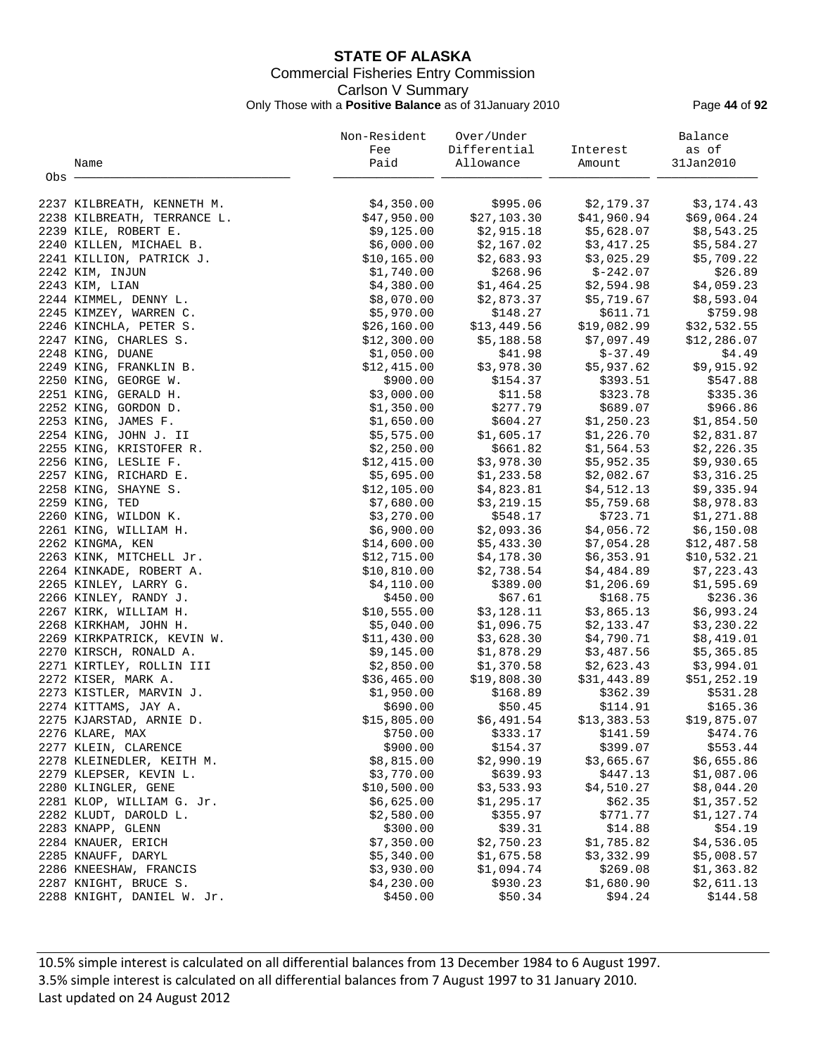## **STATE OF ALASKA** Commercial Fisheries Entry Commission Carlson V Summary Only Those with a **Positive Balance** as of 31January 2010 Page **44** of **92**

|       |                             | Non-Resident | Over/Under   |             | Balance      |
|-------|-----------------------------|--------------|--------------|-------------|--------------|
|       |                             | Fee          | Differential | Interest    | as of        |
|       | Name                        | Paid         | Allowance    | Amount      | 31Jan2010    |
| Obs - |                             |              |              |             |              |
|       | 2237 KILBREATH, KENNETH M.  | \$4,350.00   | \$995.06     | \$2,179.37  | \$3,174.43   |
|       | 2238 KILBREATH, TERRANCE L. | \$47,950.00  | \$27,103.30  | \$41,960.94 | \$69,064.24  |
|       | 2239 KILE, ROBERT E.        | \$9,125.00   | \$2,915.18   | \$5,628.07  | \$8,543.25   |
|       | 2240 KILLEN, MICHAEL B.     | \$6,000.00   | \$2,167.02   | \$3,417.25  | \$5,584.27   |
|       | 2241 KILLION, PATRICK J.    | \$10,165.00  | \$2,683.93   | \$3,025.29  | \$5,709.22   |
|       | 2242 KIM, INJUN             | \$1,740.00   | \$268.96     | \$-242.07   | \$26.89      |
|       | 2243 KIM, LIAN              | \$4,380.00   | \$1,464.25   | \$2,594.98  | \$4,059.23   |
|       | 2244 KIMMEL, DENNY L.       | \$8,070.00   | \$2,873.37   | \$5,719.67  | \$8,593.04   |
|       | 2245 KIMZEY, WARREN C.      | \$5,970.00   | \$148.27     | \$611.71    | \$759.98     |
|       | 2246 KINCHLA, PETER S.      | \$26,160.00  | \$13,449.56  | \$19,082.99 | \$32,532.55  |
|       | 2247 KING, CHARLES S.       | \$12,300.00  | \$5,188.58   | \$7,097.49  | \$12, 286.07 |
|       | 2248 KING, DUANE            | \$1,050.00   | \$41.98      | $$-37.49$   | \$4.49       |
|       | 2249 KING, FRANKLIN B.      | \$12,415.00  | \$3,978.30   | \$5,937.62  | \$9,915.92   |
|       | 2250 KING, GEORGE W.        | \$900.00     | \$154.37     | \$393.51    | \$547.88     |
|       | 2251 KING, GERALD H.        | \$3,000.00   | \$11.58      | \$323.78    | \$335.36     |
|       | 2252 KING, GORDON D.        | \$1,350.00   | \$277.79     | \$689.07    | \$966.86     |
|       | 2253 KING, JAMES F.         | \$1,650.00   | \$604.27     | \$1,250.23  | \$1,854.50   |
|       | 2254 KING, JOHN J. II       | \$5,575.00   | \$1,605.17   | \$1,226.70  | \$2,831.87   |
|       | 2255 KING, KRISTOFER R.     | \$2,250.00   | \$661.82     | \$1,564.53  | \$2,226.35   |
|       | 2256 KING, LESLIE F.        | \$12,415.00  | \$3,978.30   | \$5,952.35  | \$9,930.65   |
|       | 2257 KING, RICHARD E.       | \$5,695.00   | \$1,233.58   | \$2,082.67  | \$3,316.25   |
|       | 2258 KING, SHAYNE S.        | \$12,105.00  | \$4,823.81   | \$4,512.13  | \$9,335.94   |
|       | 2259 KING, TED              | \$7,680.00   | \$3,219.15   | \$5,759.68  | \$8,978.83   |
|       | 2260 KING, WILDON K.        | \$3,270.00   | \$548.17     | \$723.71    | \$1,271.88   |
|       | 2261 KING, WILLIAM H.       | \$6,900.00   | \$2,093.36   | \$4,056.72  | \$6,150.08   |
|       | 2262 KINGMA, KEN            | \$14,600.00  | \$5,433.30   | \$7,054.28  | \$12,487.58  |
|       | 2263 KINK, MITCHELL Jr.     | \$12,715.00  | \$4,178.30   | \$6,353.91  | \$10,532.21  |
|       | 2264 KINKADE, ROBERT A.     | \$10,810.00  | \$2,738.54   | \$4,484.89  | \$7,223.43   |
|       | 2265 KINLEY, LARRY G.       | \$4,110.00   | \$389.00     | \$1,206.69  | \$1,595.69   |
|       | 2266 KINLEY, RANDY J.       | \$450.00     | \$67.61      | \$168.75    | \$236.36     |
|       | 2267 KIRK, WILLIAM H.       | \$10,555.00  | \$3,128.11   | \$3,865.13  | \$6,993.24   |
|       | 2268 KIRKHAM, JOHN H.       | \$5,040.00   | \$1,096.75   | \$2,133.47  | \$3,230.22   |
|       | 2269 KIRKPATRICK, KEVIN W.  | \$11,430.00  | \$3,628.30   | \$4,790.71  | \$8,419.01   |
|       | 2270 KIRSCH, RONALD A.      | \$9,145.00   | \$1,878.29   | \$3,487.56  | \$5,365.85   |
|       | 2271 KIRTLEY, ROLLIN III    | \$2,850.00   | \$1,370.58   | \$2,623.43  | \$3,994.01   |
|       | 2272 KISER, MARK A.         | \$36,465.00  | \$19,808.30  | \$31,443.89 | \$51,252.19  |
|       | 2273 KISTLER, MARVIN J.     | \$1,950.00   | \$168.89     | \$362.39    | \$531.28     |
|       | 2274 KITTAMS, JAY A.        | \$690.00     | \$50.45      | \$114.91    | \$165.36     |
|       | 2275 KJARSTAD, ARNIE D.     | \$15,805.00  | \$6,491.54   | \$13,383.53 | \$19,875.07  |
|       | 2276 KLARE, MAX             | \$750.00     | \$333.17     | \$141.59    | \$474.76     |
|       | 2277 KLEIN, CLARENCE        | \$900.00     | \$154.37     | \$399.07    | \$553.44     |
|       | 2278 KLEINEDLER, KEITH M.   | \$8,815.00   | \$2,990.19   | \$3,665.67  | \$6,655.86   |
|       | 2279 KLEPSER, KEVIN L.      | \$3,770.00   | \$639.93     | \$447.13    | \$1,087.06   |
|       | 2280 KLINGLER, GENE         | \$10,500.00  | \$3,533.93   | \$4,510.27  | \$8,044.20   |
|       | 2281 KLOP, WILLIAM G. Jr.   | \$6,625.00   | \$1,295.17   | \$62.35     | \$1,357.52   |
|       | 2282 KLUDT, DAROLD L.       | \$2,580.00   | \$355.97     | \$771.77    | \$1,127.74   |
|       | 2283 KNAPP, GLENN           | \$300.00     | \$39.31      | \$14.88     | \$54.19      |
|       | 2284 KNAUER, ERICH          | \$7,350.00   | \$2,750.23   | \$1,785.82  | \$4,536.05   |
|       | 2285 KNAUFF, DARYL          | \$5,340.00   | \$1,675.58   | \$3,332.99  | \$5,008.57   |
|       | 2286 KNEESHAW, FRANCIS      | \$3,930.00   | \$1,094.74   | \$269.08    | \$1,363.82   |
|       | 2287 KNIGHT, BRUCE S.       | \$4,230.00   | \$930.23     | \$1,680.90  | \$2,611.13   |
|       | 2288 KNIGHT, DANIEL W. Jr.  | \$450.00     | \$50.34      | \$94.24     | \$144.58     |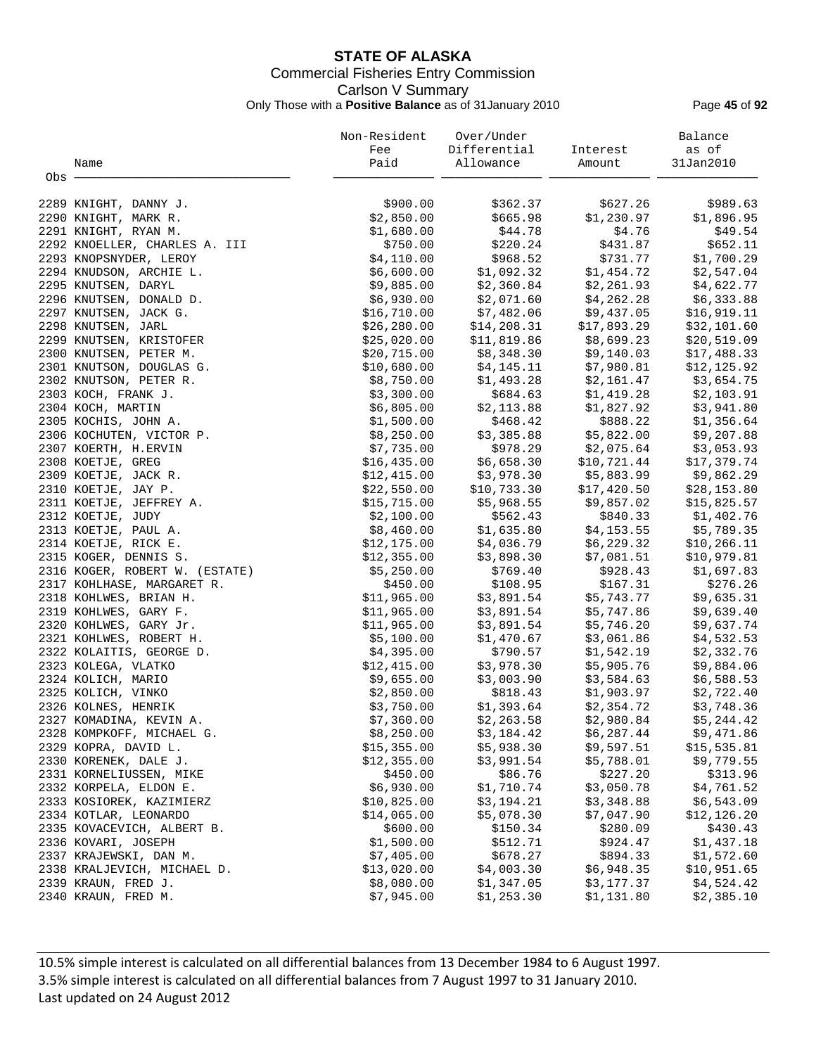## **STATE OF ALASKA** Commercial Fisheries Entry Commission Carlson V Summary Only Those with a **Positive Balance** as of 31January 2010 Page **45** of **92**

|         |                                                 | Non-Resident               | Over/Under                        |                          | Balance                  |
|---------|-------------------------------------------------|----------------------------|-----------------------------------|--------------------------|--------------------------|
|         |                                                 | Fee                        | Differential                      | Interest                 | as of                    |
|         | Name                                            | Paid                       | Allowance                         | Amount                   | 31Jan2010                |
| $Obs$ . |                                                 |                            |                                   |                          |                          |
|         |                                                 |                            |                                   |                          |                          |
|         | 2289 KNIGHT, DANNY J.                           | \$900.00                   | \$362.37                          | \$627.26                 | \$989.63                 |
|         | 2290 KNIGHT, MARK R.                            | \$2,850.00                 | \$665.98                          | \$1,230.97               | \$1,896.95               |
|         | 2291 KNIGHT, RYAN M.                            | \$1,680.00                 | \$44.78                           | \$4.76                   | \$49.54                  |
|         | 2292 KNOELLER, CHARLES A. III                   | \$750.00                   | \$220.24                          | \$431.87                 | \$652.11                 |
|         | 2293 KNOPSNYDER, LEROY                          | \$4,110.00                 | \$968.52                          | \$731.77                 | \$1,700.29               |
|         | 2294 KNUDSON, ARCHIE L.                         | \$6,600.00                 | \$1,092.32                        | \$1,454.72               | \$2,547.04               |
|         | 2295 KNUTSEN, DARYL                             | \$9,885.00                 |                                   | $$2,360.84$ $$2,261.93$  | \$4,622.77               |
|         | 2296 KNUTSEN, DONALD D.                         | \$6,930.00                 | \$2,071.60                        | \$4,262.28               | \$6,333.88               |
|         | 2297 KNUTSEN, JACK G.                           | \$16,710.00                | \$7,482.06                        | \$9,437.05               | \$16,919.11              |
|         | 2298 KNUTSEN, JARL                              | \$26, 280.00               | $514,208.31$ \$<br>\$11.208.31 \$ | \$17,893.29              | \$32,101.60              |
|         | 2299 KNUTSEN, KRISTOFER                         | \$25,020.00                |                                   | $$11,819.86$ $$8,699.23$ | \$20,519.09              |
|         | 2300 KNUTSEN, PETER M.                          | \$20,715.00                | \$8,348.30                        | \$9,140.03               | \$17,488.33              |
|         | 2301 KNUTSON, DOUGLAS G.                        | \$10,680.00                | \$4,145.11                        | \$7,980.81               | \$12, 125.92             |
|         | 2302 KNUTSON, PETER R.                          | \$8,750.00                 |                                   | $$1,493.28$ $$2,161.47$  | \$3,654.75               |
|         | 2303 KOCH, FRANK J.                             | \$3,300.00                 |                                   | \$1,419.28               | \$2,103.91               |
|         | 2304 KOCH, MARTIN                               | \$6,805.00                 | \$684.63<br>\$2,113.88            | \$1,827.92               | \$3,941.80               |
|         | 2305 KOCHIS, JOHN A.                            | \$1,500.00                 | \$468.42                          | \$888.22                 | \$1,356.64               |
|         | 2306 KOCHUTEN, VICTOR P.                        | \$8,250.00                 |                                   | \$3,385.88 \$5,822.00    | \$9,207.88               |
|         | 2307 KOERTH, H.ERVIN                            | \$7,735.00                 | \$978.29                          | \$2,075.64               | \$3,053.93               |
|         | 2308 KOETJE, GREG                               | \$16,435.00                | \$6,658.30                        | \$10,721.44              | \$17,379.74              |
|         | 2309 KOETJE, JACK R.                            | \$12,415.00                | \$3,978.30                        | \$5,883.99               | \$9,862.29               |
|         | 2310 KOETJE, JAY P.                             | \$22,550.00                |                                   | \$17,420.50              | \$28,153.80              |
|         | 2311 KOETJE, JEFFREY A.                         | \$15,715.00                | \$10,733.30 :<br>\$5,968.55       | \$9,857.02               | \$15,825.57              |
|         | 2312 KOETJE, JUDY                               | \$2,100.00                 | \$562.43                          | \$840.33                 | \$1,402.76               |
|         | 2313 KOETJE, PAUL A.                            | \$8,460.00                 |                                   | \$4,153.55               | \$5,789.35               |
|         | 2314 KOETJE, RICK E.                            | \$12,175.00                | \$1,635.80<br>\$4,036.79          | \$6,229.32               | \$10, 266.11             |
|         | 2315 KOGER, DENNIS S.                           | \$12,355.00                | \$3,898.30                        | \$7,081.51               | \$10,979.81              |
|         | 2316 KOGER, ROBERT W. (ESTATE)                  | \$5,250.00                 | \$769.40                          | \$928.43                 | \$1,697.83               |
|         |                                                 | \$450.00                   | \$108.95                          | \$167.31                 | \$276.26                 |
|         | 2317 KOHLHASE, MARGARET R.                      | \$11,965.00                | \$3,891.54                        | \$5,743.77               |                          |
|         | 2318 KOHLWES, BRIAN H.                          |                            |                                   |                          | \$9,635.31               |
|         | 2319 KOHLWES, GARY F.<br>2320 KOHLWES, GARY Jr. | \$11,965.00<br>\$11,965.00 | \$3,891.54<br>\$3,891.54          | \$5,747.86<br>\$5,746.20 | \$9,639.40<br>\$9,637.74 |
|         |                                                 |                            |                                   |                          |                          |
|         | 2321 KOHLWES, ROBERT H.                         | \$5,100.00                 | \$1,470.67                        | \$3,061.86               | \$4,532.53               |
|         | 2322 KOLAITIS, GEORGE D.                        | \$4,395.00                 | \$790.57<br>\$3,978.30            | \$1,542.19<br>\$5,905.76 | \$2,332.76               |
|         | 2323 KOLEGA, VLATKO                             | \$12,415.00                | \$3,003.90                        | \$3,584.63               | \$9,884.06               |
|         | 2324 KOLICH, MARIO                              | \$9,655.00                 | \$818.43                          | \$1,903.97               | \$6,588.53               |
|         | 2325 KOLICH, VINKO                              | \$2,850.00                 |                                   |                          | \$2,722.40               |
|         | 2326 KOLNES, HENRIK                             | \$3,750.00                 |                                   | $$1,393.64$ $$2,354.72$  | \$3,748.36               |
|         | 2327 KOMADINA, KEVIN A.                         | \$7,360.00                 | \$2, 263.58                       | \$2,980.84               | \$5,244.42               |
|         | 2328 KOMPKOFF, MICHAEL G.                       | \$8,250.00                 | \$3,184.42                        | \$6,287.44               | \$9,471.86               |
|         | 2329 KOPRA, DAVID L.                            | \$15,355.00                | \$5,938.30                        | \$9,597.51               | \$15,535.81              |
|         | 2330 KORENEK, DALE J.                           | \$12,355.00                | \$3,991.54                        | \$5,788.01               | \$9,779.55               |
|         | 2331 KORNELIUSSEN, MIKE                         | \$450.00                   | \$86.76                           | \$227.20                 | \$313.96                 |
|         | 2332 KORPELA, ELDON E.                          | \$6,930.00                 | \$1,710.74                        | \$3,050.78               | \$4,761.52               |
|         | 2333 KOSIOREK, KAZIMIERZ                        | \$10,825.00                | \$3,194.21                        | \$3,348.88               | \$6,543.09               |
|         | 2334 KOTLAR, LEONARDO                           | \$14,065.00                | \$5,078.30                        | \$7,047.90               | \$12,126.20              |
|         | 2335 KOVACEVICH, ALBERT B.                      | \$600.00                   | \$150.34                          | \$280.09                 | \$430.43                 |
|         | 2336 KOVARI, JOSEPH                             | \$1,500.00                 | \$512.71                          | \$924.47                 | \$1,437.18               |
|         | 2337 KRAJEWSKI, DAN M.                          | \$7,405.00                 | \$678.27                          | \$894.33                 | \$1,572.60               |
|         | 2338 KRALJEVICH, MICHAEL D.                     | \$13,020.00                | \$4,003.30                        | \$6,948.35               | \$10,951.65              |
|         | 2339 KRAUN, FRED J.                             | \$8,080.00                 | \$1,347.05                        | \$3,177.37               | \$4,524.42               |
|         | 2340 KRAUN, FRED M.                             | \$7,945.00                 | \$1,253.30                        | \$1,131.80               | \$2,385.10               |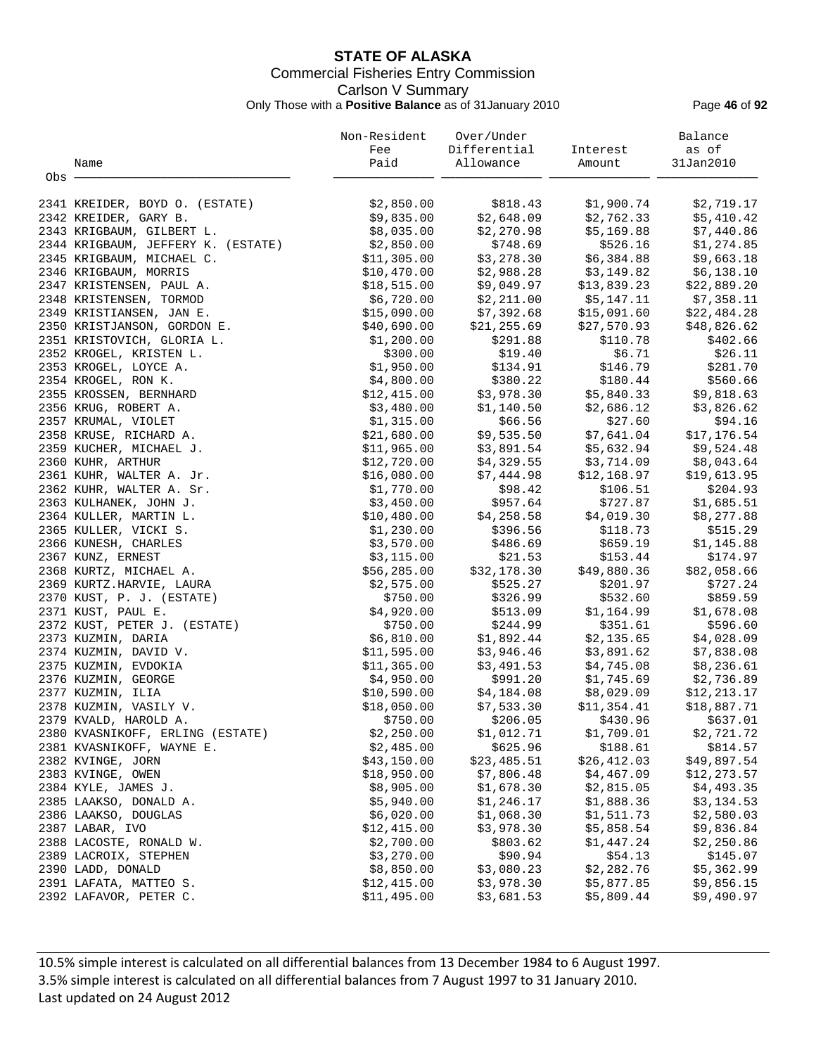## **STATE OF ALASKA** Commercial Fisheries Entry Commission Carlson V Summary Only Those with a **Positive Balance** as of 31January 2010 Page **46** of **92**

|       |                                    | Non-Resident | Over/Under   |              | Balance      |
|-------|------------------------------------|--------------|--------------|--------------|--------------|
|       |                                    | Fee          | Differential | Interest     | as of        |
|       | Name                               | Paid         | Allowance    | Amount       | 31Jan2010    |
| Obs - |                                    |              |              |              |              |
|       | 2341 KREIDER, BOYD O. (ESTATE)     | \$2,850.00   | \$818.43     | \$1,900.74   | \$2,719.17   |
|       | 2342 KREIDER, GARY B.              | \$9,835.00   | \$2,648.09   | \$2,762.33   | \$5,410.42   |
|       | 2343 KRIGBAUM, GILBERT L.          | \$8,035.00   | \$2,270.98   | \$5,169.88   | \$7,440.86   |
|       | 2344 KRIGBAUM, JEFFERY K. (ESTATE) | \$2,850.00   | \$748.69     | \$526.16     | \$1,274.85   |
|       | 2345 KRIGBAUM, MICHAEL C.          | \$11,305.00  | \$3,278.30   | \$6,384.88   | \$9,663.18   |
|       | 2346 KRIGBAUM, MORRIS              | \$10,470.00  | \$2,988.28   | \$3,149.82   | \$6,138.10   |
|       | 2347 KRISTENSEN, PAUL A.           | \$18,515.00  | \$9,049.97   | \$13,839.23  | \$22,889.20  |
|       | 2348 KRISTENSEN, TORMOD            | \$6,720.00   | \$2,211.00   | \$5,147.11   | \$7,358.11   |
|       | 2349 KRISTIANSEN, JAN E.           | \$15,090.00  | \$7,392.68   | \$15,091.60  | \$22,484.28  |
|       | 2350 KRISTJANSON, GORDON E.        | \$40,690.00  | \$21,255.69  | \$27,570.93  | \$48,826.62  |
|       | 2351 KRISTOVICH, GLORIA L.         | \$1,200.00   | \$291.88     | \$110.78     | \$402.66     |
|       | 2352 KROGEL, KRISTEN L.            | \$300.00     | \$19.40      | \$6.71       | \$26.11      |
|       | 2353 KROGEL, LOYCE A.              | \$1,950.00   | \$134.91     | \$146.79     | \$281.70     |
|       | 2354 KROGEL, RON K.                | \$4,800.00   | \$380.22     | \$180.44     | \$560.66     |
|       | 2355 KROSSEN, BERNHARD             | \$12,415.00  | \$3,978.30   | \$5,840.33   | \$9,818.63   |
|       | 2356 KRUG, ROBERT A.               | \$3,480.00   | \$1,140.50   | \$2,686.12   | \$3,826.62   |
|       | 2357 KRUMAL, VIOLET                | \$1,315.00   | \$66.56      | \$27.60      | \$94.16      |
|       | 2358 KRUSE, RICHARD A.             | \$21,680.00  | \$9,535.50   | \$7,641.04   | \$17,176.54  |
|       | 2359 KUCHER, MICHAEL J.            | \$11,965.00  | \$3,891.54   | \$5,632.94   | \$9,524.48   |
|       | 2360 KUHR, ARTHUR                  | \$12,720.00  | \$4,329.55   | \$3,714.09   | \$8,043.64   |
|       | 2361 KUHR, WALTER A. Jr.           | \$16,080.00  | \$7,444.98   | \$12,168.97  | \$19,613.95  |
|       | 2362 KUHR, WALTER A. Sr.           | \$1,770.00   | \$98.42      | \$106.51     | \$204.93     |
|       | 2363 KULHANEK, JOHN J.             | \$3,450.00   | \$957.64     | \$727.87     | \$1,685.51   |
|       | 2364 KULLER, MARTIN L.             | \$10,480.00  | \$4,258.58   | \$4,019.30   | \$8,277.88   |
|       | 2365 KULLER, VICKI S.              | \$1,230.00   | \$396.56     | \$118.73     | \$515.29     |
|       | 2366 KUNESH, CHARLES               | \$3,570.00   | \$486.69     | \$659.19     | \$1,145.88   |
|       | 2367 KUNZ, ERNEST                  | \$3,115.00   | \$21.53      | \$153.44     | \$174.97     |
|       | 2368 KURTZ, MICHAEL A.             | \$56, 285.00 | \$32,178.30  | \$49,880.36  | \$82,058.66  |
|       | 2369 KURTZ.HARVIE, LAURA           | \$2,575.00   | \$525.27     | \$201.97     | \$727.24     |
|       | 2370 KUST, P. J. (ESTATE)          | \$750.00     | \$326.99     | \$532.60     | \$859.59     |
|       | 2371 KUST, PAUL E.                 | \$4,920.00   | \$513.09     | \$1,164.99   | \$1,678.08   |
|       | 2372 KUST, PETER J. (ESTATE)       | \$750.00     | \$244.99     | \$351.61     | \$596.60     |
|       | 2373 KUZMIN, DARIA                 | \$6,810.00   | \$1,892.44   | \$2,135.65   | \$4,028.09   |
|       | 2374 KUZMIN, DAVID V.              | \$11,595.00  | \$3,946.46   | \$3,891.62   | \$7,838.08   |
|       | 2375 KUZMIN, EVDOKIA               | \$11,365.00  | \$3,491.53   | \$4,745.08   | \$8,236.61   |
|       | 2376 KUZMIN, GEORGE                | \$4,950.00   | \$991.20     | \$1,745.69   | \$2,736.89   |
|       | 2377 KUZMIN, ILIA                  | \$10,590.00  | \$4,184.08   | \$8,029.09   | \$12,213.17  |
|       | 2378 KUZMIN, VASILY V.             | \$18,050.00  | \$7,533.30   | \$11,354.41  | \$18,887.71  |
|       | 2379 KVALD, HAROLD A.              | \$750.00     | \$206.05     | \$430.96     | \$637.01     |
|       | 2380 KVASNIKOFF, ERLING (ESTATE)   | \$2,250.00   | \$1,012.71   | \$1,709.01   | \$2,721.72   |
|       | 2381 KVASNIKOFF, WAYNE E.          | \$2,485.00   | \$625.96     | \$188.61     | \$814.57     |
|       | 2382 KVINGE, JORN                  | \$43,150.00  | \$23,485.51  | \$26, 412.03 | \$49,897.54  |
|       | 2383 KVINGE, OWEN                  | \$18,950.00  | \$7,806.48   | \$4,467.09   | \$12, 273.57 |
|       | 2384 KYLE, JAMES J.                | \$8,905.00   | \$1,678.30   | \$2,815.05   | \$4,493.35   |
|       | 2385 LAAKSO, DONALD A.             | \$5,940.00   | \$1,246.17   | \$1,888.36   | \$3,134.53   |
|       | 2386 LAAKSO, DOUGLAS               | \$6,020.00   | \$1,068.30   | \$1,511.73   | \$2,580.03   |
|       | 2387 LABAR, IVO                    | \$12,415.00  | \$3,978.30   | \$5,858.54   | \$9,836.84   |
|       | 2388 LACOSTE, RONALD W.            | \$2,700.00   | \$803.62     | \$1,447.24   | \$2,250.86   |
|       | 2389 LACROIX, STEPHEN              | \$3,270.00   | \$90.94      | \$54.13      | \$145.07     |
|       | 2390 LADD, DONALD                  | \$8,850.00   | \$3,080.23   | \$2,282.76   | \$5,362.99   |
|       | 2391 LAFATA, MATTEO S.             | \$12,415.00  | \$3,978.30   | \$5,877.85   | \$9,856.15   |
|       | 2392 LAFAVOR, PETER C.             | \$11,495.00  | \$3,681.53   | \$5,809.44   | \$9,490.97   |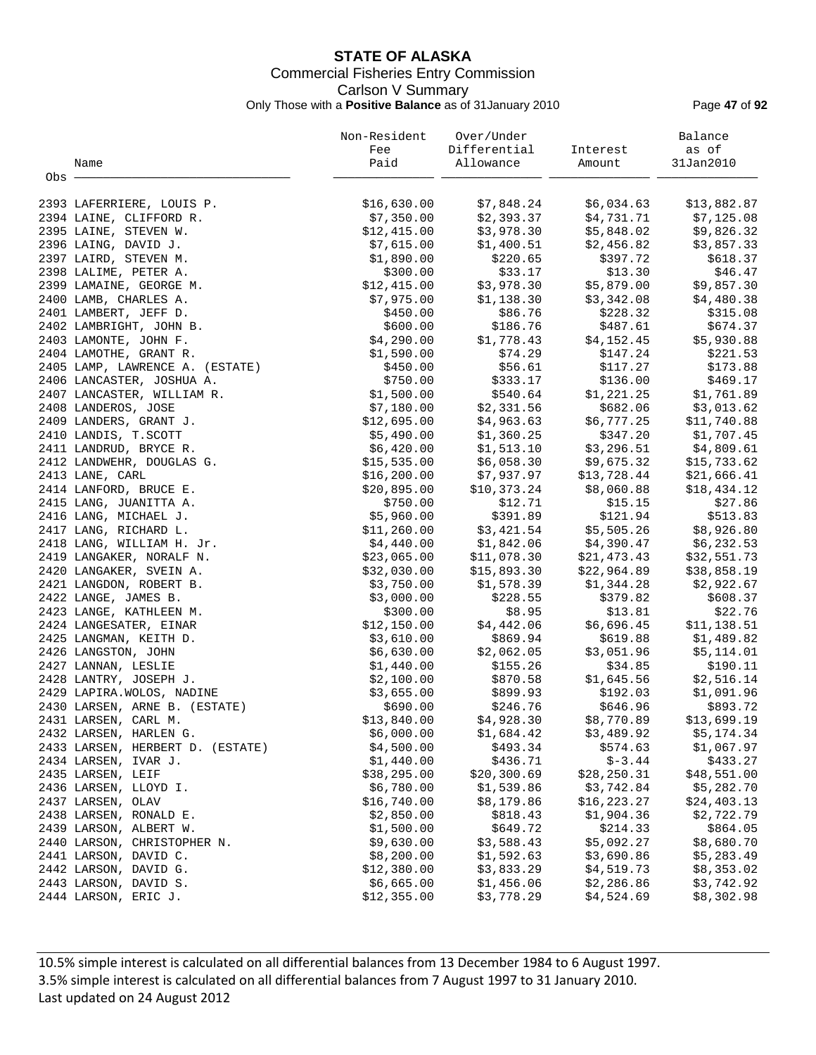## **STATE OF ALASKA** Commercial Fisheries Entry Commission Carlson V Summary Only Those with a **Positive Balance** as of 31January 2010 Page **47** of **92**

|       |                                  | Non-Resident | Over/Under   |              | Balance     |
|-------|----------------------------------|--------------|--------------|--------------|-------------|
|       |                                  | Fee          | Differential | Interest     | as of       |
|       | Name                             | Paid         | Allowance    | Amount       | 31Jan2010   |
| Obs - |                                  |              |              |              |             |
|       | 2393 LAFERRIERE, LOUIS P.        | \$16,630.00  | \$7,848.24   | \$6,034.63   | \$13,882.87 |
|       | 2394 LAINE, CLIFFORD R.          | \$7,350.00   | \$2,393.37   | \$4,731.71   | \$7,125.08  |
|       | 2395 LAINE, STEVEN W.            | \$12,415.00  | \$3,978.30   | \$5,848.02   | \$9,826.32  |
|       | 2396 LAING, DAVID J.             | \$7,615.00   | \$1,400.51   | \$2,456.82   | \$3,857.33  |
|       | 2397 LAIRD, STEVEN M.            | \$1,890.00   | \$220.65     | \$397.72     | \$618.37    |
|       | 2398 LALIME, PETER A.            | \$300.00     | \$33.17      | \$13.30      | \$46.47     |
|       | 2399 LAMAINE, GEORGE M.          | \$12,415.00  | \$3,978.30   | \$5,879.00   | \$9,857.30  |
|       | 2400 LAMB, CHARLES A.            | \$7,975.00   | \$1,138.30   | \$3,342.08   | \$4,480.38  |
|       | 2401 LAMBERT, JEFF D.            | \$450.00     | \$86.76      | \$228.32     | \$315.08    |
|       | 2402 LAMBRIGHT, JOHN B.          | \$600.00     | \$186.76     | \$487.61     | \$674.37    |
|       | 2403 LAMONTE, JOHN F.            | \$4,290.00   | \$1,778.43   | \$4,152.45   | \$5,930.88  |
|       | 2404 LAMOTHE, GRANT R.           | \$1,590.00   | \$74.29      | \$147.24     | \$221.53    |
|       | 2405 LAMP, LAWRENCE A. (ESTATE)  | \$450.00     | \$56.61      | \$117.27     | \$173.88    |
|       | 2406 LANCASTER, JOSHUA A.        | \$750.00     | \$333.17     | \$136.00     | \$469.17    |
|       | 2407 LANCASTER, WILLIAM R.       | \$1,500.00   | \$540.64     | \$1,221.25   | \$1,761.89  |
|       | 2408 LANDEROS, JOSE              | \$7,180.00   | \$2,331.56   | \$682.06     | \$3,013.62  |
|       | 2409 LANDERS, GRANT J.           | \$12,695.00  | \$4,963.63   | \$6,777.25   | \$11,740.88 |
|       | 2410 LANDIS, T.SCOTT             | \$5,490.00   | \$1,360.25   | \$347.20     | \$1,707.45  |
|       | 2411 LANDRUD, BRYCE R.           | \$6,420.00   | \$1,513.10   | \$3,296.51   | \$4,809.61  |
|       | 2412 LANDWEHR, DOUGLAS G.        | \$15,535.00  | \$6,058.30   | \$9,675.32   | \$15,733.62 |
|       | 2413 LANE, CARL                  | \$16, 200.00 | \$7,937.97   | \$13,728.44  | \$21,666.41 |
|       | 2414 LANFORD, BRUCE E.           | \$20,895.00  | \$10,373.24  | \$8,060.88   | \$18,434.12 |
|       | 2415 LANG, JUANITTA A.           | \$750.00     | \$12.71      | \$15.15      | \$27.86     |
|       | 2416 LANG, MICHAEL J.            | \$5,960.00   | \$391.89     | \$121.94     | \$513.83    |
|       | 2417 LANG, RICHARD L.            | \$11,260.00  | \$3,421.54   | \$5,505.26   | \$8,926.80  |
|       | 2418 LANG, WILLIAM H. Jr.        | \$4,440.00   | \$1,842.06   | \$4,390.47   | \$6,232.53  |
|       | 2419 LANGAKER, NORALF N.         | \$23,065.00  | \$11,078.30  | \$21,473.43  | \$32,551.73 |
|       | 2420 LANGAKER, SVEIN A.          | \$32,030.00  | \$15,893.30  | \$22,964.89  | \$38,858.19 |
|       | 2421 LANGDON, ROBERT B.          | \$3,750.00   | \$1,578.39   | \$1,344.28   | \$2,922.67  |
|       | 2422 LANGE, JAMES B.             | \$3,000.00   | \$228.55     | \$379.82     | \$608.37    |
|       | 2423 LANGE, KATHLEEN M.          | \$300.00     | \$8.95       | \$13.81      | \$22.76     |
|       | 2424 LANGESATER, EINAR           | \$12,150.00  | \$4,442.06   | \$6,696.45   | \$11,138.51 |
|       | 2425 LANGMAN, KEITH D.           | \$3,610.00   | \$869.94     | \$619.88     | \$1,489.82  |
|       | 2426 LANGSTON, JOHN              | \$6,630.00   | \$2,062.05   | \$3,051.96   | \$5,114.01  |
|       | 2427 LANNAN, LESLIE              | \$1,440.00   | \$155.26     | \$34.85      | \$190.11    |
|       | 2428 LANTRY, JOSEPH J.           | \$2,100.00   | \$870.58     | \$1,645.56   | \$2,516.14  |
|       | 2429 LAPIRA. WOLOS, NADINE       | \$3,655.00   | \$899.93     | \$192.03     | \$1,091.96  |
|       | 2430 LARSEN, ARNE B. (ESTATE)    | \$690.00     | \$246.76     | \$646.96     | \$893.72    |
|       | 2431 LARSEN, CARL M.             | \$13,840.00  | \$4,928.30   | \$8,770.89   | \$13,699.19 |
|       | 2432 LARSEN, HARLEN G.           | \$6,000.00   | \$1,684.42   | \$3,489.92   | \$5,174.34  |
|       | 2433 LARSEN, HERBERT D. (ESTATE) | \$4,500.00   | \$493.34     | \$574.63     | \$1,067.97  |
|       | 2434 LARSEN, IVAR J.             | \$1,440.00   | \$436.71     | $$-3.44$     | \$433.27    |
|       | 2435 LARSEN, LEIF                | \$38, 295.00 | \$20,300.69  | \$28, 250.31 | \$48,551.00 |
|       | 2436 LARSEN, LLOYD I.            | \$6,780.00   | \$1,539.86   | \$3,742.84   | \$5,282.70  |
|       | 2437 LARSEN, OLAV                | \$16,740.00  | \$8,179.86   | \$16, 223.27 | \$24,403.13 |
|       | 2438 LARSEN, RONALD E.           | \$2,850.00   | \$818.43     | \$1,904.36   | \$2,722.79  |
|       | 2439 LARSON, ALBERT W.           | \$1,500.00   | \$649.72     | \$214.33     | \$864.05    |
|       | 2440 LARSON, CHRISTOPHER N.      | \$9,630.00   | \$3,588.43   | \$5,092.27   | \$8,680.70  |
|       | 2441 LARSON, DAVID C.            | \$8,200.00   | \$1,592.63   | \$3,690.86   | \$5,283.49  |
|       | 2442 LARSON, DAVID G.            | \$12,380.00  | \$3,833.29   | \$4,519.73   | \$8,353.02  |
|       | 2443 LARSON, DAVID S.            | \$6,665.00   | \$1,456.06   | \$2,286.86   | \$3,742.92  |
|       | 2444 LARSON, ERIC J.             | \$12,355.00  | \$3,778.29   | \$4,524.69   | \$8,302.98  |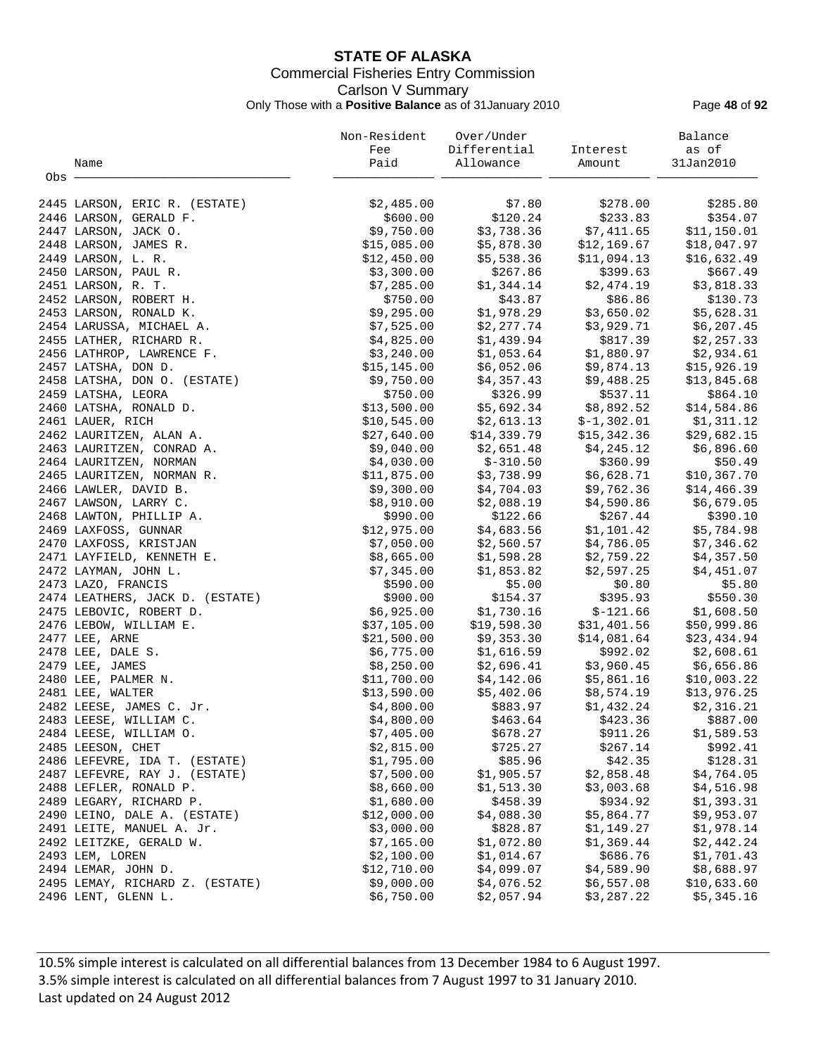## **STATE OF ALASKA** Commercial Fisheries Entry Commission Carlson V Summary Only Those with a **Positive Balance** as of 31January 2010 Page **48** of **92**

|       |                                 | Non-Resident | Over/Under   |              | Balance     |
|-------|---------------------------------|--------------|--------------|--------------|-------------|
|       |                                 | Fee          | Differential | Interest     | as of       |
|       | Name                            | Paid         | Allowance    | Amount       | 31Jan2010   |
| Obs - |                                 |              |              |              |             |
|       |                                 |              |              |              |             |
|       | 2445 LARSON, ERIC R. (ESTATE)   | \$2,485.00   | \$7.80       | \$278.00     | \$285.80    |
|       | 2446 LARSON, GERALD F.          | \$600.00     | \$120.24     | \$233.83     | \$354.07    |
|       | 2447 LARSON, JACK O.            | \$9,750.00   | \$3,738.36   | \$7,411.65   | \$11,150.01 |
|       | 2448 LARSON, JAMES R.           | \$15,085.00  | \$5,878.30   | \$12,169.67  | \$18,047.97 |
|       | 2449 LARSON, L. R.              | \$12,450.00  | \$5,538.36   | \$11,094.13  | \$16,632.49 |
|       | 2450 LARSON, PAUL R.            | \$3,300.00   | \$267.86     | \$399.63     | \$667.49    |
|       | 2451 LARSON, R. T.              | \$7,285.00   | \$1,344.14   | \$2,474.19   | \$3,818.33  |
|       | 2452 LARSON, ROBERT H.          | \$750.00     | \$43.87      | \$86.86      | \$130.73    |
|       | 2453 LARSON, RONALD K.          | \$9,295.00   | \$1,978.29   | \$3,650.02   | \$5,628.31  |
|       | 2454 LARUSSA, MICHAEL A.        | \$7,525.00   | \$2,277.74   | \$3,929.71   | \$6, 207.45 |
|       | 2455 LATHER, RICHARD R.         | \$4,825.00   | \$1,439.94   | \$817.39     | \$2,257.33  |
|       | 2456 LATHROP, LAWRENCE F.       | \$3,240.00   | \$1,053.64   | \$1,880.97   | \$2,934.61  |
|       | 2457 LATSHA, DON D.             | \$15,145.00  | \$6,052.06   | \$9,874.13   | \$15,926.19 |
|       | 2458 LATSHA, DON O. (ESTATE)    | \$9,750.00   | \$4,357.43   | \$9,488.25   | \$13,845.68 |
|       | 2459 LATSHA, LEORA              | \$750.00     | \$326.99     | \$537.11     | \$864.10    |
|       | 2460 LATSHA, RONALD D.          | \$13,500.00  | \$5,692.34   | \$8,892.52   | \$14,584.86 |
|       | 2461 LAUER, RICH                | \$10,545.00  | \$2,613.13   | $$-1,302.01$ | \$1,311.12  |
|       | 2462 LAURITZEN, ALAN A.         | \$27,640.00  | \$14,339.79  | \$15,342.36  | \$29,682.15 |
|       | 2463 LAURITZEN, CONRAD A.       | \$9,040.00   | \$2,651.48   | \$4,245.12   | \$6,896.60  |
|       | 2464 LAURITZEN, NORMAN          | \$4,030.00   | $$-310.50$   | \$360.99     | \$50.49     |
|       | 2465 LAURITZEN, NORMAN R.       | \$11,875.00  | \$3,738.99   | \$6,628.71   | \$10,367.70 |
|       | 2466 LAWLER, DAVID B.           | \$9,300.00   | \$4,704.03   | \$9,762.36   | \$14,466.39 |
|       | 2467 LAWSON, LARRY C.           | \$8,910.00   | \$2,088.19   | \$4,590.86   | \$6,679.05  |
|       | 2468 LAWTON, PHILLIP A.         | \$990.00     | \$122.66     | \$267.44     | \$390.10    |
|       | 2469 LAXFOSS, GUNNAR            | \$12,975.00  | \$4,683.56   | \$1,101.42   | \$5,784.98  |
|       | 2470 LAXFOSS, KRISTJAN          | \$7,050.00   | \$2,560.57   | \$4,786.05   | \$7,346.62  |
|       | 2471 LAYFIELD, KENNETH E.       | \$8,665.00   | \$1,598.28   | \$2,759.22   | \$4,357.50  |
|       | 2472 LAYMAN, JOHN L.            | \$7,345.00   | \$1,853.82   | \$2,597.25   | \$4,451.07  |
|       | 2473 LAZO, FRANCIS              | \$590.00     | \$5.00       | \$0.80       | \$5.80      |
|       | 2474 LEATHERS, JACK D. (ESTATE) | \$900.00     | \$154.37     | \$395.93     | \$550.30    |
|       | 2475 LEBOVIC, ROBERT D.         | \$6,925.00   | \$1,730.16   | $$-121.66$   | \$1,608.50  |
|       | 2476 LEBOW, WILLIAM E.          | \$37,105.00  | \$19,598.30  | \$31,401.56  | \$50,999.86 |
|       | 2477 LEE, ARNE                  | \$21,500.00  | \$9,353.30   | \$14,081.64  | \$23,434.94 |
|       | 2478 LEE, DALE S.               | \$6,775.00   | \$1,616.59   | \$992.02     | \$2,608.61  |
|       | 2479 LEE, JAMES                 | \$8,250.00   | \$2,696.41   | \$3,960.45   | \$6,656.86  |
|       | 2480 LEE, PALMER N.             | \$11,700.00  | \$4,142.06   | \$5,861.16   | \$10,003.22 |
|       | 2481 LEE, WALTER                | \$13,590.00  | \$5,402.06   | \$8,574.19   | \$13,976.25 |
|       | 2482 LEESE, JAMES C. Jr.        | \$4,800.00   | \$883.97     | \$1,432.24   | \$2,316.21  |
|       | 2483 LEESE, WILLIAM C.          | \$4,800.00   | \$463.64     | \$423.36     | \$887.00    |
|       | 2484 LEESE, WILLIAM O.          | \$7,405.00   | \$678.27     | \$911.26     | \$1,589.53  |
|       | 2485 LEESON, CHET               | \$2,815.00   | \$725.27     | \$267.14     | \$992.41    |
|       | 2486 LEFEVRE, IDA T. (ESTATE)   | \$1,795.00   | \$85.96      | \$42.35      | \$128.31    |
|       | 2487 LEFEVRE, RAY J. (ESTATE)   | \$7,500.00   | \$1,905.57   | \$2,858.48   | \$4,764.05  |
|       | 2488 LEFLER, RONALD P.          | \$8,660.00   | \$1,513.30   | \$3,003.68   | \$4,516.98  |
|       | 2489 LEGARY, RICHARD P.         | \$1,680.00   | \$458.39     | \$934.92     | \$1,393.31  |
|       | 2490 LEINO, DALE A. (ESTATE)    | \$12,000.00  | \$4,088.30   | \$5,864.77   | \$9,953.07  |
|       | 2491 LEITE, MANUEL A. Jr.       | \$3,000.00   | \$828.87     | \$1,149.27   | \$1,978.14  |
|       | 2492 LEITZKE, GERALD W.         | \$7,165.00   | \$1,072.80   | \$1,369.44   | \$2,442.24  |
|       | 2493 LEM, LOREN                 | \$2,100.00   | \$1,014.67   | \$686.76     | \$1,701.43  |
|       | 2494 LEMAR, JOHN D.             | \$12,710.00  | \$4,099.07   | \$4,589.90   | \$8,688.97  |
|       | 2495 LEMAY, RICHARD Z. (ESTATE) | \$9,000.00   | \$4,076.52   | \$6,557.08   | \$10,633.60 |
|       | 2496 LENT, GLENN L.             | \$6,750.00   | \$2,057.94   | \$3,287.22   | \$5,345.16  |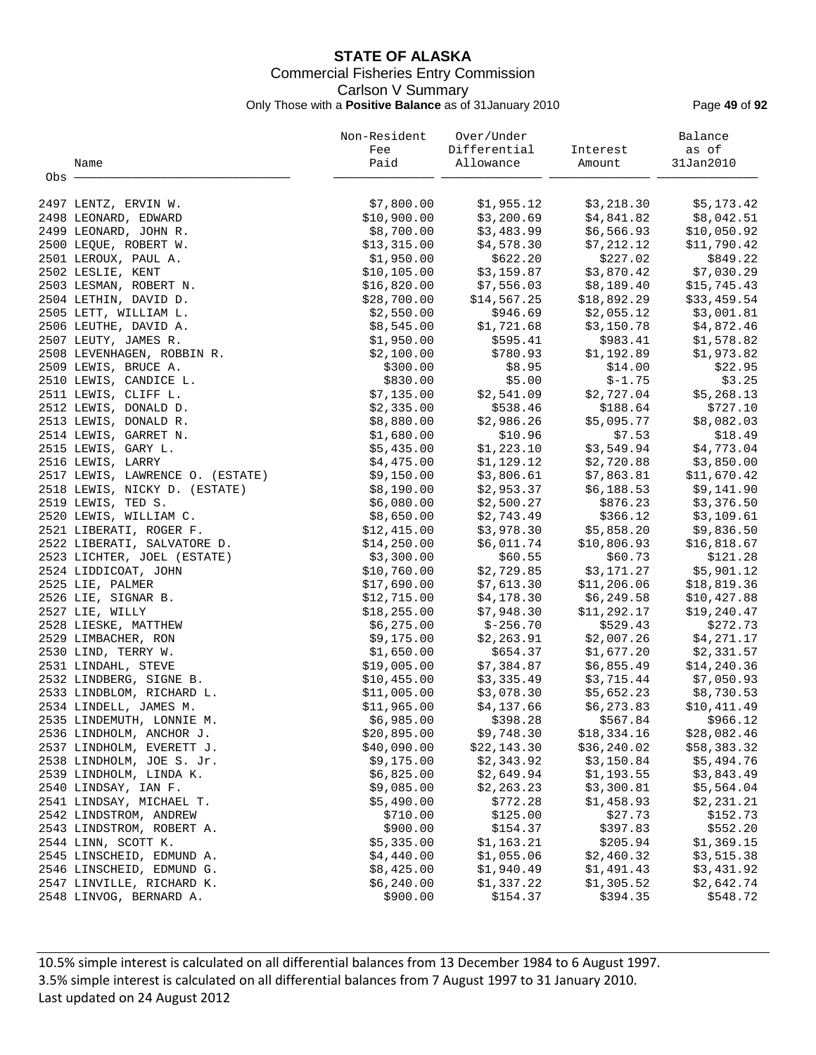## **STATE OF ALASKA** Commercial Fisheries Entry Commission Carlson V Summary Only Those with a **Positive Balance** as of 31January 2010 Page **49** of **92**

|       |                                  | Non-Resident | Over/Under   |             | Balance      |
|-------|----------------------------------|--------------|--------------|-------------|--------------|
|       |                                  | Fee          | Differential | Interest    | as of        |
|       | Name                             | Paid         | Allowance    | Amount      | 31Jan2010    |
| Obs - |                                  |              |              |             |              |
|       | 2497 LENTZ, ERVIN W.             | \$7,800.00   | \$1,955.12   | \$3,218.30  | \$5,173.42   |
|       | 2498 LEONARD, EDWARD             | \$10,900.00  | \$3,200.69   | \$4,841.82  | \$8,042.51   |
|       | 2499 LEONARD, JOHN R.            | \$8,700.00   | \$3,483.99   | \$6,566.93  | \$10,050.92  |
|       | 2500 LEQUE, ROBERT W.            | \$13,315.00  | \$4,578.30   | \$7,212.12  | \$11,790.42  |
|       | 2501 LEROUX, PAUL A.             | \$1,950.00   | \$622.20     | \$227.02    | \$849.22     |
|       | 2502 LESLIE, KENT                | \$10, 105.00 | \$3,159.87   | \$3,870.42  | \$7,030.29   |
|       | 2503 LESMAN, ROBERT N.           | \$16,820.00  | \$7,556.03   | \$8,189.40  | \$15,745.43  |
|       | 2504 LETHIN, DAVID D.            | \$28,700.00  | \$14,567.25  | \$18,892.29 | \$33,459.54  |
|       | 2505 LETT, WILLIAM L.            | \$2,550.00   | \$946.69     | \$2,055.12  | \$3,001.81   |
|       | 2506 LEUTHE, DAVID A.            | \$8,545.00   | \$1,721.68   | \$3,150.78  | \$4,872.46   |
|       | 2507 LEUTY, JAMES R.             | \$1,950.00   | \$595.41     | \$983.41    | \$1,578.82   |
|       | 2508 LEVENHAGEN, ROBBIN R.       | \$2,100.00   | \$780.93     | \$1,192.89  | \$1,973.82   |
|       | 2509 LEWIS, BRUCE A.             | \$300.00     | \$8.95       | \$14.00     | \$22.95      |
|       | 2510 LEWIS, CANDICE L.           | \$830.00     | \$5.00       | $$-1.75$    | \$3.25       |
|       | 2511 LEWIS, CLIFF L.             | \$7,135.00   | \$2,541.09   | \$2,727.04  | \$5, 268.13  |
|       | 2512 LEWIS, DONALD D.            | \$2,335.00   | \$538.46     | \$188.64    | \$727.10     |
|       | 2513 LEWIS, DONALD R.            | \$8,880.00   | \$2,986.26   | \$5,095.77  | \$8,082.03   |
|       | 2514 LEWIS, GARRET N.            | \$1,680.00   | \$10.96      | \$7.53      | \$18.49      |
|       | 2515 LEWIS, GARY L.              | \$5,435.00   | \$1,223.10   | \$3,549.94  | \$4,773.04   |
|       | 2516 LEWIS, LARRY                | \$4,475.00   | \$1,129.12   | \$2,720.88  | \$3,850.00   |
|       | 2517 LEWIS, LAWRENCE O. (ESTATE) | \$9,150.00   | \$3,806.61   | \$7,863.81  | \$11,670.42  |
|       | 2518 LEWIS, NICKY D. (ESTATE)    | \$8,190.00   | \$2,953.37   | \$6,188.53  | \$9,141.90   |
|       | 2519 LEWIS, TED S.               | \$6,080.00   | \$2,500.27   | \$876.23    | \$3,376.50   |
|       | 2520 LEWIS, WILLIAM C.           | \$8,650.00   | \$2,743.49   | \$366.12    | \$3,109.61   |
|       | 2521 LIBERATI, ROGER F.          | \$12,415.00  | \$3,978.30   | \$5,858.20  | \$9,836.50   |
|       | 2522 LIBERATI, SALVATORE D.      | \$14,250.00  | \$6,011.74   | \$10,806.93 | \$16,818.67  |
|       | 2523 LICHTER, JOEL (ESTATE)      | \$3,300.00   | \$60.55      | \$60.73     | \$121.28     |
|       | 2524 LIDDICOAT, JOHN             | \$10,760.00  | \$2,729.85   | \$3,171.27  | \$5,901.12   |
|       | 2525 LIE, PALMER                 | \$17,690.00  | \$7,613.30   | \$11,206.06 | \$18,819.36  |
|       | 2526 LIE, SIGNAR B.              | \$12,715.00  | \$4,178.30   | \$6,249.58  | \$10,427.88  |
|       | 2527 LIE, WILLY                  | \$18, 255.00 | \$7,948.30   | \$11,292.17 | \$19,240.47  |
|       | 2528 LIESKE, MATTHEW             | \$6,275.00   | $$-256.70$   | \$529.43    | \$272.73     |
|       | 2529 LIMBACHER, RON              | \$9,175.00   | \$2,263.91   | \$2,007.26  | \$4,271.17   |
|       | 2530 LIND, TERRY W.              | \$1,650.00   | \$654.37     | \$1,677.20  | \$2,331.57   |
|       | 2531 LINDAHL, STEVE              | \$19,005.00  | \$7,384.87   | \$6,855.49  | \$14, 240.36 |
|       | 2532 LINDBERG, SIGNE B.          | \$10,455.00  | \$3,335.49   | \$3,715.44  | \$7,050.93   |
|       | 2533 LINDBLOM, RICHARD L.        | \$11,005.00  | \$3,078.30   | \$5,652.23  | \$8,730.53   |
|       | 2534 LINDELL, JAMES M.           | \$11,965.00  | \$4,137.66   | \$6,273.83  | \$10,411.49  |
|       | 2535 LINDEMUTH, LONNIE M.        | \$6,985.00   | \$398.28     | \$567.84    | \$966.12     |
|       | 2536 LINDHOLM, ANCHOR J.         | \$20,895.00  | \$9,748.30   | \$18,334.16 | \$28,082.46  |
|       | 2537 LINDHOLM, EVERETT J.        | \$40,090.00  | \$22,143.30  | \$36,240.02 | \$58,383.32  |
|       | 2538 LINDHOLM, JOE S. Jr.        | \$9,175.00   | \$2,343.92   | \$3,150.84  | \$5,494.76   |
|       | 2539 LINDHOLM, LINDA K.          | \$6,825.00   | \$2,649.94   | \$1,193.55  | \$3,843.49   |
|       | 2540 LINDSAY, IAN F.             | \$9,085.00   | \$2, 263.23  | \$3,300.81  | \$5,564.04   |
|       | 2541 LINDSAY, MICHAEL T.         | \$5,490.00   | \$772.28     | \$1,458.93  | \$2,231.21   |
|       | 2542 LINDSTROM, ANDREW           | \$710.00     | \$125.00     | \$27.73     | \$152.73     |
|       | 2543 LINDSTROM, ROBERT A.        | \$900.00     | \$154.37     | \$397.83    | \$552.20     |
|       | 2544 LINN, SCOTT K.              | \$5,335.00   | \$1,163.21   | \$205.94    | \$1,369.15   |
|       | 2545 LINSCHEID, EDMUND A.        | \$4,440.00   | \$1,055.06   | \$2,460.32  | \$3,515.38   |
|       | 2546 LINSCHEID, EDMUND G.        | \$8,425.00   | \$1,940.49   | \$1,491.43  | \$3,431.92   |
|       | 2547 LINVILLE, RICHARD K.        | \$6,240.00   | \$1,337.22   | \$1,305.52  | \$2,642.74   |
|       | 2548 LINVOG, BERNARD A.          | \$900.00     | \$154.37     | \$394.35    | \$548.72     |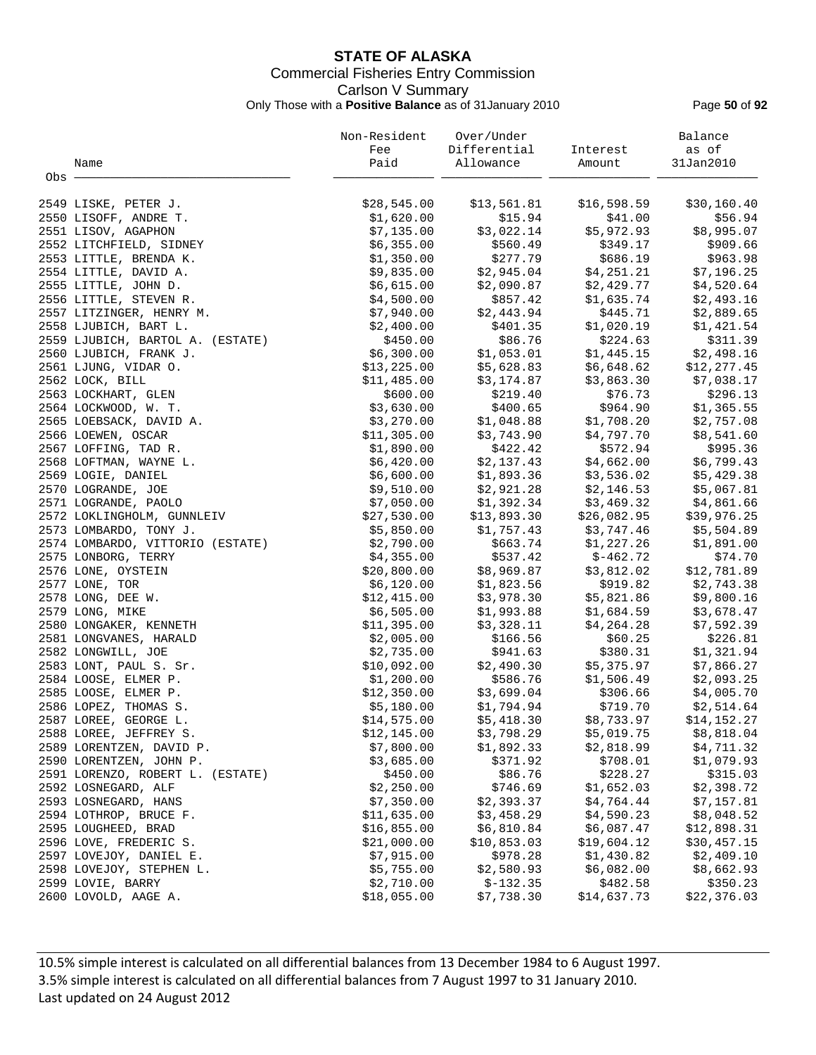## **STATE OF ALASKA** Commercial Fisheries Entry Commission Carlson V Summary Only Those with a **Positive Balance** as of 31January 2010 Page **50** of **92**

|       |                                  | Non-Resident | Over/Under   |             | Balance     |
|-------|----------------------------------|--------------|--------------|-------------|-------------|
|       |                                  | Fee          | Differential | Interest    | as of       |
|       | Name                             | Paid         | Allowance    | Amount      | 31Jan2010   |
| Obs - |                                  |              |              |             |             |
|       | 2549 LISKE, PETER J.             | \$28,545.00  | \$13,561.81  | \$16,598.59 | \$30,160.40 |
|       | 2550 LISOFF, ANDRE T.            | \$1,620.00   | \$15.94      | \$41.00     | \$56.94     |
|       | 2551 LISOV, AGAPHON              | \$7,135.00   | \$3,022.14   | \$5,972.93  | \$8,995.07  |
|       | 2552 LITCHFIELD, SIDNEY          | \$6,355.00   | \$560.49     | \$349.17    | \$909.66    |
|       | 2553 LITTLE, BRENDA K.           | \$1,350.00   | \$277.79     | \$686.19    | \$963.98    |
|       | 2554 LITTLE, DAVID A.            | \$9,835.00   | \$2,945.04   | \$4,251.21  | \$7,196.25  |
|       | 2555 LITTLE, JOHN D.             | \$6,615.00   | \$2,090.87   | \$2,429.77  | \$4,520.64  |
|       | 2556 LITTLE, STEVEN R.           | \$4,500.00   | \$857.42     | \$1,635.74  | \$2,493.16  |
|       | 2557 LITZINGER, HENRY M.         | \$7,940.00   | \$2,443.94   | \$445.71    | \$2,889.65  |
|       | 2558 LJUBICH, BART L.            | \$2,400.00   | \$401.35     | \$1,020.19  | \$1,421.54  |
|       | 2559 LJUBICH, BARTOL A. (ESTATE) | \$450.00     | \$86.76      | \$224.63    | \$311.39    |
|       | 2560 LJUBICH, FRANK J.           | \$6,300.00   | \$1,053.01   | \$1,445.15  | \$2,498.16  |
|       | 2561 LJUNG, VIDAR O.             | \$13,225.00  | \$5,628.83   | \$6,648.62  | \$12,277.45 |
|       | 2562 LOCK, BILL                  | \$11,485.00  | \$3,174.87   | \$3,863.30  | \$7,038.17  |
|       | 2563 LOCKHART, GLEN              | \$600.00     | \$219.40     | \$76.73     | \$296.13    |
|       | 2564 LOCKWOOD, W. T.             | \$3,630.00   | \$400.65     | \$964.90    | \$1,365.55  |
|       | 2565 LOEBSACK, DAVID A.          | \$3,270.00   | \$1,048.88   | \$1,708.20  | \$2,757.08  |
|       | 2566 LOEWEN, OSCAR               | \$11,305.00  | \$3,743.90   | \$4,797.70  | \$8,541.60  |
|       | 2567 LOFFING, TAD R.             | \$1,890.00   | \$422.42     | \$572.94    | \$995.36    |
|       | 2568 LOFTMAN, WAYNE L.           | \$6,420.00   | \$2,137.43   | \$4,662.00  | \$6,799.43  |
|       | 2569 LOGIE, DANIEL               | \$6,600.00   | \$1,893.36   | \$3,536.02  | \$5,429.38  |
|       | 2570 LOGRANDE, JOE               | \$9,510.00   | \$2,921.28   | \$2,146.53  | \$5,067.81  |
|       | 2571 LOGRANDE, PAOLO             | \$7,050.00   | \$1,392.34   | \$3,469.32  | \$4,861.66  |
|       | 2572 LOKLINGHOLM, GUNNLEIV       | \$27,530.00  | \$13,893.30  | \$26,082.95 | \$39,976.25 |
|       | 2573 LOMBARDO, TONY J.           | \$5,850.00   | \$1,757.43   | \$3,747.46  | \$5,504.89  |
|       | 2574 LOMBARDO, VITTORIO (ESTATE) | \$2,790.00   | \$663.74     | \$1,227.26  | \$1,891.00  |
|       | 2575 LONBORG, TERRY              | \$4,355.00   | \$537.42     | \$-462.72   | \$74.70     |
|       | 2576 LONE, OYSTEIN               | \$20,800.00  | \$8,969.87   | \$3,812.02  | \$12,781.89 |
|       | 2577 LONE, TOR                   | \$6,120.00   | \$1,823.56   | \$919.82    | \$2,743.38  |
|       | 2578 LONG, DEE W.                | \$12,415.00  | \$3,978.30   | \$5,821.86  | \$9,800.16  |
|       | 2579 LONG, MIKE                  | \$6,505.00   | \$1,993.88   | \$1,684.59  | \$3,678.47  |
|       | 2580 LONGAKER, KENNETH           | \$11,395.00  | \$3,328.11   | \$4,264.28  | \$7,592.39  |
|       | 2581 LONGVANES, HARALD           | \$2,005.00   | \$166.56     | \$60.25     | \$226.81    |
|       | 2582 LONGWILL, JOE               | \$2,735.00   | \$941.63     | \$380.31    | \$1,321.94  |
|       | 2583 LONT, PAUL S. Sr.           | \$10,092.00  | \$2,490.30   | \$5,375.97  | \$7,866.27  |
|       | 2584 LOOSE, ELMER P.             | \$1,200.00   | \$586.76     | \$1,506.49  | \$2,093.25  |
|       | 2585 LOOSE, ELMER P.             | \$12,350.00  | \$3,699.04   | \$306.66    | \$4,005.70  |
|       | 2586 LOPEZ, THOMAS S.            | \$5,180.00   | \$1,794.94   | \$719.70    | \$2,514.64  |
|       | 2587 LOREE, GEORGE L.            | \$14,575.00  | \$5,418.30   | \$8,733.97  | \$14,152.27 |
|       | 2588 LOREE, JEFFREY S.           | \$12,145.00  | \$3,798.29   | \$5,019.75  | \$8,818.04  |
|       | 2589 LORENTZEN, DAVID P.         | \$7,800.00   | \$1,892.33   | \$2,818.99  | \$4,711.32  |
|       | 2590 LORENTZEN, JOHN P.          | \$3,685.00   | \$371.92     | \$708.01    | \$1,079.93  |
|       | 2591 LORENZO, ROBERT L. (ESTATE) | \$450.00     | \$86.76      | \$228.27    | \$315.03    |
|       | 2592 LOSNEGARD, ALF              | \$2,250.00   | \$746.69     | \$1,652.03  | \$2,398.72  |
|       | 2593 LOSNEGARD, HANS             | \$7,350.00   | \$2,393.37   | \$4,764.44  | \$7,157.81  |
|       | 2594 LOTHROP, BRUCE F.           | \$11,635.00  | \$3,458.29   | \$4,590.23  | \$8,048.52  |
|       | 2595 LOUGHEED, BRAD              | \$16,855.00  | \$6,810.84   | \$6,087.47  | \$12,898.31 |
|       | 2596 LOVE, FREDERIC S.           | \$21,000.00  | \$10,853.03  | \$19,604.12 | \$30,457.15 |
|       | 2597 LOVEJOY, DANIEL E.          | \$7,915.00   | \$978.28     | \$1,430.82  | \$2,409.10  |
|       | 2598 LOVEJOY, STEPHEN L.         | \$5,755.00   | \$2,580.93   | \$6,082.00  | \$8,662.93  |
|       | 2599 LOVIE, BARRY                | \$2,710.00   | $$-132.35$   | \$482.58    | \$350.23    |
|       | 2600 LOVOLD, AAGE A.             | \$18,055.00  | \$7,738.30   | \$14,637.73 | \$22,376.03 |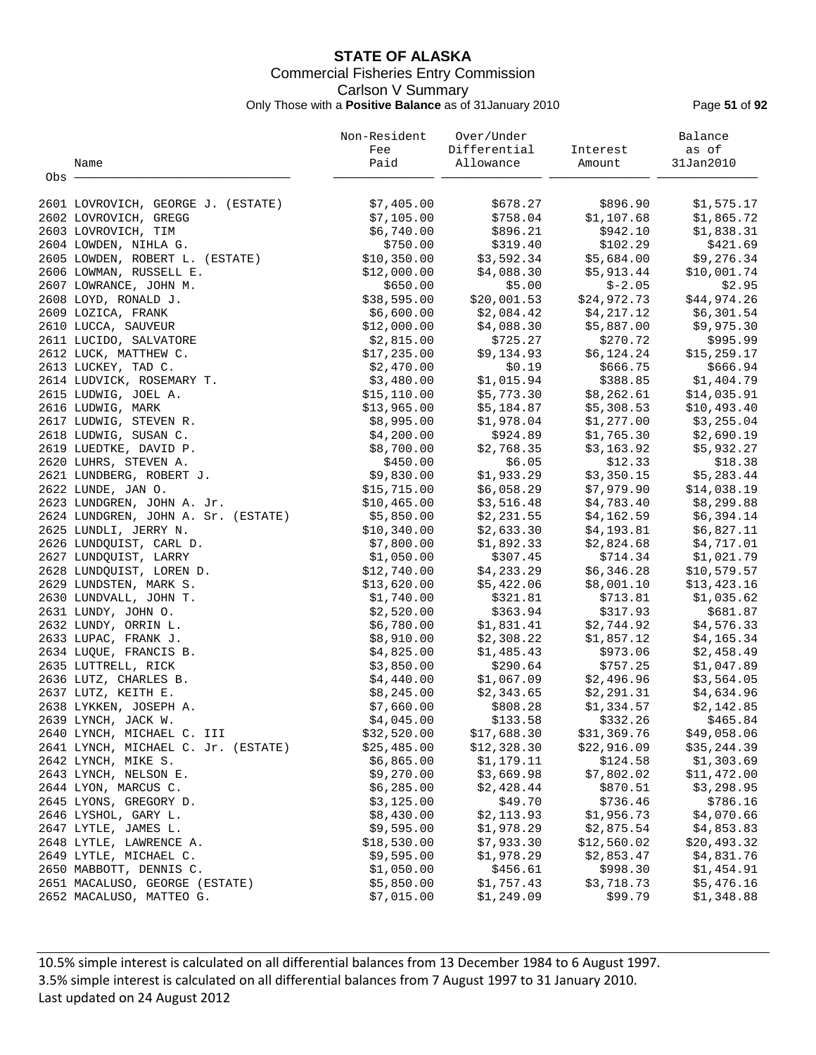## **STATE OF ALASKA** Commercial Fisheries Entry Commission Carlson V Summary Only Those with a **Positive Balance** as of 31January 2010 Page **51** of **92**

|       |                                     | Non-Resident | Over/Under   |             | Balance      |
|-------|-------------------------------------|--------------|--------------|-------------|--------------|
|       |                                     | Fee          | Differential | Interest    | as of        |
|       | Name                                | Paid         | Allowance    | Amount      | 31Jan2010    |
| Obs - |                                     |              |              |             |              |
|       | 2601 LOVROVICH, GEORGE J. (ESTATE)  | \$7,405.00   | \$678.27     | \$896.90    | \$1,575.17   |
|       | 2602 LOVROVICH, GREGG               | \$7,105.00   | \$758.04     | \$1,107.68  | \$1,865.72   |
|       | 2603 LOVROVICH, TIM                 | \$6,740.00   | \$896.21     | \$942.10    | \$1,838.31   |
|       | 2604 LOWDEN, NIHLA G.               | \$750.00     | \$319.40     | \$102.29    | \$421.69     |
|       | 2605 LOWDEN, ROBERT L. (ESTATE)     | \$10,350.00  | \$3,592.34   | \$5,684.00  | \$9,276.34   |
|       | 2606 LOWMAN, RUSSELL E.             | \$12,000.00  | \$4,088.30   | \$5,913.44  | \$10,001.74  |
|       | 2607 LOWRANCE, JOHN M.              | \$650.00     | \$5.00       | $$-2.05$    | \$2.95       |
|       | 2608 LOYD, RONALD J.                | \$38,595.00  | \$20,001.53  | \$24,972.73 | \$44,974.26  |
|       | 2609 LOZICA, FRANK                  | \$6,600.00   | \$2,084.42   | \$4,217.12  | \$6,301.54   |
|       | 2610 LUCCA, SAUVEUR                 | \$12,000.00  | \$4,088.30   | \$5,887.00  | \$9,975.30   |
|       | 2611 LUCIDO, SALVATORE              | \$2,815.00   | \$725.27     | \$270.72    | \$995.99     |
|       | 2612 LUCK, MATTHEW C.               | \$17,235.00  | \$9,134.93   | \$6,124.24  | \$15, 259.17 |
|       | 2613 LUCKEY, TAD C.                 | \$2,470.00   | \$0.19       | \$666.75    | \$666.94     |
|       | 2614 LUDVICK, ROSEMARY T.           | \$3,480.00   | \$1,015.94   | \$388.85    | \$1,404.79   |
|       | 2615 LUDWIG, JOEL A.                | \$15, 110.00 | \$5,773.30   | \$8,262.61  | \$14,035.91  |
|       | 2616 LUDWIG, MARK                   | \$13,965.00  | \$5,184.87   | \$5,308.53  | \$10,493.40  |
|       | 2617 LUDWIG, STEVEN R.              | \$8,995.00   | \$1,978.04   | \$1,277.00  | \$3,255.04   |
|       | 2618 LUDWIG, SUSAN C.               | \$4,200.00   | \$924.89     | \$1,765.30  | \$2,690.19   |
|       | 2619 LUEDTKE, DAVID P.              | \$8,700.00   | \$2,768.35   | \$3,163.92  | \$5,932.27   |
|       | 2620 LUHRS, STEVEN A.               | \$450.00     | \$6.05       | \$12.33     | \$18.38      |
|       | 2621 LUNDBERG, ROBERT J.            | \$9,830.00   | \$1,933.29   | \$3,350.15  | \$5,283.44   |
|       | 2622 LUNDE, JAN O.                  | \$15,715.00  | \$6,058.29   | \$7,979.90  | \$14,038.19  |
|       | 2623 LUNDGREN, JOHN A. Jr.          | \$10,465.00  | \$3,516.48   | \$4,783.40  | \$8,299.88   |
|       | 2624 LUNDGREN, JOHN A. Sr. (ESTATE) | \$5,850.00   | \$2,231.55   | \$4,162.59  | \$6,394.14   |
|       | 2625 LUNDLI, JERRY N.               | \$10,340.00  | \$2,633.30   | \$4,193.81  | \$6,827.11   |
|       | 2626 LUNDQUIST, CARL D.             | \$7,800.00   | \$1,892.33   | \$2,824.68  | \$4,717.01   |
|       | 2627 LUNDQUIST, LARRY               | \$1,050.00   | \$307.45     | \$714.34    | \$1,021.79   |
|       | 2628 LUNDQUIST, LOREN D.            | \$12,740.00  | \$4,233.29   | \$6,346.28  | \$10,579.57  |
|       | 2629 LUNDSTEN, MARK S.              | \$13,620.00  | \$5,422.06   | \$8,001.10  | \$13,423.16  |
|       | 2630 LUNDVALL, JOHN T.              | \$1,740.00   | \$321.81     | \$713.81    | \$1,035.62   |
|       | 2631 LUNDY, JOHN O.                 | \$2,520.00   | \$363.94     | \$317.93    | \$681.87     |
|       | 2632 LUNDY, ORRIN L.                | \$6,780.00   | \$1,831.41   | \$2,744.92  | \$4,576.33   |
|       | 2633 LUPAC, FRANK J.                | \$8,910.00   | \$2,308.22   | \$1,857.12  | \$4,165.34   |
|       | 2634 LUOUE, FRANCIS B.              | \$4,825.00   | \$1,485.43   | \$973.06    | \$2,458.49   |
|       | 2635 LUTTRELL, RICK                 | \$3,850.00   | \$290.64     | \$757.25    | \$1,047.89   |
|       | 2636 LUTZ, CHARLES B.               | \$4,440.00   | \$1,067.09   | \$2,496.96  | \$3,564.05   |
|       | 2637 LUTZ, KEITH E.                 | \$8,245.00   | \$2,343.65   | \$2,291.31  | \$4,634.96   |
|       | 2638 LYKKEN, JOSEPH A.              | \$7,660.00   | \$808.28     | \$1,334.57  | \$2,142.85   |
|       | 2639 LYNCH, JACK W.                 | \$4,045.00   | \$133.58     | \$332.26    | \$465.84     |
|       | 2640 LYNCH, MICHAEL C. III          | \$32,520.00  | \$17,688.30  | \$31,369.76 | \$49,058.06  |
|       | 2641 LYNCH, MICHAEL C. Jr. (ESTATE) | \$25,485.00  | \$12,328.30  | \$22,916.09 | \$35,244.39  |
|       | 2642 LYNCH, MIKE S.                 | \$6,865.00   | \$1,179.11   | \$124.58    | \$1,303.69   |
|       | 2643 LYNCH, NELSON E.               | \$9,270.00   | \$3,669.98   | \$7,802.02  | \$11,472.00  |
|       | 2644 LYON, MARCUS C.                | \$6,285.00   | \$2,428.44   | \$870.51    | \$3,298.95   |
|       | 2645 LYONS, GREGORY D.              | \$3,125.00   | \$49.70      | \$736.46    | \$786.16     |
|       | 2646 LYSHOL, GARY L.                | \$8,430.00   | \$2,113.93   | \$1,956.73  | \$4,070.66   |
|       | 2647 LYTLE, JAMES L.                | \$9,595.00   | \$1,978.29   | \$2,875.54  | \$4,853.83   |
|       | 2648 LYTLE, LAWRENCE A.             | \$18,530.00  | \$7,933.30   | \$12,560.02 | \$20,493.32  |
|       | 2649 LYTLE, MICHAEL C.              | \$9,595.00   | \$1,978.29   | \$2,853.47  | \$4,831.76   |
|       | 2650 MABBOTT, DENNIS C.             | \$1,050.00   | \$456.61     | \$998.30    | \$1,454.91   |
|       | 2651 MACALUSO, GEORGE (ESTATE)      | \$5,850.00   | \$1,757.43   | \$3,718.73  | \$5,476.16   |
|       | 2652 MACALUSO, MATTEO G.            | \$7,015.00   | \$1,249.09   | \$99.79     | \$1,348.88   |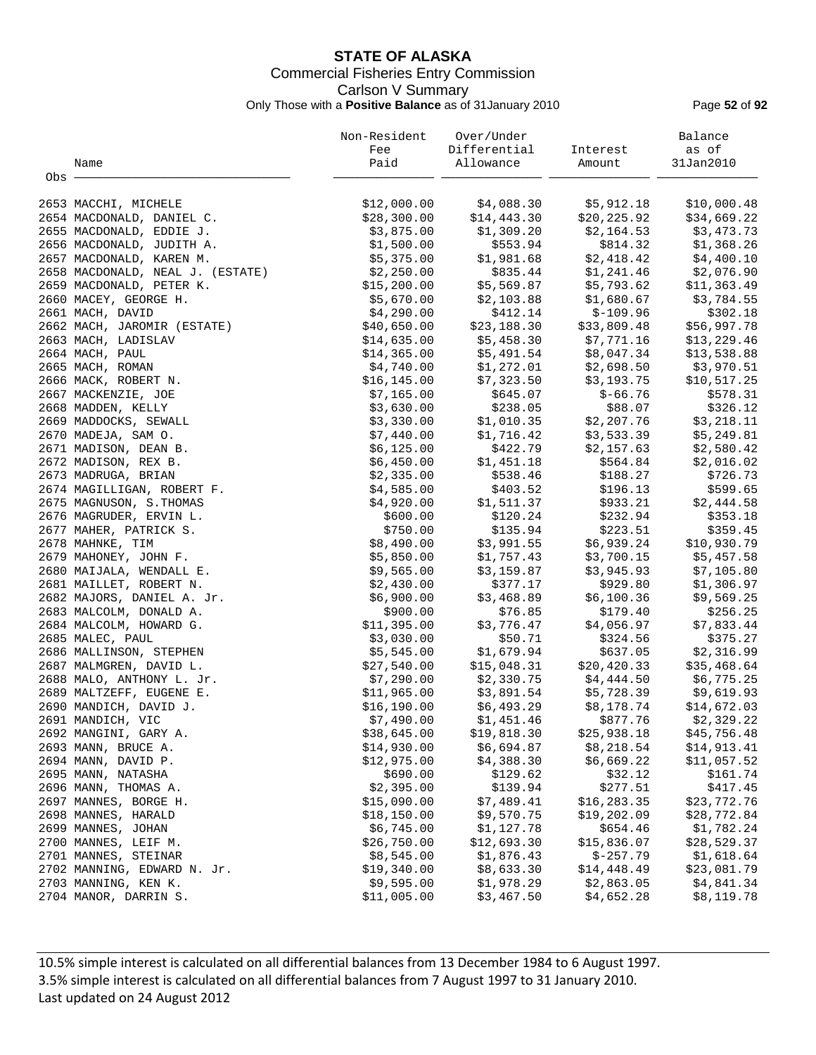## **STATE OF ALASKA** Commercial Fisheries Entry Commission Carlson V Summary Only Those with a **Positive Balance** as of 31January 2010 Page **52** of **92**

|       |                                  | Non-Resident           | Over/Under            |                        | Balance      |
|-------|----------------------------------|------------------------|-----------------------|------------------------|--------------|
|       |                                  | Fee                    | Differential          | Interest               | as of        |
|       | Name                             | Paid                   | Allowance             | Amount                 | 31Jan2010    |
| Obs - |                                  |                        |                       |                        |              |
|       |                                  |                        |                       |                        |              |
|       | 2653 MACCHI, MICHELE             | \$12,000.00            | \$4,088.30            | \$5,912.18             | \$10,000.48  |
|       | 2654 MACDONALD, DANIEL C.        | \$28,300.00            | \$14,443.30           | \$20,225.92            | \$34,669.22  |
|       | 2655 MACDONALD, EDDIE J.         | \$3,875.00             | \$1,309.20            | \$2,164.53             | \$3,473.73   |
|       | 2656 MACDONALD, JUDITH A.        | \$1,500.00             | \$553.94              | \$814.32               | \$1,368.26   |
|       | 2657 MACDONALD, KAREN M.         | \$5,375.00             | \$1,981.68            | \$2,418.42             | \$4,400.10   |
|       | 2658 MACDONALD, NEAL J. (ESTATE) | \$2,250.00             | \$835.44              | \$1,241.46             | \$2,076.90   |
|       | 2659 MACDONALD, PETER K.         | \$15,200.00            | \$5,569.87            | \$5,793.62             | \$11,363.49  |
|       | 2660 MACEY, GEORGE H.            | \$5,670.00             | \$2,103.88            | \$1,680.67             | \$3,784.55   |
|       | 2661 MACH, DAVID                 | \$4,290.00             | \$412.14              | $$-109.96$             | \$302.18     |
|       | 2662 MACH, JAROMIR (ESTATE)      | \$40,650.00            | \$23,188.30           | \$33,809.48            | \$56,997.78  |
|       | 2663 MACH, LADISLAV              | \$14,635.00            | \$5,458.30            | \$7,771.16             | \$13, 229.46 |
|       | 2664 MACH, PAUL                  | \$14,365.00            | \$5,491.54            | \$8,047.34             | \$13,538.88  |
|       | 2665 MACH, ROMAN                 | \$4,740.00             | \$1,272.01            | \$2,698.50             | \$3,970.51   |
|       | 2666 MACK, ROBERT N.             | \$16, 145.00           | \$7,323.50            | \$3,193.75             | \$10,517.25  |
|       | 2667 MACKENZIE, JOE              | \$7,165.00             | \$645.07              | $$ -66.76$             | \$578.31     |
|       | 2668 MADDEN, KELLY               | \$3,630.00             | \$238.05              | \$88.07                | \$326.12     |
|       | 2669 MADDOCKS, SEWALL            | \$3,330.00             | \$1,010.35            | \$2,207.76             | \$3,218.11   |
|       | 2670 MADEJA, SAM O.              | \$7,440.00             | \$1,716.42            | \$3,533.39             | \$5,249.81   |
|       | 2671 MADISON, DEAN B.            | \$6,125.00             | \$422.79              | \$2,157.63             | \$2,580.42   |
|       | 2672 MADISON, REX B.             | \$6,450.00             | \$1,451.18            | \$564.84               | \$2,016.02   |
|       | 2673 MADRUGA, BRIAN              | \$2,335.00             | \$538.46              | \$188.27               | \$726.73     |
|       | 2674 MAGILLIGAN, ROBERT F.       | \$4,585.00             | \$403.52              | \$196.13               | \$599.65     |
|       | 2675 MAGNUSON, S. THOMAS         | \$4,920.00             | \$1,511.37            | \$933.21               | \$2,444.58   |
|       | 2676 MAGRUDER, ERVIN L.          | \$600.00               | \$120.24              | \$232.94               | \$353.18     |
|       | 2677 MAHER, PATRICK S.           | \$750.00               | \$135.94              | \$223.51               | \$359.45     |
|       | 2678 MAHNKE, TIM                 | \$8,490.00             | \$3,991.55            | \$6,939.24             | \$10,930.79  |
|       | 2679 MAHONEY, JOHN F.            | \$5,850.00             | \$1,757.43            | \$3,700.15             | \$5,457.58   |
|       | 2680 MAIJALA, WENDALL E.         | \$9,565.00             | \$3,159.87            | \$3,945.93             | \$7,105.80   |
|       | 2681 MAILLET, ROBERT N.          |                        | \$377.17              | \$929.80               |              |
|       |                                  | \$2,430.00             |                       |                        | \$1,306.97   |
|       | 2682 MAJORS, DANIEL A. Jr.       | \$6,900.00<br>\$900.00 | \$3,468.89<br>\$76.85 | \$6,100.36<br>\$179.40 | \$9,569.25   |
|       | 2683 MALCOLM, DONALD A.          |                        | \$3,776.47            |                        | \$256.25     |
|       | 2684 MALCOLM, HOWARD G.          | \$11,395.00            |                       | \$4,056.97             | \$7,833.44   |
|       | 2685 MALEC, PAUL                 | \$3,030.00             | \$50.71               | \$324.56               | \$375.27     |
|       | 2686 MALLINSON, STEPHEN          | \$5,545.00             | \$1,679.94            | \$637.05               | \$2,316.99   |
|       | 2687 MALMGREN, DAVID L.          | \$27,540.00            | \$15,048.31           | \$20,420.33            | \$35,468.64  |
|       | 2688 MALO, ANTHONY L. Jr.        | \$7,290.00             | \$2,330.75            | \$4,444.50             | \$6,775.25   |
|       | 2689 MALTZEFF, EUGENE E.         | \$11,965.00            | \$3,891.54            | \$5,728.39             | \$9,619.93   |
|       | 2690 MANDICH, DAVID J.           | \$16,190.00            | \$6,493.29            | \$8,178.74             | \$14,672.03  |
|       | 2691 MANDICH, VIC                | \$7,490.00             | \$1,451.46            | \$877.76               | \$2,329.22   |
|       | 2692 MANGINI, GARY A.            | \$38,645.00            | \$19,818.30           | \$25,938.18            | \$45,756.48  |
|       | 2693 MANN, BRUCE A.              | \$14,930.00            | \$6,694.87            | \$8,218.54             | \$14,913.41  |
|       | 2694 MANN, DAVID P.              | \$12,975.00            | \$4,388.30            | \$6,669.22             | \$11,057.52  |
|       | 2695 MANN, NATASHA               | \$690.00               | \$129.62              | \$32.12                | \$161.74     |
|       | 2696 MANN, THOMAS A.             | \$2,395.00             | \$139.94              | \$277.51               | \$417.45     |
|       | 2697 MANNES, BORGE H.            | \$15,090.00            | \$7,489.41            | \$16, 283.35           | \$23,772.76  |
|       | 2698 MANNES, HARALD              | \$18,150.00            | \$9,570.75            | \$19,202.09            | \$28,772.84  |
|       | 2699 MANNES, JOHAN               | \$6,745.00             | \$1,127.78            | \$654.46               | \$1,782.24   |
|       | 2700 MANNES, LEIF M.             | \$26,750.00            | \$12,693.30           | \$15,836.07            | \$28,529.37  |
|       | 2701 MANNES, STEINAR             | \$8,545.00             | \$1,876.43            | $$-257.79$             | \$1,618.64   |
|       | 2702 MANNING, EDWARD N. Jr.      | \$19,340.00            | \$8,633.30            | \$14,448.49            | \$23,081.79  |
|       | 2703 MANNING, KEN K.             | \$9,595.00             | \$1,978.29            | \$2,863.05             | \$4,841.34   |
|       | 2704 MANOR, DARRIN S.            | \$11,005.00            | \$3,467.50            | \$4,652.28             | \$8,119.78   |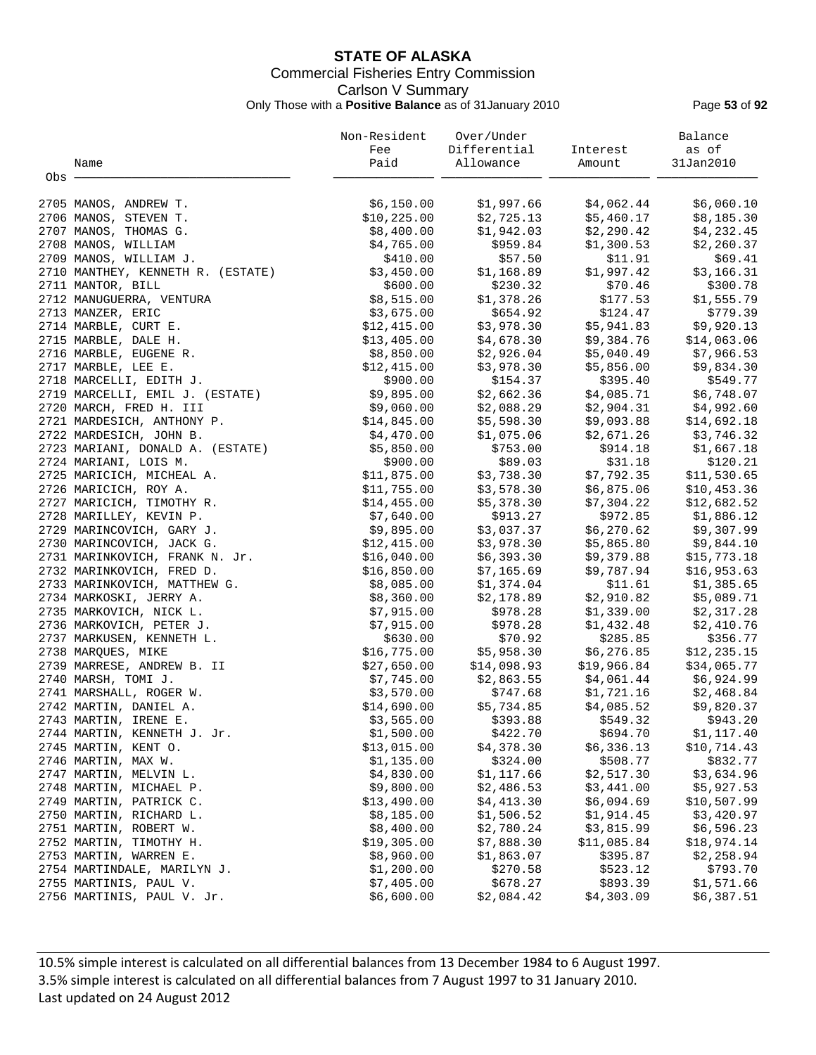## **STATE OF ALASKA** Commercial Fisheries Entry Commission Carlson V Summary Only Those with a **Positive Balance** as of 31January 2010 Page **53** of **92**

|       |                                                   | Non-Resident              | Over/Under               |                           | Balance                   |
|-------|---------------------------------------------------|---------------------------|--------------------------|---------------------------|---------------------------|
|       |                                                   | Fee                       | Differential             | Interest                  | as of                     |
|       | Name                                              | Paid                      | Allowance                | Amount                    | 31Jan2010                 |
| Obs - |                                                   |                           |                          |                           |                           |
|       |                                                   |                           |                          |                           |                           |
|       | 2705 MANOS, ANDREW T.                             | \$6,150.00                | \$1,997.66               | \$4,062.44                | \$6,060.10                |
|       | 2706 MANOS, STEVEN T.                             | \$10, 225.00              | \$2,725.13               | \$5,460.17                | \$8,185.30                |
|       | 2707 MANOS, THOMAS G.                             | \$8,400.00                | \$1,942.03               | \$2,290.42                | \$4,232.45                |
|       | 2708 MANOS, WILLIAM                               | \$4,765.00                | \$959.84                 | \$1,300.53                | \$2,260.37                |
|       | 2709 MANOS, WILLIAM J.                            | \$410.00                  | \$57.50                  | \$11.91                   | \$69.41                   |
|       | 2710 MANTHEY, KENNETH R. (ESTATE)                 | \$3,450.00                | \$1,168.89               | \$1,997.42                | \$3,166.31                |
|       | 2711 MANTOR, BILL                                 | \$600.00                  | \$230.32                 | \$70.46                   | \$300.78                  |
|       | 2712 MANUGUERRA, VENTURA                          | \$8,515.00                | \$1,378.26               | \$177.53                  | \$1,555.79                |
|       | 2713 MANZER, ERIC                                 | \$3,675.00                | \$654.92                 | \$124.47                  | \$779.39                  |
|       | 2714 MARBLE, CURT E.                              | \$12,415.00               | \$3,978.30               | \$5,941.83                | \$9,920.13                |
|       | 2715 MARBLE, DALE H.                              | \$13,405.00               | \$4,678.30               | \$9,384.76                | \$14,063.06               |
|       | 2716 MARBLE, EUGENE R.                            | \$8,850.00                | \$2,926.04               | \$5,040.49                | \$7,966.53                |
|       | 2717 MARBLE, LEE E.                               | \$12,415.00               | \$3,978.30               | \$5,856.00                | \$9,834.30                |
|       | 2718 MARCELLI, EDITH J.                           | \$900.00                  | \$154.37                 | \$395.40                  | \$549.77                  |
|       | 2719 MARCELLI, EMIL J. (ESTATE)                   | \$9,895.00                | \$2,662.36               | \$4,085.71                | \$6,748.07                |
|       | 2720 MARCH, FRED H. III                           | \$9,060.00                | \$2,088.29               | \$2,904.31                | \$4,992.60                |
|       | 2721 MARDESICH, ANTHONY P.                        | \$14,845.00               | \$5,598.30               | \$9,093.88                | \$14,692.18               |
|       | 2722 MARDESICH, JOHN B.                           | \$4,470.00                | \$1,075.06               | \$2,671.26                | \$3,746.32                |
|       | 2723 MARIANI, DONALD A. (ESTATE)                  | \$5,850.00                | \$753.00                 | \$914.18                  | \$1,667.18                |
|       | 2724 MARIANI, LOIS M.                             | \$900.00                  | \$89.03                  | \$31.18                   | \$120.21                  |
|       | 2725 MARICICH, MICHEAL A.                         | \$11,875.00               | \$3,738.30               | \$7,792.35                | \$11,530.65               |
|       | 2726 MARICICH, ROY A.                             | \$11,755.00               | \$3,578.30               | \$6,875.06                | \$10,453.36               |
|       | 2727 MARICICH, TIMOTHY R.                         | \$14,455.00               | \$5,378.30               | \$7,304.22                | \$12,682.52               |
|       | 2728 MARILLEY, KEVIN P.                           | \$7,640.00                | \$913.27                 | \$972.85                  | \$1,886.12                |
|       | 2729 MARINCOVICH, GARY J.                         | \$9,895.00                | \$3,037.37               | \$6,270.62                | \$9,307.99                |
|       | 2730 MARINCOVICH, JACK G.                         | \$12,415.00               | \$3,978.30               | \$5,865.80                | \$9,844.10                |
|       | 2731 MARINKOVICH, FRANK N. Jr.                    | \$16,040.00               | \$6,393.30               | \$9,379.88                | \$15,773.18               |
|       | 2732 MARINKOVICH, FRED D.                         | \$16,850.00               | \$7,165.69               | \$9,787.94                | \$16,953.63               |
|       | 2733 MARINKOVICH, MATTHEW G.                      | \$8,085.00                | \$1,374.04               | \$11.61                   | \$1,385.65                |
|       | 2734 MARKOSKI, JERRY A.                           | \$8,360.00                | \$2,178.89               | \$2,910.82                | \$5,089.71                |
|       | 2735 MARKOVICH, NICK L.                           | \$7,915.00                | \$978.28                 | \$1,339.00                | \$2,317.28                |
|       | 2736 MARKOVICH, PETER J.                          | \$7,915.00                | \$978.28                 | \$1,432.48                | \$2,410.76                |
|       | 2737 MARKUSEN, KENNETH L.                         | \$630.00                  | \$70.92                  | \$285.85                  | \$356.77                  |
|       | 2738 MARQUES, MIKE                                | \$16,775.00               | \$5,958.30               | \$6, 276.85               | \$12, 235.15              |
|       | 2739 MARRESE, ANDREW B. II                        | \$27,650.00               | \$14,098.93              | \$19,966.84               | \$34,065.77               |
|       | 2740 MARSH, TOMI J.                               | \$7,745.00                | \$2,863.55               | \$4,061.44                | \$6,924.99                |
|       | 2741 MARSHALL, ROGER W.                           | \$3,570.00                | \$747.68                 | \$1,721.16                | \$2,468.84                |
|       | 2742 MARTIN, DANIEL A.                            | \$14,690.00               | \$5,734.85               | \$4,085.52                | \$9,820.37                |
|       | 2743 MARTIN, IRENE E.                             | \$3,565.00                | \$393.88                 | \$549.32                  | \$943.20                  |
|       | 2744 MARTIN, KENNETH J. Jr.                       | \$1,500.00                | \$422.70                 | \$694.70                  | \$1,117.40                |
|       | 2745 MARTIN, KENT O.                              | \$13,015.00               | \$4,378.30               | \$6,336.13                | \$10,714.43               |
|       | 2746 MARTIN, MAX W.                               | \$1,135.00                | \$324.00                 | \$508.77                  | \$832.77                  |
|       | 2747 MARTIN, MELVIN L.                            | \$4,830.00                | \$1,117.66               | \$2,517.30                | \$3,634.96                |
|       | 2748 MARTIN, MICHAEL P.                           | \$9,800.00                | \$2,486.53               | \$3,441.00                | \$5,927.53                |
|       | 2749 MARTIN, PATRICK C.                           | \$13,490.00               | \$4,413.30               | \$6,094.69                | \$10,507.99               |
|       | 2750 MARTIN, RICHARD L.                           | \$8,185.00                | \$1,506.52               | \$1,914.45                | \$3,420.97                |
|       |                                                   |                           |                          |                           |                           |
|       | 2751 MARTIN, ROBERT W.<br>2752 MARTIN, TIMOTHY H. | \$8,400.00<br>\$19,305.00 | \$2,780.24<br>\$7,888.30 | \$3,815.99<br>\$11,085.84 | \$6,596.23<br>\$18,974.14 |
|       | 2753 MARTIN, WARREN E.                            | \$8,960.00                | \$1,863.07               | \$395.87                  | \$2,258.94                |
|       | 2754 MARTINDALE, MARILYN J.                       | \$1,200.00                | \$270.58                 | \$523.12                  | \$793.70                  |
|       | 2755 MARTINIS, PAUL V.                            | \$7,405.00                | \$678.27                 | \$893.39                  | \$1,571.66                |
|       | 2756 MARTINIS, PAUL V. Jr.                        | \$6,600.00                | \$2,084.42               | \$4,303.09                | \$6,387.51                |
|       |                                                   |                           |                          |                           |                           |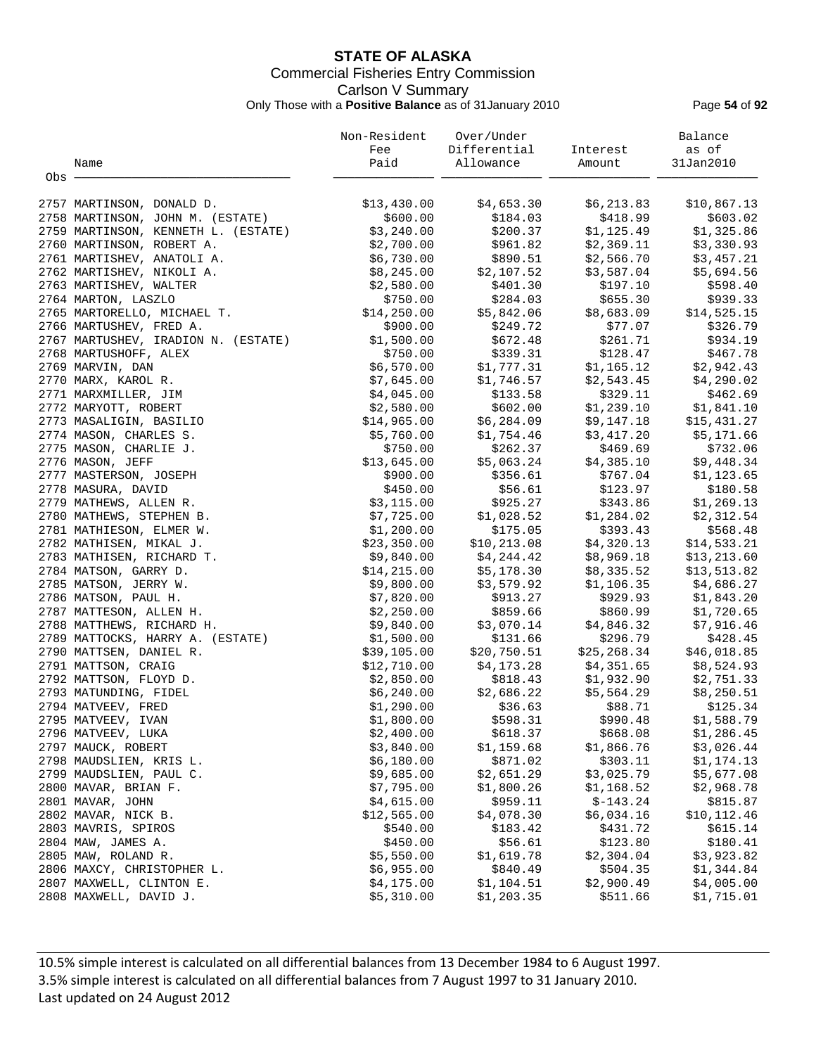## **STATE OF ALASKA** Commercial Fisheries Entry Commission Carlson V Summary Only Those with a **Positive Balance** as of 31January 2010 Page **54** of **92**

|       |                                     | Non-Resident | Over/Under   |              | Balance      |
|-------|-------------------------------------|--------------|--------------|--------------|--------------|
|       |                                     | Fee          | Differential | Interest     | as of        |
|       | Name                                | Paid         | Allowance    | Amount       | 31Jan2010    |
| Obs - |                                     |              |              |              |              |
|       | 2757 MARTINSON, DONALD D.           | \$13,430.00  | \$4,653.30   | \$6,213.83   | \$10,867.13  |
|       | 2758 MARTINSON, JOHN M. (ESTATE)    | \$600.00     | \$184.03     | \$418.99     | \$603.02     |
|       | 2759 MARTINSON, KENNETH L. (ESTATE) | \$3,240.00   | \$200.37     | \$1,125.49   | \$1,325.86   |
|       | 2760 MARTINSON, ROBERT A.           | \$2,700.00   | \$961.82     | \$2,369.11   | \$3,330.93   |
|       | 2761 MARTISHEV, ANATOLI A.          | \$6,730.00   | \$890.51     | \$2,566.70   | \$3,457.21   |
|       | 2762 MARTISHEV, NIKOLI A.           | \$8,245.00   | \$2,107.52   | \$3,587.04   | \$5,694.56   |
|       | 2763 MARTISHEV, WALTER              | \$2,580.00   | \$401.30     | \$197.10     | \$598.40     |
|       | 2764 MARTON, LASZLO                 | \$750.00     | \$284.03     | \$655.30     | \$939.33     |
|       | 2765 MARTORELLO, MICHAEL T.         | \$14,250.00  | \$5,842.06   | \$8,683.09   | \$14,525.15  |
|       | 2766 MARTUSHEV, FRED A.             | \$900.00     | \$249.72     | \$77.07      | \$326.79     |
|       | 2767 MARTUSHEV, IRADION N. (ESTATE) | \$1,500.00   | \$672.48     | \$261.71     | \$934.19     |
|       | 2768 MARTUSHOFF, ALEX               | \$750.00     | \$339.31     | \$128.47     | \$467.78     |
|       | 2769 MARVIN, DAN                    | \$6,570.00   | \$1,777.31   | \$1,165.12   | \$2,942.43   |
|       | 2770 MARX, KAROL R.                 | \$7,645.00   | \$1,746.57   | \$2,543.45   | \$4,290.02   |
|       | 2771 MARXMILLER, JIM                | \$4,045.00   | \$133.58     | \$329.11     | \$462.69     |
|       | 2772 MARYOTT, ROBERT                | \$2,580.00   | \$602.00     | \$1,239.10   | \$1,841.10   |
|       | 2773 MASALIGIN, BASILIO             | \$14,965.00  | \$6,284.09   | \$9,147.18   | \$15,431.27  |
|       | 2774 MASON, CHARLES S.              | \$5,760.00   | \$1,754.46   | \$3,417.20   | \$5,171.66   |
|       | 2775 MASON, CHARLIE J.              | \$750.00     | \$262.37     | \$469.69     | \$732.06     |
|       | 2776 MASON, JEFF                    | \$13,645.00  | \$5,063.24   | \$4,385.10   | \$9,448.34   |
|       | 2777 MASTERSON, JOSEPH              | \$900.00     | \$356.61     | \$767.04     | \$1,123.65   |
|       | 2778 MASURA, DAVID                  | \$450.00     | \$56.61      | \$123.97     | \$180.58     |
|       | 2779 MATHEWS, ALLEN R.              | \$3,115.00   | \$925.27     | \$343.86     | \$1,269.13   |
|       | 2780 MATHEWS, STEPHEN B.            | \$7,725.00   | \$1,028.52   | \$1,284.02   | \$2,312.54   |
|       | 2781 MATHIESON, ELMER W.            | \$1,200.00   | \$175.05     | \$393.43     | \$568.48     |
|       | 2782 MATHISEN, MIKAL J.             | \$23,350.00  | \$10, 213.08 | \$4,320.13   | \$14,533.21  |
|       | 2783 MATHISEN, RICHARD T.           | \$9,840.00   | \$4,244.42   | \$8,969.18   | \$13, 213.60 |
|       | 2784 MATSON, GARRY D.               | \$14, 215.00 | \$5,178.30   | \$8,335.52   | \$13,513.82  |
|       | 2785 MATSON, JERRY W.               | \$9,800.00   | \$3,579.92   | \$1,106.35   | \$4,686.27   |
|       | 2786 MATSON, PAUL H.                | \$7,820.00   | \$913.27     | \$929.93     | \$1,843.20   |
|       | 2787 MATTESON, ALLEN H.             | \$2,250.00   | \$859.66     | \$860.99     | \$1,720.65   |
|       | 2788 MATTHEWS, RICHARD H.           | \$9,840.00   | \$3,070.14   | \$4,846.32   | \$7,916.46   |
|       | 2789 MATTOCKS, HARRY A. (ESTATE)    | \$1,500.00   | \$131.66     | \$296.79     | \$428.45     |
|       | 2790 MATTSEN, DANIEL R.             | \$39,105.00  | \$20,750.51  | \$25, 268.34 | \$46,018.85  |
|       | 2791 MATTSON, CRAIG                 | \$12,710.00  | \$4,173.28   | \$4,351.65   | \$8,524.93   |
|       | 2792 MATTSON, FLOYD D.              | \$2,850.00   | \$818.43     | \$1,932.90   | \$2,751.33   |
|       | 2793 MATUNDING, FIDEL               | \$6,240.00   | \$2,686.22   | \$5,564.29   | \$8,250.51   |
|       | 2794 MATVEEV, FRED                  | \$1,290.00   | \$36.63      | \$88.71      | \$125.34     |
|       | 2795 MATVEEV, IVAN                  | \$1,800.00   | \$598.31     | \$990.48     | \$1,588.79   |
|       | 2796 MATVEEV, LUKA                  | \$2,400.00   | \$618.37     | \$668.08     | \$1,286.45   |
|       | 2797 MAUCK, ROBERT                  | \$3,840.00   | \$1,159.68   | \$1,866.76   | \$3,026.44   |
|       | 2798 MAUDSLIEN, KRIS L.             | \$6,180.00   | \$871.02     | \$303.11     | \$1,174.13   |
|       | 2799 MAUDSLIEN, PAUL C.             | \$9,685.00   | \$2,651.29   | \$3,025.79   | \$5,677.08   |
|       | 2800 MAVAR, BRIAN F.                | \$7,795.00   | \$1,800.26   | \$1,168.52   | \$2,968.78   |
|       | 2801 MAVAR, JOHN                    | \$4,615.00   | \$959.11     | $$-143.24$   | \$815.87     |
|       | 2802 MAVAR, NICK B.                 | \$12,565.00  | \$4,078.30   | \$6,034.16   | \$10,112.46  |
|       | 2803 MAVRIS, SPIROS                 | \$540.00     | \$183.42     | \$431.72     | \$615.14     |
|       | 2804 MAW, JAMES A.                  | \$450.00     | \$56.61      | \$123.80     | \$180.41     |
|       | 2805 MAW, ROLAND R.                 | \$5,550.00   | \$1,619.78   | \$2,304.04   | \$3,923.82   |
|       | 2806 MAXCY, CHRISTOPHER L.          | \$6,955.00   | \$840.49     | \$504.35     | \$1,344.84   |
|       | 2807 MAXWELL, CLINTON E.            | \$4,175.00   | \$1,104.51   | \$2,900.49   | \$4,005.00   |
|       | 2808 MAXWELL, DAVID J.              | \$5,310.00   | \$1,203.35   | \$511.66     | \$1,715.01   |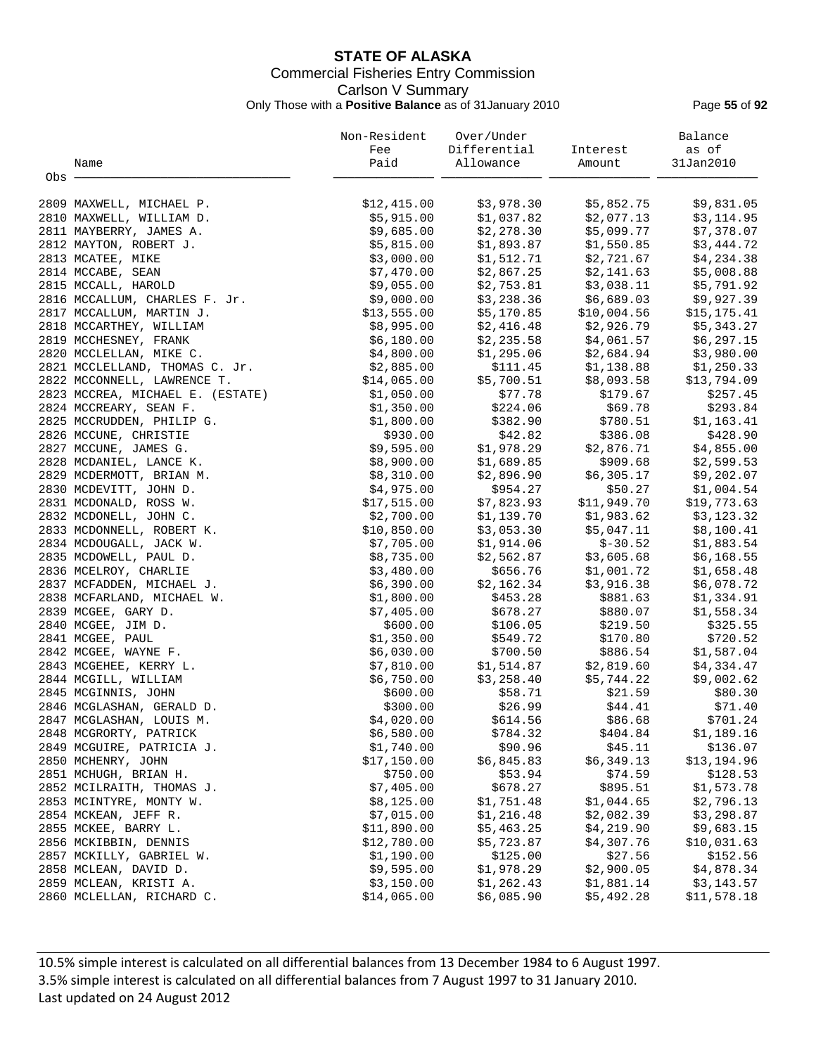## **STATE OF ALASKA** Commercial Fisheries Entry Commission Carlson V Summary Only Those with a **Positive Balance** as of 31January 2010 Page **55** of **92**

|       |                                  | Non-Resident<br>Fee | Over/Under<br>Differential | Interest    | Balance<br>as of |
|-------|----------------------------------|---------------------|----------------------------|-------------|------------------|
|       | Name                             | Paid                | Allowance                  | Amount      | 31Jan2010        |
| Obs - |                                  |                     |                            |             |                  |
|       |                                  |                     |                            |             |                  |
|       | 2809 MAXWELL, MICHAEL P.         | \$12,415.00         | \$3,978.30                 | \$5,852.75  | \$9,831.05       |
|       | 2810 MAXWELL, WILLIAM D.         | \$5,915.00          | \$1,037.82                 | \$2,077.13  | \$3,114.95       |
|       | 2811 MAYBERRY, JAMES A.          | \$9,685.00          | \$2,278.30                 | \$5,099.77  | \$7,378.07       |
|       | 2812 MAYTON, ROBERT J.           | \$5,815.00          | \$1,893.87                 | \$1,550.85  | \$3,444.72       |
|       | 2813 MCATEE, MIKE                | \$3,000.00          | \$1,512.71                 | \$2,721.67  | \$4,234.38       |
|       | 2814 MCCABE, SEAN                | \$7,470.00          | \$2,867.25                 | \$2,141.63  | \$5,008.88       |
|       | 2815 MCCALL, HAROLD              | \$9,055.00          | \$2,753.81                 | \$3,038.11  | \$5,791.92       |
|       | 2816 MCCALLUM, CHARLES F. Jr.    | \$9,000.00          | \$3,238.36                 | \$6,689.03  | \$9,927.39       |
|       | 2817 MCCALLUM, MARTIN J.         | \$13,555.00         | \$5,170.85                 | \$10,004.56 | \$15, 175.41     |
|       | 2818 MCCARTHEY, WILLIAM          | \$8,995.00          | \$2,416.48                 | \$2,926.79  | \$5,343.27       |
|       | 2819 MCCHESNEY, FRANK            | \$6,180.00          | \$2,235.58                 | \$4,061.57  | \$6,297.15       |
|       | 2820 MCCLELLAN, MIKE C.          | \$4,800.00          | \$1,295.06                 | \$2,684.94  | \$3,980.00       |
|       | 2821 MCCLELLAND, THOMAS C. Jr.   | \$2,885.00          | \$111.45                   | \$1,138.88  | \$1,250.33       |
|       | 2822 MCCONNELL, LAWRENCE T.      | \$14,065.00         | \$5,700.51                 | \$8,093.58  | \$13,794.09      |
|       | 2823 MCCREA, MICHAEL E. (ESTATE) | \$1,050.00          | \$77.78                    | \$179.67    | \$257.45         |
|       | 2824 MCCREARY, SEAN F.           | \$1,350.00          | \$224.06                   | \$69.78     | \$293.84         |
|       | 2825 MCCRUDDEN, PHILIP G.        | \$1,800.00          | \$382.90                   | \$780.51    | \$1,163.41       |
|       | 2826 MCCUNE, CHRISTIE            | \$930.00            | \$42.82                    | \$386.08    | \$428.90         |
|       | 2827 MCCUNE, JAMES G.            | \$9,595.00          | \$1,978.29                 | \$2,876.71  | \$4,855.00       |
|       | 2828 MCDANIEL, LANCE K.          | \$8,900.00          | \$1,689.85                 | \$909.68    | \$2,599.53       |
|       | 2829 MCDERMOTT, BRIAN M.         | \$8,310.00          | \$2,896.90                 | \$6,305.17  | \$9,202.07       |
|       | 2830 MCDEVITT, JOHN D.           | \$4,975.00          | \$954.27                   | \$50.27     | \$1,004.54       |
|       | 2831 MCDONALD, ROSS W.           | \$17,515.00         | \$7,823.93                 | \$11,949.70 | \$19,773.63      |
|       | 2832 MCDONELL, JOHN C.           | \$2,700.00          | \$1,139.70                 | \$1,983.62  | \$3,123.32       |
|       | 2833 MCDONNELL, ROBERT K.        | \$10,850.00         | \$3,053.30                 | \$5,047.11  | \$8,100.41       |
|       | 2834 MCDOUGALL, JACK W.          | \$7,705.00          | \$1,914.06                 | $$-30.52$   | \$1,883.54       |
|       | 2835 MCDOWELL, PAUL D.           | \$8,735.00          | \$2,562.87                 | \$3,605.68  | \$6,168.55       |
|       | 2836 MCELROY, CHARLIE            | \$3,480.00          | \$656.76                   | \$1,001.72  | \$1,658.48       |
|       | 2837 MCFADDEN, MICHAEL J.        | \$6,390.00          | \$2,162.34                 | \$3,916.38  | \$6,078.72       |
|       | 2838 MCFARLAND, MICHAEL W.       | \$1,800.00          | \$453.28                   | \$881.63    | \$1,334.91       |
|       | 2839 MCGEE, GARY D.              | \$7,405.00          | \$678.27                   | \$880.07    | \$1,558.34       |
|       | 2840 MCGEE, JIM D.               | \$600.00            | \$106.05                   | \$219.50    | \$325.55         |
|       | 2841 MCGEE, PAUL                 | \$1,350.00          | \$549.72                   | \$170.80    | \$720.52         |
|       | 2842 MCGEE, WAYNE F.             | \$6,030.00          | \$700.50                   | \$886.54    | \$1,587.04       |
|       | 2843 MCGEHEE, KERRY L.           | \$7,810.00          | \$1,514.87                 | \$2,819.60  | \$4,334.47       |
|       | 2844 MCGILL, WILLIAM             | \$6,750.00          | \$3,258.40                 | \$5,744.22  | \$9,002.62       |
|       | 2845 MCGINNIS, JOHN              | \$600.00            | \$58.71                    | \$21.59     | \$80.30          |
|       | 2846 MCGLASHAN, GERALD D.        | \$300.00            | \$26.99                    | \$44.41     | \$71.40          |
|       | 2847 MCGLASHAN, LOUIS M.         | \$4,020.00          | \$614.56                   | \$86.68     | \$701.24         |
|       | 2848 MCGRORTY, PATRICK           | \$6,580.00          | \$784.32                   | \$404.84    | \$1,189.16       |
|       | 2849 MCGUIRE, PATRICIA J.        | \$1,740.00          | \$90.96                    | \$45.11     | \$136.07         |
|       | 2850 MCHENRY, JOHN               | \$17,150.00         | \$6,845.83                 | \$6,349.13  | \$13,194.96      |
|       | 2851 MCHUGH, BRIAN H.            | \$750.00            | \$53.94                    | \$74.59     | \$128.53         |
|       | 2852 MCILRAITH, THOMAS J.        | \$7,405.00          | \$678.27                   | \$895.51    | \$1,573.78       |
|       | 2853 MCINTYRE, MONTY W.          | \$8,125.00          | \$1,751.48                 | \$1,044.65  | \$2,796.13       |
|       | 2854 MCKEAN, JEFF R.             | \$7,015.00          | \$1,216.48                 | \$2,082.39  | \$3,298.87       |
|       | 2855 MCKEE, BARRY L.             | \$11,890.00         | \$5,463.25                 | \$4,219.90  | \$9,683.15       |
|       | 2856 MCKIBBIN, DENNIS            | \$12,780.00         | \$5,723.87                 | \$4,307.76  | \$10,031.63      |
|       | 2857 MCKILLY, GABRIEL W.         | \$1,190.00          | \$125.00                   | \$27.56     | \$152.56         |
|       | 2858 MCLEAN, DAVID D.            | \$9,595.00          | \$1,978.29                 | \$2,900.05  | \$4,878.34       |
|       | 2859 MCLEAN, KRISTI A.           | \$3,150.00          | \$1,262.43                 | \$1,881.14  | \$3,143.57       |
|       | 2860 MCLELLAN, RICHARD C.        | \$14,065.00         | \$6,085.90                 | \$5,492.28  | \$11,578.18      |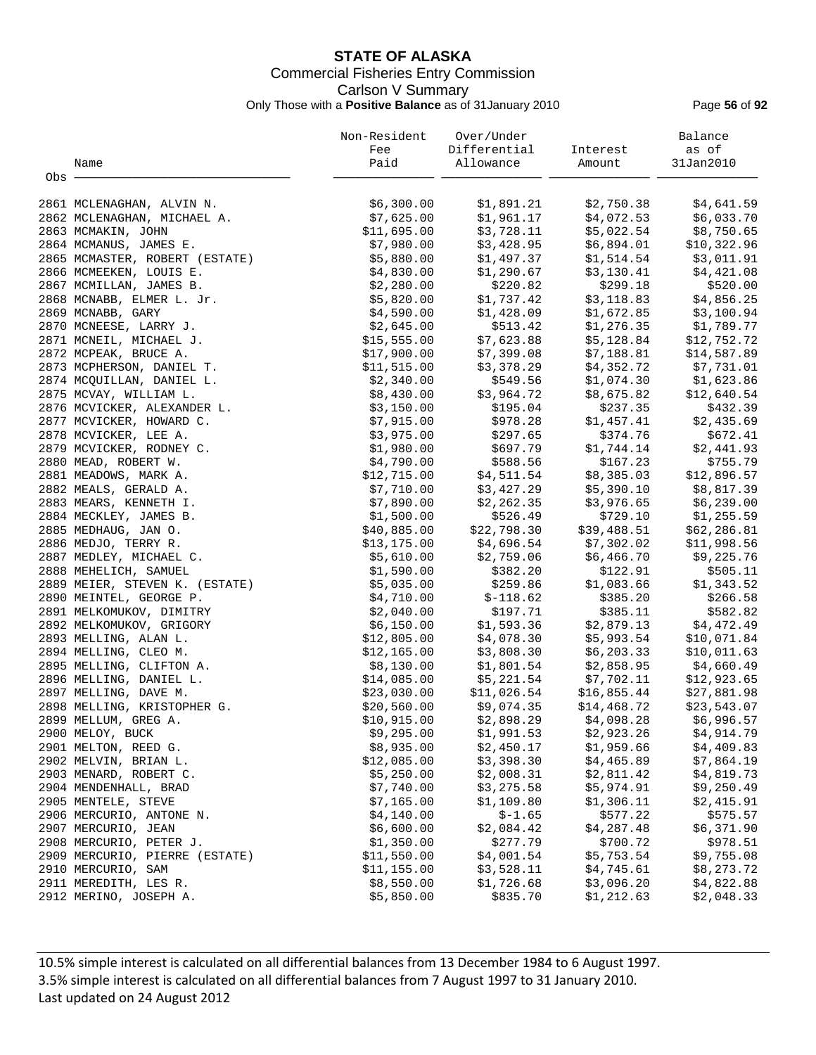## **STATE OF ALASKA** Commercial Fisheries Entry Commission Carlson V Summary Only Those with a **Positive Balance** as of 31January 2010 Page **56** of **92**

|     |                                | Non-Resident | Over/Under   |             | Balance      |
|-----|--------------------------------|--------------|--------------|-------------|--------------|
|     |                                | Fee          | Differential | Interest    | as of        |
|     | Name                           | Paid         | Allowance    | Amount      | 31Jan2010    |
| Obs |                                |              |              |             |              |
|     | 2861 MCLENAGHAN, ALVIN N.      | \$6,300.00   | \$1,891.21   | \$2,750.38  | \$4,641.59   |
|     | 2862 MCLENAGHAN, MICHAEL A.    | \$7,625.00   | \$1,961.17   | \$4,072.53  | \$6,033.70   |
|     | 2863 MCMAKIN, JOHN             | \$11,695.00  | \$3,728.11   | \$5,022.54  | \$8,750.65   |
|     | 2864 MCMANUS, JAMES E.         | \$7,980.00   | \$3,428.95   | \$6,894.01  | \$10,322.96  |
|     | 2865 MCMASTER, ROBERT (ESTATE) | \$5,880.00   | \$1,497.37   | \$1,514.54  | \$3,011.91   |
|     | 2866 MCMEEKEN, LOUIS E.        | \$4,830.00   | \$1,290.67   | \$3,130.41  | \$4,421.08   |
|     | 2867 MCMILLAN, JAMES B.        | \$2,280.00   | \$220.82     | \$299.18    | \$520.00     |
|     | 2868 MCNABB, ELMER L. Jr.      | \$5,820.00   | \$1,737.42   | \$3,118.83  | \$4,856.25   |
|     | 2869 MCNABB, GARY              | \$4,590.00   | \$1,428.09   | \$1,672.85  | \$3,100.94   |
|     | 2870 MCNEESE, LARRY J.         | \$2,645.00   | \$513.42     | \$1,276.35  | \$1,789.77   |
|     | 2871 MCNEIL, MICHAEL J.        | \$15,555.00  | \$7,623.88   | \$5,128.84  | \$12,752.72  |
|     | 2872 MCPEAK, BRUCE A.          | \$17,900.00  | \$7,399.08   | \$7,188.81  | \$14,587.89  |
|     | 2873 MCPHERSON, DANIEL T.      | \$11,515.00  | \$3,378.29   | \$4,352.72  | \$7,731.01   |
|     | 2874 MCQUILLAN, DANIEL L.      | \$2,340.00   | \$549.56     | \$1,074.30  | \$1,623.86   |
|     | 2875 MCVAY, WILLIAM L.         | \$8,430.00   | \$3,964.72   | \$8,675.82  | \$12,640.54  |
|     | 2876 MCVICKER, ALEXANDER L.    | \$3,150.00   | \$195.04     | \$237.35    | \$432.39     |
|     | 2877 MCVICKER, HOWARD C.       | \$7,915.00   | \$978.28     | \$1,457.41  | \$2,435.69   |
|     | 2878 MCVICKER, LEE A.          | \$3,975.00   | \$297.65     | \$374.76    | \$672.41     |
|     | 2879 MCVICKER, RODNEY C.       | \$1,980.00   | \$697.79     | \$1,744.14  | \$2,441.93   |
|     | 2880 MEAD, ROBERT W.           | \$4,790.00   | \$588.56     | \$167.23    | \$755.79     |
|     | 2881 MEADOWS, MARK A.          | \$12,715.00  | \$4,511.54   | \$8,385.03  | \$12,896.57  |
|     | 2882 MEALS, GERALD A.          | \$7,710.00   | \$3,427.29   | \$5,390.10  | \$8,817.39   |
|     | 2883 MEARS, KENNETH I.         | \$7,890.00   | \$2,262.35   | \$3,976.65  | \$6,239.00   |
|     | 2884 MECKLEY, JAMES B.         | \$1,500.00   | \$526.49     | \$729.10    | \$1,255.59   |
|     | 2885 MEDHAUG, JAN O.           | \$40,885.00  | \$22,798.30  | \$39,488.51 | \$62, 286.81 |
|     | 2886 MEDJO, TERRY R.           | \$13,175.00  | \$4,696.54   | \$7,302.02  | \$11,998.56  |
|     | 2887 MEDLEY, MICHAEL C.        | \$5,610.00   | \$2,759.06   | \$6,466.70  | \$9,225.76   |
|     | 2888 MEHELICH, SAMUEL          | \$1,590.00   | \$382.20     | \$122.91    | \$505.11     |
|     | 2889 MEIER, STEVEN K. (ESTATE) | \$5,035.00   | \$259.86     | \$1,083.66  | \$1,343.52   |
|     | 2890 MEINTEL, GEORGE P.        | \$4,710.00   | $$-118.62$   | \$385.20    | \$266.58     |
|     | 2891 MELKOMUKOV, DIMITRY       | \$2,040.00   | \$197.71     | \$385.11    | \$582.82     |
|     | 2892 MELKOMUKOV, GRIGORY       | \$6,150.00   | \$1,593.36   | \$2,879.13  | \$4,472.49   |
|     | 2893 MELLING, ALAN L.          | \$12,805.00  | \$4,078.30   | \$5,993.54  | \$10,071.84  |
|     | 2894 MELLING, CLEO M.          | \$12,165.00  | \$3,808.30   | \$6, 203.33 | \$10,011.63  |
|     | 2895 MELLING, CLIFTON A.       | \$8,130.00   | \$1,801.54   | \$2,858.95  | \$4,660.49   |
|     | 2896 MELLING, DANIEL L.        | \$14,085.00  | \$5,221.54   | \$7,702.11  | \$12,923.65  |
|     | 2897 MELLING, DAVE M.          | \$23,030.00  | \$11,026.54  | \$16,855.44 | \$27,881.98  |
|     | 2898 MELLING, KRISTOPHER G.    | \$20,560.00  | \$9,074.35   | \$14,468.72 | \$23,543.07  |
|     | 2899 MELLUM, GREG A.           | \$10,915.00  | \$2,898.29   | \$4,098.28  | \$6,996.57   |
|     | 2900 MELOY, BUCK               | \$9,295.00   | \$1,991.53   | \$2,923.26  | \$4,914.79   |
|     | 2901 MELTON, REED G.           | \$8,935.00   | \$2,450.17   | \$1,959.66  | \$4,409.83   |
|     | 2902 MELVIN, BRIAN L.          | \$12,085.00  | \$3,398.30   | \$4,465.89  | \$7,864.19   |
|     | 2903 MENARD, ROBERT C.         | \$5,250.00   | \$2,008.31   | \$2,811.42  | \$4,819.73   |
|     | 2904 MENDENHALL, BRAD          | \$7,740.00   | \$3,275.58   | \$5,974.91  | \$9,250.49   |
|     | 2905 MENTELE, STEVE            | \$7,165.00   | \$1,109.80   | \$1,306.11  | \$2,415.91   |
|     | 2906 MERCURIO, ANTONE N.       | \$4,140.00   | $$-1.65$     | \$577.22    | \$575.57     |
|     | 2907 MERCURIO, JEAN            | \$6,600.00   | \$2,084.42   | \$4,287.48  | \$6,371.90   |
|     | 2908 MERCURIO, PETER J.        | \$1,350.00   | \$277.79     | \$700.72    | \$978.51     |
|     | 2909 MERCURIO, PIERRE (ESTATE) | \$11,550.00  | \$4,001.54   | \$5,753.54  | \$9,755.08   |
|     | 2910 MERCURIO, SAM             | \$11,155.00  | \$3,528.11   | \$4,745.61  | \$8,273.72   |
|     | 2911 MEREDITH, LES R.          | \$8,550.00   | \$1,726.68   | \$3,096.20  | \$4,822.88   |
|     | 2912 MERINO, JOSEPH A.         | \$5,850.00   | \$835.70     | \$1, 212.63 | \$2,048.33   |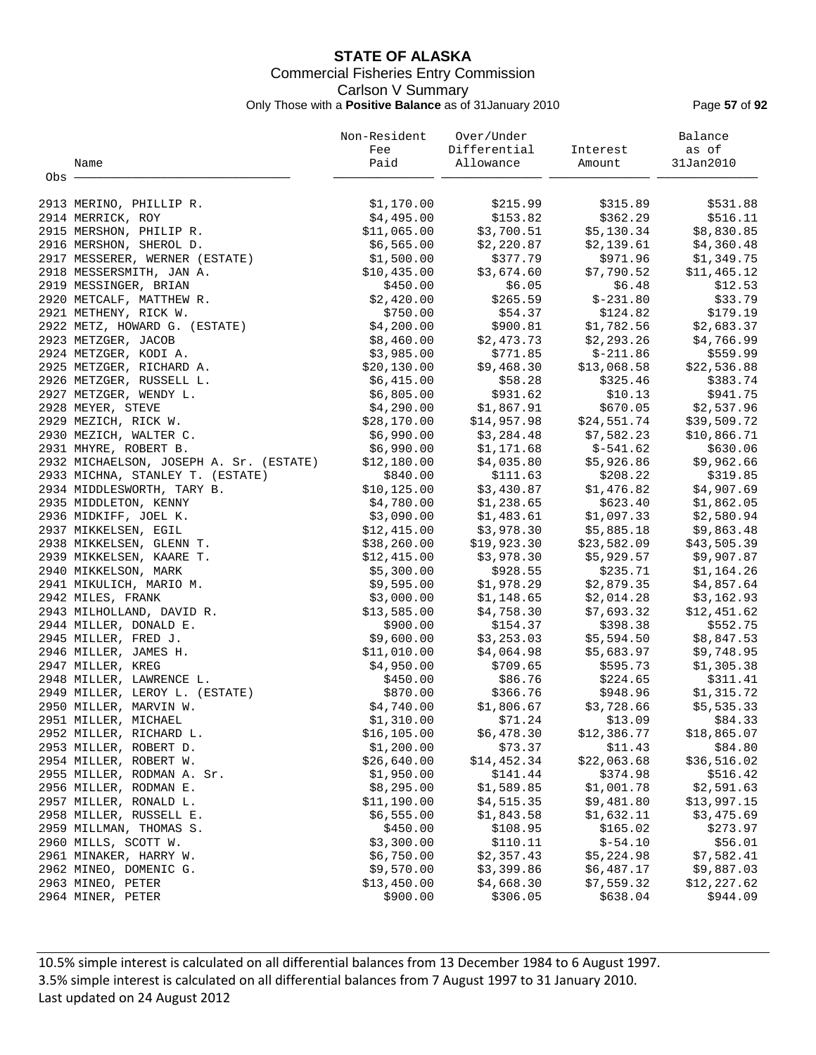## **STATE OF ALASKA** Commercial Fisheries Entry Commission Carlson V Summary Only Those with a **Positive Balance** as of 31January 2010 Page **57** of **92**

|       |                                         | Non-Resident | Over/Under   |                         | Balance     |
|-------|-----------------------------------------|--------------|--------------|-------------------------|-------------|
|       |                                         | Fee          | Differential | Interest                | as of       |
|       | Name                                    | Paid         | Allowance    | Amount                  | 31Jan2010   |
| Obs - |                                         |              |              |                         |             |
|       | 2913 MERINO, PHILLIP R.                 | \$1,170.00   | \$215.99     | \$315.89                | \$531.88    |
|       | 2914 MERRICK, ROY                       | \$4,495.00   | \$153.82     | \$362.29                | \$516.11    |
|       | 2915 MERSHON, PHILIP R.                 | \$11,065.00  | \$3,700.51   | \$5,130.34              | \$8,830.85  |
|       | 2916 MERSHON, SHEROL D.                 | \$6,565.00   | \$2,220.87   | \$2,139.61              | \$4,360.48  |
|       | 2917 MESSERER, WERNER (ESTATE)          | \$1,500.00   | \$377.79     | \$971.96                | \$1,349.75  |
|       | 2918 MESSERSMITH, JAN A.                | \$10,435.00  | \$3,674.60   | \$7,790.52              | \$11,465.12 |
|       | 2919 MESSINGER, BRIAN                   | \$450.00     | \$6.05       | \$6.48                  | \$12.53     |
|       | 2920 METCALF, MATTHEW R.                | \$2,420.00   | \$265.59     | $$-231.80$              | \$33.79     |
|       | 2921 METHENY, RICK W.                   | \$750.00     | \$54.37      | \$124.82                | \$179.19    |
|       | 2922 METZ, HOWARD G. (ESTATE)           | \$4,200.00   | \$900.81     | \$1,782.56              | \$2,683.37  |
|       | 2923 METZGER, JACOB                     | \$8,460.00   | \$2,473.73   | \$2,293.26              | \$4,766.99  |
|       | 2924 METZGER, KODI A.                   | \$3,985.00   | \$771.85     | $$-211.86$              | \$559.99    |
|       | 2925 METZGER, RICHARD A.                | \$20,130.00  | \$9,468.30   | \$13,068.58             | \$22,536.88 |
|       | 2926 METZGER, RUSSELL L.                | \$6,415.00   | \$58.28      | \$325.46                | \$383.74    |
|       | 2927 METZGER, WENDY L.                  | \$6,805.00   | \$931.62     | \$10.13                 | \$941.75    |
|       | 2928 MEYER, STEVE                       | \$4,290.00   | \$1,867.91   | \$670.05                | \$2,537.96  |
|       | 2929 MEZICH, RICK W.                    | \$28,170.00  | \$14,957.98  | \$24,551.74             | \$39,509.72 |
|       | 2930 MEZICH, WALTER C.                  | \$6,990.00   |              |                         | \$10,866.71 |
|       |                                         |              | \$3,284.48   | \$7,582.23              |             |
|       | 2931 MHYRE, ROBERT B.                   | \$6,990.00   | \$1,171.68   | \$-541.62<br>\$5,926.86 | \$630.06    |
|       | 2932 MICHAELSON, JOSEPH A. Sr. (ESTATE) | \$12,180.00  | \$4,035.80   |                         | \$9,962.66  |
|       | 2933 MICHNA, STANLEY T. (ESTATE)        | \$840.00     | \$111.63     | \$208.22                | \$319.85    |
|       | 2934 MIDDLESWORTH, TARY B.              | \$10, 125.00 | \$3,430.87   | \$1,476.82              | \$4,907.69  |
|       | 2935 MIDDLETON, KENNY                   | \$4,780.00   | \$1,238.65   | \$623.40                | \$1,862.05  |
|       | 2936 MIDKIFF, JOEL K.                   | \$3,090.00   | \$1,483.61   | \$1,097.33              | \$2,580.94  |
|       | 2937 MIKKELSEN, EGIL                    | \$12,415.00  | \$3,978.30   | \$5,885.18              | \$9,863.48  |
|       | 2938 MIKKELSEN, GLENN T.                | \$38,260.00  | \$19,923.30  | \$23,582.09             | \$43,505.39 |
|       | 2939 MIKKELSEN, KAARE T.                | \$12,415.00  | \$3,978.30   | \$5,929.57              | \$9,907.87  |
|       | 2940 MIKKELSON, MARK                    | \$5,300.00   | \$928.55     | \$235.71                | \$1,164.26  |
|       | 2941 MIKULICH, MARIO M.                 | \$9,595.00   | \$1,978.29   | \$2,879.35              | \$4,857.64  |
|       | 2942 MILES, FRANK                       | \$3,000.00   | \$1,148.65   | \$2,014.28              | \$3,162.93  |
|       | 2943 MILHOLLAND, DAVID R.               | \$13,585.00  | \$4,758.30   | \$7,693.32              | \$12,451.62 |
|       | 2944 MILLER, DONALD E.                  | \$900.00     | \$154.37     | \$398.38                | \$552.75    |
|       | 2945 MILLER, FRED J.                    | \$9,600.00   | \$3,253.03   | \$5,594.50              | \$8,847.53  |
|       | 2946 MILLER, JAMES H.                   | \$11,010.00  | \$4,064.98   | \$5,683.97              | \$9,748.95  |
|       | 2947 MILLER, KREG                       | \$4,950.00   | \$709.65     | \$595.73                | \$1,305.38  |
|       | 2948 MILLER, LAWRENCE L.                | \$450.00     | \$86.76      | \$224.65                | \$311.41    |
|       | 2949 MILLER, LEROY L. (ESTATE)          | \$870.00     | \$366.76     | \$948.96                | \$1,315.72  |
|       | 2950 MILLER, MARVIN W.                  | \$4,740.00   | \$1,806.67   | \$3,728.66              | \$5,535.33  |
|       | 2951 MILLER, MICHAEL                    | \$1,310.00   | \$71.24      | \$13.09                 | \$84.33     |
|       | 2952 MILLER, RICHARD L.                 | \$16, 105.00 | \$6,478.30   | \$12,386.77             | \$18,865.07 |
|       | 2953 MILLER, ROBERT D.                  | \$1,200.00   | \$73.37      | \$11.43                 | \$84.80     |
|       | 2954 MILLER, ROBERT W.                  | \$26,640.00  | \$14,452.34  | \$22,063.68             | \$36,516.02 |
|       | 2955 MILLER, RODMAN A. Sr.              | \$1,950.00   | \$141.44     | \$374.98                | \$516.42    |
|       | 2956 MILLER, RODMAN E.                  | \$8,295.00   | \$1,589.85   | \$1,001.78              | \$2,591.63  |
|       | 2957 MILLER, RONALD L.                  | \$11,190.00  | \$4,515.35   | \$9,481.80              | \$13,997.15 |
|       | 2958 MILLER, RUSSELL E.                 | \$6,555.00   | \$1,843.58   | \$1,632.11              | \$3,475.69  |
|       | 2959 MILLMAN, THOMAS S.                 | \$450.00     | \$108.95     | \$165.02                | \$273.97    |
|       | 2960 MILLS, SCOTT W.                    | \$3,300.00   | \$110.11     | $$-54.10$               | \$56.01     |
|       | 2961 MINAKER, HARRY W.                  | \$6,750.00   | \$2,357.43   | \$5,224.98              | \$7,582.41  |
|       | 2962 MINEO, DOMENIC G.                  | \$9,570.00   | \$3,399.86   | \$6,487.17              | \$9,887.03  |
|       | 2963 MINEO, PETER                       | \$13,450.00  | \$4,668.30   | \$7,559.32              | \$12,227.62 |
|       | 2964 MINER, PETER                       | \$900.00     | \$306.05     | \$638.04                | \$944.09    |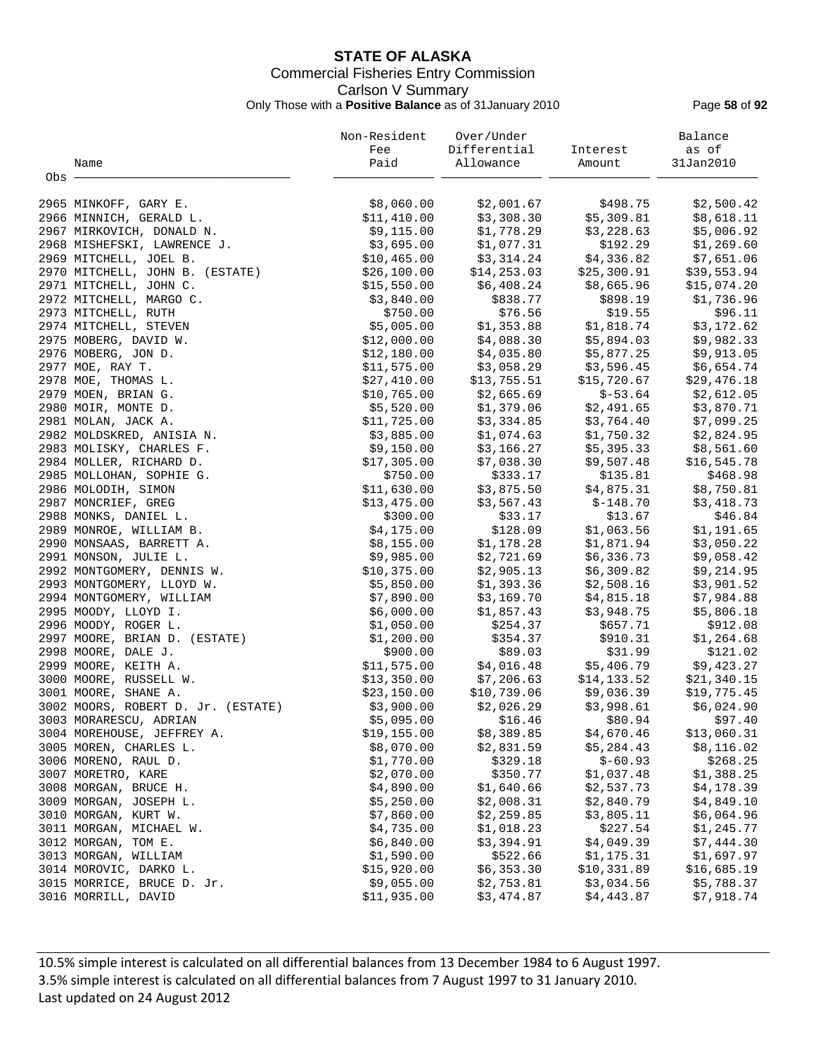## **STATE OF ALASKA** Commercial Fisheries Entry Commission Carlson V Summary Only Those with a **Positive Balance** as of 31January 2010 Page **58** of **92**

|       |                                                      | Non-Resident               | Over/Under            |                           | Balance               |
|-------|------------------------------------------------------|----------------------------|-----------------------|---------------------------|-----------------------|
|       |                                                      | Fee                        | Differential          | Interest                  | as of                 |
|       | Name                                                 | Paid                       | Allowance             | Amount                    | 31Jan2010             |
| Obs - |                                                      |                            |                       |                           |                       |
|       | 2965 MINKOFF, GARY E.                                | \$8,060.00                 | \$2,001.67            | \$498.75                  | \$2,500.42            |
|       | 2966 MINNICH, GERALD L.                              | \$11,410.00                | \$3,308.30            | \$5,309.81                | \$8,618.11            |
|       | 2967 MIRKOVICH, DONALD N.                            | \$9,115.00                 | \$1,778.29            | \$3,228.63                | \$5,006.92            |
|       | 2968 MISHEFSKI, LAWRENCE J.                          | \$3,695.00                 | \$1,077.31            | \$192.29                  | \$1,269.60            |
|       | 2969 MITCHELL, JOEL B.                               | \$10,465.00                | \$3,314.24            | \$4,336.82                | \$7,651.06            |
|       | 2970 MITCHELL, JOHN B. (ESTATE)                      | \$26,100.00                | \$14, 253.03          | \$25,300.91               | \$39,553.94           |
|       | 2971 MITCHELL, JOHN C.                               | \$15,550.00                | \$6,408.24            | \$8,665.96                | \$15,074.20           |
|       | 2972 MITCHELL, MARGO C.                              | \$3,840.00                 | \$838.77              | \$898.19                  | \$1,736.96            |
|       | 2973 MITCHELL, RUTH                                  | \$750.00                   | \$76.56               | \$19.55                   | \$96.11               |
|       | 2974 MITCHELL, STEVEN                                | \$5,005.00                 | \$1,353.88            | \$1,818.74                | \$3,172.62            |
|       | 2975 MOBERG, DAVID W.                                | \$12,000.00                | \$4,088.30            | \$5,894.03                | \$9,982.33            |
|       | 2976 MOBERG, JON D.                                  | \$12,180.00                | \$4,035.80            | \$5,877.25                | \$9,913.05            |
|       | 2977 MOE, RAY T.                                     | \$11,575.00                | \$3,058.29            | \$3,596.45                | \$6,654.74            |
|       | 2978 MOE, THOMAS L.                                  | \$27,410.00                | \$13,755.51           | \$15,720.67               | \$29,476.18           |
|       | 2979 MOEN, BRIAN G.                                  | \$10,765.00                | \$2,665.69            | $$-53.64$                 | \$2,612.05            |
|       | 2980 MOIR, MONTE D.                                  | \$5,520.00                 | \$1,379.06            | \$2,491.65                | \$3,870.71            |
|       | 2981 MOLAN, JACK A.                                  | \$11,725.00                | \$3,334.85            | \$3,764.40                | \$7,099.25            |
|       | 2982 MOLDSKRED, ANISIA N.                            | \$3,885.00                 | \$1,074.63            | \$1,750.32                | \$2,824.95            |
|       | 2983 MOLISKY, CHARLES F.                             | \$9,150.00                 | \$3,166.27            | \$5,395.33                | \$8,561.60            |
|       | 2984 MOLLER, RICHARD D.                              | \$17,305.00                | \$7,038.30            | \$9,507.48                | \$16, 545.78          |
|       | 2985 MOLLOHAN, SOPHIE G.                             | \$750.00                   | \$333.17              | \$135.81                  | \$468.98              |
|       | 2986 MOLODIH, SIMON                                  | \$11,630.00                | \$3,875.50            | \$4,875.31                | \$8,750.81            |
|       | 2987 MONCRIEF, GREG                                  | \$13,475.00                | \$3,567.43            | \$-148.70                 | \$3,418.73            |
|       | 2988 MONKS, DANIEL L.                                | \$300.00                   | \$33.17               | \$13.67                   | \$46.84               |
|       | 2989 MONROE, WILLIAM B.                              | \$4,175.00                 | \$128.09              | \$1,063.56                | \$1,191.65            |
|       | 2990 MONSAAS, BARRETT A.                             | \$8,155.00                 | \$1,178.28            | \$1,871.94                | \$3,050.22            |
|       | 2991 MONSON, JULIE L.                                | \$9,985.00                 | \$2,721.69            | \$6,336.73                | \$9,058.42            |
|       | 2992 MONTGOMERY, DENNIS W.                           | \$10,375.00                | \$2,905.13            | \$6,309.82                | \$9,214.95            |
|       | 2993 MONTGOMERY, LLOYD W.                            | \$5,850.00                 | \$1,393.36            | \$2,508.16                | \$3,901.52            |
|       | 2994 MONTGOMERY, WILLIAM                             | \$7,890.00                 | \$3,169.70            | \$4,815.18                | \$7,984.88            |
|       | 2995 MOODY, LLOYD I.                                 | \$6,000.00                 | \$1,857.43            | \$3,948.75                | \$5,806.18            |
|       | 2996 MOODY, ROGER L.                                 | \$1,050.00                 | \$254.37              | \$657.71                  | \$912.08              |
|       | 2997 MOORE, BRIAN D. (ESTATE)                        | \$1,200.00                 | \$354.37              | \$910.31                  | \$1,264.68            |
|       | 2998 MOORE, DALE J.                                  | \$900.00                   | \$89.03               | \$31.99                   | \$121.02              |
|       | 2999 MOORE, KEITH A.                                 | \$11,575.00                | \$4,016.48            | \$5,406.79                | \$9,423.27            |
|       | 3000 MOORE, RUSSELL W.<br>3001 MOORE, SHANE A.       | \$13,350.00<br>\$23,150.00 | \$7,206.63            | \$14,133.52<br>\$9,036.39 | \$21,340.15           |
|       |                                                      |                            | \$10,739.06           |                           | \$19,775.45           |
|       | 3002 MOORS, ROBERT D. Jr. (ESTATE)                   | \$3,900.00<br>\$5,095.00   | \$2,026.29            | \$3,998.61                | \$6,024.90<br>\$97.40 |
|       | 3003 MORARESCU, ADRIAN<br>3004 MOREHOUSE, JEFFREY A. | \$19,155.00                | \$16.46<br>\$8,389.85 | \$80.94<br>\$4,670.46     | \$13,060.31           |
|       | 3005 MOREN, CHARLES L.                               | \$8,070.00                 | \$2,831.59            | \$5,284.43                | \$8,116.02            |
|       | 3006 MORENO, RAUL D.                                 | \$1,770.00                 | \$329.18              | $$ -60.93$                | \$268.25              |
|       | 3007 MORETRO, KARE                                   | \$2,070.00                 | \$350.77              | \$1,037.48                | \$1,388.25            |
|       | 3008 MORGAN, BRUCE H.                                | \$4,890.00                 | \$1,640.66            | \$2,537.73                | \$4,178.39            |
|       | 3009 MORGAN, JOSEPH L.                               | \$5,250.00                 | \$2,008.31            | \$2,840.79                | \$4,849.10            |
|       | 3010 MORGAN, KURT W.                                 | \$7,860.00                 | \$2,259.85            | \$3,805.11                | \$6,064.96            |
|       | 3011 MORGAN, MICHAEL W.                              | \$4,735.00                 | \$1,018.23            | \$227.54                  | \$1,245.77            |
|       | 3012 MORGAN, TOM E.                                  | \$6,840.00                 | \$3,394.91            | \$4,049.39                | \$7,444.30            |
|       | 3013 MORGAN, WILLIAM                                 | \$1,590.00                 | \$522.66              | \$1,175.31                | \$1,697.97            |
|       | 3014 MOROVIC, DARKO L.                               | \$15,920.00                | \$6,353.30            | \$10,331.89               | \$16,685.19           |
|       | 3015 MORRICE, BRUCE D. Jr.                           | \$9,055.00                 | \$2,753.81            | \$3,034.56                | \$5,788.37            |
|       | 3016 MORRILL, DAVID                                  | \$11,935.00                | \$3,474.87            | \$4,443.87                | \$7,918.74            |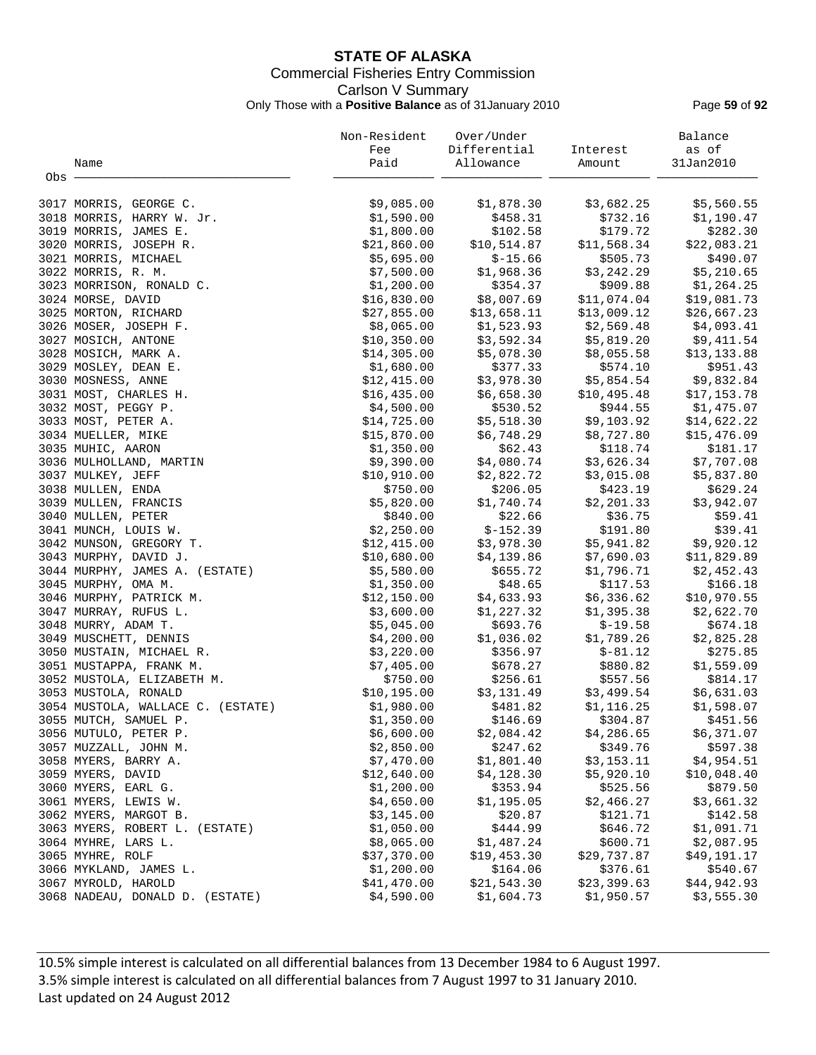## **STATE OF ALASKA** Commercial Fisheries Entry Commission Carlson V Summary Only Those with a **Positive Balance** as of 31January 2010 Page **59** of **92**

|         |                                   | Non-Resident | Over/Under   |                                                      | Balance                    |
|---------|-----------------------------------|--------------|--------------|------------------------------------------------------|----------------------------|
|         |                                   | Fee          | Differential | Interest                                             | as of                      |
|         | Name                              | Paid         | Allowance    | Amount                                               | 31Jan2010                  |
| $Obs$ . |                                   |              |              |                                                      |                            |
|         |                                   |              |              |                                                      |                            |
|         | 3017 MORRIS, GEORGE C.            | \$9,085.00   | \$1,878.30   | \$3,682.25                                           | \$5,560.55                 |
|         | 3018 MORRIS, HARRY W. Jr.         | \$1,590.00   | \$458.31     | \$732.16                                             | \$1,190.47                 |
|         | 3019 MORRIS, JAMES E.             | \$1,800.00   | \$102.58     | \$179.72                                             | \$282.30                   |
|         | 3020 MORRIS, JOSEPH R.            | \$21,860.00  | \$10,514.87  | \$11,568.34                                          | \$22,083.21                |
|         | 3021 MORRIS, MICHAEL              | \$5,695.00   | $$-15.66$    | \$505.73                                             | \$490.07                   |
|         | 3022 MORRIS, R. M.                | \$7,500.00   | \$1,968.36   | \$3,242.29                                           | \$5,210.65                 |
|         | 3023 MORRISON, RONALD C.          | \$1,200.00   | \$354.37     | \$909.88                                             | \$1,264.25                 |
|         | 3024 MORSE, DAVID                 | \$16,830.00  | \$8,007.69   | \$11,074.04                                          | \$19,081.73                |
|         | 3025 MORTON, RICHARD              | \$27,855.00  |              |                                                      | \$26,667.23                |
|         | 3026 MOSER, JOSEPH F.             | \$8,065.00   |              | $$13,658.11$ $$13,009.12$<br>$$1,523.93$ $$2,569.48$ | \$4,093.41                 |
|         | 3027 MOSICH, ANTONE               | \$10,350.00  | \$3,592.34   | \$5,819.20                                           | \$9,411.54                 |
|         | 3028 MOSICH, MARK A.              | \$14,305.00  | \$5,078.30   | \$8,055.58                                           | \$13,133.88                |
|         | 3029 MOSLEY, DEAN E.              | \$1,680.00   | \$377.33     | \$574.10                                             | \$951.43                   |
|         | 3030 MOSNESS, ANNE                | \$12,415.00  | \$3,978.30   | \$5,854.54                                           | \$9,832.84                 |
|         | 3031 MOST, CHARLES H.             | \$16,435.00  | \$6,658.30   | \$10,495.48                                          |                            |
|         | 3032 MOST, PEGGY P.               | \$4,500.00   | \$530.52     | \$944.55                                             | $$17, 133$<br>$$1, 475.07$ |
|         | 3033 MOST, PETER A.               | \$14,725.00  |              | $$5,518.30$ $$9,103.92$                              |                            |
|         |                                   |              | \$6,748.29   | \$8,727.80                                           | \$14,622.22                |
|         | 3034 MUELLER, MIKE                | \$15,870.00  | \$62.43      |                                                      | \$15,476.09                |
|         | 3035 MUHIC, AARON                 | \$1,350.00   |              | \$118.74                                             | \$181.17                   |
|         | 3036 MULHOLLAND, MARTIN           | \$9,390.00   | \$4,080.74   | \$3,626.34                                           | \$7,707.08                 |
|         | 3037 MULKEY, JEFF                 | \$10,910.00  | \$2,822.72   | \$3,015.08                                           | \$5,837.80                 |
|         | 3038 MULLEN, ENDA                 | \$750.00     | \$206.05     | \$423.19                                             | \$629.24                   |
|         | 3039 MULLEN, FRANCIS              | \$5,820.00   | \$1,740.74   | \$2,201.33                                           | \$3,942.07                 |
|         | 3040 MULLEN, PETER                | \$840.00     | \$22.66      | \$36.75                                              | \$59.41                    |
|         | 3041 MUNCH, LOUIS W.              | \$2,250.00   | $$-152.39$   | \$191.80                                             | \$39.41                    |
|         | 3042 MUNSON, GREGORY T.           | \$12,415.00  | \$3,978.30   | \$5,941.82                                           | \$9,920.12                 |
|         | 3043 MURPHY, DAVID J.             | \$10,680.00  | \$4,139.86   | \$7,690.03                                           | \$11,829.89                |
|         | 3044 MURPHY, JAMES A. (ESTATE)    | \$5,580.00   | \$655.72     | \$1,796.71                                           | \$2,452.43                 |
|         | 3045 MURPHY, OMA M.               | \$1,350.00   | \$48.65      | \$117.53                                             | \$166.18                   |
|         | 3046 MURPHY, PATRICK M.           | \$12,150.00  | \$4,633.93   | \$6,336.62                                           | \$10,970.55                |
|         | 3047 MURRAY, RUFUS L.             | \$3,600.00   | \$1,227.32   | \$1,395.38                                           | \$2,622.70                 |
|         | 3048 MURRY, ADAM T.               | \$5,045.00   | \$693.76     | $$-19.58$                                            | \$674.18                   |
|         | 3049 MUSCHETT, DENNIS             | \$4,200.00   | \$1,036.02   | \$1,789.26                                           | \$2,825.28                 |
|         | 3050 MUSTAIN, MICHAEL R.          | \$3,220.00   | \$356.97     | $$-81.12$                                            | \$275.85                   |
|         | 3051 MUSTAPPA, FRANK M.           | \$7,405.00   | \$678.27     | \$880.82                                             | \$1,559.09                 |
|         | 3052 MUSTOLA, ELIZABETH M.        | \$750.00     | \$256.61     | \$557.56                                             | \$814.17                   |
|         | 3053 MUSTOLA, RONALD              | \$10, 195.00 | \$3,131.49   | \$3,499.54                                           | \$6,631.03                 |
|         | 3054 MUSTOLA, WALLACE C. (ESTATE) | \$1,980.00   | \$481.82     | \$1,116.25                                           | \$1,598.07                 |
|         | 3055 MUTCH, SAMUEL P.             | \$1,350.00   | \$146.69     | \$304.87                                             | \$451.56                   |
|         | 3056 MUTULO, PETER P.             | \$6,600.00   | \$2,084.42   | \$4,286.65                                           | \$6,371.07                 |
|         | 3057 MUZZALL, JOHN M.             | \$2,850.00   | \$247.62     | \$349.76                                             | \$597.38                   |
|         | 3058 MYERS, BARRY A.              | \$7,470.00   | \$1,801.40   | \$3,153.11                                           | \$4,954.51                 |
|         | 3059 MYERS, DAVID                 | \$12,640.00  | \$4,128.30   | \$5,920.10                                           | \$10,048.40                |
|         | 3060 MYERS, EARL G.               | \$1,200.00   | \$353.94     | \$525.56                                             | \$879.50                   |
|         | 3061 MYERS, LEWIS W.              | \$4,650.00   | \$1,195.05   | \$2,466.27                                           | \$3,661.32                 |
|         | 3062 MYERS, MARGOT B.             | \$3,145.00   | \$20.87      | \$121.71                                             | \$142.58                   |
|         | 3063 MYERS, ROBERT L. (ESTATE)    | \$1,050.00   | \$444.99     | \$646.72                                             | \$1,091.71                 |
|         | 3064 MYHRE, LARS L.               | \$8,065.00   | \$1,487.24   | \$600.71                                             | \$2,087.95                 |
|         | 3065 MYHRE, ROLF                  | \$37,370.00  | \$19,453.30  | \$29,737.87                                          | \$49,191.17                |
|         | 3066 MYKLAND, JAMES L.            | \$1,200.00   | \$164.06     | \$376.61                                             | \$540.67                   |
|         | 3067 MYROLD, HAROLD               | \$41,470.00  | \$21,543.30  | \$23,399.63                                          | \$44,942.93                |
|         | 3068 NADEAU, DONALD D. (ESTATE)   | \$4,590.00   | \$1,604.73   | \$1,950.57                                           | \$3,555.30                 |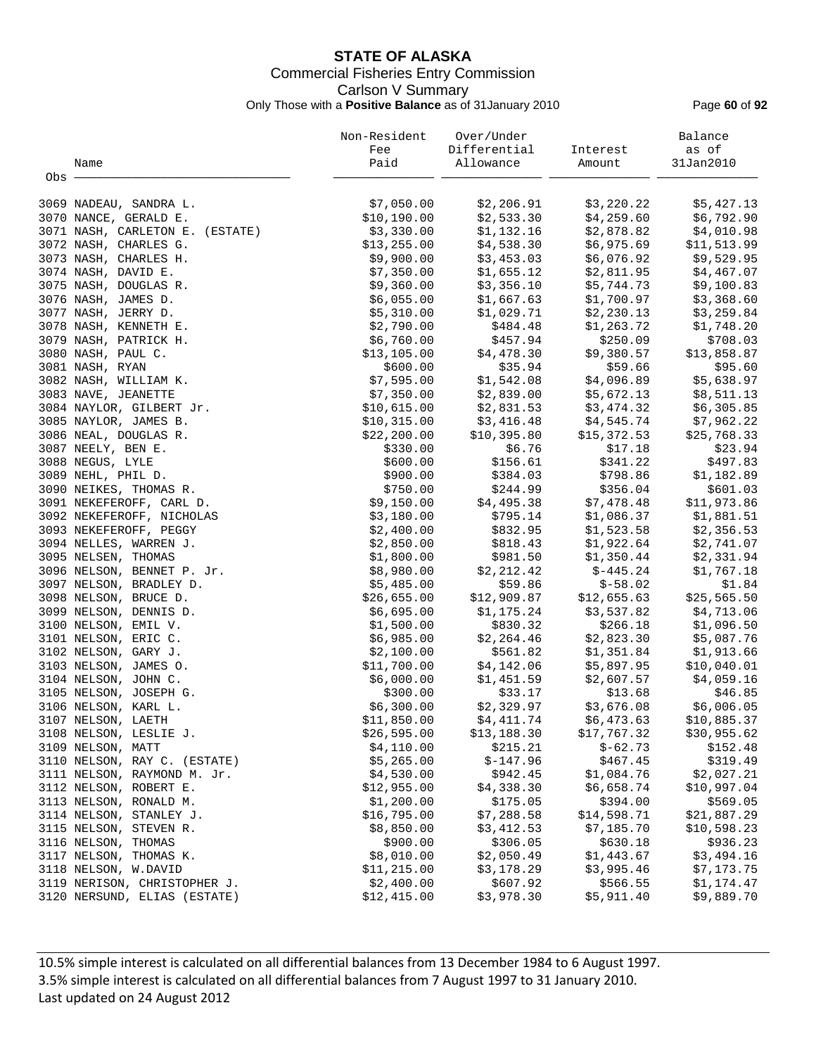## **STATE OF ALASKA** Commercial Fisheries Entry Commission Carlson V Summary Only Those with a **Positive Balance** as of 31January 2010 Page **60** of **92**

|                                 | Non-Resident | Over/Under   |             | Balance     |
|---------------------------------|--------------|--------------|-------------|-------------|
|                                 | Fee          | Differential | Interest    | as of       |
| Name                            | Paid         | Allowance    | Amount      | 31Jan2010   |
| Obs -                           |              |              |             |             |
|                                 |              |              |             |             |
| 3069 NADEAU, SANDRA L.          | \$7,050.00   | \$2,206.91   | \$3,220.22  | \$5,427.13  |
| 3070 NANCE, GERALD E.           | \$10,190.00  | \$2,533.30   | \$4,259.60  | \$6,792.90  |
| 3071 NASH, CARLETON E. (ESTATE) | \$3,330.00   | \$1,132.16   | \$2,878.82  | \$4,010.98  |
| 3072 NASH, CHARLES G.           | \$13,255.00  | \$4,538.30   | \$6,975.69  | \$11,513.99 |
| 3073 NASH, CHARLES H.           | \$9,900.00   | \$3,453.03   | \$6,076.92  | \$9,529.95  |
| 3074 NASH, DAVID E.             | \$7,350.00   | \$1,655.12   | \$2,811.95  | \$4,467.07  |
| 3075 NASH, DOUGLAS R.           | \$9,360.00   | \$3,356.10   | \$5,744.73  | \$9,100.83  |
| 3076 NASH, JAMES D.             | \$6,055.00   | \$1,667.63   | \$1,700.97  | \$3,368.60  |
| 3077 NASH, JERRY D.             | \$5,310.00   | \$1,029.71   | \$2,230.13  | \$3,259.84  |
| 3078 NASH, KENNETH E.           | \$2,790.00   | \$484.48     | \$1,263.72  | \$1,748.20  |
| 3079 NASH, PATRICK H.           | \$6,760.00   | \$457.94     | \$250.09    | \$708.03    |
| 3080 NASH, PAUL C.              | \$13,105.00  | \$4,478.30   | \$9,380.57  | \$13,858.87 |
| 3081 NASH, RYAN                 | \$600.00     | \$35.94      | \$59.66     | \$95.60     |
| 3082 NASH, WILLIAM K.           | \$7,595.00   | \$1,542.08   | \$4,096.89  | \$5,638.97  |
|                                 | \$7,350.00   |              |             |             |
| 3083 NAVE, JEANETTE             |              | \$2,839.00   | \$5,672.13  | \$8,511.13  |
| 3084 NAYLOR, GILBERT Jr.        | \$10,615.00  | \$2,831.53   | \$3,474.32  | \$6,305.85  |
| 3085 NAYLOR, JAMES B.           | \$10,315.00  | \$3,416.48   | \$4,545.74  | \$7,962.22  |
| 3086 NEAL, DOUGLAS R.           | \$22, 200.00 | \$10,395.80  | \$15,372.53 | \$25,768.33 |
| 3087 NEELY, BEN E.              | \$330.00     | \$6.76       | \$17.18     | \$23.94     |
| 3088 NEGUS, LYLE                | \$600.00     | \$156.61     | \$341.22    | \$497.83    |
| 3089 NEHL, PHIL D.              | \$900.00     | \$384.03     | \$798.86    | \$1,182.89  |
| 3090 NEIKES, THOMAS R.          | \$750.00     | \$244.99     | \$356.04    | \$601.03    |
| 3091 NEKEFEROFF, CARL D.        | \$9,150.00   | \$4,495.38   | \$7,478.48  | \$11,973.86 |
| 3092 NEKEFEROFF, NICHOLAS       | \$3,180.00   | \$795.14     | \$1,086.37  | \$1,881.51  |
| 3093 NEKEFEROFF, PEGGY          | \$2,400.00   | \$832.95     | \$1,523.58  | \$2,356.53  |
| 3094 NELLES, WARREN J.          | \$2,850.00   | \$818.43     | \$1,922.64  | \$2,741.07  |
| 3095 NELSEN, THOMAS             | \$1,800.00   | \$981.50     | \$1,350.44  | \$2,331.94  |
| 3096 NELSON, BENNET P. Jr.      | \$8,980.00   | \$2,212.42   | $$-445.24$  | \$1,767.18  |
| 3097 NELSON, BRADLEY D.         | \$5,485.00   | \$59.86      | $$-58.02$   | \$1.84      |
| 3098 NELSON, BRUCE D.           | \$26,655.00  | \$12,909.87  | \$12,655.63 | \$25,565.50 |
| 3099 NELSON, DENNIS D.          | \$6,695.00   | \$1,175.24   | \$3,537.82  | \$4,713.06  |
| 3100 NELSON, EMIL V.            | \$1,500.00   | \$830.32     | \$266.18    | \$1,096.50  |
| 3101 NELSON, ERIC C.            | \$6,985.00   | \$2,264.46   | \$2,823.30  | \$5,087.76  |
| 3102 NELSON, GARY J.            | \$2,100.00   | \$561.82     | \$1,351.84  | \$1,913.66  |
| 3103 NELSON, JAMES O.           | \$11,700.00  | \$4,142.06   | \$5,897.95  | \$10,040.01 |
| 3104 NELSON, JOHN C.            | \$6,000.00   | \$1,451.59   | \$2,607.57  | \$4,059.16  |
| 3105 NELSON, JOSEPH G.          | \$300.00     | \$33.17      | \$13.68     | \$46.85     |
| 3106 NELSON, KARL L.            | \$6,300.00   | \$2,329.97   | \$3,676.08  | \$6,006.05  |
| 3107 NELSON, LAETH              | \$11,850.00  | \$4,411.74   | \$6,473.63  | \$10,885.37 |
| 3108 NELSON, LESLIE J.          | \$26,595.00  | \$13,188.30  | \$17,767.32 | \$30,955.62 |
| 3109 NELSON, MATT               | \$4,110.00   | \$215.21     | $$-62.73$   | \$152.48    |
| 3110 NELSON, RAY C. (ESTATE)    | \$5,265.00   | $$-147.96$   | \$467.45    | \$319.49    |
|                                 |              |              |             |             |
| 3111 NELSON, RAYMOND M. Jr.     | \$4,530.00   | \$942.45     | \$1,084.76  | \$2,027.21  |
| 3112 NELSON, ROBERT E.          | \$12,955.00  | \$4,338.30   | \$6,658.74  | \$10,997.04 |
| 3113 NELSON, RONALD M.          | \$1,200.00   | \$175.05     | \$394.00    | \$569.05    |
| 3114 NELSON, STANLEY J.         | \$16,795.00  | \$7,288.58   | \$14,598.71 | \$21,887.29 |
| 3115 NELSON, STEVEN R.          | \$8,850.00   | \$3,412.53   | \$7,185.70  | \$10,598.23 |
| 3116 NELSON, THOMAS             | \$900.00     | \$306.05     | \$630.18    | \$936.23    |
| 3117 NELSON, THOMAS K.          | \$8,010.00   | \$2,050.49   | \$1,443.67  | \$3,494.16  |
| 3118 NELSON, W.DAVID            | \$11, 215.00 | \$3,178.29   | \$3,995.46  | \$7,173.75  |
| 3119 NERISON, CHRISTOPHER J.    | \$2,400.00   | \$607.92     | \$566.55    | \$1,174.47  |
| 3120 NERSUND, ELIAS (ESTATE)    | \$12,415.00  | \$3,978.30   | \$5,911.40  | \$9,889.70  |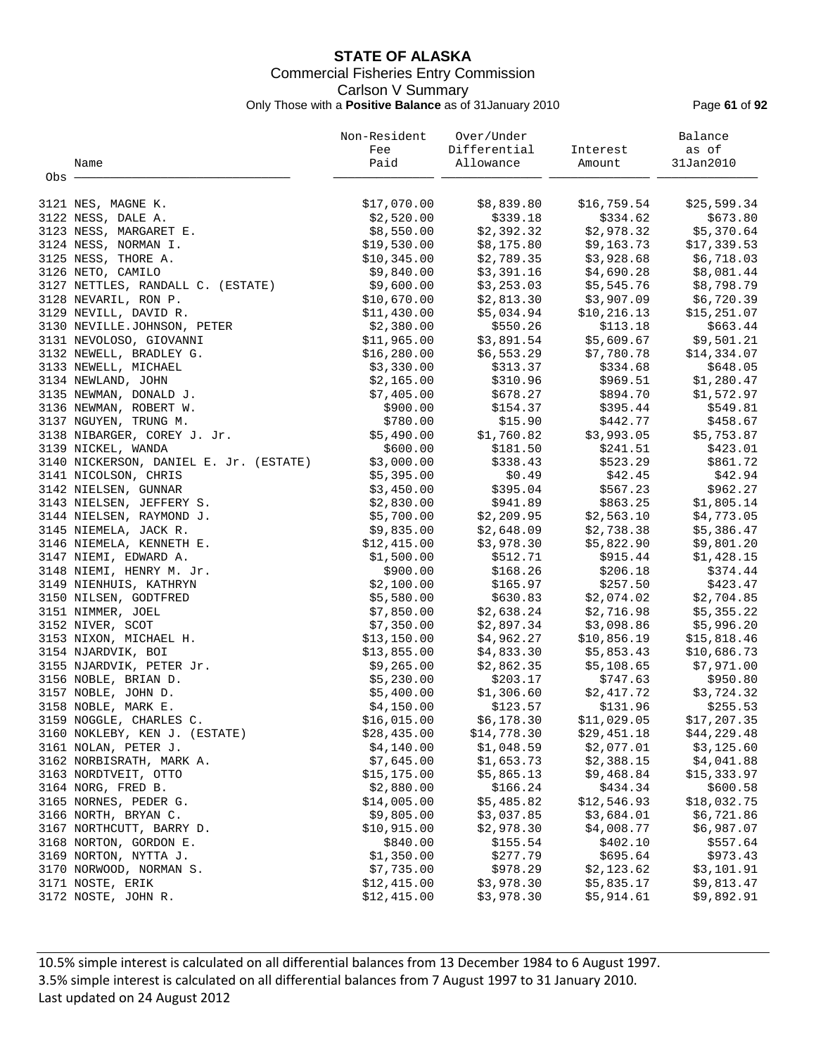## **STATE OF ALASKA** Commercial Fisheries Entry Commission Carlson V Summary Only Those with a **Positive Balance** as of 31January 2010 Page **61** of **92**

|       |                                              | Non-Resident | Over/Under                                    |                                                    | Balance      |
|-------|----------------------------------------------|--------------|-----------------------------------------------|----------------------------------------------------|--------------|
|       |                                              | Fee          | Differential Interest                         |                                                    | as of        |
|       | Name                                         | Paid         | Allowance                                     | Amount                                             | 31Jan2010    |
| Obs - |                                              |              |                                               |                                                    |              |
|       |                                              |              |                                               |                                                    |              |
|       | 3121 NES, MAGNE K.                           | \$17,070.00  | \$8,839.80                                    | \$16,759.54                                        | \$25,599.34  |
|       | 3122 NESS, DALE A.                           | \$2,520.00   | \$339.18                                      |                                                    | \$673.80     |
|       | 3123 NESS, MARGARET E.                       | \$8,550.00   | \$2,392.32                                    | \$334.62<br>\$2,978.32                             | \$5,370.64   |
|       | 3124 NESS, NORMAN I.                         | \$19,530.00  |                                               | \$8,175.80 \$9,163.73                              | \$17,339.53  |
|       | 3125 NESS, THORE A.                          | \$10,345.00  |                                               |                                                    | \$6,718.03   |
|       | 3126 NETO, CAMILO                            | \$9,840.00   |                                               | $$2,789.35$ $$3,928.68$<br>$$3,391.16$ $$4,690.28$ | \$8,081.44   |
|       | 3127 NETTLES, RANDALL C. (ESTATE)            | \$9,600.00   |                                               | $$3,253.03$ $$5,545.76$                            | \$8,798.79   |
|       | 3128 NEVARIL, RON P.                         | \$10,670.00  |                                               | \$3,907.09                                         | \$6,720.39   |
|       | 3129 NEVILL, DAVID R.                        | \$11,430.00  | \$2,813.30 \$3<br>\$5,034.94 \$10<br>\$550.26 |                                                    | \$15,251.07  |
|       | 3130 NEVILLE.JOHNSON, PETER                  | \$2,380.00   |                                               | $$10, 216.13$ $$1!$<br>$$113.18$                   | \$663.44     |
|       | 3131 NEVOLOSO, GIOVANNI                      | \$11,965.00  |                                               | $$3,891.54$ $$5,609.67$ $$9,501.21$                |              |
|       | 3132 NEWELL, BRADLEY G.                      | \$16, 280.00 | \$6,553.29                                    |                                                    | \$14,334.07  |
|       | 3133 NEWELL, MICHAEL                         | \$3,330.00   | \$313.37                                      | \$7,780.78<br>\$334.68                             | \$648.05     |
|       |                                              | \$2,165.00   | \$310.96                                      | \$969.51                                           | \$1,280.47   |
|       | 3134 NEWLAND, JOHN<br>3135 NEWMAN, DONALD J. | \$7,405.00   |                                               |                                                    | \$1,572.97   |
|       |                                              | \$900.00     | \$678.27                                      | \$894.70                                           |              |
|       | 3136 NEWMAN, ROBERT W.                       |              | \$154.37                                      | \$395.44<br>$$15.90$ $$442.77$                     | \$549.81     |
|       | 3137 NGUYEN, TRUNG M.                        | \$780.00     |                                               |                                                    | \$458.67     |
|       | 3138 NIBARGER, COREY J. Jr.                  | \$5,490.00   | \$1,760.82                                    | \$3,993.05                                         | \$5,753.87   |
|       | 3139 NICKEL, WANDA                           | \$600.00     | \$181.50                                      | \$241.51                                           | \$423.01     |
|       | 3140 NICKERSON, DANIEL E. Jr. (ESTATE)       | \$3,000.00   | \$338.43                                      | \$523.29                                           | \$861.72     |
|       | 3141 NICOLSON, CHRIS                         | \$5,395.00   | \$0.49                                        | \$42.45                                            | \$42.94      |
|       | 3142 NIELSEN, GUNNAR                         | \$3,450.00   | \$395.04                                      | \$567.23                                           | \$962.27     |
|       | 3143 NIELSEN, JEFFERY S.                     | \$2,830.00   | \$941.89                                      | \$863.25                                           | \$1,805.14   |
|       | 3144 NIELSEN, RAYMOND J.                     | \$5,700.00   |                                               | $$2,209.95$ $$2,563.10$                            | \$4,773.05   |
|       | 3145 NIEMELA, JACK R.                        | \$9,835.00   |                                               | $$2,648.09$ $$2,738.38$<br>$$3,978.30$ $$5,822.90$ | \$5,386.47   |
|       | 3146 NIEMELA, KENNETH E.                     | \$12,415.00  | \$3,978.30                                    | \$5,822.90                                         | \$9,801.20   |
|       | 3147 NIEMI, EDWARD A.                        | \$1,500.00   | \$512.71                                      | \$915.44                                           | \$1,428.15   |
|       | 3148 NIEMI, HENRY M. Jr.                     | \$900.00     | \$168.26                                      | \$206.18                                           | \$374.44     |
|       | 3149 NIENHUIS, KATHRYN                       | \$2,100.00   | \$165.97                                      | \$257.50                                           | \$423.47     |
|       | 3150 NILSEN, GODTFRED                        | \$5,580.00   | \$630.83                                      | \$2,074.02                                         | \$2,704.85   |
|       | 3151 NIMMER, JOEL                            | \$7,850.00   | \$2,638.24                                    | \$2,716.98                                         | \$5,355.22   |
|       | 3152 NIVER, SCOT                             | \$7,350.00   | \$2,897.34<br>\$4,962.27                      | \$3,098.86                                         | \$5,996.20   |
|       | 3153 NIXON, MICHAEL H.                       | \$13,150.00  |                                               | \$10,856.19                                        | \$15,818.46  |
|       | 3154 NJARDVIK, BOI                           | \$13,855.00  |                                               | $$4,833.30$ $$5,853.43$                            | \$10,686.73  |
|       | 3155 NJARDVIK, PETER Jr.                     | \$9,265.00   |                                               | \$5,108.65                                         | \$7,971.00   |
|       | 3156 NOBLE, BRIAN D.                         | \$5,230.00   | \$2,862.35<br>\$203.17                        | \$747.63                                           | \$950.80     |
|       | 3157 NOBLE, JOHN D.                          | \$5,400.00   | \$1,306.60                                    | \$2,417.72                                         | \$3,724.32   |
|       | 3158 NOBLE, MARK E.                          | \$4,150.00   |                                               | $$123.57$ $$131.96$                                | \$255.53     |
|       | 3159 NOGGLE, CHARLES C.                      | \$16,015.00  | \$6,178.30                                    | \$11,029.05                                        | \$17, 207.35 |
|       | 3160 NOKLEBY, KEN J. (ESTATE)                | \$28,435.00  | \$14,778.30                                   | \$29,451.18                                        | \$44,229.48  |
|       | 3161 NOLAN, PETER J.                         | \$4,140.00   | \$1,048.59                                    | \$2,077.01                                         | \$3,125.60   |
|       | 3162 NORBISRATH, MARK A.                     | \$7,645.00   | \$1,653.73                                    | \$2,388.15                                         | \$4,041.88   |
|       | 3163 NORDTVEIT, OTTO                         | \$15, 175.00 | \$5,865.13                                    | \$9,468.84                                         | \$15,333.97  |
|       | 3164 NORG, FRED B.                           | \$2,880.00   | \$166.24                                      | \$434.34                                           | \$600.58     |
|       | 3165 NORNES, PEDER G.                        | \$14,005.00  | \$5,485.82                                    | \$12,546.93                                        | \$18,032.75  |
|       | 3166 NORTH, BRYAN C.                         | \$9,805.00   | \$3,037.85                                    | \$3,684.01                                         | \$6,721.86   |
|       | 3167 NORTHCUTT, BARRY D.                     | \$10,915.00  | \$2,978.30                                    | \$4,008.77                                         | \$6,987.07   |
|       | 3168 NORTON, GORDON E.                       | \$840.00     | \$155.54                                      | \$402.10                                           | \$557.64     |
|       | 3169 NORTON, NYTTA J.                        | \$1,350.00   | \$277.79                                      | \$695.64                                           | \$973.43     |
|       | 3170 NORWOOD, NORMAN S.                      | \$7,735.00   | \$978.29                                      | \$2,123.62                                         | \$3,101.91   |
|       | 3171 NOSTE, ERIK                             | \$12,415.00  | \$3,978.30                                    | \$5,835.17                                         | \$9,813.47   |
|       | 3172 NOSTE, JOHN R.                          | \$12,415.00  | \$3,978.30                                    | \$5,914.61                                         | \$9,892.91   |
|       |                                              |              |                                               |                                                    |              |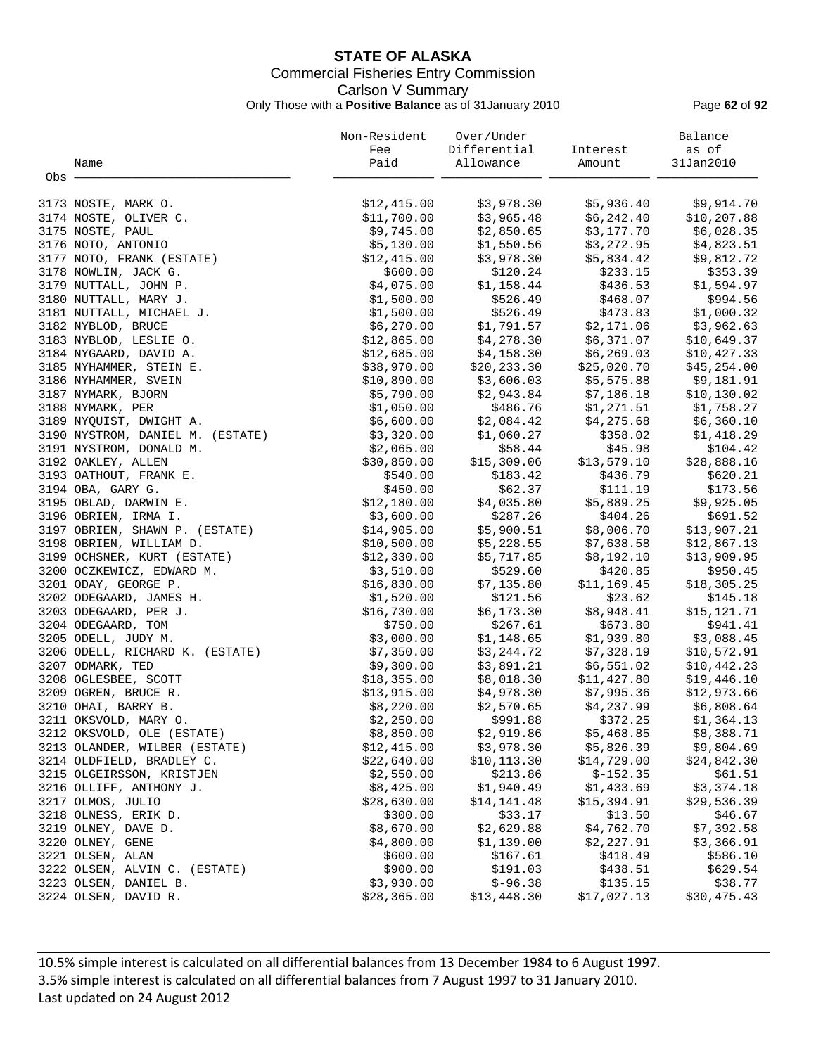## **STATE OF ALASKA** Commercial Fisheries Entry Commission Carlson V Summary Only Those with a **Positive Balance** as of 31January 2010 Page **62** of **92**

|       |                                  | Non-Resident | Over/Under   |             | Balance      |
|-------|----------------------------------|--------------|--------------|-------------|--------------|
|       |                                  | Fee          | Differential | Interest    | as of        |
|       | Name                             | Paid         | Allowance    | Amount      | 31Jan2010    |
| Obs - |                                  |              |              |             |              |
|       | 3173 NOSTE, MARK O.              | \$12,415.00  | \$3,978.30   | \$5,936.40  | \$9,914.70   |
|       | 3174 NOSTE, OLIVER C.            | \$11,700.00  | \$3,965.48   | \$6,242.40  | \$10, 207.88 |
|       | 3175 NOSTE, PAUL                 | \$9,745.00   | \$2,850.65   | \$3,177.70  | \$6,028.35   |
|       | 3176 NOTO, ANTONIO               | \$5,130.00   | \$1,550.56   | \$3,272.95  | \$4,823.51   |
|       | 3177 NOTO, FRANK (ESTATE)        | \$12,415.00  | \$3,978.30   | \$5,834.42  | \$9,812.72   |
|       | 3178 NOWLIN, JACK G.             | \$600.00     | \$120.24     | \$233.15    | \$353.39     |
|       | 3179 NUTTALL, JOHN P.            | \$4,075.00   | \$1,158.44   | \$436.53    | \$1,594.97   |
|       | 3180 NUTTALL, MARY J.            | \$1,500.00   | \$526.49     | \$468.07    | \$994.56     |
|       | 3181 NUTTALL, MICHAEL J.         | \$1,500.00   | \$526.49     | \$473.83    | \$1,000.32   |
|       | 3182 NYBLOD, BRUCE               | \$6,270.00   | \$1,791.57   | \$2,171.06  | \$3,962.63   |
|       | 3183 NYBLOD, LESLIE O.           | \$12,865.00  | \$4,278.30   | \$6,371.07  | \$10,649.37  |
|       | 3184 NYGAARD, DAVID A.           | \$12,685.00  | \$4,158.30   | \$6, 269.03 | \$10,427.33  |
|       | 3185 NYHAMMER, STEIN E.          | \$38,970.00  | \$20,233.30  | \$25,020.70 | \$45,254.00  |
|       | 3186 NYHAMMER, SVEIN             | \$10,890.00  | \$3,606.03   | \$5,575.88  | \$9,181.91   |
|       | 3187 NYMARK, BJORN               | \$5,790.00   | \$2,943.84   | \$7,186.18  | \$10,130.02  |
|       | 3188 NYMARK, PER                 | \$1,050.00   | \$486.76     | \$1,271.51  | \$1,758.27   |
|       | 3189 NYQUIST, DWIGHT A.          | \$6,600.00   | \$2,084.42   | \$4,275.68  | \$6,360.10   |
|       | 3190 NYSTROM, DANIEL M. (ESTATE) | \$3,320.00   | \$1,060.27   | \$358.02    | \$1,418.29   |
|       | 3191 NYSTROM, DONALD M.          | \$2,065.00   | \$58.44      | \$45.98     | \$104.42     |
|       | 3192 OAKLEY, ALLEN               | \$30,850.00  | \$15,309.06  | \$13,579.10 | \$28,888.16  |
|       | 3193 OATHOUT, FRANK E.           | \$540.00     | \$183.42     | \$436.79    | \$620.21     |
|       | 3194 OBA, GARY G.                | \$450.00     | \$62.37      | \$111.19    | \$173.56     |
|       | 3195 OBLAD, DARWIN E.            | \$12,180.00  | \$4,035.80   | \$5,889.25  | \$9,925.05   |
|       | 3196 OBRIEN, IRMA I.             | \$3,600.00   | \$287.26     | \$404.26    | \$691.52     |
|       | 3197 OBRIEN, SHAWN P. (ESTATE)   | \$14,905.00  | \$5,900.51   | \$8,006.70  | \$13,907.21  |
|       | 3198 OBRIEN, WILLIAM D.          | \$10,500.00  | \$5,228.55   | \$7,638.58  | \$12,867.13  |
|       | 3199 OCHSNER, KURT (ESTATE)      | \$12,330.00  | \$5,717.85   | \$8,192.10  | \$13,909.95  |
|       | 3200 OCZKEWICZ, EDWARD M.        | \$3,510.00   | \$529.60     | \$420.85    | \$950.45     |
|       | 3201 ODAY, GEORGE P.             | \$16,830.00  | \$7,135.80   | \$11,169.45 | \$18,305.25  |
|       | 3202 ODEGAARD, JAMES H.          | \$1,520.00   | \$121.56     | \$23.62     | \$145.18     |
|       | 3203 ODEGAARD, PER J.            | \$16,730.00  | \$6,173.30   | \$8,948.41  | \$15,121.71  |
|       | 3204 ODEGAARD, TOM               | \$750.00     | \$267.61     | \$673.80    | \$941.41     |
|       | 3205 ODELL, JUDY M.              | \$3,000.00   | \$1,148.65   | \$1,939.80  | \$3,088.45   |
|       | 3206 ODELL, RICHARD K. (ESTATE)  | \$7,350.00   | \$3,244.72   | \$7,328.19  | \$10,572.91  |
|       | 3207 ODMARK, TED                 | \$9,300.00   | \$3,891.21   | \$6,551.02  | \$10,442.23  |
|       | 3208 OGLESBEE, SCOTT             | \$18,355.00  | \$8,018.30   | \$11,427.80 | \$19,446.10  |
|       | 3209 OGREN, BRUCE R.             | \$13,915.00  | \$4,978.30   | \$7,995.36  | \$12,973.66  |
|       | 3210 OHAI, BARRY B.              | \$8,220.00   | \$2,570.65   | \$4,237.99  | \$6,808.64   |
|       | 3211 OKSVOLD, MARY O.            | \$2,250.00   | \$991.88     | \$372.25    | \$1,364.13   |
|       | 3212 OKSVOLD, OLE (ESTATE)       | \$8,850.00   | \$2,919.86   | \$5,468.85  | \$8,388.71   |
|       | 3213 OLANDER, WILBER (ESTATE)    | \$12,415.00  | \$3,978.30   | \$5,826.39  | \$9,804.69   |
|       | 3214 OLDFIELD, BRADLEY C.        | \$22,640.00  | \$10, 113.30 | \$14,729.00 | \$24,842.30  |
|       | 3215 OLGEIRSSON, KRISTJEN        | \$2,550.00   | \$213.86     | $$-152.35$  | \$61.51      |
|       | 3216 OLLIFF, ANTHONY J.          | \$8,425.00   | \$1,940.49   | \$1,433.69  | \$3,374.18   |
|       | 3217 OLMOS, JULIO                | \$28,630.00  | \$14,141.48  | \$15,394.91 | \$29,536.39  |
|       | 3218 OLNESS, ERIK D.             | \$300.00     | \$33.17      | \$13.50     | \$46.67      |
|       | 3219 OLNEY, DAVE D.              | \$8,670.00   | \$2,629.88   | \$4,762.70  | \$7,392.58   |
|       | 3220 OLNEY, GENE                 | \$4,800.00   | \$1,139.00   | \$2,227.91  | \$3,366.91   |
|       | 3221 OLSEN, ALAN                 | \$600.00     | \$167.61     | \$418.49    | \$586.10     |
|       | 3222 OLSEN, ALVIN C. (ESTATE)    | \$900.00     | \$191.03     | \$438.51    | \$629.54     |
|       | 3223 OLSEN, DANIEL B.            | \$3,930.00   | $$ -96.38$   | \$135.15    | \$38.77      |
|       | 3224 OLSEN, DAVID R.             | \$28,365.00  | \$13,448.30  | \$17,027.13 | \$30,475.43  |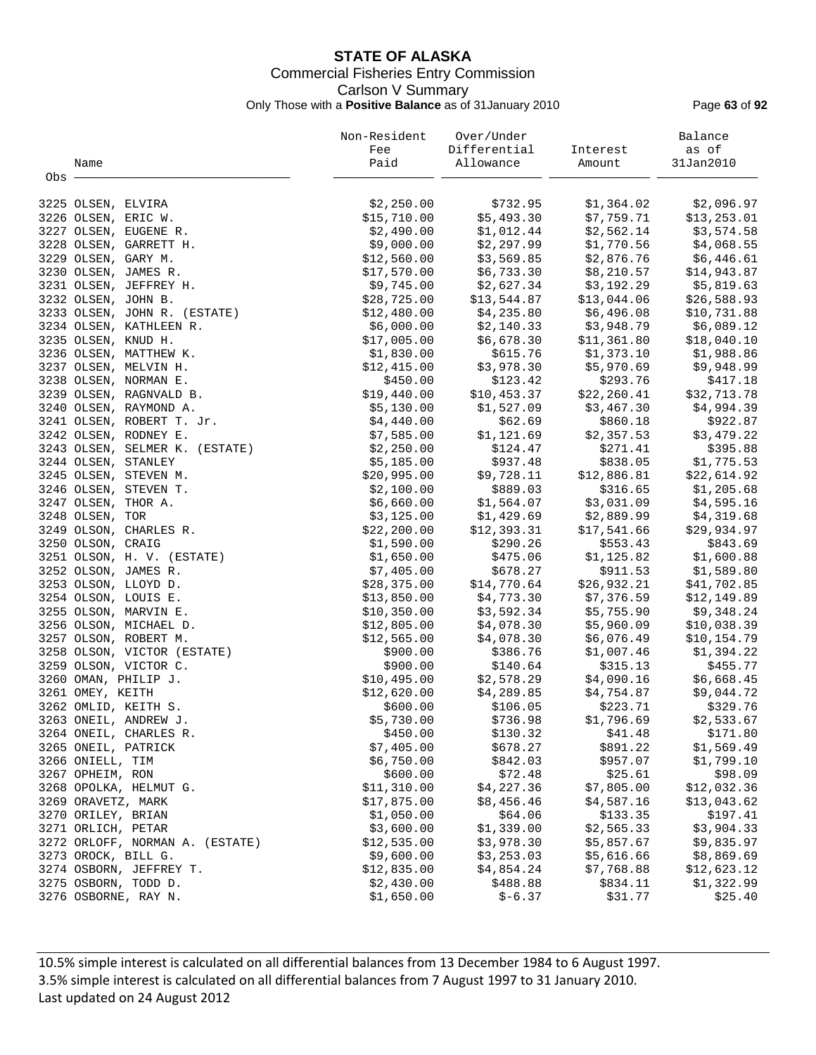## **STATE OF ALASKA** Commercial Fisheries Entry Commission Carlson V Summary Only Those with a **Positive Balance** as of 31January 2010 Page **63** of **92**

|     |                                 | Non-Resident | Over/Under   |              | Balance      |
|-----|---------------------------------|--------------|--------------|--------------|--------------|
|     |                                 | Fee          | Differential | Interest     | as of        |
|     | Name                            | Paid         | Allowance    | Amount       | 31Jan2010    |
| Obs |                                 |              |              |              |              |
|     |                                 |              |              |              |              |
|     | 3225 OLSEN, ELVIRA              | \$2,250.00   | \$732.95     | \$1,364.02   | \$2,096.97   |
|     | 3226 OLSEN, ERIC W.             | \$15,710.00  | \$5,493.30   | \$7,759.71   | \$13, 253.01 |
|     | 3227 OLSEN, EUGENE R.           | \$2,490.00   | \$1,012.44   | \$2,562.14   | \$3,574.58   |
|     | 3228 OLSEN, GARRETT H.          | \$9,000.00   | \$2,297.99   | \$1,770.56   | \$4,068.55   |
|     | 3229 OLSEN, GARY M.             | \$12,560.00  | \$3,569.85   | \$2,876.76   | \$6,446.61   |
|     | 3230 OLSEN, JAMES R.            | \$17,570.00  | \$6,733.30   | \$8,210.57   | \$14,943.87  |
|     | 3231 OLSEN, JEFFREY H.          | \$9,745.00   | \$2,627.34   | \$3,192.29   | \$5,819.63   |
|     | 3232 OLSEN, JOHN B.             | \$28,725.00  | \$13,544.87  | \$13,044.06  | \$26,588.93  |
|     | 3233 OLSEN, JOHN R. (ESTATE)    | \$12,480.00  | \$4,235.80   | \$6,496.08   | \$10,731.88  |
|     | 3234 OLSEN, KATHLEEN R.         | \$6,000.00   | \$2,140.33   | \$3,948.79   | \$6,089.12   |
|     | 3235 OLSEN, KNUD H.             | \$17,005.00  | \$6,678.30   | \$11,361.80  | \$18,040.10  |
|     | 3236 OLSEN, MATTHEW K.          | \$1,830.00   | \$615.76     | \$1,373.10   | \$1,988.86   |
|     | 3237 OLSEN, MELVIN H.           | \$12,415.00  | \$3,978.30   | \$5,970.69   | \$9,948.99   |
|     | 3238 OLSEN, NORMAN E.           | \$450.00     | \$123.42     | \$293.76     | \$417.18     |
|     | 3239 OLSEN, RAGNVALD B.         | \$19,440.00  | \$10,453.37  | \$22, 260.41 | \$32,713.78  |
|     | 3240 OLSEN, RAYMOND A.          | \$5,130.00   | \$1,527.09   | \$3,467.30   | \$4,994.39   |
|     | 3241 OLSEN, ROBERT T. Jr.       | \$4,440.00   | \$62.69      | \$860.18     | \$922.87     |
|     | 3242 OLSEN, RODNEY E.           | \$7,585.00   | \$1,121.69   | \$2,357.53   | \$3,479.22   |
|     | 3243 OLSEN, SELMER K. (ESTATE)  | \$2,250.00   | \$124.47     | \$271.41     | \$395.88     |
|     | 3244 OLSEN, STANLEY             | \$5,185.00   | \$937.48     | \$838.05     | \$1,775.53   |
|     | 3245 OLSEN, STEVEN M.           | \$20,995.00  | \$9,728.11   | \$12,886.81  | \$22,614.92  |
|     | 3246 OLSEN, STEVEN T.           | \$2,100.00   | \$889.03     | \$316.65     | \$1,205.68   |
|     | 3247 OLSEN, THOR A.             | \$6,660.00   | \$1,564.07   | \$3,031.09   | \$4,595.16   |
|     | 3248 OLSEN, TOR                 | \$3,125.00   | \$1,429.69   | \$2,889.99   | \$4,319.68   |
|     | 3249 OLSON, CHARLES R.          | \$22, 200.00 | \$12,393.31  | \$17,541.66  | \$29,934.97  |
|     | 3250 OLSON, CRAIG               | \$1,590.00   | \$290.26     | \$553.43     | \$843.69     |
|     | 3251 OLSON, H. V. (ESTATE)      | \$1,650.00   | \$475.06     | \$1,125.82   | \$1,600.88   |
|     | 3252 OLSON, JAMES R.            | \$7,405.00   | \$678.27     | \$911.53     | \$1,589.80   |
|     | 3253 OLSON, LLOYD D.            | \$28,375.00  | \$14,770.64  | \$26,932.21  | \$41,702.85  |
|     | 3254 OLSON, LOUIS E.            | \$13,850.00  | \$4,773.30   | \$7,376.59   | \$12,149.89  |
|     | 3255 OLSON, MARVIN E.           | \$10,350.00  | \$3,592.34   | \$5,755.90   | \$9,348.24   |
|     | 3256 OLSON, MICHAEL D.          | \$12,805.00  | \$4,078.30   | \$5,960.09   | \$10,038.39  |
|     | 3257 OLSON, ROBERT M.           | \$12,565.00  | \$4,078.30   | \$6,076.49   | \$10,154.79  |
|     | 3258 OLSON, VICTOR (ESTATE)     | \$900.00     | \$386.76     | \$1,007.46   | \$1,394.22   |
|     | 3259 OLSON, VICTOR C.           | \$900.00     | \$140.64     | \$315.13     | \$455.77     |
|     | 3260 OMAN, PHILIP J.            | \$10,495.00  | \$2,578.29   | \$4,090.16   | \$6,668.45   |
|     | 3261 OMEY, KEITH                | \$12,620.00  | \$4,289.85   | \$4,754.87   | \$9,044.72   |
|     | 3262 OMLID, KEITH S.            | \$600.00     | \$106.05     | \$223.71     | \$329.76     |
|     | 3263 ONEIL, ANDREW J.           | \$5,730.00   | \$736.98     | \$1,796.69   | \$2,533.67   |
|     | 3264 ONEIL, CHARLES R.          | \$450.00     | \$130.32     | \$41.48      | \$171.80     |
|     | 3265 ONEIL, PATRICK             | \$7,405.00   | \$678.27     | \$891.22     | \$1,569.49   |
|     | 3266 ONIELL, TIM                | \$6,750.00   | \$842.03     | \$957.07     | \$1,799.10   |
|     | 3267 OPHEIM, RON                | \$600.00     | \$72.48      | \$25.61      | \$98.09      |
|     | 3268 OPOLKA, HELMUT G.          | \$11,310.00  | \$4,227.36   | \$7,805.00   | \$12,032.36  |
|     | 3269 ORAVETZ, MARK              | \$17,875.00  | \$8,456.46   | \$4,587.16   | \$13,043.62  |
|     | 3270 ORILEY, BRIAN              | \$1,050.00   | \$64.06      | \$133.35     | \$197.41     |
|     | 3271 ORLICH, PETAR              | \$3,600.00   | \$1,339.00   | \$2,565.33   | \$3,904.33   |
|     | 3272 ORLOFF, NORMAN A. (ESTATE) | \$12,535.00  | \$3,978.30   | \$5,857.67   | \$9,835.97   |
|     | 3273 OROCK, BILL G.             | \$9,600.00   | \$3,253.03   | \$5,616.66   | \$8,869.69   |
|     |                                 |              |              |              |              |
|     | 3274 OSBORN, JEFFREY T.         | \$12,835.00  | \$4,854.24   | \$7,768.88   | \$12,623.12  |
|     | 3275 OSBORN, TODD D.            | \$2,430.00   | \$488.88     | \$834.11     | \$1,322.99   |
|     | 3276 OSBORNE, RAY N.            | \$1,650.00   | $$ -6.37$    | \$31.77      | \$25.40      |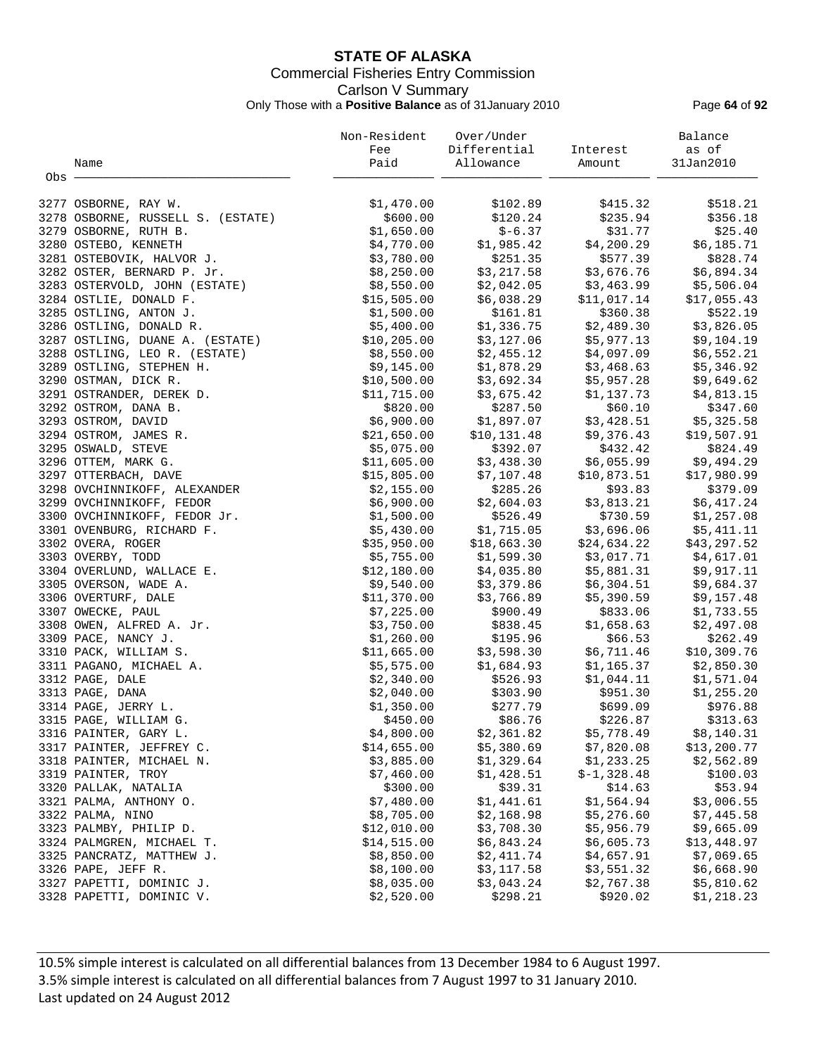## **STATE OF ALASKA** Commercial Fisheries Entry Commission Carlson V Summary Only Those with a **Positive Balance** as of 31January 2010 Page **64** of **92**

|       |                                   | Non-Resident | Over/Under   |              | Balance     |
|-------|-----------------------------------|--------------|--------------|--------------|-------------|
|       |                                   | Fee          | Differential | Interest     | as of       |
|       | Name                              | Paid         | Allowance    | Amount       | 31Jan2010   |
| Obs - |                                   |              |              |              |             |
|       |                                   |              |              |              |             |
|       | 3277 OSBORNE, RAY W.              | \$1,470.00   | \$102.89     | \$415.32     | \$518.21    |
|       | 3278 OSBORNE, RUSSELL S. (ESTATE) | \$600.00     | \$120.24     | \$235.94     | \$356.18    |
|       | 3279 OSBORNE, RUTH B.             | \$1,650.00   | $$ -6.37$    | \$31.77      | \$25.40     |
|       | 3280 OSTEBO, KENNETH              | \$4,770.00   | \$1,985.42   | \$4,200.29   | \$6,185.71  |
|       | 3281 OSTEBOVIK, HALVOR J.         | \$3,780.00   | \$251.35     | \$577.39     | \$828.74    |
|       | 3282 OSTER, BERNARD P. Jr.        | \$8,250.00   | \$3,217.58   | \$3,676.76   | \$6,894.34  |
|       | 3283 OSTERVOLD, JOHN (ESTATE)     | \$8,550.00   | \$2,042.05   | \$3,463.99   | \$5,506.04  |
|       | 3284 OSTLIE, DONALD F.            | \$15,505.00  | \$6,038.29   | \$11,017.14  | \$17,055.43 |
|       | 3285 OSTLING, ANTON J.            | \$1,500.00   | \$161.81     | \$360.38     | \$522.19    |
|       | 3286 OSTLING, DONALD R.           | \$5,400.00   | \$1,336.75   | \$2,489.30   | \$3,826.05  |
|       | 3287 OSTLING, DUANE A. (ESTATE)   | \$10, 205.00 | \$3,127.06   | \$5,977.13   | \$9,104.19  |
|       | 3288 OSTLING, LEO R. (ESTATE)     | \$8,550.00   | \$2,455.12   | \$4,097.09   | \$6,552.21  |
|       | 3289 OSTLING, STEPHEN H.          | \$9,145.00   | \$1,878.29   | \$3,468.63   | \$5,346.92  |
|       | 3290 OSTMAN, DICK R.              | \$10,500.00  | \$3,692.34   | \$5,957.28   | \$9,649.62  |
|       | 3291 OSTRANDER, DEREK D.          | \$11,715.00  | \$3,675.42   | \$1,137.73   | \$4,813.15  |
|       | 3292 OSTROM, DANA B.              | \$820.00     | \$287.50     | \$60.10      | \$347.60    |
|       | 3293 OSTROM, DAVID                | \$6,900.00   | \$1,897.07   | \$3,428.51   | \$5,325.58  |
|       | 3294 OSTROM, JAMES R.             | \$21,650.00  | \$10, 131.48 | \$9,376.43   | \$19,507.91 |
|       | 3295 OSWALD, STEVE                | \$5,075.00   | \$392.07     | \$432.42     | \$824.49    |
|       | 3296 OTTEM, MARK G.               | \$11,605.00  | \$3,438.30   | \$6,055.99   | \$9,494.29  |
|       | 3297 OTTERBACH, DAVE              | \$15,805.00  | \$7,107.48   | \$10,873.51  | \$17,980.99 |
|       | 3298 OVCHINNIKOFF, ALEXANDER      | \$2,155.00   | \$285.26     | \$93.83      | \$379.09    |
|       | 3299 OVCHINNIKOFF, FEDOR          | \$6,900.00   | \$2,604.03   | \$3,813.21   | \$6,417.24  |
|       | 3300 OVCHINNIKOFF, FEDOR Jr.      | \$1,500.00   | \$526.49     | \$730.59     | \$1,257.08  |
|       | 3301 OVENBURG, RICHARD F.         | \$5,430.00   | \$1,715.05   | \$3,696.06   | \$5,411.11  |
|       | 3302 OVERA, ROGER                 | \$35,950.00  | \$18,663.30  | \$24,634.22  | \$43,297.52 |
|       | 3303 OVERBY, TODD                 | \$5,755.00   | \$1,599.30   | \$3,017.71   | \$4,617.01  |
|       | 3304 OVERLUND, WALLACE E.         | \$12,180.00  | \$4,035.80   | \$5,881.31   | \$9,917.11  |
|       |                                   |              |              |              |             |
|       | 3305 OVERSON, WADE A.             | \$9,540.00   | \$3,379.86   | \$6,304.51   | \$9,684.37  |
|       | 3306 OVERTURF, DALE               | \$11,370.00  | \$3,766.89   | \$5,390.59   | \$9,157.48  |
|       | 3307 OWECKE, PAUL                 | \$7,225.00   | \$900.49     | \$833.06     | \$1,733.55  |
|       | 3308 OWEN, ALFRED A. Jr.          | \$3,750.00   | \$838.45     | \$1,658.63   | \$2,497.08  |
|       | 3309 PACE, NANCY J.               | \$1,260.00   | \$195.96     | \$66.53      | \$262.49    |
|       | 3310 PACK, WILLIAM S.             | \$11,665.00  | \$3,598.30   | \$6,711.46   | \$10,309.76 |
|       | 3311 PAGANO, MICHAEL A.           | \$5,575.00   | \$1,684.93   | \$1,165.37   | \$2,850.30  |
|       | 3312 PAGE, DALE                   | \$2,340.00   | \$526.93     | \$1,044.11   | \$1,571.04  |
|       | 3313 PAGE, DANA                   | \$2,040.00   | \$303.90     | \$951.30     | \$1,255.20  |
|       | 3314 PAGE, JERRY L.               | \$1,350.00   | \$277.79     | \$699.09     | \$976.88    |
|       | 3315 PAGE, WILLIAM G.             | \$450.00     | \$86.76      | \$226.87     | \$313.63    |
|       | 3316 PAINTER, GARY L.             | \$4,800.00   | \$2,361.82   | \$5,778.49   | \$8,140.31  |
|       | 3317 PAINTER, JEFFREY C.          | \$14,655.00  | \$5,380.69   | \$7,820.08   | \$13,200.77 |
|       | 3318 PAINTER, MICHAEL N.          | \$3,885.00   | \$1,329.64   | \$1,233.25   | \$2,562.89  |
|       | 3319 PAINTER, TROY                | \$7,460.00   | \$1,428.51   | $$-1,328.48$ | \$100.03    |
|       | 3320 PALLAK, NATALIA              | \$300.00     | \$39.31      | \$14.63      | \$53.94     |
|       | 3321 PALMA, ANTHONY O.            | \$7,480.00   | \$1,441.61   | \$1,564.94   | \$3,006.55  |
|       | 3322 PALMA, NINO                  | \$8,705.00   | \$2,168.98   | \$5,276.60   | \$7,445.58  |
|       | 3323 PALMBY, PHILIP D.            | \$12,010.00  | \$3,708.30   | \$5,956.79   | \$9,665.09  |
|       | 3324 PALMGREN, MICHAEL T.         | \$14,515.00  | \$6,843.24   | \$6,605.73   | \$13,448.97 |
|       | 3325 PANCRATZ, MATTHEW J.         | \$8,850.00   | \$2,411.74   | \$4,657.91   | \$7,069.65  |
|       | 3326 PAPE, JEFF R.                | \$8,100.00   | \$3,117.58   | \$3,551.32   | \$6,668.90  |
|       | 3327 PAPETTI, DOMINIC J.          | \$8,035.00   | \$3,043.24   | \$2,767.38   | \$5,810.62  |
|       | 3328 PAPETTI, DOMINIC V.          | \$2,520.00   | \$298.21     | \$920.02     | \$1,218.23  |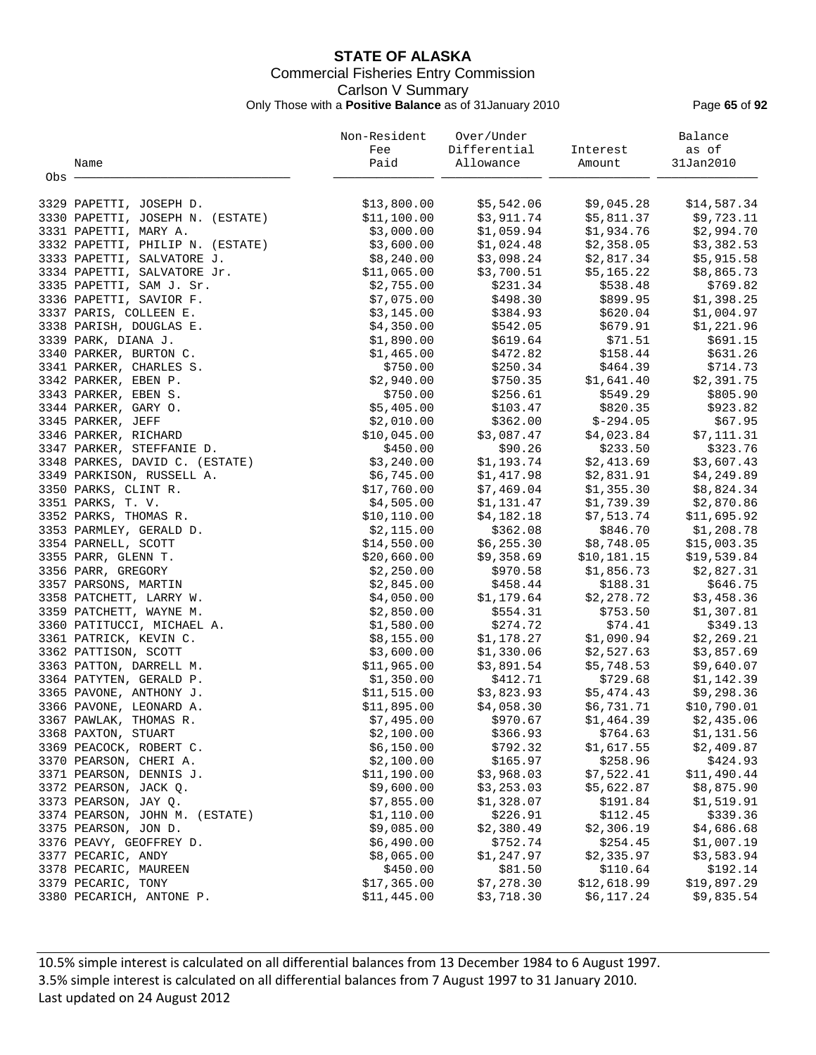## **STATE OF ALASKA** Commercial Fisheries Entry Commission Carlson V Summary Only Those with a **Positive Balance** as of 31January 2010 Page **65** of **92**

|       |                                  | Non-Resident | Over/Under   |             | Balance     |
|-------|----------------------------------|--------------|--------------|-------------|-------------|
|       |                                  | Fee          | Differential | Interest    | as of       |
|       | Name                             | Paid         | Allowance    | Amount      | 31Jan2010   |
| Obs - |                                  |              |              |             |             |
|       | 3329 PAPETTI, JOSEPH D.          | \$13,800.00  | \$5,542.06   | \$9,045.28  | \$14,587.34 |
|       | 3330 PAPETTI, JOSEPH N. (ESTATE) | \$11,100.00  | \$3,911.74   | \$5,811.37  | \$9,723.11  |
|       | 3331 PAPETTI, MARY A.            | \$3,000.00   | \$1,059.94   | \$1,934.76  | \$2,994.70  |
|       | 3332 PAPETTI, PHILIP N. (ESTATE) | \$3,600.00   | \$1,024.48   | \$2,358.05  | \$3,382.53  |
|       | 3333 PAPETTI, SALVATORE J.       | \$8,240.00   | \$3,098.24   | \$2,817.34  | \$5,915.58  |
|       | 3334 PAPETTI, SALVATORE Jr.      | \$11,065.00  | \$3,700.51   | \$5,165.22  | \$8,865.73  |
|       | 3335 PAPETTI, SAM J. Sr.         | \$2,755.00   | \$231.34     | \$538.48    | \$769.82    |
|       | 3336 PAPETTI, SAVIOR F.          | \$7,075.00   | \$498.30     | \$899.95    | \$1,398.25  |
|       | 3337 PARIS, COLLEEN E.           | \$3,145.00   | \$384.93     | \$620.04    | \$1,004.97  |
|       | 3338 PARISH, DOUGLAS E.          | \$4,350.00   | \$542.05     | \$679.91    | \$1,221.96  |
|       | 3339 PARK, DIANA J.              | \$1,890.00   | \$619.64     | \$71.51     | \$691.15    |
|       | 3340 PARKER, BURTON C.           | \$1,465.00   | \$472.82     | \$158.44    | \$631.26    |
|       | 3341 PARKER, CHARLES S.          | \$750.00     | \$250.34     | \$464.39    | \$714.73    |
|       | 3342 PARKER, EBEN P.             | \$2,940.00   | \$750.35     | \$1,641.40  | \$2,391.75  |
|       | 3343 PARKER, EBEN S.             | \$750.00     | \$256.61     | \$549.29    | \$805.90    |
|       | 3344 PARKER, GARY O.             | \$5,405.00   | \$103.47     | \$820.35    | \$923.82    |
|       | 3345 PARKER, JEFF                | \$2,010.00   | \$362.00     | $$-294.05$  | \$67.95     |
|       | 3346 PARKER, RICHARD             | \$10,045.00  | \$3,087.47   | \$4,023.84  | \$7,111.31  |
|       | 3347 PARKER, STEFFANIE D.        | \$450.00     | \$90.26      | \$233.50    | \$323.76    |
|       | 3348 PARKES, DAVID C. (ESTATE)   | \$3,240.00   | \$1,193.74   | \$2,413.69  | \$3,607.43  |
|       | 3349 PARKISON, RUSSELL A.        | \$6,745.00   | \$1,417.98   | \$2,831.91  | \$4,249.89  |
|       | 3350 PARKS, CLINT R.             | \$17,760.00  | \$7,469.04   | \$1,355.30  | \$8,824.34  |
|       | 3351 PARKS, T. V.                | \$4,505.00   | \$1,131.47   | \$1,739.39  | \$2,870.86  |
|       | 3352 PARKS, THOMAS R.            | \$10, 110.00 | \$4,182.18   | \$7,513.74  | \$11,695.92 |
|       | 3353 PARMLEY, GERALD D.          | \$2,115.00   | \$362.08     | \$846.70    | \$1,208.78  |
|       | 3354 PARNELL, SCOTT              | \$14,550.00  | \$6,255.30   | \$8,748.05  | \$15,003.35 |
|       | 3355 PARR, GLENN T.              | \$20,660.00  | \$9,358.69   | \$10,181.15 | \$19,539.84 |
|       | 3356 PARR, GREGORY               | \$2,250.00   | \$970.58     | \$1,856.73  | \$2,827.31  |
|       | 3357 PARSONS, MARTIN             | \$2,845.00   | \$458.44     | \$188.31    | \$646.75    |
|       | 3358 PATCHETT, LARRY W.          | \$4,050.00   | \$1,179.64   | \$2,278.72  | \$3,458.36  |
|       | 3359 PATCHETT, WAYNE M.          | \$2,850.00   | \$554.31     | \$753.50    | \$1,307.81  |
|       | 3360 PATITUCCI, MICHAEL A.       | \$1,580.00   | \$274.72     | \$74.41     | \$349.13    |
|       | 3361 PATRICK, KEVIN C.           | \$8,155.00   | \$1,178.27   | \$1,090.94  | \$2,269.21  |
|       | 3362 PATTISON, SCOTT             | \$3,600.00   | \$1,330.06   | \$2,527.63  | \$3,857.69  |
|       | 3363 PATTON, DARRELL M.          | \$11,965.00  | \$3,891.54   | \$5,748.53  | \$9,640.07  |
|       | 3364 PATYTEN, GERALD P.          | \$1,350.00   | \$412.71     | \$729.68    | \$1,142.39  |
|       | 3365 PAVONE, ANTHONY J.          | \$11,515.00  | \$3,823.93   | \$5,474.43  | \$9,298.36  |
|       | 3366 PAVONE, LEONARD A.          | \$11,895.00  | \$4,058.30   | \$6,731.71  | \$10,790.01 |
|       | 3367 PAWLAK, THOMAS R.           | \$7,495.00   | \$970.67     | \$1,464.39  | \$2,435.06  |
|       | 3368 PAXTON, STUART              | \$2,100.00   | \$366.93     | \$764.63    | \$1,131.56  |
|       | 3369 PEACOCK, ROBERT C.          | \$6,150.00   | \$792.32     | \$1,617.55  | \$2,409.87  |
|       | 3370 PEARSON, CHERI A.           | \$2,100.00   | \$165.97     | \$258.96    | \$424.93    |
|       | 3371 PEARSON, DENNIS J.          | \$11,190.00  | \$3,968.03   | \$7,522.41  | \$11,490.44 |
|       | 3372 PEARSON, JACK Q.            | \$9,600.00   | \$3,253.03   | \$5,622.87  | \$8,875.90  |
|       | 3373 PEARSON, JAY Q.             | \$7,855.00   | \$1,328.07   | \$191.84    | \$1,519.91  |
|       | 3374 PEARSON, JOHN M. (ESTATE)   | \$1,110.00   | \$226.91     | \$112.45    | \$339.36    |
|       | 3375 PEARSON, JON D.             | \$9,085.00   | \$2,380.49   | \$2,306.19  | \$4,686.68  |
|       | 3376 PEAVY, GEOFFREY D.          | \$6,490.00   | \$752.74     | \$254.45    | \$1,007.19  |
|       | 3377 PECARIC, ANDY               | \$8,065.00   | \$1,247.97   | \$2,335.97  | \$3,583.94  |
|       | 3378 PECARIC, MAUREEN            | \$450.00     | \$81.50      | \$110.64    | \$192.14    |
|       | 3379 PECARIC, TONY               | \$17,365.00  | \$7,278.30   | \$12,618.99 | \$19,897.29 |
|       | 3380 PECARICH, ANTONE P.         | \$11,445.00  | \$3,718.30   | \$6,117.24  | \$9,835.54  |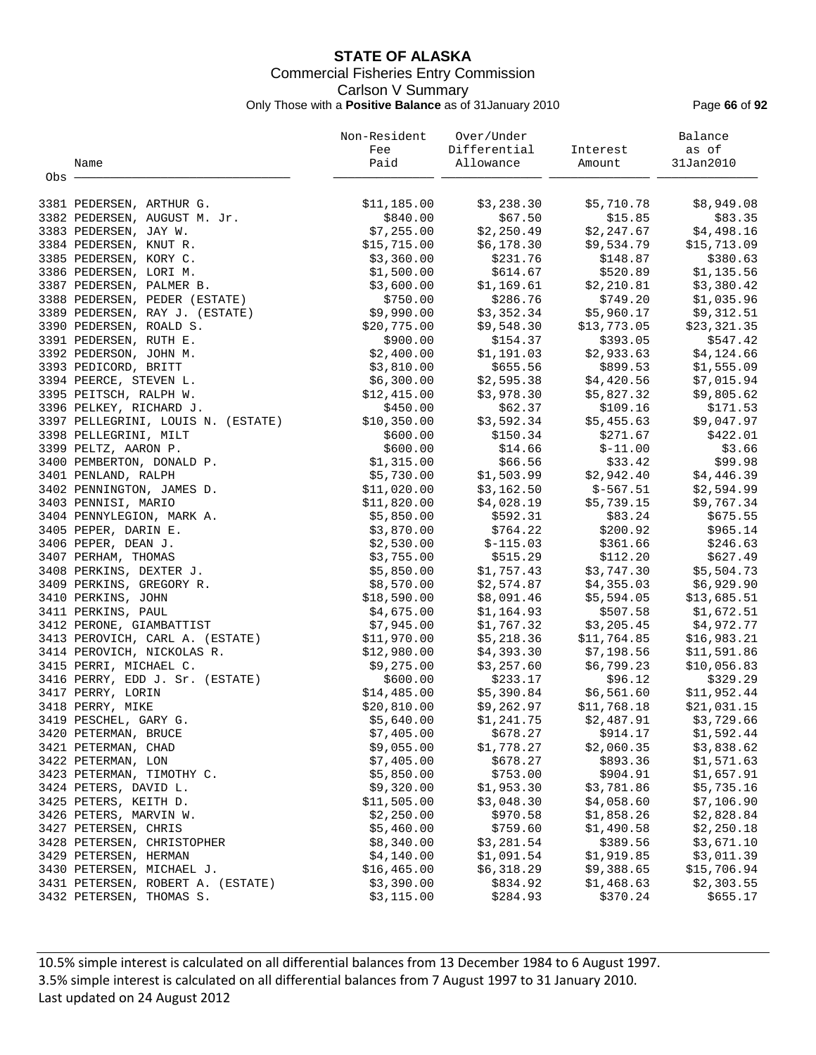## **STATE OF ALASKA** Commercial Fisheries Entry Commission Carlson V Summary Only Those with a **Positive Balance** as of 31January 2010 Page **66** of **92**

|       |                                                                                     | Non-Resident | Over/Under   |                                                     | Balance     |
|-------|-------------------------------------------------------------------------------------|--------------|--------------|-----------------------------------------------------|-------------|
|       |                                                                                     | Fee          | Differential | Interest                                            | as of       |
|       | Name                                                                                | Paid         | Allowance    | Amount                                              | 31Jan2010   |
| Obs - |                                                                                     |              |              |                                                     |             |
|       |                                                                                     |              |              |                                                     |             |
|       | 3381 PEDERSEN, ARTHUR G.                                                            | \$11,185.00  | \$3,238.30   | \$5,710.78                                          | \$8,949.08  |
|       | 3382 PEDERSEN, AUGUST M. Jr.                                                        | \$840.00     | \$67.50      | \$15.85                                             | \$83.35     |
|       | 3383 PEDERSEN, JAY W.                                                               | \$7,255.00   | \$2,250.49   | \$2,247.67                                          | \$4,498.16  |
|       | 3384 PEDERSEN, KNUT R.                                                              | \$15,715.00  | \$6,178.30   | \$9,534.79                                          | \$15,713.09 |
|       | 3385 PEDERSEN, KORY C.                                                              | \$3,360.00   | \$231.76     | \$148.87                                            | \$380.63    |
|       | 3386 PEDERSEN, LORI M.                                                              | \$1,500.00   | \$614.67     | \$520.89                                            | \$1,135.56  |
|       | 3386 PEDERSEN, LORI M.<br>3387 PEDERSEN, PALMER B.<br>3388 PEDERSEN, PEDER (ESTATE) | \$3,600.00   |              |                                                     |             |
|       |                                                                                     |              | \$1,169.61   | \$2,210.81                                          | \$3,380.42  |
|       | 3388 PEDERSEN, RAY J. (ESTATE)<br>3389 PEDERSEN, RAY J. (ESTATE)                    | \$750.00     | \$286.76     | \$749.20                                            | \$1,035.96  |
|       |                                                                                     | \$9,990.00   |              | $$3,352.34$ $$5,960.17$<br>$$9,548.30$ $$13,773.05$ | \$9,312.51  |
|       | 3390 PEDERSEN, ROALD S.                                                             | \$20,775.00  |              | \$13,773.05                                         | \$23,321.35 |
|       | 3391 PEDERSEN, RUTH E.                                                              | \$900.00     | \$154.37     | \$393.05                                            | \$547.42    |
|       | 3392 PEDERSON, JOHN M.                                                              | \$2,400.00   | \$1,191.03   | \$2,933.63                                          | \$4,124.66  |
|       | 3393 PEDICORD, BRITT                                                                | \$3,810.00   | \$655.56     | \$899.53                                            | \$1,555.09  |
|       | 3394 PEERCE, STEVEN L.                                                              | \$6,300.00   | \$2,595.38   | \$4,420.56                                          | \$7,015.94  |
|       | 3395 PEITSCH, RALPH W.                                                              | \$12,415.00  | \$3,978.30   | \$5,827.32                                          | \$9,805.62  |
|       | 3396 PELKEY, RICHARD J.                                                             | \$450.00     | \$62.37      | \$109.16                                            | \$171.53    |
|       | 3397 PELLEGRINI, LOUIS N. (ESTATE)                                                  | \$10,350.00  | \$3,592.34   | \$5,455.63                                          | \$9,047.97  |
|       | 3398 PELLEGRINI, MILT                                                               | \$600.00     | \$150.34     | \$271.67                                            | \$422.01    |
|       | 3399 PELTZ, AARON P.                                                                | \$600.00     | \$14.66      | $$-11.00$                                           | \$3.66      |
|       | 3400 PEMBERTON, DONALD P.                                                           | \$1,315.00   | \$66.56      | \$33.42                                             | \$99.98     |
|       | 3401 PENLAND, RALPH                                                                 | \$5,730.00   | \$1,503.99   | \$2,942.40                                          | \$4,446.39  |
|       | 3402 PENNINGTON, JAMES D.                                                           | \$11,020.00  | \$3,162.50   |                                                     | \$2,594.99  |
|       | 3403 PENNISI, MARIO                                                                 | \$11,820.00  | \$4,028.19   | \$-567.51<br>\$5,739.15                             | \$9,767.34  |
|       | 3404 PENNYLEGION, MARK A.                                                           | \$5,850.00   | \$592.31     | \$83.24                                             | \$675.55    |
|       |                                                                                     | \$3,870.00   | \$764.22     | \$200.92                                            | \$965.14    |
|       | 3405 PEPER, DARIN E.                                                                |              |              |                                                     |             |
|       | 3406 PEPER, DEAN J.                                                                 | \$2,530.00   | $$-115.03$   | \$361.66                                            | \$246.63    |
|       | 3407 PERHAM, THOMAS                                                                 | \$3,755.00   | \$515.29     | \$112.20                                            | \$627.49    |
|       | 3408 PERKINS, DEXTER J.                                                             | \$5,850.00   |              | $$1,757.43$ $$3,747.30$                             | \$5,504.73  |
|       | 3409 PERKINS, GREGORY R.                                                            | \$8,570.00   |              | $$2,574.87$ $$4,355.03$                             | \$6,929.90  |
|       | 3410 PERKINS, JOHN                                                                  | \$18,590.00  | \$8,091.46   | \$5,594.05                                          | \$13,685.51 |
|       | 3411 PERKINS, PAUL                                                                  | \$4,675.00   | \$1,164.93   | \$507.58                                            | \$1,672.51  |
|       | 3412 PERONE, GIAMBATTIST                                                            | \$7,945.00   |              | $$1,767.32$ $$3,205.45$<br>$$5,218.36$ $$11,764.85$ | \$4,972.77  |
|       | 3413 PEROVICH, CARL A. (ESTATE)                                                     | \$11,970.00  |              | \$11,764.85                                         | \$16,983.21 |
|       | 3414 PEROVICH, NICKOLAS R.                                                          | \$12,980.00  |              | $$4,393.30$ $$7,198.56$                             | \$11,591.86 |
|       | 3415 PERRI, MICHAEL C.                                                              | \$9,275.00   | \$3,257.60   | \$6,799.23                                          | \$10,056.83 |
|       | 3416 PERRY, EDD J. Sr. (ESTATE)                                                     | \$600.00     | \$233.17     | \$96.12                                             | \$329.29    |
|       | 3417 PERRY, LORIN                                                                   | \$14,485.00  |              | \$5,390.84 \$6,561.60                               | \$11,952.44 |
|       | 3418 PERRY, MIKE                                                                    | \$20,810.00  | \$9,262.97   | \$11,768.18                                         | \$21,031.15 |
|       | 3419 PESCHEL, GARY G.                                                               | \$5,640.00   | \$1,241.75   | \$2,487.91                                          | \$3,729.66  |
|       | 3420 PETERMAN, BRUCE                                                                | \$7,405.00   | \$678.27     | \$914.17                                            | \$1,592.44  |
|       | 3421 PETERMAN, CHAD                                                                 | \$9,055.00   | \$1,778.27   | \$2,060.35                                          | \$3,838.62  |
|       | 3422 PETERMAN, LON                                                                  | \$7,405.00   | \$678.27     | \$893.36                                            | \$1,571.63  |
|       | 3423 PETERMAN, TIMOTHY C.                                                           | \$5,850.00   | \$753.00     | \$904.91                                            | \$1,657.91  |
|       | 3424 PETERS, DAVID L.                                                               | \$9,320.00   | \$1,953.30   | \$3,781.86                                          | \$5,735.16  |
|       | 3425 PETERS, KEITH D.                                                               | \$11,505.00  | \$3,048.30   | \$4,058.60                                          | \$7,106.90  |
|       |                                                                                     |              |              |                                                     |             |
|       | 3426 PETERS, MARVIN W.                                                              | \$2,250.00   | \$970.58     | \$1,858.26                                          | \$2,828.84  |
|       | 3427 PETERSEN, CHRIS                                                                | \$5,460.00   | \$759.60     | \$1,490.58                                          | \$2,250.18  |
|       | 3428 PETERSEN, CHRISTOPHER                                                          | \$8,340.00   | \$3,281.54   | \$389.56                                            | \$3,671.10  |
|       | 3429 PETERSEN, HERMAN                                                               | \$4,140.00   | \$1,091.54   | \$1,919.85                                          | \$3,011.39  |
|       | 3430 PETERSEN, MICHAEL J.                                                           | \$16,465.00  | \$6,318.29   | \$9,388.65                                          | \$15,706.94 |
|       | 3431 PETERSEN, ROBERT A. (ESTATE)                                                   | \$3,390.00   | \$834.92     | \$1,468.63                                          | \$2,303.55  |
|       | 3432 PETERSEN, THOMAS S.                                                            | \$3,115.00   | \$284.93     | \$370.24                                            | \$655.17    |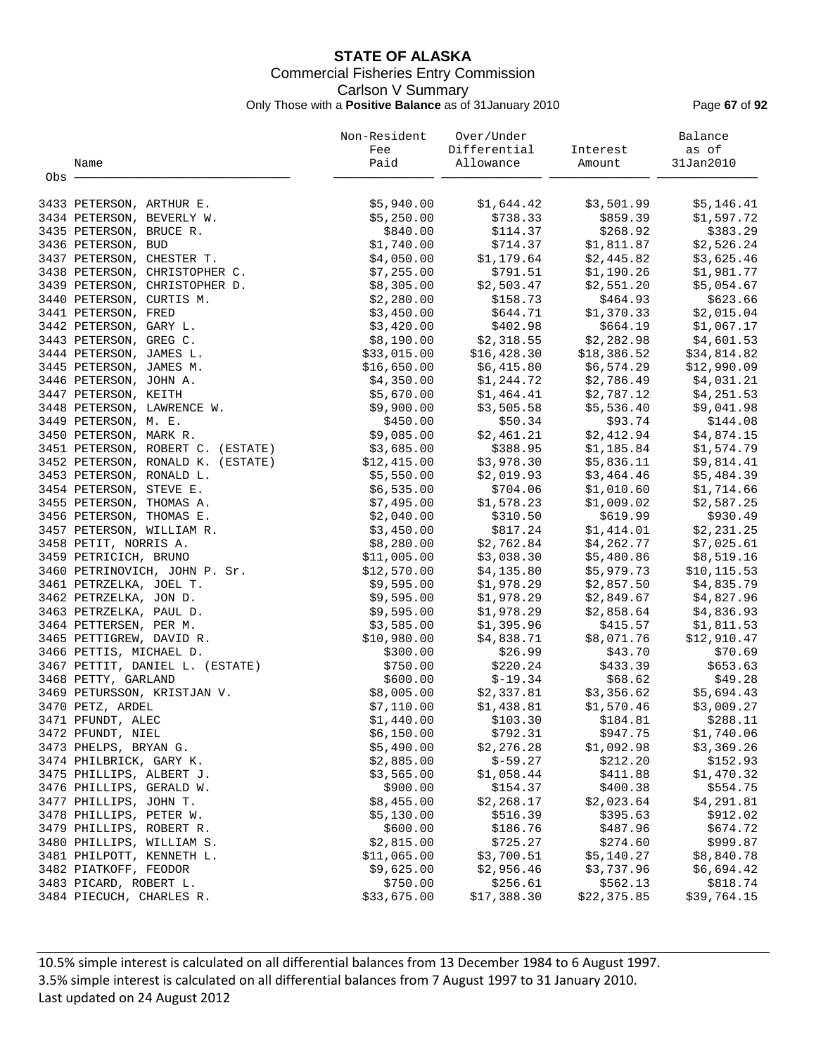## **STATE OF ALASKA** Commercial Fisheries Entry Commission Carlson V Summary Only Those with a **Positive Balance** as of 31January 2010 Page **67** of **92**

|       |                                   | Non-Resident | Over/Under                |                                                            | Balance      |
|-------|-----------------------------------|--------------|---------------------------|------------------------------------------------------------|--------------|
|       |                                   | Fee          | Differential Interest     |                                                            | as of        |
|       | Name                              | Paid         | Allowance                 | Amount                                                     | 31Jan2010    |
| Obs - |                                   |              |                           |                                                            |              |
|       | 3433 PETERSON, ARTHUR E.          | \$5,940.00   | \$1,644.42                | \$3,501.99                                                 | \$5,146.41   |
|       | 3434 PETERSON, BEVERLY W.         | \$5,250.00   | \$738.33                  | \$859.39                                                   | \$1,597.72   |
|       | 3435 PETERSON, BRUCE R.           | \$840.00     | \$114.37                  | \$268.92                                                   | \$383.29     |
|       | 3436 PETERSON, BUD                | \$1,740.00   | \$714.37                  | \$1,811.87                                                 | \$2,526.24   |
|       | 3437 PETERSON, CHESTER T.         | \$4,050.00   | \$1,179.64                | \$2,445.82                                                 | \$3,625.46   |
|       | 3438 PETERSON, CHRISTOPHER C.     | \$7,255.00   | \$791.51                  | \$1,190.26                                                 | \$1,981.77   |
|       | 3439 PETERSON, CHRISTOPHER D.     | \$8,305.00   | \$2,503.47                | \$2,551.20                                                 | \$5,054.67   |
|       | 3440 PETERSON, CURTIS M.          | \$2,280.00   | \$158.73                  | \$464.93                                                   | \$623.66     |
|       | 3441 PETERSON, FRED               | \$3,450.00   |                           | $$644.71$<br>$$1,3,2,3$<br>$$664.19$<br>$$664.19$<br>$$08$ | \$2,015.04   |
|       | 3442 PETERSON, GARY L.            | \$3,420.00   | \$402.98                  |                                                            | \$1,067.17   |
|       | 3443 PETERSON, GREG C.            | \$8,190.00   |                           | $$2,318.55$ $$2,282.98$                                    | \$4,601.53   |
|       | 3444 PETERSON, JAMES L.           | \$33,015.00  |                           | \$18,386.52                                                | \$34,814.82  |
|       | 3445 PETERSON, JAMES M.           | \$16,650.00  | \$16,428.30<br>\$6,415.80 | \$6,574.29                                                 | \$12,990.09  |
|       | 3446 PETERSON, JOHN A.            | \$4,350.00   | \$1,244.72                | \$2,786.49                                                 | \$4,031.21   |
|       | 3447 PETERSON, KEITH              | \$5,670.00   |                           |                                                            | \$4,251.53   |
|       | 3448 PETERSON, LAWRENCE W.        | \$9,900.00   | \$3,505.58                | $$1,464.41$ $$2,787.12$<br>\$5,536.40                      | \$9,041.98   |
|       | 3449 PETERSON, M. E.              | \$450.00     | \$50.34                   | \$93.74                                                    | \$144.08     |
|       | 3450 PETERSON, MARK R.            | \$9,085.00   |                           | $$2,461.21$ $$2,412.94$                                    | \$4,874.15   |
|       | 3451 PETERSON, ROBERT C. (ESTATE) | \$3,685.00   |                           | \$1,185.84                                                 | \$1,574.79   |
|       | 3452 PETERSON, RONALD K. (ESTATE) | \$12,415.00  | \$388.95<br>\$3,978.30    | \$5,836.11                                                 | \$9,814.41   |
|       | 3453 PETERSON, RONALD L.          | \$5,550.00   | \$2,019.93                | \$3,464.46                                                 | \$5,484.39   |
|       | 3454 PETERSON, STEVE E.           | \$6,535.00   | \$704.06                  | \$1,010.60                                                 | \$1,714.66   |
|       | 3455 PETERSON, THOMAS A.          | \$7,495.00   | \$1,578.23                | \$1,009.02                                                 | \$2,587.25   |
|       | 3456 PETERSON, THOMAS E.          | \$2,040.00   | \$310.50                  | \$619.99                                                   | \$930.49     |
|       | 3457 PETERSON, WILLIAM R.         | \$3,450.00   | \$817.24                  | \$1,414.01                                                 | \$2,231.25   |
|       | 3458 PETIT, NORRIS A.             | \$8,280.00   | \$2,762.84                | \$4,262.77                                                 | \$7,025.61   |
|       | 3459 PETRICICH, BRUNO             | \$11,005.00  |                           | $$3,038.30$ $$5,480.86$                                    | \$8,519.16   |
|       | 3460 PETRINOVICH, JOHN P. Sr.     | \$12,570.00  | \$4,135.80                | \$5,979.73                                                 | \$10, 115.53 |
|       | 3461 PETRZELKA, JOEL T.           | \$9,595.00   | \$1,978.29                | \$2,857.50                                                 | \$4,835.79   |
|       | 3462 PETRZELKA, JON D.            | \$9,595.00   | \$1,978.29                | \$2,849.67                                                 | \$4,827.96   |
|       | 3463 PETRZELKA, PAUL D.           | \$9,595.00   | \$1,978.29                | \$2,858.64                                                 | \$4,836.93   |
|       | 3464 PETTERSEN, PER M.            | \$3,585.00   | \$1,395.96                |                                                            | \$1,811.53   |
|       | 3465 PETTIGREW, DAVID R.          | \$10,980.00  | \$4,838.71                | \$415.57<br>\$8,071.76                                     | \$12,910.47  |
|       | 3466 PETTIS, MICHAEL D.           | \$300.00     | \$26.99                   | \$43.70                                                    | \$70.69      |
|       | 3467 PETTIT, DANIEL L. (ESTATE)   | \$750.00     | \$220.24                  | \$433.39                                                   | \$653.63     |
|       | 3468 PETTY, GARLAND               | \$600.00     | $$-19.34$                 | \$68.62                                                    | \$49.28      |
|       | 3469 PETURSSON, KRISTJAN V.       | \$8,005.00   |                           | $$2,337.81$ $$3,356.62$                                    | \$5,694.43   |
|       | 3470 PETZ, ARDEL                  | \$7,110.00   | \$1,438.81                | \$1,570.46                                                 | \$3,009.27   |
|       | 3471 PFUNDT, ALEC                 | \$1,440.00   | \$103.30                  | \$184.81                                                   | \$288.11     |
|       | 3472 PFUNDT, NIEL                 | \$6,150.00   | \$792.31                  | \$947.75                                                   | \$1,740.06   |
|       | 3473 PHELPS, BRYAN G.             | \$5,490.00   | \$2,276.28                | \$1,092.98                                                 | \$3,369.26   |
|       | 3474 PHILBRICK, GARY K.           | \$2,885.00   | $$-59.27$                 | \$212.20                                                   | \$152.93     |
|       | 3475 PHILLIPS, ALBERT J.          | \$3,565.00   | \$1,058.44                | \$411.88                                                   | \$1,470.32   |
|       | 3476 PHILLIPS, GERALD W.          | \$900.00     | \$154.37                  | \$400.38                                                   | \$554.75     |
|       | 3477 PHILLIPS, JOHN T.            | \$8,455.00   | \$2,268.17                | \$2,023.64                                                 | \$4,291.81   |
|       | 3478 PHILLIPS, PETER W.           | \$5,130.00   | \$516.39                  | \$395.63                                                   | \$912.02     |
|       | 3479 PHILLIPS, ROBERT R.          | \$600.00     | \$186.76                  | \$487.96                                                   | \$674.72     |
|       | 3480 PHILLIPS, WILLIAM S.         | \$2,815.00   | \$725.27                  | \$274.60                                                   | \$999.87     |
|       | 3481 PHILPOTT, KENNETH L.         | \$11,065.00  | \$3,700.51                | \$5,140.27                                                 | \$8,840.78   |
|       | 3482 PIATKOFF, FEODOR             | \$9,625.00   | \$2,956.46                | \$3,737.96                                                 | \$6,694.42   |
|       | 3483 PICARD, ROBERT L.            | \$750.00     | \$256.61                  | \$562.13                                                   | \$818.74     |
|       | 3484 PIECUCH, CHARLES R.          | \$33,675.00  | \$17,388.30               | \$22,375.85                                                | \$39,764.15  |
|       |                                   |              |                           |                                                            |              |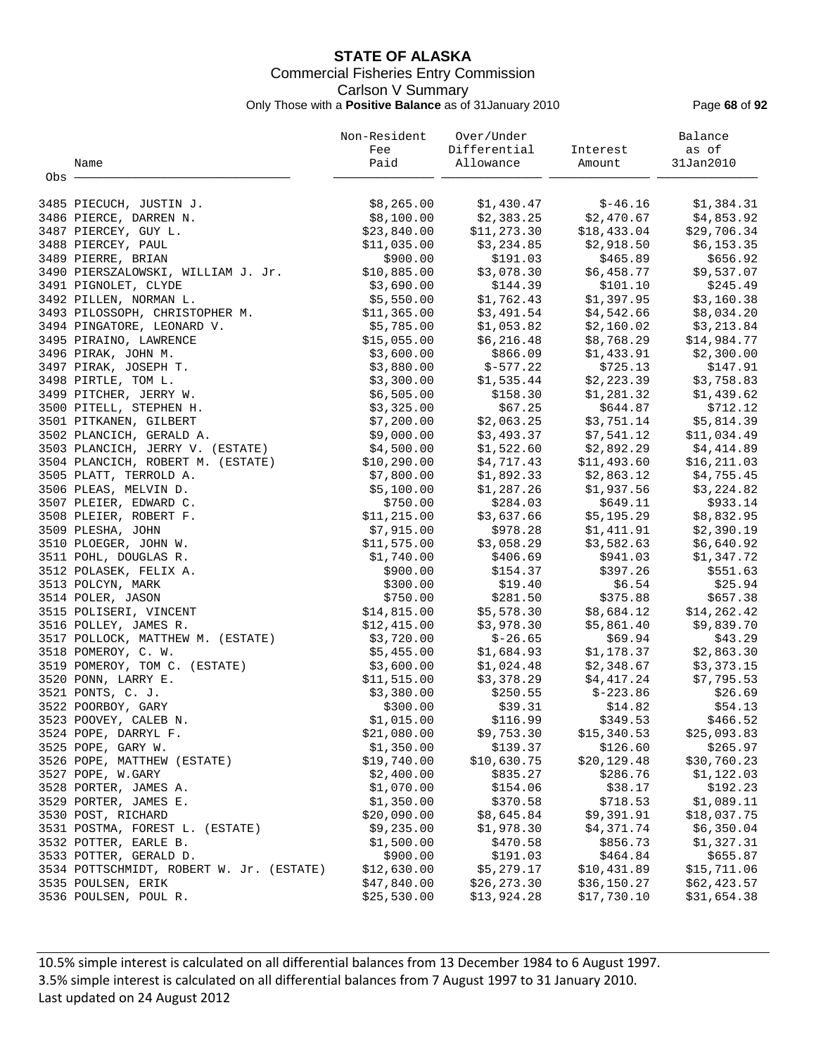## **STATE OF ALASKA** Commercial Fisheries Entry Commission Carlson V Summary Only Those with a **Positive Balance** as of 31January 2010 Page **68** of **92**

|       |                                          | Non-Resident | Over/Under             |              | Balance      |
|-------|------------------------------------------|--------------|------------------------|--------------|--------------|
|       |                                          | Fee          | Differential           | Interest     | as of        |
|       | Name                                     | Paid         | Allowance              | Amount       | 31Jan2010    |
| Obs - |                                          |              |                        |              |              |
|       |                                          |              |                        |              |              |
|       | 3485 PIECUCH, JUSTIN J.                  | \$8,265.00   | \$1,430.47             | $$-46.16$    | \$1,384.31   |
|       | 3486 PIERCE, DARREN N.                   | \$8,100.00   | \$2,383.25             | \$2,470.67   | \$4,853.92   |
|       | 3487 PIERCEY, GUY L.                     | \$23,840.00  | \$11, 273.30           | \$18,433.04  | \$29,706.34  |
|       | 3488 PIERCEY, PAUL                       | \$11,035.00  | \$3,234.85             | \$2,918.50   | \$6,153.35   |
|       | 3489 PIERRE, BRIAN                       | \$900.00     | \$191.03               | \$465.89     | \$656.92     |
|       | 3490 PIERSZALOWSKI, WILLIAM J. Jr.       | \$10,885.00  | \$3,078.30             | \$6,458.77   | \$9,537.07   |
|       | 3491 PIGNOLET, CLYDE                     | \$3,690.00   | \$144.39               | \$101.10     | \$245.49     |
|       | 3492 PILLEN, NORMAN L.                   | \$5,550.00   | \$1,762.43             | \$1,397.95   | \$3,160.38   |
|       | 3493 PILOSSOPH, CHRISTOPHER M.           | \$11,365.00  | \$3,491.54             | \$4,542.66   | \$8,034.20   |
|       | 3494 PINGATORE, LEONARD V.               | \$5,785.00   | \$1,053.82             | \$2,160.02   | \$3,213.84   |
|       | 3495 PIRAINO, LAWRENCE                   | \$15,055.00  | \$6,216.48             | \$8,768.29   | \$14,984.77  |
|       | 3496 PIRAK, JOHN M.                      | \$3,600.00   | \$866.09               | \$1,433.91   | \$2,300.00   |
|       | 3497 PIRAK, JOSEPH T.                    | \$3,880.00   | $$-577.22$             | \$725.13     | \$147.91     |
|       | 3498 PIRTLE, TOM L.                      | \$3,300.00   | \$1,535.44             | \$2,223.39   | \$3,758.83   |
|       | 3499 PITCHER, JERRY W.                   | \$6,505.00   | \$158.30               | \$1,281.32   | \$1,439.62   |
|       | 3500 PITELL, STEPHEN H.                  | \$3,325.00   | \$67.25                | \$644.87     | \$712.12     |
|       | 3501 PITKANEN, GILBERT                   | \$7,200.00   | \$2,063.25             | \$3,751.14   | \$5,814.39   |
|       | 3502 PLANCICH, GERALD A.                 | \$9,000.00   | \$3,493.37             | \$7,541.12   | \$11,034.49  |
|       | 3503 PLANCICH, JERRY V. (ESTATE)         | \$4,500.00   | \$1,522.60             | \$2,892.29   | \$4,414.89   |
|       | 3504 PLANCICH, ROBERT M. (ESTATE)        | \$10, 290.00 | \$4,717.43             | \$11,493.60  | \$16, 211.03 |
|       | 3505 PLATT, TERROLD A.                   | \$7,800.00   | \$1,892.33             | \$2,863.12   | \$4,755.45   |
|       | 3506 PLEAS, MELVIN D.                    | \$5,100.00   | \$1,287.26             | \$1,937.56   | \$3,224.82   |
|       |                                          | \$750.00     | \$284.03               | \$649.11     | \$933.14     |
|       | 3507 PLEIER, EDWARD C.                   |              |                        | \$5,195.29   |              |
|       | 3508 PLEIER, ROBERT F.                   | \$11, 215.00 | \$3,637.66             |              | \$8,832.95   |
|       | 3509 PLESHA, JOHN                        | \$7,915.00   | \$978.28<br>\$3,058.29 | \$1,411.91   | \$2,390.19   |
|       | 3510 PLOEGER, JOHN W.                    | \$11,575.00  |                        | \$3,582.63   | \$6,640.92   |
|       | 3511 POHL, DOUGLAS R.                    | \$1,740.00   | \$406.69               | \$941.03     | \$1,347.72   |
|       | 3512 POLASEK, FELIX A.                   | \$900.00     | \$154.37               | \$397.26     | \$551.63     |
|       | 3513 POLCYN, MARK                        | \$300.00     | \$19.40                | \$6.54       | \$25.94      |
|       | 3514 POLER, JASON                        | \$750.00     | \$281.50               | \$375.88     | \$657.38     |
|       | 3515 POLISERI, VINCENT                   | \$14,815.00  | \$5,578.30             | \$8,684.12   | \$14,262.42  |
|       | 3516 POLLEY, JAMES R.                    | \$12,415.00  | \$3,978.30             | \$5,861.40   | \$9,839.70   |
|       | 3517 POLLOCK, MATTHEW M. (ESTATE)        | \$3,720.00   | $$-26.65$              | \$69.94      | \$43.29      |
|       | 3518 POMEROY, C. W.                      | \$5,455.00   | \$1,684.93             | \$1,178.37   | \$2,863.30   |
|       | 3519 POMEROY, TOM C. (ESTATE)            | \$3,600.00   | \$1,024.48             | \$2,348.67   | \$3,373.15   |
|       | 3520 PONN, LARRY E.                      | \$11,515.00  | \$3,378.29             | \$4,417.24   | \$7,795.53   |
|       | 3521 PONTS, C. J.                        | \$3,380.00   | \$250.55               | $$-223.86$   | \$26.69      |
|       | 3522 POORBOY, GARY                       | \$300.00     | \$39.31                | \$14.82      | \$54.13      |
|       | 3523 POOVEY, CALEB N.                    | \$1,015.00   | \$116.99               | \$349.53     | \$466.52     |
|       | 3524 POPE, DARRYL F.                     | \$21,080.00  | \$9,753.30             | \$15,340.53  | \$25,093.83  |
|       | 3525 POPE, GARY W.                       | \$1,350.00   | \$139.37               | \$126.60     | \$265.97     |
|       | 3526 POPE, MATTHEW (ESTATE)              | \$19,740.00  | \$10,630.75            | \$20, 129.48 | \$30,760.23  |
|       | 3527 POPE, W.GARY                        | \$2,400.00   | \$835.27               | \$286.76     | \$1,122.03   |
|       | 3528 PORTER, JAMES A.                    | \$1,070.00   | \$154.06               | \$38.17      | \$192.23     |
|       | 3529 PORTER, JAMES E.                    | \$1,350.00   | \$370.58               | \$718.53     | \$1,089.11   |
|       | 3530 POST, RICHARD                       | \$20,090.00  | \$8,645.84             | \$9,391.91   | \$18,037.75  |
|       | 3531 POSTMA, FOREST L. (ESTATE)          | \$9,235.00   | \$1,978.30             | \$4,371.74   | \$6,350.04   |
|       | 3532 POTTER, EARLE B.                    | \$1,500.00   | \$470.58               | \$856.73     | \$1,327.31   |
|       | 3533 POTTER, GERALD D.                   | \$900.00     | \$191.03               | \$464.84     | \$655.87     |
|       | 3534 POTTSCHMIDT, ROBERT W. Jr. (ESTATE) | \$12,630.00  | \$5,279.17             | \$10,431.89  | \$15,711.06  |
|       | 3535 POULSEN, ERIK                       | \$47,840.00  | \$26, 273.30           | \$36,150.27  | \$62,423.57  |
|       | 3536 POULSEN, POUL R.                    | \$25,530.00  | \$13,924.28            | \$17,730.10  | \$31,654.38  |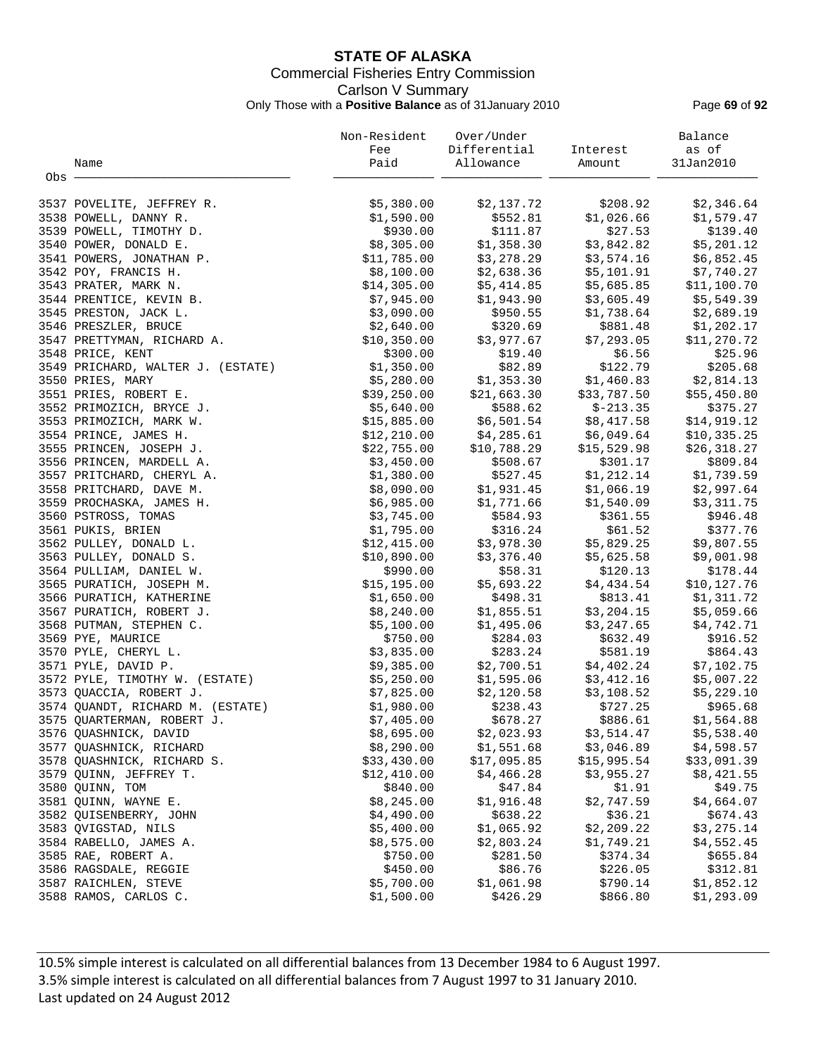## **STATE OF ALASKA** Commercial Fisheries Entry Commission Carlson V Summary Only Those with a **Positive Balance** as of 31January 2010 Page **69** of **92**

|       |                                   | Non-Resident | Over/Under   |             | Balance      |
|-------|-----------------------------------|--------------|--------------|-------------|--------------|
|       |                                   | Fee          | Differential | Interest    | as of        |
|       | Name                              | Paid         | Allowance    | Amount      | 31Jan2010    |
| Obs - |                                   |              |              |             |              |
|       | 3537 POVELITE, JEFFREY R.         | \$5,380.00   | \$2,137.72   | \$208.92    | \$2,346.64   |
|       | 3538 POWELL, DANNY R.             | \$1,590.00   | \$552.81     | \$1,026.66  | \$1,579.47   |
|       | 3539 POWELL, TIMOTHY D.           | \$930.00     | \$111.87     | \$27.53     | \$139.40     |
|       | 3540 POWER, DONALD E.             | \$8,305.00   | \$1,358.30   | \$3,842.82  | \$5,201.12   |
|       | 3541 POWERS, JONATHAN P.          | \$11,785.00  | \$3,278.29   | \$3,574.16  | \$6,852.45   |
|       | 3542 POY, FRANCIS H.              | \$8,100.00   | \$2,638.36   | \$5,101.91  | \$7,740.27   |
|       | 3543 PRATER, MARK N.              | \$14,305.00  | \$5,414.85   | \$5,685.85  | \$11,100.70  |
|       | 3544 PRENTICE, KEVIN B.           | \$7,945.00   | \$1,943.90   | \$3,605.49  | \$5,549.39   |
|       | 3545 PRESTON, JACK L.             | \$3,090.00   | \$950.55     | \$1,738.64  | \$2,689.19   |
|       | 3546 PRESZLER, BRUCE              | \$2,640.00   | \$320.69     | \$881.48    | \$1,202.17   |
|       | 3547 PRETTYMAN, RICHARD A.        | \$10,350.00  | \$3,977.67   | \$7,293.05  | \$11,270.72  |
|       | 3548 PRICE, KENT                  | \$300.00     | \$19.40      | \$6.56      | \$25.96      |
|       | 3549 PRICHARD, WALTER J. (ESTATE) | \$1,350.00   | \$82.89      | \$122.79    | \$205.68     |
|       | 3550 PRIES, MARY                  | \$5,280.00   | \$1,353.30   | \$1,460.83  | \$2,814.13   |
|       | 3551 PRIES, ROBERT E.             | \$39,250.00  | \$21,663.30  | \$33,787.50 | \$55,450.80  |
|       | 3552 PRIMOZICH, BRYCE J.          | \$5,640.00   | \$588.62     | $$-213.35$  | \$375.27     |
|       | 3553 PRIMOZICH, MARK W.           | \$15,885.00  | \$6,501.54   | \$8,417.58  | \$14,919.12  |
|       | 3554 PRINCE, JAMES H.             | \$12, 210.00 | \$4,285.61   | \$6,049.64  | \$10, 335.25 |
|       | 3555 PRINCEN, JOSEPH J.           | \$22,755.00  | \$10,788.29  | \$15,529.98 | \$26,318.27  |
|       | 3556 PRINCEN, MARDELL A.          | \$3,450.00   | \$508.67     | \$301.17    | \$809.84     |
|       | 3557 PRITCHARD, CHERYL A.         | \$1,380.00   | \$527.45     | \$1,212.14  | \$1,739.59   |
|       | 3558 PRITCHARD, DAVE M.           | \$8,090.00   | \$1,931.45   | \$1,066.19  | \$2,997.64   |
|       | 3559 PROCHASKA, JAMES H.          | \$6,985.00   | \$1,771.66   | \$1,540.09  | \$3,311.75   |
|       | 3560 PSTROSS, TOMAS               | \$3,745.00   | \$584.93     | \$361.55    | \$946.48     |
|       | 3561 PUKIS, BRIEN                 | \$1,795.00   | \$316.24     | \$61.52     | \$377.76     |
|       | 3562 PULLEY, DONALD L.            | \$12,415.00  | \$3,978.30   | \$5,829.25  | \$9,807.55   |
|       | 3563 PULLEY, DONALD S.            | \$10,890.00  | \$3,376.40   | \$5,625.58  | \$9,001.98   |
|       | 3564 PULLIAM, DANIEL W.           | \$990.00     | \$58.31      | \$120.13    | \$178.44     |
|       | 3565 PURATICH, JOSEPH M.          | \$15, 195.00 | \$5,693.22   | \$4,434.54  | \$10,127.76  |
|       | 3566 PURATICH, KATHERINE          | \$1,650.00   | \$498.31     | \$813.41    | \$1,311.72   |
|       | 3567 PURATICH, ROBERT J.          | \$8,240.00   | \$1,855.51   | \$3,204.15  | \$5,059.66   |
|       | 3568 PUTMAN, STEPHEN C.           | \$5,100.00   | \$1,495.06   | \$3,247.65  | \$4,742.71   |
|       | 3569 PYE, MAURICE                 | \$750.00     | \$284.03     | \$632.49    | \$916.52     |
|       | 3570 PYLE, CHERYL L.              | \$3,835.00   | \$283.24     | \$581.19    | \$864.43     |
|       | 3571 PYLE, DAVID P.               | \$9,385.00   | \$2,700.51   | \$4,402.24  | \$7,102.75   |
|       | 3572 PYLE, TIMOTHY W. (ESTATE)    | \$5,250.00   | \$1,595.06   | \$3,412.16  | \$5,007.22   |
|       | 3573 QUACCIA, ROBERT J.           | \$7,825.00   | \$2,120.58   | \$3,108.52  | \$5,229.10   |
|       | 3574 QUANDT, RICHARD M. (ESTATE)  | \$1,980.00   | \$238.43     | \$727.25    | \$965.68     |
|       | 3575 OUARTERMAN, ROBERT J.        | \$7,405.00   | \$678.27     | \$886.61    | \$1,564.88   |
|       | 3576 QUASHNICK, DAVID             | \$8,695.00   | \$2,023.93   | \$3,514.47  | \$5,538.40   |
|       | 3577 QUASHNICK, RICHARD           | \$8,290.00   | \$1,551.68   | \$3,046.89  | \$4,598.57   |
|       | 3578 QUASHNICK, RICHARD S.        | \$33,430.00  | \$17,095.85  | \$15,995.54 | \$33,091.39  |
|       | 3579 QUINN, JEFFREY T.            | \$12,410.00  | \$4,466.28   | \$3,955.27  | \$8,421.55   |
|       | 3580 QUINN, TOM                   | \$840.00     | \$47.84      | \$1.91      | \$49.75      |
|       | 3581 QUINN, WAYNE E.              | \$8,245.00   | \$1,916.48   | \$2,747.59  | \$4,664.07   |
|       | 3582 QUISENBERRY, JOHN            | \$4,490.00   | \$638.22     | \$36.21     | \$674.43     |
|       | 3583 QVIGSTAD, NILS               | \$5,400.00   | \$1,065.92   | \$2,209.22  | \$3,275.14   |
|       | 3584 RABELLO, JAMES A.            | \$8,575.00   | \$2,803.24   | \$1,749.21  | \$4,552.45   |
|       | 3585 RAE, ROBERT A.               | \$750.00     | \$281.50     | \$374.34    | \$655.84     |
|       | 3586 RAGSDALE, REGGIE             | \$450.00     | \$86.76      | \$226.05    | \$312.81     |
|       | 3587 RAICHLEN, STEVE              | \$5,700.00   | \$1,061.98   | \$790.14    | \$1,852.12   |
|       | 3588 RAMOS, CARLOS C.             | \$1,500.00   | \$426.29     | \$866.80    | \$1,293.09   |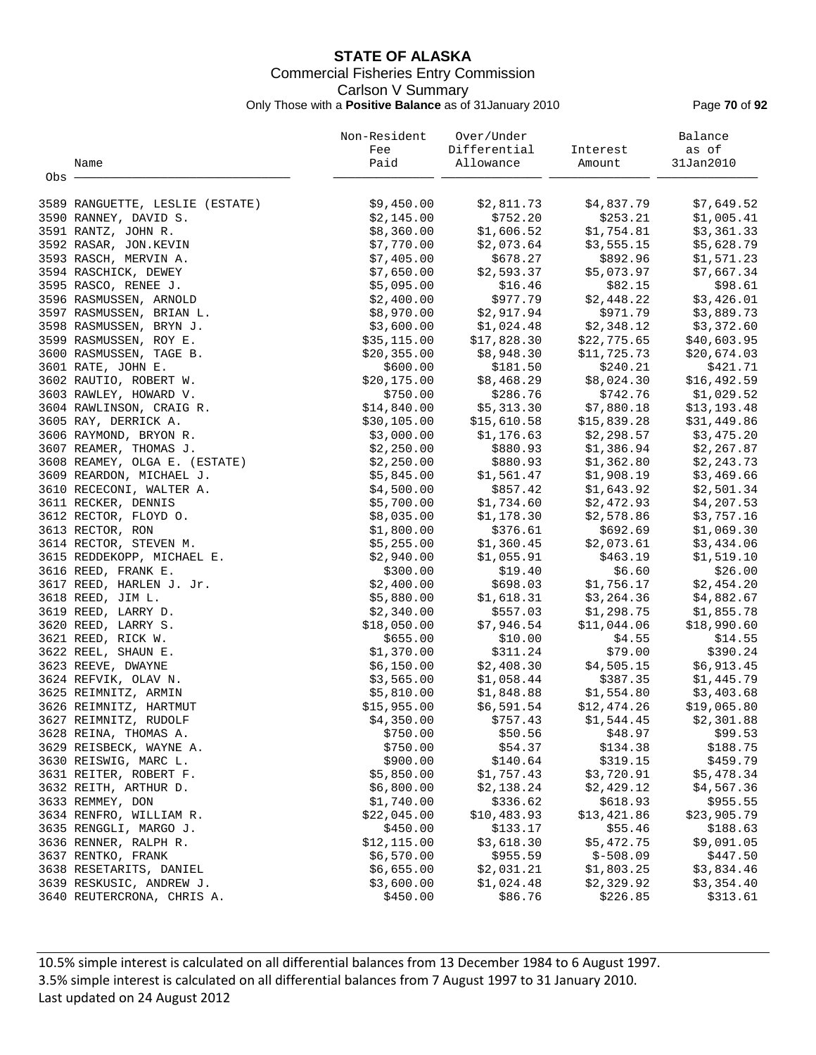## **STATE OF ALASKA** Commercial Fisheries Entry Commission Carlson V Summary Only Those with a **Positive Balance** as of 31January 2010 Page **70** of **92**

|       |                                 | Non-Resident | Over/Under               |                     | Balance     |
|-------|---------------------------------|--------------|--------------------------|---------------------|-------------|
|       |                                 | Fee          | Differential             | Interest            | as of       |
|       | Name                            | Paid         | Allowance                | Amount              | 31Jan2010   |
| Obs - |                                 |              |                          |                     |             |
|       | 3589 RANGUETTE, LESLIE (ESTATE) | \$9,450.00   | \$2,811.73               | \$4,837.79          | \$7,649.52  |
|       | 3590 RANNEY, DAVID S.           | \$2,145.00   | \$752.20                 | \$253.21            | \$1,005.41  |
|       | 3591 RANTZ, JOHN R.             | \$8,360.00   | \$1,606.52               | \$1,754.81          | \$3,361.33  |
|       | 3592 RASAR, JON.KEVIN           | \$7,770.00   | \$2,073.64               | \$3,555.15          | \$5,628.79  |
|       | 3593 RASCH, MERVIN A.           | \$7,405.00   | \$678.27                 | \$892.96            | \$1,571.23  |
|       | 3594 RASCHICK, DEWEY            | \$7,650.00   | \$2,593.37               | \$5,073.97          | \$7,667.34  |
|       | 3595 RASCO, RENEE J.            | \$5,095.00   | \$16.46                  | \$82.15             | \$98.61     |
|       | 3596 RASMUSSEN, ARNOLD          | \$2,400.00   | \$977.79                 | \$2,448.22          | \$3,426.01  |
|       | 3597 RASMUSSEN, BRIAN L.        | \$8,970.00   | \$2,917.94               | \$971.79            | \$3,889.73  |
|       | 3598 RASMUSSEN, BRYN J.         | \$3,600.00   | \$1,024.48               | \$2,348.12          | \$3,372.60  |
|       | 3599 RASMUSSEN, ROY E.          | \$35,115.00  | \$17,828.30              | \$22,775.65         | \$40,603.95 |
|       | 3600 RASMUSSEN, TAGE B.         | \$20,355.00  | \$8,948.30               | \$11,725.73         | \$20,674.03 |
|       | 3601 RATE, JOHN E.              | \$600.00     | \$181.50                 | \$240.21            | \$421.71    |
|       | 3602 RAUTIO, ROBERT W.          | \$20,175.00  | \$8,468.29               | \$8,024.30          | \$16,492.59 |
|       | 3603 RAWLEY, HOWARD V.          | \$750.00     | \$286.76                 | \$742.76            | \$1,029.52  |
|       | 3604 RAWLINSON, CRAIG R.        | \$14,840.00  | \$5,313.30               | \$7,880.18          | \$13,193.48 |
|       | 3605 RAY, DERRICK A.            | \$30,105.00  | \$15,610.58              | \$15,839.28         | \$31,449.86 |
|       | 3606 RAYMOND, BRYON R.          | \$3,000.00   | \$1,176.63               | \$2,298.57          | \$3,475.20  |
|       | 3607 REAMER, THOMAS J.          | \$2,250.00   | \$880.93                 | \$1,386.94          | \$2,267.87  |
|       | 3608 REAMEY, OLGA E. (ESTATE)   | \$2,250.00   |                          | \$880.93 \$1,362.80 | \$2,243.73  |
|       | 3609 REARDON, MICHAEL J.        | \$5,845.00   | \$1,561.47               | \$1,908.19          | \$3,469.66  |
|       | 3610 RECECONI, WALTER A.        | \$4,500.00   | \$857.42                 | \$1,643.92          | \$2,501.34  |
|       | 3611 RECKER, DENNIS             | \$5,700.00   | \$1,734.60               | \$2,472.93          | \$4,207.53  |
|       | 3612 RECTOR, FLOYD O.           | \$8,035.00   | \$1,178.30               | \$2,578.86          | \$3,757.16  |
|       | 3613 RECTOR, RON                | \$1,800.00   | \$376.61                 | \$692.69            | \$1,069.30  |
|       | 3614 RECTOR, STEVEN M.          | \$5,255.00   | \$1,360.45               | \$2,073.61          | \$3,434.06  |
|       | 3615 REDDEKOPP, MICHAEL E.      | \$2,940.00   | \$1,055.91               | \$463.19            | \$1,519.10  |
|       | 3616 REED, FRANK E.             | \$300.00     | \$19.40                  | \$6.60              | \$26.00     |
|       | 3617 REED, HARLEN J. Jr.        | \$2,400.00   | \$698.03                 | \$1,756.17          | \$2,454.20  |
|       | 3618 REED, JIM L.               | \$5,880.00   | \$1,618.31               | \$3,264.36          | \$4,882.67  |
|       | 3619 REED, LARRY D.             | \$2,340.00   | \$557.03                 | \$1,298.75          | \$1,855.78  |
|       | 3620 REED, LARRY S.             | \$18,050.00  | \$7,946.54               | \$11,044.06         | \$18,990.60 |
|       | 3621 REED, RICK W.              | \$655.00     | \$10.00                  | \$4.55              | \$14.55     |
|       |                                 | \$1,370.00   | \$311.24                 | \$79.00             | \$390.24    |
|       | 3622 REEL, SHAUN E.             |              |                          |                     |             |
|       | 3623 REEVE, DWAYNE              | \$6,150.00   | \$2,408.30<br>\$1,058.44 | \$4,505.15          | \$6,913.45  |
|       | 3624 REFVIK, OLAV N.            | \$3,565.00   | \$1,848.88               | \$387.35            | \$1,445.79  |
|       | 3625 REIMNITZ, ARMIN            | \$5,810.00   |                          | \$1,554.80          | \$3,403.68  |
|       | 3626 REIMNITZ, HARTMUT          | \$15,955.00  | \$6,591.54               | \$12,474.26         | \$19,065.80 |
|       | 3627 REIMNITZ, RUDOLF           | \$4,350.00   | \$757.43                 | \$1,544.45          | \$2,301.88  |
|       | 3628 REINA, THOMAS A.           | \$750.00     | \$50.56                  | \$48.97             | \$99.53     |
|       | 3629 REISBECK, WAYNE A.         | \$750.00     | \$54.37                  | \$134.38            | \$188.75    |
|       | 3630 REISWIG, MARC L.           | \$900.00     | \$140.64                 | \$319.15            | \$459.79    |
|       | 3631 REITER, ROBERT F.          | \$5,850.00   | \$1,757.43               | \$3,720.91          | \$5,478.34  |
|       | 3632 REITH, ARTHUR D.           | \$6,800.00   | \$2,138.24               | \$2,429.12          | \$4,567.36  |
|       | 3633 REMMEY, DON                | \$1,740.00   | \$336.62                 | \$618.93            | \$955.55    |
|       | 3634 RENFRO, WILLIAM R.         | \$22,045.00  | \$10,483.93              | \$13,421.86         | \$23,905.79 |
|       | 3635 RENGGLI, MARGO J.          | \$450.00     | \$133.17                 | \$55.46             | \$188.63    |
|       | 3636 RENNER, RALPH R.           | \$12, 115.00 | \$3,618.30               | \$5,472.75          | \$9,091.05  |
|       | 3637 RENTKO, FRANK              | \$6,570.00   | \$955.59                 | $$-508.09$          | \$447.50    |
|       | 3638 RESETARITS, DANIEL         | \$6,655.00   | \$2,031.21               | \$1,803.25          | \$3,834.46  |
|       | 3639 RESKUSIC, ANDREW J.        | \$3,600.00   | \$1,024.48               | \$2,329.92          | \$3,354.40  |
|       | 3640 REUTERCRONA, CHRIS A.      | \$450.00     | \$86.76                  | \$226.85            | \$313.61    |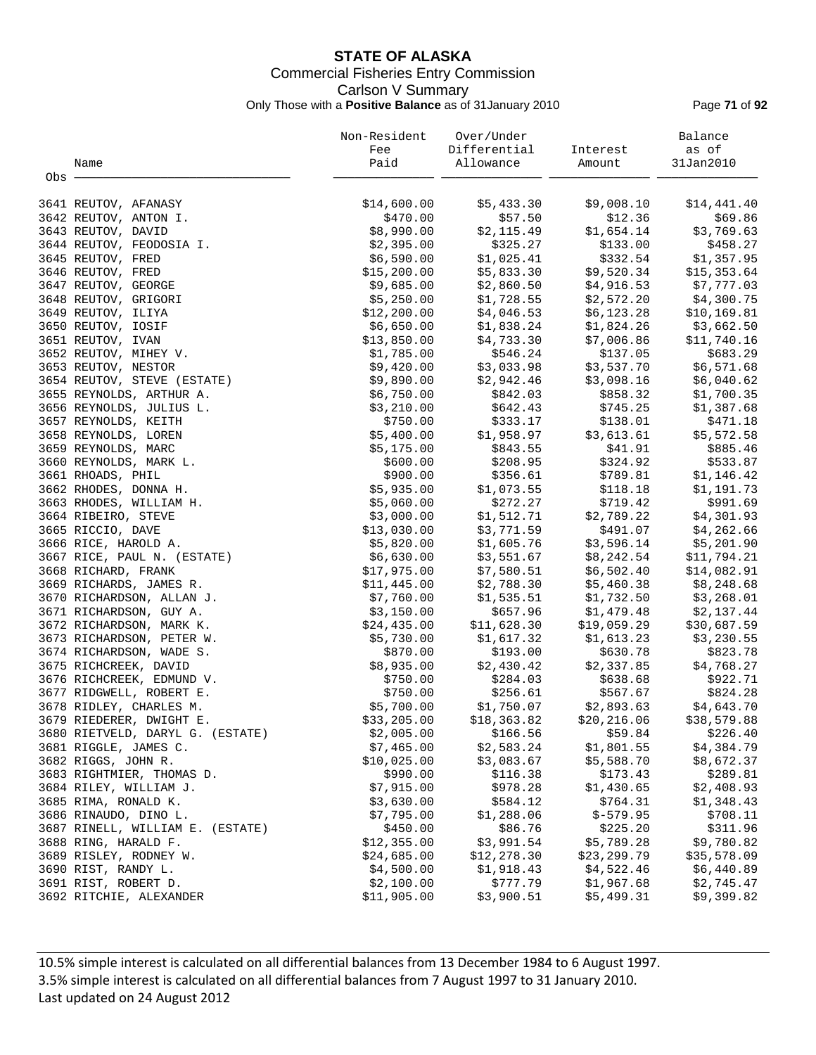## **STATE OF ALASKA** Commercial Fisheries Entry Commission Carlson V Summary Only Those with a **Positive Balance** as of 31January 2010 Page **71** of **92**

|       |                                  | Non-Resident | Over/Under   |              | Balance      |
|-------|----------------------------------|--------------|--------------|--------------|--------------|
|       |                                  | Fee          | Differential | Interest     | as of        |
|       | Name                             | Paid         | Allowance    | Amount       | 31Jan2010    |
| Obs - |                                  |              |              |              |              |
|       |                                  |              |              |              |              |
|       | 3641 REUTOV, AFANASY             | \$14,600.00  | \$5,433.30   | \$9,008.10   | \$14,441.40  |
|       | 3642 REUTOV, ANTON I.            | \$470.00     | \$57.50      | \$12.36      | \$69.86      |
|       | 3643 REUTOV, DAVID               | \$8,990.00   | \$2,115.49   | \$1,654.14   | \$3,769.63   |
|       | 3644 REUTOV, FEODOSIA I.         | \$2,395.00   | \$325.27     | \$133.00     | \$458.27     |
|       | 3645 REUTOV, FRED                | \$6,590.00   | \$1,025.41   | \$332.54     | \$1,357.95   |
|       | 3646 REUTOV, FRED                | \$15,200.00  | \$5,833.30   | \$9,520.34   | \$15,353.64  |
|       | 3647 REUTOV, GEORGE              | \$9,685.00   | \$2,860.50   | \$4,916.53   | \$7,777.03   |
|       | 3648 REUTOV, GRIGORI             | \$5,250.00   | \$1,728.55   | \$2,572.20   | \$4,300.75   |
|       | 3649 REUTOV, ILIYA               | \$12,200.00  | \$4,046.53   | \$6,123.28   | \$10, 169.81 |
|       | 3650 REUTOV, IOSIF               | \$6,650.00   | \$1,838.24   | \$1,824.26   | \$3,662.50   |
|       |                                  | \$13,850.00  |              | \$7,006.86   |              |
|       | 3651 REUTOV, IVAN                |              | \$4,733.30   |              | \$11,740.16  |
|       | 3652 REUTOV, MIHEY V.            | \$1,785.00   | \$546.24     | \$137.05     | \$683.29     |
|       | 3653 REUTOV, NESTOR              | \$9,420.00   | \$3,033.98   | \$3,537.70   | \$6,571.68   |
|       | 3654 REUTOV, STEVE (ESTATE)      | \$9,890.00   | \$2,942.46   | \$3,098.16   | \$6,040.62   |
|       | 3655 REYNOLDS, ARTHUR A.         | \$6,750.00   | \$842.03     | \$858.32     | \$1,700.35   |
|       | 3656 REYNOLDS, JULIUS L.         | \$3,210.00   | \$642.43     | \$745.25     | \$1,387.68   |
|       | 3657 REYNOLDS, KEITH             | \$750.00     | \$333.17     | \$138.01     | \$471.18     |
|       | 3658 REYNOLDS, LOREN             | \$5,400.00   | \$1,958.97   | \$3,613.61   | \$5,572.58   |
|       | 3659 REYNOLDS, MARC              | \$5,175.00   | \$843.55     | \$41.91      | \$885.46     |
|       | 3660 REYNOLDS, MARK L.           | \$600.00     | \$208.95     | \$324.92     | \$533.87     |
|       | 3661 RHOADS, PHIL                | \$900.00     | \$356.61     | \$789.81     | \$1,146.42   |
|       | 3662 RHODES, DONNA H.            | \$5,935.00   | \$1,073.55   | \$118.18     | \$1,191.73   |
|       | 3663 RHODES, WILLIAM H.          | \$5,060.00   | \$272.27     | \$719.42     | \$991.69     |
|       | 3664 RIBEIRO, STEVE              | \$3,000.00   | \$1,512.71   | \$2,789.22   | \$4,301.93   |
|       | 3665 RICCIO, DAVE                | \$13,030.00  | \$3,771.59   | \$491.07     | \$4,262.66   |
|       | 3666 RICE, HAROLD A.             | \$5,820.00   | \$1,605.76   | \$3,596.14   | \$5,201.90   |
|       | 3667 RICE, PAUL N. (ESTATE)      | \$6,630.00   | \$3,551.67   | \$8,242.54   | \$11,794.21  |
|       | 3668 RICHARD, FRANK              | \$17,975.00  | \$7,580.51   | \$6,502.40   | \$14,082.91  |
|       | 3669 RICHARDS, JAMES R.          | \$11,445.00  | \$2,788.30   | \$5,460.38   | \$8,248.68   |
|       | 3670 RICHARDSON, ALLAN J.        | \$7,760.00   | \$1,535.51   | \$1,732.50   | \$3,268.01   |
|       | 3671 RICHARDSON, GUY A.          | \$3,150.00   | \$657.96     | \$1,479.48   | \$2,137.44   |
|       | 3672 RICHARDSON, MARK K.         | \$24,435.00  | \$11,628.30  | \$19,059.29  | \$30,687.59  |
|       | 3673 RICHARDSON, PETER W.        | \$5,730.00   | \$1,617.32   | \$1,613.23   | \$3,230.55   |
|       | 3674 RICHARDSON, WADE S.         | \$870.00     | \$193.00     | \$630.78     | \$823.78     |
|       | 3675 RICHCREEK, DAVID            | \$8,935.00   | \$2,430.42   | \$2,337.85   | \$4,768.27   |
|       | 3676 RICHCREEK, EDMUND V.        | \$750.00     | \$284.03     | \$638.68     | \$922.71     |
|       | 3677 RIDGWELL, ROBERT E.         | \$750.00     | \$256.61     | \$567.67     | \$824.28     |
|       | 3678 RIDLEY, CHARLES M.          | \$5,700.00   | \$1,750.07   | \$2,893.63   | \$4,643.70   |
|       | 3679 RIEDERER, DWIGHT E.         | \$33,205.00  | \$18, 363.82 | \$20, 216.06 | \$38,579.88  |
|       | 3680 RIETVELD, DARYL G. (ESTATE) | \$2,005.00   | \$166.56     | \$59.84      | \$226.40     |
|       | 3681 RIGGLE, JAMES C.            | \$7,465.00   | \$2,583.24   | \$1,801.55   | \$4,384.79   |
|       | 3682 RIGGS, JOHN R.              | \$10,025.00  | \$3,083.67   | \$5,588.70   | \$8,672.37   |
|       | 3683 RIGHTMIER, THOMAS D.        | \$990.00     | \$116.38     | \$173.43     | \$289.81     |
|       | 3684 RILEY, WILLIAM J.           | \$7,915.00   | \$978.28     | \$1,430.65   | \$2,408.93   |
|       | 3685 RIMA, RONALD K.             | \$3,630.00   | \$584.12     | \$764.31     | \$1,348.43   |
|       | 3686 RINAUDO, DINO L.            | \$7,795.00   | \$1,288.06   | $$-579.95$   | \$708.11     |
|       | 3687 RINELL, WILLIAM E. (ESTATE) | \$450.00     | \$86.76      | \$225.20     | \$311.96     |
|       | 3688 RING, HARALD F.             | \$12,355.00  | \$3,991.54   | \$5,789.28   | \$9,780.82   |
|       | 3689 RISLEY, RODNEY W.           | \$24,685.00  | \$12, 278.30 | \$23, 299.79 | \$35,578.09  |
|       | 3690 RIST, RANDY L.              | \$4,500.00   | \$1,918.43   | \$4,522.46   | \$6,440.89   |
|       | 3691 RIST, ROBERT D.             | \$2,100.00   | \$777.79     | \$1,967.68   | \$2,745.47   |
|       | 3692 RITCHIE, ALEXANDER          | \$11,905.00  | \$3,900.51   | \$5,499.31   | \$9,399.82   |
|       |                                  |              |              |              |              |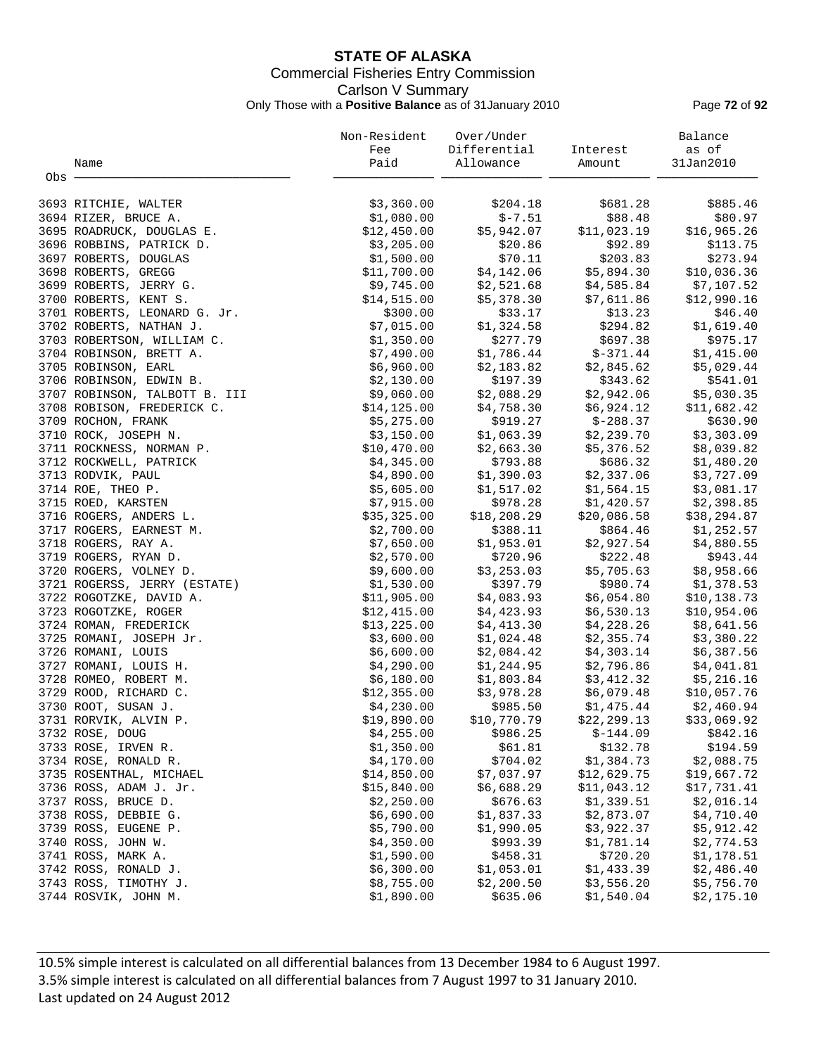## **STATE OF ALASKA** Commercial Fisheries Entry Commission Carlson V Summary Only Those with a **Positive Balance** as of 31January 2010 Page **72** of **92**

|         |                                          | Non-Resident | Over/Under   |              | Balance     |
|---------|------------------------------------------|--------------|--------------|--------------|-------------|
|         |                                          | Fee          | Differential | Interest     | as of       |
|         | Name                                     | Paid         | Allowance    | Amount       | 31Jan2010   |
| $Obs$ . |                                          |              |              |              |             |
|         |                                          |              |              |              |             |
|         | 3693 RITCHIE, WALTER                     | \$3,360.00   | \$204.18     | \$681.28     | \$885.46    |
|         | 3694 RIZER, BRUCE A.                     | \$1,080.00   | $$-7.51$     | \$88.48      | \$80.97     |
|         | 3695 ROADRUCK, DOUGLAS E.                | \$12,450.00  | \$5,942.07   | \$11,023.19  | \$16,965.26 |
|         | 3696 ROBBINS, PATRICK D.                 | \$3,205.00   | \$20.86      | \$92.89      | \$113.75    |
|         | 3697 ROBERTS, DOUGLAS                    | \$1,500.00   | \$70.11      | \$203.83     | \$273.94    |
|         | 3698 ROBERTS, GREGG                      | \$11,700.00  | \$4,142.06   | \$5,894.30   | \$10,036.36 |
|         | 3699 ROBERTS, JERRY G.                   | \$9,745.00   | \$2,521.68   | \$4,585.84   | \$7,107.52  |
|         | 3700 ROBERTS, KENT S.                    | \$14,515.00  | \$5,378.30   | \$7,611.86   | \$12,990.16 |
|         | 3701 ROBERTS, LEONARD G. Jr.             | \$300.00     | \$33.17      | \$13.23      | \$46.40     |
|         | 3702 ROBERTS, NATHAN J.                  | \$7,015.00   | \$1,324.58   | \$294.82     | \$1,619.40  |
|         | 3703 ROBERTSON, WILLIAM C.               | \$1,350.00   | \$277.79     | \$697.38     | \$975.17    |
|         | 3704 ROBINSON, BRETT A.                  | \$7,490.00   | \$1,786.44   | $$-371.44$   | \$1,415.00  |
|         | 3705 ROBINSON, EARL                      | \$6,960.00   | \$2,183.82   | \$2,845.62   | \$5,029.44  |
|         | 3706 ROBINSON, EDWIN B.                  | \$2,130.00   | \$197.39     | \$343.62     | \$541.01    |
|         | 3707 ROBINSON, TALBOTT B. III            | \$9,060.00   | \$2,088.29   | \$2,942.06   | \$5,030.35  |
|         | 3708 ROBISON, FREDERICK C.               | \$14, 125.00 | \$4,758.30   | \$6,924.12   | \$11,682.42 |
|         | 3709 ROCHON, FRANK                       | \$5,275.00   | \$919.27     | $$-288.37$   | \$630.90    |
|         | 3710 ROCK, JOSEPH N.                     | \$3,150.00   | \$1,063.39   | \$2,239.70   | \$3,303.09  |
|         | 3711 ROCKNESS, NORMAN P.                 | \$10,470.00  | \$2,663.30   | \$5,376.52   | \$8,039.82  |
|         | 3712 ROCKWELL, PATRICK                   | \$4,345.00   | \$793.88     | \$686.32     | \$1,480.20  |
|         | 3713 RODVIK, PAUL                        | \$4,890.00   | \$1,390.03   | \$2,337.06   | \$3,727.09  |
|         | 3714 ROE, THEO P.                        | \$5,605.00   | \$1,517.02   | \$1,564.15   | \$3,081.17  |
|         | 3715 ROED, KARSTEN                       | \$7,915.00   | \$978.28     | \$1,420.57   | \$2,398.85  |
|         | 3716 ROGERS, ANDERS L.                   | \$35,325.00  | \$18,208.29  | \$20,086.58  | \$38,294.87 |
|         | 3717 ROGERS, EARNEST M.                  | \$2,700.00   | \$388.11     | \$864.46     | \$1,252.57  |
|         | 3718 ROGERS, RAY A.                      | \$7,650.00   | \$1,953.01   | \$2,927.54   | \$4,880.55  |
|         | 3719 ROGERS, RYAN D.                     | \$2,570.00   | \$720.96     | \$222.48     | \$943.44    |
|         | 3720 ROGERS, VOLNEY D.                   | \$9,600.00   | \$3,253.03   | \$5,705.63   | \$8,958.66  |
|         | 3721 ROGERSS, JERRY (ESTATE)             | \$1,530.00   | \$397.79     | \$980.74     | \$1,378.53  |
|         | 3722 ROGOTZKE, DAVID A.                  | \$11,905.00  | \$4,083.93   | \$6,054.80   | \$10,138.73 |
|         | 3723 ROGOTZKE, ROGER                     | \$12,415.00  | \$4,423.93   | \$6,530.13   | \$10,954.06 |
|         | 3724 ROMAN, FREDERICK                    | \$13,225.00  | \$4,413.30   | \$4,228.26   | \$8,641.56  |
|         | 3725 ROMANI, JOSEPH Jr.                  | \$3,600.00   | \$1,024.48   | \$2,355.74   | \$3,380.22  |
|         | 3726 ROMANI, LOUIS                       | \$6,600.00   | \$2,084.42   | \$4,303.14   | \$6,387.56  |
|         | 3727 ROMANI, LOUIS H.                    | \$4,290.00   | \$1,244.95   | \$2,796.86   | \$4,041.81  |
|         | 3728 ROMEO, ROBERT M.                    | \$6,180.00   | \$1,803.84   | \$3,412.32   | \$5,216.16  |
|         | 3729 ROOD, RICHARD C.                    | \$12,355.00  | \$3,978.28   | \$6,079.48   | \$10,057.76 |
|         | 3730 ROOT, SUSAN J.                      | \$4,230.00   | \$985.50     | \$1,475.44   | \$2,460.94  |
|         | 3731 RORVIK, ALVIN P.                    | \$19,890.00  | \$10,770.79  | \$22, 299.13 | \$33,069.92 |
|         | 3732 ROSE, DOUG                          | \$4,255.00   | \$986.25     | $$-144.09$   | \$842.16    |
|         | 3733 ROSE, IRVEN R.                      | \$1,350.00   | \$61.81      | \$132.78     | \$194.59    |
|         | 3734 ROSE, RONALD R.                     | \$4,170.00   | \$704.02     | \$1,384.73   | \$2,088.75  |
|         | 3735 ROSENTHAL, MICHAEL                  | \$14,850.00  | \$7,037.97   | \$12,629.75  | \$19,667.72 |
|         | 3736 ROSS, ADAM J. Jr.                   | \$15,840.00  | \$6,688.29   | \$11,043.12  | \$17,731.41 |
|         | 3737 ROSS, BRUCE D.                      | \$2,250.00   | \$676.63     | \$1,339.51   | \$2,016.14  |
|         | 3738 ROSS, DEBBIE G.                     | \$6,690.00   | \$1,837.33   | \$2,873.07   | \$4,710.40  |
|         | 3739 ROSS, EUGENE P.                     | \$5,790.00   | \$1,990.05   | \$3,922.37   | \$5,912.42  |
|         |                                          | \$4,350.00   | \$993.39     | \$1,781.14   | \$2,774.53  |
|         | 3740 ROSS, JOHN W.<br>3741 ROSS, MARK A. | \$1,590.00   | \$458.31     | \$720.20     | \$1,178.51  |
|         | 3742 ROSS, RONALD J.                     | \$6,300.00   | \$1,053.01   | \$1,433.39   | \$2,486.40  |
|         | 3743 ROSS, TIMOTHY J.                    | \$8,755.00   | \$2,200.50   | \$3,556.20   | \$5,756.70  |
|         |                                          |              |              |              |             |
|         | 3744 ROSVIK, JOHN M.                     | \$1,890.00   | \$635.06     | \$1,540.04   | \$2,175.10  |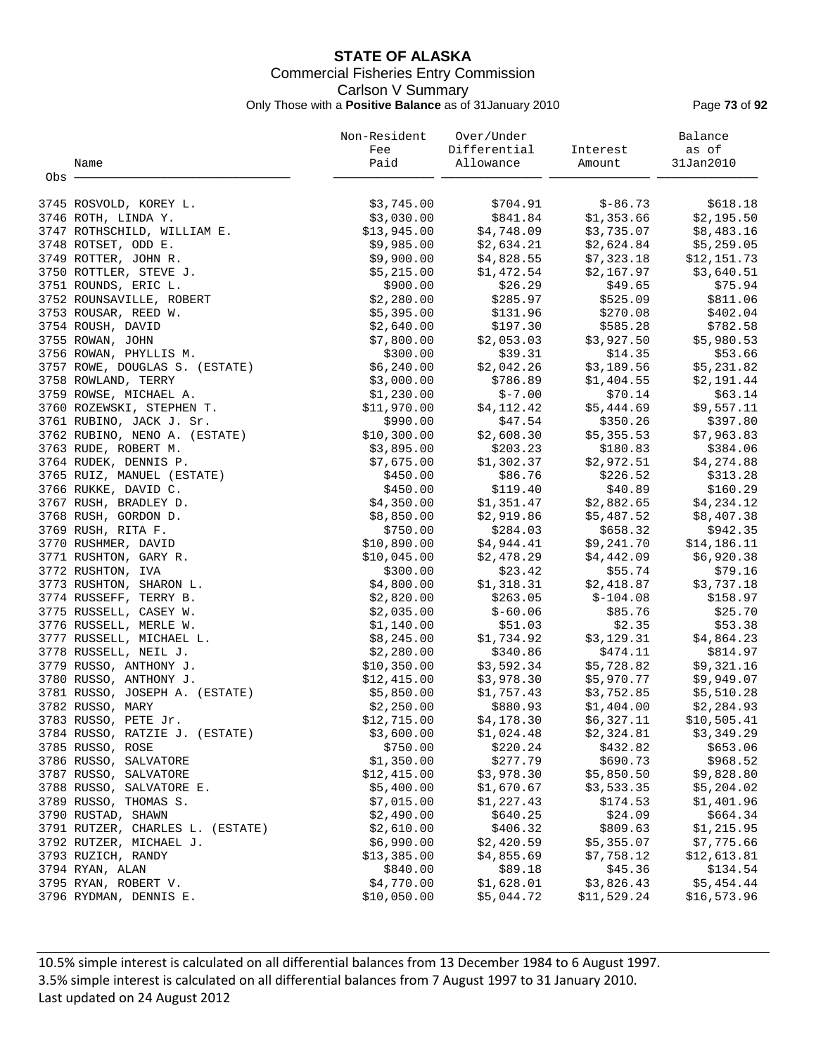# **STATE OF ALASKA** Commercial Fisheries Entry Commission Carlson V Summary Only Those with a **Positive Balance** as of 31January 2010 Page **73** of **92**

| Differential<br>Fee<br>Interest<br>Paid<br>Allowance<br>Name<br>Amount<br>Obs -<br>\$3,745.00<br>\$704.91<br>$$ -86.73$<br>3745 ROSVOLD, KOREY L.<br>\$3,030.00<br>\$841.84<br>\$1,353.66<br>3746 ROTH, LINDA Y.<br>\$13,945.00<br>\$4,748.09<br>\$3,735.07<br>3747 ROTHSCHILD, WILLIAM E.<br>\$2,634.21<br>\$2,624.84<br>3748 ROTSET, ODD E.<br>\$9,985.00 | as of<br>31Jan2010<br>\$618.18<br>\$2,195.50<br>\$8,483.16<br>\$5,259.05 |
|-------------------------------------------------------------------------------------------------------------------------------------------------------------------------------------------------------------------------------------------------------------------------------------------------------------------------------------------------------------|--------------------------------------------------------------------------|
|                                                                                                                                                                                                                                                                                                                                                             |                                                                          |
|                                                                                                                                                                                                                                                                                                                                                             |                                                                          |
|                                                                                                                                                                                                                                                                                                                                                             |                                                                          |
|                                                                                                                                                                                                                                                                                                                                                             |                                                                          |
|                                                                                                                                                                                                                                                                                                                                                             |                                                                          |
|                                                                                                                                                                                                                                                                                                                                                             |                                                                          |
|                                                                                                                                                                                                                                                                                                                                                             |                                                                          |
| 3749 ROTTER, JOHN R.<br>\$9,900.00<br>\$4,828.55<br>\$7,323.18                                                                                                                                                                                                                                                                                              | \$12,151.73                                                              |
| 3750 ROTTLER, STEVE J.<br>\$5,215.00<br>\$1,472.54<br>\$2,167.97                                                                                                                                                                                                                                                                                            | \$3,640.51                                                               |
| 3751 ROUNDS, ERIC L.<br>\$900.00<br>\$26.29<br>\$49.65                                                                                                                                                                                                                                                                                                      | \$75.94                                                                  |
| \$285.97<br>\$525.09<br>3752 ROUNSAVILLE, ROBERT<br>\$2,280.00                                                                                                                                                                                                                                                                                              | \$811.06                                                                 |
| 3753 ROUSAR, REED W.<br>\$5,395.00<br>\$131.96<br>\$270.08                                                                                                                                                                                                                                                                                                  | \$402.04                                                                 |
| \$585.28<br>3754 ROUSH, DAVID<br>\$2,640.00<br>\$197.30                                                                                                                                                                                                                                                                                                     | \$782.58                                                                 |
| \$3,927.50<br>\$2,053.03<br>3755 ROWAN, JOHN<br>\$7,800.00                                                                                                                                                                                                                                                                                                  | \$5,980.53                                                               |
| \$300.00<br>\$39.31<br>\$14.35<br>3756 ROWAN, PHYLLIS M.                                                                                                                                                                                                                                                                                                    | \$53.66                                                                  |
| \$6,240.00<br>\$2,042.26<br>\$3,189.56<br>3757 ROWE, DOUGLAS S. (ESTATE)                                                                                                                                                                                                                                                                                    | \$5,231.82                                                               |
| \$3,000.00<br>\$786.89<br>\$1,404.55                                                                                                                                                                                                                                                                                                                        | \$2,191.44                                                               |
| 3758 ROWLAND, TERRY<br>$$ -7.00$<br>\$1,230.00<br>\$70.14                                                                                                                                                                                                                                                                                                   | \$63.14                                                                  |
| 3759 ROWSE, MICHAEL A.<br>\$11,970.00<br>\$4,112.42<br>\$5,444.69<br>3760 ROZEWSKI, STEPHEN T.                                                                                                                                                                                                                                                              | \$9,557.11                                                               |
| \$350.26                                                                                                                                                                                                                                                                                                                                                    |                                                                          |
| 3761 RUBINO, JACK J. Sr.<br>\$990.00<br>\$47.54                                                                                                                                                                                                                                                                                                             | \$397.80                                                                 |
| \$2,608.30<br>\$5,355.53<br>3762 RUBINO, NENO A. (ESTATE)<br>\$10,300.00                                                                                                                                                                                                                                                                                    | \$7,963.83                                                               |
| 3763 RUDE, ROBERT M.<br>\$3,895.00<br>\$203.23<br>\$180.83                                                                                                                                                                                                                                                                                                  | \$384.06                                                                 |
| \$1,302.37<br>\$2,972.51<br>3764 RUDEK, DENNIS P.<br>\$7,675.00                                                                                                                                                                                                                                                                                             | \$4,274.88                                                               |
| \$86.76<br>\$226.52<br>3765 RUIZ, MANUEL (ESTATE)<br>\$450.00                                                                                                                                                                                                                                                                                               | \$313.28                                                                 |
| \$40.89<br>\$450.00<br>\$119.40<br>3766 RUKKE, DAVID C.                                                                                                                                                                                                                                                                                                     | \$160.29                                                                 |
| \$4,350.00<br>\$1,351.47<br>\$2,882.65<br>3767 RUSH, BRADLEY D.                                                                                                                                                                                                                                                                                             | \$4,234.12                                                               |
| \$8,850.00<br>\$2,919.86<br>\$5,487.52<br>3768 RUSH, GORDON D.                                                                                                                                                                                                                                                                                              | \$8,407.38                                                               |
| \$284.03<br>\$750.00<br>\$658.32<br>3769 RUSH, RITA F.                                                                                                                                                                                                                                                                                                      | \$942.35                                                                 |
| \$10,890.00<br>\$4,944.41<br>\$9,241.70<br>3770 RUSHMER, DAVID                                                                                                                                                                                                                                                                                              | \$14,186.11                                                              |
| \$2,478.29<br>\$4,442.09<br>\$10,045.00<br>3771 RUSHTON, GARY R.                                                                                                                                                                                                                                                                                            | \$6,920.38                                                               |
| \$300.00<br>\$23.42<br>\$55.74<br>3772 RUSHTON, IVA                                                                                                                                                                                                                                                                                                         | \$79.16                                                                  |
| \$1,318.31<br>\$2,418.87<br>3773 RUSHTON, SHARON L.<br>\$4,800.00                                                                                                                                                                                                                                                                                           | \$3,737.18                                                               |
| 3774 RUSSEFF, TERRY B.<br>\$263.05<br>\$2,820.00<br>\$-104.08                                                                                                                                                                                                                                                                                               | \$158.97                                                                 |
| $$-60.06$<br>\$85.76<br>3775 RUSSELL, CASEY W.<br>\$2,035.00                                                                                                                                                                                                                                                                                                | \$25.70                                                                  |
| \$2.35<br>3776 RUSSELL, MERLE W.<br>\$1,140.00<br>\$51.03                                                                                                                                                                                                                                                                                                   | \$53.38                                                                  |
| \$3,129.31<br>3777 RUSSELL, MICHAEL L.<br>\$8,245.00<br>\$1,734.92                                                                                                                                                                                                                                                                                          | \$4,864.23                                                               |
| \$340.86<br>\$474.11<br>3778 RUSSELL, NEIL J.<br>\$2,280.00                                                                                                                                                                                                                                                                                                 | \$814.97                                                                 |
| \$3,592.34<br>\$5,728.82<br>3779 RUSSO, ANTHONY J.<br>\$10,350.00                                                                                                                                                                                                                                                                                           | \$9,321.16                                                               |
| \$3,978.30<br>3780 RUSSO, ANTHONY J.<br>\$12,415.00<br>\$5,970.77                                                                                                                                                                                                                                                                                           | \$9,949.07                                                               |
| 3781 RUSSO, JOSEPH A. (ESTATE)<br>\$5,850.00<br>\$1,757.43<br>\$3,752.85                                                                                                                                                                                                                                                                                    | \$5,510.28                                                               |
| 3782 RUSSO, MARY<br>\$880.93<br>\$2,250.00<br>\$1,404.00                                                                                                                                                                                                                                                                                                    | \$2,284.93                                                               |
| 3783 RUSSO, PETE Jr.<br>\$4,178.30<br>\$12,715.00<br>\$6,327.11                                                                                                                                                                                                                                                                                             | \$10,505.41                                                              |
| \$3,600.00<br>\$1,024.48<br>\$2,324.81<br>3784 RUSSO, RATZIE J. (ESTATE)                                                                                                                                                                                                                                                                                    | \$3,349.29                                                               |
| \$220.24<br>3785 RUSSO, ROSE<br>\$750.00<br>\$432.82                                                                                                                                                                                                                                                                                                        | \$653.06                                                                 |
| \$1,350.00<br>\$277.79<br>\$690.73<br>3786 RUSSO, SALVATORE                                                                                                                                                                                                                                                                                                 | \$968.52                                                                 |
| 3787 RUSSO, SALVATORE<br>\$12,415.00<br>\$3,978.30<br>\$5,850.50                                                                                                                                                                                                                                                                                            | \$9,828.80                                                               |
| 3788 RUSSO, SALVATORE E.<br>\$5,400.00<br>\$1,670.67<br>\$3,533.35                                                                                                                                                                                                                                                                                          | \$5,204.02                                                               |
| 3789 RUSSO, THOMAS S.<br>\$7,015.00<br>\$1,227.43<br>\$174.53                                                                                                                                                                                                                                                                                               | \$1,401.96                                                               |
| \$640.25<br>\$24.09<br>3790 RUSTAD, SHAWN<br>\$2,490.00                                                                                                                                                                                                                                                                                                     | \$664.34                                                                 |
| 3791 RUTZER, CHARLES L. (ESTATE)<br>\$2,610.00<br>\$406.32<br>\$809.63                                                                                                                                                                                                                                                                                      | \$1,215.95                                                               |
| 3792 RUTZER, MICHAEL J.<br>\$6,990.00<br>\$2,420.59<br>\$5,355.07                                                                                                                                                                                                                                                                                           | \$7,775.66                                                               |
| 3793 RUZICH, RANDY<br>\$13,385.00<br>\$4,855.69<br>\$7,758.12                                                                                                                                                                                                                                                                                               | \$12,613.81                                                              |
| 3794 RYAN, ALAN<br>\$840.00<br>\$89.18<br>\$45.36                                                                                                                                                                                                                                                                                                           | \$134.54                                                                 |
| \$4,770.00<br>3795 RYAN, ROBERT V.<br>\$1,628.01<br>\$3,826.43                                                                                                                                                                                                                                                                                              | \$5,454.44                                                               |
| \$10,050.00<br>3796 RYDMAN, DENNIS E.<br>\$5,044.72<br>\$11,529.24                                                                                                                                                                                                                                                                                          | \$16,573.96                                                              |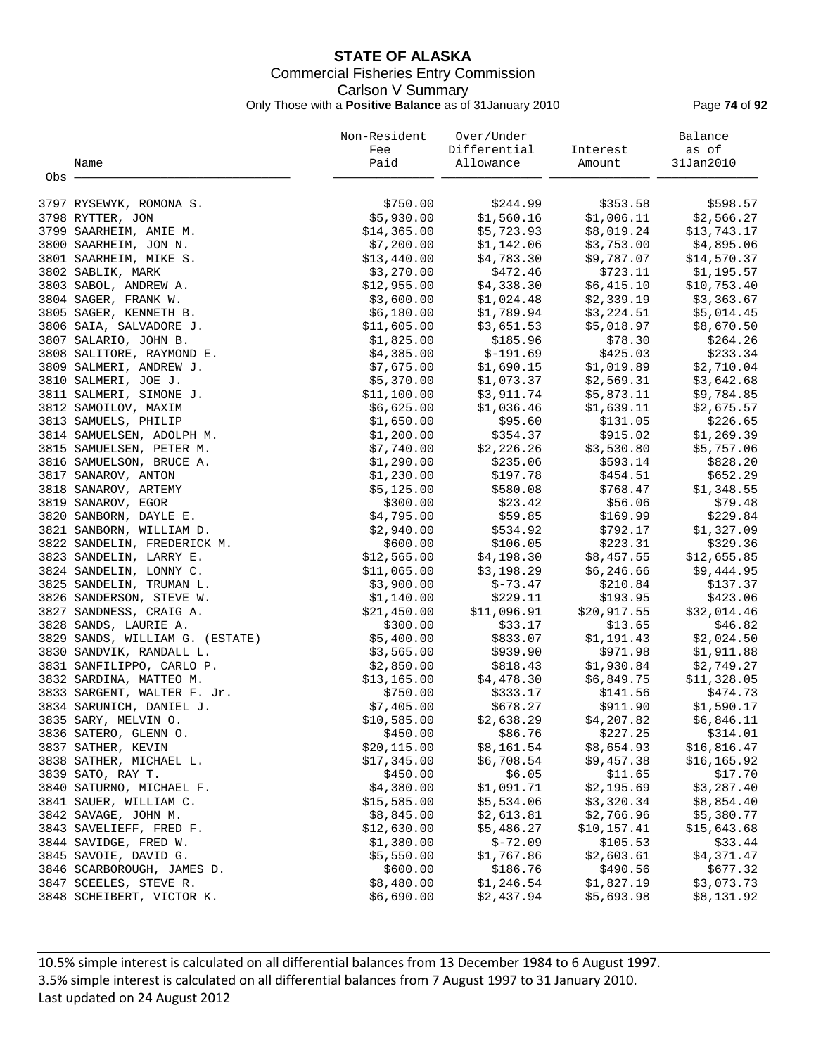# **STATE OF ALASKA** Commercial Fisheries Entry Commission Carlson V Summary Only Those with a **Positive Balance** as of 31January 2010 Page **74** of **92**

|       |                                 | Non-Resident<br>Fee | Over/Under<br>Differential | Interest     | Balance<br>as of       |
|-------|---------------------------------|---------------------|----------------------------|--------------|------------------------|
|       | Name                            | Paid                | Allowance                  | Amount       | 31Jan2010              |
| Obs - |                                 |                     |                            |              |                        |
|       |                                 |                     |                            |              |                        |
|       | 3797 RYSEWYK, ROMONA S.         | \$750.00            | \$244.99                   | \$353.58     | \$598.57               |
|       | 3798 RYTTER, JON                | \$5,930.00          | \$1,560.16                 | \$1,006.11   | \$2,566.27             |
|       | 3799 SAARHEIM, AMIE M.          | \$14,365.00         | \$5,723.93                 | \$8,019.24   | \$13,743.17            |
|       | 3800 SAARHEIM, JON N.           | \$7,200.00          | \$1,142.06                 | \$3,753.00   | \$4,895.06             |
|       | 3801 SAARHEIM, MIKE S.          | \$13,440.00         | \$4,783.30                 | \$9,787.07   | \$14,570.37            |
|       | 3802 SABLIK, MARK               | \$3,270.00          | \$472.46                   | \$723.11     | \$1,195.57             |
|       | 3803 SABOL, ANDREW A.           | \$12,955.00         | \$4,338.30                 | \$6,415.10   | \$10,753.40            |
|       | 3804 SAGER, FRANK W.            | \$3,600.00          | \$1,024.48                 | \$2,339.19   | \$3,363.67             |
|       | 3805 SAGER, KENNETH B.          | \$6,180.00          | \$1,789.94                 | \$3,224.51   | \$5,014.45             |
|       | 3806 SAIA, SALVADORE J.         | \$11,605.00         | \$3,651.53                 | \$5,018.97   | \$8,670.50             |
|       | 3807 SALARIO, JOHN B.           | \$1,825.00          | \$185.96                   | \$78.30      | \$264.26               |
|       | 3808 SALITORE, RAYMOND E.       | \$4,385.00          | $$-191.69$                 | \$425.03     | \$233.34               |
|       | 3809 SALMERI, ANDREW J.         | \$7,675.00          | \$1,690.15                 | \$1,019.89   | \$2,710.04             |
|       | 3810 SALMERI, JOE J.            | \$5,370.00          | \$1,073.37                 | \$2,569.31   | \$3,642.68             |
|       | 3811 SALMERI, SIMONE J.         | \$11,100.00         | \$3,911.74                 | \$5,873.11   | \$9,784.85             |
|       | 3812 SAMOILOV, MAXIM            | \$6,625.00          | \$1,036.46                 | \$1,639.11   |                        |
|       |                                 |                     | \$95.60                    | \$131.05     | \$2,675.57<br>\$226.65 |
|       | 3813 SAMUELS, PHILIP            | \$1,650.00          |                            |              |                        |
|       | 3814 SAMUELSEN, ADOLPH M.       | \$1,200.00          | \$354.37                   | \$915.02     | \$1,269.39             |
|       | 3815 SAMUELSEN, PETER M.        | \$7,740.00          | \$2,226.26                 | \$3,530.80   | \$5,757.06             |
|       | 3816 SAMUELSON, BRUCE A.        | \$1,290.00          | \$235.06                   | \$593.14     | \$828.20               |
|       | 3817 SANAROV, ANTON             | \$1,230.00          | \$197.78                   | \$454.51     | \$652.29               |
|       | 3818 SANAROV, ARTEMY            | \$5,125.00          | \$580.08                   | \$768.47     | \$1,348.55             |
|       | 3819 SANAROV, EGOR              | \$300.00            | \$23.42                    | \$56.06      | \$79.48                |
|       | 3820 SANBORN, DAYLE E.          | \$4,795.00          | \$59.85                    | \$169.99     | \$229.84               |
|       | 3821 SANBORN, WILLIAM D.        | \$2,940.00          | \$534.92                   | \$792.17     | \$1,327.09             |
|       | 3822 SANDELIN, FREDERICK M.     | \$600.00            | \$106.05                   | \$223.31     | \$329.36               |
|       | 3823 SANDELIN, LARRY E.         | \$12,565.00         | \$4,198.30                 | \$8,457.55   | \$12,655.85            |
|       | 3824 SANDELIN, LONNY C.         | \$11,065.00         | \$3,198.29                 | \$6,246.66   | \$9,444.95             |
|       | 3825 SANDELIN, TRUMAN L.        | \$3,900.00          | $$-73.47$                  | \$210.84     | \$137.37               |
|       | 3826 SANDERSON, STEVE W.        | \$1,140.00          | \$229.11                   | \$193.95     | \$423.06               |
|       | 3827 SANDNESS, CRAIG A.         | \$21,450.00         | \$11,096.91                | \$20,917.55  | \$32,014.46            |
|       | 3828 SANDS, LAURIE A.           | \$300.00            | \$33.17                    | \$13.65      | \$46.82                |
|       | 3829 SANDS, WILLIAM G. (ESTATE) | \$5,400.00          | \$833.07                   | \$1,191.43   | \$2,024.50             |
|       | 3830 SANDVIK, RANDALL L.        | \$3,565.00          | \$939.90                   | \$971.98     | \$1,911.88             |
|       | 3831 SANFILIPPO, CARLO P.       | \$2,850.00          | \$818.43                   | \$1,930.84   | \$2,749.27             |
|       | 3832 SARDINA, MATTEO M.         | \$13,165.00         | \$4,478.30                 | \$6,849.75   | \$11,328.05            |
|       | 3833 SARGENT, WALTER F. Jr.     | \$750.00            | \$333.17                   | \$141.56     | \$474.73               |
|       | 3834 SARUNICH, DANIEL J.        | \$7,405.00          | \$678.27                   | \$911.90     | \$1,590.17             |
|       | 3835 SARY, MELVIN O.            | \$10,585.00         | \$2,638.29                 | \$4,207.82   | \$6,846.11             |
|       | 3836 SATERO, GLENN O.           | \$450.00            | \$86.76                    | \$227.25     | \$314.01               |
|       | 3837 SATHER, KEVIN              | \$20, 115.00        | \$8,161.54                 | \$8,654.93   | \$16,816.47            |
|       | 3838 SATHER, MICHAEL L.         | \$17,345.00         | \$6,708.54                 | \$9,457.38   | \$16, 165.92           |
|       | 3839 SATO, RAY T.               | \$450.00            | \$6.05                     | \$11.65      | \$17.70                |
|       | 3840 SATURNO, MICHAEL F.        | \$4,380.00          | \$1,091.71                 | \$2,195.69   | \$3,287.40             |
|       | 3841 SAUER, WILLIAM C.          | \$15,585.00         | \$5,534.06                 | \$3,320.34   | \$8,854.40             |
|       | 3842 SAVAGE, JOHN M.            | \$8,845.00          | \$2,613.81                 | \$2,766.96   | \$5,380.77             |
|       | 3843 SAVELIEFF, FRED F.         | \$12,630.00         | \$5,486.27                 | \$10, 157.41 | \$15,643.68            |
|       | 3844 SAVIDGE, FRED W.           | \$1,380.00          | $$ -72.09$                 | \$105.53     | \$33.44                |
|       | 3845 SAVOIE, DAVID G.           | \$5,550.00          | \$1,767.86                 | \$2,603.61   | \$4,371.47             |
|       | 3846 SCARBOROUGH, JAMES D.      | \$600.00            | \$186.76                   | \$490.56     | \$677.32               |
|       | 3847 SCEELES, STEVE R.          | \$8,480.00          | \$1,246.54                 | \$1,827.19   | \$3,073.73             |
|       | 3848 SCHEIBERT, VICTOR K.       | \$6,690.00          | \$2,437.94                 | \$5,693.98   | \$8,131.92             |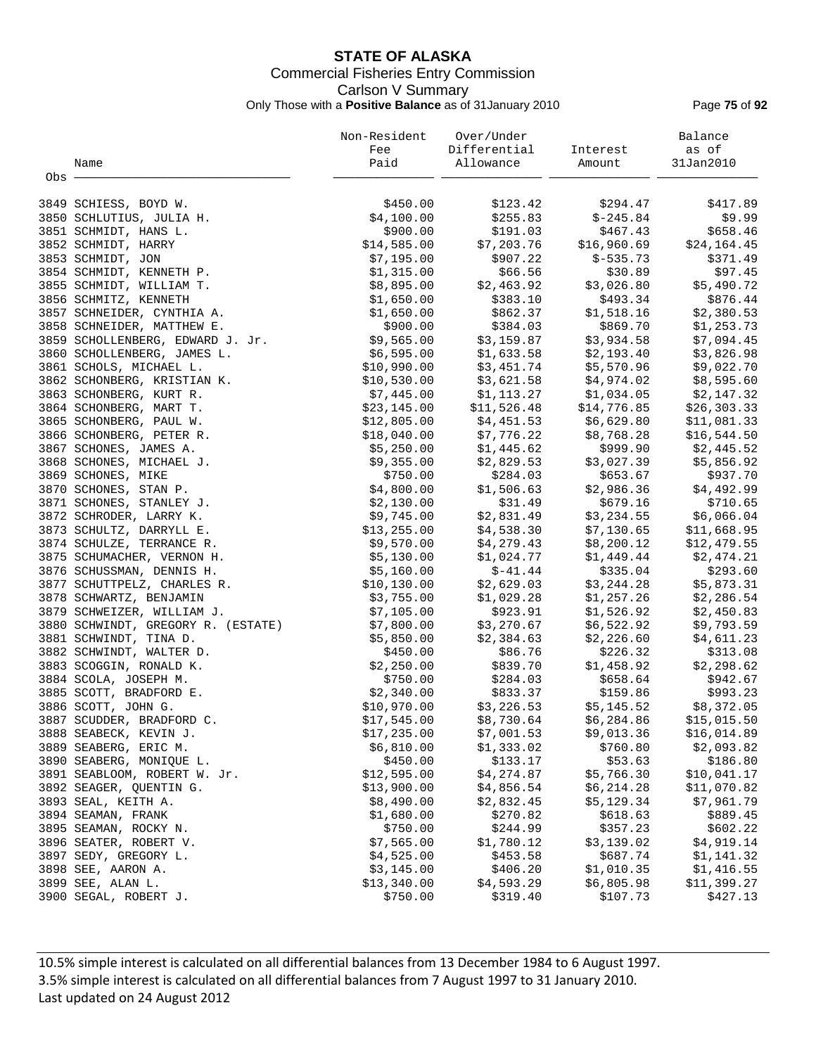# **STATE OF ALASKA** Commercial Fisheries Entry Commission Carlson V Summary Only Those with a **Positive Balance** as of 31January 2010 Page **75** of **92**

|       |                                    | Non-Resident             | Over/Under              |                                                                     | Balance      |
|-------|------------------------------------|--------------------------|-------------------------|---------------------------------------------------------------------|--------------|
|       |                                    | Fee                      | Differential            | Interest                                                            | as of        |
|       | Name                               | Paid                     | Allowance               | Amount                                                              | 31Jan2010    |
| Obs - |                                    |                          |                         |                                                                     |              |
|       |                                    |                          |                         |                                                                     |              |
|       | 3849 SCHIESS, BOYD W.              | \$450.00                 | \$123.42                | \$294.47                                                            | \$417.89     |
|       | 3850 SCHLUTIUS, JULIA H.           | \$4,100.00               | \$255.83                | $$-245.84$                                                          | \$9.99       |
|       | 3851 SCHMIDT, HANS L.              | \$900.00                 | \$191.03                | \$467.43                                                            | \$658.46     |
|       | 3852 SCHMIDT, HARRY                | \$14,585.00              | \$7,203.76              | \$16,960.69                                                         | \$24,164.45  |
|       | 3853 SCHMIDT, JON                  | \$7,195.00               | \$907.22                | $$-535.73$                                                          | \$371.49     |
|       | 3854 SCHMIDT, KENNETH P.           | \$1,315.00               | \$66.56                 | \$30.89                                                             | \$97.45      |
|       | 3855 SCHMIDT, WILLIAM T.           | \$8,895.00               | \$2,463.92              | \$3,026.80                                                          | \$5,490.72   |
|       | 3856 SCHMITZ, KENNETH              | \$1,650.00               | \$383.10                | \$493.34                                                            | \$876.44     |
|       | 3857 SCHNEIDER, CYNTHIA A.         | \$1,650.00               |                         |                                                                     | \$2,380.53   |
|       | 3858 SCHNEIDER, MATTHEW E.         | \$900.00                 |                         | \$862.37       \$1,518.16<br>\$384.03       \$869.70                | \$1,253.73   |
|       | 3859 SCHOLLENBERG, EDWARD J. Jr.   | \$9,565.00               |                         | $$3,159.87$ $$3,934.58$                                             | \$7,094.45   |
|       | 3860 SCHOLLENBERG, JAMES L.        | \$6,595.00               |                         |                                                                     | \$3,826.98   |
|       | 3861 SCHOLS, MICHAEL L.            | \$10,990.00              |                         | $$1,633.58$ $$2,193.40$<br>$$3,451.74$ $$5,570.96$                  | \$9,022.70   |
|       | 3862 SCHONBERG, KRISTIAN K.        | \$10,530.00              |                         | $$3,621.58$ $$4,974.02$                                             | \$8,595.60   |
|       | 3863 SCHONBERG, KURT R.            | \$7,445.00               |                         |                                                                     | \$2,147.32   |
|       | 3864 SCHONBERG, MART T.            | \$23,145.00              |                         | $$1,113.27$ $$1,034.05$<br>$$11,526.48$ $$14,776.85$<br>\$14,776.85 | \$26, 303.33 |
|       | 3865 SCHONBERG, PAUL W.            | \$12,805.00              | $$4,451.53$ $$6,629.80$ |                                                                     | \$11,081.33  |
|       | 3866 SCHONBERG, PETER R.           | \$18,040.00              | \$7,776.22              | \$8,768.28                                                          | \$16,544.50  |
|       | 3867 SCHONES, JAMES A.             |                          | \$1,445.62              | \$999.90                                                            |              |
|       |                                    | \$5,250.00<br>\$9,355.00 | \$2,829.53              |                                                                     | \$2,445.52   |
|       | 3868 SCHONES, MICHAEL J.           |                          |                         | \$3,027.39                                                          | \$5,856.92   |
|       | 3869 SCHONES, MIKE                 | \$750.00                 | \$284.03                | \$653.67                                                            | \$937.70     |
|       | 3870 SCHONES, STAN P.              | \$4,800.00               | \$1,506.63              | \$2,986.36                                                          | \$4,492.99   |
|       | 3871 SCHONES, STANLEY J.           | \$2,130.00               | \$31.49                 | \$679.16                                                            | \$710.65     |
|       | 3872 SCHRODER, LARRY K.            | \$9,745.00               | \$2,831.49              | \$3,234.55                                                          | \$6,066.04   |
|       | 3873 SCHULTZ, DARRYLL E.           | \$13,255.00              | \$4,538.30              | \$7,130.65                                                          | \$11,668.95  |
|       | 3874 SCHULZE, TERRANCE R.          | \$9,570.00               | \$4,279.43              | \$8,200.12                                                          | \$12,479.55  |
|       | 3875 SCHUMACHER, VERNON H.         | \$5,130.00               | \$1,024.77              | \$1,449.44                                                          | \$2,474.21   |
|       | 3876 SCHUSSMAN, DENNIS H.          | \$5,160.00               | $$-41.44$               | \$335.04                                                            | \$293.60     |
|       | 3877 SCHUTTPELZ, CHARLES R.        | \$10,130.00              | \$2,629.03              | \$3,244.28                                                          | \$5,873.31   |
|       | 3878 SCHWARTZ, BENJAMIN            | \$3,755.00               | \$1,029.28              | \$1,257.26                                                          | \$2,286.54   |
|       | 3879 SCHWEIZER, WILLIAM J.         | \$7,105.00               | \$923.91                | \$1,526.92                                                          | \$2,450.83   |
|       | 3880 SCHWINDT, GREGORY R. (ESTATE) | \$7,800.00               | \$3,270.67              | \$6,522.92<br>\$2,226.60                                            | \$9,793.59   |
|       | 3881 SCHWINDT, TINA D.             | \$5,850.00               | \$2,384.63              |                                                                     | \$4,611.23   |
|       | 3882 SCHWINDT, WALTER D.           | \$450.00                 | \$86.76                 | \$226.32                                                            | \$313.08     |
|       | 3883 SCOGGIN, RONALD K.            | \$2,250.00               | \$839.70                | \$1,458.92                                                          | \$2,298.62   |
|       | 3884 SCOLA, JOSEPH M.              | \$750.00                 | \$284.03                | \$658.64                                                            | \$942.67     |
|       | 3885 SCOTT, BRADFORD E.            | \$2,340.00               |                         | \$833.37 \$159.86                                                   | \$993.23     |
|       | 3886 SCOTT, JOHN G.                | \$10,970.00              |                         | $$3,226.53$ $$5,145.52$ $$8,372.05$                                 |              |
|       | 3887 SCUDDER, BRADFORD C.          | \$17,545.00              | \$8,730.64              | \$6,284.86                                                          | \$15,015.50  |
|       | 3888 SEABECK, KEVIN J.             | \$17,235.00              | \$7,001.53              | \$9,013.36                                                          | \$16,014.89  |
|       | 3889 SEABERG, ERIC M.              | \$6,810.00               | \$1,333.02              | \$760.80                                                            | \$2,093.82   |
|       | 3890 SEABERG, MONIQUE L.           | \$450.00                 | \$133.17                | \$53.63                                                             | \$186.80     |
|       | 3891 SEABLOOM, ROBERT W. Jr.       | \$12,595.00              | \$4,274.87              | \$5,766.30                                                          | \$10,041.17  |
|       | 3892 SEAGER, QUENTIN G.            | \$13,900.00              | \$4,856.54              | \$6,214.28                                                          | \$11,070.82  |
|       | 3893 SEAL, KEITH A.                | \$8,490.00               | \$2,832.45              | \$5,129.34                                                          | \$7,961.79   |
|       | 3894 SEAMAN, FRANK                 | \$1,680.00               | \$270.82                | \$618.63                                                            | \$889.45     |
|       | 3895 SEAMAN, ROCKY N.              | \$750.00                 | \$244.99                | \$357.23                                                            | \$602.22     |
|       | 3896 SEATER, ROBERT V.             | \$7,565.00               | \$1,780.12              | \$3,139.02                                                          | \$4,919.14   |
|       | 3897 SEDY, GREGORY L.              | \$4,525.00               | \$453.58                | \$687.74                                                            | \$1,141.32   |
|       | 3898 SEE, AARON A.                 | \$3,145.00               | \$406.20                | \$1,010.35                                                          | \$1,416.55   |
|       | 3899 SEE, ALAN L.                  | \$13,340.00              | \$4,593.29              | \$6,805.98                                                          | \$11,399.27  |
|       | 3900 SEGAL, ROBERT J.              | \$750.00                 | \$319.40                | \$107.73                                                            | \$427.13     |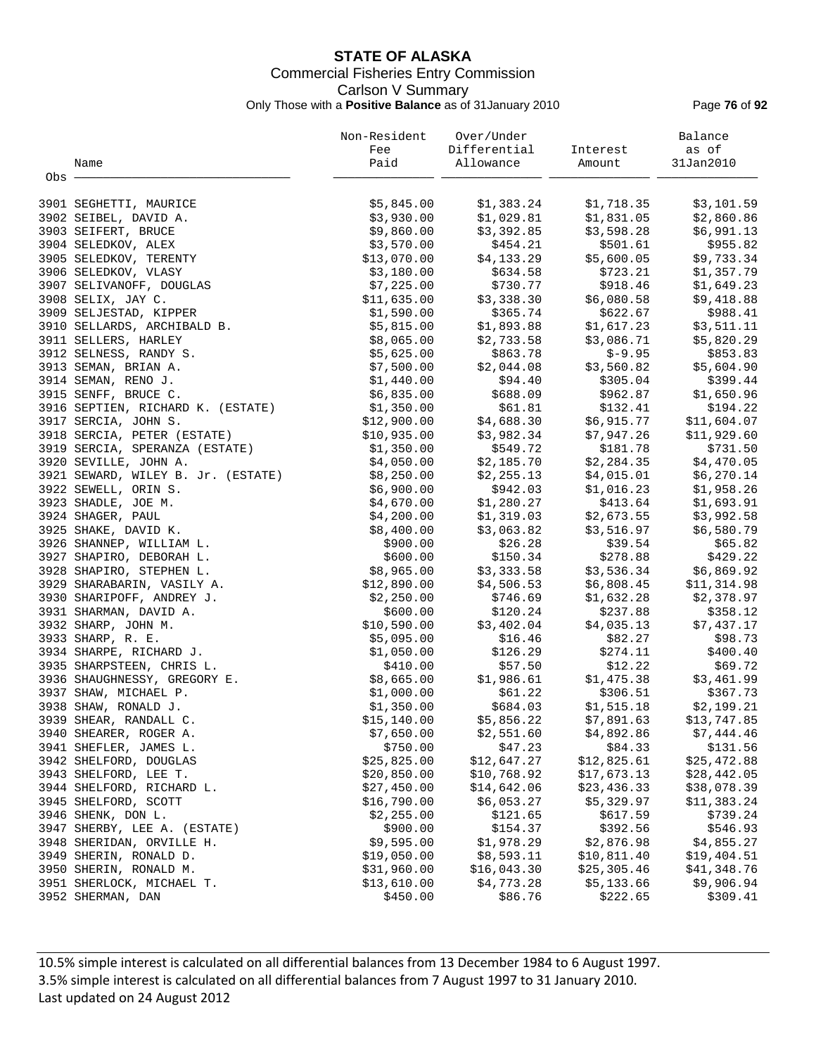# **STATE OF ALASKA** Commercial Fisheries Entry Commission Carlson V Summary Only Those with a **Positive Balance** as of 31January 2010 Page **76** of **92**

|       |                                                       | Non-Resident              | Over/Under            |                          | Balance                |
|-------|-------------------------------------------------------|---------------------------|-----------------------|--------------------------|------------------------|
|       |                                                       | Fee                       | Differential          | Interest                 | as of                  |
|       | Name                                                  | Paid                      | Allowance             | Amount                   | 31Jan2010              |
| Obs - |                                                       |                           |                       |                          |                        |
|       | 3901 SEGHETTI, MAURICE                                | \$5,845.00                | \$1,383.24            | \$1,718.35               | \$3,101.59             |
|       | 3902 SEIBEL, DAVID A.                                 | \$3,930.00                | \$1,029.81            | \$1,831.05               | \$2,860.86             |
|       | 3903 SEIFERT, BRUCE                                   | \$9,860.00                | \$3,392.85            | \$3,598.28               | \$6,991.13             |
|       | 3904 SELEDKOV, ALEX                                   | \$3,570.00                | \$454.21              | \$501.61                 | \$955.82               |
|       | 3905 SELEDKOV, TERENTY                                | \$13,070.00               | \$4,133.29            | \$5,600.05               | \$9,733.34             |
|       | 3906 SELEDKOV, VLASY                                  | \$3,180.00                | \$634.58              | \$723.21                 | \$1,357.79             |
|       | 3907 SELIVANOFF, DOUGLAS                              | \$7,225.00                | \$730.77              | \$918.46                 | \$1,649.23             |
|       | 3908 SELIX, JAY C.                                    | \$11,635.00               | \$3,338.30            | \$6,080.58               | \$9,418.88             |
|       | 3909 SELJESTAD, KIPPER                                | \$1,590.00                | \$365.74              | \$622.67                 | \$988.41               |
|       | 3910 SELLARDS, ARCHIBALD B.                           | \$5,815.00                | \$1,893.88            | \$1,617.23               | \$3,511.11             |
|       | 3911 SELLERS, HARLEY                                  | \$8,065.00                | \$2,733.58            | \$3,086.71               | \$5,820.29             |
|       | 3912 SELNESS, RANDY S.                                | \$5,625.00                | \$863.78              | $$-9.95$                 | \$853.83               |
|       | 3913 SEMAN, BRIAN A.                                  | \$7,500.00                | \$2,044.08            | \$3,560.82               | \$5,604.90             |
|       | 3914 SEMAN, RENO J.                                   | \$1,440.00                | \$94.40               | \$305.04                 | \$399.44               |
|       | 3915 SENFF, BRUCE C.                                  | \$6,835.00                | \$688.09              | \$962.87                 | \$1,650.96             |
|       | 3916 SEPTIEN, RICHARD K. (ESTATE)                     | \$1,350.00                | \$61.81               | \$132.41                 | \$194.22               |
|       | 3917 SERCIA, JOHN S.                                  | \$12,900.00               | \$4,688.30            | \$6,915.77               | \$11,604.07            |
|       | 3918 SERCIA, PETER (ESTATE)                           | \$10,935.00               | \$3,982.34            | \$7,947.26               | \$11,929.60            |
|       | 3919 SERCIA, SPERANZA (ESTATE)                        | \$1,350.00                | \$549.72              | \$181.78                 | \$731.50               |
|       | 3920 SEVILLE, JOHN A.                                 | \$4,050.00                | \$2,185.70            | \$2,284.35               | \$4,470.05             |
|       | 3921 SEWARD, WILEY B. Jr. (ESTATE)                    | \$8,250.00                | \$2,255.13            | \$4,015.01               | \$6, 270.14            |
|       | 3922 SEWELL, ORIN S.                                  | \$6,900.00                | \$942.03              |                          | \$1,958.26             |
|       |                                                       |                           | \$1,280.27            | \$1,016.23               |                        |
|       | 3923 SHADLE, JOE M.<br>3924 SHAGER, PAUL              | \$4,670.00                |                       | \$413.64<br>\$2,673.55   | \$1,693.91             |
|       |                                                       | \$4,200.00<br>\$8,400.00  | \$1,319.03            |                          | \$3,992.58             |
|       | 3925 SHAKE, DAVID K.<br>3926 SHANNEP, WILLIAM L.      | \$900.00                  | \$3,063.82<br>\$26.28 | \$3,516.97<br>\$39.54    | \$6,580.79<br>\$65.82  |
|       | 3927 SHAPIRO, DEBORAH L.                              | \$600.00                  | \$150.34              | \$278.88                 | \$429.22               |
|       | 3928 SHAPIRO, STEPHEN L.                              | \$8,965.00                | \$3,333.58            | \$3,536.34               | \$6,869.92             |
|       |                                                       |                           | \$4,506.53            |                          |                        |
|       | 3929 SHARABARIN, VASILY A.                            | \$12,890.00<br>\$2,250.00 | \$746.69              | \$6,808.45               | \$11,314.98            |
|       | 3930 SHARIPOFF, ANDREY J.                             | \$600.00                  |                       | \$1,632.28               | \$2,378.97             |
|       | 3931 SHARMAN, DAVID A.                                |                           | \$120.24              | \$237.88                 | \$358.12               |
|       | 3932 SHARP, JOHN M.                                   | \$10,590.00               | \$3,402.04            | \$4,035.13               | \$7,437.17             |
|       | 3933 SHARP, R. E.<br>3934 SHARPE, RICHARD J.          | \$5,095.00                | \$16.46               | \$82.27                  | \$98.73<br>\$400.40    |
|       | 3935 SHARPSTEEN, CHRIS L.                             | \$1,050.00                | \$126.29              | \$274.11                 |                        |
|       |                                                       | \$410.00<br>\$8,665.00    | \$57.50               | \$12.22                  | \$69.72<br>\$3,461.99  |
|       | 3936 SHAUGHNESSY, GREGORY E.<br>3937 SHAW, MICHAEL P. | \$1,000.00                | \$1,986.61<br>\$61.22 | \$1,475.38<br>\$306.51   | \$367.73               |
|       | 3938 SHAW, RONALD J.                                  | \$1,350.00                | \$684.03              | \$1,515.18               | \$2,199.21             |
|       | 3939 SHEAR, RANDALL C.                                |                           | \$5,856.22            |                          |                        |
|       |                                                       | \$15,140.00<br>\$7,650.00 | \$2,551.60            | \$7,891.63<br>\$4,892.86 | \$13,747.85            |
|       | 3940 SHEARER, ROGER A.<br>3941 SHEFLER, JAMES L.      | \$750.00                  | \$47.23               | \$84.33                  | \$7,444.46<br>\$131.56 |
|       | 3942 SHELFORD, DOUGLAS                                | \$25,825.00               | \$12,647.27           | \$12,825.61              | \$25,472.88            |
|       | 3943 SHELFORD, LEE T.                                 | \$20,850.00               | \$10,768.92           | \$17,673.13              | \$28,442.05            |
|       | 3944 SHELFORD, RICHARD L.                             | \$27,450.00               | \$14,642.06           | \$23,436.33              | \$38,078.39            |
|       | 3945 SHELFORD, SCOTT                                  | \$16,790.00               | \$6,053.27            | \$5,329.97               | \$11,383.24            |
|       | 3946 SHENK, DON L.                                    | \$2,255.00                | \$121.65              | \$617.59                 | \$739.24               |
|       | 3947 SHERBY, LEE A. (ESTATE)                          | \$900.00                  | \$154.37              | \$392.56                 | \$546.93               |
|       | 3948 SHERIDAN, ORVILLE H.                             | \$9,595.00                | \$1,978.29            | \$2,876.98               | \$4,855.27             |
|       | 3949 SHERIN, RONALD D.                                | \$19,050.00               | \$8,593.11            | \$10,811.40              | \$19,404.51            |
|       | 3950 SHERIN, RONALD M.                                | \$31,960.00               | \$16,043.30           | \$25,305.46              | \$41,348.76            |
|       | 3951 SHERLOCK, MICHAEL T.                             | \$13,610.00               | \$4,773.28            | \$5,133.66               | \$9,906.94             |
|       | 3952 SHERMAN, DAN                                     | \$450.00                  | \$86.76               | \$222.65                 | \$309.41               |
|       |                                                       |                           |                       |                          |                        |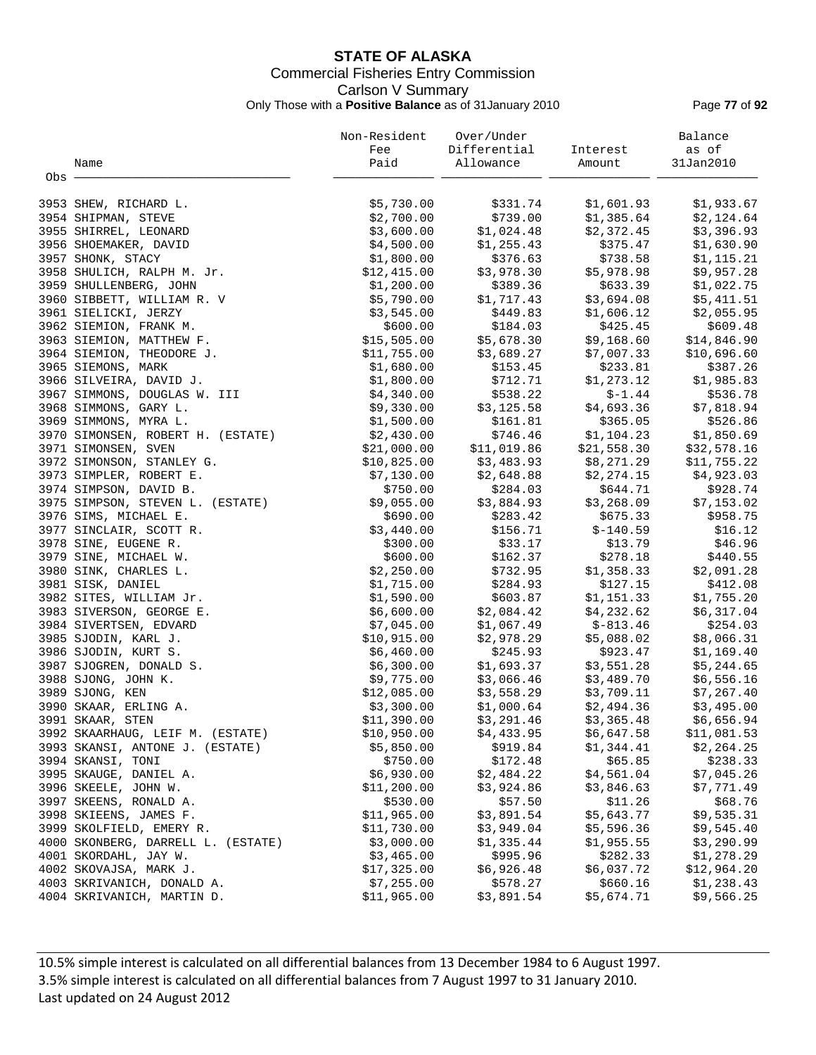# **STATE OF ALASKA** Commercial Fisheries Entry Commission Carlson V Summary Only Those with a **Positive Balance** as of 31January 2010 Page **77** of **92**

|     |                                    | Non-Resident<br>Fee | Over/Under<br>Differential | Interest    | Balance<br>as of |
|-----|------------------------------------|---------------------|----------------------------|-------------|------------------|
|     | Name                               | Paid                | Allowance                  | Amount      | 31Jan2010        |
| Obs |                                    |                     |                            |             |                  |
|     | 3953 SHEW, RICHARD L.              | \$5,730.00          | \$331.74                   | \$1,601.93  | \$1,933.67       |
|     | 3954 SHIPMAN, STEVE                | \$2,700.00          | \$739.00                   | \$1,385.64  | \$2,124.64       |
|     | 3955 SHIRREL, LEONARD              | \$3,600.00          | \$1,024.48                 | \$2,372.45  | \$3,396.93       |
|     | 3956 SHOEMAKER, DAVID              | \$4,500.00          | \$1,255.43                 | \$375.47    | \$1,630.90       |
|     | 3957 SHONK, STACY                  | \$1,800.00          | \$376.63                   | \$738.58    | \$1,115.21       |
|     | 3958 SHULICH, RALPH M. Jr.         | \$12,415.00         | \$3,978.30                 | \$5,978.98  | \$9,957.28       |
|     | 3959 SHULLENBERG, JOHN             | \$1,200.00          | \$389.36                   | \$633.39    | \$1,022.75       |
|     | 3960 SIBBETT, WILLIAM R. V         | \$5,790.00          | \$1,717.43                 | \$3,694.08  | \$5,411.51       |
|     | 3961 SIELICKI, JERZY               | \$3,545.00          | \$449.83                   | \$1,606.12  | \$2,055.95       |
|     | 3962 SIEMION, FRANK M.             | \$600.00            | \$184.03                   | \$425.45    | \$609.48         |
|     | 3963 SIEMION, MATTHEW F.           | \$15,505.00         | \$5,678.30                 | \$9,168.60  | \$14,846.90      |
|     | 3964 SIEMION, THEODORE J.          | \$11,755.00         | \$3,689.27                 | \$7,007.33  | \$10,696.60      |
|     | 3965 SIEMONS, MARK                 | \$1,680.00          | \$153.45                   | \$233.81    | \$387.26         |
|     | 3966 SILVEIRA, DAVID J.            | \$1,800.00          | \$712.71                   | \$1,273.12  | \$1,985.83       |
|     | 3967 SIMMONS, DOUGLAS W. III       | \$4,340.00          | \$538.22                   | $$-1.44$    | \$536.78         |
|     | 3968 SIMMONS, GARY L.              | \$9,330.00          | \$3,125.58                 | \$4,693.36  | \$7,818.94       |
|     | 3969 SIMMONS, MYRA L.              | \$1,500.00          | \$161.81                   | \$365.05    | \$526.86         |
|     | 3970 SIMONSEN, ROBERT H. (ESTATE)  | \$2,430.00          | \$746.46                   | \$1,104.23  | \$1,850.69       |
|     | 3971 SIMONSEN, SVEN                | \$21,000.00         | \$11,019.86                | \$21,558.30 | \$32,578.16      |
|     | 3972 SIMONSON, STANLEY G.          | \$10,825.00         | \$3,483.93                 | \$8,271.29  | \$11,755.22      |
|     | 3973 SIMPLER, ROBERT E.            | \$7,130.00          | \$2,648.88                 | \$2,274.15  | \$4,923.03       |
|     | 3974 SIMPSON, DAVID B.             | \$750.00            | \$284.03                   | \$644.71    | \$928.74         |
|     | 3975 SIMPSON, STEVEN L. (ESTATE)   | \$9,055.00          | \$3,884.93                 | \$3,268.09  | \$7,153.02       |
|     | 3976 SIMS, MICHAEL E.              | \$690.00            | \$283.42                   | \$675.33    | \$958.75         |
|     | 3977 SINCLAIR, SCOTT R.            | \$3,440.00          | \$156.71                   | $$-140.59$  | \$16.12          |
|     | 3978 SINE, EUGENE R.               | \$300.00            | \$33.17                    | \$13.79     | \$46.96          |
|     | 3979 SINE, MICHAEL W.              | \$600.00            | \$162.37                   | \$278.18    | \$440.55         |
|     | 3980 SINK, CHARLES L.              | \$2,250.00          | \$732.95                   | \$1,358.33  | \$2,091.28       |
|     | 3981 SISK, DANIEL                  | \$1,715.00          | \$284.93                   | \$127.15    | \$412.08         |
|     | 3982 SITES, WILLIAM Jr.            | \$1,590.00          | \$603.87                   | \$1,151.33  | \$1,755.20       |
|     | 3983 SIVERSON, GEORGE E.           | \$6,600.00          | \$2,084.42                 | \$4,232.62  | \$6,317.04       |
|     | 3984 SIVERTSEN, EDVARD             | \$7,045.00          | \$1,067.49                 | \$-813.46   | \$254.03         |
|     | 3985 SJODIN, KARL J.               | \$10,915.00         | \$2,978.29                 | \$5,088.02  | \$8,066.31       |
|     | 3986 SJODIN, KURT S.               | \$6,460.00          | \$245.93                   | \$923.47    | \$1,169.40       |
|     | 3987 SJOGREN, DONALD S.            | \$6,300.00          | \$1,693.37                 | \$3,551.28  | \$5,244.65       |
|     | 3988 SJONG, JOHN K.                | \$9,775.00          | \$3,066.46                 | \$3,489.70  | \$6,556.16       |
|     | 3989 SJONG, KEN                    | \$12,085.00         | \$3,558.29                 | \$3,709.11  | \$7,267.40       |
|     | 3990 SKAAR, ERLING A.              | \$3,300.00          | \$1,000.64                 | \$2,494.36  | \$3,495.00       |
|     | 3991 SKAAR, STEN                   | \$11,390.00         | \$3,291.46                 | \$3,365.48  | \$6,656.94       |
|     | 3992 SKAARHAUG, LEIF M. (ESTATE)   | \$10,950.00         | \$4,433.95                 | \$6,647.58  | \$11,081.53      |
|     | 3993 SKANSI, ANTONE J. (ESTATE)    | \$5,850.00          | \$919.84                   | \$1,344.41  | \$2, 264.25      |
|     | 3994 SKANSI, TONI                  | \$750.00            | \$172.48                   | \$65.85     | \$238.33         |
|     | 3995 SKAUGE, DANIEL A.             | \$6,930.00          | \$2,484.22                 | \$4,561.04  | \$7,045.26       |
|     | 3996 SKEELE, JOHN W.               | \$11,200.00         | \$3,924.86                 | \$3,846.63  | \$7,771.49       |
|     | 3997 SKEENS, RONALD A.             | \$530.00            | \$57.50                    | \$11.26     | \$68.76          |
|     | 3998 SKIEENS, JAMES F.             | \$11,965.00         | \$3,891.54                 | \$5,643.77  | \$9,535.31       |
|     | 3999 SKOLFIELD, EMERY R.           | \$11,730.00         | \$3,949.04                 | \$5,596.36  | \$9,545.40       |
|     | 4000 SKONBERG, DARRELL L. (ESTATE) | \$3,000.00          | \$1,335.44                 | \$1,955.55  | \$3,290.99       |
|     | 4001 SKORDAHL, JAY W.              | \$3,465.00          | \$995.96                   | \$282.33    | \$1,278.29       |
|     | 4002 SKOVAJSA, MARK J.             | \$17,325.00         | \$6,926.48                 | \$6,037.72  | \$12,964.20      |
|     | 4003 SKRIVANICH, DONALD A.         | \$7,255.00          | \$578.27                   | \$660.16    | \$1,238.43       |
|     | 4004 SKRIVANICH, MARTIN D.         | \$11,965.00         | \$3,891.54                 | \$5,674.71  | \$9,566.25       |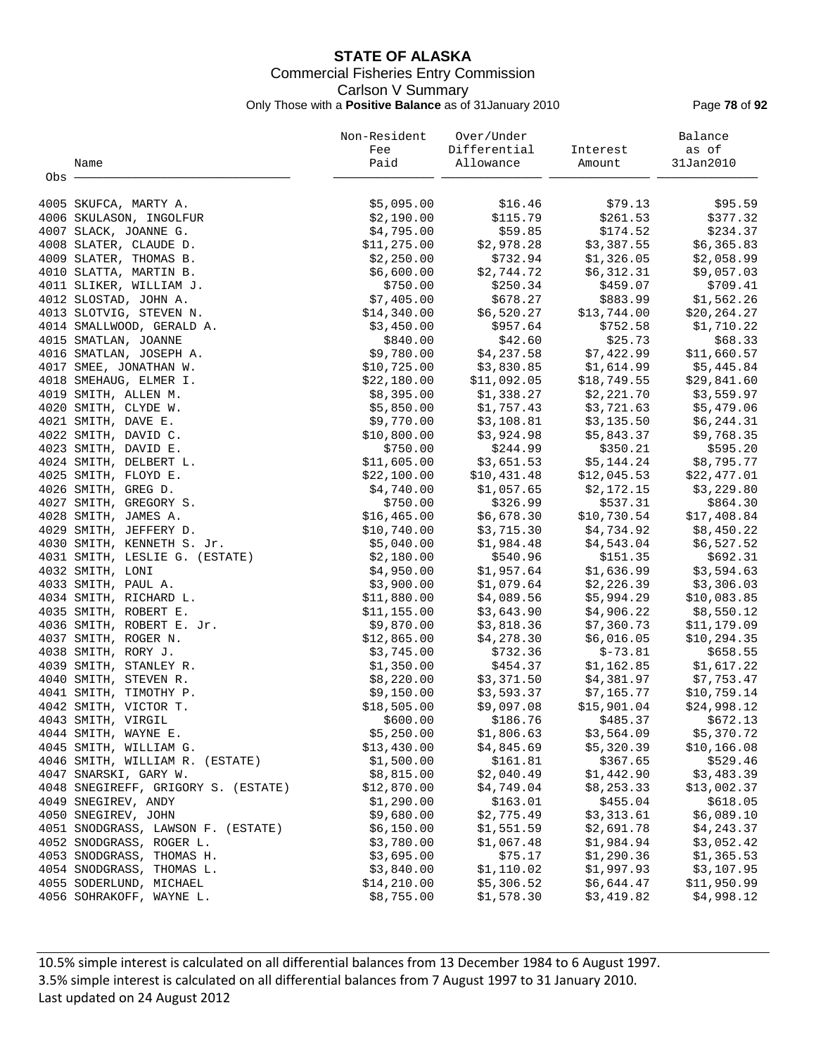# **STATE OF ALASKA** Commercial Fisheries Entry Commission Carlson V Summary Only Those with a **Positive Balance** as of 31January 2010 Page **78** of **92**

|         |                                     | Non-Resident | Over/Under   |             | Balance      |
|---------|-------------------------------------|--------------|--------------|-------------|--------------|
|         |                                     | Fee          | Differential | Interest    | as of        |
|         | Name                                | Paid         | Allowance    | Amount      | 31Jan2010    |
| $Obs$ . |                                     |              |              |             |              |
|         | 4005 SKUFCA, MARTY A.               | \$5,095.00   | \$16.46      | \$79.13     | \$95.59      |
|         | 4006 SKULASON, INGOLFUR             | \$2,190.00   | \$115.79     | \$261.53    | \$377.32     |
|         | 4007 SLACK, JOANNE G.               | \$4,795.00   | \$59.85      | \$174.52    | \$234.37     |
|         | 4008 SLATER, CLAUDE D.              | \$11,275.00  | \$2,978.28   | \$3,387.55  | \$6,365.83   |
|         | 4009 SLATER, THOMAS B.              | \$2,250.00   | \$732.94     | \$1,326.05  | \$2,058.99   |
|         | 4010 SLATTA, MARTIN B.              | \$6,600.00   | \$2,744.72   | \$6,312.31  | \$9,057.03   |
|         | 4011 SLIKER, WILLIAM J.             | \$750.00     | \$250.34     | \$459.07    | \$709.41     |
|         | 4012 SLOSTAD, JOHN A.               | \$7,405.00   | \$678.27     | \$883.99    | \$1,562.26   |
|         | 4013 SLOTVIG, STEVEN N.             | \$14,340.00  | \$6,520.27   | \$13,744.00 | \$20, 264.27 |
|         | 4014 SMALLWOOD, GERALD A.           | \$3,450.00   | \$957.64     | \$752.58    | \$1,710.22   |
|         | 4015 SMATLAN, JOANNE                | \$840.00     | \$42.60      | \$25.73     | \$68.33      |
|         | 4016 SMATLAN, JOSEPH A.             | \$9,780.00   | \$4,237.58   | \$7,422.99  | \$11,660.57  |
|         | 4017 SMEE, JONATHAN W.              | \$10,725.00  | \$3,830.85   | \$1,614.99  | \$5,445.84   |
|         | 4018 SMEHAUG, ELMER I.              | \$22,180.00  | \$11,092.05  | \$18,749.55 | \$29,841.60  |
|         | 4019 SMITH, ALLEN M.                | \$8,395.00   | \$1,338.27   | \$2,221.70  | \$3,559.97   |
|         | 4020 SMITH, CLYDE W.                | \$5,850.00   | \$1,757.43   | \$3,721.63  | \$5,479.06   |
|         | 4021 SMITH, DAVE E.                 | \$9,770.00   | \$3,108.81   | \$3,135.50  | \$6,244.31   |
|         | 4022 SMITH, DAVID C.                | \$10,800.00  | \$3,924.98   | \$5,843.37  | \$9,768.35   |
|         | 4023 SMITH, DAVID E.                | \$750.00     | \$244.99     | \$350.21    | \$595.20     |
|         | 4024 SMITH, DELBERT L.              | \$11,605.00  | \$3,651.53   | \$5,144.24  | \$8,795.77   |
|         | 4025 SMITH, FLOYD E.                | \$22,100.00  | \$10,431.48  | \$12,045.53 | \$22,477.01  |
|         | 4026 SMITH, GREG D.                 | \$4,740.00   | \$1,057.65   | \$2,172.15  | \$3,229.80   |
|         | 4027 SMITH, GREGORY S.              | \$750.00     | \$326.99     | \$537.31    | \$864.30     |
|         | 4028 SMITH, JAMES A.                | \$16,465.00  | \$6,678.30   | \$10,730.54 | \$17,408.84  |
|         | 4029 SMITH, JEFFERY D.              | \$10,740.00  | \$3,715.30   | \$4,734.92  | \$8,450.22   |
|         | 4030 SMITH, KENNETH S. Jr.          | \$5,040.00   | \$1,984.48   | \$4,543.04  | \$6,527.52   |
|         | 4031 SMITH, LESLIE G. (ESTATE)      | \$2,180.00   | \$540.96     | \$151.35    | \$692.31     |
|         | 4032 SMITH, LONI                    | \$4,950.00   | \$1,957.64   | \$1,636.99  | \$3,594.63   |
|         | 4033 SMITH, PAUL A.                 | \$3,900.00   | \$1,079.64   | \$2,226.39  | \$3,306.03   |
|         | 4034 SMITH, RICHARD L.              | \$11,880.00  | \$4,089.56   | \$5,994.29  | \$10,083.85  |
|         | 4035 SMITH, ROBERT E.               | \$11,155.00  | \$3,643.90   | \$4,906.22  | \$8,550.12   |
|         | 4036 SMITH, ROBERT E. Jr.           | \$9,870.00   | \$3,818.36   | \$7,360.73  | \$11,179.09  |
|         | 4037 SMITH, ROGER N.                | \$12,865.00  | \$4,278.30   | \$6,016.05  | \$10, 294.35 |
|         | 4038 SMITH, RORY J.                 | \$3,745.00   | \$732.36     | $$-73.81$   | \$658.55     |
|         | 4039 SMITH, STANLEY R.              | \$1,350.00   | \$454.37     | \$1,162.85  | \$1,617.22   |
|         | 4040 SMITH, STEVEN R.               | \$8,220.00   | \$3,371.50   | \$4,381.97  | \$7,753.47   |
|         | 4041 SMITH, TIMOTHY P.              | \$9,150.00   | \$3,593.37   | \$7,165.77  | \$10,759.14  |
|         | 4042 SMITH, VICTOR T.               | \$18,505.00  | \$9,097.08   | \$15,901.04 | \$24,998.12  |
|         | 4043 SMITH, VIRGIL                  | \$600.00     | \$186.76     | \$485.37    | \$672.13     |
|         | 4044 SMITH, WAYNE E.                | \$5,250.00   | \$1,806.63   | \$3,564.09  | \$5,370.72   |
|         | 4045 SMITH, WILLIAM G.              | \$13,430.00  | \$4,845.69   | \$5,320.39  | \$10,166.08  |
|         | 4046 SMITH, WILLIAM R. (ESTATE)     | \$1,500.00   | \$161.81     | \$367.65    | \$529.46     |
|         | 4047 SNARSKI, GARY W.               | \$8,815.00   | \$2,040.49   | \$1,442.90  | \$3,483.39   |
|         | 4048 SNEGIREFF, GRIGORY S. (ESTATE) | \$12,870.00  | \$4,749.04   | \$8, 253.33 | \$13,002.37  |
|         | 4049 SNEGIREV, ANDY                 | \$1,290.00   | \$163.01     | \$455.04    | \$618.05     |
|         | 4050 SNEGIREV, JOHN                 | \$9,680.00   | \$2,775.49   | \$3,313.61  | \$6,089.10   |
|         | 4051 SNODGRASS, LAWSON F. (ESTATE)  | \$6,150.00   | \$1,551.59   | \$2,691.78  | \$4,243.37   |
|         | 4052 SNODGRASS, ROGER L.            | \$3,780.00   | \$1,067.48   | \$1,984.94  | \$3,052.42   |
|         | 4053 SNODGRASS, THOMAS H.           | \$3,695.00   | \$75.17      | \$1,290.36  | \$1,365.53   |
|         | 4054 SNODGRASS, THOMAS L.           | \$3,840.00   | \$1,110.02   | \$1,997.93  | \$3,107.95   |
|         | 4055 SODERLUND, MICHAEL             | \$14, 210.00 | \$5,306.52   | \$6,644.47  | \$11,950.99  |
|         | 4056 SOHRAKOFF, WAYNE L.            | \$8,755.00   | \$1,578.30   | \$3,419.82  | \$4,998.12   |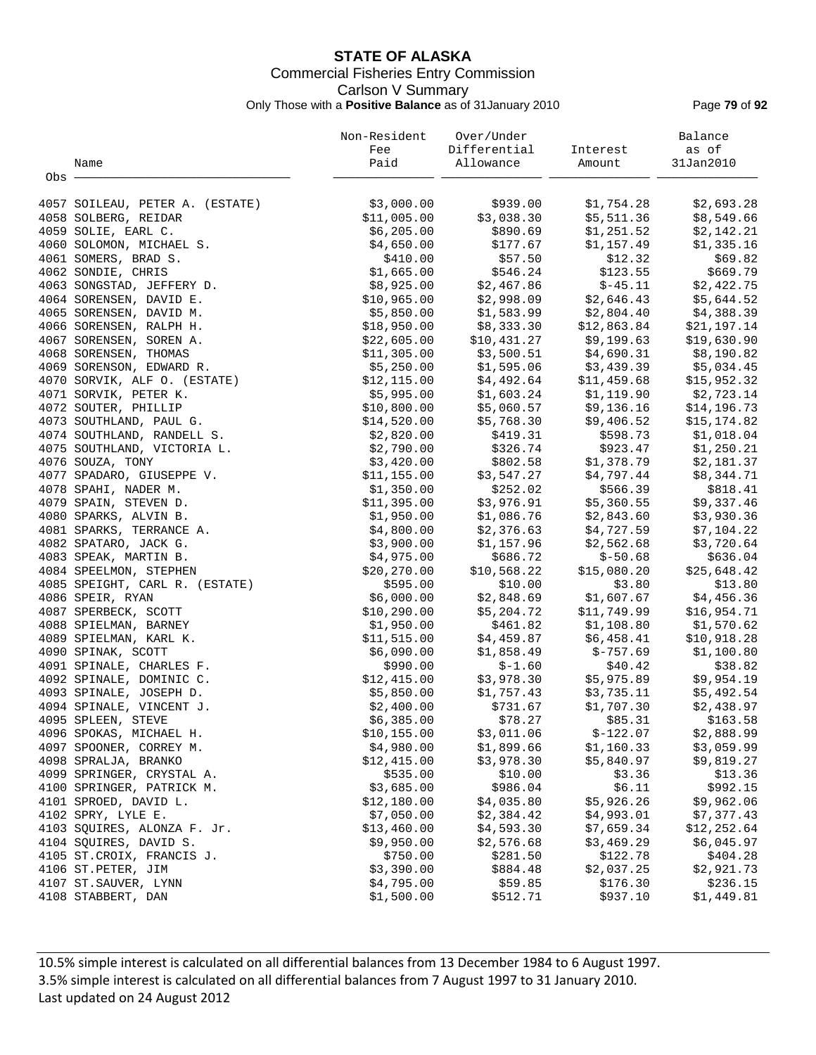# **STATE OF ALASKA** Commercial Fisheries Entry Commission Carlson V Summary Only Those with a **Positive Balance** as of 31January 2010 Page **79** of **92**

|       |                                 | Non-Resident | Over/Under   |             | Balance      |
|-------|---------------------------------|--------------|--------------|-------------|--------------|
|       |                                 | Fee          | Differential | Interest    | as of        |
|       | Name                            | Paid         | Allowance    | Amount      | 31Jan2010    |
| Obs - |                                 |              |              |             |              |
|       |                                 |              |              |             |              |
|       | 4057 SOILEAU, PETER A. (ESTATE) | \$3,000.00   | \$939.00     | \$1,754.28  | \$2,693.28   |
|       | 4058 SOLBERG, REIDAR            | \$11,005.00  | \$3,038.30   | \$5,511.36  | \$8,549.66   |
|       | 4059 SOLIE, EARL C.             | \$6,205.00   | \$890.69     | \$1,251.52  | \$2,142.21   |
|       | 4060 SOLOMON, MICHAEL S.        | \$4,650.00   | \$177.67     | \$1,157.49  | \$1,335.16   |
|       | 4061 SOMERS, BRAD S.            | \$410.00     | \$57.50      | \$12.32     | \$69.82      |
|       | 4062 SONDIE, CHRIS              | \$1,665.00   | \$546.24     | \$123.55    | \$669.79     |
|       | 4063 SONGSTAD, JEFFERY D.       | \$8,925.00   | \$2,467.86   | $$-45.11$   | \$2,422.75   |
|       | 4064 SORENSEN, DAVID E.         | \$10,965.00  | \$2,998.09   | \$2,646.43  | \$5,644.52   |
|       | 4065 SORENSEN, DAVID M.         | \$5,850.00   | \$1,583.99   | \$2,804.40  | \$4,388.39   |
|       | 4066 SORENSEN, RALPH H.         | \$18,950.00  | \$8,333.30   | \$12,863.84 | \$21,197.14  |
|       | 4067 SORENSEN, SOREN A.         | \$22,605.00  | \$10,431.27  | \$9,199.63  | \$19,630.90  |
|       | 4068 SORENSEN, THOMAS           | \$11,305.00  | \$3,500.51   | \$4,690.31  | \$8,190.82   |
|       | 4069 SORENSON, EDWARD R.        | \$5,250.00   | \$1,595.06   | \$3,439.39  | \$5,034.45   |
|       | 4070 SORVIK, ALF O. (ESTATE)    | \$12, 115.00 | \$4,492.64   | \$11,459.68 | \$15,952.32  |
|       | 4071 SORVIK, PETER K.           | \$5,995.00   | \$1,603.24   | \$1,119.90  | \$2,723.14   |
|       | 4072 SOUTER, PHILLIP            | \$10,800.00  | \$5,060.57   | \$9,136.16  | \$14,196.73  |
|       | 4073 SOUTHLAND, PAUL G.         | \$14,520.00  | \$5,768.30   | \$9,406.52  | \$15,174.82  |
|       | 4074 SOUTHLAND, RANDELL S.      | \$2,820.00   | \$419.31     | \$598.73    | \$1,018.04   |
|       | 4075 SOUTHLAND, VICTORIA L.     | \$2,790.00   | \$326.74     | \$923.47    | \$1,250.21   |
|       | 4076 SOUZA, TONY                | \$3,420.00   | \$802.58     | \$1,378.79  | \$2,181.37   |
|       | 4077 SPADARO, GIUSEPPE V.       | \$11,155.00  | \$3,547.27   | \$4,797.44  | \$8,344.71   |
|       | 4078 SPAHI, NADER M.            | \$1,350.00   | \$252.02     | \$566.39    | \$818.41     |
|       | 4079 SPAIN, STEVEN D.           | \$11,395.00  | \$3,976.91   | \$5,360.55  | \$9,337.46   |
|       | 4080 SPARKS, ALVIN B.           | \$1,950.00   | \$1,086.76   | \$2,843.60  | \$3,930.36   |
|       | 4081 SPARKS, TERRANCE A.        | \$4,800.00   | \$2,376.63   | \$4,727.59  | \$7,104.22   |
|       | 4082 SPATARO, JACK G.           | \$3,900.00   | \$1,157.96   | \$2,562.68  | \$3,720.64   |
|       | 4083 SPEAK, MARTIN B.           | \$4,975.00   | \$686.72     | $$-50.68$   | \$636.04     |
|       | 4084 SPEELMON, STEPHEN          | \$20, 270.00 | \$10,568.22  | \$15,080.20 | \$25,648.42  |
|       | 4085 SPEIGHT, CARL R. (ESTATE)  | \$595.00     | \$10.00      | \$3.80      | \$13.80      |
|       | 4086 SPEIR, RYAN                | \$6,000.00   | \$2,848.69   | \$1,607.67  | \$4,456.36   |
|       | 4087 SPERBECK, SCOTT            | \$10, 290.00 | \$5,204.72   | \$11,749.99 | \$16,954.71  |
|       | 4088 SPIELMAN, BARNEY           | \$1,950.00   | \$461.82     | \$1,108.80  | \$1,570.62   |
|       | 4089 SPIELMAN, KARL K.          | \$11,515.00  | \$4,459.87   | \$6,458.41  | \$10,918.28  |
|       | 4090 SPINAK, SCOTT              | \$6,090.00   | \$1,858.49   | $$-757.69$  | \$1,100.80   |
|       | 4091 SPINALE, CHARLES F.        | \$990.00     | $$-1.60$     | \$40.42     | \$38.82      |
|       | 4092 SPINALE, DOMINIC C.        | \$12,415.00  | \$3,978.30   | \$5,975.89  | \$9,954.19   |
|       | 4093 SPINALE, JOSEPH D.         | \$5,850.00   | \$1,757.43   | \$3,735.11  | \$5,492.54   |
|       | 4094 SPINALE, VINCENT J.        | \$2,400.00   | \$731.67     | \$1,707.30  | \$2,438.97   |
|       |                                 |              |              |             |              |
|       | 4095 SPLEEN, STEVE              | \$6,385.00   | \$78.27      | \$85.31     | \$163.58     |
|       | 4096 SPOKAS, MICHAEL H.         | \$10, 155.00 | \$3,011.06   | $$-122.07$  | \$2,888.99   |
|       | 4097 SPOONER, CORREY M.         | \$4,980.00   | \$1,899.66   | \$1,160.33  | \$3,059.99   |
|       | 4098 SPRALJA, BRANKO            | \$12,415.00  | \$3,978.30   | \$5,840.97  | \$9,819.27   |
|       | 4099 SPRINGER, CRYSTAL A.       | \$535.00     | \$10.00      | \$3.36      | \$13.36      |
|       | 4100 SPRINGER, PATRICK M.       | \$3,685.00   | \$986.04     | \$6.11      | \$992.15     |
|       | 4101 SPROED, DAVID L.           | \$12,180.00  | \$4,035.80   | \$5,926.26  | \$9,962.06   |
|       | 4102 SPRY, LYLE E.              | \$7,050.00   | \$2,384.42   | \$4,993.01  | \$7,377.43   |
|       | 4103 SQUIRES, ALONZA F. Jr.     | \$13,460.00  | \$4,593.30   | \$7,659.34  | \$12, 252.64 |
|       | 4104 SQUIRES, DAVID S.          | \$9,950.00   | \$2,576.68   | \$3,469.29  | \$6,045.97   |
|       | 4105 ST. CROIX, FRANCIS J.      | \$750.00     | \$281.50     | \$122.78    | \$404.28     |
|       | 4106 ST. PETER, JIM             | \$3,390.00   | \$884.48     | \$2,037.25  | \$2,921.73   |
|       | 4107 ST. SAUVER, LYNN           | \$4,795.00   | \$59.85      | \$176.30    | \$236.15     |
|       | 4108 STABBERT, DAN              | \$1,500.00   | \$512.71     | \$937.10    | \$1,449.81   |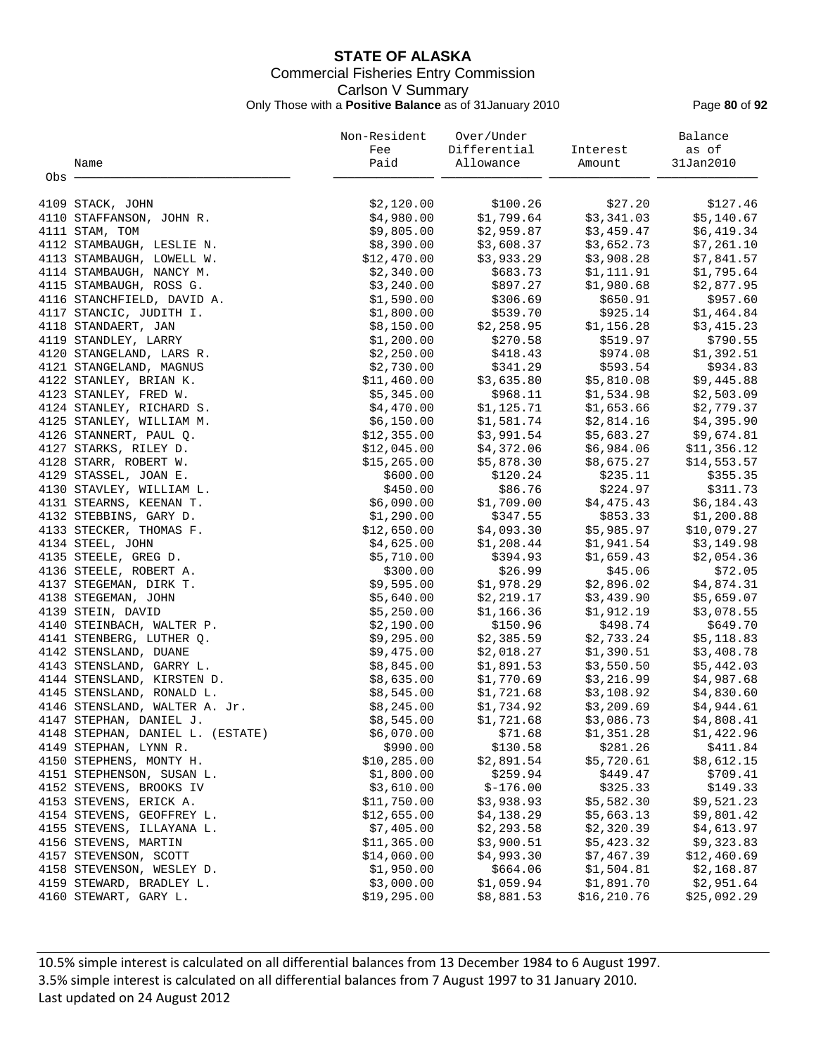# **STATE OF ALASKA** Commercial Fisheries Entry Commission Carlson V Summary Only Those with a **Positive Balance** as of 31January 2010 Page **80** of **92**

|       |                                                        | Non-Resident              | Over/Under               |                          | Balance                  |
|-------|--------------------------------------------------------|---------------------------|--------------------------|--------------------------|--------------------------|
|       |                                                        | Fee                       | Differential             | Interest                 | as of                    |
|       | Name                                                   | Paid                      | Allowance                | Amount                   | 31Jan2010                |
| Obs - |                                                        |                           |                          |                          |                          |
|       | 4109 STACK, JOHN                                       | \$2,120.00                | \$100.26                 | \$27.20                  | \$127.46                 |
|       | 4110 STAFFANSON, JOHN R.                               | \$4,980.00                | \$1,799.64               | \$3,341.03               | \$5,140.67               |
|       | 4111 STAM, TOM                                         | \$9,805.00                | \$2,959.87               | \$3,459.47               | \$6,419.34               |
|       | 4112 STAMBAUGH, LESLIE N.                              | \$8,390.00                | \$3,608.37               | \$3,652.73               | \$7,261.10               |
|       | 4113 STAMBAUGH, LOWELL W.                              | \$12,470.00               | \$3,933.29               | \$3,908.28               | \$7,841.57               |
|       | 4114 STAMBAUGH, NANCY M.                               | \$2,340.00                | \$683.73                 | \$1,111.91               | \$1,795.64               |
|       | 4115 STAMBAUGH, ROSS G.                                | \$3,240.00                | \$897.27                 | \$1,980.68               | \$2,877.95               |
|       | 4116 STANCHFIELD, DAVID A.                             | \$1,590.00                | \$306.69                 | \$650.91                 | \$957.60                 |
|       | 4117 STANCIC, JUDITH I.                                | \$1,800.00                | \$539.70                 | \$925.14                 | \$1,464.84               |
|       | 4118 STANDAERT, JAN                                    | \$8,150.00                | \$2,258.95               | \$1,156.28               | \$3,415.23               |
|       | 4119 STANDLEY, LARRY                                   | \$1,200.00                | \$270.58                 | \$519.97                 | \$790.55                 |
|       | 4120 STANGELAND, LARS R.                               | \$2,250.00                | \$418.43                 | \$974.08                 | \$1,392.51               |
|       | 4121 STANGELAND, MAGNUS                                | \$2,730.00                | \$341.29                 | \$593.54                 | \$934.83                 |
|       | 4122 STANLEY, BRIAN K.                                 | \$11,460.00               | \$3,635.80               | \$5,810.08               | \$9,445.88               |
|       | 4123 STANLEY, FRED W.                                  | \$5,345.00                | \$968.11                 | \$1,534.98               | \$2,503.09               |
|       | 4124 STANLEY, RICHARD S.                               | \$4,470.00                | \$1,125.71               | \$1,653.66               | \$2,779.37               |
|       | 4125 STANLEY, WILLIAM M.                               | \$6,150.00                | \$1,581.74               | \$2,814.16               | \$4,395.90               |
|       | 4126 STANNERT, PAUL Q.                                 | \$12,355.00               | \$3,991.54               | \$5,683.27               | \$9,674.81               |
|       | 4127 STARKS, RILEY D.                                  | \$12,045.00               | \$4,372.06               | \$6,984.06               | \$11,356.12              |
|       | 4128 STARR, ROBERT W.                                  | \$15, 265.00              | \$5,878.30               | \$8,675.27               | \$14,553.57              |
|       | 4129 STASSEL, JOAN E.                                  | \$600.00                  | \$120.24                 | \$235.11                 | \$355.35                 |
|       | 4130 STAVLEY, WILLIAM L.                               | \$450.00                  | \$86.76                  | \$224.97                 | \$311.73                 |
|       | 4131 STEARNS, KEENAN T.                                | \$6,090.00                | \$1,709.00               | \$4,475.43               | \$6,184.43               |
|       | 4132 STEBBINS, GARY D.                                 | \$1,290.00                | \$347.55                 | \$853.33                 | \$1,200.88               |
|       | 4133 STECKER, THOMAS F.                                | \$12,650.00               | \$4,093.30               | \$5,985.97               | \$10,079.27              |
|       | 4134 STEEL, JOHN                                       | \$4,625.00                | \$1,208.44               | \$1,941.54               | \$3,149.98               |
|       | 4135 STEELE, GREG D.                                   | \$5,710.00                | \$394.93                 | \$1,659.43               | \$2,054.36               |
|       | 4136 STEELE, ROBERT A.                                 | \$300.00                  | \$26.99                  | \$45.06                  | \$72.05                  |
|       | 4137 STEGEMAN, DIRK T.                                 | \$9,595.00                | \$1,978.29               | \$2,896.02               | \$4,874.31               |
|       | 4138 STEGEMAN, JOHN                                    | \$5,640.00                | \$2,219.17               | \$3,439.90               | \$5,659.07               |
|       | 4139 STEIN, DAVID                                      | \$5,250.00                | \$1,166.36               | \$1,912.19               | \$3,078.55               |
|       | 4140 STEINBACH, WALTER P.                              | \$2,190.00                | \$150.96                 | \$498.74                 | \$649.70                 |
|       | 4141 STENBERG, LUTHER Q.                               | \$9,295.00                | \$2,385.59               | \$2,733.24               | \$5,118.83               |
|       | 4142 STENSLAND, DUANE                                  | \$9,475.00                | \$2,018.27               | \$1,390.51               | \$3,408.78               |
|       | 4143 STENSLAND, GARRY L.                               | \$8,845.00                | \$1,891.53               | \$3,550.50               | \$5,442.03               |
|       | 4144 STENSLAND, KIRSTEN D.                             | \$8,635.00                | \$1,770.69               | \$3,216.99               | \$4,987.68               |
|       | 4145 STENSLAND, RONALD L.                              | \$8,545.00                | \$1,721.68               | \$3,108.92               | \$4,830.60               |
|       | 4146 STENSLAND, WALTER A. Jr.                          | \$8,245.00                | \$1,734.92               | \$3,209.69               | \$4,944.61               |
|       | 4147 STEPHAN, DANIEL J.                                | \$8,545.00                | \$1,721.68               | \$3,086.73               | \$4,808.41               |
|       | 4148 STEPHAN, DANIEL L. (ESTATE)                       | \$6,070.00                | \$71.68                  | \$1,351.28               | \$1,422.96               |
|       | 4149 STEPHAN, LYNN R.                                  | \$990.00                  | \$130.58                 | \$281.26                 | \$411.84                 |
|       | 4150 STEPHENS, MONTY H.<br>4151 STEPHENSON, SUSAN L.   | \$10,285.00               | \$2,891.54<br>\$259.94   | \$5,720.61               | \$8,612.15               |
|       |                                                        | \$1,800.00                | $$-176.00$               | \$449.47                 | \$709.41                 |
|       | 4152 STEVENS, BROOKS IV<br>4153 STEVENS, ERICK A.      | \$3,610.00<br>\$11,750.00 | \$3,938.93               | \$325.33<br>\$5,582.30   | \$149.33<br>\$9,521.23   |
|       |                                                        | \$12,655.00               |                          |                          |                          |
|       | 4154 STEVENS, GEOFFREY L.<br>4155 STEVENS, ILLAYANA L. | \$7,405.00                | \$4,138.29<br>\$2,293.58 | \$5,663.13<br>\$2,320.39 | \$9,801.42<br>\$4,613.97 |
|       | 4156 STEVENS, MARTIN                                   | \$11,365.00               | \$3,900.51               | \$5,423.32               | \$9,323.83               |
|       | 4157 STEVENSON, SCOTT                                  | \$14,060.00               | \$4,993.30               | \$7,467.39               | \$12,460.69              |
|       | 4158 STEVENSON, WESLEY D.                              | \$1,950.00                | \$664.06                 | \$1,504.81               | \$2,168.87               |
|       | 4159 STEWARD, BRADLEY L.                               | \$3,000.00                | \$1,059.94               | \$1,891.70               | \$2,951.64               |
|       | 4160 STEWART, GARY L.                                  | \$19,295.00               | \$8,881.53               | \$16, 210.76             | \$25,092.29              |
|       |                                                        |                           |                          |                          |                          |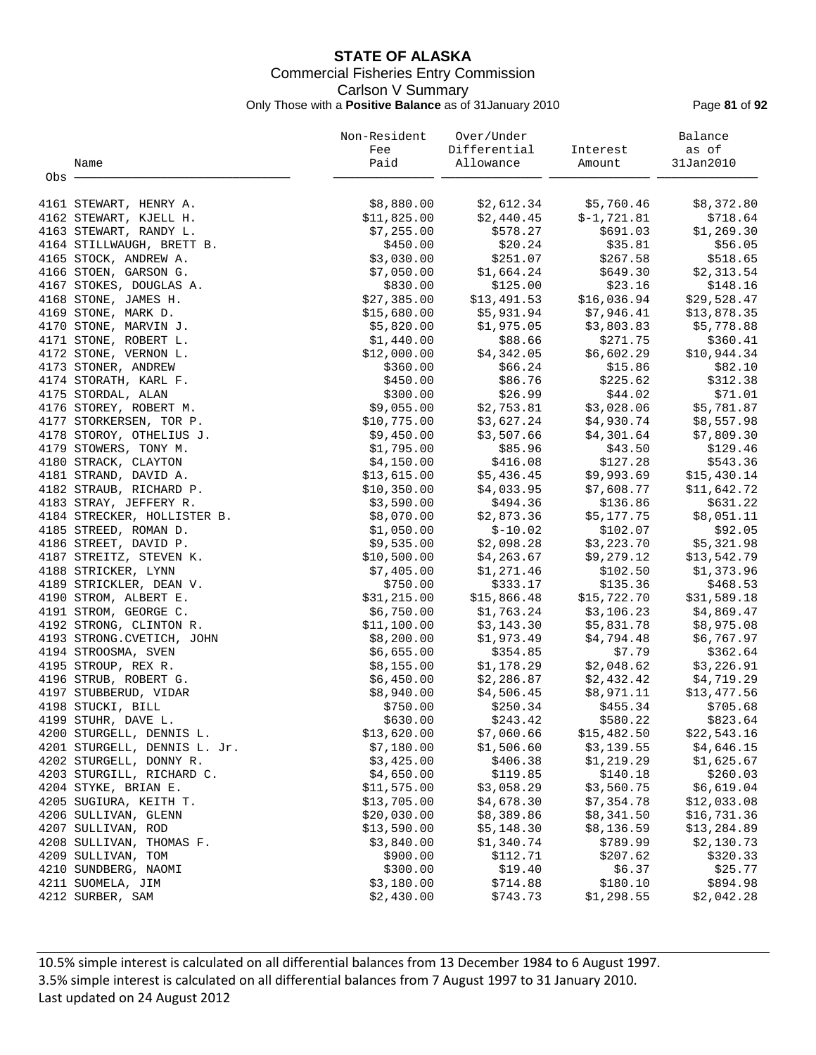# **STATE OF ALASKA** Commercial Fisheries Entry Commission Carlson V Summary Only Those with a **Positive Balance** as of 31January 2010 Page **81** of **92**

|       |                              | Non-Resident | Over/Under   |              | Balance     |
|-------|------------------------------|--------------|--------------|--------------|-------------|
|       |                              | Fee          | Differential | Interest     | as of       |
|       | Name                         | Paid         | Allowance    | Amount       | 31Jan2010   |
| Obs - |                              |              |              |              |             |
|       | 4161 STEWART, HENRY A.       | \$8,880.00   | \$2,612.34   | \$5,760.46   | \$8,372.80  |
|       | 4162 STEWART, KJELL H.       | \$11,825.00  | \$2,440.45   | $$-1,721.81$ | \$718.64    |
|       | 4163 STEWART, RANDY L.       | \$7,255.00   | \$578.27     | \$691.03     | \$1,269.30  |
|       | 4164 STILLWAUGH, BRETT B.    | \$450.00     | \$20.24      | \$35.81      | \$56.05     |
|       | 4165 STOCK, ANDREW A.        | \$3,030.00   | \$251.07     | \$267.58     | \$518.65    |
|       | 4166 STOEN, GARSON G.        | \$7,050.00   | \$1,664.24   | \$649.30     | \$2,313.54  |
|       | 4167 STOKES, DOUGLAS A.      | \$830.00     | \$125.00     | \$23.16      | \$148.16    |
|       | 4168 STONE, JAMES H.         | \$27,385.00  | \$13,491.53  | \$16,036.94  | \$29,528.47 |
|       | 4169 STONE, MARK D.          | \$15,680.00  | \$5,931.94   | \$7,946.41   | \$13,878.35 |
|       | 4170 STONE, MARVIN J.        | \$5,820.00   | \$1,975.05   | \$3,803.83   | \$5,778.88  |
|       | 4171 STONE, ROBERT L.        | \$1,440.00   | \$88.66      | \$271.75     | \$360.41    |
|       | 4172 STONE, VERNON L.        | \$12,000.00  | \$4,342.05   | \$6,602.29   | \$10,944.34 |
|       | 4173 STONER, ANDREW          | \$360.00     | \$66.24      | \$15.86      | \$82.10     |
|       | 4174 STORATH, KARL F.        | \$450.00     | \$86.76      | \$225.62     | \$312.38    |
|       | 4175 STORDAL, ALAN           | \$300.00     | \$26.99      | \$44.02      | \$71.01     |
|       | 4176 STOREY, ROBERT M.       | \$9,055.00   | \$2,753.81   | \$3,028.06   | \$5,781.87  |
|       | 4177 STORKERSEN, TOR P.      | \$10,775.00  | \$3,627.24   | \$4,930.74   | \$8,557.98  |
|       | 4178 STOROY, OTHELIUS J.     | \$9,450.00   | \$3,507.66   | \$4,301.64   | \$7,809.30  |
|       | 4179 STOWERS, TONY M.        | \$1,795.00   | \$85.96      | \$43.50      | \$129.46    |
|       | 4180 STRACK, CLAYTON         | \$4,150.00   | \$416.08     | \$127.28     | \$543.36    |
|       | 4181 STRAND, DAVID A.        | \$13,615.00  | \$5,436.45   | \$9,993.69   | \$15,430.14 |
|       | 4182 STRAUB, RICHARD P.      | \$10,350.00  | \$4,033.95   | \$7,608.77   | \$11,642.72 |
|       | 4183 STRAY, JEFFERY R.       | \$3,590.00   | \$494.36     | \$136.86     | \$631.22    |
|       | 4184 STRECKER, HOLLISTER B.  | \$8,070.00   | \$2,873.36   | \$5,177.75   | \$8,051.11  |
|       | 4185 STREED, ROMAN D.        | \$1,050.00   | $$-10.02$    | \$102.07     | \$92.05     |
|       | 4186 STREET, DAVID P.        | \$9,535.00   | \$2,098.28   | \$3,223.70   | \$5,321.98  |
|       | 4187 STREITZ, STEVEN K.      | \$10,500.00  | \$4,263.67   | \$9,279.12   | \$13,542.79 |
|       | 4188 STRICKER, LYNN          | \$7,405.00   | \$1,271.46   | \$102.50     | \$1,373.96  |
|       | 4189 STRICKLER, DEAN V.      | \$750.00     | \$333.17     | \$135.36     | \$468.53    |
|       | 4190 STROM, ALBERT E.        | \$31,215.00  | \$15,866.48  | \$15,722.70  | \$31,589.18 |
|       | 4191 STROM, GEORGE C.        | \$6,750.00   | \$1,763.24   | \$3,106.23   | \$4,869.47  |
|       | 4192 STRONG, CLINTON R.      | \$11,100.00  | \$3,143.30   | \$5,831.78   | \$8,975.08  |
|       | 4193 STRONG. CVETICH, JOHN   | \$8,200.00   | \$1,973.49   | \$4,794.48   | \$6,767.97  |
|       | 4194 STROOSMA, SVEN          | \$6,655.00   | \$354.85     | \$7.79       | \$362.64    |
|       | 4195 STROUP, REX R.          | \$8,155.00   | \$1,178.29   | \$2,048.62   | \$3,226.91  |
|       | 4196 STRUB, ROBERT G.        | \$6,450.00   | \$2,286.87   | \$2,432.42   | \$4,719.29  |
|       | 4197 STUBBERUD, VIDAR        | \$8,940.00   | \$4,506.45   | \$8,971.11   | \$13,477.56 |
|       | 4198 STUCKI, BILL            | \$750.00     | \$250.34     | \$455.34     | \$705.68    |
|       | 4199 STUHR, DAVE L.          | \$630.00     | \$243.42     | \$580.22     | \$823.64    |
|       | 4200 STURGELL, DENNIS L.     | \$13,620.00  | \$7,060.66   | \$15,482.50  | \$22,543.16 |
|       | 4201 STURGELL, DENNIS L. Jr. | \$7,180.00   | \$1,506.60   | \$3,139.55   | \$4,646.15  |
|       | 4202 STURGELL, DONNY R.      | \$3,425.00   | \$406.38     | \$1, 219.29  | \$1,625.67  |
|       | 4203 STURGILL, RICHARD C.    | \$4,650.00   | \$119.85     | \$140.18     | \$260.03    |
|       | 4204 STYKE, BRIAN E.         | \$11,575.00  | \$3,058.29   | \$3,560.75   | \$6,619.04  |
|       | 4205 SUGIURA, KEITH T.       | \$13,705.00  | \$4,678.30   | \$7,354.78   | \$12,033.08 |
|       | 4206 SULLIVAN, GLENN         | \$20,030.00  | \$8,389.86   | \$8,341.50   | \$16,731.36 |
|       | 4207 SULLIVAN, ROD           | \$13,590.00  | \$5,148.30   | \$8,136.59   | \$13,284.89 |
|       | 4208 SULLIVAN, THOMAS F.     | \$3,840.00   | \$1,340.74   | \$789.99     | \$2,130.73  |
|       | 4209 SULLIVAN, TOM           | \$900.00     | \$112.71     | \$207.62     | \$320.33    |
|       | 4210 SUNDBERG, NAOMI         | \$300.00     | \$19.40      | \$6.37       | \$25.77     |
|       | 4211 SUOMELA, JIM            | \$3,180.00   | \$714.88     | \$180.10     | \$894.98    |
|       | 4212 SURBER, SAM             | \$2,430.00   | \$743.73     | \$1,298.55   | \$2,042.28  |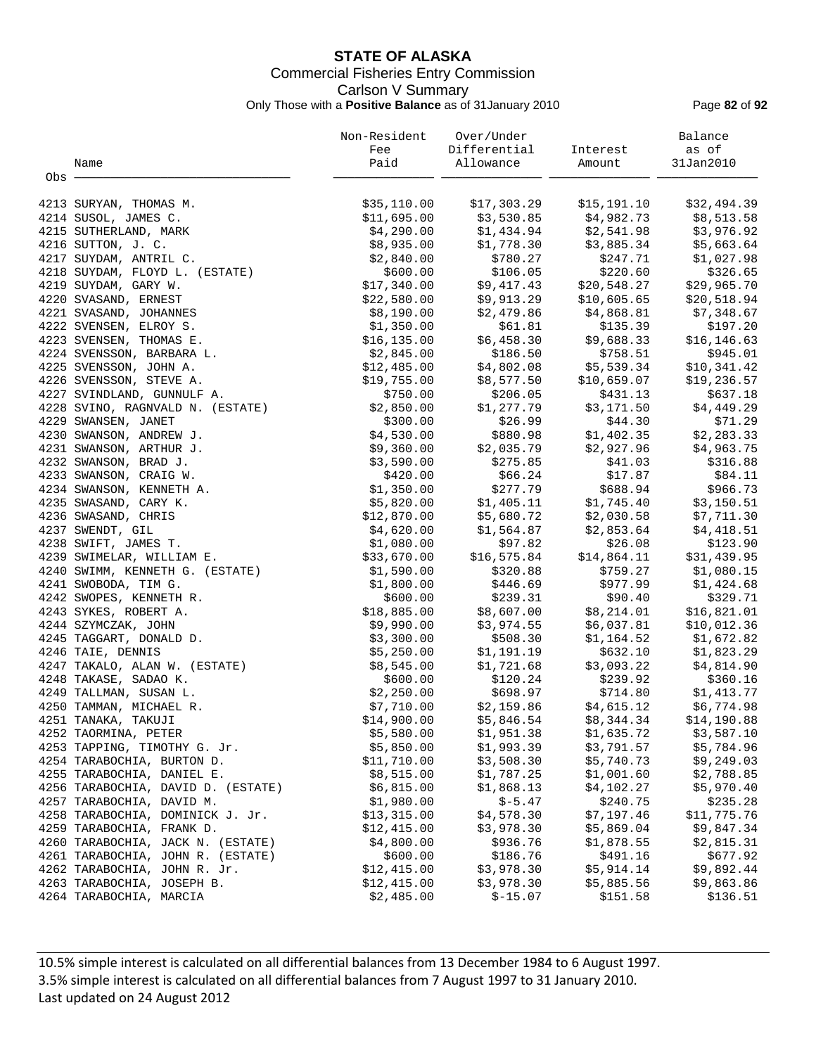# **STATE OF ALASKA** Commercial Fisheries Entry Commission Carlson V Summary Only Those with a **Positive Balance** as of 31January 2010 Page **82** of **92**

|       |                                    | Non-Resident | Over/Under   |                         | Balance      |
|-------|------------------------------------|--------------|--------------|-------------------------|--------------|
|       |                                    | Fee          | Differential | Interest                | as of        |
|       | Name                               | Paid         | Allowance    | Amount                  | 31Jan2010    |
| Obs - |                                    |              |              |                         |              |
|       |                                    |              |              |                         |              |
|       | 4213 SURYAN, THOMAS M.             | \$35,110.00  | \$17,303.29  | \$15,191.10             | \$32,494.39  |
|       | 4214 SUSOL, JAMES C.               | \$11,695.00  | \$3,530.85   | \$4,982.73              | \$8,513.58   |
|       | 4215 SUTHERLAND, MARK              | \$4,290.00   | \$1,434.94   | \$2,541.98              | \$3,976.92   |
|       | 4216 SUTTON, J. C.                 | \$8,935.00   | \$1,778.30   | \$3,885.34              | \$5,663.64   |
|       | 4217 SUYDAM, ANTRIL C.             | \$2,840.00   | \$780.27     | \$247.71                | \$1,027.98   |
|       | 4218 SUYDAM, FLOYD L. (ESTATE)     | \$600.00     | \$106.05     | \$220.60                | \$326.65     |
|       | 4219 SUYDAM, GARY W.               | \$17,340.00  | \$9,417.43   | \$20,548.27             | \$29,965.70  |
|       | 4220 SVASAND, ERNEST               | \$22,580.00  | \$9,913.29   | \$10,605.65             | \$20,518.94  |
|       | 4221 SVASAND, JOHANNES             | \$8,190.00   | \$2,479.86   | \$4,868.81              | \$7,348.67   |
|       | 4222 SVENSEN, ELROY S.             | \$1,350.00   | \$61.81      | \$135.39                | \$197.20     |
|       | 4223 SVENSEN, THOMAS E.            | \$16, 135.00 | \$6,458.30   | \$9,688.33              | \$16, 146.63 |
|       | 4224 SVENSSON, BARBARA L.          | \$2,845.00   | \$186.50     | \$758.51                | \$945.01     |
|       | 4225 SVENSSON, JOHN A.             | \$12,485.00  | \$4,802.08   | \$5,539.34              | \$10,341.42  |
|       | 4226 SVENSSON, STEVE A.            | \$19,755.00  | \$8,577.50   | \$10,659.07             | \$19,236.57  |
|       | 4227 SVINDLAND, GUNNULF A.         | \$750.00     | \$206.05     | \$431.13                | \$637.18     |
|       | 4228 SVINO, RAGNVALD N. (ESTATE)   | \$2,850.00   | \$1,277.79   | \$3,171.50              | \$4,449.29   |
|       | 4229 SWANSEN, JANET                | \$300.00     | \$26.99      | \$44.30                 | \$71.29      |
|       | 4230 SWANSON, ANDREW J.            | \$4,530.00   | \$880.98     | \$1,402.35              | \$2,283.33   |
|       | 4231 SWANSON, ARTHUR J.            | \$9,360.00   | \$2,035.79   | \$2,927.96              | \$4,963.75   |
|       | 4232 SWANSON, BRAD J.              | \$3,590.00   | \$275.85     | \$41.03                 | \$316.88     |
|       | 4233 SWANSON, CRAIG W.             | \$420.00     | \$66.24      | \$17.87                 | \$84.11      |
|       | 4234 SWANSON, KENNETH A.           | \$1,350.00   | \$277.79     | \$688.94                | \$966.73     |
|       | 4235 SWASAND, CARY K.              | \$5,820.00   | \$1,405.11   | \$1,745.40              | \$3,150.51   |
|       | 4236 SWASAND, CHRIS                | \$12,870.00  | \$5,680.72   | \$2,030.58              | \$7,711.30   |
|       | 4237 SWENDT, GIL                   | \$4,620.00   | \$1,564.87   | \$2,853.64              | \$4,418.51   |
|       | 4238 SWIFT, JAMES T.               | \$1,080.00   | \$97.82      | \$26.08                 | \$123.90     |
|       | 4239 SWIMELAR, WILLIAM E.          | \$33,670.00  | \$16,575.84  | \$14,864.11             | \$31,439.95  |
|       | 4240 SWIMM, KENNETH G. (ESTATE)    | \$1,590.00   | \$320.88     | \$759.27                | \$1,080.15   |
|       | 4241 SWOBODA, TIM G.               | \$1,800.00   | \$446.69     | \$977.99                | \$1,424.68   |
|       | 4242 SWOPES, KENNETH R.            | \$600.00     | \$239.31     | \$90.40                 | \$329.71     |
|       | 4243 SYKES, ROBERT A.              | \$18,885.00  | \$8,607.00   | \$8,214.01              | \$16,821.01  |
|       | 4244 SZYMCZAK, JOHN                | \$9,990.00   | \$3,974.55   | \$6,037.81              | \$10,012.36  |
|       | 4245 TAGGART, DONALD D.            | \$3,300.00   | \$508.30     | \$1,164.52              | \$1,672.82   |
|       | 4246 TAIE, DENNIS                  | \$5,250.00   | \$1,191.19   | \$632.10                | \$1,823.29   |
|       | 4247 TAKALO, ALAN W. (ESTATE)      | \$8,545.00   | \$1,721.68   | \$3,093.22              | \$4,814.90   |
|       | 4248 TAKASE, SADAO K.              | \$600.00     | \$120.24     | \$239.92                | \$360.16     |
|       | 4249 TALLMAN, SUSAN L.             | \$2,250.00   | \$698.97     | \$714.80                | \$1,413.77   |
|       | 4250 TAMMAN, MICHAEL R.            | \$7,710.00   |              | $$2,159.86$ $$4,615.12$ | \$6,774.98   |
|       | 4251 TANAKA, TAKUJI                | \$14,900.00  | \$5,846.54   | \$8,344.34              | \$14,190.88  |
|       | 4252 TAORMINA, PETER               | \$5,580.00   | \$1,951.38   | \$1,635.72              | \$3,587.10   |
|       | 4253 TAPPING, TIMOTHY G. Jr.       | \$5,850.00   | \$1,993.39   | \$3,791.57              | \$5,784.96   |
|       | 4254 TARABOCHIA, BURTON D.         | \$11,710.00  | \$3,508.30   | \$5,740.73              | \$9,249.03   |
|       | 4255 TARABOCHIA, DANIEL E.         | \$8,515.00   | \$1,787.25   | \$1,001.60              | \$2,788.85   |
|       | 4256 TARABOCHIA, DAVID D. (ESTATE) | \$6,815.00   | \$1,868.13   | \$4,102.27              | \$5,970.40   |
|       | 4257 TARABOCHIA, DAVID M.          | \$1,980.00   | $$-5.47$     | \$240.75                | \$235.28     |
|       | 4258 TARABOCHIA, DOMINICK J. Jr.   | \$13,315.00  | \$4,578.30   | \$7,197.46              | \$11,775.76  |
|       | 4259 TARABOCHIA, FRANK D.          | \$12,415.00  | \$3,978.30   | \$5,869.04              | \$9,847.34   |
|       | 4260 TARABOCHIA, JACK N. (ESTATE)  | \$4,800.00   | \$936.76     | \$1,878.55              | \$2,815.31   |
|       | 4261 TARABOCHIA, JOHN R. (ESTATE)  | \$600.00     | \$186.76     | \$491.16                | \$677.92     |
|       | 4262 TARABOCHIA, JOHN R. Jr.       | \$12,415.00  | \$3,978.30   | \$5,914.14              | \$9,892.44   |
|       | 4263 TARABOCHIA, JOSEPH B.         | \$12,415.00  | \$3,978.30   | \$5,885.56              | \$9,863.86   |
|       | 4264 TARABOCHIA, MARCIA            | \$2,485.00   | $$-15.07$    | \$151.58                | \$136.51     |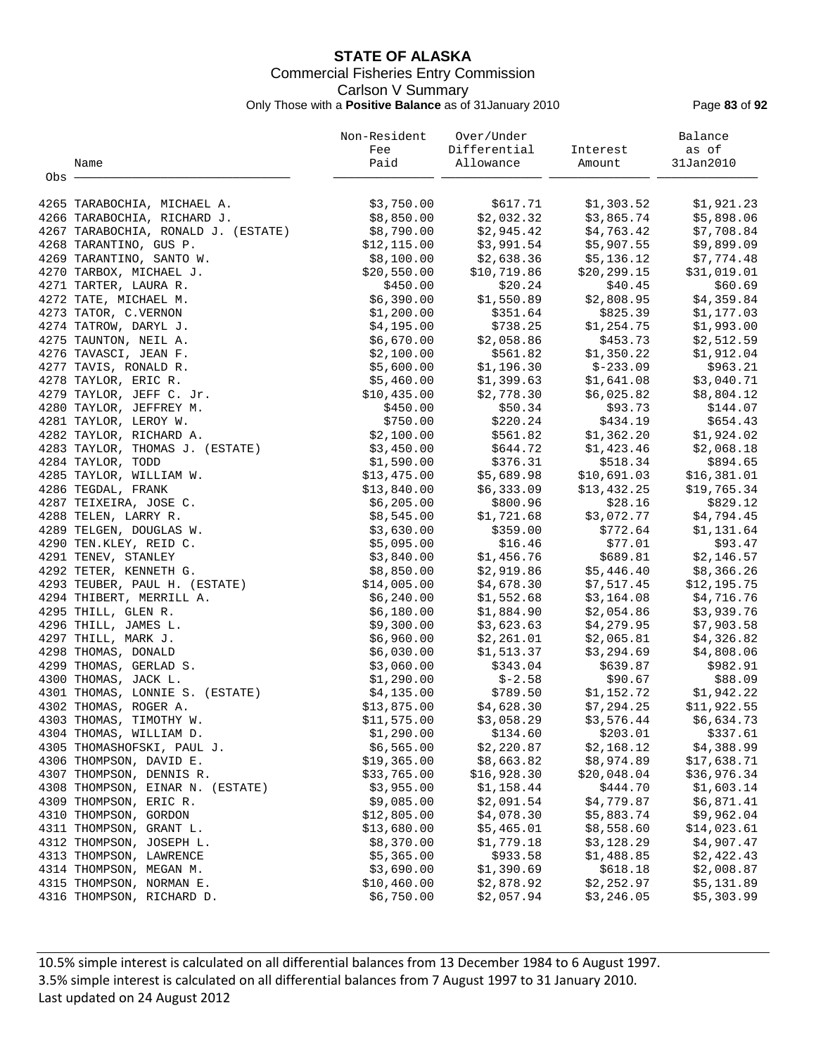# **STATE OF ALASKA** Commercial Fisheries Entry Commission Carlson V Summary Only Those with a **Positive Balance** as of 31January 2010 Page **83** of **92**

|       |                                                       | Non-Resident              | Over/Under               |                          | Balance                  |
|-------|-------------------------------------------------------|---------------------------|--------------------------|--------------------------|--------------------------|
|       |                                                       | Fee                       | Differential             | Interest                 | as of                    |
|       | Name                                                  | Paid                      | Allowance                | Amount                   | 31Jan2010                |
| Obs - |                                                       |                           |                          |                          |                          |
|       | 4265 TARABOCHIA, MICHAEL A.                           | \$3,750.00                | \$617.71                 | \$1,303.52               | \$1,921.23               |
|       | 4266 TARABOCHIA, RICHARD J.                           | \$8,850.00                | \$2,032.32               | \$3,865.74               | \$5,898.06               |
|       | 4267 TARABOCHIA, RONALD J. (ESTATE)                   | \$8,790.00                | \$2,945.42               | \$4,763.42               | \$7,708.84               |
|       | 4268 TARANTINO, GUS P.                                | \$12, 115.00              | \$3,991.54               | \$5,907.55               | \$9,899.09               |
|       | 4269 TARANTINO, SANTO W.                              | \$8,100.00                | \$2,638.36               | \$5,136.12               | \$7,774.48               |
|       | 4270 TARBOX, MICHAEL J.                               | \$20,550.00               | \$10,719.86              | \$20, 299.15             | \$31,019.01              |
|       | 4271 TARTER, LAURA R.                                 | \$450.00                  | \$20.24                  | \$40.45                  | \$60.69                  |
|       | 4272 TATE, MICHAEL M.                                 | \$6,390.00                | \$1,550.89               | \$2,808.95               | \$4,359.84               |
|       | 4273 TATOR, C.VERNON                                  | \$1,200.00                | \$351.64                 | \$825.39                 | \$1,177.03               |
|       | 4274 TATROW, DARYL J.                                 | \$4,195.00                | \$738.25                 | \$1,254.75               | \$1,993.00               |
|       | 4275 TAUNTON, NEIL A.                                 | \$6,670.00                | \$2,058.86               | \$453.73                 | \$2,512.59               |
|       | 4276 TAVASCI, JEAN F.                                 | \$2,100.00                | \$561.82                 | \$1,350.22               | \$1,912.04               |
|       | 4277 TAVIS, RONALD R.                                 | \$5,600.00                | \$1,196.30               | $$-233.09$               | \$963.21                 |
|       | 4278 TAYLOR, ERIC R.                                  | \$5,460.00                | \$1,399.63               | \$1,641.08               | \$3,040.71               |
|       | 4279 TAYLOR, JEFF C. Jr.                              | \$10,435.00               | \$2,778.30               | \$6,025.82               | \$8,804.12               |
|       | 4280 TAYLOR, JEFFREY M.                               | \$450.00                  | \$50.34                  | \$93.73                  | \$144.07                 |
|       | 4281 TAYLOR, LEROY W.                                 | \$750.00                  | \$220.24                 | \$434.19                 | \$654.43                 |
|       | 4282 TAYLOR, RICHARD A.                               | \$2,100.00                | \$561.82                 | \$1,362.20               | \$1,924.02               |
|       | 4283 TAYLOR, THOMAS J. (ESTATE)                       | \$3,450.00                | \$644.72                 | \$1,423.46               | \$2,068.18               |
|       | 4284 TAYLOR, TODD                                     | \$1,590.00                | \$376.31                 | \$518.34                 | \$894.65                 |
|       | 4285 TAYLOR, WILLIAM W.                               | \$13,475.00               | \$5,689.98               | \$10,691.03              | \$16,381.01              |
|       | 4286 TEGDAL, FRANK                                    | \$13,840.00               | \$6,333.09               | \$13,432.25              | \$19,765.34              |
|       | 4287 TEIXEIRA, JOSE C.                                | \$6,205.00                | \$800.96                 | \$28.16                  | \$829.12                 |
|       | 4288 TELEN, LARRY R.                                  | \$8,545.00                | \$1,721.68               | \$3,072.77               | \$4,794.45               |
|       | 4289 TELGEN, DOUGLAS W.                               | \$3,630.00                | \$359.00                 | \$772.64                 | \$1,131.64               |
|       | 4290 TEN. KLEY, REID C.                               | \$5,095.00                | \$16.46                  | \$77.01                  | \$93.47                  |
|       | 4291 TENEV, STANLEY                                   | \$3,840.00                | \$1,456.76               | \$689.81                 | \$2,146.57               |
|       | 4292 TETER, KENNETH G.                                | \$8,850.00                | \$2,919.86               | \$5,446.40               | \$8,366.26               |
|       | 4293 TEUBER, PAUL H. (ESTATE)                         | \$14,005.00               | \$4,678.30               | \$7,517.45               | \$12,195.75              |
|       | 4294 THIBERT, MERRILL A.                              | \$6,240.00                | \$1,552.68               | \$3,164.08               | \$4,716.76               |
|       | 4295 THILL, GLEN R.                                   | \$6,180.00                | \$1,884.90               | \$2,054.86               | \$3,939.76               |
|       | 4296 THILL, JAMES L.                                  | \$9,300.00                | \$3,623.63               | \$4,279.95               | \$7,903.58               |
|       | 4297 THILL, MARK J.                                   | \$6,960.00                | \$2,261.01               | \$2,065.81               | \$4,326.82               |
|       | 4298 THOMAS, DONALD                                   | \$6,030.00                | \$1,513.37               | \$3,294.69               | \$4,808.06               |
|       | 4299 THOMAS, GERLAD S.                                | \$3,060.00                | \$343.04                 | \$639.87                 | \$982.91                 |
|       | 4300 THOMAS, JACK L.                                  | \$1,290.00                | \$-2.58                  | \$90.67                  | \$88.09                  |
|       | 4301 THOMAS, LONNIE S. (ESTATE)                       | \$4,135.00                | \$789.50                 | \$1,152.72               | \$1,942.22               |
|       | 4302 THOMAS, ROGER A.                                 | \$13,875.00               | \$4,628.30               | \$7,294.25               | \$11,922.55              |
|       | 4303 THOMAS, TIMOTHY W.                               | \$11,575.00               | \$3,058.29               | \$3,576.44               | \$6,634.73               |
|       | 4304 THOMAS, WILLIAM D.                               | \$1,290.00                | \$134.60                 | \$203.01                 | \$337.61                 |
|       | 4305 THOMASHOFSKI, PAUL J.                            | \$6,565.00                | \$2,220.87               | \$2,168.12               | \$4,388.99               |
|       | 4306 THOMPSON, DAVID E.                               | \$19,365.00               | \$8,663.82               | \$8,974.89               | \$17,638.71              |
|       | 4307 THOMPSON, DENNIS R.                              | \$33,765.00               | \$16,928.30              | \$20,048.04              | \$36,976.34              |
|       | 4308 THOMPSON, EINAR N. (ESTATE)                      | \$3,955.00                | \$1,158.44               | \$444.70                 | \$1,603.14               |
|       | 4309 THOMPSON, ERIC R.                                | \$9,085.00                | \$2,091.54               | \$4,779.87               | \$6,871.41               |
|       | 4310 THOMPSON, GORDON                                 | \$12,805.00               | \$4,078.30               | \$5,883.74               | \$9,962.04               |
|       | 4311 THOMPSON, GRANT L.                               | \$13,680.00               | \$5,465.01               | \$8,558.60               | \$14,023.61              |
|       | 4312 THOMPSON, JOSEPH L.                              | \$8,370.00                | \$1,779.18               | \$3,128.29               | \$4,907.47               |
|       | 4313 THOMPSON, LAWRENCE                               | \$5,365.00                | \$933.58<br>\$1,390.69   | \$1,488.85               | \$2,422.43               |
|       | 4314 THOMPSON, MEGAN M.                               | \$3,690.00                |                          | \$618.18                 | \$2,008.87               |
|       | 4315 THOMPSON, NORMAN E.<br>4316 THOMPSON, RICHARD D. | \$10,460.00<br>\$6,750.00 | \$2,878.92<br>\$2,057.94 | \$2,252.97<br>\$3,246.05 | \$5,131.89<br>\$5,303.99 |
|       |                                                       |                           |                          |                          |                          |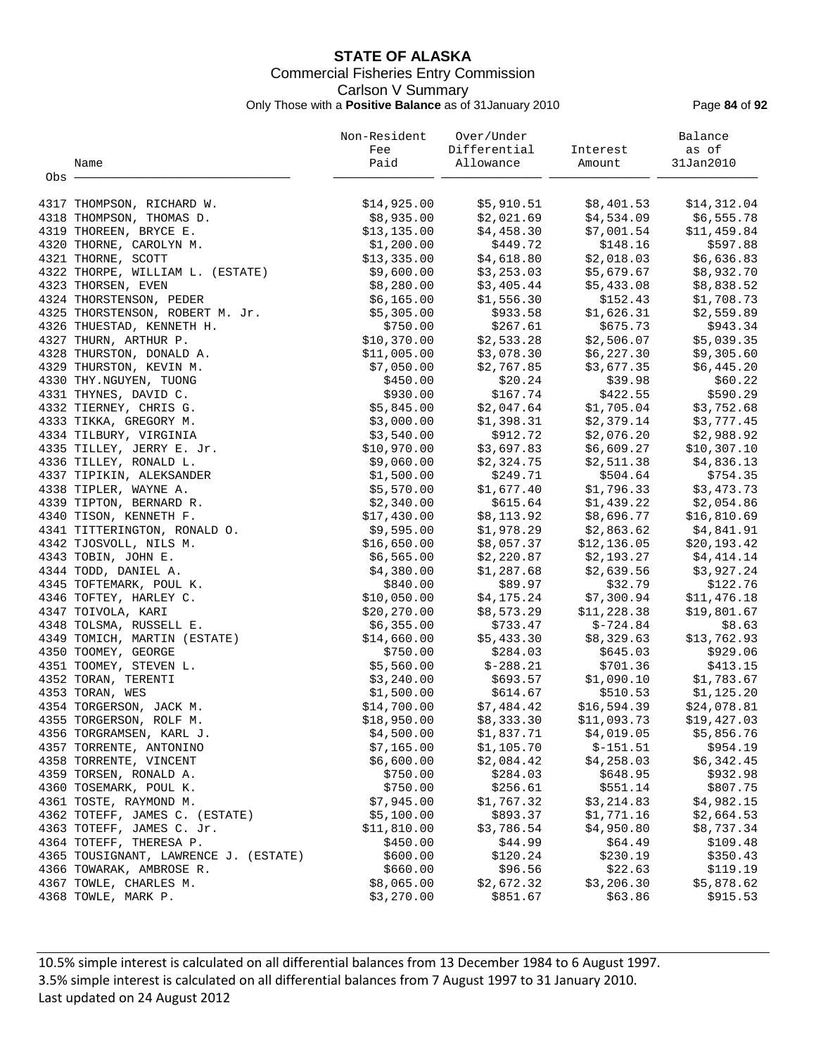# **STATE OF ALASKA** Commercial Fisheries Entry Commission Carlson V Summary Only Those with a **Positive Balance** as of 31January 2010 Page **84** of **92**

|       |                                       | Non-Resident | Over/Under   |             | Balance      |
|-------|---------------------------------------|--------------|--------------|-------------|--------------|
|       |                                       | Fee          | Differential | Interest    | as of        |
|       | Name                                  | Paid         | Allowance    | Amount      | 31Jan2010    |
| Obs - |                                       |              |              |             |              |
|       | 4317 THOMPSON, RICHARD W.             | \$14,925.00  | \$5,910.51   | \$8,401.53  | \$14,312.04  |
|       | 4318 THOMPSON, THOMAS D.              | \$8,935.00   | \$2,021.69   | \$4,534.09  | \$6,555.78   |
|       | 4319 THOREEN, BRYCE E.                | \$13,135.00  | \$4,458.30   | \$7,001.54  | \$11,459.84  |
|       | 4320 THORNE, CAROLYN M.               | \$1,200.00   | \$449.72     | \$148.16    | \$597.88     |
|       | 4321 THORNE, SCOTT                    | \$13,335.00  | \$4,618.80   | \$2,018.03  | \$6,636.83   |
|       | 4322 THORPE, WILLIAM L. (ESTATE)      | \$9,600.00   | \$3,253.03   | \$5,679.67  | \$8,932.70   |
|       | 4323 THORSEN, EVEN                    | \$8,280.00   | \$3,405.44   | \$5,433.08  | \$8,838.52   |
|       | 4324 THORSTENSON, PEDER               | \$6,165.00   | \$1,556.30   | \$152.43    | \$1,708.73   |
|       | 4325 THORSTENSON, ROBERT M. Jr.       | \$5,305.00   | \$933.58     | \$1,626.31  | \$2,559.89   |
|       | 4326 THUESTAD, KENNETH H.             | \$750.00     | \$267.61     | \$675.73    | \$943.34     |
|       | 4327 THURN, ARTHUR P.                 | \$10,370.00  | \$2,533.28   | \$2,506.07  | \$5,039.35   |
|       | 4328 THURSTON, DONALD A.              | \$11,005.00  | \$3,078.30   | \$6,227.30  | \$9,305.60   |
|       | 4329 THURSTON, KEVIN M.               | \$7,050.00   | \$2,767.85   | \$3,677.35  | \$6,445.20   |
|       | 4330 THY. NGUYEN, TUONG               | \$450.00     | \$20.24      | \$39.98     | \$60.22      |
|       | 4331 THYNES, DAVID C.                 | \$930.00     | \$167.74     | \$422.55    | \$590.29     |
|       | 4332 TIERNEY, CHRIS G.                | \$5,845.00   | \$2,047.64   | \$1,705.04  | \$3,752.68   |
|       | 4333 TIKKA, GREGORY M.                | \$3,000.00   | \$1,398.31   | \$2,379.14  | \$3,777.45   |
|       | 4334 TILBURY, VIRGINIA                | \$3,540.00   | \$912.72     | \$2,076.20  | \$2,988.92   |
|       | 4335 TILLEY, JERRY E. Jr.             | \$10,970.00  | \$3,697.83   | \$6,609.27  | \$10,307.10  |
|       | 4336 TILLEY, RONALD L.                | \$9,060.00   | \$2,324.75   | \$2,511.38  | \$4,836.13   |
|       | 4337 TIPIKIN, ALEKSANDER              | \$1,500.00   | \$249.71     | \$504.64    | \$754.35     |
|       | 4338 TIPLER, WAYNE A.                 | \$5,570.00   | \$1,677.40   | \$1,796.33  | \$3,473.73   |
|       | 4339 TIPTON, BERNARD R.               | \$2,340.00   | \$615.64     | \$1,439.22  | \$2,054.86   |
|       | 4340 TISON, KENNETH F.                | \$17,430.00  | \$8,113.92   | \$8,696.77  | \$16,810.69  |
|       | 4341 TITTERINGTON, RONALD O.          | \$9,595.00   | \$1,978.29   | \$2,863.62  | \$4,841.91   |
|       | 4342 TJOSVOLL, NILS M.                | \$16,650.00  | \$8,057.37   | \$12,136.05 | \$20, 193.42 |
|       | 4343 TOBIN, JOHN E.                   | \$6,565.00   | \$2,220.87   | \$2,193.27  | \$4,414.14   |
|       | 4344 TODD, DANIEL A.                  | \$4,380.00   | \$1,287.68   | \$2,639.56  | \$3,927.24   |
|       | 4345 TOFTEMARK, POUL K.               | \$840.00     | \$89.97      | \$32.79     | \$122.76     |
|       | 4346 TOFTEY, HARLEY C.                | \$10,050.00  | \$4,175.24   | \$7,300.94  | \$11,476.18  |
|       | 4347 TOIVOLA, KARI                    | \$20, 270.00 | \$8,573.29   | \$11,228.38 | \$19,801.67  |
|       | 4348 TOLSMA, RUSSELL E.               | \$6,355.00   | \$733.47     | $$-724.84$  | \$8.63       |
|       | 4349 TOMICH, MARTIN (ESTATE)          | \$14,660.00  | \$5,433.30   | \$8,329.63  | \$13,762.93  |
|       | 4350 TOOMEY, GEORGE                   | \$750.00     | \$284.03     | \$645.03    | \$929.06     |
|       | 4351 TOOMEY, STEVEN L.                | \$5,560.00   | $$-288.21$   | \$701.36    | \$413.15     |
|       | 4352 TORAN, TERENTI                   | \$3,240.00   | \$693.57     | \$1,090.10  | \$1,783.67   |
|       | 4353 TORAN, WES                       | \$1,500.00   | \$614.67     | \$510.53    | \$1,125.20   |
|       | 4354 TORGERSON, JACK M.               | \$14,700.00  | \$7,484.42   | \$16,594.39 | \$24,078.81  |
|       | 4355 TORGERSON, ROLF M.               | \$18,950.00  | \$8,333.30   | \$11,093.73 | \$19,427.03  |
|       | 4356 TORGRAMSEN, KARL J.              | \$4,500.00   | \$1,837.71   | \$4,019.05  | \$5,856.76   |
|       | 4357 TORRENTE, ANTONINO               | \$7,165.00   | \$1,105.70   | $$-151.51$  | \$954.19     |
|       | 4358 TORRENTE, VINCENT                | \$6,600.00   | \$2,084.42   | \$4,258.03  | \$6,342.45   |
|       | 4359 TORSEN, RONALD A.                | \$750.00     | \$284.03     | \$648.95    | \$932.98     |
|       | 4360 TOSEMARK, POUL K.                | \$750.00     | \$256.61     | \$551.14    | \$807.75     |
|       | 4361 TOSTE, RAYMOND M.                | \$7,945.00   | \$1,767.32   | \$3,214.83  | \$4,982.15   |
|       | 4362 TOTEFF, JAMES C. (ESTATE)        | \$5,100.00   | \$893.37     | \$1,771.16  | \$2,664.53   |
|       | 4363 TOTEFF, JAMES C. Jr.             | \$11,810.00  | \$3,786.54   | \$4,950.80  | \$8,737.34   |
|       | 4364 TOTEFF, THERESA P.               | \$450.00     | \$44.99      | \$64.49     | \$109.48     |
|       | 4365 TOUSIGNANT, LAWRENCE J. (ESTATE) | \$600.00     | \$120.24     | \$230.19    | \$350.43     |
|       | 4366 TOWARAK, AMBROSE R.              | \$660.00     | \$96.56      | \$22.63     | \$119.19     |
|       | 4367 TOWLE, CHARLES M.                | \$8,065.00   | \$2,672.32   | \$3,206.30  | \$5,878.62   |
|       | 4368 TOWLE, MARK P.                   | \$3,270.00   | \$851.67     | \$63.86     | \$915.53     |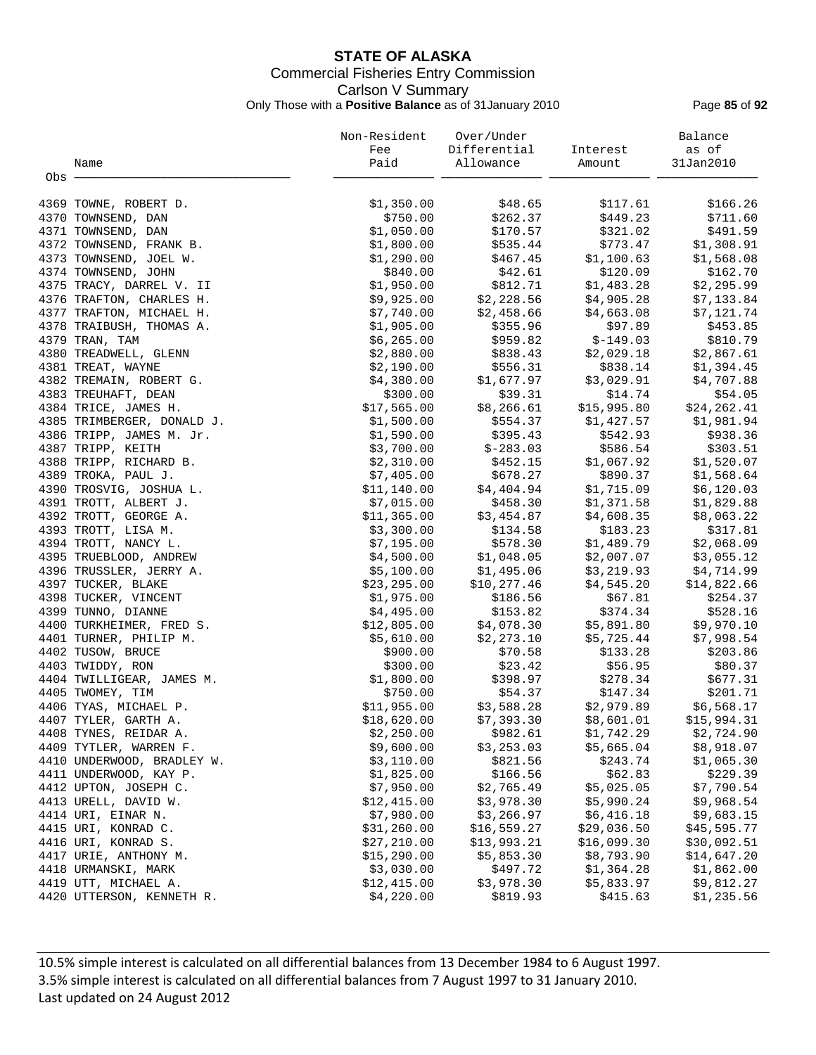# **STATE OF ALASKA** Commercial Fisheries Entry Commission Carlson V Summary Only Those with a **Positive Balance** as of 31January 2010 Page **85** of **92**

|       |                                            | Non-Resident               | Over/Under                 |                            | Balance                   |
|-------|--------------------------------------------|----------------------------|----------------------------|----------------------------|---------------------------|
|       |                                            | Fee                        | Differential               | Interest                   | as of                     |
|       | Name                                       | Paid                       | Allowance                  | Amount                     | 31Jan2010                 |
| Obs - |                                            |                            |                            |                            |                           |
|       | 4369 TOWNE, ROBERT D.                      | \$1,350.00                 | \$48.65                    | \$117.61                   | \$166.26                  |
|       | 4370 TOWNSEND, DAN                         | \$750.00                   | \$262.37                   | \$449.23                   | \$711.60                  |
|       | 4371 TOWNSEND, DAN                         | \$1,050.00                 | \$170.57                   | \$321.02                   | \$491.59                  |
|       | 4372 TOWNSEND, FRANK B.                    | \$1,800.00                 | \$535.44                   | \$773.47                   | \$1,308.91                |
|       | 4373 TOWNSEND, JOEL W.                     | \$1,290.00                 | \$467.45                   | \$1,100.63                 | \$1,568.08                |
|       | 4374 TOWNSEND, JOHN                        | \$840.00                   | \$42.61                    | \$120.09                   | \$162.70                  |
|       | 4375 TRACY, DARREL V. II                   | \$1,950.00                 | \$812.71                   | \$1,483.28                 | \$2,295.99                |
|       | 4376 TRAFTON, CHARLES H.                   | \$9,925.00                 | \$2,228.56                 | \$4,905.28                 | \$7,133.84                |
|       | 4377 TRAFTON, MICHAEL H.                   | \$7,740.00                 | \$2,458.66                 | \$4,663.08                 | \$7,121.74                |
|       | 4378 TRAIBUSH, THOMAS A.                   | \$1,905.00                 | \$355.96                   | \$97.89                    | \$453.85                  |
|       | 4379 TRAN, TAM                             | \$6,265.00                 | \$959.82                   | $$-149.03$                 | \$810.79                  |
|       | 4380 TREADWELL, GLENN                      | \$2,880.00                 | \$838.43                   | \$2,029.18                 | \$2,867.61                |
|       | 4381 TREAT, WAYNE                          | \$2,190.00                 | \$556.31                   | \$838.14                   | \$1,394.45                |
|       | 4382 TREMAIN, ROBERT G.                    | \$4,380.00                 | \$1,677.97                 | \$3,029.91                 | \$4,707.88                |
|       | 4383 TREUHAFT, DEAN                        | \$300.00                   | \$39.31                    | \$14.74                    | \$54.05                   |
|       | 4384 TRICE, JAMES H.                       | \$17,565.00                | \$8,266.61                 | \$15,995.80                | \$24,262.41               |
|       | 4385 TRIMBERGER, DONALD J.                 | \$1,500.00                 | \$554.37                   | \$1,427.57                 | \$1,981.94                |
|       | 4386 TRIPP, JAMES M. Jr.                   | \$1,590.00                 | \$395.43                   | \$542.93                   | \$938.36                  |
|       | 4387 TRIPP, KEITH                          | \$3,700.00                 | $$-283.03$                 | \$586.54                   | \$303.51                  |
|       | 4388 TRIPP, RICHARD B.                     | \$2,310.00                 | \$452.15                   | \$1,067.92                 | \$1,520.07                |
|       | 4389 TROKA, PAUL J.                        | \$7,405.00                 | \$678.27                   | \$890.37                   | \$1,568.64                |
|       | 4390 TROSVIG, JOSHUA L.                    | \$11,140.00                | \$4,404.94                 | \$1,715.09                 | \$6,120.03                |
|       | 4391 TROTT, ALBERT J.                      | \$7,015.00                 | \$458.30                   | \$1,371.58                 | \$1,829.88                |
|       | 4392 TROTT, GEORGE A.                      | \$11,365.00                | \$3,454.87                 | \$4,608.35                 | \$8,063.22                |
|       | 4393 TROTT, LISA M.                        | \$3,300.00                 | \$134.58                   | \$183.23                   | \$317.81                  |
|       | 4394 TROTT, NANCY L.                       | \$7,195.00                 | \$578.30                   | \$1,489.79                 | \$2,068.09                |
|       | 4395 TRUEBLOOD, ANDREW                     | \$4,500.00                 | \$1,048.05                 | \$2,007.07                 | \$3,055.12                |
|       | 4396 TRUSSLER, JERRY A.                    | \$5,100.00                 | \$1,495.06                 | \$3,219.93                 | \$4,714.99                |
|       | 4397 TUCKER, BLAKE                         | \$23, 295.00               | \$10, 277.46               | \$4,545.20                 | \$14,822.66               |
|       | 4398 TUCKER, VINCENT                       | \$1,975.00                 | \$186.56                   | \$67.81                    | \$254.37                  |
|       | 4399 TUNNO, DIANNE                         | \$4,495.00                 | \$153.82                   | \$374.34                   | \$528.16                  |
|       | 4400 TURKHEIMER, FRED S.                   | \$12,805.00                |                            | $$4,078.30$ $$5,891.80$    | \$9,970.10                |
|       | 4401 TURNER, PHILIP M.                     | \$5,610.00                 | \$2,273.10                 | \$5,725.44                 | \$7,998.54                |
|       | 4402 TUSOW, BRUCE                          | \$900.00                   | \$70.58                    | \$133.28                   | \$203.86                  |
|       | 4403 TWIDDY, RON                           | \$300.00                   | \$23.42                    | \$56.95                    | \$80.37                   |
|       | 4404 TWILLIGEAR, JAMES M.                  | \$1,800.00                 | \$398.97                   | \$278.34                   | \$677.31                  |
|       | 4405 TWOMEY, TIM                           | \$750.00                   | \$54.37                    | \$147.34                   | \$201.71                  |
|       | 4406 TYAS, MICHAEL P.                      | \$11,955.00                | \$3,588.28                 | \$2,979.89                 | \$6,568.17                |
|       | 4407 TYLER, GARTH A.                       | \$18,620.00                | \$7,393.30                 | \$8,601.01                 | \$15,994.31               |
|       | 4408 TYNES, REIDAR A.                      | \$2,250.00                 | \$982.61                   | \$1,742.29                 | \$2,724.90                |
|       | 4409 TYTLER, WARREN F.                     | \$9,600.00                 | \$3,253.03                 | \$5,665.04                 | \$8,918.07                |
|       | 4410 UNDERWOOD, BRADLEY W.                 | \$3,110.00                 | \$821.56                   | \$243.74                   | \$1,065.30<br>\$229.39    |
|       | 4411 UNDERWOOD, KAY P.                     | \$1,825.00                 | \$166.56                   | \$62.83                    | \$7,790.54                |
|       | 4412 UPTON, JOSEPH C.                      | \$7,950.00<br>\$12,415.00  | \$2,765.49<br>\$3,978.30   | \$5,025.05                 |                           |
|       | 4413 URELL, DAVID W.<br>4414 URI, EINAR N. | \$7,980.00                 | \$3, 266.97                | \$5,990.24<br>\$6,416.18   | \$9,968.54                |
|       | 4415 URI, KONRAD C.                        |                            |                            |                            | \$9,683.15<br>\$45,595.77 |
|       | 4416 URI, KONRAD S.                        | \$31,260.00<br>\$27,210.00 | \$16,559.27<br>\$13,993.21 | \$29,036.50<br>\$16,099.30 | \$30,092.51               |
|       | 4417 URIE, ANTHONY M.                      | \$15,290.00                | \$5,853.30                 | \$8,793.90                 | \$14,647.20               |
|       | 4418 URMANSKI, MARK                        | \$3,030.00                 | \$497.72                   | \$1,364.28                 | \$1,862.00                |
|       | 4419 UTT, MICHAEL A.                       | \$12,415.00                | \$3,978.30                 | \$5,833.97                 | \$9,812.27                |
|       | 4420 UTTERSON, KENNETH R.                  | \$4,220.00                 | \$819.93                   | \$415.63                   | \$1,235.56                |
|       |                                            |                            |                            |                            |                           |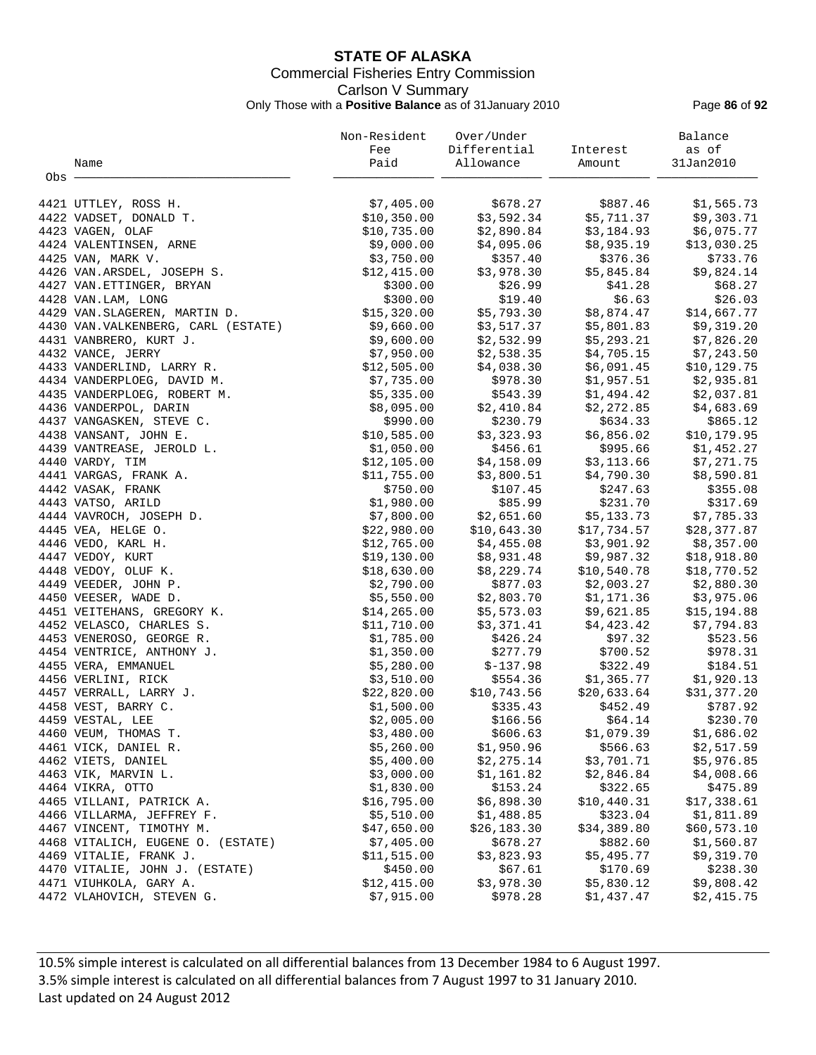# **STATE OF ALASKA** Commercial Fisheries Entry Commission Carlson V Summary Only Those with a **Positive Balance** as of 31January 2010 Page **86** of **92**

|     | Name                                        | Non-Resident<br>Fee<br>Paid | Over/Under<br>Differential<br>Allowance | Interest<br>Amount       | Balance<br>as of<br>31Jan2010 |
|-----|---------------------------------------------|-----------------------------|-----------------------------------------|--------------------------|-------------------------------|
| Obs |                                             |                             |                                         |                          |                               |
|     |                                             |                             |                                         |                          |                               |
|     | 4421 UTTLEY, ROSS H.                        | \$7,405.00                  | \$678.27                                | \$887.46                 | \$1,565.73                    |
|     | 4422 VADSET, DONALD T.                      | \$10,350.00                 | \$3,592.34                              | \$5,711.37               | \$9,303.71                    |
|     | 4423 VAGEN, OLAF                            | \$10,735.00                 | \$2,890.84                              | \$3,184.93               | \$6,075.77                    |
|     | 4424 VALENTINSEN, ARNE                      | \$9,000.00                  | \$4,095.06                              | \$8,935.19               | \$13,030.25                   |
|     | 4425 VAN, MARK V.                           | \$3,750.00                  | \$357.40                                | \$376.36                 | \$733.76                      |
|     | 4426 VAN.ARSDEL, JOSEPH S.                  | \$12,415.00                 | \$3,978.30                              | \$5,845.84               | \$9,824.14                    |
|     | 4427 VAN. ETTINGER, BRYAN                   | \$300.00                    | \$26.99                                 | \$41.28                  | \$68.27                       |
|     | 4428 VAN.LAM, LONG                          | \$300.00                    | \$19.40                                 | \$6.63                   | \$26.03                       |
|     | 4429 VAN. SLAGEREN, MARTIN D.               | \$15,320.00                 | \$5,793.30                              | \$8,874.47               | \$14,667.77                   |
|     | 4430 VAN. VALKENBERG, CARL (ESTATE)         | \$9,660.00                  | \$3,517.37                              | \$5,801.83               | \$9,319.20                    |
|     | 4431 VANBRERO, KURT J.                      | \$9,600.00                  | \$2,532.99                              | \$5,293.21               | \$7,826.20                    |
|     | 4432 VANCE, JERRY                           | \$7,950.00                  | \$2,538.35                              | \$4,705.15               | \$7,243.50                    |
|     | 4433 VANDERLIND, LARRY R.                   | \$12,505.00                 | \$4,038.30                              | \$6,091.45               | \$10, 129.75                  |
|     | 4434 VANDERPLOEG, DAVID M.                  | \$7,735.00                  | \$978.30                                | \$1,957.51               | \$2,935.81                    |
|     | 4435 VANDERPLOEG, ROBERT M.                 | \$5,335.00                  | \$543.39                                | \$1,494.42               | \$2,037.81                    |
|     | 4436 VANDERPOL, DARIN                       | \$8,095.00                  | \$2,410.84                              | \$2,272.85               | \$4,683.69                    |
|     | 4437 VANGASKEN, STEVE C.                    | \$990.00                    | \$230.79                                | \$634.33                 | \$865.12                      |
|     | 4438 VANSANT, JOHN E.                       | \$10,585.00                 | \$3,323.93                              | \$6,856.02               | \$10, 179.95                  |
|     | 4439 VANTREASE, JEROLD L.                   | \$1,050.00                  | \$456.61                                | \$995.66                 | \$1,452.27                    |
|     | 4440 VARDY, TIM                             | \$12,105.00                 | \$4,158.09                              | \$3,113.66               | \$7,271.75                    |
|     | 4441 VARGAS, FRANK A.                       | \$11,755.00                 | \$3,800.51                              | \$4,790.30               | \$8,590.81                    |
|     | 4442 VASAK, FRANK                           | \$750.00                    | \$107.45                                | \$247.63                 | \$355.08                      |
|     | 4443 VATSO, ARILD                           | \$1,980.00                  | \$85.99                                 | \$231.70                 | \$317.69                      |
|     | 4444 VAVROCH, JOSEPH D.                     | \$7,800.00                  | \$2,651.60                              | \$5,133.73               | \$7,785.33                    |
|     | 4445 VEA, HELGE O.                          | \$22,980.00                 | \$10,643.30                             | \$17,734.57              | \$28,377.87                   |
|     | 4446 VEDO, KARL H.                          | \$12,765.00                 | \$4,455.08                              | \$3,901.92<br>\$9,987.32 | \$8,357.00                    |
|     | 4447 VEDOY, KURT                            | \$19,130.00<br>\$18,630.00  | \$8,931.48<br>\$8,229.74                | \$10,540.78              | \$18,918.80<br>\$18,770.52    |
|     | 4448 VEDOY, OLUF K.<br>4449 VEEDER, JOHN P. | \$2,790.00                  | \$877.03                                | \$2,003.27               | \$2,880.30                    |
|     | 4450 VEESER, WADE D.                        | \$5,550.00                  | \$2,803.70                              | \$1,171.36               | \$3,975.06                    |
|     | 4451 VEITEHANS, GREGORY K.                  | \$14, 265.00                | \$5,573.03                              | \$9,621.85               | \$15,194.88                   |
|     | 4452 VELASCO, CHARLES S.                    | \$11,710.00                 | \$3,371.41                              | \$4,423.42               | \$7,794.83                    |
|     | 4453 VENEROSO, GEORGE R.                    | \$1,785.00                  | \$426.24                                | \$97.32                  | \$523.56                      |
|     | 4454 VENTRICE, ANTHONY J.                   | \$1,350.00                  | \$277.79                                | \$700.52                 | \$978.31                      |
|     | 4455 VERA, EMMANUEL                         | \$5,280.00                  | $$-137.98$                              | \$322.49                 | \$184.51                      |
|     | 4456 VERLINI, RICK                          | \$3,510.00                  | \$554.36                                | \$1,365.77               | \$1,920.13                    |
|     | 4457 VERRALL, LARRY J.                      | \$22,820.00                 | \$10,743.56                             | \$20,633.64              | \$31,377.20                   |
|     | 4458 VEST, BARRY C.                         | \$1,500.00                  | \$335.43                                | \$452.49                 | \$787.92                      |
|     | 4459 VESTAL, LEE                            | \$2,005.00                  | \$166.56                                | \$64.14                  | \$230.70                      |
|     | 4460 VEUM, THOMAS T.                        | \$3,480.00                  | \$606.63                                | \$1,079.39               | \$1,686.02                    |
|     | 4461 VICK, DANIEL R.                        | \$5,260.00                  | \$1,950.96                              | \$566.63                 | \$2,517.59                    |
|     | 4462 VIETS, DANIEL                          | \$5,400.00                  | \$2,275.14                              | \$3,701.71               | \$5,976.85                    |
|     | 4463 VIK, MARVIN L.                         | \$3,000.00                  | \$1,161.82                              | \$2,846.84               | \$4,008.66                    |
|     | 4464 VIKRA, OTTO                            | \$1,830.00                  | \$153.24                                | \$322.65                 | \$475.89                      |
|     | 4465 VILLANI, PATRICK A.                    | \$16,795.00                 | \$6,898.30                              | \$10,440.31              | \$17,338.61                   |
|     | 4466 VILLARMA, JEFFREY F.                   | \$5,510.00                  | \$1,488.85                              | \$323.04                 | \$1,811.89                    |
|     | 4467 VINCENT, TIMOTHY M.                    | \$47,650.00                 | \$26, 183.30                            | \$34,389.80              | \$60,573.10                   |
|     | 4468 VITALICH, EUGENE O. (ESTATE)           | \$7,405.00                  | \$678.27                                | \$882.60                 | \$1,560.87                    |
|     | 4469 VITALIE, FRANK J.                      | \$11,515.00                 | \$3,823.93                              | \$5,495.77               | \$9,319.70                    |
|     | 4470 VITALIE, JOHN J. (ESTATE)              | \$450.00                    | \$67.61                                 | \$170.69                 | \$238.30                      |
|     | 4471 VIUHKOLA, GARY A.                      | \$12,415.00                 | \$3,978.30                              | \$5,830.12               | \$9,808.42                    |
|     | 4472 VLAHOVICH, STEVEN G.                   | \$7,915.00                  | \$978.28                                | \$1,437.47               | \$2,415.75                    |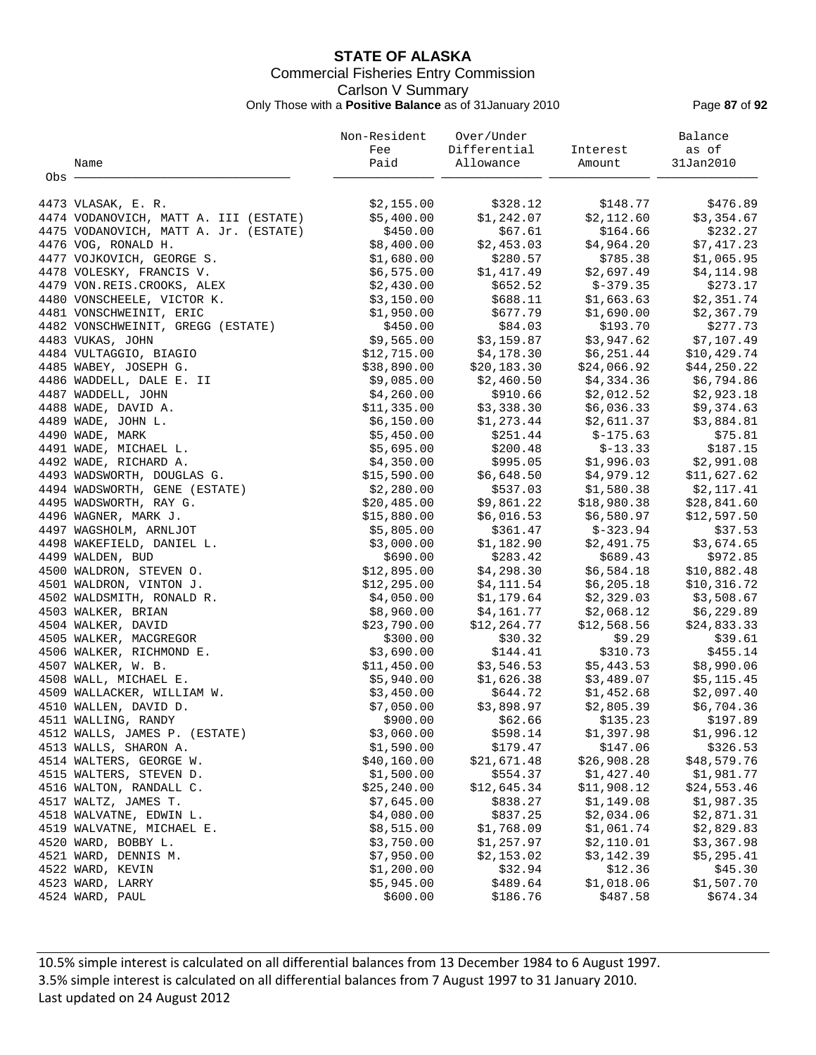# **STATE OF ALASKA** Commercial Fisheries Entry Commission Carlson V Summary Only Those with a **Positive Balance** as of 31January 2010 Page **87** of **92**

|       |                                       | Non-Resident | Over/Under   |             | Balance     |
|-------|---------------------------------------|--------------|--------------|-------------|-------------|
|       |                                       | Fee          | Differential | Interest    | as of       |
|       | Name                                  | Paid         | Allowance    | Amount      | 31Jan2010   |
| Obs - |                                       |              |              |             |             |
|       |                                       |              |              |             |             |
|       | 4473 VLASAK, E. R.                    | \$2,155.00   | \$328.12     | \$148.77    | \$476.89    |
|       | 4474 VODANOVICH, MATT A. III (ESTATE) | \$5,400.00   | \$1,242.07   | \$2,112.60  | \$3,354.67  |
|       | 4475 VODANOVICH, MATT A. Jr. (ESTATE) | \$450.00     | \$67.61      | \$164.66    | \$232.27    |
|       | 4476 VOG, RONALD H.                   | \$8,400.00   | \$2,453.03   | \$4,964.20  | \$7,417.23  |
|       | 4477 VOJKOVICH, GEORGE S.             | \$1,680.00   | \$280.57     | \$785.38    | \$1,065.95  |
|       | 4478 VOLESKY, FRANCIS V.              | \$6,575.00   | \$1,417.49   | \$2,697.49  | \$4,114.98  |
|       | 4479 VON.REIS.CROOKS, ALEX            | \$2,430.00   | \$652.52     | $$-379.35$  | \$273.17    |
|       | 4480 VONSCHEELE, VICTOR K.            | \$3,150.00   | \$688.11     | \$1,663.63  | \$2,351.74  |
|       | 4481 VONSCHWEINIT, ERIC               | \$1,950.00   | \$677.79     | \$1,690.00  | \$2,367.79  |
|       | 4482 VONSCHWEINIT, GREGG (ESTATE)     | \$450.00     | \$84.03      | \$193.70    | \$277.73    |
|       | 4483 VUKAS, JOHN                      | \$9,565.00   | \$3,159.87   | \$3,947.62  | \$7,107.49  |
|       | 4484 VULTAGGIO, BIAGIO                | \$12,715.00  | \$4,178.30   | \$6,251.44  | \$10,429.74 |
|       | 4485 WABEY, JOSEPH G.                 | \$38,890.00  | \$20,183.30  | \$24,066.92 | \$44,250.22 |
|       | 4486 WADDELL, DALE E. II              | \$9,085.00   | \$2,460.50   | \$4,334.36  | \$6,794.86  |
|       | 4487 WADDELL, JOHN                    | \$4,260.00   | \$910.66     | \$2,012.52  | \$2,923.18  |
|       | 4488 WADE, DAVID A.                   | \$11,335.00  | \$3,338.30   | \$6,036.33  | \$9,374.63  |
|       | 4489 WADE, JOHN L.                    | \$6,150.00   | \$1,273.44   | \$2,611.37  | \$3,884.81  |
|       | 4490 WADE, MARK                       | \$5,450.00   | \$251.44     | $$-175.63$  | \$75.81     |
|       | 4491 WADE, MICHAEL L.                 | \$5,695.00   | \$200.48     | $$-13.33$   | \$187.15    |
|       | 4492 WADE, RICHARD A.                 | \$4,350.00   | \$995.05     | \$1,996.03  | \$2,991.08  |
|       | 4493 WADSWORTH, DOUGLAS G.            | \$15,590.00  | \$6,648.50   | \$4,979.12  | \$11,627.62 |
|       | 4494 WADSWORTH, GENE (ESTATE)         | \$2,280.00   | \$537.03     | \$1,580.38  | \$2,117.41  |
|       | 4495 WADSWORTH, RAY G.                | \$20,485.00  | \$9,861.22   | \$18,980.38 | \$28,841.60 |
|       | 4496 WAGNER, MARK J.                  | \$15,880.00  | \$6,016.53   | \$6,580.97  | \$12,597.50 |
|       | 4497 WAGSHOLM, ARNLJOT                | \$5,805.00   | \$361.47     | \$-323.94   | \$37.53     |
|       | 4498 WAKEFIELD, DANIEL L.             | \$3,000.00   | \$1,182.90   | \$2,491.75  | \$3,674.65  |
|       | 4499 WALDEN, BUD                      | \$690.00     | \$283.42     | \$689.43    | \$972.85    |
|       | 4500 WALDRON, STEVEN O.               | \$12,895.00  | \$4,298.30   | \$6,584.18  | \$10,882.48 |
|       | 4501 WALDRON, VINTON J.               | \$12,295.00  | \$4,111.54   | \$6, 205.18 | \$10,316.72 |
|       | 4502 WALDSMITH, RONALD R.             | \$4,050.00   | \$1,179.64   | \$2,329.03  | \$3,508.67  |
|       | 4503 WALKER, BRIAN                    | \$8,960.00   | \$4,161.77   | \$2,068.12  | \$6,229.89  |
|       | 4504 WALKER, DAVID                    | \$23,790.00  | \$12,264.77  | \$12,568.56 | \$24,833.33 |
|       | 4505 WALKER, MACGREGOR                | \$300.00     | \$30.32      | \$9.29      | \$39.61     |
|       | 4506 WALKER, RICHMOND E.              | \$3,690.00   | \$144.41     | \$310.73    | \$455.14    |
|       | 4507 WALKER, W. B.                    | \$11,450.00  | \$3,546.53   | \$5,443.53  | \$8,990.06  |
|       | 4508 WALL, MICHAEL E.                 | \$5,940.00   | \$1,626.38   | \$3,489.07  | \$5,115.45  |
|       | 4509 WALLACKER, WILLIAM W.            | \$3,450.00   | \$644.72     | \$1,452.68  | \$2,097.40  |
|       | 4510 WALLEN, DAVID D.                 | \$7,050.00   | \$3,898.97   | \$2,805.39  | \$6,704.36  |
|       | 4511 WALLING, RANDY                   | \$900.00     | \$62.66      | \$135.23    | \$197.89    |
|       | 4512 WALLS, JAMES P. (ESTATE)         | \$3,060.00   | \$598.14     | \$1,397.98  | \$1,996.12  |
|       | 4513 WALLS, SHARON A.                 | \$1,590.00   | \$179.47     | \$147.06    | \$326.53    |
|       | 4514 WALTERS, GEORGE W.               | \$40,160.00  | \$21,671.48  | \$26,908.28 | \$48,579.76 |
|       | 4515 WALTERS, STEVEN D.               | \$1,500.00   | \$554.37     | \$1,427.40  | \$1,981.77  |
|       | 4516 WALTON, RANDALL C.               | \$25, 240.00 | \$12,645.34  | \$11,908.12 | \$24,553.46 |
|       | 4517 WALTZ, JAMES T.                  | \$7,645.00   | \$838.27     | \$1,149.08  | \$1,987.35  |
|       | 4518 WALVATNE, EDWIN L.               | \$4,080.00   | \$837.25     | \$2,034.06  | \$2,871.31  |
|       | 4519 WALVATNE, MICHAEL E.             | \$8,515.00   | \$1,768.09   | \$1,061.74  | \$2,829.83  |
|       | 4520 WARD, BOBBY L.                   | \$3,750.00   | \$1,257.97   | \$2,110.01  | \$3,367.98  |
|       | 4521 WARD, DENNIS M.                  | \$7,950.00   | \$2,153.02   | \$3,142.39  | \$5,295.41  |
|       | 4522 WARD, KEVIN                      | \$1,200.00   | \$32.94      | \$12.36     | \$45.30     |
|       | 4523 WARD, LARRY                      | \$5,945.00   | \$489.64     | \$1,018.06  | \$1,507.70  |
|       | 4524 WARD, PAUL                       | \$600.00     | \$186.76     | \$487.58    | \$674.34    |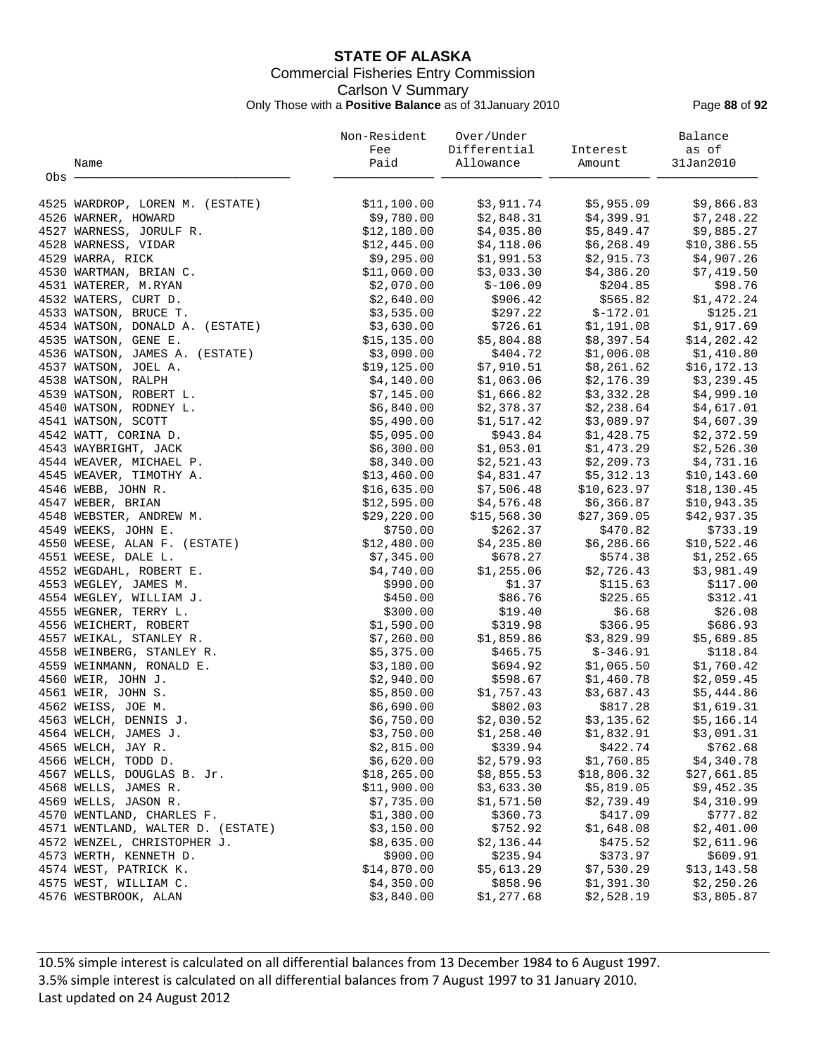# **STATE OF ALASKA** Commercial Fisheries Entry Commission Carlson V Summary Only Those with a **Positive Balance** as of 31January 2010 Page **88** of **92**

|       |                                   | Non-Resident | Over/Under             |                          | Balance      |
|-------|-----------------------------------|--------------|------------------------|--------------------------|--------------|
|       |                                   | Fee          | Differential           | Interest                 | as of        |
|       | Name                              | Paid         | Allowance              | Amount                   | 31Jan2010    |
| Obs - |                                   |              |                        |                          |              |
|       | 4525 WARDROP, LOREN M. (ESTATE)   | \$11,100.00  | \$3,911.74             | \$5,955.09               | \$9,866.83   |
|       | 4526 WARNER, HOWARD               | \$9,780.00   | \$2,848.31             | \$4,399.91               | \$7,248.22   |
|       | 4527 WARNESS, JORULF R.           | \$12,180.00  | \$4,035.80             | \$5,849.47               | \$9,885.27   |
|       | 4528 WARNESS, VIDAR               | \$12,445.00  | \$4,118.06             | \$6,268.49               | \$10,386.55  |
|       | 4529 WARRA, RICK                  | \$9,295.00   | \$1,991.53             | \$2,915.73               | \$4,907.26   |
|       | 4530 WARTMAN, BRIAN C.            | \$11,060.00  | \$3,033.30             | \$4,386.20               | \$7,419.50   |
|       | 4531 WATERER, M.RYAN              | \$2,070.00   | $$-106.09$             | \$204.85                 | \$98.76      |
|       | 4532 WATERS, CURT D.              | \$2,640.00   | \$906.42               | \$565.82                 | \$1,472.24   |
|       | 4533 WATSON, BRUCE T.             | \$3,535.00   | \$297.22               | $$-172.01$               | \$125.21     |
|       | 4534 WATSON, DONALD A. (ESTATE)   | \$3,630.00   | \$726.61               | \$1,191.08               | \$1,917.69   |
|       |                                   | \$15, 135.00 | \$5,804.88             | \$8,397.54               |              |
|       | 4535 WATSON, GENE E.              |              |                        |                          | \$14,202.42  |
|       | 4536 WATSON, JAMES A. (ESTATE)    | \$3,090.00   | \$404.72<br>\$7,910.51 | \$1,006.08<br>\$8,261.62 | \$1,410.80   |
|       | 4537 WATSON, JOEL A.              | \$19, 125.00 |                        | \$2,176.39               | \$16,172.13  |
|       | 4538 WATSON, RALPH                | \$4,140.00   | \$1,063.06             |                          | \$3,239.45   |
|       | 4539 WATSON, ROBERT L.            | \$7,145.00   | \$1,666.82             | \$3,332.28               | \$4,999.10   |
|       | 4540 WATSON, RODNEY L.            | \$6,840.00   | \$2,378.37             | \$2,238.64               | \$4,617.01   |
|       | 4541 WATSON, SCOTT                | \$5,490.00   | \$1,517.42             | \$3,089.97               | \$4,607.39   |
|       | 4542 WATT, CORINA D.              | \$5,095.00   |                        | \$943.84 \$1,428.75      | \$2,372.59   |
|       | 4543 WAYBRIGHT, JACK              | \$6,300.00   | \$1,053.01             | \$1,473.29               | \$2,526.30   |
|       | 4544 WEAVER, MICHAEL P.           | \$8,340.00   | \$2,521.43             | \$2,209.73               | \$4,731.16   |
|       | 4545 WEAVER, TIMOTHY A.           | \$13,460.00  | \$4,831.47             | \$5,312.13               | \$10, 143.60 |
|       | 4546 WEBB, JOHN R.                | \$16,635.00  | \$7,506.48             | \$10,623.97              | \$18, 130.45 |
|       | 4547 WEBER, BRIAN                 | \$12,595.00  | \$4,576.48             | \$6,366.87               | \$10,943.35  |
|       | 4548 WEBSTER, ANDREW M.           | \$29,220.00  | \$15,568.30            | \$27,369.05              | \$42,937.35  |
|       | 4549 WEEKS, JOHN E.               | \$750.00     | \$262.37               | \$470.82                 | \$733.19     |
|       | 4550 WEESE, ALAN F. (ESTATE)      | \$12,480.00  | \$4,235.80             | \$6,286.66               | \$10,522.46  |
|       | 4551 WEESE, DALE L.               | \$7,345.00   | \$678.27               | \$574.38                 | \$1,252.65   |
|       | 4552 WEGDAHL, ROBERT E.           | \$4,740.00   | \$1,255.06             | \$2,726.43               | \$3,981.49   |
|       | 4553 WEGLEY, JAMES M.             | \$990.00     | \$1.37                 | \$115.63                 | \$117.00     |
|       | 4554 WEGLEY, WILLIAM J.           | \$450.00     | \$86.76                | \$225.65                 | \$312.41     |
|       | 4555 WEGNER, TERRY L.             | \$300.00     | \$19.40                | \$6.68                   | \$26.08      |
|       | 4556 WEICHERT, ROBERT             | \$1,590.00   | \$319.98               | \$366.95                 | \$686.93     |
|       | 4557 WEIKAL, STANLEY R.           | \$7,260.00   | \$1,859.86             | \$3,829.99               | \$5,689.85   |
|       | 4558 WEINBERG, STANLEY R.         | \$5,375.00   | \$465.75               | $$-346.91$               | \$118.84     |
|       | 4559 WEINMANN, RONALD E.          | \$3,180.00   | \$694.92               | \$1,065.50               | \$1,760.42   |
|       | 4560 WEIR, JOHN J.                | \$2,940.00   | \$598.67               | \$1,460.78               | \$2,059.45   |
|       | 4561 WEIR, JOHN S.                | \$5,850.00   | \$1,757.43             | \$3,687.43               | \$5,444.86   |
|       | 4562 WEISS, JOE M.                | \$6,690.00   | \$802.03               | \$817.28                 | \$1,619.31   |
|       | 4563 WELCH, DENNIS J.             | \$6,750.00   | \$2,030.52             | \$3,135.62               | \$5,166.14   |
|       | 4564 WELCH, JAMES J.              | \$3,750.00   | \$1,258.40             | \$1,832.91               | \$3,091.31   |
|       | 4565 WELCH, JAY R.                | \$2,815.00   | \$339.94               | \$422.74                 | \$762.68     |
|       | 4566 WELCH, TODD D.               | \$6,620.00   | \$2,579.93             | \$1,760.85               | \$4,340.78   |
|       | 4567 WELLS, DOUGLAS B. Jr.        | \$18, 265.00 | \$8,855.53             | \$18,806.32              | \$27,661.85  |
|       | 4568 WELLS, JAMES R.              | \$11,900.00  | \$3,633.30             | \$5,819.05               | \$9,452.35   |
|       | 4569 WELLS, JASON R.              | \$7,735.00   | \$1,571.50             | \$2,739.49               | \$4,310.99   |
|       | 4570 WENTLAND, CHARLES F.         | \$1,380.00   | \$360.73               | \$417.09                 | \$777.82     |
|       | 4571 WENTLAND, WALTER D. (ESTATE) | \$3,150.00   | \$752.92               | \$1,648.08               | \$2,401.00   |
|       | 4572 WENZEL, CHRISTOPHER J.       | \$8,635.00   | \$2,136.44             | \$475.52                 | \$2,611.96   |
|       | 4573 WERTH, KENNETH D.            | \$900.00     | \$235.94               | \$373.97                 | \$609.91     |
|       | 4574 WEST, PATRICK K.             | \$14,870.00  | \$5,613.29             | \$7,530.29               | \$13,143.58  |
|       | 4575 WEST, WILLIAM C.             | \$4,350.00   | \$858.96               | \$1,391.30               | \$2,250.26   |
|       | 4576 WESTBROOK, ALAN              | \$3,840.00   | \$1,277.68             | \$2,528.19               | \$3,805.87   |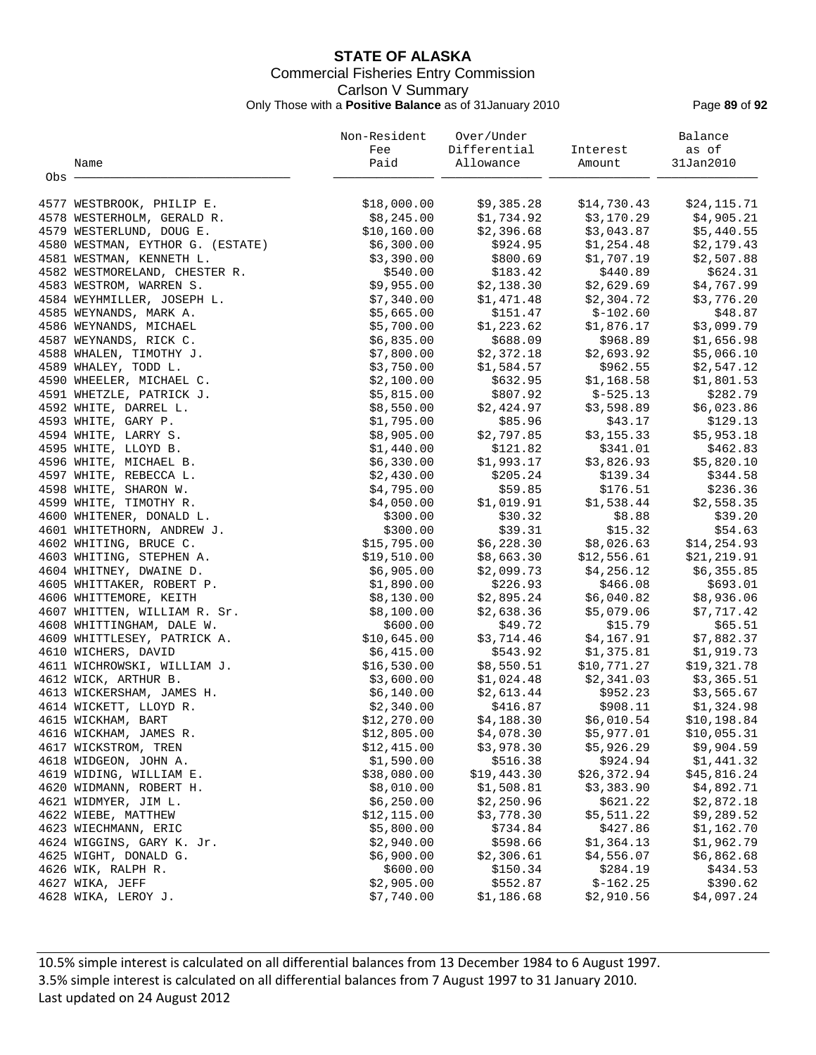# **STATE OF ALASKA** Commercial Fisheries Entry Commission Carlson V Summary Only Those with a **Positive Balance** as of 31January 2010 Page **89** of **92**

|       |                                  | Non-Resident | Over/Under   |             | Balance      |
|-------|----------------------------------|--------------|--------------|-------------|--------------|
|       |                                  | Fee          | Differential | Interest    | as of        |
|       | Name                             | Paid         | Allowance    | Amount      | 31Jan2010    |
| Obs - |                                  |              |              |             |              |
|       | 4577 WESTBROOK, PHILIP E.        | \$18,000.00  | \$9,385.28   | \$14,730.43 | \$24,115.71  |
|       | 4578 WESTERHOLM, GERALD R.       | \$8,245.00   | \$1,734.92   | \$3,170.29  | \$4,905.21   |
|       | 4579 WESTERLUND, DOUG E.         | \$10,160.00  | \$2,396.68   | \$3,043.87  | \$5,440.55   |
|       | 4580 WESTMAN, EYTHOR G. (ESTATE) | \$6,300.00   | \$924.95     | \$1,254.48  | \$2,179.43   |
|       | 4581 WESTMAN, KENNETH L.         | \$3,390.00   | \$800.69     | \$1,707.19  | \$2,507.88   |
|       | 4582 WESTMORELAND, CHESTER R.    | \$540.00     | \$183.42     | \$440.89    | \$624.31     |
|       | 4583 WESTROM, WARREN S.          | \$9,955.00   | \$2,138.30   | \$2,629.69  | \$4,767.99   |
|       | 4584 WEYHMILLER, JOSEPH L.       | \$7,340.00   | \$1,471.48   | \$2,304.72  | \$3,776.20   |
|       | 4585 WEYNANDS, MARK A.           | \$5,665.00   | \$151.47     | $$-102.60$  | \$48.87      |
|       | 4586 WEYNANDS, MICHAEL           | \$5,700.00   | \$1,223.62   | \$1,876.17  | \$3,099.79   |
|       | 4587 WEYNANDS, RICK C.           | \$6,835.00   | \$688.09     | \$968.89    | \$1,656.98   |
|       | 4588 WHALEN, TIMOTHY J.          | \$7,800.00   | \$2,372.18   | \$2,693.92  | \$5,066.10   |
|       | 4589 WHALEY, TODD L.             | \$3,750.00   | \$1,584.57   | \$962.55    | \$2,547.12   |
|       | 4590 WHEELER, MICHAEL C.         | \$2,100.00   | \$632.95     | \$1,168.58  | \$1,801.53   |
|       | 4591 WHETZLE, PATRICK J.         | \$5,815.00   | \$807.92     | \$-525.13   | \$282.79     |
|       | 4592 WHITE, DARREL L.            | \$8,550.00   | \$2,424.97   | \$3,598.89  | \$6,023.86   |
|       | 4593 WHITE, GARY P.              | \$1,795.00   | \$85.96      | \$43.17     | \$129.13     |
|       | 4594 WHITE, LARRY S.             | \$8,905.00   | \$2,797.85   | \$3,155.33  | \$5,953.18   |
|       | 4595 WHITE, LLOYD B.             | \$1,440.00   | \$121.82     | \$341.01    | \$462.83     |
|       | 4596 WHITE, MICHAEL B.           | \$6,330.00   | \$1,993.17   | \$3,826.93  | \$5,820.10   |
|       | 4597 WHITE, REBECCA L.           | \$2,430.00   | \$205.24     | \$139.34    | \$344.58     |
|       | 4598 WHITE, SHARON W.            | \$4,795.00   | \$59.85      | \$176.51    | \$236.36     |
|       | 4599 WHITE, TIMOTHY R.           | \$4,050.00   | \$1,019.91   | \$1,538.44  | \$2,558.35   |
|       | 4600 WHITENER, DONALD L.         | \$300.00     | \$30.32      | \$8.88      | \$39.20      |
|       | 4601 WHITETHORN, ANDREW J.       | \$300.00     | \$39.31      | \$15.32     | \$54.63      |
|       | 4602 WHITING, BRUCE C.           | \$15,795.00  | \$6,228.30   | \$8,026.63  | \$14, 254.93 |
|       | 4603 WHITING, STEPHEN A.         | \$19,510.00  | \$8,663.30   | \$12,556.61 | \$21, 219.91 |
|       | 4604 WHITNEY, DWAINE D.          | \$6,905.00   | \$2,099.73   | \$4,256.12  | \$6,355.85   |
|       | 4605 WHITTAKER, ROBERT P.        | \$1,890.00   | \$226.93     | \$466.08    | \$693.01     |
|       | 4606 WHITTEMORE, KEITH           | \$8,130.00   | \$2,895.24   | \$6,040.82  | \$8,936.06   |
|       | 4607 WHITTEN, WILLIAM R. Sr.     | \$8,100.00   | \$2,638.36   | \$5,079.06  | \$7,717.42   |
|       | 4608 WHITTINGHAM, DALE W.        | \$600.00     | \$49.72      | \$15.79     | \$65.51      |
|       | 4609 WHITTLESEY, PATRICK A.      | \$10,645.00  | \$3,714.46   | \$4,167.91  | \$7,882.37   |
|       | 4610 WICHERS, DAVID              | \$6,415.00   | \$543.92     | \$1,375.81  | \$1,919.73   |
|       | 4611 WICHROWSKI, WILLIAM J.      | \$16,530.00  | \$8,550.51   | \$10,771.27 | \$19,321.78  |
|       | 4612 WICK, ARTHUR B.             | \$3,600.00   | \$1,024.48   | \$2,341.03  | \$3,365.51   |
|       | 4613 WICKERSHAM, JAMES H.        | \$6,140.00   | \$2,613.44   | \$952.23    | \$3,565.67   |
|       | 4614 WICKETT, LLOYD R.           | \$2,340.00   | \$416.87     | \$908.11    | \$1,324.98   |
|       | 4615 WICKHAM, BART               | \$12,270.00  | \$4,188.30   | \$6,010.54  | \$10,198.84  |
|       | 4616 WICKHAM, JAMES R.           | \$12,805.00  | \$4,078.30   | \$5,977.01  | \$10,055.31  |
|       | 4617 WICKSTROM, TREN             | \$12,415.00  | \$3,978.30   | \$5,926.29  | \$9,904.59   |
|       | 4618 WIDGEON, JOHN A.            | \$1,590.00   | \$516.38     | \$924.94    | \$1,441.32   |
|       | 4619 WIDING, WILLIAM E.          | \$38,080.00  | \$19,443.30  | \$26,372.94 | \$45,816.24  |
|       | 4620 WIDMANN, ROBERT H.          | \$8,010.00   | \$1,508.81   | \$3,383.90  | \$4,892.71   |
|       | 4621 WIDMYER, JIM L.             | \$6,250.00   | \$2,250.96   | \$621.22    | \$2,872.18   |
|       | 4622 WIEBE, MATTHEW              | \$12, 115.00 | \$3,778.30   | \$5,511.22  | \$9,289.52   |
|       | 4623 WIECHMANN, ERIC             | \$5,800.00   | \$734.84     | \$427.86    | \$1,162.70   |
|       | 4624 WIGGINS, GARY K. Jr.        | \$2,940.00   | \$598.66     | \$1,364.13  | \$1,962.79   |
|       | 4625 WIGHT, DONALD G.            | \$6,900.00   | \$2,306.61   | \$4,556.07  | \$6,862.68   |
|       | 4626 WIK, RALPH R.               | \$600.00     | \$150.34     | \$284.19    | \$434.53     |
|       | 4627 WIKA, JEFF                  | \$2,905.00   | \$552.87     | $$-162.25$  | \$390.62     |
|       | 4628 WIKA, LEROY J.              | \$7,740.00   | \$1,186.68   | \$2,910.56  | \$4,097.24   |
|       |                                  |              |              |             |              |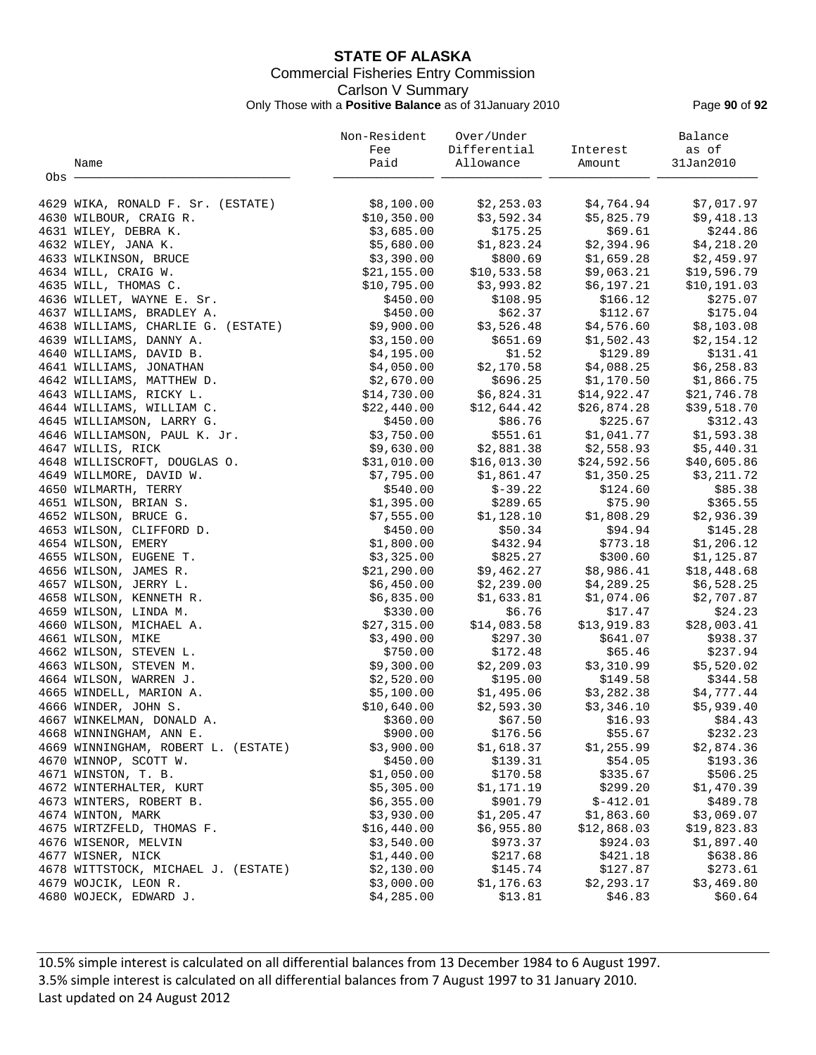# **STATE OF ALASKA** Commercial Fisheries Entry Commission Carlson V Summary Only Those with a **Positive Balance** as of 31January 2010 Page **90** of **92**

|       |                                     | Non-Resident | Over/Under                |                                                                                          | Balance      |
|-------|-------------------------------------|--------------|---------------------------|------------------------------------------------------------------------------------------|--------------|
|       |                                     | Fee          | Differential              | Interest                                                                                 | as of        |
|       | Name                                | Paid         | Allowance                 | Amount                                                                                   | 31Jan2010    |
| Obs - |                                     |              |                           |                                                                                          |              |
|       | 4629 WIKA, RONALD F. Sr. (ESTATE)   | \$8,100.00   | \$2,253.03                | \$4,764.94                                                                               | \$7,017.97   |
|       | 4630 WILBOUR, CRAIG R.              | \$10,350.00  | \$3,592.34                | \$5,825.79                                                                               | \$9,418.13   |
|       | 4631 WILEY, DEBRA K.                | \$3,685.00   | \$175.25                  | \$69.61                                                                                  | \$244.86     |
|       | 4632 WILEY, JANA K.                 | \$5,680.00   | \$1,823.24                | \$2,394.96                                                                               | \$4,218.20   |
|       | 4633 WILKINSON, BRUCE               | \$3,390.00   | \$800.69                  | \$1,659.28                                                                               | \$2,459.97   |
|       | 4634 WILL, CRAIG W.                 | \$21,155.00  | \$10,533.58               | \$9,063.21                                                                               | \$19,596.79  |
|       | 4635 WILL, THOMAS C.                | \$10,795.00  | \$3,993.82                | \$6,197.21                                                                               | \$10, 191.03 |
|       | 4636 WILLET, WAYNE E. Sr.           | \$450.00     | \$108.95                  | \$166.12                                                                                 | \$275.07     |
|       | 4637 WILLIAMS, BRADLEY A.           | \$450.00     | \$62.37                   | \$112.67                                                                                 | \$175.04     |
|       | 4638 WILLIAMS, CHARLIE G. (ESTATE)  | \$9,900.00   | \$3,526.48                | \$4,576.60                                                                               | \$8,103.08   |
|       |                                     |              |                           |                                                                                          |              |
|       | 4639 WILLIAMS, DANNY A.             | \$3,150.00   | \$651.69                  | \$1,502.43                                                                               | \$2,154.12   |
|       | 4640 WILLIAMS, DAVID B.             | \$4,195.00   | \$1.52                    | \$129.89                                                                                 | \$131.41     |
|       | 4641 WILLIAMS, JONATHAN             | \$4,050.00   | \$2,170.58                | \$4,088.25<br>\$696.25 \$1,170.50                                                        | \$6,258.83   |
|       | 4642 WILLIAMS, MATTHEW D.           | \$2,670.00   |                           |                                                                                          | \$1,866.75   |
|       | 4643 WILLIAMS, RICKY L.             | \$14,730.00  |                           | $$6, 824.31$<br>$$14, 922.47$<br>$$12, 644.42$<br>$$26, 874.28$<br>$$86.76$<br>$$225.67$ | \$21,746.78  |
|       | 4644 WILLIAMS, WILLIAM C.           | \$22,440.00  |                           |                                                                                          | \$39,518.70  |
|       | 4645 WILLIAMSON, LARRY G.           | \$450.00     |                           |                                                                                          | \$312.43     |
|       | 4646 WILLIAMSON, PAUL K. Jr.        | \$3,750.00   | \$551.61                  | \$1,041.77                                                                               | \$1,593.38   |
|       | 4647 WILLIS, RICK                   | \$9,630.00   | \$2,881.38<br>\$16,013.30 | \$2,558.93                                                                               | \$5,440.31   |
|       | 4648 WILLISCROFT, DOUGLAS O.        | \$31,010.00  |                           | \$24,592.56                                                                              | \$40,605.86  |
|       | 4649 WILLMORE, DAVID W.             | \$7,795.00   | \$1,861.47                | \$1,350.25                                                                               | \$3,211.72   |
|       | 4650 WILMARTH, TERRY                | \$540.00     | \$-39.22                  | \$124.60                                                                                 | \$85.38      |
|       | 4651 WILSON, BRIAN S.               | \$1,395.00   | \$289.65                  | \$75.90                                                                                  | \$365.55     |
|       | 4652 WILSON, BRUCE G.               | \$7,555.00   | \$1,128.10                | \$1,808.29                                                                               | \$2,936.39   |
|       | 4653 WILSON, CLIFFORD D.            | \$450.00     | \$50.34                   | \$94.94                                                                                  | \$145.28     |
|       | 4654 WILSON, EMERY                  | \$1,800.00   | \$432.94                  | \$773.18                                                                                 | \$1,206.12   |
|       | 4655 WILSON, EUGENE T.              | \$3,325.00   | \$825.27                  | \$300.60                                                                                 | \$1,125.87   |
|       | 4656 WILSON, JAMES R.               | \$21,290.00  | \$9,462.27                | \$8,986.41                                                                               | \$18,448.68  |
|       | 4657 WILSON, JERRY L.               | \$6,450.00   | \$2,239.00                | \$4,289.25                                                                               | \$6,528.25   |
|       | 4658 WILSON, KENNETH R.             | \$6,835.00   | \$1,633.81                | \$1,074.06                                                                               | \$2,707.87   |
|       | 4659 WILSON, LINDA M.               | \$330.00     | \$6.76                    | \$17.47                                                                                  | \$24.23      |
|       | 4660 WILSON, MICHAEL A.             | \$27,315.00  | \$14,083.58               | \$13,919.83                                                                              | \$28,003.41  |
|       | 4661 WILSON, MIKE                   | \$3,490.00   | \$297.30                  | \$641.07                                                                                 | \$938.37     |
|       | 4662 WILSON, STEVEN L.              | \$750.00     | \$172.48                  | \$65.46                                                                                  | \$237.94     |
|       | 4663 WILSON, STEVEN M.              | \$9,300.00   | \$2,209.03                | \$3,310.99                                                                               | \$5,520.02   |
|       | 4664 WILSON, WARREN J.              | \$2,520.00   | \$195.00                  | \$149.58                                                                                 | \$344.58     |
|       | 4665 WINDELL, MARION A.             | \$5,100.00   | \$1,495.06                | \$3,282.38                                                                               | \$4,777.44   |
|       | 4666 WINDER, JOHN S.                | \$10,640.00  | \$2,593.30                | \$3,346.10                                                                               | \$5,939.40   |
|       | 4667 WINKELMAN, DONALD A.           | \$360.00     | \$67.50                   | \$16.93                                                                                  | \$84.43      |
|       | 4668 WINNINGHAM, ANN E.             | \$900.00     | \$176.56                  | \$55.67                                                                                  | \$232.23     |
|       | 4669 WINNINGHAM, ROBERT L. (ESTATE) | \$3,900.00   | \$1,618.37                | \$1,255.99                                                                               | \$2,874.36   |
|       | 4670 WINNOP, SCOTT W.               | \$450.00     | \$139.31                  | \$54.05                                                                                  | \$193.36     |
|       | 4671 WINSTON, T. B.                 | \$1,050.00   | \$170.58                  | \$335.67                                                                                 | \$506.25     |
|       | 4672 WINTERHALTER, KURT             | \$5,305.00   | \$1,171.19                | \$299.20                                                                                 | \$1,470.39   |
|       | 4673 WINTERS, ROBERT B.             | \$6,355.00   | \$901.79                  | $$-412.01$                                                                               | \$489.78     |
|       | 4674 WINTON, MARK                   | \$3,930.00   | \$1,205.47                | \$1,863.60                                                                               | \$3,069.07   |
|       | 4675 WIRTZFELD, THOMAS F.           | \$16,440.00  | \$6,955.80                | \$12,868.03                                                                              | \$19,823.83  |
|       | 4676 WISENOR, MELVIN                | \$3,540.00   | \$973.37                  | \$924.03                                                                                 | \$1,897.40   |
|       | 4677 WISNER, NICK                   | \$1,440.00   | \$217.68                  | \$421.18                                                                                 | \$638.86     |
|       | 4678 WITTSTOCK, MICHAEL J. (ESTATE) | \$2,130.00   | \$145.74                  | \$127.87                                                                                 | \$273.61     |
|       | 4679 WOJCIK, LEON R.                | \$3,000.00   | \$1,176.63                | \$2,293.17                                                                               | \$3,469.80   |
|       | 4680 WOJECK, EDWARD J.              | \$4,285.00   | \$13.81                   | \$46.83                                                                                  | \$60.64      |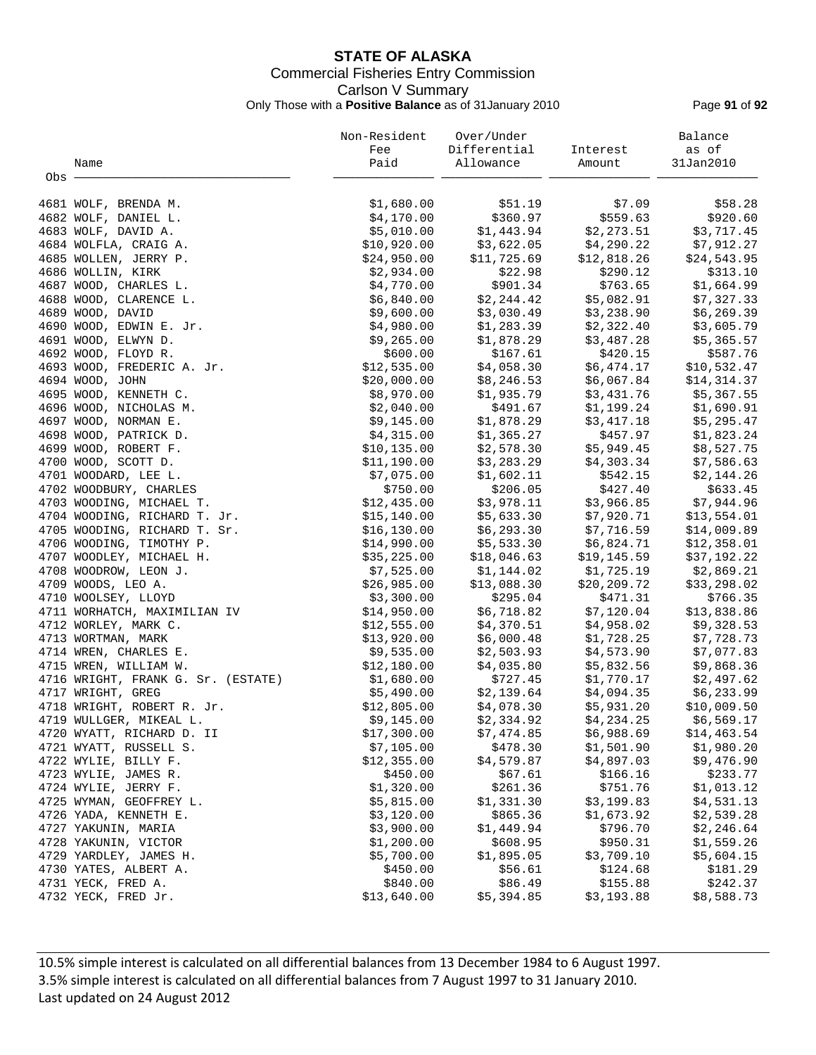# **STATE OF ALASKA** Commercial Fisheries Entry Commission Carlson V Summary Only Those with a **Positive Balance** as of 31January 2010 Page **91** of **92**

|       |                                                | Non-Resident             | Over/Under             |                        | Balance                  |
|-------|------------------------------------------------|--------------------------|------------------------|------------------------|--------------------------|
|       |                                                | Fee                      | Differential           | Interest               | as of                    |
|       | Name                                           | Paid                     | Allowance              | Amount                 | 31Jan2010                |
| Obs - |                                                |                          |                        |                        |                          |
|       | 4681 WOLF, BRENDA M.                           | \$1,680.00               | \$51.19                | \$7.09                 | \$58.28                  |
|       | 4682 WOLF, DANIEL L.                           | \$4,170.00               | \$360.97               | \$559.63               | \$920.60                 |
|       | 4683 WOLF, DAVID A.                            | \$5,010.00               | \$1,443.94             | \$2,273.51             | \$3,717.45               |
|       | 4684 WOLFLA, CRAIG A.                          | \$10,920.00              | \$3,622.05             | \$4,290.22             | \$7,912.27               |
|       | 4685 WOLLEN, JERRY P.                          | \$24,950.00              | \$11,725.69            | \$12,818.26            | \$24,543.95              |
|       | 4686 WOLLIN, KIRK                              | \$2,934.00               | \$22.98                | \$290.12               | \$313.10                 |
|       | 4687 WOOD, CHARLES L.                          | \$4,770.00               | \$901.34               | \$763.65               | \$1,664.99               |
|       | 4688 WOOD, CLARENCE L.                         | \$6,840.00               | \$2,244.42             | \$5,082.91             | \$7,327.33               |
|       | 4689 WOOD, DAVID                               | \$9,600.00               | \$3,030.49             | \$3,238.90             | \$6, 269.39              |
|       | 4690 WOOD, EDWIN E. Jr.                        | \$4,980.00               | \$1,283.39             | \$2,322.40             | \$3,605.79               |
|       | 4691 WOOD, ELWYN D.                            | \$9,265.00               | \$1,878.29             | \$3,487.28             | \$5,365.57               |
|       | 4692 WOOD, FLOYD R.                            | \$600.00                 | \$167.61               | \$420.15               | \$587.76                 |
|       | 4693 WOOD, FREDERIC A. Jr.                     | \$12,535.00              | \$4,058.30             | \$6,474.17             | \$10,532.47              |
|       | 4694 WOOD, JOHN                                | \$20,000.00              | \$8,246.53             | \$6,067.84             | \$14,314.37              |
|       | 4695 WOOD, KENNETH C.                          | \$8,970.00               | \$1,935.79             | \$3,431.76             | \$5,367.55               |
|       | 4696 WOOD, NICHOLAS M.                         | \$2,040.00               | \$491.67               | \$1,199.24             | \$1,690.91               |
|       | 4697 WOOD, NORMAN E.                           | \$9,145.00               | \$1,878.29             | \$3,417.18             | \$5,295.47               |
|       | 4698 WOOD, PATRICK D.                          | \$4,315.00               | \$1,365.27             | \$457.97               | \$1,823.24               |
|       | 4699 WOOD, ROBERT F.                           | \$10, 135.00             | \$2,578.30             | \$5,949.45             | \$8,527.75               |
|       | 4700 WOOD, SCOTT D.                            | \$11,190.00              | \$3,283.29             | \$4,303.34             | \$7,586.63               |
|       | 4701 WOODARD, LEE L.                           | \$7,075.00               | \$1,602.11             | \$542.15               | \$2,144.26               |
|       | 4702 WOODBURY, CHARLES                         | \$750.00                 | \$206.05               | \$427.40               | \$633.45                 |
|       | 4703 WOODING, MICHAEL T.                       | \$12,435.00              | \$3,978.11             | \$3,966.85             | \$7,944.96               |
|       | 4704 WOODING, RICHARD T. Jr.                   | \$15,140.00              | \$5,633.30             | \$7,920.71             | \$13,554.01              |
|       | 4705 WOODING, RICHARD T. Sr.                   | \$16, 130.00             | \$6,293.30             | \$7,716.59             | \$14,009.89              |
|       | 4706 WOODING, TIMOTHY P.                       | \$14,990.00              | \$5,533.30             | \$6,824.71             | \$12,358.01              |
|       | 4707 WOODLEY, MICHAEL H.                       | \$35,225.00              | \$18,046.63            | \$19,145.59            | \$37,192.22              |
|       | 4708 WOODROW, LEON J.                          | \$7,525.00               | \$1,144.02             | \$1,725.19             | \$2,869.21               |
|       | 4709 WOODS, LEO A.                             | \$26,985.00              | \$13,088.30            | \$20,209.72            | \$33,298.02              |
|       | 4710 WOOLSEY, LLOYD                            | \$3,300.00               | \$295.04               | \$471.31               | \$766.35                 |
|       | 4711 WORHATCH, MAXIMILIAN IV                   | \$14,950.00              | \$6,718.82             | \$7,120.04             | \$13,838.86              |
|       | 4712 WORLEY, MARK C.                           | \$12,555.00              | \$4,370.51             | \$4,958.02             | \$9,328.53               |
|       | 4713 WORTMAN, MARK                             | \$13,920.00              | \$6,000.48             | \$1,728.25             | \$7,728.73               |
|       | 4714 WREN, CHARLES E.                          | \$9,535.00               | \$2,503.93             | \$4,573.90             | \$7,077.83               |
|       | 4715 WREN, WILLIAM W.                          | \$12,180.00              | \$4,035.80             | \$5,832.56             | \$9,868.36               |
|       | 4716 WRIGHT, FRANK G. Sr. (ESTATE)             | \$1,680.00               | \$727.45               | \$1,770.17             | \$2,497.62               |
|       | 4717 WRIGHT, GREG                              | \$5,490.00               | \$2,139.64             | \$4,094.35             | \$6,233.99               |
|       | 4718 WRIGHT, ROBERT R. Jr.                     | \$12,805.00              | \$4,078.30             | \$5,931.20             | \$10,009.50              |
|       | 4719 WULLGER, MIKEAL L.                        | \$9,145.00               | \$2,334.92             | \$4,234.25             | \$6,569.17               |
|       | 4720 WYATT, RICHARD D. II                      | \$17,300.00              | \$7,474.85             | \$6,988.69             | \$14, 463.54             |
|       | 4721 WYATT, RUSSELL S.                         | \$7,105.00               | \$478.30               | \$1,501.90             | \$1,980.20               |
|       | 4722 WYLIE, BILLY F.                           | \$12,355.00              | \$4,579.87             | \$4,897.03             | \$9,476.90               |
|       | 4723 WYLIE, JAMES R.                           | \$450.00                 | \$67.61                | \$166.16               | \$233.77                 |
|       | 4724 WYLIE, JERRY F.                           | \$1,320.00               | \$261.36               | \$751.76               | \$1,013.12               |
|       | 4725 WYMAN, GEOFFREY L.                        | \$5,815.00               | \$1,331.30             | \$3,199.83             | \$4,531.13               |
|       | 4726 YADA, KENNETH E.                          | \$3,120.00               | \$865.36               | \$1,673.92<br>\$796.70 | \$2,539.28               |
|       | 4727 YAKUNIN, MARIA                            | \$3,900.00<br>\$1,200.00 | \$1,449.94<br>\$608.95 | \$950.31               | \$2,246.64<br>\$1,559.26 |
|       | 4728 YAKUNIN, VICTOR<br>4729 YARDLEY, JAMES H. | \$5,700.00               | \$1,895.05             | \$3,709.10             | \$5,604.15               |
|       | 4730 YATES, ALBERT A.                          | \$450.00                 | \$56.61                | \$124.68               | \$181.29                 |
|       | 4731 YECK, FRED A.                             | \$840.00                 | \$86.49                | \$155.88               | \$242.37                 |
|       | 4732 YECK, FRED Jr.                            | \$13,640.00              | \$5,394.85             | \$3,193.88             | \$8,588.73               |
|       |                                                |                          |                        |                        |                          |